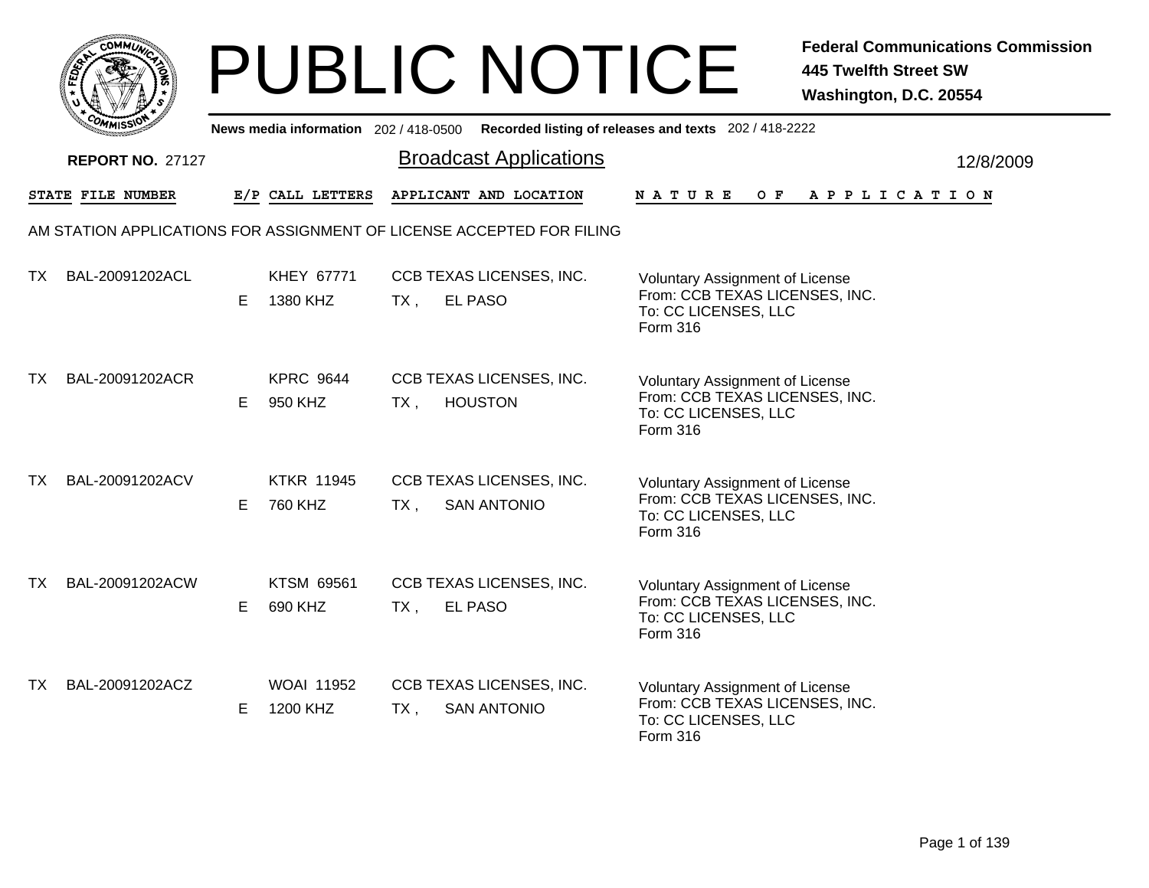|           | MMUNICT<br>CO. |  |
|-----------|----------------|--|
| ট্রু<br>c |                |  |
|           |                |  |
| COMI      | MISS           |  |

|           | יככוומי                 |    |                               |        |                                                                       | News media information 202/418-0500 Recorded listing of releases and texts 202/418-2222                      |
|-----------|-------------------------|----|-------------------------------|--------|-----------------------------------------------------------------------|--------------------------------------------------------------------------------------------------------------|
|           | <b>REPORT NO. 27127</b> |    |                               |        | <b>Broadcast Applications</b>                                         | 12/8/2009                                                                                                    |
|           | STATE FILE NUMBER       |    | E/P CALL LETTERS              |        | APPLICANT AND LOCATION                                                | OF APPLICATION<br><b>NATURE</b>                                                                              |
|           |                         |    |                               |        | AM STATION APPLICATIONS FOR ASSIGNMENT OF LICENSE ACCEPTED FOR FILING |                                                                                                              |
| TX.       | BAL-20091202ACL         | E. | KHEY 67771<br>1380 KHZ        | TX,    | CCB TEXAS LICENSES, INC.<br><b>EL PASO</b>                            | <b>Voluntary Assignment of License</b><br>From: CCB TEXAS LICENSES, INC.<br>To: CC LICENSES, LLC<br>Form 316 |
| TX        | BAL-20091202ACR         | E. | <b>KPRC 9644</b><br>950 KHZ   | $TX$ , | CCB TEXAS LICENSES, INC.<br><b>HOUSTON</b>                            | Voluntary Assignment of License<br>From: CCB TEXAS LICENSES, INC.<br>To: CC LICENSES, LLC<br>Form 316        |
| <b>TX</b> | BAL-20091202ACV         | E. | <b>KTKR 11945</b><br>760 KHZ  | TX,    | CCB TEXAS LICENSES, INC.<br><b>SAN ANTONIO</b>                        | <b>Voluntary Assignment of License</b><br>From: CCB TEXAS LICENSES, INC.<br>To: CC LICENSES, LLC<br>Form 316 |
| TX.       | BAL-20091202ACW         | E. | KTSM 69561<br>690 KHZ         | $TX$ , | CCB TEXAS LICENSES, INC.<br><b>EL PASO</b>                            | Voluntary Assignment of License<br>From: CCB TEXAS LICENSES, INC.<br>To: CC LICENSES, LLC<br>Form 316        |
| TX.       | BAL-20091202ACZ         | E. | <b>WOAI 11952</b><br>1200 KHZ | $TX$ , | CCB TEXAS LICENSES, INC.<br><b>SAN ANTONIO</b>                        | <b>Voluntary Assignment of License</b><br>From: CCB TEXAS LICENSES, INC.<br>To: CC LICENSES, LLC<br>Form 316 |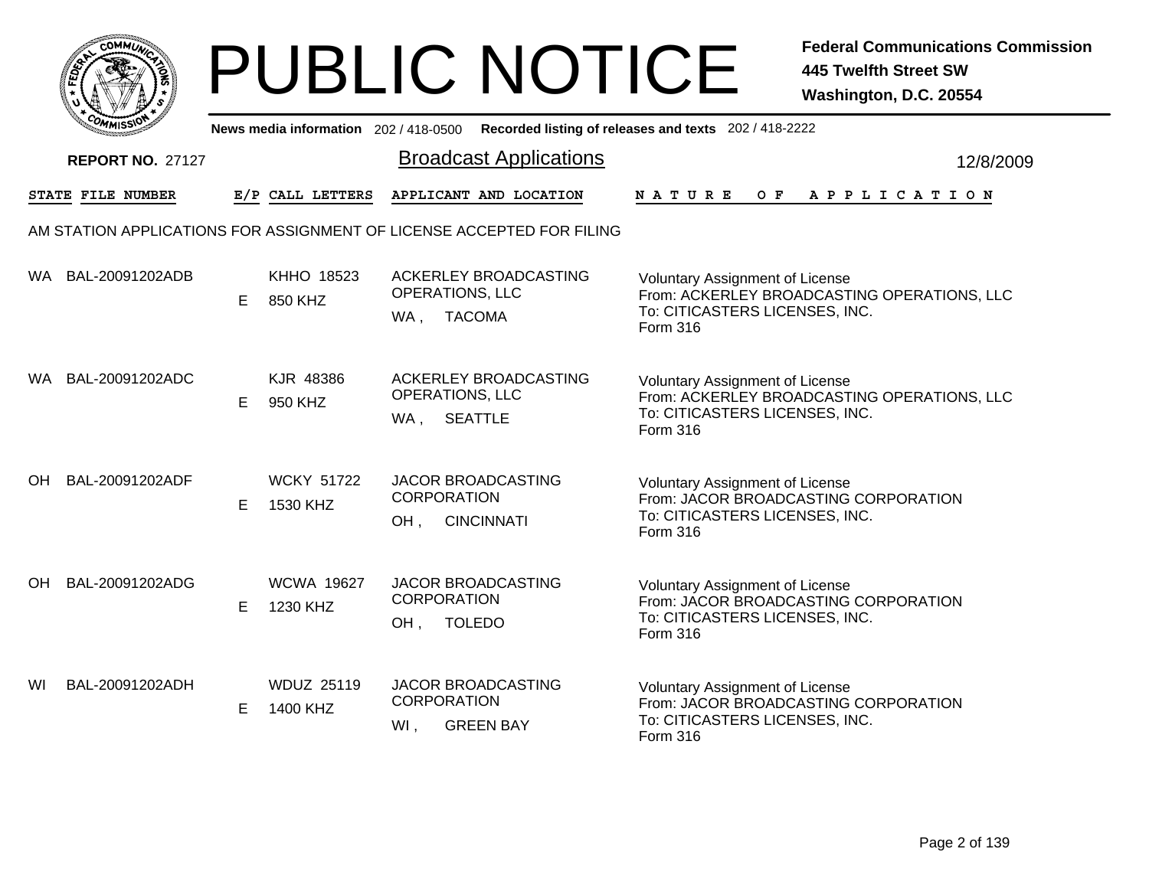

|    | יככוומדי                |    |                               |                                                                             | News media information 202/418-0500 Recorded listing of releases and texts 202/418-2222                                             |
|----|-------------------------|----|-------------------------------|-----------------------------------------------------------------------------|-------------------------------------------------------------------------------------------------------------------------------------|
|    | <b>REPORT NO. 27127</b> |    |                               | <b>Broadcast Applications</b>                                               | 12/8/2009                                                                                                                           |
|    | STATE FILE NUMBER       |    | E/P CALL LETTERS              | APPLICANT AND LOCATION                                                      | O F<br><b>NATURE</b><br>A P P L I C A T I O N                                                                                       |
|    |                         |    |                               | AM STATION APPLICATIONS FOR ASSIGNMENT OF LICENSE ACCEPTED FOR FILING       |                                                                                                                                     |
|    | WA BAL-20091202ADB      | E  | <b>KHHO 18523</b><br>850 KHZ  | ACKERLEY BROADCASTING<br>OPERATIONS, LLC<br><b>TACOMA</b><br>WA,            | <b>Voluntary Assignment of License</b><br>From: ACKERLEY BROADCASTING OPERATIONS, LLC<br>To: CITICASTERS LICENSES, INC.<br>Form 316 |
|    | WA BAL-20091202ADC      | E. | KJR 48386<br>950 KHZ          | ACKERLEY BROADCASTING<br>OPERATIONS, LLC<br><b>SEATTLE</b><br>WA,           | <b>Voluntary Assignment of License</b><br>From: ACKERLEY BROADCASTING OPERATIONS, LLC<br>To: CITICASTERS LICENSES, INC.<br>Form 316 |
| OH | BAL-20091202ADF         | Е  | <b>WCKY 51722</b><br>1530 KHZ | <b>JACOR BROADCASTING</b><br><b>CORPORATION</b><br>OH.<br><b>CINCINNATI</b> | <b>Voluntary Assignment of License</b><br>From: JACOR BROADCASTING CORPORATION<br>To: CITICASTERS LICENSES, INC.<br>Form 316        |
| OH | BAL-20091202ADG         | E  | <b>WCWA 19627</b><br>1230 KHZ | JACOR BROADCASTING<br><b>CORPORATION</b><br><b>TOLEDO</b><br>OH,            | <b>Voluntary Assignment of License</b><br>From: JACOR BROADCASTING CORPORATION<br>To: CITICASTERS LICENSES, INC.<br>Form 316        |
| WI | BAL-20091202ADH         | E. | <b>WDUZ 25119</b><br>1400 KHZ | JACOR BROADCASTING<br><b>CORPORATION</b><br><b>GREEN BAY</b><br>Wl,         | <b>Voluntary Assignment of License</b><br>From: JACOR BROADCASTING CORPORATION<br>To: CITICASTERS LICENSES, INC.<br>Form 316        |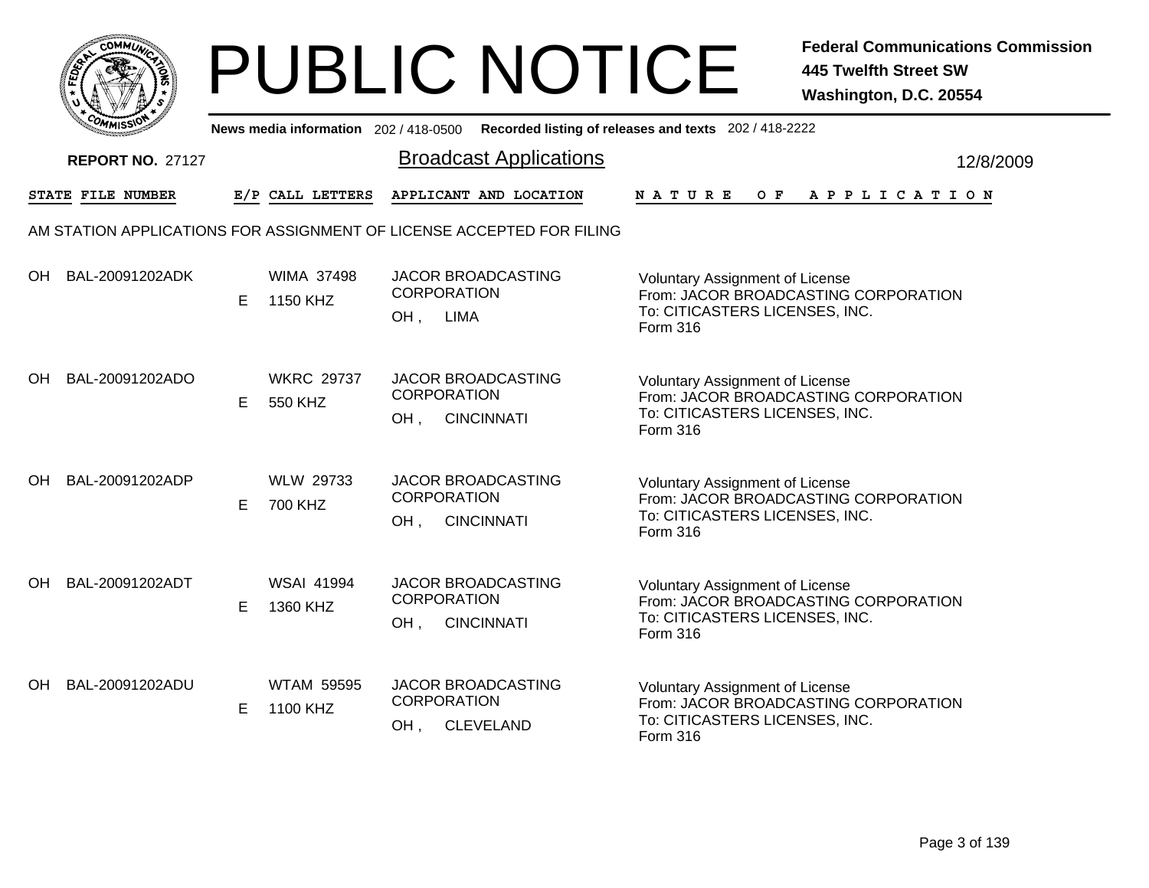|      | <b>COMMUNT</b> |    |
|------|----------------|----|
| EDE) |                | ্ব |
| ī.   |                |    |
|      | COMI<br>MISS   |    |

|    | יככוומדי                |   |                               | News media information 202/418-0500 Recorded listing of releases and texts 202/418-2222 |                                                                                                                              |           |
|----|-------------------------|---|-------------------------------|-----------------------------------------------------------------------------------------|------------------------------------------------------------------------------------------------------------------------------|-----------|
|    | <b>REPORT NO. 27127</b> |   |                               | <b>Broadcast Applications</b>                                                           |                                                                                                                              | 12/8/2009 |
|    | STATE FILE NUMBER       |   | E/P CALL LETTERS              | APPLICANT AND LOCATION                                                                  | $O$ $F$<br><b>NATURE</b><br>A P P L I C A T I O N                                                                            |           |
|    |                         |   |                               | AM STATION APPLICATIONS FOR ASSIGNMENT OF LICENSE ACCEPTED FOR FILING                   |                                                                                                                              |           |
| OH | BAL-20091202ADK         | E | <b>WIMA 37498</b><br>1150 KHZ | <b>JACOR BROADCASTING</b><br><b>CORPORATION</b><br><b>LIMA</b><br>OH,                   | <b>Voluntary Assignment of License</b><br>From: JACOR BROADCASTING CORPORATION<br>To: CITICASTERS LICENSES, INC.<br>Form 316 |           |
| OH | BAL-20091202ADO         | E | <b>WKRC 29737</b><br>550 KHZ  | JACOR BROADCASTING<br><b>CORPORATION</b><br><b>CINCINNATI</b><br>OH,                    | <b>Voluntary Assignment of License</b><br>From: JACOR BROADCASTING CORPORATION<br>To: CITICASTERS LICENSES, INC.<br>Form 316 |           |
| OH | BAL-20091202ADP         | Е | <b>WLW 29733</b><br>700 KHZ   | <b>JACOR BROADCASTING</b><br><b>CORPORATION</b><br>OH.<br><b>CINCINNATI</b>             | <b>Voluntary Assignment of License</b><br>From: JACOR BROADCASTING CORPORATION<br>To: CITICASTERS LICENSES, INC.<br>Form 316 |           |
| OH | BAL-20091202ADT         | E | <b>WSAI 41994</b><br>1360 KHZ | JACOR BROADCASTING<br><b>CORPORATION</b><br><b>CINCINNATI</b><br>OH,                    | <b>Voluntary Assignment of License</b><br>From: JACOR BROADCASTING CORPORATION<br>To: CITICASTERS LICENSES, INC.<br>Form 316 |           |
| OH | BAL-20091202ADU         | E | <b>WTAM 59595</b><br>1100 KHZ | JACOR BROADCASTING<br><b>CORPORATION</b><br><b>CLEVELAND</b><br>OH,                     | <b>Voluntary Assignment of License</b><br>From: JACOR BROADCASTING CORPORATION<br>To: CITICASTERS LICENSES, INC.<br>Form 316 |           |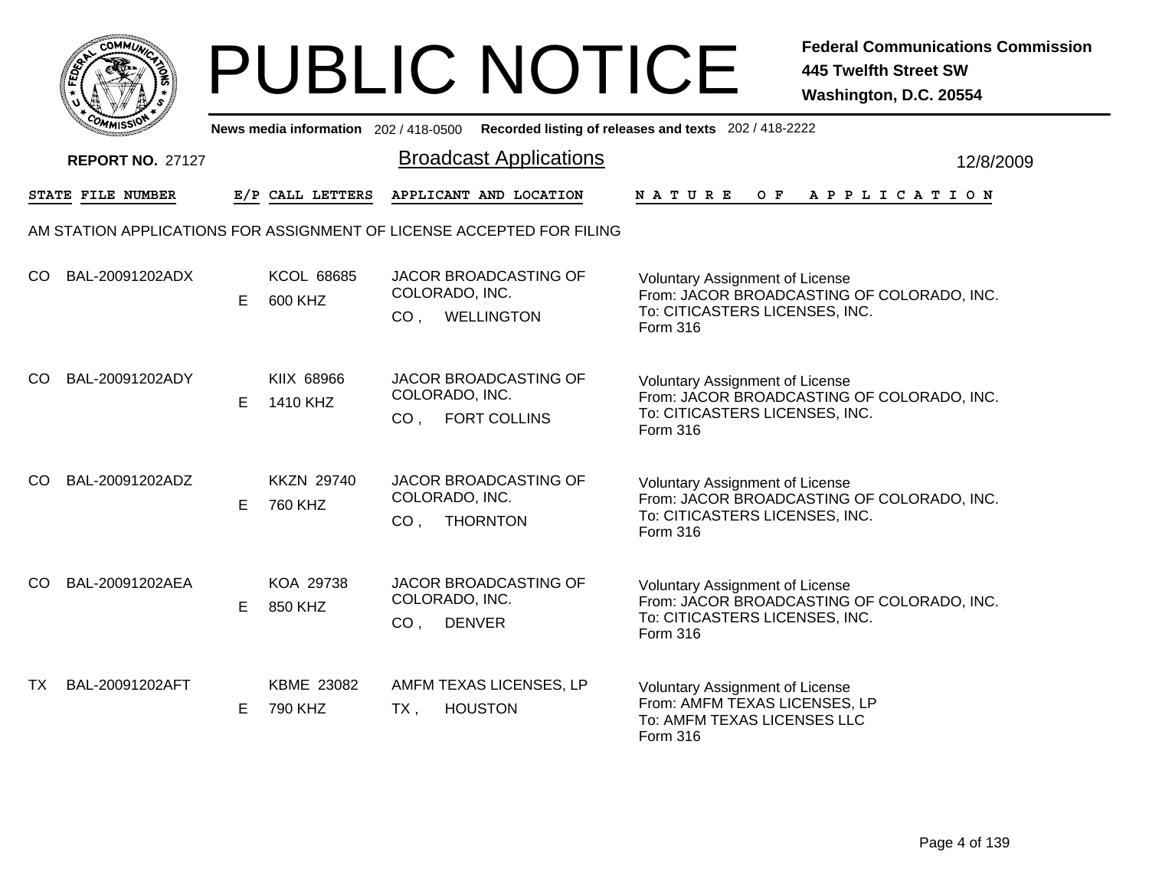

|     | ככוומיי                                                               |    |                              |                                   | News media information 202/418-0500 Recorded listing of releases and texts 202/418-2222 |               |                                                                                                                        |  |     |  |  |                       |  |           |
|-----|-----------------------------------------------------------------------|----|------------------------------|-----------------------------------|-----------------------------------------------------------------------------------------|---------------|------------------------------------------------------------------------------------------------------------------------|--|-----|--|--|-----------------------|--|-----------|
|     | <b>REPORT NO. 27127</b>                                               |    |                              |                                   | <b>Broadcast Applications</b>                                                           |               |                                                                                                                        |  |     |  |  |                       |  | 12/8/2009 |
|     | STATE FILE NUMBER                                                     |    | E/P CALL LETTERS             |                                   | APPLICANT AND LOCATION                                                                  | <b>NATURE</b> |                                                                                                                        |  | O F |  |  | A P P L I C A T I O N |  |           |
|     | AM STATION APPLICATIONS FOR ASSIGNMENT OF LICENSE ACCEPTED FOR FILING |    |                              |                                   |                                                                                         |               |                                                                                                                        |  |     |  |  |                       |  |           |
| CO  | BAL-20091202ADX                                                       | E  | <b>KCOL 68685</b><br>600 KHZ | COLORADO, INC.<br>CO <sub>1</sub> | <b>JACOR BROADCASTING OF</b><br><b>WELLINGTON</b>                                       | Form 316      | <b>Voluntary Assignment of License</b><br>From: JACOR BROADCASTING OF COLORADO, INC.<br>To: CITICASTERS LICENSES, INC. |  |     |  |  |                       |  |           |
| CO  | BAL-20091202ADY                                                       | E. | KIIX 68966<br>1410 KHZ       | COLORADO, INC.<br>CO <sub>1</sub> | JACOR BROADCASTING OF<br><b>FORT COLLINS</b>                                            | Form 316      | <b>Voluntary Assignment of License</b><br>From: JACOR BROADCASTING OF COLORADO, INC.<br>To: CITICASTERS LICENSES, INC. |  |     |  |  |                       |  |           |
| CO  | BAL-20091202ADZ                                                       | Е  | <b>KKZN 29740</b><br>760 KHZ | COLORADO, INC.<br>CO <sub>1</sub> | JACOR BROADCASTING OF<br><b>THORNTON</b>                                                | Form 316      | <b>Voluntary Assignment of License</b><br>From: JACOR BROADCASTING OF COLORADO, INC.<br>To: CITICASTERS LICENSES, INC. |  |     |  |  |                       |  |           |
| CO. | BAL-20091202AEA                                                       | E  | KOA 29738<br>850 KHZ         | COLORADO, INC.<br>CO <sub>1</sub> | JACOR BROADCASTING OF<br><b>DENVER</b>                                                  | Form 316      | Voluntary Assignment of License<br>From: JACOR BROADCASTING OF COLORADO, INC.<br>To: CITICASTERS LICENSES, INC.        |  |     |  |  |                       |  |           |
| TX  | BAL-20091202AFT                                                       | E  | KBME 23082<br>790 KHZ        | $TX$ ,                            | AMFM TEXAS LICENSES, LP<br><b>HOUSTON</b>                                               | Form 316      | Voluntary Assignment of License<br>From: AMFM TEXAS LICENSES, LP<br>To: AMFM TEXAS LICENSES LLC                        |  |     |  |  |                       |  |           |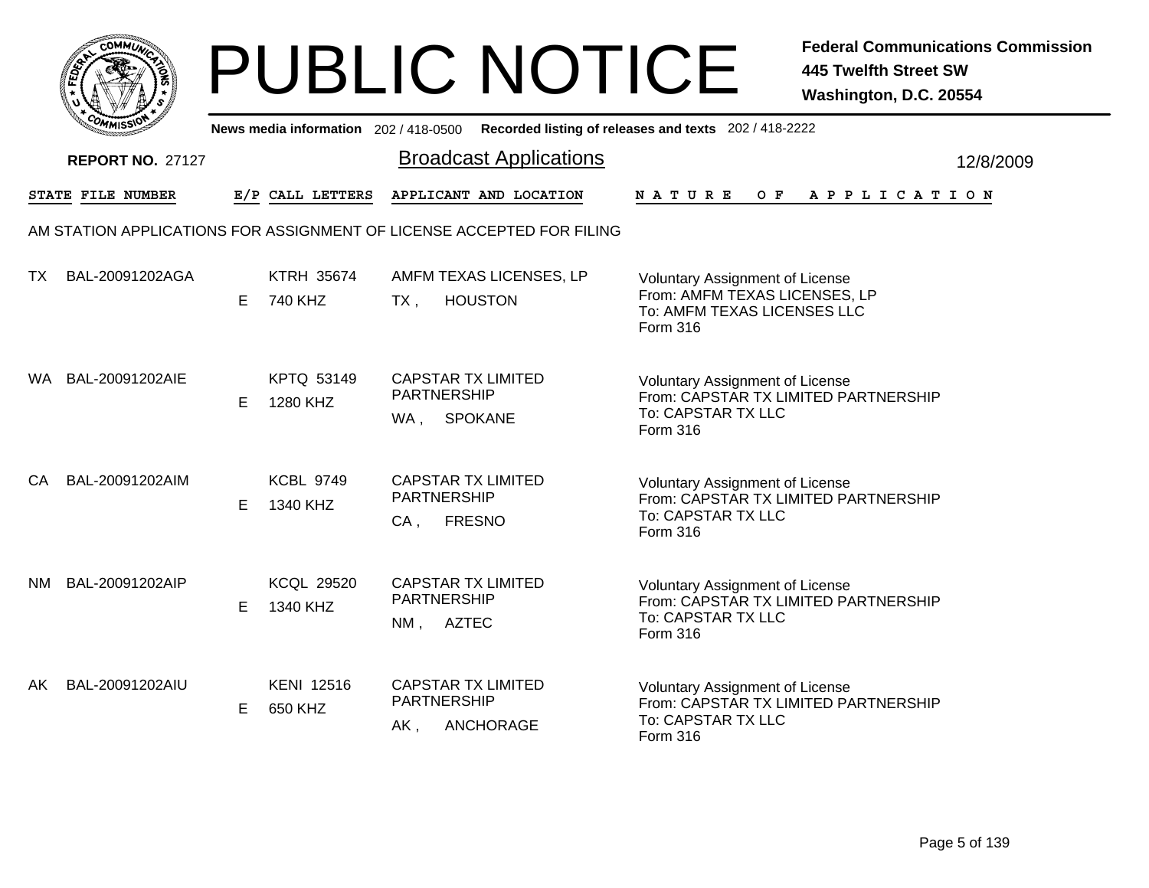|       | MMUNICT<br>c۵۱ |  |
|-------|----------------|--|
| FEDET |                |  |
|       |                |  |
|       | COMI<br>MISS   |  |

|           | יככוומי                 |    |                               | News media information 202/418-0500 Recorded listing of releases and texts 202/418-2222 |                                                                                                                  |           |
|-----------|-------------------------|----|-------------------------------|-----------------------------------------------------------------------------------------|------------------------------------------------------------------------------------------------------------------|-----------|
|           | <b>REPORT NO. 27127</b> |    |                               | <b>Broadcast Applications</b>                                                           |                                                                                                                  | 12/8/2009 |
|           | STATE FILE NUMBER       |    | E/P CALL LETTERS              | APPLICANT AND LOCATION                                                                  | OF APPLICATION<br><b>NATURE</b>                                                                                  |           |
|           |                         |    |                               | AM STATION APPLICATIONS FOR ASSIGNMENT OF LICENSE ACCEPTED FOR FILING                   |                                                                                                                  |           |
| <b>TX</b> | BAL-20091202AGA         | E. | <b>KTRH 35674</b><br>740 KHZ  | AMFM TEXAS LICENSES, LP<br><b>HOUSTON</b><br>$TX$ ,                                     | Voluntary Assignment of License<br>From: AMFM TEXAS LICENSES, LP<br>To: AMFM TEXAS LICENSES LLC<br>Form 316      |           |
|           | WA BAL-20091202AIE      | E. | KPTQ 53149<br>1280 KHZ        | <b>CAPSTAR TX LIMITED</b><br><b>PARTNERSHIP</b><br><b>SPOKANE</b><br>WA ,               | <b>Voluntary Assignment of License</b><br>From: CAPSTAR TX LIMITED PARTNERSHIP<br>To: CAPSTAR TX LLC<br>Form 316 |           |
| CA.       | BAL-20091202AIM         | E. | <b>KCBL 9749</b><br>1340 KHZ  | <b>CAPSTAR TX LIMITED</b><br><b>PARTNERSHIP</b><br>CA,<br><b>FRESNO</b>                 | <b>Voluntary Assignment of License</b><br>From: CAPSTAR TX LIMITED PARTNERSHIP<br>To: CAPSTAR TX LLC<br>Form 316 |           |
| NM .      | BAL-20091202AIP         | E  | <b>KCQL 29520</b><br>1340 KHZ | <b>CAPSTAR TX LIMITED</b><br><b>PARTNERSHIP</b><br>NM, AZTEC                            | <b>Voluntary Assignment of License</b><br>From: CAPSTAR TX LIMITED PARTNERSHIP<br>To: CAPSTAR TX LLC<br>Form 316 |           |
| AK        | BAL-20091202AIU         | E. | <b>KENI 12516</b><br>650 KHZ  | <b>CAPSTAR TX LIMITED</b><br>PARTNERSHIP<br>ANCHORAGE<br>AK,                            | <b>Voluntary Assignment of License</b><br>From: CAPSTAR TX LIMITED PARTNERSHIP<br>To: CAPSTAR TX LLC<br>Form 316 |           |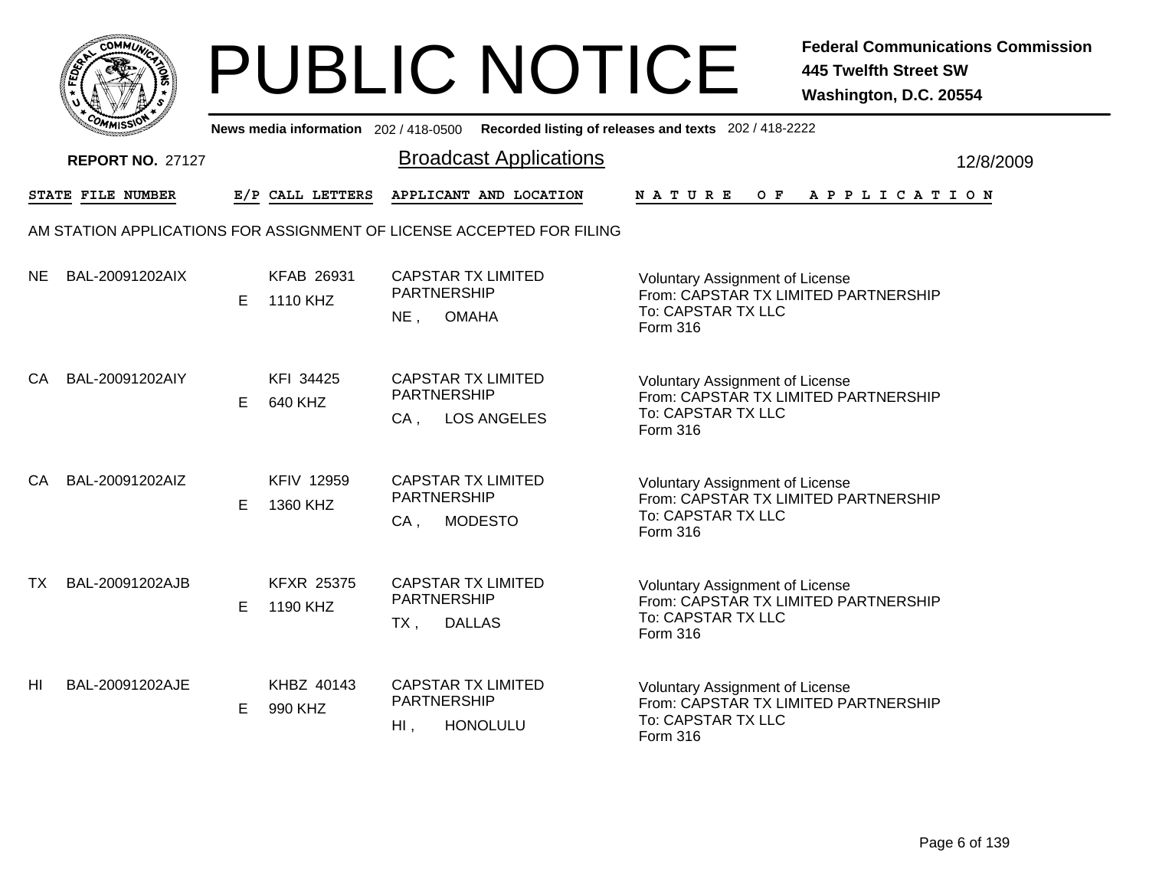|      | <b>COMMUNT</b> |    |
|------|----------------|----|
| EDE) |                | ্ব |
| ī.   |                |    |
|      | COMI<br>MISS   |    |

|           | יככוומי                 |    |                               | News media information 202/418-0500 Recorded listing of releases and texts 202/418-2222 |                                                                                                                         |           |
|-----------|-------------------------|----|-------------------------------|-----------------------------------------------------------------------------------------|-------------------------------------------------------------------------------------------------------------------------|-----------|
|           | <b>REPORT NO. 27127</b> |    |                               | <b>Broadcast Applications</b>                                                           |                                                                                                                         | 12/8/2009 |
|           | STATE FILE NUMBER       |    | E/P CALL LETTERS              | APPLICANT AND LOCATION                                                                  | O F<br><b>NATURE</b><br>A P P L I C A T I O N                                                                           |           |
|           |                         |    |                               | AM STATION APPLICATIONS FOR ASSIGNMENT OF LICENSE ACCEPTED FOR FILING                   |                                                                                                                         |           |
| <b>NE</b> | BAL-20091202AIX         | Е  | <b>KFAB 26931</b><br>1110 KHZ | <b>CAPSTAR TX LIMITED</b><br><b>PARTNERSHIP</b><br>$NE$ ,<br><b>OMAHA</b>               | <b>Voluntary Assignment of License</b><br>From: CAPSTAR TX LIMITED PARTNERSHIP<br>To: CAPSTAR TX LLC<br>Form 316        |           |
| CA        | BAL-20091202AIY         | E. | KFI 34425<br>640 KHZ          | <b>CAPSTAR TX LIMITED</b><br><b>PARTNERSHIP</b><br><b>LOS ANGELES</b><br>$CA$ ,         | <b>Voluntary Assignment of License</b><br>From: CAPSTAR TX LIMITED PARTNERSHIP<br>To: CAPSTAR TX LLC<br>Form 316        |           |
| CA        | BAL-20091202AIZ         | Е  | <b>KFIV 12959</b><br>1360 KHZ | <b>CAPSTAR TX LIMITED</b><br><b>PARTNERSHIP</b><br>$CA$ ,<br><b>MODESTO</b>             | <b>Voluntary Assignment of License</b><br>From: CAPSTAR TX LIMITED PARTNERSHIP<br>To: CAPSTAR TX LLC<br><b>Form 316</b> |           |
| <b>TX</b> | BAL-20091202AJB         | Е  | <b>KFXR 25375</b><br>1190 KHZ | <b>CAPSTAR TX LIMITED</b><br><b>PARTNERSHIP</b><br><b>DALLAS</b><br>TX,                 | <b>Voluntary Assignment of License</b><br>From: CAPSTAR TX LIMITED PARTNERSHIP<br>To: CAPSTAR TX LLC<br>Form 316        |           |
| HI        | BAL-20091202AJE         | Е  | KHBZ 40143<br>990 KHZ         | <b>CAPSTAR TX LIMITED</b><br>PARTNERSHIP<br><b>HONOLULU</b><br>HI,                      | <b>Voluntary Assignment of License</b><br>From: CAPSTAR TX LIMITED PARTNERSHIP<br>To: CAPSTAR TX LLC<br>Form 316        |           |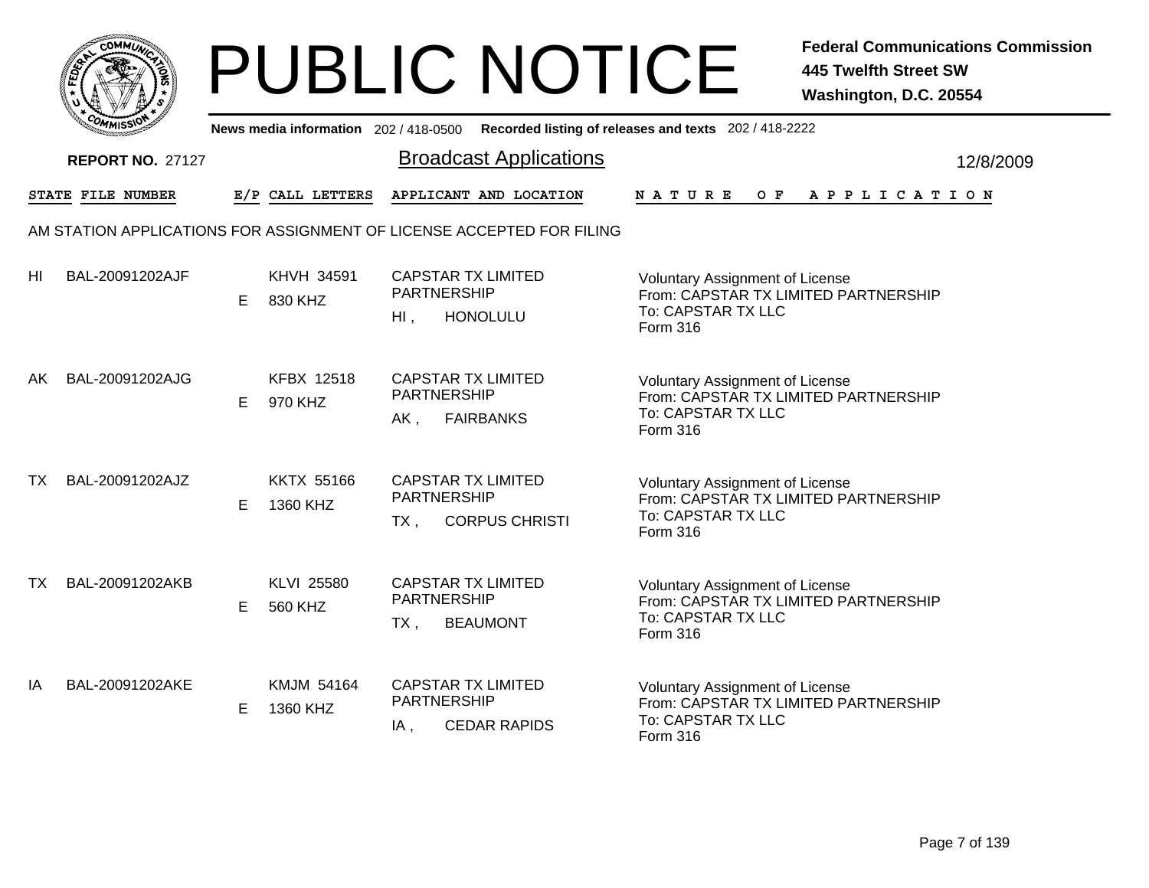|       | MMUNICT<br>c۵۱ |  |
|-------|----------------|--|
| FEDET |                |  |
|       |                |  |
|       | COMI<br>MISS   |  |

|    | יככוומדי                |    |                               | News media information 202/418-0500 Recorded listing of releases and texts 202/418-2222                                                                                                                |           |
|----|-------------------------|----|-------------------------------|--------------------------------------------------------------------------------------------------------------------------------------------------------------------------------------------------------|-----------|
|    | <b>REPORT NO. 27127</b> |    |                               | <b>Broadcast Applications</b>                                                                                                                                                                          | 12/8/2009 |
|    | STATE FILE NUMBER       |    | E/P CALL LETTERS              | APPLICANT AND LOCATION<br>O F<br><b>NATURE</b><br>A P P L I C A T I O N                                                                                                                                |           |
|    |                         |    |                               | AM STATION APPLICATIONS FOR ASSIGNMENT OF LICENSE ACCEPTED FOR FILING                                                                                                                                  |           |
| HI | BAL-20091202AJF         | E  | KHVH 34591<br>830 KHZ         | <b>CAPSTAR TX LIMITED</b><br>Voluntary Assignment of License<br><b>PARTNERSHIP</b><br>From: CAPSTAR TX LIMITED PARTNERSHIP<br>To: CAPSTAR TX LLC<br><b>HONOLULU</b><br>$H1$ ,<br>Form 316              |           |
| AK | BAL-20091202AJG         | E. | <b>KFBX 12518</b><br>970 KHZ  | <b>CAPSTAR TX LIMITED</b><br><b>Voluntary Assignment of License</b><br><b>PARTNERSHIP</b><br>From: CAPSTAR TX LIMITED PARTNERSHIP<br>To: CAPSTAR TX LLC<br>$AK$ ,<br><b>FAIRBANKS</b><br>Form 316      |           |
| ТX | BAL-20091202AJZ         | Е  | <b>KKTX 55166</b><br>1360 KHZ | <b>CAPSTAR TX LIMITED</b><br><b>Voluntary Assignment of License</b><br><b>PARTNERSHIP</b><br>From: CAPSTAR TX LIMITED PARTNERSHIP<br>To: CAPSTAR TX LLC<br><b>CORPUS CHRISTI</b><br>$TX$ ,<br>Form 316 |           |
| ТX | BAL-20091202AKB         | E  | KLVI 25580<br>560 KHZ         | <b>CAPSTAR TX LIMITED</b><br><b>Voluntary Assignment of License</b><br><b>PARTNERSHIP</b><br>From: CAPSTAR TX LIMITED PARTNERSHIP<br>To: CAPSTAR TX LLC<br><b>BEAUMONT</b><br>$TX$ ,<br>Form 316       |           |
| ΙA | BAL-20091202AKE         | E  | KMJM 54164<br>1360 KHZ        | <b>CAPSTAR TX LIMITED</b><br><b>Voluntary Assignment of License</b><br>PARTNERSHIP<br>From: CAPSTAR TX LIMITED PARTNERSHIP<br>To: CAPSTAR TX LLC<br><b>CEDAR RAPIDS</b><br>IA,<br>Form 316             |           |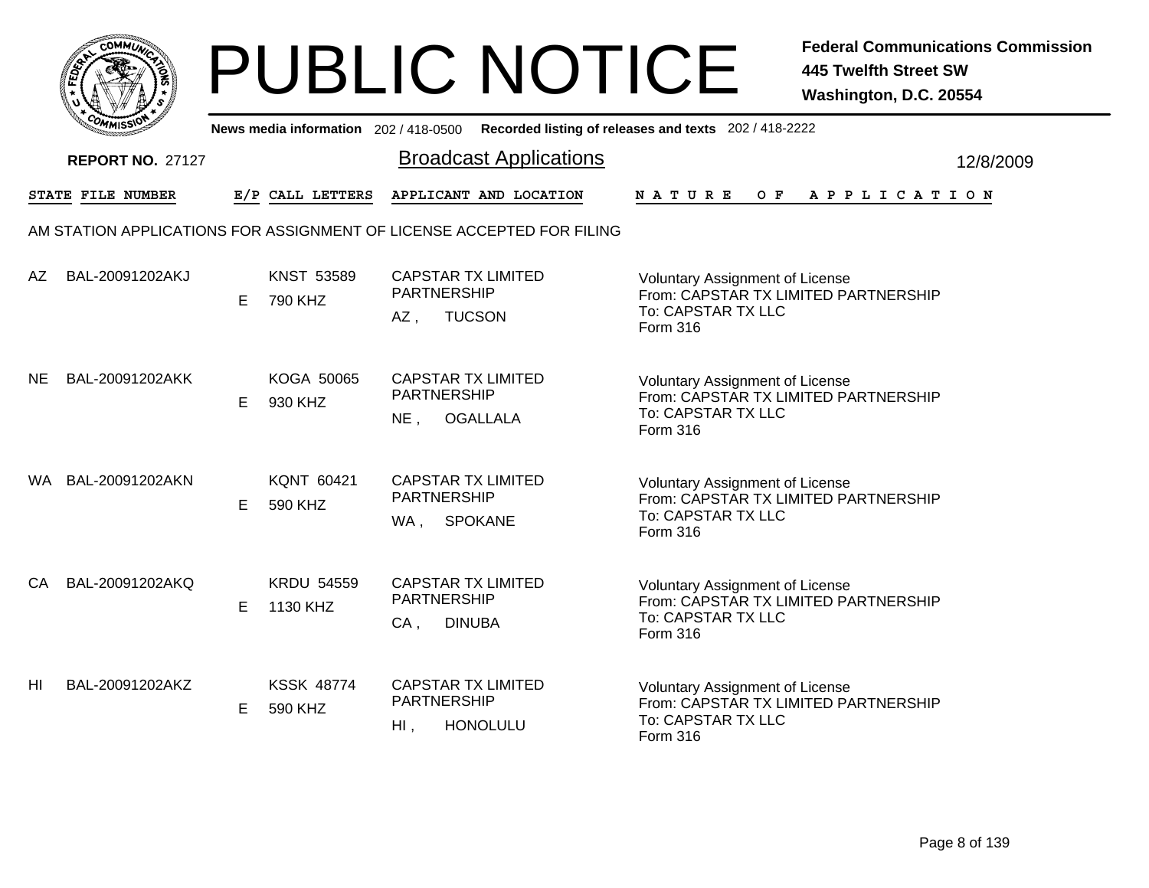|       | MMUNICT<br>c۵۱ |  |
|-------|----------------|--|
| FEDET |                |  |
|       |                |  |
|       | COMI<br>MISS   |  |

|           | יככוומדי                |    |                               | News media information 202/418-0500 Recorded listing of releases and texts 202/418-2222  |                                                                                                      |           |
|-----------|-------------------------|----|-------------------------------|------------------------------------------------------------------------------------------|------------------------------------------------------------------------------------------------------|-----------|
|           | <b>REPORT NO. 27127</b> |    |                               | <b>Broadcast Applications</b>                                                            |                                                                                                      | 12/8/2009 |
|           | STATE FILE NUMBER       |    | E/P CALL LETTERS              | APPLICANT AND LOCATION                                                                   | O F<br><b>NATURE</b><br>A P P L I C A T I O N                                                        |           |
|           |                         |    |                               | AM STATION APPLICATIONS FOR ASSIGNMENT OF LICENSE ACCEPTED FOR FILING                    |                                                                                                      |           |
| AZ        | BAL-20091202AKJ         | E  | <b>KNST 53589</b><br>790 KHZ  | <b>CAPSTAR TX LIMITED</b><br><b>PARTNERSHIP</b><br><b>TUCSON</b><br>AZ,<br>Form 316      | Voluntary Assignment of License<br>From: CAPSTAR TX LIMITED PARTNERSHIP<br>To: CAPSTAR TX LLC        |           |
| <b>NE</b> | BAL-20091202AKK         | E  | KOGA 50065<br>930 KHZ         | <b>CAPSTAR TX LIMITED</b><br><b>PARTNERSHIP</b><br>$NE$ ,<br><b>OGALLALA</b><br>Form 316 | <b>Voluntary Assignment of License</b><br>From: CAPSTAR TX LIMITED PARTNERSHIP<br>To: CAPSTAR TX LLC |           |
|           | WA BAL-20091202AKN      | Е  | KQNT 60421<br>590 KHZ         | <b>CAPSTAR TX LIMITED</b><br><b>PARTNERSHIP</b><br><b>SPOKANE</b><br>WA,<br>Form 316     | <b>Voluntary Assignment of License</b><br>From: CAPSTAR TX LIMITED PARTNERSHIP<br>To: CAPSTAR TX LLC |           |
| CA        | BAL-20091202AKQ         | E  | <b>KRDU 54559</b><br>1130 KHZ | <b>CAPSTAR TX LIMITED</b><br><b>PARTNERSHIP</b><br>$CA$ ,<br><b>DINUBA</b><br>Form 316   | <b>Voluntary Assignment of License</b><br>From: CAPSTAR TX LIMITED PARTNERSHIP<br>To: CAPSTAR TX LLC |           |
| HI        | BAL-20091202AKZ         | E. | <b>KSSK 48774</b><br>590 KHZ  | <b>CAPSTAR TX LIMITED</b><br>PARTNERSHIP<br><b>HONOLULU</b><br>$H1$ ,<br>Form 316        | <b>Voluntary Assignment of License</b><br>From: CAPSTAR TX LIMITED PARTNERSHIP<br>To: CAPSTAR TX LLC |           |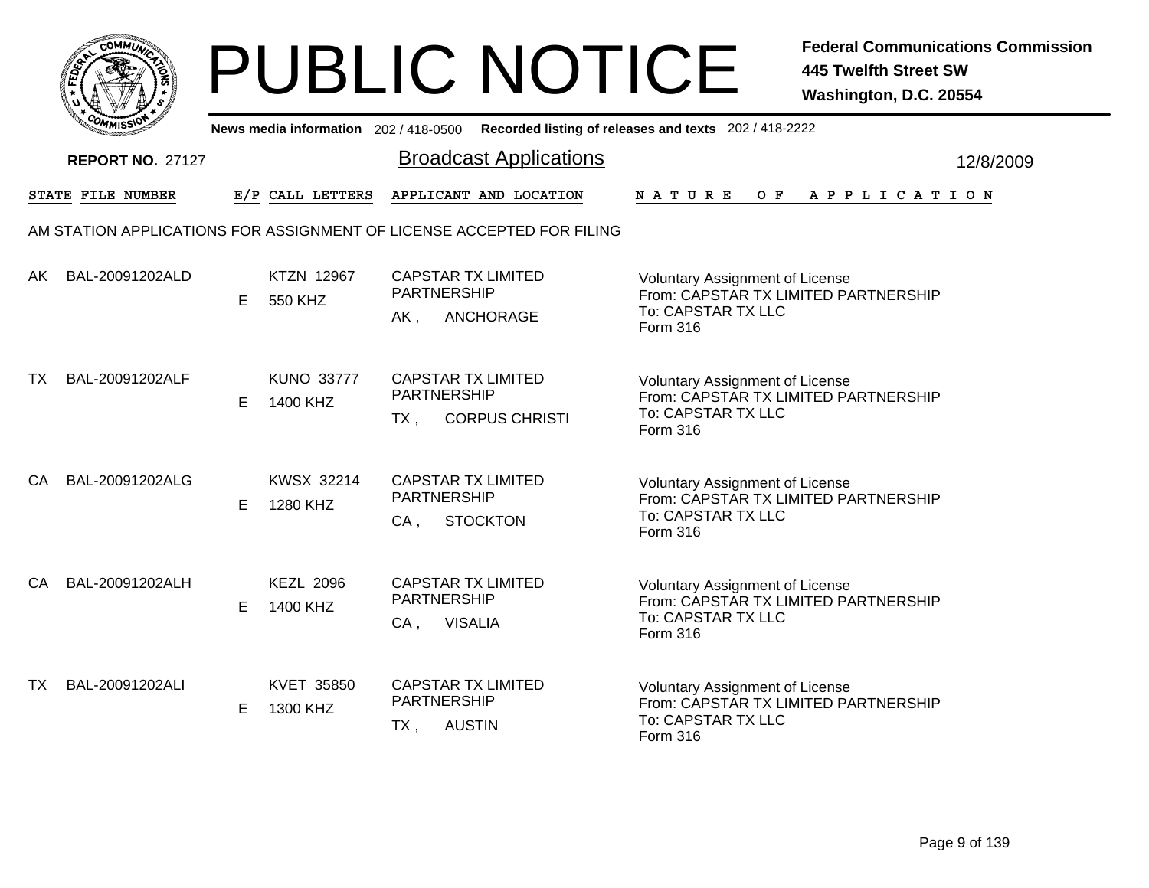

|    | יככוומדי                |   |                               | News media information 202/418-0500 Recorded listing of releases and texts 202/418-2222 |                                                                                                                  |           |
|----|-------------------------|---|-------------------------------|-----------------------------------------------------------------------------------------|------------------------------------------------------------------------------------------------------------------|-----------|
|    | <b>REPORT NO. 27127</b> |   |                               | <b>Broadcast Applications</b>                                                           |                                                                                                                  | 12/8/2009 |
|    | STATE FILE NUMBER       |   | E/P CALL LETTERS              | APPLICANT AND LOCATION                                                                  | O F<br><b>NATURE</b><br>A P P L I C A T I O N                                                                    |           |
|    |                         |   |                               | AM STATION APPLICATIONS FOR ASSIGNMENT OF LICENSE ACCEPTED FOR FILING                   |                                                                                                                  |           |
| AK | BAL-20091202ALD         | E | <b>KTZN 12967</b><br>550 KHZ  | <b>CAPSTAR TX LIMITED</b><br><b>PARTNERSHIP</b><br>ANCHORAGE<br>AK,                     | <b>Voluntary Assignment of License</b><br>From: CAPSTAR TX LIMITED PARTNERSHIP<br>To: CAPSTAR TX LLC<br>Form 316 |           |
| TX | BAL-20091202ALF         | E | <b>KUNO 33777</b><br>1400 KHZ | <b>CAPSTAR TX LIMITED</b><br><b>PARTNERSHIP</b><br><b>CORPUS CHRISTI</b><br>TX.         | <b>Voluntary Assignment of License</b><br>From: CAPSTAR TX LIMITED PARTNERSHIP<br>To: CAPSTAR TX LLC<br>Form 316 |           |
| CA | BAL-20091202ALG         | Е | KWSX 32214<br>1280 KHZ        | <b>CAPSTAR TX LIMITED</b><br><b>PARTNERSHIP</b><br><b>STOCKTON</b><br>$CA$ ,            | <b>Voluntary Assignment of License</b><br>From: CAPSTAR TX LIMITED PARTNERSHIP<br>To: CAPSTAR TX LLC<br>Form 316 |           |
| CA | BAL-20091202ALH         | E | <b>KEZL 2096</b><br>1400 KHZ  | <b>CAPSTAR TX LIMITED</b><br><b>PARTNERSHIP</b><br><b>VISALIA</b><br>$CA$ ,             | <b>Voluntary Assignment of License</b><br>From: CAPSTAR TX LIMITED PARTNERSHIP<br>To: CAPSTAR TX LLC<br>Form 316 |           |
| TX | BAL-20091202ALI         | E | KVET 35850<br>1300 KHZ        | <b>CAPSTAR TX LIMITED</b><br>PARTNERSHIP<br><b>AUSTIN</b><br>$TX$ ,                     | Voluntary Assignment of License<br>From: CAPSTAR TX LIMITED PARTNERSHIP<br>To: CAPSTAR TX LLC<br>Form 316        |           |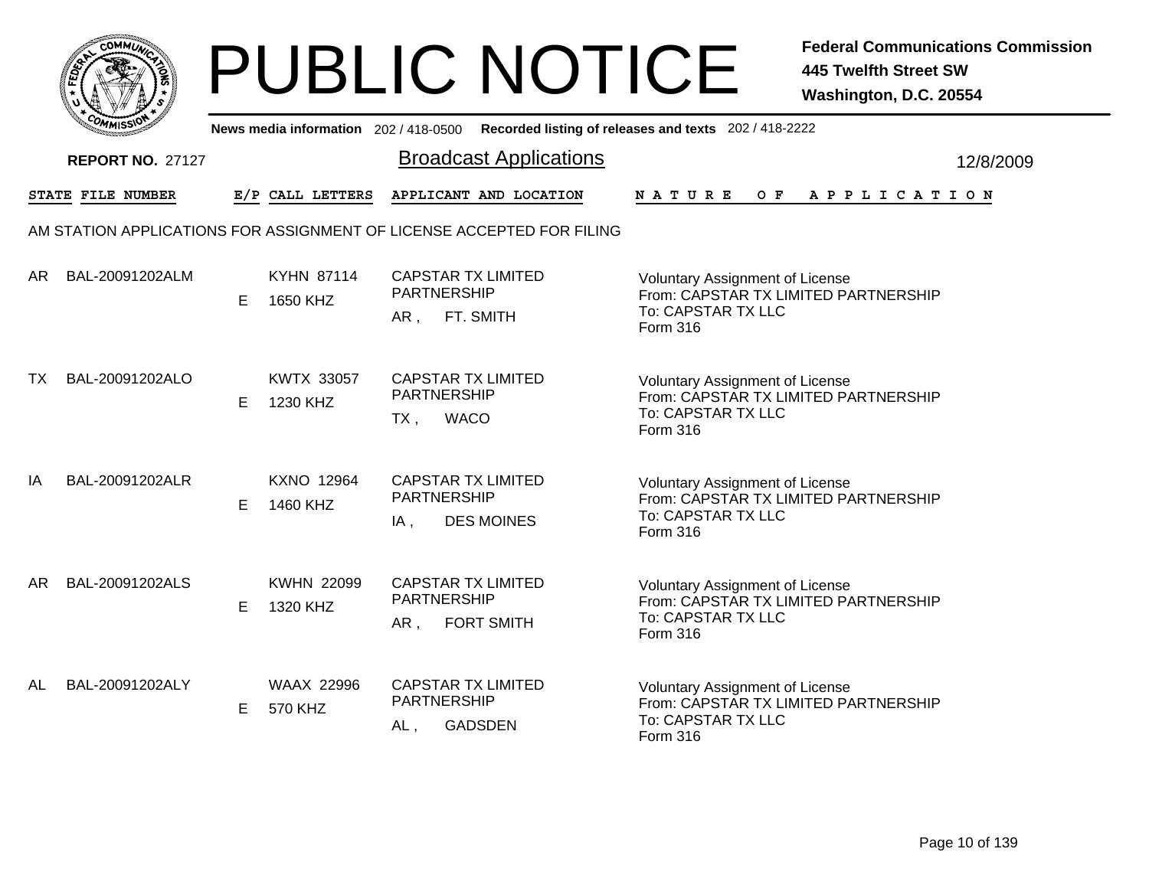|           | MMUNICT<br>ດ<br>Ċ,  |  |
|-----------|---------------------|--|
| ট্রু<br>c |                     |  |
|           |                     |  |
|           | COMI<br>MISS<br>--- |  |

|    | יככוומדי                |    |                               | News media information 202/418-0500 Recorded listing of releases and texts 202/418-2222 |                                                                                                                  |           |
|----|-------------------------|----|-------------------------------|-----------------------------------------------------------------------------------------|------------------------------------------------------------------------------------------------------------------|-----------|
|    | <b>REPORT NO. 27127</b> |    |                               | <b>Broadcast Applications</b>                                                           |                                                                                                                  | 12/8/2009 |
|    | STATE FILE NUMBER       |    | E/P CALL LETTERS              | APPLICANT AND LOCATION                                                                  | $O$ $F$<br><b>NATURE</b><br>A P P L I C A T I O N                                                                |           |
|    |                         |    |                               | AM STATION APPLICATIONS FOR ASSIGNMENT OF LICENSE ACCEPTED FOR FILING                   |                                                                                                                  |           |
| AR | BAL-20091202ALM         | E  | <b>KYHN 87114</b><br>1650 KHZ | <b>CAPSTAR TX LIMITED</b><br><b>PARTNERSHIP</b><br>FT. SMITH<br>AR,                     | Voluntary Assignment of License<br>From: CAPSTAR TX LIMITED PARTNERSHIP<br>To: CAPSTAR TX LLC<br>Form 316        |           |
| ТX | BAL-20091202ALO         | E. | <b>KWTX 33057</b><br>1230 KHZ | <b>CAPSTAR TX LIMITED</b><br><b>PARTNERSHIP</b><br><b>WACO</b><br>$TX$ ,                | <b>Voluntary Assignment of License</b><br>From: CAPSTAR TX LIMITED PARTNERSHIP<br>To: CAPSTAR TX LLC<br>Form 316 |           |
| ΙA | BAL-20091202ALR         | Е  | <b>KXNO 12964</b><br>1460 KHZ | <b>CAPSTAR TX LIMITED</b><br><b>PARTNERSHIP</b><br><b>DES MOINES</b><br>$IA$ ,          | <b>Voluntary Assignment of License</b><br>From: CAPSTAR TX LIMITED PARTNERSHIP<br>To: CAPSTAR TX LLC<br>Form 316 |           |
| AR | BAL-20091202ALS         | E  | <b>KWHN 22099</b><br>1320 KHZ | <b>CAPSTAR TX LIMITED</b><br><b>PARTNERSHIP</b><br><b>FORT SMITH</b><br>AR,             | <b>Voluntary Assignment of License</b><br>From: CAPSTAR TX LIMITED PARTNERSHIP<br>To: CAPSTAR TX LLC<br>Form 316 |           |
| AL | BAL-20091202ALY         | E. | <b>WAAX 22996</b><br>570 KHZ  | <b>CAPSTAR TX LIMITED</b><br>PARTNERSHIP<br><b>GADSDEN</b><br>AL,                       | <b>Voluntary Assignment of License</b><br>From: CAPSTAR TX LIMITED PARTNERSHIP<br>To: CAPSTAR TX LLC<br>Form 316 |           |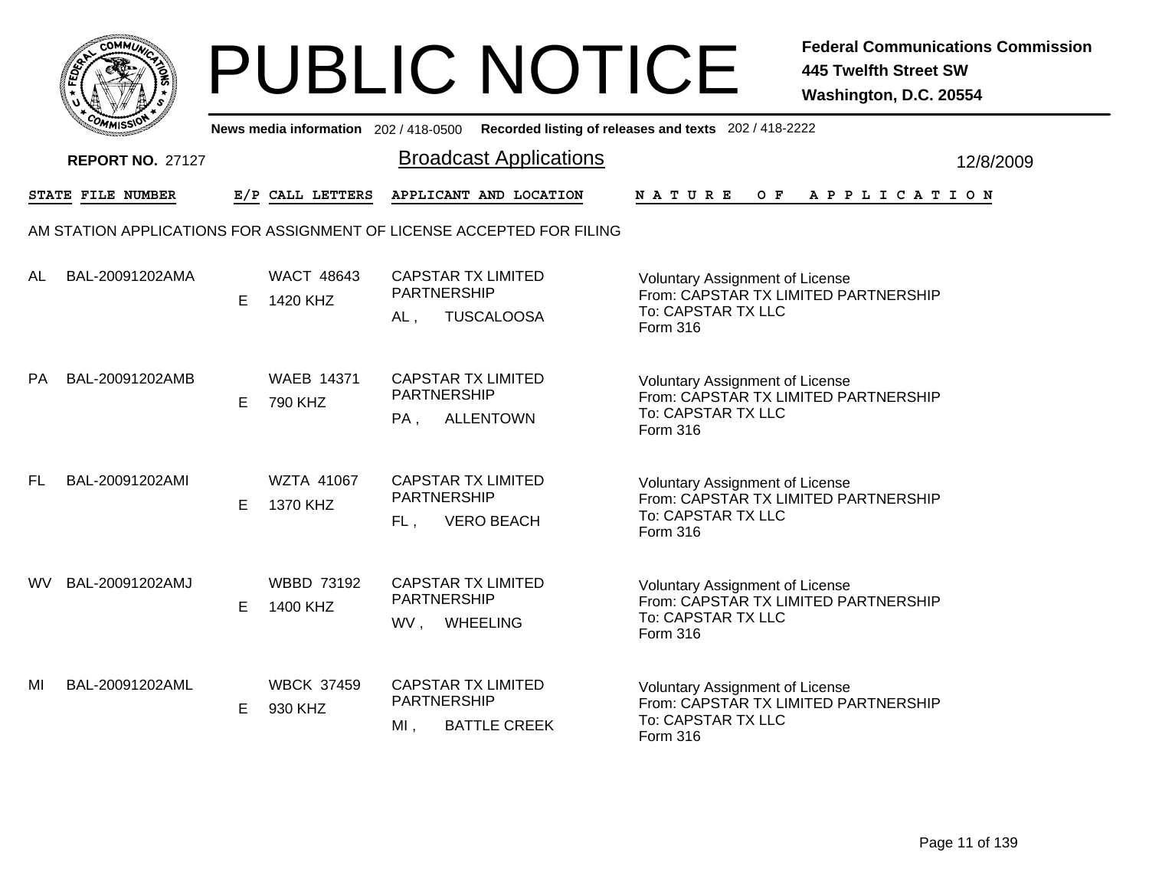

|     | <b>COMMISSION</b>       |   |                               |                                                                               | News media information 202 / 418-0500 Recorded listing of releases and texts 202 / 418-2222                      |           |
|-----|-------------------------|---|-------------------------------|-------------------------------------------------------------------------------|------------------------------------------------------------------------------------------------------------------|-----------|
|     | <b>REPORT NO. 27127</b> |   |                               | <b>Broadcast Applications</b>                                                 |                                                                                                                  | 12/8/2009 |
|     | STATE FILE NUMBER       |   | E/P CALL LETTERS              | APPLICANT AND LOCATION                                                        | N A T U R E<br>OF APPLICATION                                                                                    |           |
|     |                         |   |                               | AM STATION APPLICATIONS FOR ASSIGNMENT OF LICENSE ACCEPTED FOR FILING         |                                                                                                                  |           |
| AL  | BAL-20091202AMA         | Е | <b>WACT 48643</b><br>1420 KHZ | <b>CAPSTAR TX LIMITED</b><br><b>PARTNERSHIP</b><br><b>TUSCALOOSA</b><br>AL,   | <b>Voluntary Assignment of License</b><br>From: CAPSTAR TX LIMITED PARTNERSHIP<br>To: CAPSTAR TX LLC<br>Form 316 |           |
| PA  | BAL-20091202AMB         | E | <b>WAEB 14371</b><br>790 KHZ  | <b>CAPSTAR TX LIMITED</b><br>PARTNERSHIP<br><b>ALLENTOWN</b><br>PA,           | Voluntary Assignment of License<br>From: CAPSTAR TX LIMITED PARTNERSHIP<br>To: CAPSTAR TX LLC<br><b>Form 316</b> |           |
| FL  | BAL-20091202AMI         | Е | <b>WZTA 41067</b><br>1370 KHZ | <b>CAPSTAR TX LIMITED</b><br><b>PARTNERSHIP</b><br><b>VERO BEACH</b><br>FL,   | <b>Voluntary Assignment of License</b><br>From: CAPSTAR TX LIMITED PARTNERSHIP<br>To: CAPSTAR TX LLC<br>Form 316 |           |
| WV. | BAL-20091202AMJ         | E | <b>WBBD 73192</b><br>1400 KHZ | <b>CAPSTAR TX LIMITED</b><br>PARTNERSHIP<br>WV,<br><b>WHEELING</b>            | <b>Voluntary Assignment of License</b><br>From: CAPSTAR TX LIMITED PARTNERSHIP<br>To: CAPSTAR TX LLC<br>Form 316 |           |
| MI  | BAL-20091202AML         | Е | <b>WBCK 37459</b><br>930 KHZ  | <b>CAPSTAR TX LIMITED</b><br><b>PARTNERSHIP</b><br><b>BATTLE CREEK</b><br>MI, | Voluntary Assignment of License<br>From: CAPSTAR TX LIMITED PARTNERSHIP<br>To: CAPSTAR TX LLC<br><b>Form 316</b> |           |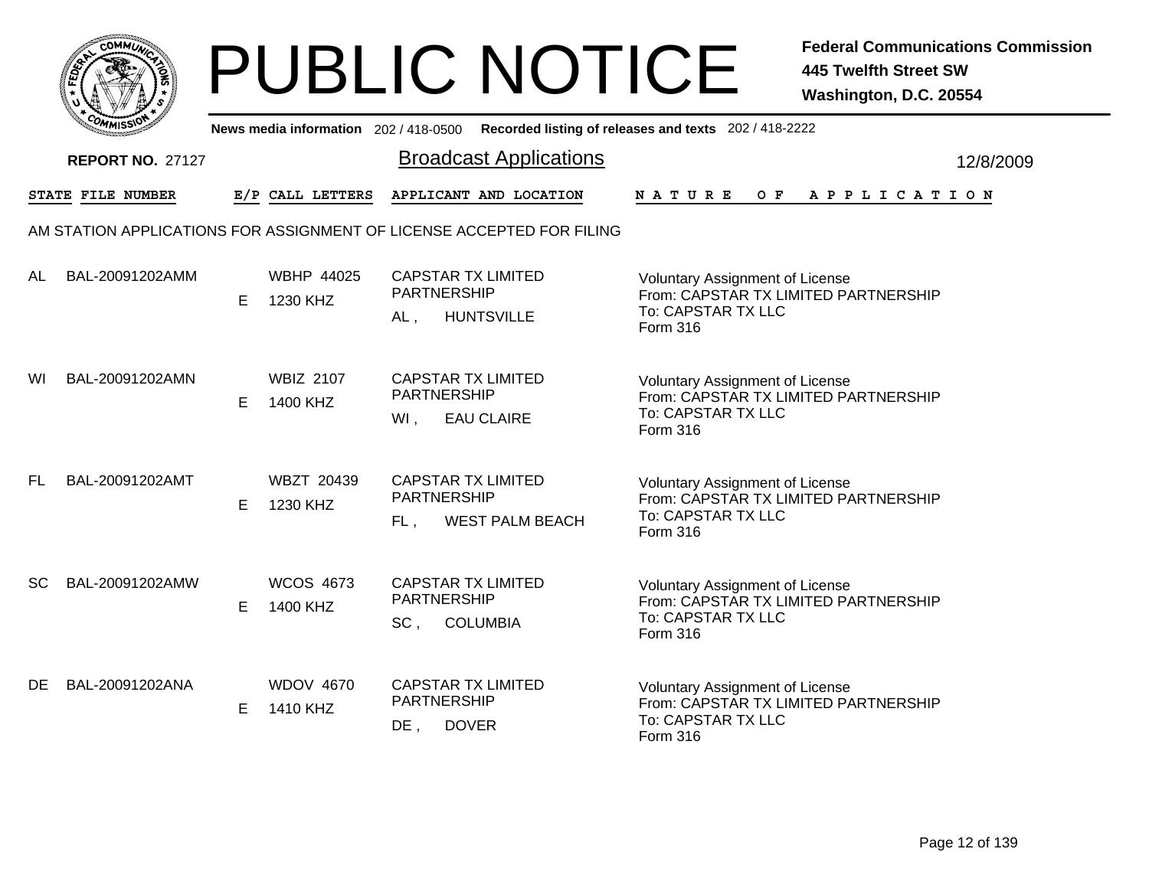|           | MMUNICT<br>ດ<br>Ċ,  |  |
|-----------|---------------------|--|
| ট্রু<br>c |                     |  |
|           |                     |  |
|           | COMI<br>MISS<br>--- |  |

|           | יככוומדי                |   |                               | News media information 202/418-0500 Recorded listing of releases and texts 202/418-2222 |                                                                                                                  |           |
|-----------|-------------------------|---|-------------------------------|-----------------------------------------------------------------------------------------|------------------------------------------------------------------------------------------------------------------|-----------|
|           | <b>REPORT NO. 27127</b> |   |                               | <b>Broadcast Applications</b>                                                           |                                                                                                                  | 12/8/2009 |
|           | STATE FILE NUMBER       |   | E/P CALL LETTERS              | APPLICANT AND LOCATION                                                                  | $O$ $\mathbf{F}$<br><b>NATURE</b><br>A P P L I C A T I O N                                                       |           |
|           |                         |   |                               | AM STATION APPLICATIONS FOR ASSIGNMENT OF LICENSE ACCEPTED FOR FILING                   |                                                                                                                  |           |
| AL        | BAL-20091202AMM         | E | <b>WBHP 44025</b><br>1230 KHZ | <b>CAPSTAR TX LIMITED</b><br><b>PARTNERSHIP</b><br><b>HUNTSVILLE</b><br>AL,             | <b>Voluntary Assignment of License</b><br>From: CAPSTAR TX LIMITED PARTNERSHIP<br>To: CAPSTAR TX LLC<br>Form 316 |           |
| WI        | BAL-20091202AMN         | E | <b>WBIZ 2107</b><br>1400 KHZ  | <b>CAPSTAR TX LIMITED</b><br><b>PARTNERSHIP</b><br>WI,<br><b>EAU CLAIRE</b>             | Voluntary Assignment of License<br>From: CAPSTAR TX LIMITED PARTNERSHIP<br>To: CAPSTAR TX LLC<br>Form 316        |           |
| FL.       | BAL-20091202AMT         | Е | <b>WBZT 20439</b><br>1230 KHZ | <b>CAPSTAR TX LIMITED</b><br><b>PARTNERSHIP</b><br><b>WEST PALM BEACH</b><br>$FL$ .     | <b>Voluntary Assignment of License</b><br>From: CAPSTAR TX LIMITED PARTNERSHIP<br>To: CAPSTAR TX LLC<br>Form 316 |           |
| <b>SC</b> | BAL-20091202AMW         | E | <b>WCOS 4673</b><br>1400 KHZ  | <b>CAPSTAR TX LIMITED</b><br><b>PARTNERSHIP</b><br>SC,<br><b>COLUMBIA</b>               | <b>Voluntary Assignment of License</b><br>From: CAPSTAR TX LIMITED PARTNERSHIP<br>To: CAPSTAR TX LLC<br>Form 316 |           |
| DE        | BAL-20091202ANA         | E | <b>WDOV 4670</b><br>1410 KHZ  | <b>CAPSTAR TX LIMITED</b><br>PARTNERSHIP<br>$DE$ ,<br><b>DOVER</b>                      | <b>Voluntary Assignment of License</b><br>From: CAPSTAR TX LIMITED PARTNERSHIP<br>To: CAPSTAR TX LLC<br>Form 316 |           |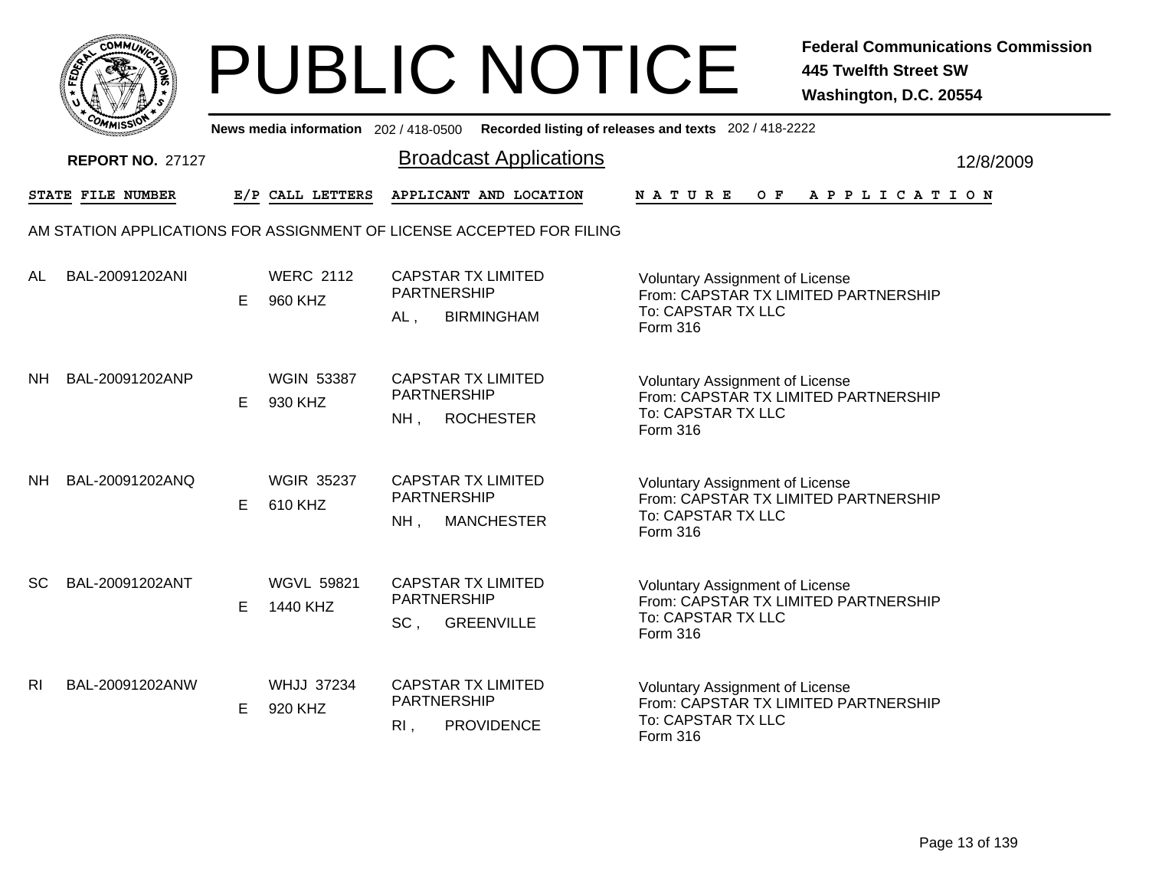

|                | <b>COMMISSION</b>       |   |                               |                                                                                | News media information 202 / 418-0500 Recorded listing of releases and texts 202 / 418-2222                             |           |
|----------------|-------------------------|---|-------------------------------|--------------------------------------------------------------------------------|-------------------------------------------------------------------------------------------------------------------------|-----------|
|                | <b>REPORT NO. 27127</b> |   |                               | <b>Broadcast Applications</b>                                                  |                                                                                                                         | 12/8/2009 |
|                | STATE FILE NUMBER       |   | E/P CALL LETTERS              | APPLICANT AND LOCATION                                                         | N A T U R E<br>O F<br>A P P L I C A T I O N                                                                             |           |
|                |                         |   |                               | AM STATION APPLICATIONS FOR ASSIGNMENT OF LICENSE ACCEPTED FOR FILING          |                                                                                                                         |           |
| AL             | BAL-20091202ANI         | Е | <b>WERC 2112</b><br>960 KHZ   | <b>CAPSTAR TX LIMITED</b><br><b>PARTNERSHIP</b><br><b>BIRMINGHAM</b><br>$AL$ , | <b>Voluntary Assignment of License</b><br>From: CAPSTAR TX LIMITED PARTNERSHIP<br>To: CAPSTAR TX LLC<br>Form 316        |           |
| NH             | BAL-20091202ANP         | E | <b>WGIN 53387</b><br>930 KHZ  | <b>CAPSTAR TX LIMITED</b><br>PARTNERSHIP<br><b>ROCHESTER</b><br>$NH$ ,         | <b>Voluntary Assignment of License</b><br>From: CAPSTAR TX LIMITED PARTNERSHIP<br>To: CAPSTAR TX LLC<br><b>Form 316</b> |           |
| NH.            | BAL-20091202ANQ         | Е | <b>WGIR 35237</b><br>610 KHZ  | <b>CAPSTAR TX LIMITED</b><br><b>PARTNERSHIP</b><br>$NH$ ,<br><b>MANCHESTER</b> | <b>Voluntary Assignment of License</b><br>From: CAPSTAR TX LIMITED PARTNERSHIP<br>To: CAPSTAR TX LLC<br>Form 316        |           |
| <b>SC</b>      | BAL-20091202ANT         | E | <b>WGVL 59821</b><br>1440 KHZ | <b>CAPSTAR TX LIMITED</b><br>PARTNERSHIP<br>SC,<br><b>GREENVILLE</b>           | Voluntary Assignment of License<br>From: CAPSTAR TX LIMITED PARTNERSHIP<br>To: CAPSTAR TX LLC<br>Form 316               |           |
| R <sub>l</sub> | BAL-20091202ANW         | Е | <b>WHJJ 37234</b><br>920 KHZ  | <b>CAPSTAR TX LIMITED</b><br>PARTNERSHIP<br><b>PROVIDENCE</b><br>$R1$ ,        | Voluntary Assignment of License<br>From: CAPSTAR TX LIMITED PARTNERSHIP<br>To: CAPSTAR TX LLC<br><b>Form 316</b>        |           |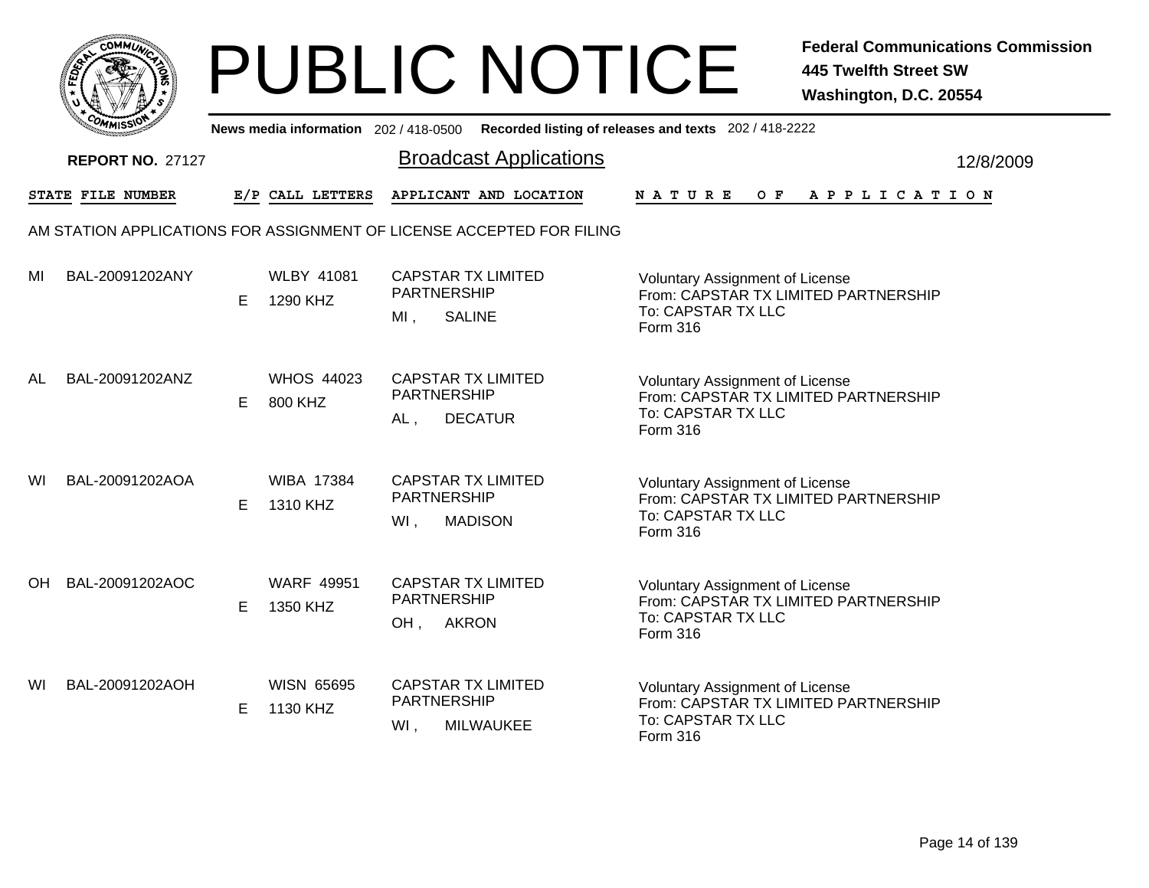|       | MMUNICT<br>c۵۱ |  |
|-------|----------------|--|
| FEDET |                |  |
|       |                |  |
|       | COMI<br>MISS   |  |

|    | יככוומדי                |    |                               | News media information 202/418-0500 Recorded listing of releases and texts 202/418-2222                                                                                                         |                       |           |
|----|-------------------------|----|-------------------------------|-------------------------------------------------------------------------------------------------------------------------------------------------------------------------------------------------|-----------------------|-----------|
|    | <b>REPORT NO. 27127</b> |    |                               | <b>Broadcast Applications</b>                                                                                                                                                                   |                       | 12/8/2009 |
|    | STATE FILE NUMBER       |    | E/P CALL LETTERS              | APPLICANT AND LOCATION<br>O F<br><b>NATURE</b>                                                                                                                                                  | A P P L I C A T I O N |           |
|    |                         |    |                               | AM STATION APPLICATIONS FOR ASSIGNMENT OF LICENSE ACCEPTED FOR FILING                                                                                                                           |                       |           |
| ΜI | BAL-20091202ANY         | E  | <b>WLBY 41081</b><br>1290 KHZ | <b>CAPSTAR TX LIMITED</b><br>Voluntary Assignment of License<br><b>PARTNERSHIP</b><br>From: CAPSTAR TX LIMITED PARTNERSHIP<br>To: CAPSTAR TX LLC<br>MI,<br><b>SALINE</b><br>Form 316            |                       |           |
| AL | BAL-20091202ANZ         | E. | <b>WHOS 44023</b><br>800 KHZ  | <b>CAPSTAR TX LIMITED</b><br><b>Voluntary Assignment of License</b><br><b>PARTNERSHIP</b><br>From: CAPSTAR TX LIMITED PARTNERSHIP<br>To: CAPSTAR TX LLC<br>$AL$ ,<br><b>DECATUR</b><br>Form 316 |                       |           |
| WI | BAL-20091202AOA         | Е  | <b>WIBA 17384</b><br>1310 KHZ | <b>CAPSTAR TX LIMITED</b><br><b>Voluntary Assignment of License</b><br><b>PARTNERSHIP</b><br>From: CAPSTAR TX LIMITED PARTNERSHIP<br>To: CAPSTAR TX LLC<br><b>MADISON</b><br>WI,<br>Form 316    |                       |           |
| OH | BAL-20091202AOC         | E  | <b>WARF 49951</b><br>1350 KHZ | <b>CAPSTAR TX LIMITED</b><br><b>Voluntary Assignment of License</b><br><b>PARTNERSHIP</b><br>From: CAPSTAR TX LIMITED PARTNERSHIP<br>To: CAPSTAR TX LLC<br><b>AKRON</b><br>OH,<br>Form 316      |                       |           |
| WI | BAL-20091202AOH         | E  | <b>WISN 65695</b><br>1130 KHZ | <b>CAPSTAR TX LIMITED</b><br><b>Voluntary Assignment of License</b><br>PARTNERSHIP<br>From: CAPSTAR TX LIMITED PARTNERSHIP<br>To: CAPSTAR TX LLC<br>WI,<br><b>MILWAUKEE</b><br>Form 316         |                       |           |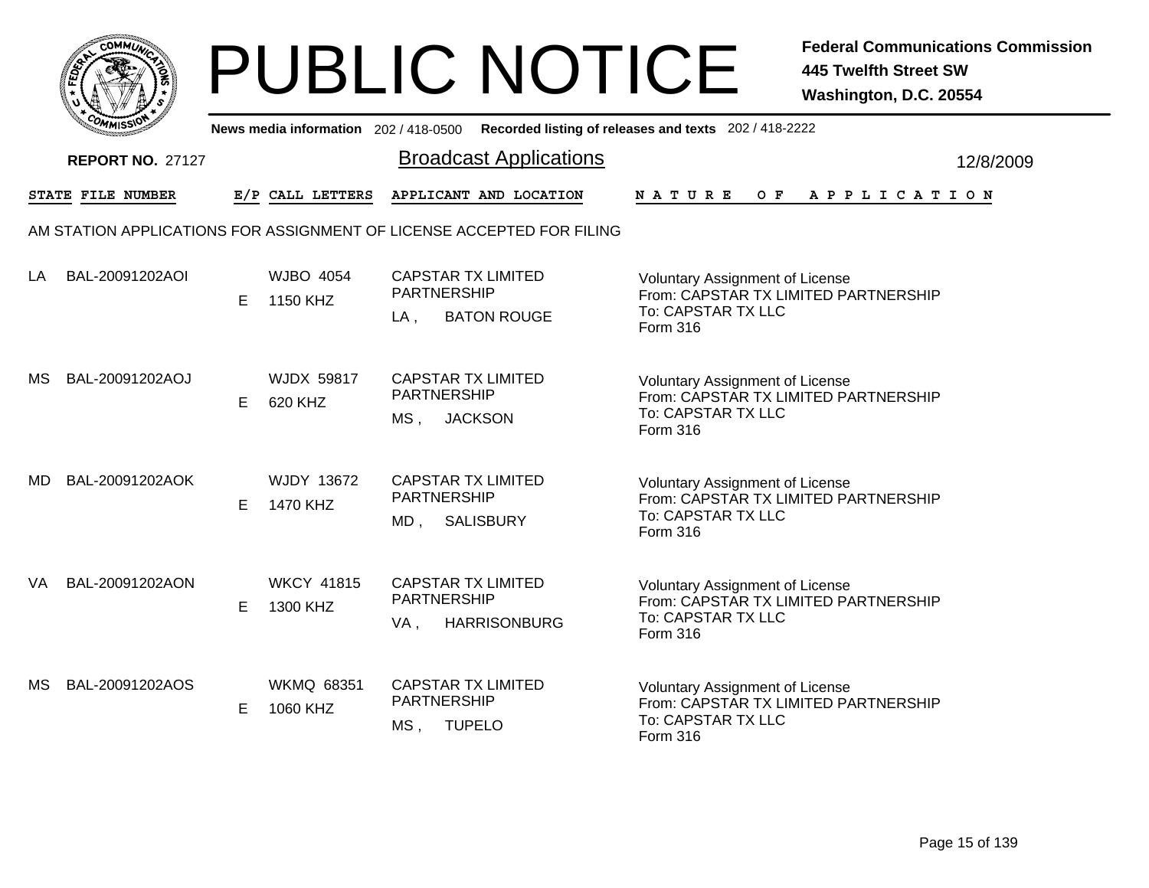|              | MMUNICT<br>CO. |  |
|--------------|----------------|--|
| <b>FEDET</b> |                |  |
|              |                |  |
|              | COMI<br>MISS   |  |

|    | יככוואויי               |    |                               | News media information 202/418-0500 Recorded listing of releases and texts 202/418-2222 |                                                                                                                         |           |
|----|-------------------------|----|-------------------------------|-----------------------------------------------------------------------------------------|-------------------------------------------------------------------------------------------------------------------------|-----------|
|    | <b>REPORT NO. 27127</b> |    |                               | <b>Broadcast Applications</b>                                                           |                                                                                                                         | 12/8/2009 |
|    | STATE FILE NUMBER       |    | E/P CALL LETTERS              | APPLICANT AND LOCATION                                                                  | NATURE<br>OF APPLICATION                                                                                                |           |
|    |                         |    |                               | AM STATION APPLICATIONS FOR ASSIGNMENT OF LICENSE ACCEPTED FOR FILING                   |                                                                                                                         |           |
| LA | BAL-20091202AOI         | E  | <b>WJBO 4054</b><br>1150 KHZ  | <b>CAPSTAR TX LIMITED</b><br><b>PARTNERSHIP</b><br><b>BATON ROUGE</b><br>LA,            | <b>Voluntary Assignment of License</b><br>From: CAPSTAR TX LIMITED PARTNERSHIP<br>To: CAPSTAR TX LLC<br><b>Form 316</b> |           |
| МS | BAL-20091202AOJ         | E. | <b>WJDX 59817</b><br>620 KHZ  | <b>CAPSTAR TX LIMITED</b><br><b>PARTNERSHIP</b><br><b>JACKSON</b><br>MS ,               | Voluntary Assignment of License<br>From: CAPSTAR TX LIMITED PARTNERSHIP<br>To: CAPSTAR TX LLC<br><b>Form 316</b>        |           |
| MD | BAL-20091202AOK         | E. | WJDY 13672<br>1470 KHZ        | <b>CAPSTAR TX LIMITED</b><br><b>PARTNERSHIP</b><br><b>SALISBURY</b><br>MD.              | Voluntary Assignment of License<br>From: CAPSTAR TX LIMITED PARTNERSHIP<br>To: CAPSTAR TX LLC<br><b>Form 316</b>        |           |
| VA | BAL-20091202AON         | E  | <b>WKCY 41815</b><br>1300 KHZ | <b>CAPSTAR TX LIMITED</b><br>PARTNERSHIP<br><b>HARRISONBURG</b><br>VA,                  | Voluntary Assignment of License<br>From: CAPSTAR TX LIMITED PARTNERSHIP<br>To: CAPSTAR TX LLC<br>Form 316               |           |
| МS | BAL-20091202AOS         | E. | <b>WKMQ 68351</b><br>1060 KHZ | <b>CAPSTAR TX LIMITED</b><br>PARTNERSHIP<br>MS, TUPELO                                  | <b>Voluntary Assignment of License</b><br>From: CAPSTAR TX LIMITED PARTNERSHIP<br>To: CAPSTAR TX LLC<br>Form 316        |           |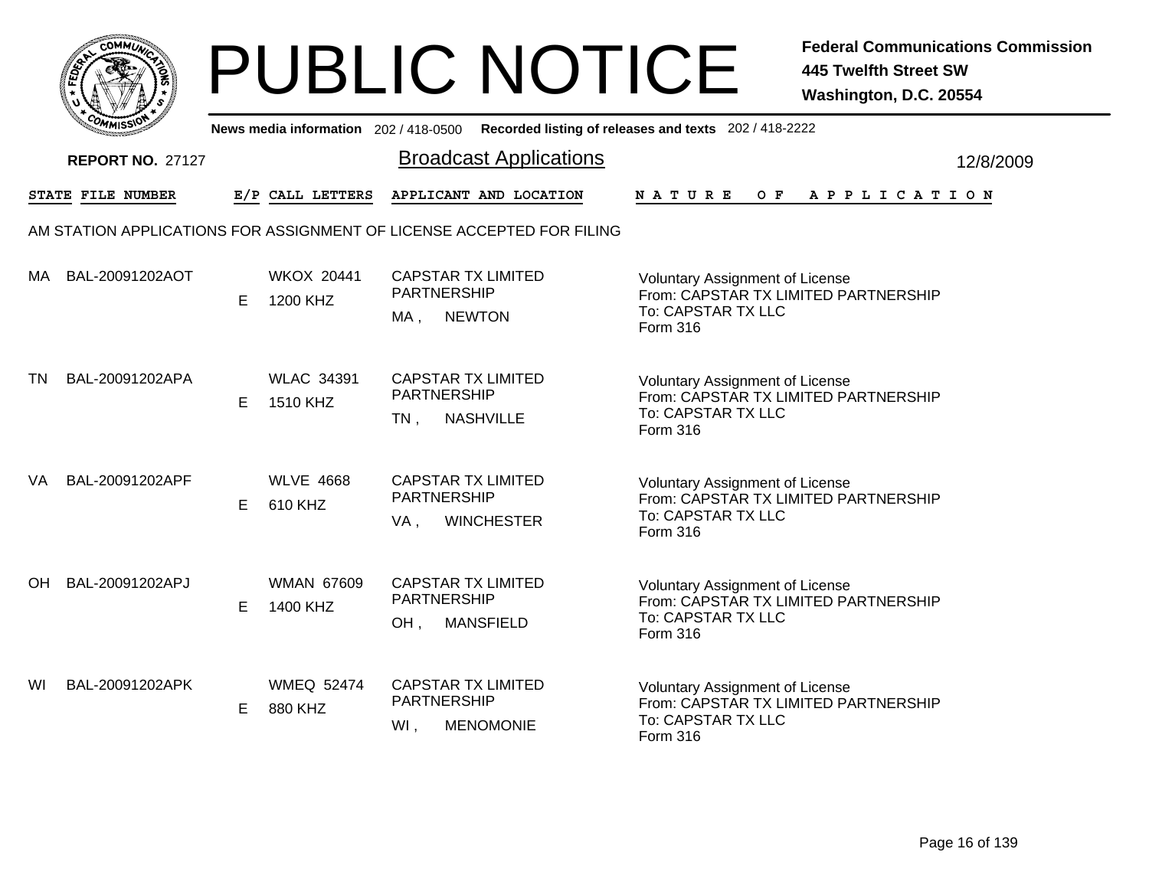|           | MMUNICT<br>ດ<br>Ċ,  |  |
|-----------|---------------------|--|
| ট্রু<br>c |                     |  |
|           |                     |  |
|           | COMI<br>MISS<br>--- |  |

|    | יככוומדי                |   |                               | News media information 202/418-0500 Recorded listing of releases and texts 202/418-2222 |                                                                                                                  |           |
|----|-------------------------|---|-------------------------------|-----------------------------------------------------------------------------------------|------------------------------------------------------------------------------------------------------------------|-----------|
|    | <b>REPORT NO. 27127</b> |   |                               | <b>Broadcast Applications</b>                                                           |                                                                                                                  | 12/8/2009 |
|    | STATE FILE NUMBER       |   | E/P CALL LETTERS              | APPLICANT AND LOCATION                                                                  | $O$ $\mathbf{F}$<br><b>NATURE</b><br>A P P L I C A T I O N                                                       |           |
|    |                         |   |                               | AM STATION APPLICATIONS FOR ASSIGNMENT OF LICENSE ACCEPTED FOR FILING                   |                                                                                                                  |           |
| МA | BAL-20091202AOT         | E | <b>WKOX 20441</b><br>1200 KHZ | <b>CAPSTAR TX LIMITED</b><br><b>PARTNERSHIP</b><br><b>NEWTON</b><br>MA,                 | <b>Voluntary Assignment of License</b><br>From: CAPSTAR TX LIMITED PARTNERSHIP<br>To: CAPSTAR TX LLC<br>Form 316 |           |
| TN | BAL-20091202APA         | E | <b>WLAC 34391</b><br>1510 KHZ | <b>CAPSTAR TX LIMITED</b><br><b>PARTNERSHIP</b><br><b>NASHVILLE</b><br>$TN$ ,           | <b>Voluntary Assignment of License</b><br>From: CAPSTAR TX LIMITED PARTNERSHIP<br>To: CAPSTAR TX LLC<br>Form 316 |           |
| VA | BAL-20091202APF         | Е | <b>WLVE 4668</b><br>610 KHZ   | <b>CAPSTAR TX LIMITED</b><br><b>PARTNERSHIP</b><br><b>WINCHESTER</b><br>VA,             | <b>Voluntary Assignment of License</b><br>From: CAPSTAR TX LIMITED PARTNERSHIP<br>To: CAPSTAR TX LLC<br>Form 316 |           |
| OH | BAL-20091202APJ         | E | <b>WMAN 67609</b><br>1400 KHZ | <b>CAPSTAR TX LIMITED</b><br><b>PARTNERSHIP</b><br>OH,<br><b>MANSFIELD</b>              | <b>Voluntary Assignment of License</b><br>From: CAPSTAR TX LIMITED PARTNERSHIP<br>To: CAPSTAR TX LLC<br>Form 316 |           |
| WI | BAL-20091202APK         | E | <b>WMEQ 52474</b><br>880 KHZ  | <b>CAPSTAR TX LIMITED</b><br><b>PARTNERSHIP</b><br>WI,<br><b>MENOMONIE</b>              | Voluntary Assignment of License<br>From: CAPSTAR TX LIMITED PARTNERSHIP<br>To: CAPSTAR TX LLC<br>Form 316        |           |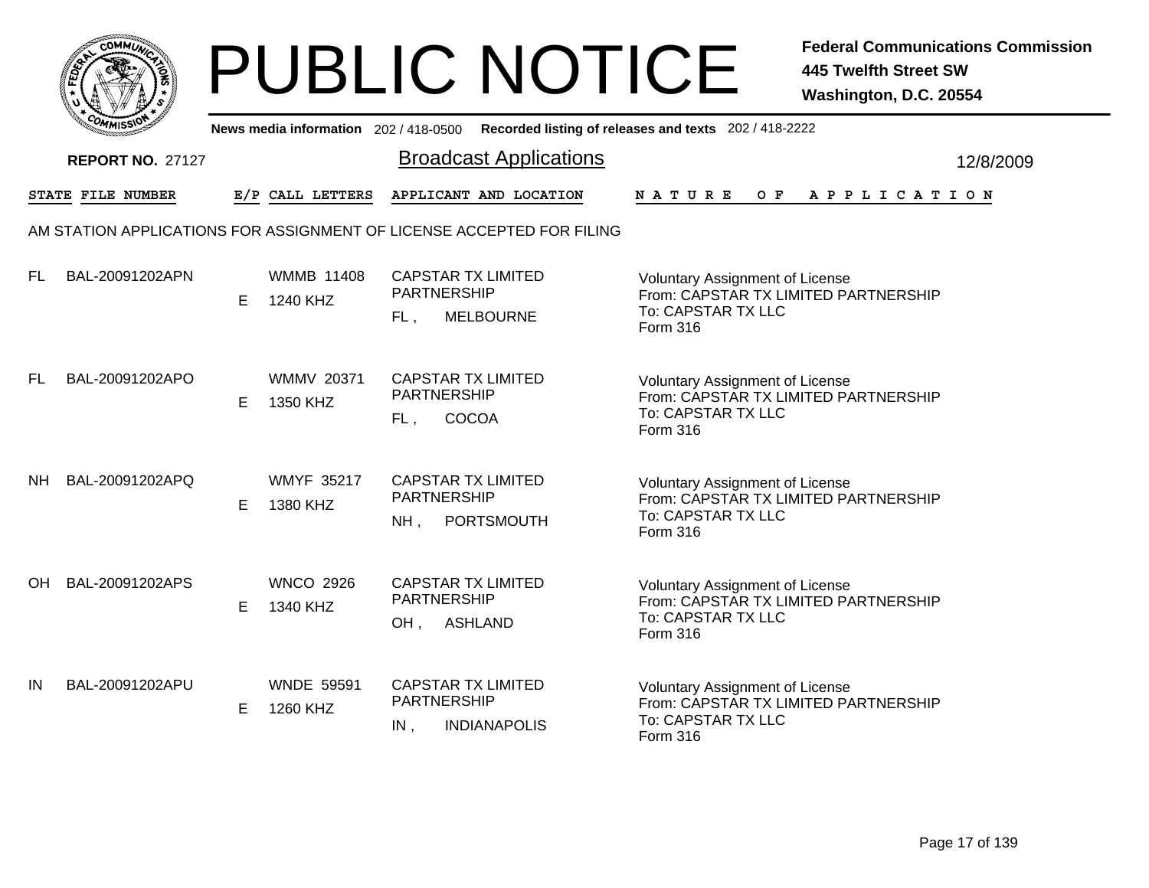|      | <b>COMMUNT</b> |    |
|------|----------------|----|
| EDE) |                | ্ব |
| ī.   |                |    |
|      | COMI<br>MISS   |    |

|    | COMMISSIO                |   |                               |                           |                                                                       | News media information 202 / 418-0500 Recorded listing of releases and texts 202 / 418-2222                      |           |
|----|--------------------------|---|-------------------------------|---------------------------|-----------------------------------------------------------------------|------------------------------------------------------------------------------------------------------------------|-----------|
|    | <b>REPORT NO. 27127</b>  |   |                               |                           | <b>Broadcast Applications</b>                                         |                                                                                                                  | 12/8/2009 |
|    | <b>STATE FILE NUMBER</b> |   | E/P CALL LETTERS              |                           | APPLICANT AND LOCATION                                                | N A T U R E<br>O F<br>A P P L I C A T I O N                                                                      |           |
|    |                          |   |                               |                           | AM STATION APPLICATIONS FOR ASSIGNMENT OF LICENSE ACCEPTED FOR FILING |                                                                                                                  |           |
| FL | BAL-20091202APN          | Е | <b>WMMB 11408</b><br>1240 KHZ | PARTNERSHIP<br>FL.        | <b>CAPSTAR TX LIMITED</b><br><b>MELBOURNE</b>                         | Voluntary Assignment of License<br>From: CAPSTAR TX LIMITED PARTNERSHIP<br>To: CAPSTAR TX LLC<br>Form 316        |           |
| FL | BAL-20091202APO          | E | <b>WMMV 20371</b><br>1350 KHZ | PARTNERSHIP<br>FL,        | <b>CAPSTAR TX LIMITED</b><br>COCOA                                    | <b>Voluntary Assignment of License</b><br>From: CAPSTAR TX LIMITED PARTNERSHIP<br>To: CAPSTAR TX LLC<br>Form 316 |           |
| NΗ | BAL-20091202APQ          | E | <b>WMYF 35217</b><br>1380 KHZ | <b>PARTNERSHIP</b><br>NH, | <b>CAPSTAR TX LIMITED</b><br>PORTSMOUTH                               | <b>Voluntary Assignment of License</b><br>From: CAPSTAR TX LIMITED PARTNERSHIP<br>To: CAPSTAR TX LLC<br>Form 316 |           |
| OH | BAL-20091202APS          | E | <b>WNCO 2926</b><br>1340 KHZ  | <b>PARTNERSHIP</b><br>OH, | <b>CAPSTAR TX LIMITED</b><br><b>ASHLAND</b>                           | Voluntary Assignment of License<br>From: CAPSTAR TX LIMITED PARTNERSHIP<br>To: CAPSTAR TX LLC<br>Form 316        |           |
| IN | BAL-20091202APU          | Е | <b>WNDE 59591</b><br>1260 KHZ | PARTNERSHIP<br>$IN$ ,     | <b>CAPSTAR TX LIMITED</b><br><b>INDIANAPOLIS</b>                      | Voluntary Assignment of License<br>From: CAPSTAR TX LIMITED PARTNERSHIP<br>To: CAPSTAR TX LLC<br><b>Form 316</b> |           |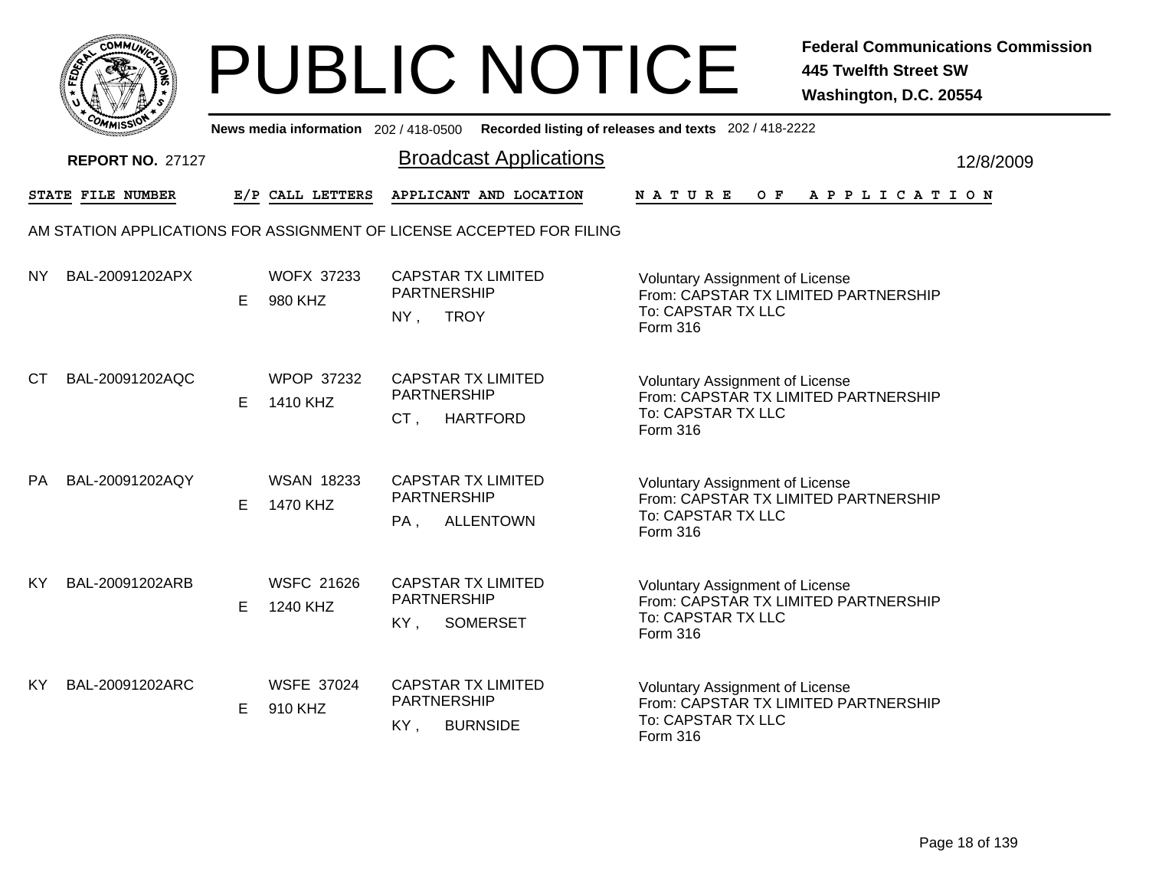|     | MMUNICT<br><b>CO</b> |  |
|-----|----------------------|--|
| ప్త |                      |  |
|     |                      |  |
|     | COMI<br>MISS<br>m    |  |

|           | יככוומי                 |    |                               | News media information 202/418-0500 Recorded listing of releases and texts 202/418-2222 |                                                                                                                  |           |
|-----------|-------------------------|----|-------------------------------|-----------------------------------------------------------------------------------------|------------------------------------------------------------------------------------------------------------------|-----------|
|           | <b>REPORT NO. 27127</b> |    |                               | <b>Broadcast Applications</b>                                                           |                                                                                                                  | 12/8/2009 |
|           | STATE FILE NUMBER       |    | E/P CALL LETTERS              | APPLICANT AND LOCATION                                                                  | NATURE<br>OF APPLICATION                                                                                         |           |
|           |                         |    |                               | AM STATION APPLICATIONS FOR ASSIGNMENT OF LICENSE ACCEPTED FOR FILING                   |                                                                                                                  |           |
| NY.       | BAL-20091202APX         | E. | <b>WOFX 37233</b><br>980 KHZ  | <b>CAPSTAR TX LIMITED</b><br><b>PARTNERSHIP</b><br><b>TROY</b><br>NY,                   | <b>Voluntary Assignment of License</b><br>From: CAPSTAR TX LIMITED PARTNERSHIP<br>To: CAPSTAR TX LLC<br>Form 316 |           |
| CT.       | BAL-20091202AQC         | E. | <b>WPOP 37232</b><br>1410 KHZ | <b>CAPSTAR TX LIMITED</b><br><b>PARTNERSHIP</b><br>CT,<br><b>HARTFORD</b>               | <b>Voluntary Assignment of License</b><br>From: CAPSTAR TX LIMITED PARTNERSHIP<br>To: CAPSTAR TX LLC<br>Form 316 |           |
| PA        | BAL-20091202AQY         | E. | <b>WSAN 18233</b><br>1470 KHZ | <b>CAPSTAR TX LIMITED</b><br><b>PARTNERSHIP</b><br><b>ALLENTOWN</b><br>PA,              | <b>Voluntary Assignment of License</b><br>From: CAPSTAR TX LIMITED PARTNERSHIP<br>To: CAPSTAR TX LLC<br>Form 316 |           |
| <b>KY</b> | BAL-20091202ARB         | E  | <b>WSFC 21626</b><br>1240 KHZ | <b>CAPSTAR TX LIMITED</b><br><b>PARTNERSHIP</b><br>KY,<br><b>SOMERSET</b>               | <b>Voluntary Assignment of License</b><br>From: CAPSTAR TX LIMITED PARTNERSHIP<br>To: CAPSTAR TX LLC<br>Form 316 |           |
| KY.       | BAL-20091202ARC         | E. | <b>WSFE 37024</b><br>910 KHZ  | <b>CAPSTAR TX LIMITED</b><br>PARTNERSHIP<br><b>BURNSIDE</b><br>KY,                      | <b>Voluntary Assignment of License</b><br>From: CAPSTAR TX LIMITED PARTNERSHIP<br>To: CAPSTAR TX LLC<br>Form 316 |           |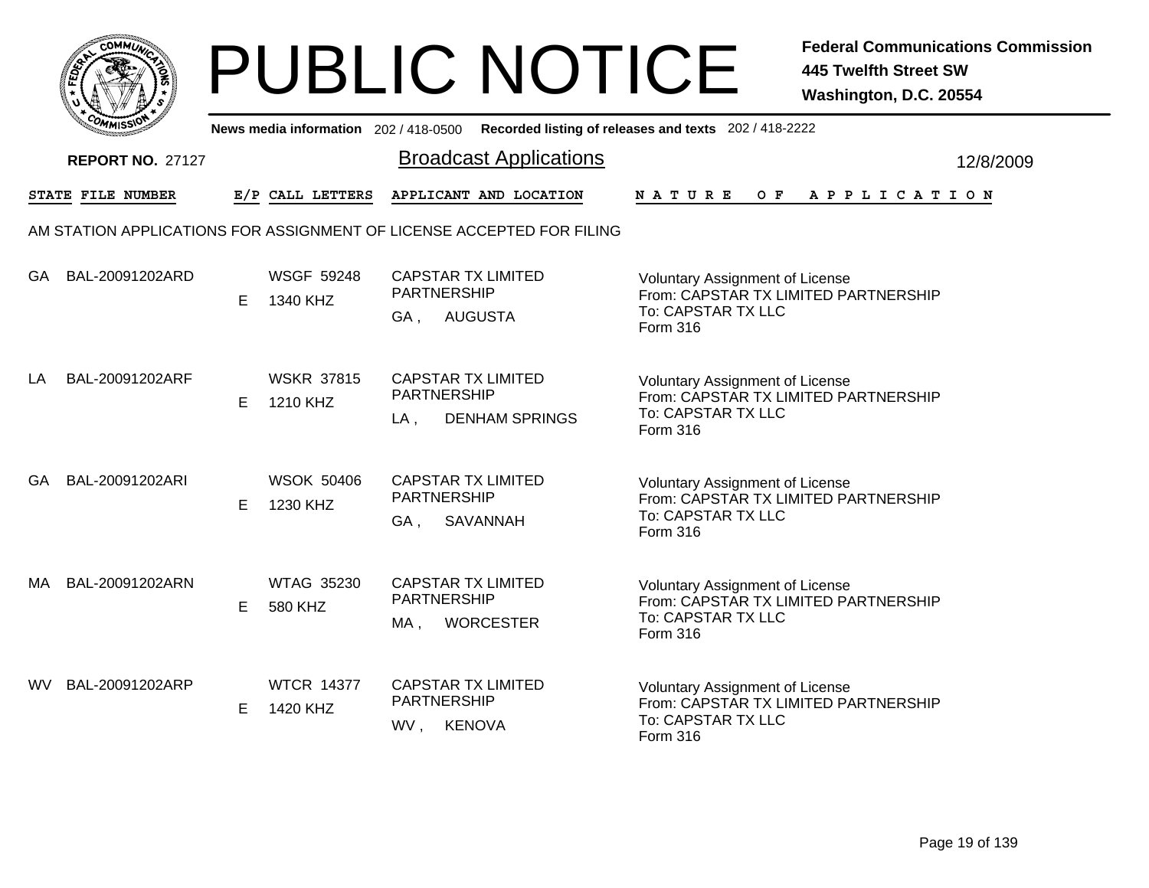

|      | יככוומי                 |    |                               | News media information 202/418-0500 Recorded listing of releases and texts 202/418-2222                                                                                                                |                       |
|------|-------------------------|----|-------------------------------|--------------------------------------------------------------------------------------------------------------------------------------------------------------------------------------------------------|-----------------------|
|      | <b>REPORT NO. 27127</b> |    |                               | <b>Broadcast Applications</b>                                                                                                                                                                          | 12/8/2009             |
|      | STATE FILE NUMBER       |    | E/P CALL LETTERS              | APPLICANT AND LOCATION<br>O F<br><b>NATURE</b>                                                                                                                                                         | A P P L I C A T I O N |
|      |                         |    |                               | AM STATION APPLICATIONS FOR ASSIGNMENT OF LICENSE ACCEPTED FOR FILING                                                                                                                                  |                       |
| GA   | BAL-20091202ARD         | E  | <b>WSGF 59248</b><br>1340 KHZ | <b>CAPSTAR TX LIMITED</b><br>Voluntary Assignment of License<br><b>PARTNERSHIP</b><br>From: CAPSTAR TX LIMITED PARTNERSHIP<br>To: CAPSTAR TX LLC<br><b>AUGUSTA</b><br>GA,<br>Form 316                  |                       |
| LA   | BAL-20091202ARF         | E. | <b>WSKR 37815</b><br>1210 KHZ | <b>CAPSTAR TX LIMITED</b><br><b>Voluntary Assignment of License</b><br><b>PARTNERSHIP</b><br>From: CAPSTAR TX LIMITED PARTNERSHIP<br>To: CAPSTAR TX LLC<br><b>DENHAM SPRINGS</b><br>$LA$ ,<br>Form 316 |                       |
| GA   | BAL-20091202ARI         | Е  | <b>WSOK 50406</b><br>1230 KHZ | <b>CAPSTAR TX LIMITED</b><br><b>Voluntary Assignment of License</b><br><b>PARTNERSHIP</b><br>From: CAPSTAR TX LIMITED PARTNERSHIP<br>To: CAPSTAR TX LLC<br>SAVANNAH<br>GA,<br>Form 316                 |                       |
| MA   | BAL-20091202ARN         | E  | <b>WTAG 35230</b><br>580 KHZ  | <b>CAPSTAR TX LIMITED</b><br><b>Voluntary Assignment of License</b><br><b>PARTNERSHIP</b><br>From: CAPSTAR TX LIMITED PARTNERSHIP<br>To: CAPSTAR TX LLC<br><b>WORCESTER</b><br>MA,<br>Form 316         |                       |
| WV l | BAL-20091202ARP         | E  | <b>WTCR 14377</b><br>1420 KHZ | <b>CAPSTAR TX LIMITED</b><br><b>Voluntary Assignment of License</b><br>PARTNERSHIP<br>From: CAPSTAR TX LIMITED PARTNERSHIP<br>To: CAPSTAR TX LLC<br>KENOVA<br>WV,<br>Form 316                          |                       |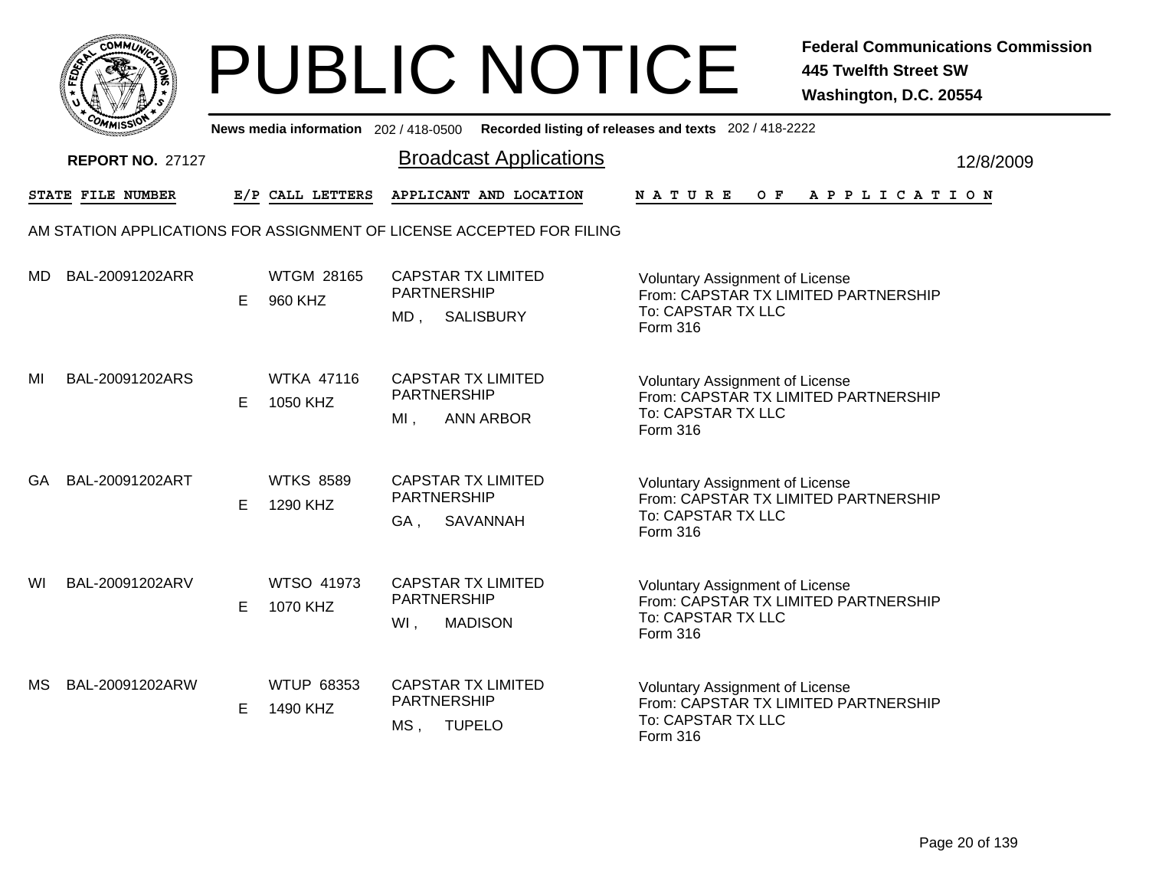|       | MMUNICT<br>c۵۱ |  |
|-------|----------------|--|
| FEDET |                |  |
|       |                |  |
|       | COMI<br>MISS   |  |

|    | יככוומי                 |    |                               | News media information 202/418-0500 Recorded listing of releases and texts 202/418-2222                                                                                                           |                       |           |
|----|-------------------------|----|-------------------------------|---------------------------------------------------------------------------------------------------------------------------------------------------------------------------------------------------|-----------------------|-----------|
|    | <b>REPORT NO. 27127</b> |    |                               | <b>Broadcast Applications</b>                                                                                                                                                                     |                       | 12/8/2009 |
|    | STATE FILE NUMBER       |    | E/P CALL LETTERS              | APPLICANT AND LOCATION<br>O F<br><b>NATURE</b>                                                                                                                                                    | A P P L I C A T I O N |           |
|    |                         |    |                               | AM STATION APPLICATIONS FOR ASSIGNMENT OF LICENSE ACCEPTED FOR FILING                                                                                                                             |                       |           |
| MD | BAL-20091202ARR         | E  | <b>WTGM 28165</b><br>960 KHZ  | <b>CAPSTAR TX LIMITED</b><br>Voluntary Assignment of License<br><b>PARTNERSHIP</b><br>From: CAPSTAR TX LIMITED PARTNERSHIP<br>To: CAPSTAR TX LLC<br>$MD$ ,<br><b>SALISBURY</b><br>Form 316        |                       |           |
| MI | BAL-20091202ARS         | E. | <b>WTKA 47116</b><br>1050 KHZ | <b>CAPSTAR TX LIMITED</b><br><b>Voluntary Assignment of License</b><br><b>PARTNERSHIP</b><br>From: CAPSTAR TX LIMITED PARTNERSHIP<br>To: CAPSTAR TX LLC<br>$MI$ ,<br><b>ANN ARBOR</b><br>Form 316 |                       |           |
| GA | BAL-20091202ART         | Е  | <b>WTKS 8589</b><br>1290 KHZ  | <b>CAPSTAR TX LIMITED</b><br><b>Voluntary Assignment of License</b><br><b>PARTNERSHIP</b><br>From: CAPSTAR TX LIMITED PARTNERSHIP<br>To: CAPSTAR TX LLC<br>SAVANNAH<br>GA,<br>Form 316            |                       |           |
| WI | BAL-20091202ARV         | E  | <b>WTSO 41973</b><br>1070 KHZ | <b>CAPSTAR TX LIMITED</b><br><b>Voluntary Assignment of License</b><br><b>PARTNERSHIP</b><br>From: CAPSTAR TX LIMITED PARTNERSHIP<br>To: CAPSTAR TX LLC<br>WI,<br><b>MADISON</b><br>Form 316      |                       |           |
| МS | BAL-20091202ARW         | E  | <b>WTUP 68353</b><br>1490 KHZ | <b>CAPSTAR TX LIMITED</b><br><b>Voluntary Assignment of License</b><br>PARTNERSHIP<br>From: CAPSTAR TX LIMITED PARTNERSHIP<br>To: CAPSTAR TX LLC<br>MS,<br><b>TUPELO</b><br>Form 316              |                       |           |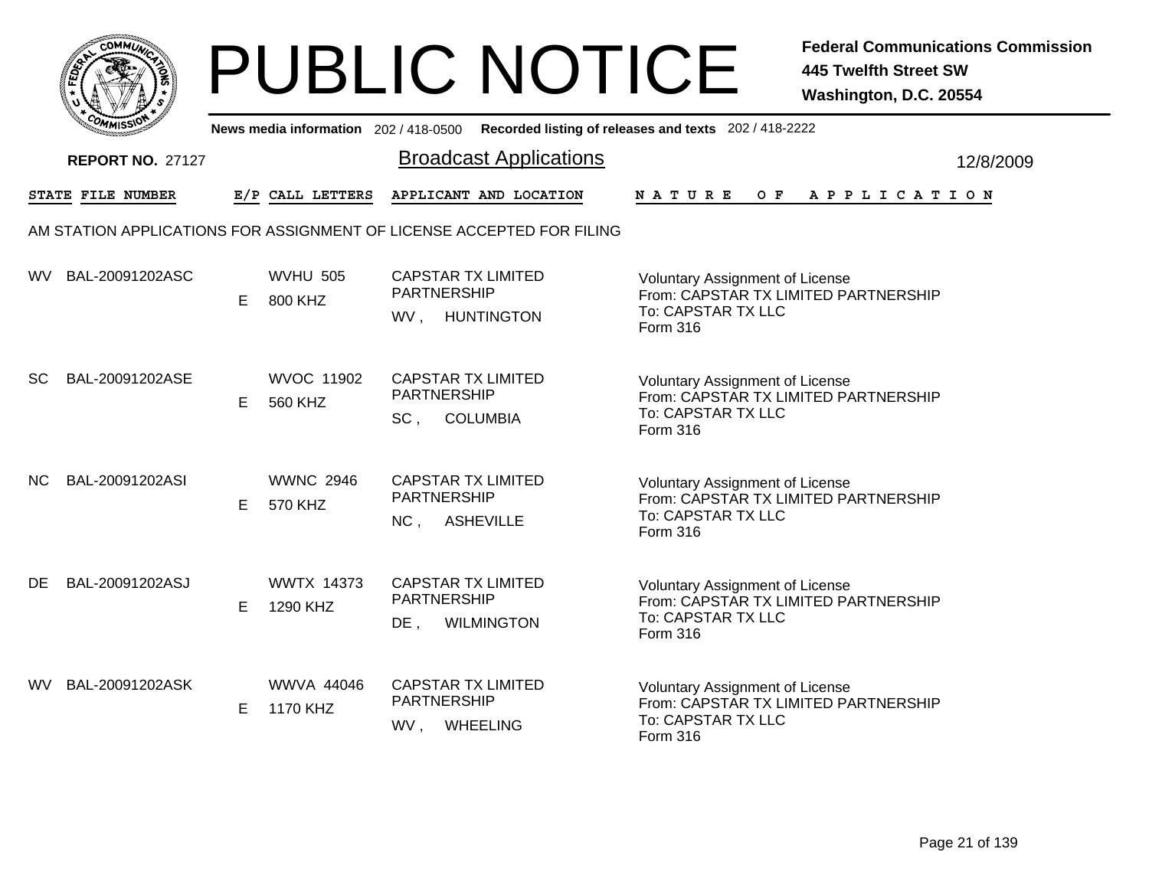|       | MMUNICT<br>c۵۱ |  |
|-------|----------------|--|
| FEDET |                |  |
|       |                |  |
|       | COMI<br>MISS   |  |

|      | יככוומדי                |    |                               |                                                                                       | News media information 202/418-0500 Recorded listing of releases and texts 202/418-2222                          |           |
|------|-------------------------|----|-------------------------------|---------------------------------------------------------------------------------------|------------------------------------------------------------------------------------------------------------------|-----------|
|      | <b>REPORT NO. 27127</b> |    |                               | <b>Broadcast Applications</b>                                                         |                                                                                                                  | 12/8/2009 |
|      | STATE FILE NUMBER       |    | E/P CALL LETTERS              | APPLICANT AND LOCATION                                                                | $O$ $F$<br><b>NATURE</b><br>A P P L I C A T I O N                                                                |           |
|      |                         |    |                               | AM STATION APPLICATIONS FOR ASSIGNMENT OF LICENSE ACCEPTED FOR FILING                 |                                                                                                                  |           |
| WV.  | BAL-20091202ASC         | E  | <b>WVHU 505</b><br>800 KHZ    | <b>CAPSTAR TX LIMITED</b><br><b>PARTNERSHIP</b><br>WV,<br><b>HUNTINGTON</b>           | Voluntary Assignment of License<br>From: CAPSTAR TX LIMITED PARTNERSHIP<br>To: CAPSTAR TX LLC<br>Form 316        |           |
| SC   | BAL-20091202ASE         | E. | <b>WVOC 11902</b><br>560 KHZ  | <b>CAPSTAR TX LIMITED</b><br><b>PARTNERSHIP</b><br>SC <sub>1</sub><br><b>COLUMBIA</b> | <b>Voluntary Assignment of License</b><br>From: CAPSTAR TX LIMITED PARTNERSHIP<br>To: CAPSTAR TX LLC<br>Form 316 |           |
| NC.  | BAL-20091202ASI         | Е  | <b>WWNC 2946</b><br>570 KHZ   | <b>CAPSTAR TX LIMITED</b><br><b>PARTNERSHIP</b><br>NC,<br><b>ASHEVILLE</b>            | <b>Voluntary Assignment of License</b><br>From: CAPSTAR TX LIMITED PARTNERSHIP<br>To: CAPSTAR TX LLC<br>Form 316 |           |
| DE   | BAL-20091202ASJ         | E  | <b>WWTX 14373</b><br>1290 KHZ | <b>CAPSTAR TX LIMITED</b><br><b>PARTNERSHIP</b><br><b>WILMINGTON</b><br>$DE$ ,        | <b>Voluntary Assignment of License</b><br>From: CAPSTAR TX LIMITED PARTNERSHIP<br>To: CAPSTAR TX LLC<br>Form 316 |           |
| WV l | BAL-20091202ASK         | E  | <b>WWVA 44046</b><br>1170 KHZ | <b>CAPSTAR TX LIMITED</b><br>PARTNERSHIP<br>WV,<br><b>WHEELING</b>                    | Voluntary Assignment of License<br>From: CAPSTAR TX LIMITED PARTNERSHIP<br>To: CAPSTAR TX LLC<br>Form 316        |           |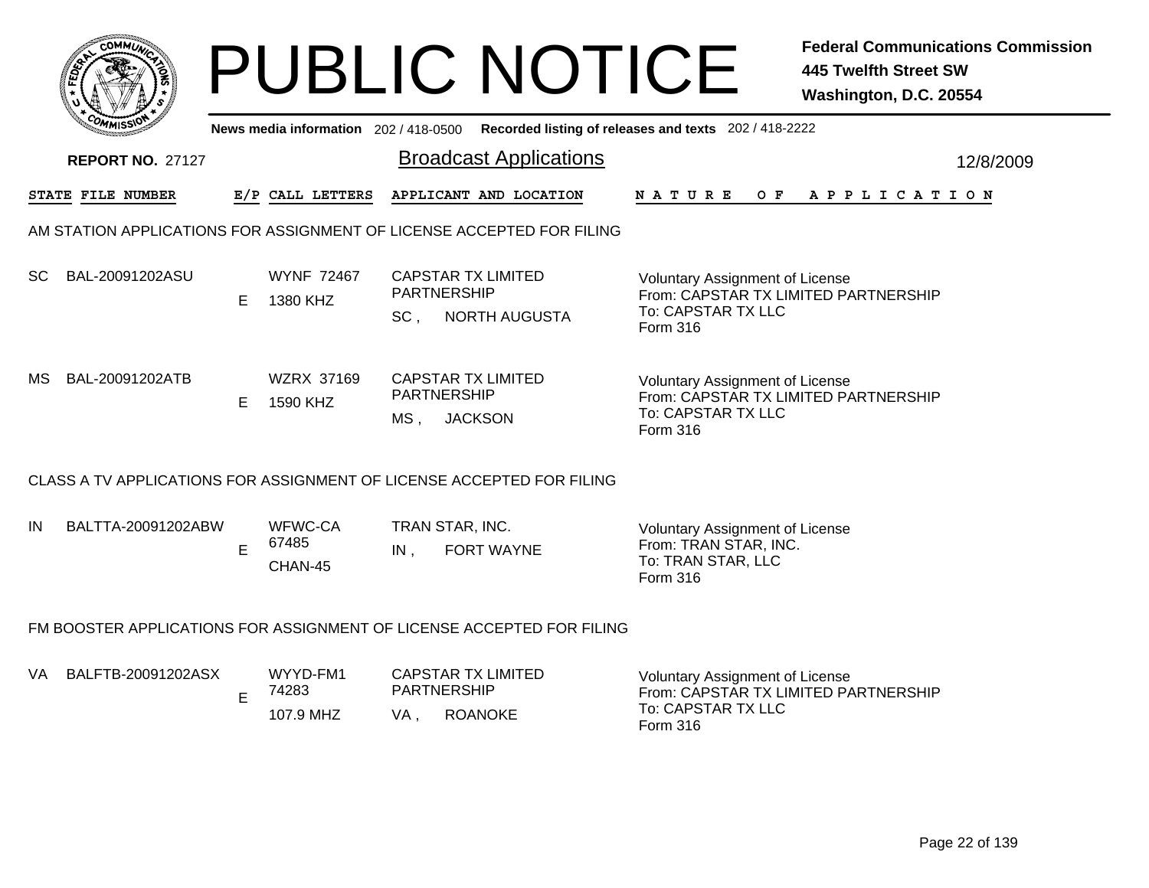|     |                         |    |                                       |      | <b>PUBLIC NOTICE</b>                                                    |                                                                                                           | <b>Federal Communications Commission</b><br><b>445 Twelfth Street SW</b><br>Washington, D.C. 20554 |
|-----|-------------------------|----|---------------------------------------|------|-------------------------------------------------------------------------|-----------------------------------------------------------------------------------------------------------|----------------------------------------------------------------------------------------------------|
|     |                         |    | News media information 202 / 418-0500 |      |                                                                         | Recorded listing of releases and texts 202 / 418-2222                                                     |                                                                                                    |
|     | <b>REPORT NO. 27127</b> |    |                                       |      | <b>Broadcast Applications</b>                                           |                                                                                                           | 12/8/2009                                                                                          |
|     | STATE FILE NUMBER       |    | E/P CALL LETTERS                      |      | APPLICANT AND LOCATION                                                  | N A T U R E                                                                                               | OF APPLICATION                                                                                     |
|     |                         |    |                                       |      | AM STATION APPLICATIONS FOR ASSIGNMENT OF LICENSE ACCEPTED FOR FILING   |                                                                                                           |                                                                                                    |
| SC. | BAL-20091202ASU         | E. | <b>WYNF 72467</b><br>1380 KHZ         | SC.  | <b>CAPSTAR TX LIMITED</b><br><b>PARTNERSHIP</b><br><b>NORTH AUGUSTA</b> | Voluntary Assignment of License<br>From: CAPSTAR TX LIMITED PARTNERSHIP<br>To: CAPSTAR TX LLC<br>Form 316 |                                                                                                    |
| MS. | BAL-20091202ATB         | E. | WZRX 37169<br>1590 KHZ                | MS , | <b>CAPSTAR TX LIMITED</b><br><b>PARTNERSHIP</b><br><b>JACKSON</b>       | Voluntary Assignment of License<br>From: CAPSTAR TX LIMITED PARTNERSHIP<br>To: CAPSTAR TX LLC<br>Form 316 |                                                                                                    |
|     |                         |    |                                       |      | CLASS A TV APPLICATIONS FOR ASSIGNMENT OF LICENSE ACCEPTED FOR FILING   |                                                                                                           |                                                                                                    |
| IN  | BALTTA-20091202ABW      | E  | WFWC-CA<br>67485<br>CHAN-45           | IN,  | TRAN STAR, INC.<br><b>FORT WAYNE</b>                                    | <b>Voluntary Assignment of License</b><br>From: TRAN STAR, INC.<br>To: TRAN STAR, LLC<br>Form 316         |                                                                                                    |
|     |                         |    |                                       |      | FM BOOSTER APPLICATIONS FOR ASSIGNMENT OF LICENSE ACCEPTED FOR FILING   |                                                                                                           |                                                                                                    |
| VA. | BALFTB-20091202ASX      | E  | WYYD-FM1<br>74283<br>107.9 MHZ        | VA,  | <b>CAPSTAR TX LIMITED</b><br><b>PARTNERSHIP</b><br><b>ROANOKE</b>       | Voluntary Assignment of License<br>From: CAPSTAR TX LIMITED PARTNERSHIP<br>To: CAPSTAR TX LLC<br>Form 316 |                                                                                                    |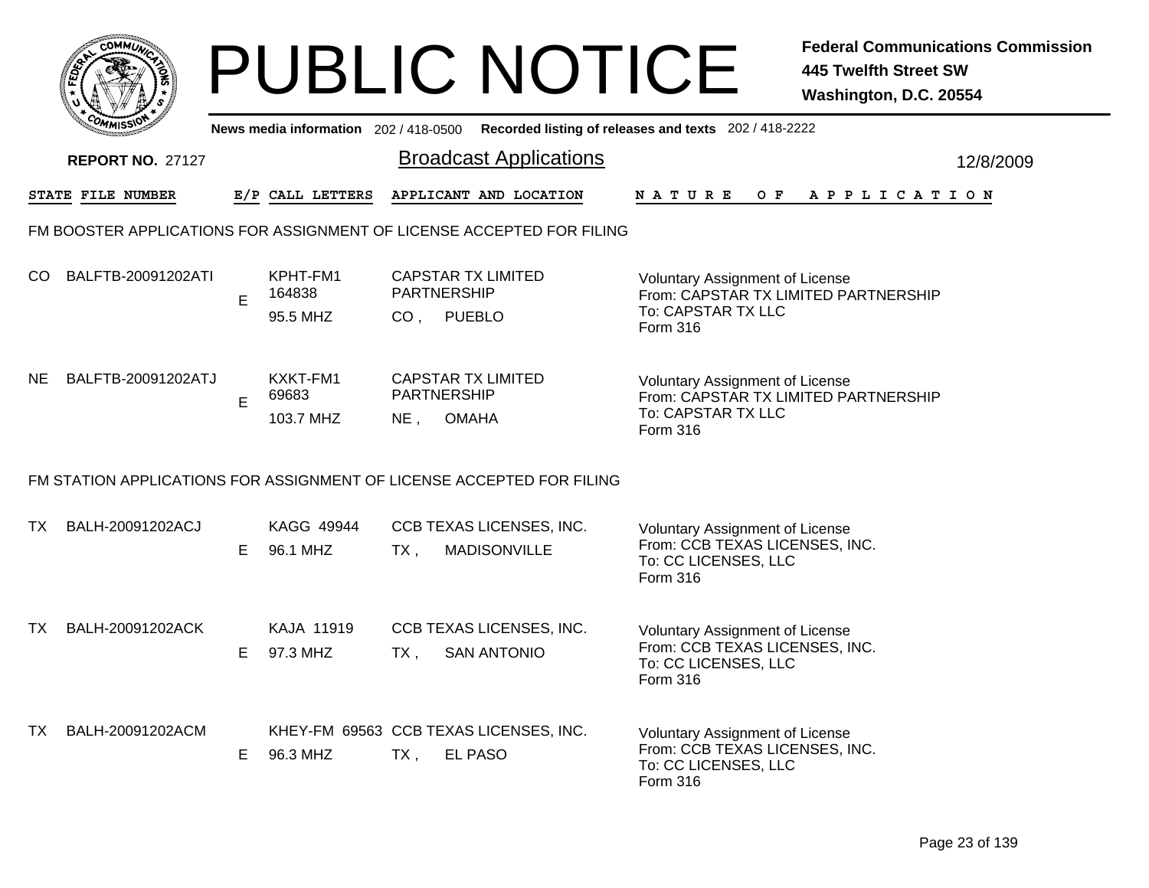|      | <b>COMMUX</b>           |    |                                |      | <b>PUBLIC NOTICE</b>                                                                        |                                                                                                              | <b>Federal Communications Commission</b><br><b>445 Twelfth Street SW</b><br>Washington, D.C. 20554 |
|------|-------------------------|----|--------------------------------|------|---------------------------------------------------------------------------------------------|--------------------------------------------------------------------------------------------------------------|----------------------------------------------------------------------------------------------------|
|      |                         |    |                                |      | News media information 202 / 418-0500 Recorded listing of releases and texts 202 / 418-2222 |                                                                                                              |                                                                                                    |
|      | <b>REPORT NO. 27127</b> |    |                                |      | <b>Broadcast Applications</b>                                                               |                                                                                                              | 12/8/2009                                                                                          |
|      | STATE FILE NUMBER       |    | E/P CALL LETTERS               |      | APPLICANT AND LOCATION                                                                      | N A T U R E                                                                                                  | OF APPLICATION                                                                                     |
|      |                         |    |                                |      | FM BOOSTER APPLICATIONS FOR ASSIGNMENT OF LICENSE ACCEPTED FOR FILING                       |                                                                                                              |                                                                                                    |
|      | CO BALFTB-20091202ATI   | E  | KPHT-FM1<br>164838<br>95.5 MHZ |      | <b>CAPSTAR TX LIMITED</b><br>PARTNERSHIP<br>CO, PUEBLO                                      | Voluntary Assignment of License<br>From: CAPSTAR TX LIMITED PARTNERSHIP<br>To: CAPSTAR TX LLC<br>Form 316    |                                                                                                    |
|      | NE BALFTB-20091202ATJ   | E  | KXKT-FM1<br>69683<br>103.7 MHZ | NE,  | <b>CAPSTAR TX LIMITED</b><br><b>PARTNERSHIP</b><br><b>OMAHA</b>                             | Voluntary Assignment of License<br>From: CAPSTAR TX LIMITED PARTNERSHIP<br>To: CAPSTAR TX LLC<br>Form 316    |                                                                                                    |
|      |                         |    |                                |      | FM STATION APPLICATIONS FOR ASSIGNMENT OF LICENSE ACCEPTED FOR FILING                       |                                                                                                              |                                                                                                    |
| TX I | BALH-20091202ACJ        | E. | KAGG 49944<br>96.1 MHZ         | TX,  | CCB TEXAS LICENSES, INC.<br><b>MADISONVILLE</b>                                             | Voluntary Assignment of License<br>From: CCB TEXAS LICENSES, INC.<br>To: CC LICENSES, LLC<br>Form 316        |                                                                                                    |
| TX   | BALH-20091202ACK        | E. | KAJA 11919<br>97.3 MHZ         | TX , | CCB TEXAS LICENSES, INC.<br><b>SAN ANTONIO</b>                                              | Voluntary Assignment of License<br>From: CCB TEXAS LICENSES, INC.<br>To: CC LICENSES, LLC<br>Form 316        |                                                                                                    |
| TX   | BALH-20091202ACM        | E. | 96.3 MHZ                       | TX,  | KHEY-FM 69563 CCB TEXAS LICENSES, INC.<br>EL PASO                                           | <b>Voluntary Assignment of License</b><br>From: CCB TEXAS LICENSES, INC.<br>To: CC LICENSES, LLC<br>Form 316 |                                                                                                    |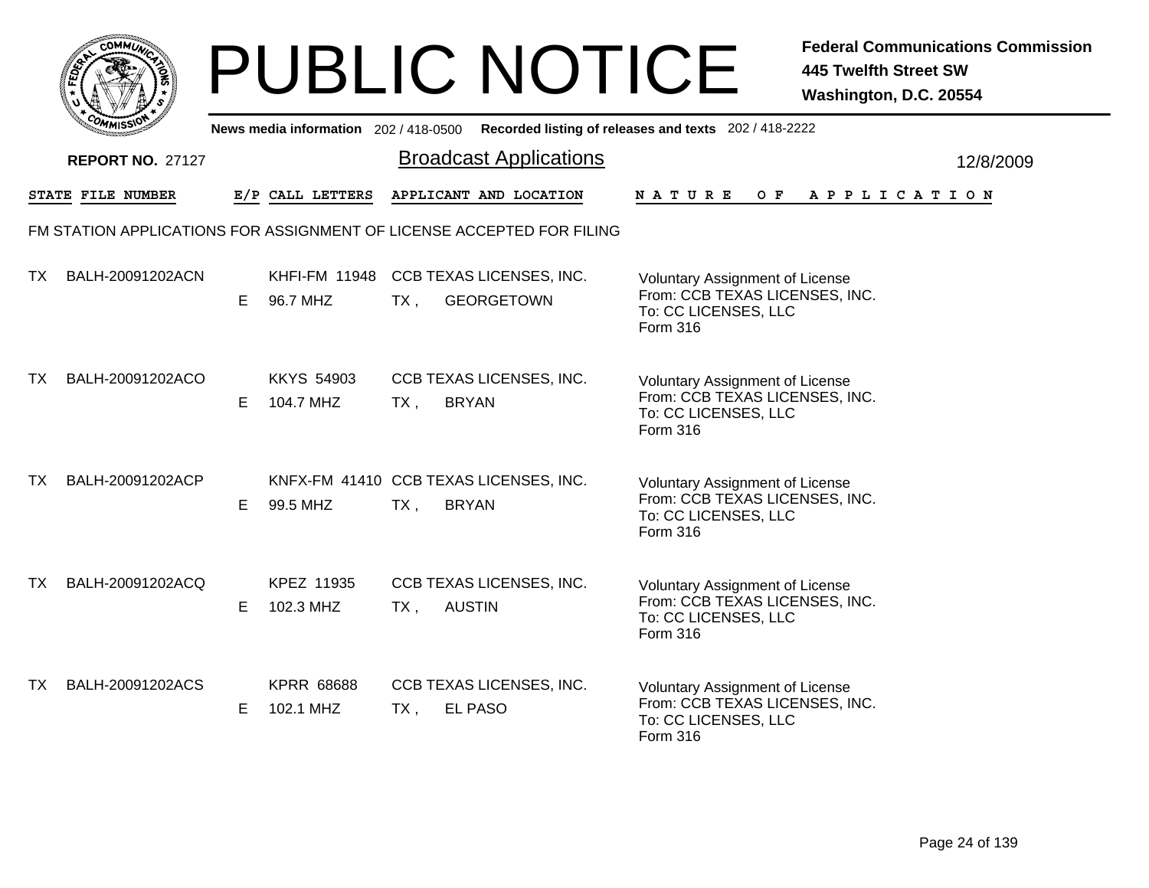| <b>CO</b>                      | <b>AMUNA</b> |
|--------------------------------|--------------|
| <b>FEDE</b>                    | ૄ<br>ត       |
|                                |              |
| COMI<br>MISS <sup>\</sup><br>m |              |

|           | ัพพเรวเ                 |    |                                |                        |                                                                       | News media information 202 / 418-0500 Recorded listing of releases and texts 202 / 418-2222                  |
|-----------|-------------------------|----|--------------------------------|------------------------|-----------------------------------------------------------------------|--------------------------------------------------------------------------------------------------------------|
|           | <b>REPORT NO. 27127</b> |    |                                |                        | <b>Broadcast Applications</b>                                         | 12/8/2009                                                                                                    |
|           | STATE FILE NUMBER       |    | E/P CALL LETTERS               |                        | APPLICANT AND LOCATION                                                | NATURE<br>OF APPLICATION                                                                                     |
|           |                         |    |                                |                        | FM STATION APPLICATIONS FOR ASSIGNMENT OF LICENSE ACCEPTED FOR FILING |                                                                                                              |
| TX.       | BALH-20091202ACN        | E. | 96.7 MHZ                       | $TX$ ,                 | KHFI-FM 11948 CCB TEXAS LICENSES, INC.<br><b>GEORGETOWN</b>           | <b>Voluntary Assignment of License</b><br>From: CCB TEXAS LICENSES, INC.<br>To: CC LICENSES, LLC<br>Form 316 |
| TX.       | BALH-20091202ACO        | E. | <b>KKYS 54903</b><br>104.7 MHZ | <b>BRYAN</b><br>$TX$ , | CCB TEXAS LICENSES, INC.                                              | Voluntary Assignment of License<br>From: CCB TEXAS LICENSES, INC.<br>To: CC LICENSES, LLC<br>Form 316        |
| <b>TX</b> | BALH-20091202ACP        | E. | 99.5 MHZ                       | $TX$ ,                 | KNFX-FM 41410 CCB TEXAS LICENSES, INC.<br><b>BRYAN</b>                | <b>Voluntary Assignment of License</b><br>From: CCB TEXAS LICENSES, INC.<br>To: CC LICENSES, LLC<br>Form 316 |
| TX.       | BALH-20091202ACQ        | E. | KPEZ 11935<br>102.3 MHZ        | TX,                    | CCB TEXAS LICENSES, INC.<br><b>AUSTIN</b>                             | <b>Voluntary Assignment of License</b><br>From: CCB TEXAS LICENSES, INC.<br>To: CC LICENSES, LLC<br>Form 316 |
| <b>TX</b> | BALH-20091202ACS        | E. | <b>KPRR 68688</b><br>102.1 MHZ | TX,                    | CCB TEXAS LICENSES, INC.<br><b>EL PASO</b>                            | Voluntary Assignment of License<br>From: CCB TEXAS LICENSES, INC.<br>To: CC LICENSES, LLC<br>Form 316        |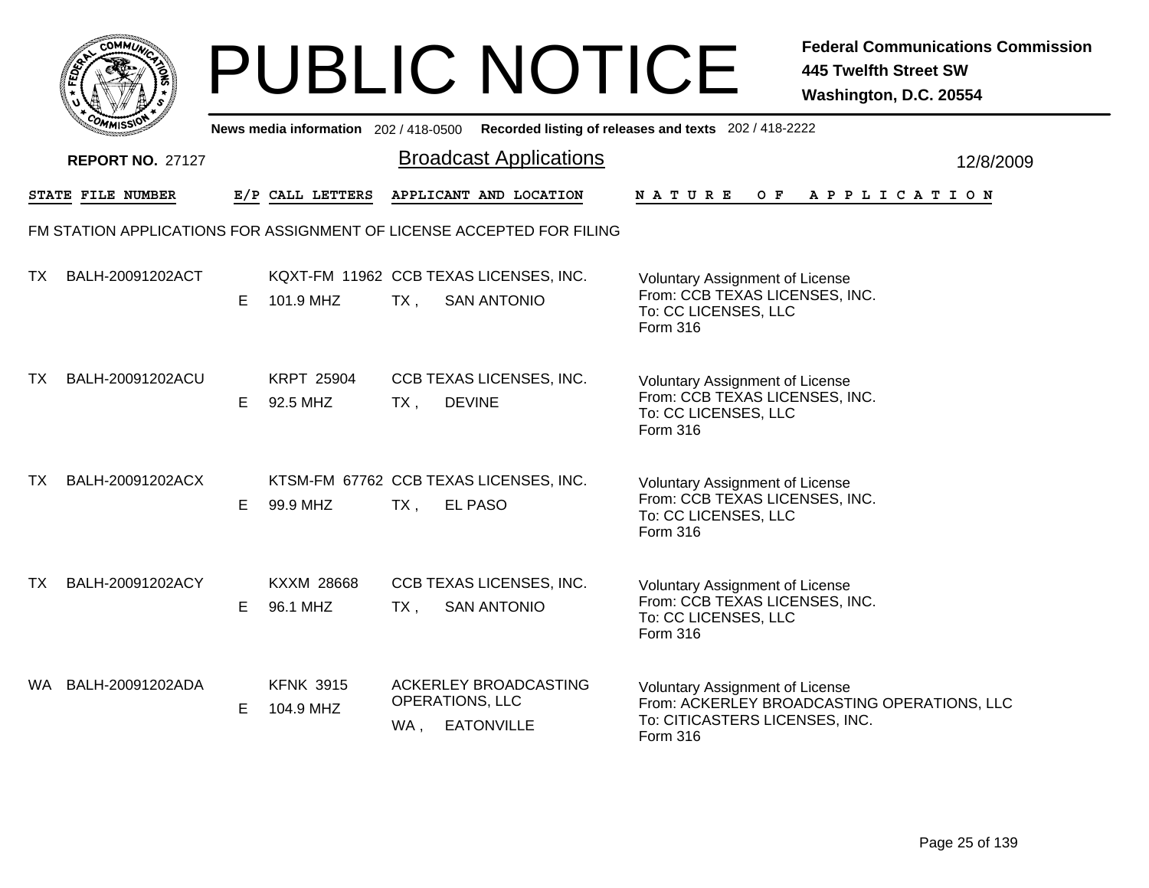|      | <b>COMMUL</b>           |    |                                       |                        | <b>PUBLIC NOTICE</b>                                                  |                                                                                                              | <b>Federal Communications Commission</b><br><b>445 Twelfth Street SW</b><br>Washington, D.C. 20554 |
|------|-------------------------|----|---------------------------------------|------------------------|-----------------------------------------------------------------------|--------------------------------------------------------------------------------------------------------------|----------------------------------------------------------------------------------------------------|
|      |                         |    | News media information 202 / 418-0500 |                        |                                                                       | Recorded listing of releases and texts 202 / 418-2222                                                        |                                                                                                    |
|      | <b>REPORT NO. 27127</b> |    |                                       |                        | <b>Broadcast Applications</b>                                         |                                                                                                              | 12/8/2009                                                                                          |
|      | STATE FILE NUMBER       |    | E/P CALL LETTERS                      |                        | APPLICANT AND LOCATION                                                | N A T U R E                                                                                                  | OF APPLICATION                                                                                     |
|      |                         |    |                                       |                        | FM STATION APPLICATIONS FOR ASSIGNMENT OF LICENSE ACCEPTED FOR FILING |                                                                                                              |                                                                                                    |
| TX I | BALH-20091202ACT        | E. | 101.9 MHZ                             | $TX$ ,                 | KQXT-FM 11962 CCB TEXAS LICENSES, INC.<br><b>SAN ANTONIO</b>          | Voluntary Assignment of License<br>From: CCB TEXAS LICENSES, INC.<br>To: CC LICENSES, LLC<br>Form 316        |                                                                                                    |
| TX . | BALH-20091202ACU        | E. | <b>KRPT 25904</b><br>92.5 MHZ         | $TX$ ,                 | CCB TEXAS LICENSES, INC.<br><b>DEVINE</b>                             | <b>Voluntary Assignment of License</b><br>From: CCB TEXAS LICENSES, INC.<br>To: CC LICENSES, LLC<br>Form 316 |                                                                                                    |
| TX . | BALH-20091202ACX        | E. | 99.9 MHZ                              | $TX$ ,                 | KTSM-FM 67762 CCB TEXAS LICENSES, INC.<br>EL PASO                     | Voluntary Assignment of License<br>From: CCB TEXAS LICENSES, INC.<br>To: CC LICENSES, LLC<br>Form 316        |                                                                                                    |
| TX I | BALH-20091202ACY        | E. | KXXM 28668<br>96.1 MHZ                | TX,                    | CCB TEXAS LICENSES, INC.<br><b>SAN ANTONIO</b>                        | <b>Voluntary Assignment of License</b><br>From: CCB TEXAS LICENSES, INC.<br>To: CC LICENSES, LLC<br>Form 316 |                                                                                                    |
|      | WA BALH-20091202ADA     | E. | <b>KFNK 3915</b><br>104.9 MHZ         | <b>OPERATIONS, LLC</b> | ACKERLEY BROADCASTING<br>WA, EATONVILLE                               | Voluntary Assignment of License<br>To: CITICASTERS LICENSES, INC.<br>Form 316                                | From: ACKERLEY BROADCASTING OPERATIONS, LLC                                                        |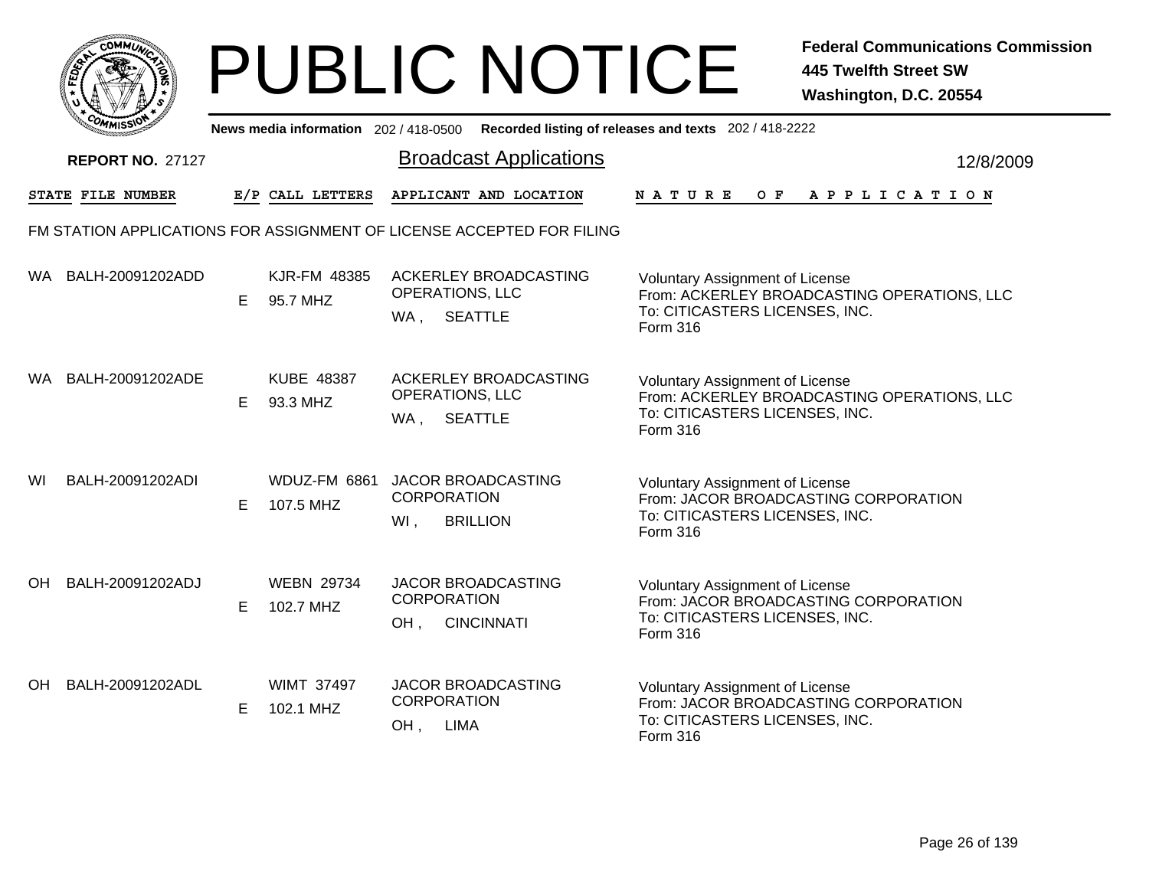|      | <b>COMMUNT</b> |    |
|------|----------------|----|
| EDE) |                | ্ব |
| ī.   |                |    |
|      | COMI<br>MISS   |    |

|    | <b>UMISS</b>            |   |                                | News media information 202/418-0500 Recorded listing of releases and texts 202/418-2222 |                                                                                                                                     |           |
|----|-------------------------|---|--------------------------------|-----------------------------------------------------------------------------------------|-------------------------------------------------------------------------------------------------------------------------------------|-----------|
|    | <b>REPORT NO. 27127</b> |   |                                | <b>Broadcast Applications</b>                                                           |                                                                                                                                     | 12/8/2009 |
|    | STATE FILE NUMBER       |   | E/P CALL LETTERS               | APPLICANT AND LOCATION                                                                  | $O$ $\mathbf{F}$<br><b>NATURE</b><br>A P P L I C A T I O N                                                                          |           |
|    |                         |   |                                | FM STATION APPLICATIONS FOR ASSIGNMENT OF LICENSE ACCEPTED FOR FILING                   |                                                                                                                                     |           |
|    | WA BALH-20091202ADD     | E | KJR-FM 48385<br>95.7 MHZ       | ACKERLEY BROADCASTING<br>OPERATIONS, LLC<br>WA, SEATTLE                                 | <b>Voluntary Assignment of License</b><br>From: ACKERLEY BROADCASTING OPERATIONS, LLC<br>To: CITICASTERS LICENSES, INC.<br>Form 316 |           |
| WA | BALH-20091202ADE        | E | <b>KUBE 48387</b><br>93.3 MHZ  | ACKERLEY BROADCASTING<br>OPERATIONS, LLC<br>WA,<br><b>SEATTLE</b>                       | Voluntary Assignment of License<br>From: ACKERLEY BROADCASTING OPERATIONS, LLC<br>To: CITICASTERS LICENSES, INC.<br>Form 316        |           |
| WI | BALH-20091202ADI        | Е | WDUZ-FM 6861<br>107.5 MHZ      | JACOR BROADCASTING<br><b>CORPORATION</b><br>WI,<br><b>BRILLION</b>                      | <b>Voluntary Assignment of License</b><br>From: JACOR BROADCASTING CORPORATION<br>To: CITICASTERS LICENSES, INC.<br>Form 316        |           |
| OH | BALH-20091202ADJ        | E | <b>WEBN 29734</b><br>102.7 MHZ | JACOR BROADCASTING<br><b>CORPORATION</b><br><b>CINCINNATI</b><br>OH,                    | <b>Voluntary Assignment of License</b><br>From: JACOR BROADCASTING CORPORATION<br>To: CITICASTERS LICENSES, INC.<br><b>Form 316</b> |           |
| OH | BALH-20091202ADL        | E | <b>WIMT 37497</b><br>102.1 MHZ | JACOR BROADCASTING<br><b>CORPORATION</b><br><b>LIMA</b><br>OH,                          | <b>Voluntary Assignment of License</b><br>From: JACOR BROADCASTING CORPORATION<br>To: CITICASTERS LICENSES, INC.<br>Form 316        |           |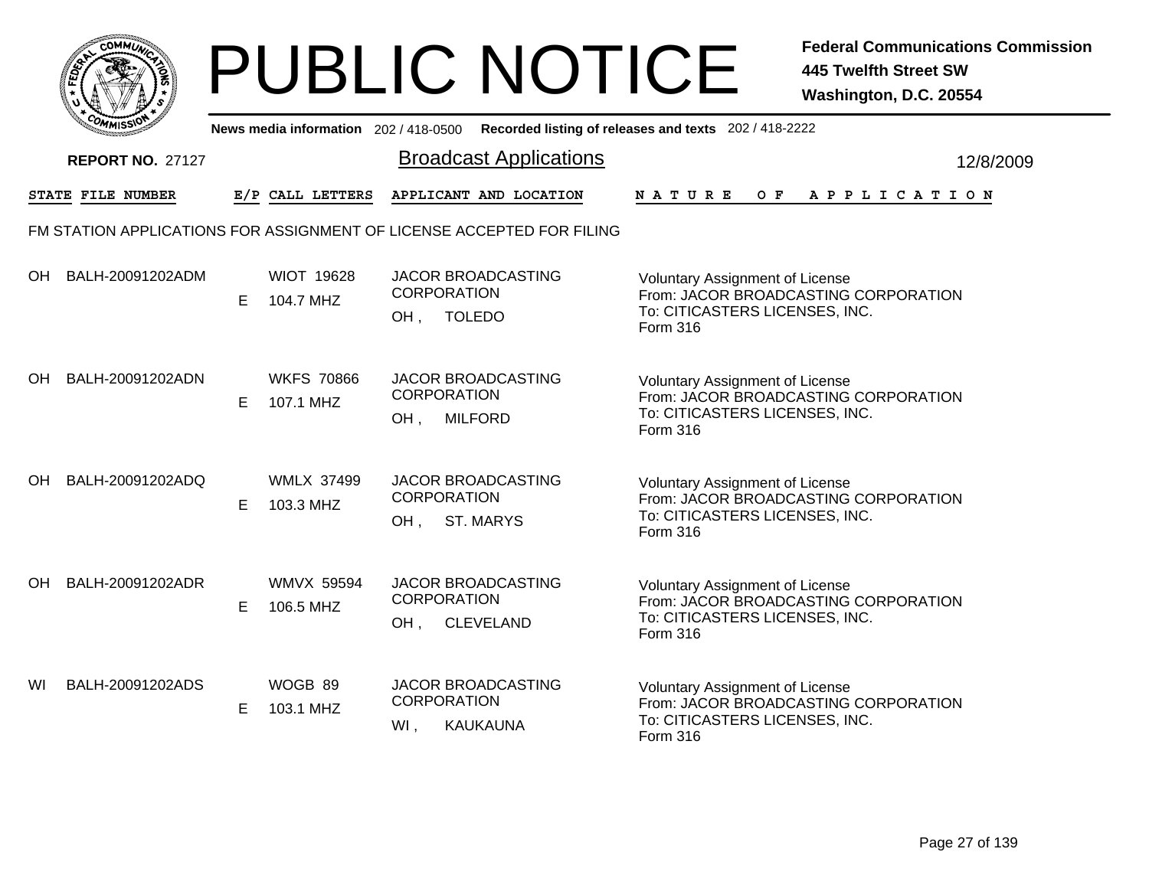|           | MMUNICT<br>ດ<br>Ċ,  |  |
|-----------|---------------------|--|
| ট্রু<br>c |                     |  |
|           |                     |  |
|           | COMI<br>MISS<br>--- |  |

|    | יככוומדי                                                              |    |                                | News media information 202/418-0500 Recorded listing of releases and texts 202/418-2222 |                 |                                                                                                                  |         |                       |  |  |           |
|----|-----------------------------------------------------------------------|----|--------------------------------|-----------------------------------------------------------------------------------------|-----------------|------------------------------------------------------------------------------------------------------------------|---------|-----------------------|--|--|-----------|
|    | <b>REPORT NO. 27127</b>                                               |    |                                | <b>Broadcast Applications</b>                                                           |                 |                                                                                                                  |         |                       |  |  | 12/8/2009 |
|    | STATE FILE NUMBER                                                     |    | E/P CALL LETTERS               | APPLICANT AND LOCATION                                                                  | <b>NATURE</b>   |                                                                                                                  | $O$ $F$ | A P P L I C A T I O N |  |  |           |
|    | FM STATION APPLICATIONS FOR ASSIGNMENT OF LICENSE ACCEPTED FOR FILING |    |                                |                                                                                         |                 |                                                                                                                  |         |                       |  |  |           |
| OH | BALH-20091202ADM                                                      | Е  | <b>WIOT 19628</b><br>104.7 MHZ | <b>JACOR BROADCASTING</b><br><b>CORPORATION</b><br><b>TOLEDO</b><br>OH,                 | Form 316        | <b>Voluntary Assignment of License</b><br>From: JACOR BROADCASTING CORPORATION<br>To: CITICASTERS LICENSES, INC. |         |                       |  |  |           |
| OH | BALH-20091202ADN                                                      | E. | <b>WKFS 70866</b><br>107.1 MHZ | JACOR BROADCASTING<br><b>CORPORATION</b><br><b>MILFORD</b><br>OH,                       | <b>Form 316</b> | <b>Voluntary Assignment of License</b><br>From: JACOR BROADCASTING CORPORATION<br>To: CITICASTERS LICENSES, INC. |         |                       |  |  |           |
| OH | BALH-20091202ADQ                                                      | Е  | <b>WMLX 37499</b><br>103.3 MHZ | <b>JACOR BROADCASTING</b><br><b>CORPORATION</b><br>OH,<br><b>ST. MARYS</b>              | <b>Form 316</b> | <b>Voluntary Assignment of License</b><br>From: JACOR BROADCASTING CORPORATION<br>To: CITICASTERS LICENSES, INC. |         |                       |  |  |           |
| OH | BALH-20091202ADR                                                      | Е  | <b>WMVX 59594</b><br>106.5 MHZ | JACOR BROADCASTING<br><b>CORPORATION</b><br>OH,<br><b>CLEVELAND</b>                     | Form 316        | <b>Voluntary Assignment of License</b><br>From: JACOR BROADCASTING CORPORATION<br>To: CITICASTERS LICENSES, INC. |         |                       |  |  |           |
| WI | BALH-20091202ADS                                                      | Е  | WOGB 89<br>103.1 MHZ           | JACOR BROADCASTING<br><b>CORPORATION</b><br>WI,<br>KAUKAUNA                             | Form 316        | <b>Voluntary Assignment of License</b><br>From: JACOR BROADCASTING CORPORATION<br>To: CITICASTERS LICENSES, INC. |         |                       |  |  |           |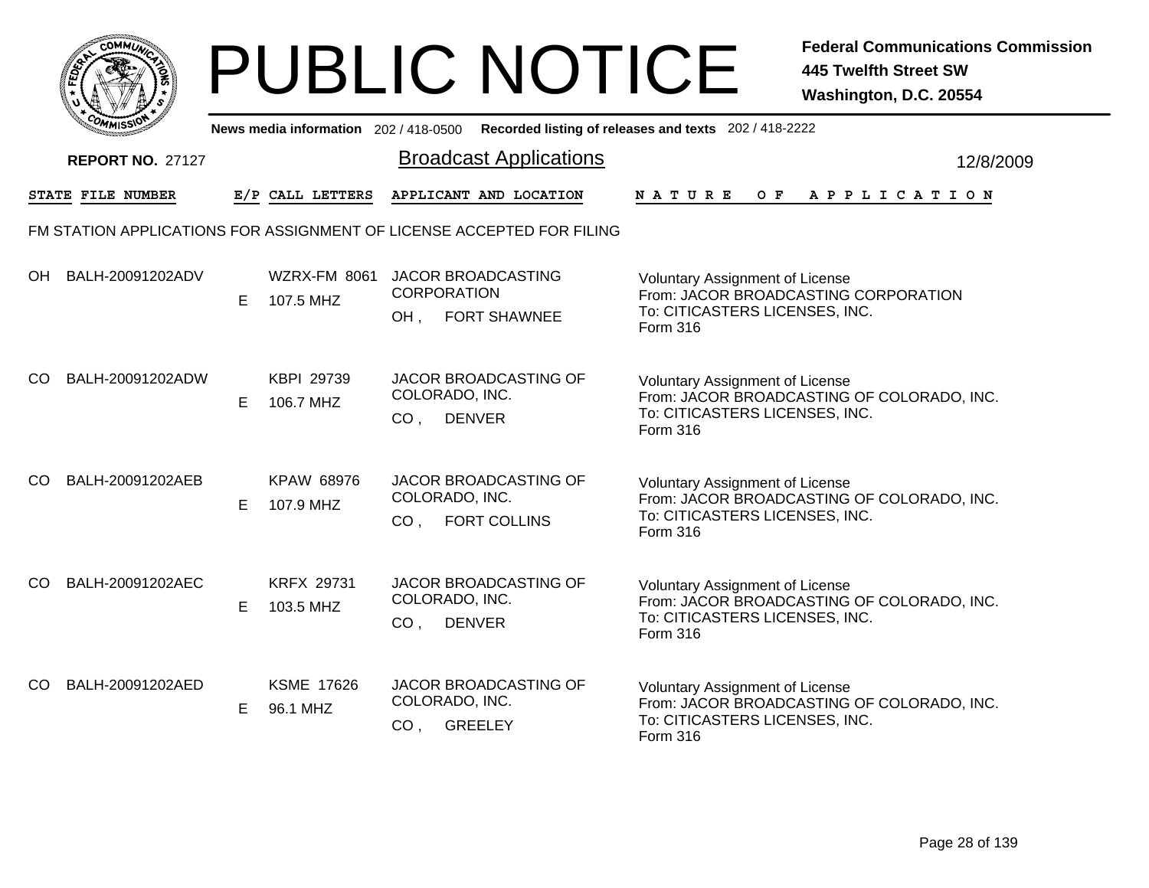

|     | יככוואויי                                                             |    |                                |                                   | News media information 202/418-0500 Recorded listing of releases and texts 202/418-2222 |                                                                                                                                    |  |         |  |  |                       |  |  |           |
|-----|-----------------------------------------------------------------------|----|--------------------------------|-----------------------------------|-----------------------------------------------------------------------------------------|------------------------------------------------------------------------------------------------------------------------------------|--|---------|--|--|-----------------------|--|--|-----------|
|     | <b>REPORT NO. 27127</b>                                               |    |                                |                                   | <b>Broadcast Applications</b>                                                           |                                                                                                                                    |  |         |  |  |                       |  |  | 12/8/2009 |
|     | <b>STATE FILE NUMBER</b>                                              |    | E/P CALL LETTERS               |                                   | APPLICANT AND LOCATION                                                                  | <b>NATURE</b>                                                                                                                      |  | $O$ $F$ |  |  | A P P L I C A T I O N |  |  |           |
|     | FM STATION APPLICATIONS FOR ASSIGNMENT OF LICENSE ACCEPTED FOR FILING |    |                                |                                   |                                                                                         |                                                                                                                                    |  |         |  |  |                       |  |  |           |
| OH  | BALH-20091202ADV                                                      | E  | WZRX-FM 8061<br>107.5 MHZ      | <b>CORPORATION</b><br>OH,         | <b>JACOR BROADCASTING</b><br><b>FORT SHAWNEE</b>                                        | <b>Voluntary Assignment of License</b><br>From: JACOR BROADCASTING CORPORATION<br>To: CITICASTERS LICENSES, INC.<br>Form 316       |  |         |  |  |                       |  |  |           |
| CO  | BALH-20091202ADW                                                      | E  | KBPI 29739<br>106.7 MHZ        | COLORADO, INC.<br>CO <sub>1</sub> | JACOR BROADCASTING OF<br><b>DENVER</b>                                                  | <b>Voluntary Assignment of License</b><br>From: JACOR BROADCASTING OF COLORADO, INC.<br>To: CITICASTERS LICENSES, INC.<br>Form 316 |  |         |  |  |                       |  |  |           |
| CO  | BALH-20091202AEB                                                      | E  | KPAW 68976<br>107.9 MHZ        | COLORADO, INC.<br>CO <sub>1</sub> | JACOR BROADCASTING OF<br><b>FORT COLLINS</b>                                            | <b>Voluntary Assignment of License</b><br>From: JACOR BROADCASTING OF COLORADO, INC.<br>To: CITICASTERS LICENSES, INC.<br>Form 316 |  |         |  |  |                       |  |  |           |
| CO. | BALH-20091202AEC                                                      | E  | <b>KRFX 29731</b><br>103.5 MHZ | COLORADO, INC.<br>CO <sub>1</sub> | JACOR BROADCASTING OF<br><b>DENVER</b>                                                  | Voluntary Assignment of License<br>From: JACOR BROADCASTING OF COLORADO, INC.<br>To: CITICASTERS LICENSES, INC.<br><b>Form 316</b> |  |         |  |  |                       |  |  |           |
| CO  | BALH-20091202AED                                                      | E. | <b>KSME 17626</b><br>96.1 MHZ  | COLORADO, INC.<br>CO <sub>1</sub> | JACOR BROADCASTING OF<br><b>GREELEY</b>                                                 | Voluntary Assignment of License<br>From: JACOR BROADCASTING OF COLORADO, INC.<br>To: CITICASTERS LICENSES, INC.<br>Form 316        |  |         |  |  |                       |  |  |           |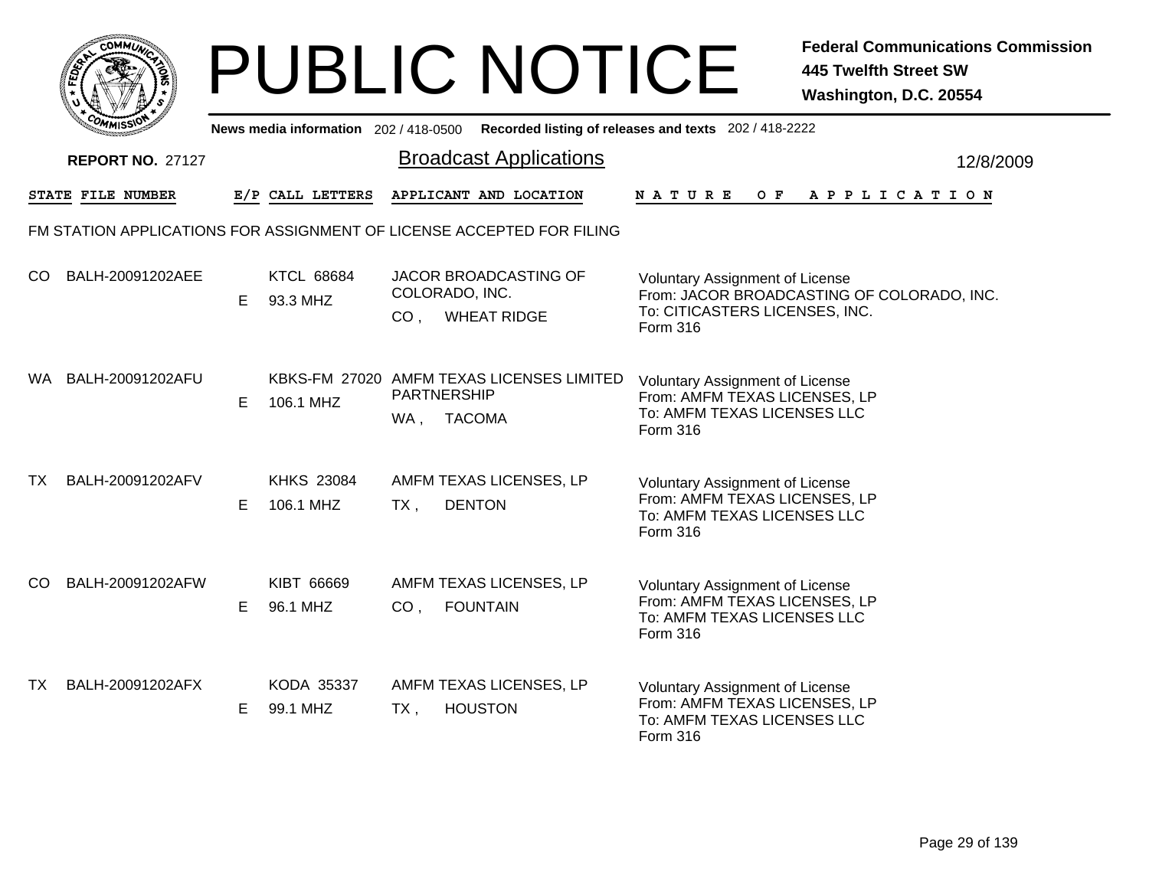|              | MMUNICT<br>CO. |  |
|--------------|----------------|--|
| <b>FEDET</b> |                |  |
|              |                |  |
|              | COMI<br>MISS   |  |

|      | <b>UMISS</b>            |    |                                |                    |                                                                       | News media information 202/418-0500 Recorded listing of releases and texts 202/418-2222                                            |  |
|------|-------------------------|----|--------------------------------|--------------------|-----------------------------------------------------------------------|------------------------------------------------------------------------------------------------------------------------------------|--|
|      | <b>REPORT NO. 27127</b> |    |                                |                    | <b>Broadcast Applications</b>                                         | 12/8/2009                                                                                                                          |  |
|      | STATE FILE NUMBER       |    | E/P CALL LETTERS               |                    | APPLICANT AND LOCATION                                                | OF APPLICATION<br><b>NATURE</b>                                                                                                    |  |
|      |                         |    |                                |                    | FM STATION APPLICATIONS FOR ASSIGNMENT OF LICENSE ACCEPTED FOR FILING |                                                                                                                                    |  |
| CO.  | BALH-20091202AEE        | E. | <b>KTCL 68684</b><br>93.3 MHZ  |                    | <b>JACOR BROADCASTING OF</b><br>COLORADO, INC.<br>CO, WHEAT RIDGE     | <b>Voluntary Assignment of License</b><br>From: JACOR BROADCASTING OF COLORADO, INC.<br>To: CITICASTERS LICENSES, INC.<br>Form 316 |  |
| WA . | BALH-20091202AFU        | E. | 106.1 MHZ                      | <b>PARTNERSHIP</b> | KBKS-FM 27020 AMFM TEXAS LICENSES LIMITED<br>WA, TACOMA               | <b>Voluntary Assignment of License</b><br>From: AMFM TEXAS LICENSES, LP<br>To: AMFM TEXAS LICENSES LLC<br><b>Form 316</b>          |  |
| ТX   | BALH-20091202AFV        | E. | <b>KHKS 23084</b><br>106.1 MHZ | $TX$ ,             | AMFM TEXAS LICENSES, LP<br><b>DENTON</b>                              | <b>Voluntary Assignment of License</b><br>From: AMFM TEXAS LICENSES, LP<br>To: AMFM TEXAS LICENSES LLC<br>Form 316                 |  |
| CO.  | BALH-20091202AFW        | E. | KIBT 66669<br>96.1 MHZ         | CO <sub>1</sub>    | AMFM TEXAS LICENSES, LP<br><b>FOUNTAIN</b>                            | <b>Voluntary Assignment of License</b><br>From: AMFM TEXAS LICENSES, LP<br>To: AMFM TEXAS LICENSES LLC<br>Form 316                 |  |
| TX   | BALH-20091202AFX        | E. | KODA 35337<br>99.1 MHZ         | $TX$ ,             | AMFM TEXAS LICENSES, LP<br><b>HOUSTON</b>                             | <b>Voluntary Assignment of License</b><br>From: AMFM TEXAS LICENSES, LP<br>To: AMFM TEXAS LICENSES LLC<br>Form 316                 |  |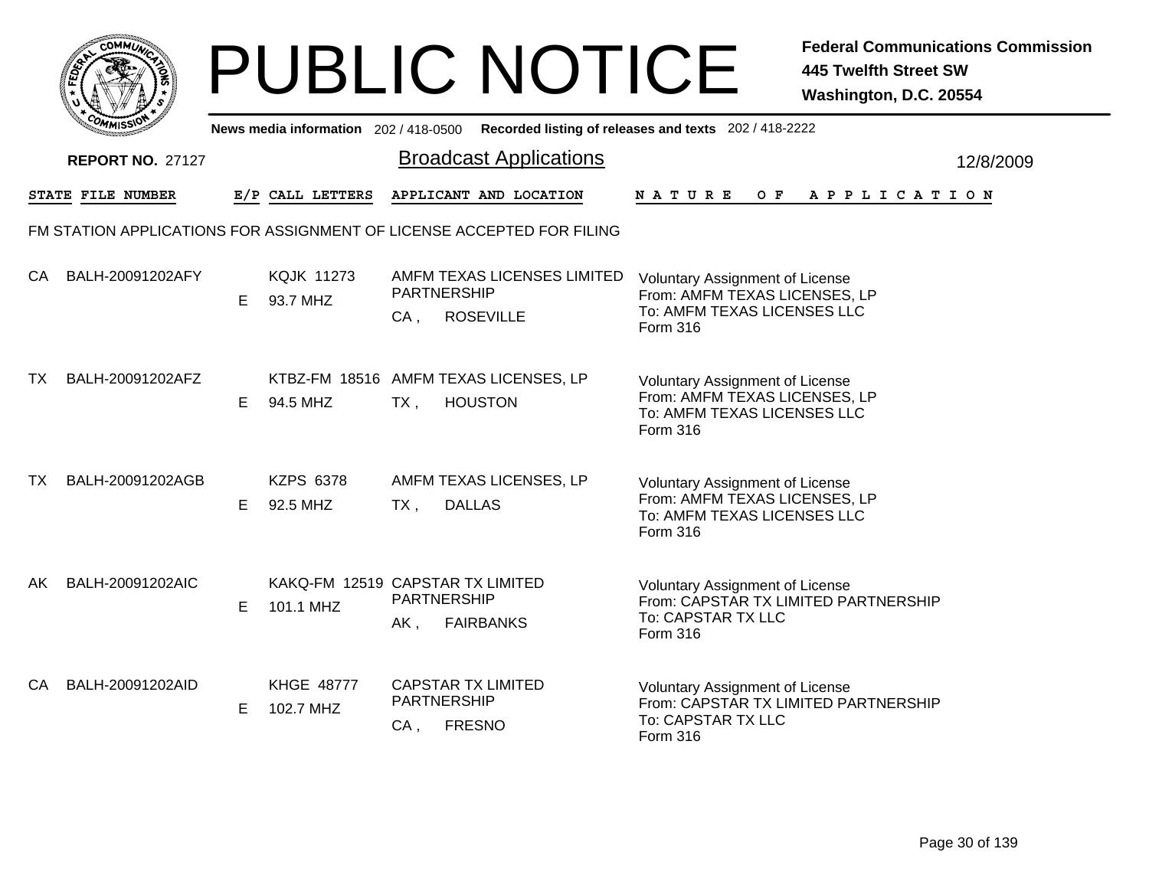|                                       | レー<br>JBI                     |
|---------------------------------------|-------------------------------|
|                                       | <b>News media information</b> |
| <b>REPORT NO. 27127</b>               |                               |
| <b>STATE FILE NUMBER</b>              | E/P CALL LETTEF               |
| M STATION APPLICATIONS FOR ASSIGNMENT |                               |
|                                       |                               |

|           | <b>COMMISSION</b>       |    |                                               |        | News media information 202 / 418-0500 Recorded listing of releases and texts 202 / 418-2222 |                                                                                                                           |           |
|-----------|-------------------------|----|-----------------------------------------------|--------|---------------------------------------------------------------------------------------------|---------------------------------------------------------------------------------------------------------------------------|-----------|
|           | <b>REPORT NO. 27127</b> |    |                                               |        | <b>Broadcast Applications</b>                                                               |                                                                                                                           | 12/8/2009 |
|           | STATE FILE NUMBER       |    | E/P CALL LETTERS                              |        | APPLICANT AND LOCATION                                                                      | <b>NATURE</b><br>OF APPLICATION                                                                                           |           |
|           |                         |    |                                               |        | FM STATION APPLICATIONS FOR ASSIGNMENT OF LICENSE ACCEPTED FOR FILING                       |                                                                                                                           |           |
| CA        | BALH-20091202AFY        | E. | <b>KQJK 11273</b><br>93.7 MHZ                 | $CA$ , | AMFM TEXAS LICENSES LIMITED<br>PARTNERSHIP<br><b>ROSEVILLE</b>                              | <b>Voluntary Assignment of License</b><br>From: AMFM TEXAS LICENSES, LP<br>To: AMFM TEXAS LICENSES LLC<br>Form 316        |           |
| TX.       | BALH-20091202AFZ        | E. | 94.5 MHZ                                      | $TX$ , | KTBZ-FM 18516 AMFM TEXAS LICENSES, LP<br><b>HOUSTON</b>                                     | <b>Voluntary Assignment of License</b><br>From: AMFM TEXAS LICENSES, LP<br>To: AMFM TEXAS LICENSES LLC<br><b>Form 316</b> |           |
| <b>TX</b> | BALH-20091202AGB        | E. | <b>KZPS 6378</b><br>92.5 MHZ                  | $TX$ , | AMFM TEXAS LICENSES, LP<br><b>DALLAS</b>                                                    | <b>Voluntary Assignment of License</b><br>From: AMFM TEXAS LICENSES, LP<br>To: AMFM TEXAS LICENSES LLC<br>Form 316        |           |
| AK.       | BALH-20091202AIC        | E  | KAKQ-FM 12519 CAPSTAR TX LIMITED<br>101.1 MHZ | AK,    | PARTNERSHIP<br><b>FAIRBANKS</b>                                                             | <b>Voluntary Assignment of License</b><br>From: CAPSTAR TX LIMITED PARTNERSHIP<br>To: CAPSTAR TX LLC<br>Form 316          |           |
| CA        | BALH-20091202AID        | Е  | <b>KHGE 48777</b><br>102.7 MHZ                | $CA$ , | <b>CAPSTAR TX LIMITED</b><br>PARTNERSHIP<br><b>FRESNO</b>                                   | <b>Voluntary Assignment of License</b><br>From: CAPSTAR TX LIMITED PARTNERSHIP<br>To: CAPSTAR TX LLC<br>Form 316          |           |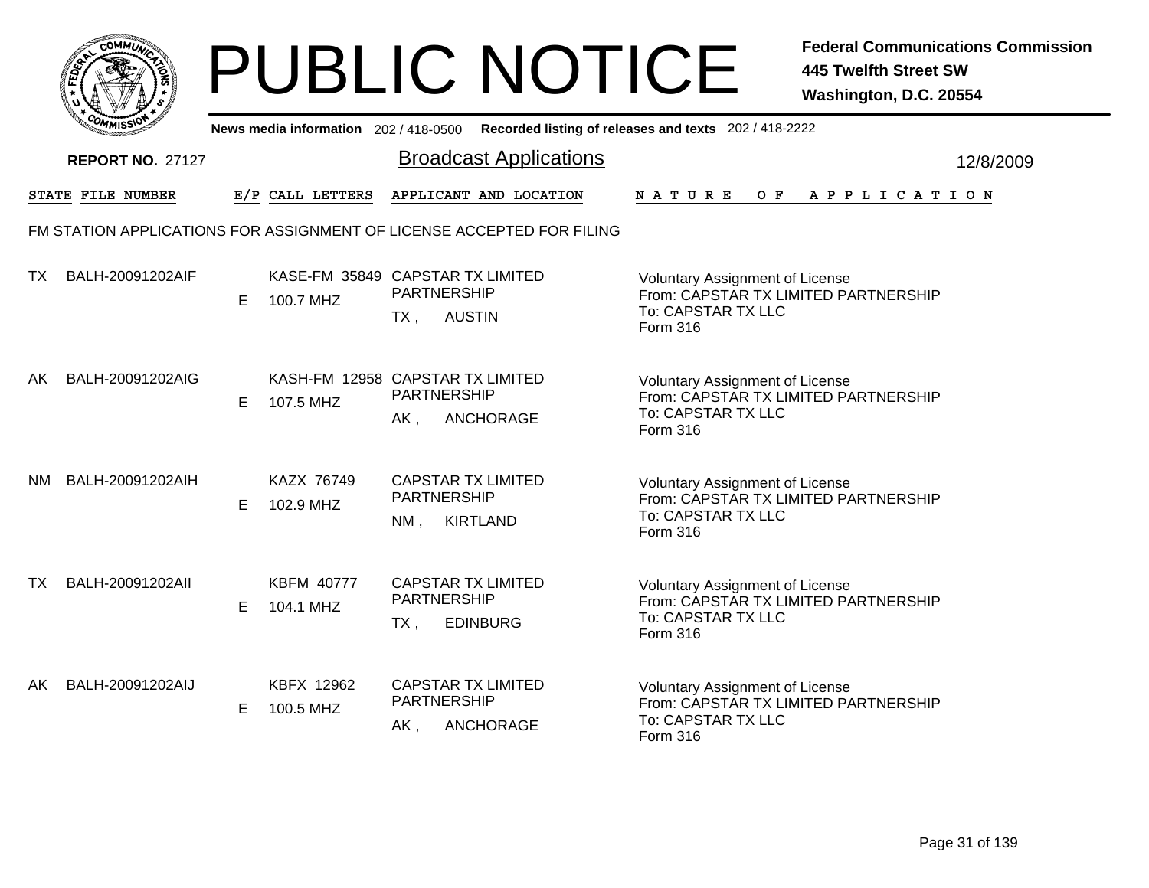| ום<br><b>MMUNA</b><br>C.  |  |
|---------------------------|--|
| ુ<br>5<br>w               |  |
| r.                        |  |
| COMI<br>MISS <sup>\</sup> |  |
|                           |  |

|    | <b>COMMISSIN</b>        |   | News media information 202 / 418-0500         |        |                                                                       | Recorded listing of releases and texts 202 / 418-2222                                                            |           |
|----|-------------------------|---|-----------------------------------------------|--------|-----------------------------------------------------------------------|------------------------------------------------------------------------------------------------------------------|-----------|
|    | <b>REPORT NO. 27127</b> |   |                                               |        | <b>Broadcast Applications</b>                                         |                                                                                                                  | 12/8/2009 |
|    | STATE FILE NUMBER       |   | E/P CALL LETTERS                              |        | APPLICANT AND LOCATION                                                | N A T U R E<br>O F<br>A P P L I C A T I O N                                                                      |           |
|    |                         |   |                                               |        | FM STATION APPLICATIONS FOR ASSIGNMENT OF LICENSE ACCEPTED FOR FILING |                                                                                                                  |           |
| TX | BALH-20091202AIF        | Е | KASE-FM 35849 CAPSTAR TX LIMITED<br>100.7 MHZ | $TX$ , | PARTNERSHIP<br><b>AUSTIN</b>                                          | Voluntary Assignment of License<br>From: CAPSTAR TX LIMITED PARTNERSHIP<br>To: CAPSTAR TX LLC<br>Form 316        |           |
| AK | BALH-20091202AIG        | Е | KASH-FM 12958 CAPSTAR TX LIMITED<br>107.5 MHZ | AK,    | <b>PARTNERSHIP</b><br>ANCHORAGE                                       | <b>Voluntary Assignment of License</b><br>From: CAPSTAR TX LIMITED PARTNERSHIP<br>To: CAPSTAR TX LLC<br>Form 316 |           |
| NM | BALH-20091202AIH        | Е | KAZX 76749<br>102.9 MHZ                       | NM,    | <b>CAPSTAR TX LIMITED</b><br><b>PARTNERSHIP</b><br><b>KIRTLAND</b>    | <b>Voluntary Assignment of License</b><br>From: CAPSTAR TX LIMITED PARTNERSHIP<br>To: CAPSTAR TX LLC<br>Form 316 |           |
| TX | BALH-20091202All        | E | <b>KBFM 40777</b><br>104.1 MHZ                | $TX$ , | <b>CAPSTAR TX LIMITED</b><br><b>PARTNERSHIP</b><br><b>EDINBURG</b>    | Voluntary Assignment of License<br>From: CAPSTAR TX LIMITED PARTNERSHIP<br>To: CAPSTAR TX LLC<br>Form 316        |           |
| AK | BALH-20091202AIJ        | Е | KBFX 12962<br>100.5 MHZ                       | AK,    | <b>CAPSTAR TX LIMITED</b><br><b>PARTNERSHIP</b><br>ANCHORAGE          | Voluntary Assignment of License<br>From: CAPSTAR TX LIMITED PARTNERSHIP<br>To: CAPSTAR TX LLC<br>Form 316        |           |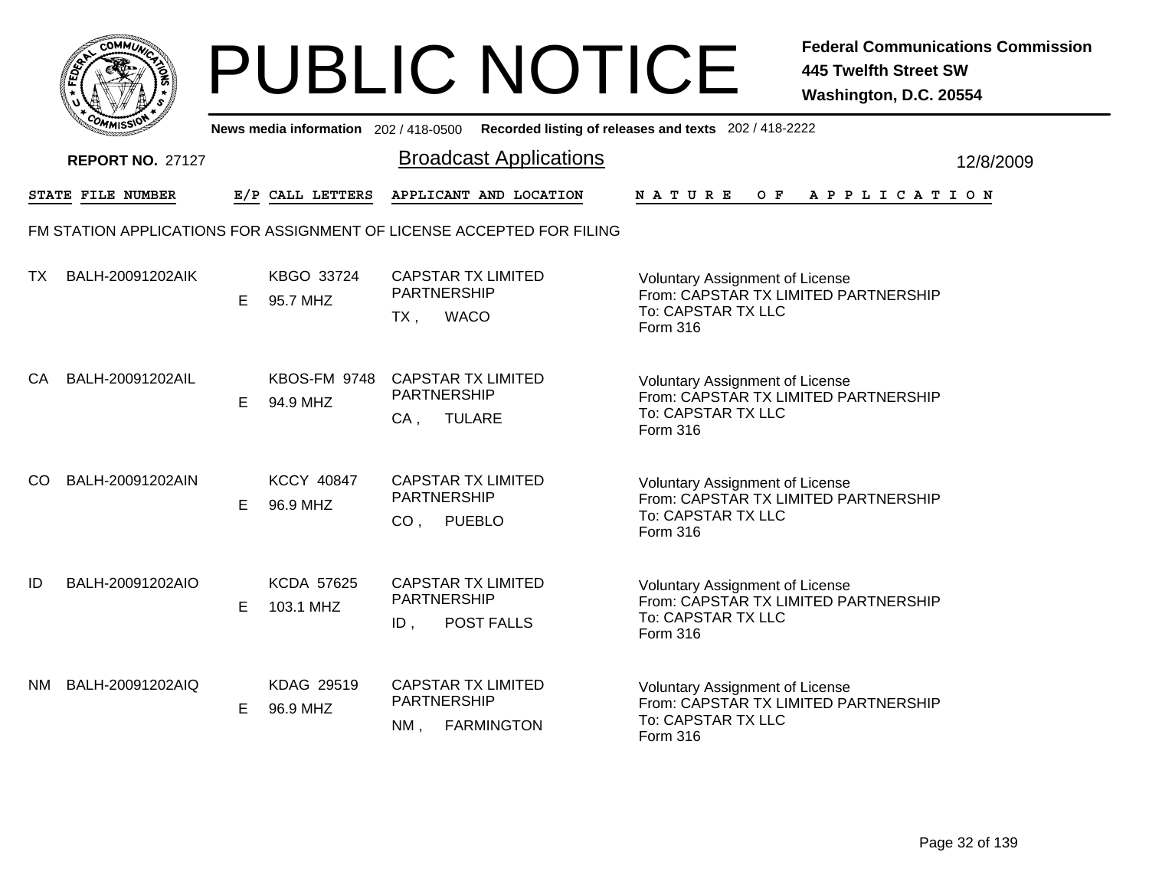|       | MMUNICT<br>c۵۱ |  |
|-------|----------------|--|
| FEDET |                |  |
|       |                |  |
|       | COMI<br>MISS   |  |

|    | יככוומדי                |    |                                 | News media information 202/418-0500 Recorded listing of releases and texts 202/418-2222 |                                                                                                                  |           |
|----|-------------------------|----|---------------------------------|-----------------------------------------------------------------------------------------|------------------------------------------------------------------------------------------------------------------|-----------|
|    | <b>REPORT NO. 27127</b> |    |                                 | <b>Broadcast Applications</b>                                                           |                                                                                                                  | 12/8/2009 |
|    | STATE FILE NUMBER       |    | E/P CALL LETTERS                | APPLICANT AND LOCATION                                                                  | O F<br><b>NATURE</b><br>A P P L I C A T I O N                                                                    |           |
|    |                         |    |                                 | FM STATION APPLICATIONS FOR ASSIGNMENT OF LICENSE ACCEPTED FOR FILING                   |                                                                                                                  |           |
| ТX | BALH-20091202AIK        | E  | KBGO 33724<br>95.7 MHZ          | <b>CAPSTAR TX LIMITED</b><br><b>PARTNERSHIP</b><br><b>WACO</b><br>TX,                   | Voluntary Assignment of License<br>From: CAPSTAR TX LIMITED PARTNERSHIP<br>To: CAPSTAR TX LLC<br>Form 316        |           |
| СA | BALH-20091202AIL        | E. | <b>KBOS-FM 9748</b><br>94.9 MHZ | <b>CAPSTAR TX LIMITED</b><br><b>PARTNERSHIP</b><br><b>TULARE</b><br>$CA$ ,              | <b>Voluntary Assignment of License</b><br>From: CAPSTAR TX LIMITED PARTNERSHIP<br>To: CAPSTAR TX LLC<br>Form 316 |           |
| CO | BALH-20091202AIN        | Е  | <b>KCCY 40847</b><br>96.9 MHZ   | <b>CAPSTAR TX LIMITED</b><br><b>PARTNERSHIP</b><br>CO <sub>1</sub><br><b>PUEBLO</b>     | <b>Voluntary Assignment of License</b><br>From: CAPSTAR TX LIMITED PARTNERSHIP<br>To: CAPSTAR TX LLC<br>Form 316 |           |
| ID | BALH-20091202AIO        | E  | <b>KCDA 57625</b><br>103.1 MHZ  | <b>CAPSTAR TX LIMITED</b><br><b>PARTNERSHIP</b><br><b>POST FALLS</b><br>ID,             | <b>Voluntary Assignment of License</b><br>From: CAPSTAR TX LIMITED PARTNERSHIP<br>To: CAPSTAR TX LLC<br>Form 316 |           |
| NM | BALH-20091202AIQ        | E. | KDAG 29519<br>96.9 MHZ          | <b>CAPSTAR TX LIMITED</b><br>PARTNERSHIP<br><b>FARMINGTON</b><br>$NM$ ,                 | <b>Voluntary Assignment of License</b><br>From: CAPSTAR TX LIMITED PARTNERSHIP<br>To: CAPSTAR TX LLC<br>Form 316 |           |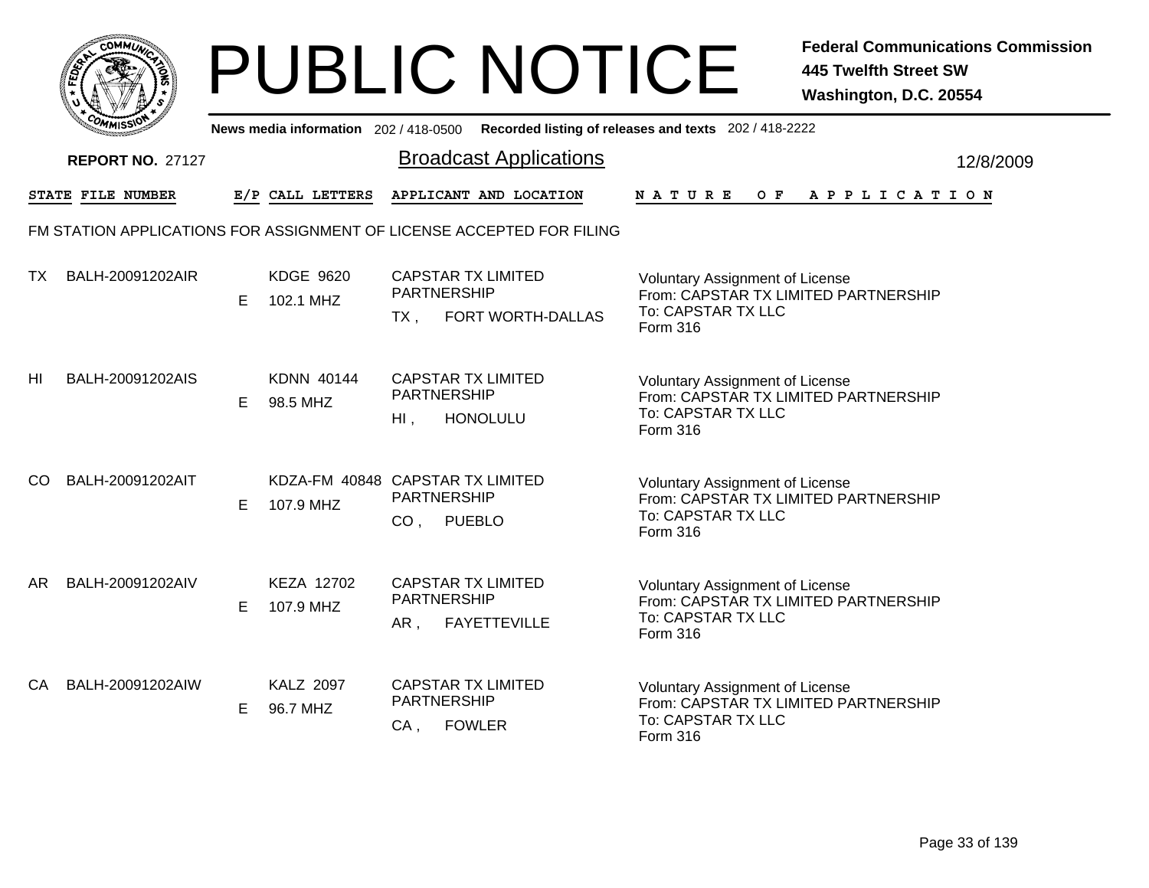

|     | יככוואויי               |    |                                               |                                       |                                                                       | News media information 202/418-0500 Recorded listing of releases and texts 202/418-2222                                 |           |
|-----|-------------------------|----|-----------------------------------------------|---------------------------------------|-----------------------------------------------------------------------|-------------------------------------------------------------------------------------------------------------------------|-----------|
|     | <b>REPORT NO. 27127</b> |    |                                               |                                       | <b>Broadcast Applications</b>                                         |                                                                                                                         | 12/8/2009 |
|     | STATE FILE NUMBER       |    | E/P CALL LETTERS                              |                                       | APPLICANT AND LOCATION                                                | OF APPLICATION<br><b>NATURE</b>                                                                                         |           |
|     |                         |    |                                               |                                       | FM STATION APPLICATIONS FOR ASSIGNMENT OF LICENSE ACCEPTED FOR FILING |                                                                                                                         |           |
| TX  | BALH-20091202AIR        | E. | <b>KDGE 9620</b><br>102.1 MHZ                 | <b>PARTNERSHIP</b><br>TX.             | <b>CAPSTAR TX LIMITED</b><br>FORT WORTH-DALLAS                        | <b>Voluntary Assignment of License</b><br>From: CAPSTAR TX LIMITED PARTNERSHIP<br>To: CAPSTAR TX LLC<br>Form 316        |           |
| HI  | BALH-20091202AIS        | E. | <b>KDNN 40144</b><br>98.5 MHZ                 | <b>PARTNERSHIP</b><br>$H_{\perp}$ ,   | <b>CAPSTAR TX LIMITED</b><br><b>HONOLULU</b>                          | <b>Voluntary Assignment of License</b><br>From: CAPSTAR TX LIMITED PARTNERSHIP<br>To: CAPSTAR TX LLC<br>Form 316        |           |
| CO. | BALH-20091202AIT        | E. | KDZA-FM 40848 CAPSTAR TX LIMITED<br>107.9 MHZ | <b>PARTNERSHIP</b><br>CO <sub>1</sub> | <b>PUEBLO</b>                                                         | <b>Voluntary Assignment of License</b><br>From: CAPSTAR TX LIMITED PARTNERSHIP<br>To: CAPSTAR TX LLC<br>Form 316        |           |
| AR. | BALH-20091202AIV        | E. | KEZA 12702<br>107.9 MHZ                       | <b>PARTNERSHIP</b><br>AR,             | <b>CAPSTAR TX LIMITED</b><br><b>FAYETTEVILLE</b>                      | <b>Voluntary Assignment of License</b><br>From: CAPSTAR TX LIMITED PARTNERSHIP<br>To: CAPSTAR TX LLC<br><b>Form 316</b> |           |
| CA. | BALH-20091202AIW        | E. | <b>KALZ 2097</b><br>96.7 MHZ                  | PARTNERSHIP<br>CA,                    | <b>CAPSTAR TX LIMITED</b><br><b>FOWLER</b>                            | <b>Voluntary Assignment of License</b><br>From: CAPSTAR TX LIMITED PARTNERSHIP<br>To: CAPSTAR TX LLC<br>Form 316        |           |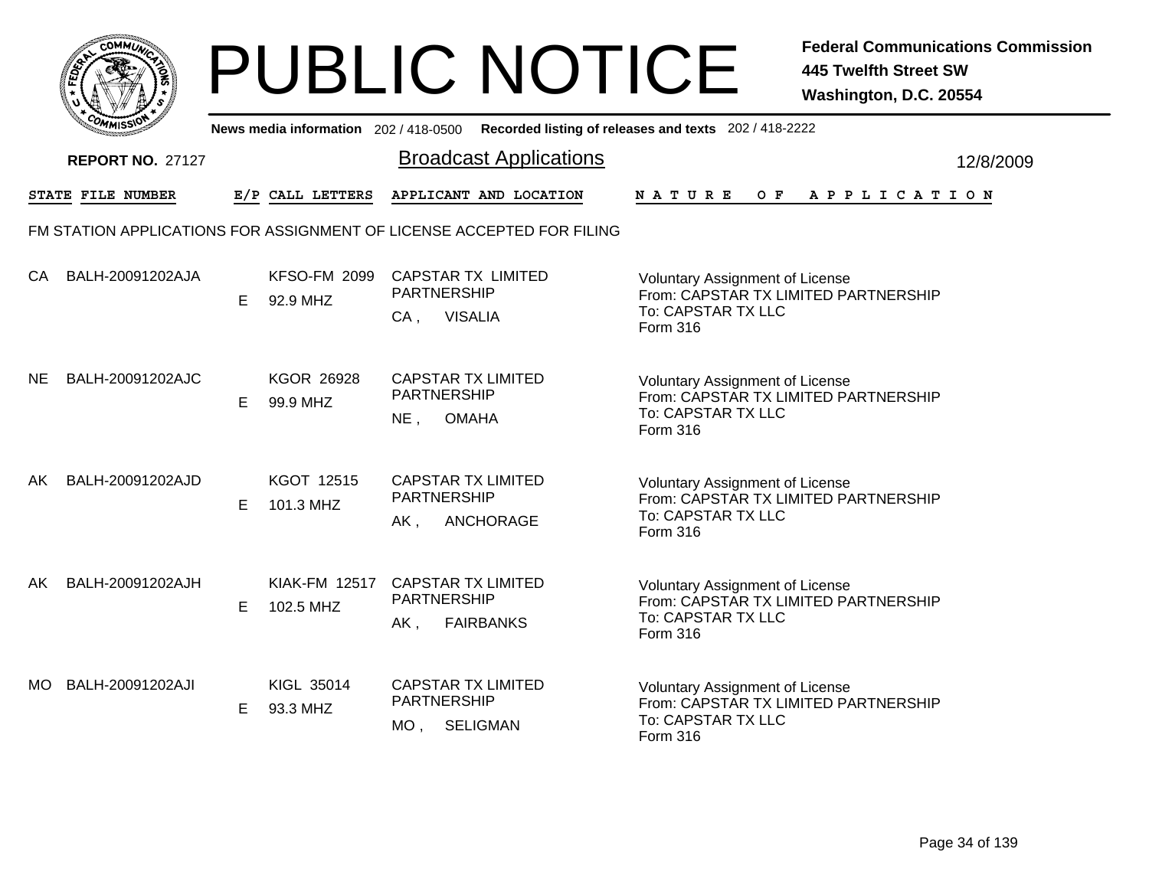|       | MMUNICT<br>CO <sub>1</sub> |  |
|-------|----------------------------|--|
| FEDET |                            |  |
|       |                            |  |
|       | COA<br>MISS                |  |

|     | יככוומי                 |    |                                   | News media information 202/418-0500 Recorded listing of releases and texts 202/418-2222 |                                                                                                                  |           |
|-----|-------------------------|----|-----------------------------------|-----------------------------------------------------------------------------------------|------------------------------------------------------------------------------------------------------------------|-----------|
|     | <b>REPORT NO. 27127</b> |    |                                   | <b>Broadcast Applications</b>                                                           |                                                                                                                  | 12/8/2009 |
|     | STATE FILE NUMBER       |    | E/P CALL LETTERS                  | APPLICANT AND LOCATION                                                                  | O F<br><b>NATURE</b><br>A P P L I C A T I O N                                                                    |           |
|     |                         |    |                                   | FM STATION APPLICATIONS FOR ASSIGNMENT OF LICENSE ACCEPTED FOR FILING                   |                                                                                                                  |           |
| CA  | BALH-20091202AJA        | E  | <b>KFSO-FM 2099</b><br>92.9 MHZ   | <b>CAPSTAR TX LIMITED</b><br><b>PARTNERSHIP</b><br><b>VISALIA</b><br>$CA$ ,             | Voluntary Assignment of License<br>From: CAPSTAR TX LIMITED PARTNERSHIP<br>To: CAPSTAR TX LLC<br>Form 316        |           |
| NE. | BALH-20091202AJC        | E  | <b>KGOR 26928</b><br>99.9 MHZ     | <b>CAPSTAR TX LIMITED</b><br><b>PARTNERSHIP</b><br><b>OMAHA</b><br>$NE$ ,               | <b>Voluntary Assignment of License</b><br>From: CAPSTAR TX LIMITED PARTNERSHIP<br>To: CAPSTAR TX LLC<br>Form 316 |           |
| AK  | BALH-20091202AJD        | Е  | KGOT 12515<br>101.3 MHZ           | <b>CAPSTAR TX LIMITED</b><br><b>PARTNERSHIP</b><br>ANCHORAGE<br>AK,                     | <b>Voluntary Assignment of License</b><br>From: CAPSTAR TX LIMITED PARTNERSHIP<br>To: CAPSTAR TX LLC<br>Form 316 |           |
| AK  | BALH-20091202AJH        | E  | <b>KIAK-FM 12517</b><br>102.5 MHZ | <b>CAPSTAR TX LIMITED</b><br><b>PARTNERSHIP</b><br><b>FAIRBANKS</b><br>AK,              | <b>Voluntary Assignment of License</b><br>From: CAPSTAR TX LIMITED PARTNERSHIP<br>To: CAPSTAR TX LLC<br>Form 316 |           |
| MO  | BALH-20091202AJI        | E. | KIGL 35014<br>93.3 MHZ            | <b>CAPSTAR TX LIMITED</b><br>PARTNERSHIP<br>SELIGMAN<br>MO ,                            | Voluntary Assignment of License<br>From: CAPSTAR TX LIMITED PARTNERSHIP<br>To: CAPSTAR TX LLC<br>Form 316        |           |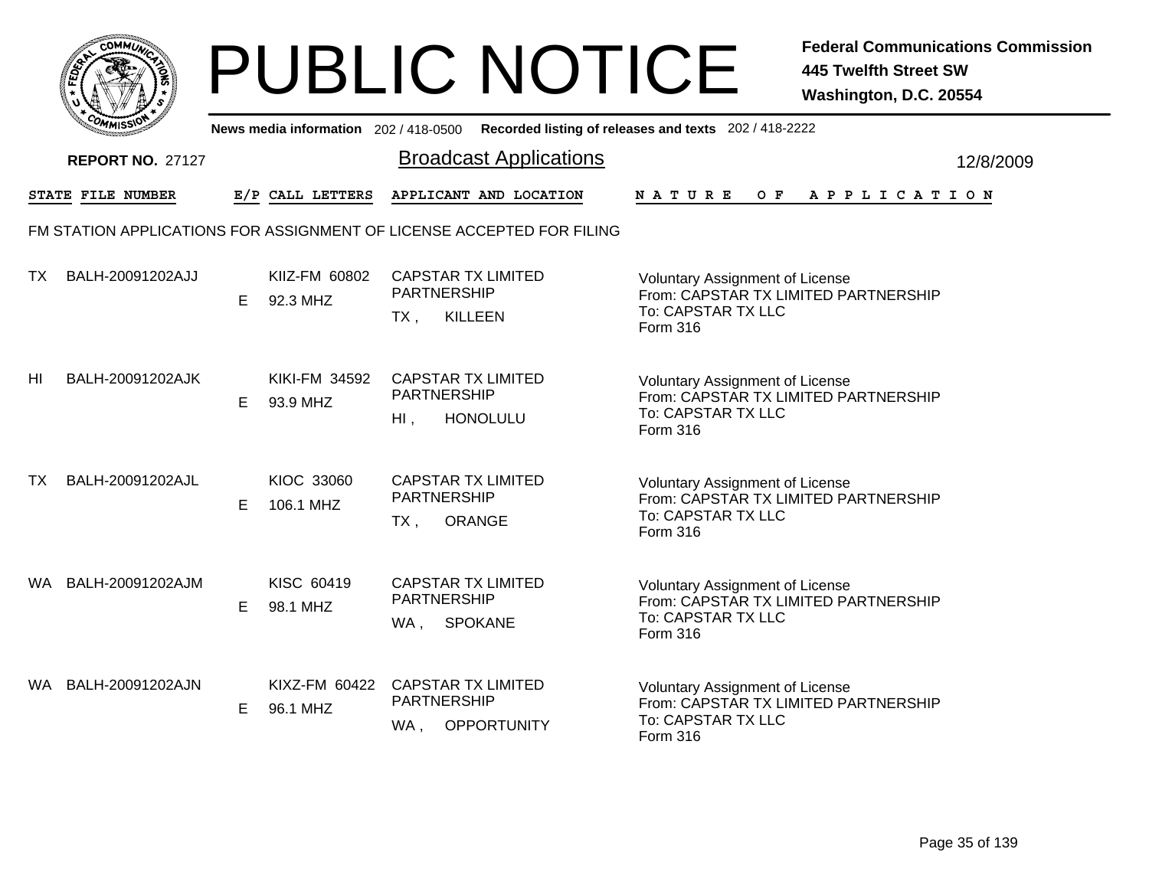|     | MMUNICT<br><b>CO</b> |  |
|-----|----------------------|--|
| ప్త |                      |  |
|     |                      |  |
|     | COM<br>MISS<br>m     |  |

|    | יככוומדי                                                              |    |                           | News media information 202/418-0500 Recorded listing of releases and texts 202/418-2222 |                 |                                                                                                      |     |  |  |                       |           |
|----|-----------------------------------------------------------------------|----|---------------------------|-----------------------------------------------------------------------------------------|-----------------|------------------------------------------------------------------------------------------------------|-----|--|--|-----------------------|-----------|
|    | <b>REPORT NO. 27127</b>                                               |    |                           | <b>Broadcast Applications</b>                                                           |                 |                                                                                                      |     |  |  |                       | 12/8/2009 |
|    | <b>STATE FILE NUMBER</b>                                              |    | E/P CALL LETTERS          | APPLICANT AND LOCATION                                                                  | <b>NATURE</b>   |                                                                                                      | O F |  |  | A P P L I C A T I O N |           |
|    | FM STATION APPLICATIONS FOR ASSIGNMENT OF LICENSE ACCEPTED FOR FILING |    |                           |                                                                                         |                 |                                                                                                      |     |  |  |                       |           |
| ТX | BALH-20091202AJJ                                                      | Е  | KIIZ-FM 60802<br>92.3 MHZ | <b>CAPSTAR TX LIMITED</b><br><b>PARTNERSHIP</b><br><b>KILLEEN</b><br>$TX$ ,             | Form 316        | Voluntary Assignment of License<br>From: CAPSTAR TX LIMITED PARTNERSHIP<br>To: CAPSTAR TX LLC        |     |  |  |                       |           |
| HI | BALH-20091202AJK                                                      | Е  | KIKI-FM 34592<br>93.9 MHZ | <b>CAPSTAR TX LIMITED</b><br><b>PARTNERSHIP</b><br>$HI$ ,<br><b>HONOLULU</b>            | Form 316        | <b>Voluntary Assignment of License</b><br>From: CAPSTAR TX LIMITED PARTNERSHIP<br>To: CAPSTAR TX LLC |     |  |  |                       |           |
| ТX | BALH-20091202AJL                                                      | E  | KIOC 33060<br>106.1 MHZ   | <b>CAPSTAR TX LIMITED</b><br>PARTNERSHIP<br><b>ORANGE</b><br>$TX$ ,                     | Form 316        | <b>Voluntary Assignment of License</b><br>From: CAPSTAR TX LIMITED PARTNERSHIP<br>To: CAPSTAR TX LLC |     |  |  |                       |           |
|    | WA BALH-20091202AJM                                                   | E. | KISC 60419<br>98.1 MHZ    | <b>CAPSTAR TX LIMITED</b><br><b>PARTNERSHIP</b><br><b>SPOKANE</b><br>WA,                | <b>Form 316</b> | Voluntary Assignment of License<br>From: CAPSTAR TX LIMITED PARTNERSHIP<br>To: CAPSTAR TX LLC        |     |  |  |                       |           |
|    | WA BALH-20091202AJN                                                   | E  | KIXZ-FM 60422<br>96.1 MHZ | <b>CAPSTAR TX LIMITED</b><br>PARTNERSHIP<br>WA,<br><b>OPPORTUNITY</b>                   | <b>Form 316</b> | <b>Voluntary Assignment of License</b><br>From: CAPSTAR TX LIMITED PARTNERSHIP<br>To: CAPSTAR TX LLC |     |  |  |                       |           |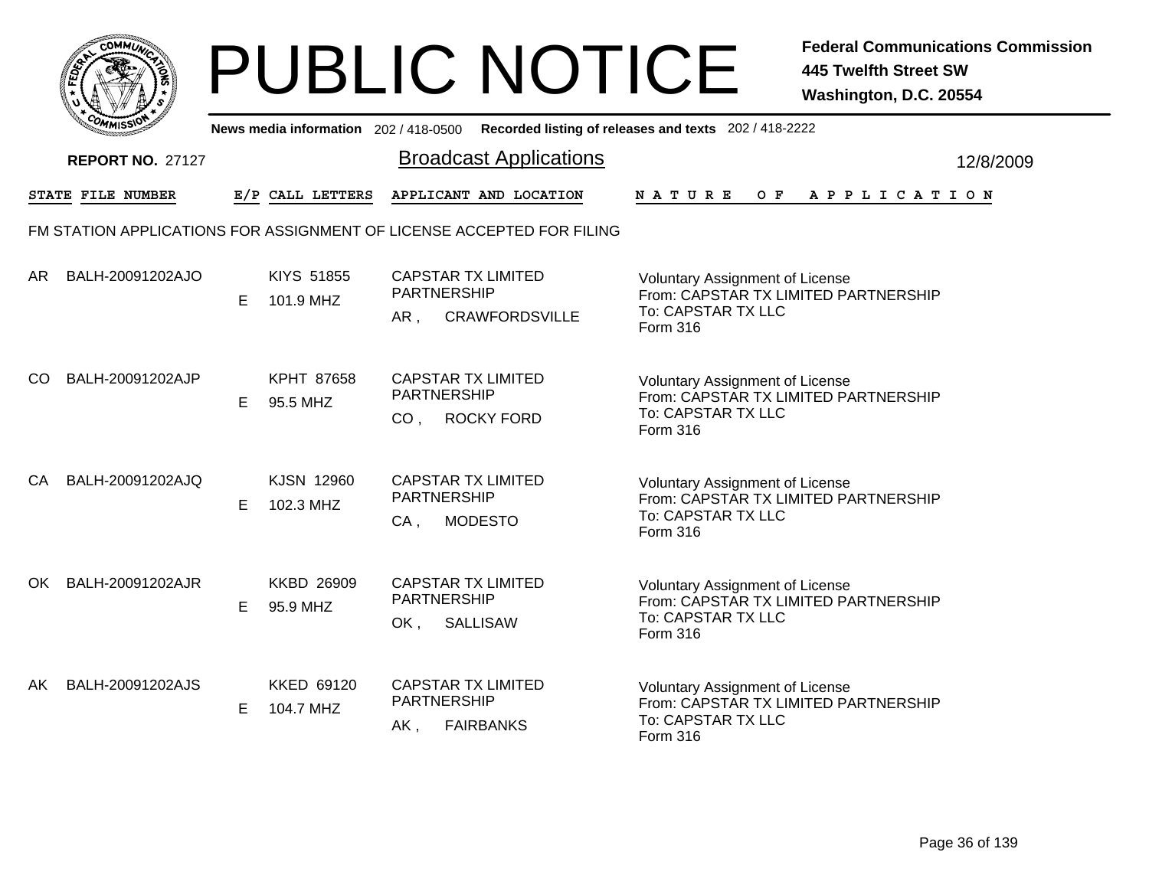

|     | <b>MMISS</b>            |   |                               | News media information 202/418-0500 Recorded listing of releases and texts 202/418-2222 |                                                                                                                  |           |
|-----|-------------------------|---|-------------------------------|-----------------------------------------------------------------------------------------|------------------------------------------------------------------------------------------------------------------|-----------|
|     | <b>REPORT NO. 27127</b> |   |                               | <b>Broadcast Applications</b>                                                           |                                                                                                                  | 12/8/2009 |
|     | STATE FILE NUMBER       |   | E/P CALL LETTERS              | APPLICANT AND LOCATION                                                                  | <b>NATURE</b><br>O F<br>A P P L I C A T I O N                                                                    |           |
|     |                         |   |                               | FM STATION APPLICATIONS FOR ASSIGNMENT OF LICENSE ACCEPTED FOR FILING                   |                                                                                                                  |           |
| AR  | BALH-20091202AJO        | E | KIYS 51855<br>101.9 MHZ       | <b>CAPSTAR TX LIMITED</b><br><b>PARTNERSHIP</b><br><b>CRAWFORDSVILLE</b><br>AR,         | <b>Voluntary Assignment of License</b><br>From: CAPSTAR TX LIMITED PARTNERSHIP<br>To: CAPSTAR TX LLC<br>Form 316 |           |
| CO  | BALH-20091202AJP        | Е | <b>KPHT 87658</b><br>95.5 MHZ | <b>CAPSTAR TX LIMITED</b><br><b>PARTNERSHIP</b><br><b>ROCKY FORD</b><br>CO <sub>1</sub> | <b>Voluntary Assignment of License</b><br>From: CAPSTAR TX LIMITED PARTNERSHIP<br>To: CAPSTAR TX LLC<br>Form 316 |           |
| CA  | BALH-20091202AJQ        | Е | KJSN 12960<br>102.3 MHZ       | <b>CAPSTAR TX LIMITED</b><br>PARTNERSHIP<br><b>MODESTO</b><br>CA,                       | Voluntary Assignment of License<br>From: CAPSTAR TX LIMITED PARTNERSHIP<br>To: CAPSTAR TX LLC<br>Form 316        |           |
| OK. | BALH-20091202AJR        | Е | <b>KKBD 26909</b><br>95.9 MHZ | <b>CAPSTAR TX LIMITED</b><br><b>PARTNERSHIP</b><br><b>SALLISAW</b><br>OK,               | <b>Voluntary Assignment of License</b><br>From: CAPSTAR TX LIMITED PARTNERSHIP<br>To: CAPSTAR TX LLC<br>Form 316 |           |
| AK  | BALH-20091202AJS        | E | KKED 69120<br>104.7 MHZ       | <b>CAPSTAR TX LIMITED</b><br><b>PARTNERSHIP</b><br>AK,<br><b>FAIRBANKS</b>              | Voluntary Assignment of License<br>From: CAPSTAR TX LIMITED PARTNERSHIP<br>To: CAPSTAR TX LLC<br>Form 316        |           |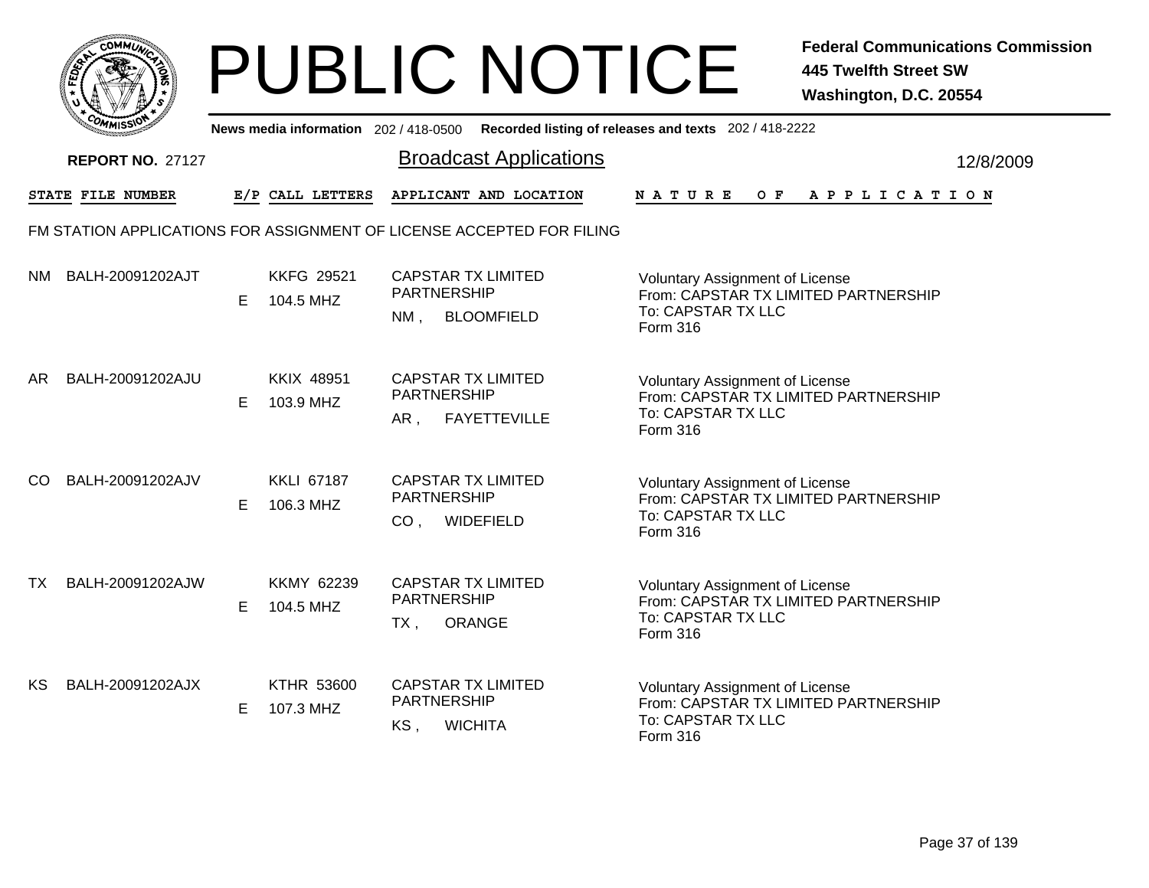

|           | <b>COMMISSION</b><br>News media information 202 / 418-0500 Recorded listing of releases and texts 202 / 418-2222 |   |                                |                                                                                        |                                                                                                                         |           |  |  |  |  |  |
|-----------|------------------------------------------------------------------------------------------------------------------|---|--------------------------------|----------------------------------------------------------------------------------------|-------------------------------------------------------------------------------------------------------------------------|-----------|--|--|--|--|--|
|           | <b>REPORT NO. 27127</b>                                                                                          |   |                                | <b>Broadcast Applications</b>                                                          |                                                                                                                         | 12/8/2009 |  |  |  |  |  |
|           | STATE FILE NUMBER                                                                                                |   | E/P CALL LETTERS               | APPLICANT AND LOCATION                                                                 | NATURE<br>O F<br>A P P L I C A T I O N                                                                                  |           |  |  |  |  |  |
|           |                                                                                                                  |   |                                | FM STATION APPLICATIONS FOR ASSIGNMENT OF LICENSE ACCEPTED FOR FILING                  |                                                                                                                         |           |  |  |  |  |  |
| NM.       | BALH-20091202AJT                                                                                                 | Е | <b>KKFG 29521</b><br>104.5 MHZ | <b>CAPSTAR TX LIMITED</b><br><b>PARTNERSHIP</b><br><b>BLOOMFIELD</b><br>$NM$ .         | <b>Voluntary Assignment of License</b><br>From: CAPSTAR TX LIMITED PARTNERSHIP<br>To: CAPSTAR TX LLC<br><b>Form 316</b> |           |  |  |  |  |  |
| AR        | BALH-20091202AJU                                                                                                 | E | <b>KKIX 48951</b><br>103.9 MHZ | <b>CAPSTAR TX LIMITED</b><br>PARTNERSHIP<br><b>FAYETTEVILLE</b><br>AR,                 | <b>Voluntary Assignment of License</b><br>From: CAPSTAR TX LIMITED PARTNERSHIP<br>To: CAPSTAR TX LLC<br>Form 316        |           |  |  |  |  |  |
| CO        | BALH-20091202AJV                                                                                                 | Е | <b>KKLI 67187</b><br>106.3 MHZ | <b>CAPSTAR TX LIMITED</b><br><b>PARTNERSHIP</b><br>CO <sub>1</sub><br><b>WIDEFIELD</b> | <b>Voluntary Assignment of License</b><br>From: CAPSTAR TX LIMITED PARTNERSHIP<br>To: CAPSTAR TX LLC<br>Form 316        |           |  |  |  |  |  |
| <b>TX</b> | BALH-20091202AJW                                                                                                 | E | <b>KKMY 62239</b><br>104.5 MHZ | <b>CAPSTAR TX LIMITED</b><br>PARTNERSHIP<br>TX,<br>ORANGE                              | <b>Voluntary Assignment of License</b><br>From: CAPSTAR TX LIMITED PARTNERSHIP<br>To: CAPSTAR TX LLC<br>Form 316        |           |  |  |  |  |  |
| KS        | BALH-20091202AJX                                                                                                 | E | <b>KTHR 53600</b><br>107.3 MHZ | <b>CAPSTAR TX LIMITED</b><br>PARTNERSHIP<br>KS,<br><b>WICHITA</b>                      | Voluntary Assignment of License<br>From: CAPSTAR TX LIMITED PARTNERSHIP<br>To: CAPSTAR TX LLC<br>Form 316               |           |  |  |  |  |  |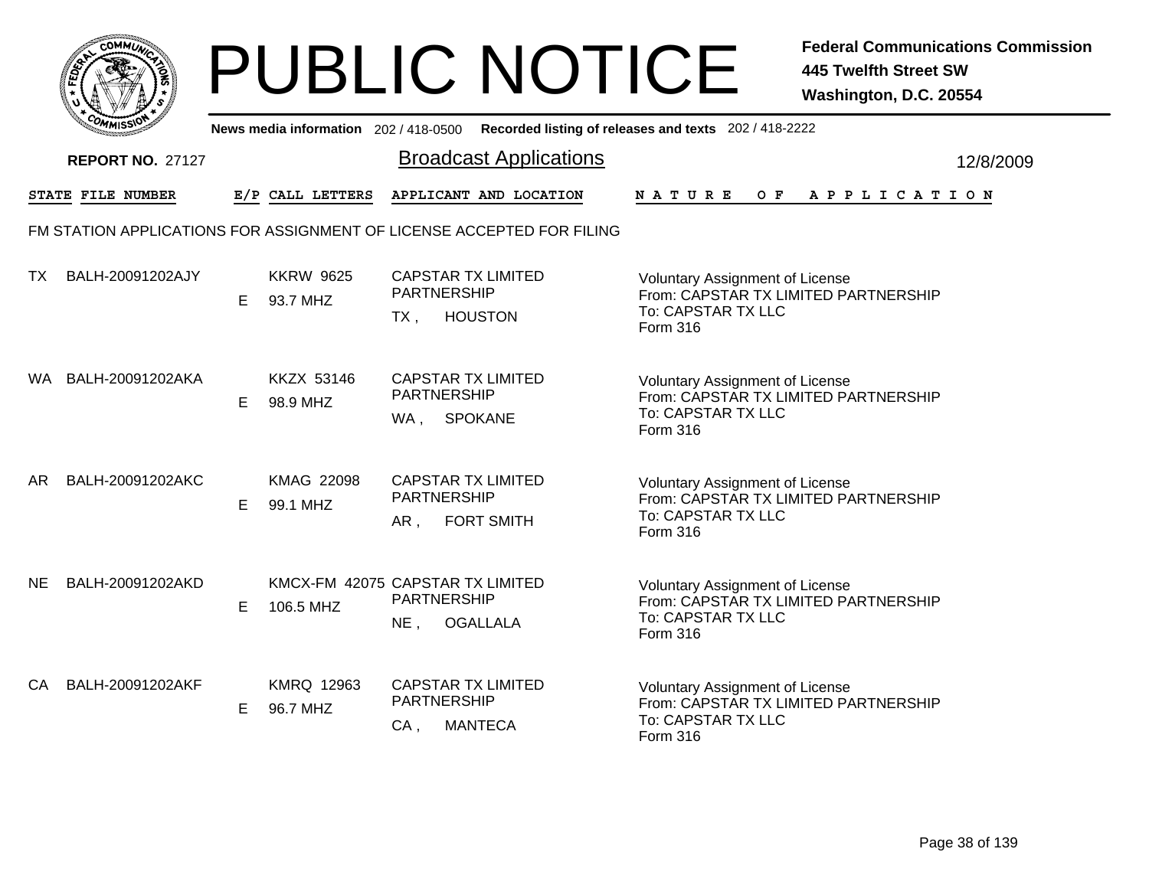

|           | יככוומי<br>News media information 202/418-0500 Recorded listing of releases and texts 202/418-2222 |    |                                               |                                                           |                               |                                                                                                                         |  |  |  |  |  |  |                |  |           |
|-----------|----------------------------------------------------------------------------------------------------|----|-----------------------------------------------|-----------------------------------------------------------|-------------------------------|-------------------------------------------------------------------------------------------------------------------------|--|--|--|--|--|--|----------------|--|-----------|
|           | <b>REPORT NO. 27127</b>                                                                            |    |                                               |                                                           | <b>Broadcast Applications</b> |                                                                                                                         |  |  |  |  |  |  |                |  | 12/8/2009 |
|           | STATE FILE NUMBER                                                                                  |    | E/P CALL LETTERS                              |                                                           | APPLICANT AND LOCATION        | <b>NATURE</b>                                                                                                           |  |  |  |  |  |  | OF APPLICATION |  |           |
|           | FM STATION APPLICATIONS FOR ASSIGNMENT OF LICENSE ACCEPTED FOR FILING                              |    |                                               |                                                           |                               |                                                                                                                         |  |  |  |  |  |  |                |  |           |
| <b>TX</b> | BALH-20091202AJY                                                                                   | E. | <b>KKRW 9625</b><br>93.7 MHZ                  | <b>CAPSTAR TX LIMITED</b><br><b>PARTNERSHIP</b><br>$TX$ , | <b>HOUSTON</b>                | Voluntary Assignment of License<br>From: CAPSTAR TX LIMITED PARTNERSHIP<br>To: CAPSTAR TX LLC<br>Form 316               |  |  |  |  |  |  |                |  |           |
| WA.       | BALH-20091202AKA                                                                                   | E. | KKZX 53146<br>98.9 MHZ                        | <b>CAPSTAR TX LIMITED</b><br>PARTNERSHIP<br>WA .          | <b>SPOKANE</b>                | <b>Voluntary Assignment of License</b><br>From: CAPSTAR TX LIMITED PARTNERSHIP<br>To: CAPSTAR TX LLC<br><b>Form 316</b> |  |  |  |  |  |  |                |  |           |
| AR.       | BALH-20091202AKC                                                                                   | Е  | <b>KMAG 22098</b><br>99.1 MHZ                 | <b>CAPSTAR TX LIMITED</b><br><b>PARTNERSHIP</b><br>AR,    | <b>FORT SMITH</b>             | <b>Voluntary Assignment of License</b><br>From: CAPSTAR TX LIMITED PARTNERSHIP<br>To: CAPSTAR TX LLC<br>Form 316        |  |  |  |  |  |  |                |  |           |
| <b>NE</b> | BALH-20091202AKD                                                                                   | Е  | KMCX-FM 42075 CAPSTAR TX LIMITED<br>106.5 MHZ | PARTNERSHIP<br>NE,                                        | <b>OGALLALA</b>               | <b>Voluntary Assignment of License</b><br>From: CAPSTAR TX LIMITED PARTNERSHIP<br>To: CAPSTAR TX LLC<br>Form 316        |  |  |  |  |  |  |                |  |           |
| CA        | BALH-20091202AKF                                                                                   | E. | <b>KMRQ 12963</b><br>96.7 MHZ                 | <b>CAPSTAR TX LIMITED</b><br>PARTNERSHIP<br>CA,           | <b>MANTECA</b>                | Voluntary Assignment of License<br>From: CAPSTAR TX LIMITED PARTNERSHIP<br>To: CAPSTAR TX LLC<br>Form 316               |  |  |  |  |  |  |                |  |           |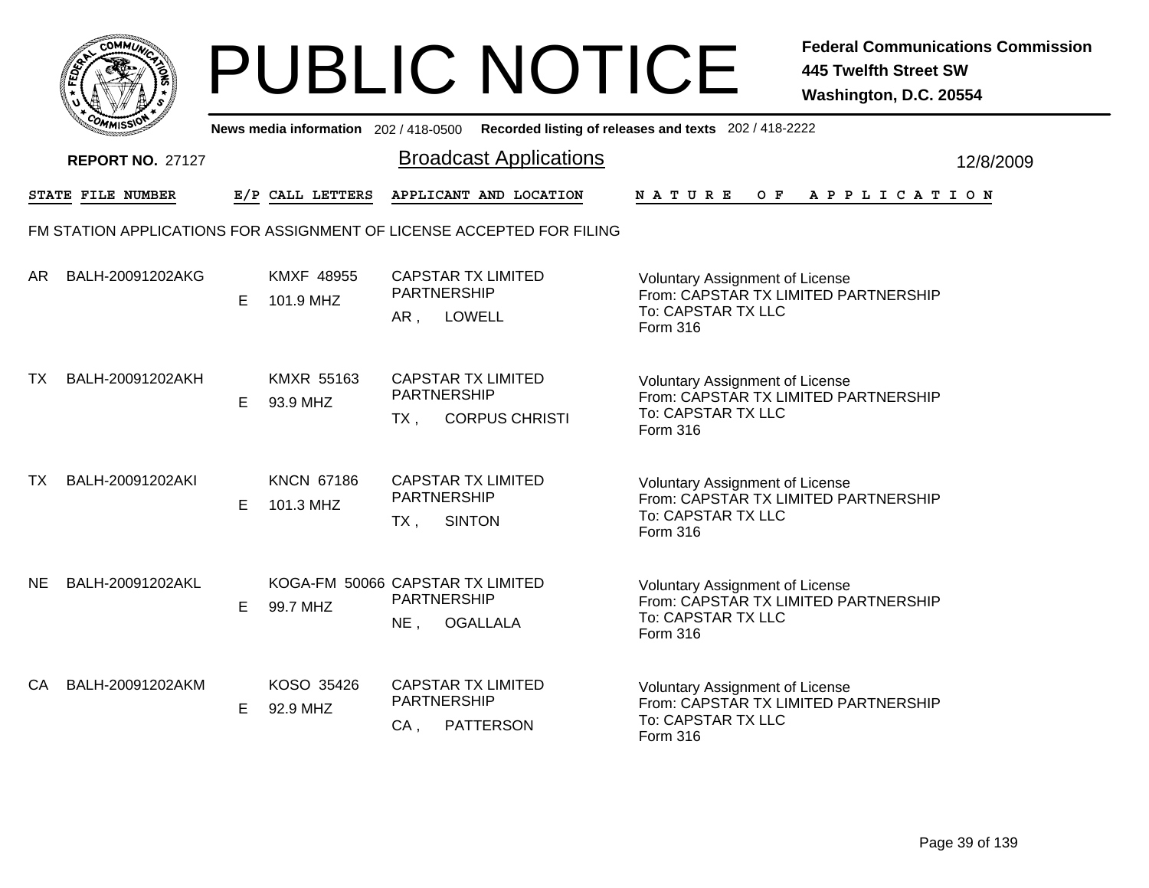

|     | יככוומדי                 |    |                                              |                              | News media information 202/418-0500 Recorded listing of releases and texts 202/418-2222 |               |                                                                                                      |  |     |  |  |                       |  |           |
|-----|--------------------------|----|----------------------------------------------|------------------------------|-----------------------------------------------------------------------------------------|---------------|------------------------------------------------------------------------------------------------------|--|-----|--|--|-----------------------|--|-----------|
|     | <b>REPORT NO. 27127</b>  |    |                                              |                              | <b>Broadcast Applications</b>                                                           |               |                                                                                                      |  |     |  |  |                       |  | 12/8/2009 |
|     | <b>STATE FILE NUMBER</b> |    | E/P CALL LETTERS                             |                              | APPLICANT AND LOCATION                                                                  | <b>NATURE</b> |                                                                                                      |  | O F |  |  | A P P L I C A T I O N |  |           |
|     |                          |    |                                              |                              | FM STATION APPLICATIONS FOR ASSIGNMENT OF LICENSE ACCEPTED FOR FILING                   |               |                                                                                                      |  |     |  |  |                       |  |           |
| AR  | BALH-20091202AKG         | E. | <b>KMXF 48955</b><br>101.9 MHZ               | <b>PARTNERSHIP</b><br>AR,    | <b>CAPSTAR TX LIMITED</b><br><b>LOWELL</b>                                              | Form 316      | <b>Voluntary Assignment of License</b><br>From: CAPSTAR TX LIMITED PARTNERSHIP<br>To: CAPSTAR TX LLC |  |     |  |  |                       |  |           |
| ТX  | BALH-20091202AKH         | E  | <b>KMXR 55163</b><br>93.9 MHZ                | PARTNERSHIP<br>$TX$ .        | <b>CAPSTAR TX LIMITED</b><br><b>CORPUS CHRISTI</b>                                      | Form 316      | <b>Voluntary Assignment of License</b><br>From: CAPSTAR TX LIMITED PARTNERSHIP<br>To: CAPSTAR TX LLC |  |     |  |  |                       |  |           |
| ТX  | BALH-20091202AKI         | Е  | <b>KNCN 67186</b><br>101.3 MHZ               | <b>PARTNERSHIP</b><br>$TX$ , | <b>CAPSTAR TX LIMITED</b><br><b>SINTON</b>                                              | Form 316      | Voluntary Assignment of License<br>From: CAPSTAR TX LIMITED PARTNERSHIP<br>To: CAPSTAR TX LLC        |  |     |  |  |                       |  |           |
| NE. | BALH-20091202AKL         | Е  | KOGA-FM 50066 CAPSTAR TX LIMITED<br>99.7 MHZ | PARTNERSHIP<br>$NE$ ,        | <b>OGALLALA</b>                                                                         | Form 316      | Voluntary Assignment of License<br>From: CAPSTAR TX LIMITED PARTNERSHIP<br>To: CAPSTAR TX LLC        |  |     |  |  |                       |  |           |
| CA  | BALH-20091202AKM         | E  | KOSO 35426<br>92.9 MHZ                       | PARTNERSHIP<br>$CA$ ,        | <b>CAPSTAR TX LIMITED</b><br><b>PATTERSON</b>                                           | Form 316      | <b>Voluntary Assignment of License</b><br>From: CAPSTAR TX LIMITED PARTNERSHIP<br>To: CAPSTAR TX LLC |  |     |  |  |                       |  |           |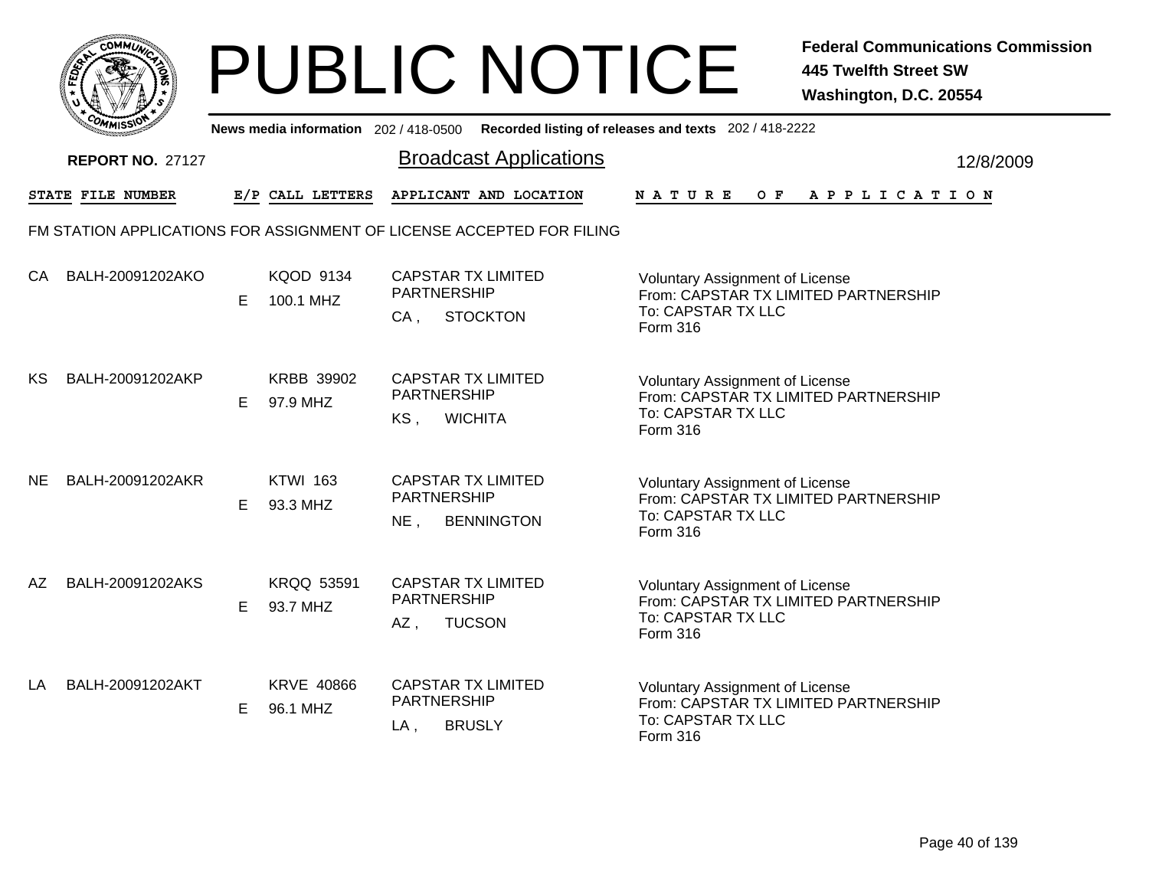

| <b>COMMISSIO</b><br>News media information 202 / 418-0500 Recorded listing of releases and texts 202 / 418-2222 |                                                                       |   |                               |                                                                             |  |                                                                                                                  |           |  |  |  |
|-----------------------------------------------------------------------------------------------------------------|-----------------------------------------------------------------------|---|-------------------------------|-----------------------------------------------------------------------------|--|------------------------------------------------------------------------------------------------------------------|-----------|--|--|--|
|                                                                                                                 | <b>REPORT NO. 27127</b>                                               |   |                               | <b>Broadcast Applications</b>                                               |  |                                                                                                                  | 12/8/2009 |  |  |  |
|                                                                                                                 | STATE FILE NUMBER                                                     |   | E/P CALL LETTERS              | APPLICANT AND LOCATION                                                      |  | NATURE<br>O F<br>A P P L I C A T I O N                                                                           |           |  |  |  |
|                                                                                                                 | FM STATION APPLICATIONS FOR ASSIGNMENT OF LICENSE ACCEPTED FOR FILING |   |                               |                                                                             |  |                                                                                                                  |           |  |  |  |
| CA                                                                                                              | BALH-20091202AKO                                                      | Е | <b>KQOD 9134</b><br>100.1 MHZ | <b>CAPSTAR TX LIMITED</b><br><b>PARTNERSHIP</b><br><b>STOCKTON</b><br>CA,   |  | <b>Voluntary Assignment of License</b><br>From: CAPSTAR TX LIMITED PARTNERSHIP<br>To: CAPSTAR TX LLC<br>Form 316 |           |  |  |  |
| KS                                                                                                              | BALH-20091202AKP                                                      | Е | <b>KRBB 39902</b><br>97.9 MHZ | <b>CAPSTAR TX LIMITED</b><br><b>PARTNERSHIP</b><br><b>WICHITA</b><br>KS,    |  | Voluntary Assignment of License<br>From: CAPSTAR TX LIMITED PARTNERSHIP<br>To: CAPSTAR TX LLC<br>Form 316        |           |  |  |  |
| <b>NE</b>                                                                                                       | BALH-20091202AKR                                                      | Е | <b>KTWI 163</b><br>93.3 MHZ   | <b>CAPSTAR TX LIMITED</b><br><b>PARTNERSHIP</b><br>NE,<br><b>BENNINGTON</b> |  | <b>Voluntary Assignment of License</b><br>From: CAPSTAR TX LIMITED PARTNERSHIP<br>To: CAPSTAR TX LLC<br>Form 316 |           |  |  |  |
| AZ                                                                                                              | BALH-20091202AKS                                                      | E | <b>KRQQ 53591</b><br>93.7 MHZ | <b>CAPSTAR TX LIMITED</b><br>PARTNERSHIP<br><b>TUCSON</b><br>AZ,            |  | Voluntary Assignment of License<br>From: CAPSTAR TX LIMITED PARTNERSHIP<br>To: CAPSTAR TX LLC<br>Form 316        |           |  |  |  |
| LA                                                                                                              | BALH-20091202AKT                                                      | Е | <b>KRVE 40866</b><br>96.1 MHZ | <b>CAPSTAR TX LIMITED</b><br><b>PARTNERSHIP</b><br><b>BRUSLY</b><br>$LA$ ,  |  | Voluntary Assignment of License<br>From: CAPSTAR TX LIMITED PARTNERSHIP<br>To: CAPSTAR TX LLC<br>Form 316        |           |  |  |  |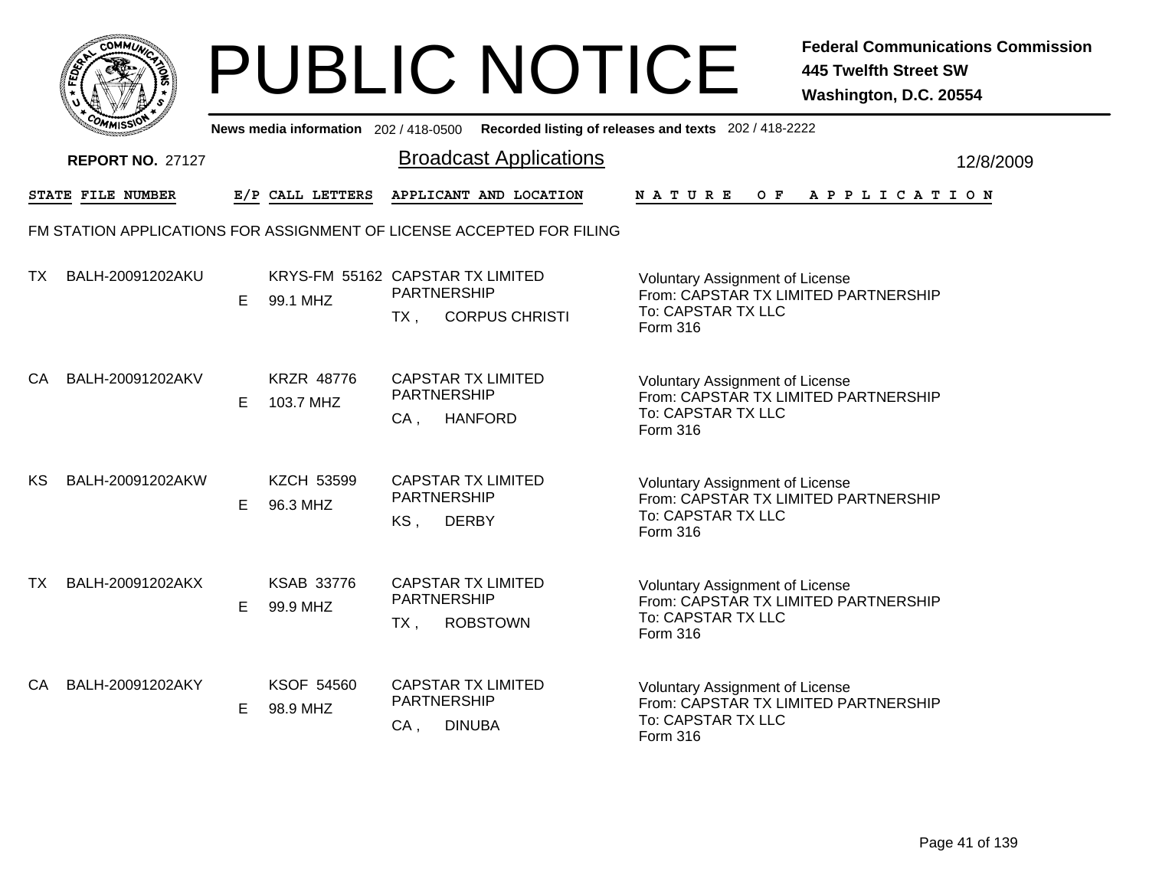|       | MMUNICT<br>c۵۱ |  |
|-------|----------------|--|
| FEDET |                |  |
|       |                |  |
|       | COMI<br>MISS   |  |

|     | יככוואויי<br>News media information 202/418-0500 Recorded listing of releases and texts 202/418-2222 |    |                                              |                              |                                                                       |               |                                                                                                      |  |     |  |  |  |  |                       |           |
|-----|------------------------------------------------------------------------------------------------------|----|----------------------------------------------|------------------------------|-----------------------------------------------------------------------|---------------|------------------------------------------------------------------------------------------------------|--|-----|--|--|--|--|-----------------------|-----------|
|     | <b>REPORT NO. 27127</b>                                                                              |    |                                              |                              | <b>Broadcast Applications</b>                                         |               |                                                                                                      |  |     |  |  |  |  |                       | 12/8/2009 |
|     | STATE FILE NUMBER                                                                                    |    | E/P CALL LETTERS                             |                              | APPLICANT AND LOCATION                                                | <b>NATURE</b> |                                                                                                      |  | O F |  |  |  |  | A P P L I C A T I O N |           |
|     |                                                                                                      |    |                                              |                              | FM STATION APPLICATIONS FOR ASSIGNMENT OF LICENSE ACCEPTED FOR FILING |               |                                                                                                      |  |     |  |  |  |  |                       |           |
| TX  | BALH-20091202AKU                                                                                     | E. | KRYS-FM 55162 CAPSTAR TX LIMITED<br>99.1 MHZ | <b>PARTNERSHIP</b><br>TX,    | <b>CORPUS CHRISTI</b>                                                 | Form 316      | <b>Voluntary Assignment of License</b><br>From: CAPSTAR TX LIMITED PARTNERSHIP<br>To: CAPSTAR TX LLC |  |     |  |  |  |  |                       |           |
| CA. | BALH-20091202AKV                                                                                     | E. | <b>KRZR 48776</b><br>103.7 MHZ               | PARTNERSHIP<br>$CA$ .        | <b>CAPSTAR TX LIMITED</b><br><b>HANFORD</b>                           | Form 316      | <b>Voluntary Assignment of License</b><br>From: CAPSTAR TX LIMITED PARTNERSHIP<br>To: CAPSTAR TX LLC |  |     |  |  |  |  |                       |           |
| КS  | BALH-20091202AKW                                                                                     | E. | <b>KZCH 53599</b><br>96.3 MHZ                | <b>PARTNERSHIP</b><br>KS,    | <b>CAPSTAR TX LIMITED</b><br><b>DERBY</b>                             | Form 316      | <b>Voluntary Assignment of License</b><br>From: CAPSTAR TX LIMITED PARTNERSHIP<br>To: CAPSTAR TX LLC |  |     |  |  |  |  |                       |           |
| TX. | BALH-20091202AKX                                                                                     | E. | <b>KSAB 33776</b><br>99.9 MHZ                | <b>PARTNERSHIP</b><br>$TX$ , | <b>CAPSTAR TX LIMITED</b><br><b>ROBSTOWN</b>                          | Form 316      | <b>Voluntary Assignment of License</b><br>From: CAPSTAR TX LIMITED PARTNERSHIP<br>To: CAPSTAR TX LLC |  |     |  |  |  |  |                       |           |
| CA. | BALH-20091202AKY                                                                                     | E. | KSOF 54560<br>98.9 MHZ                       | PARTNERSHIP<br>$CA$ ,        | <b>CAPSTAR TX LIMITED</b><br><b>DINUBA</b>                            | Form 316      | <b>Voluntary Assignment of License</b><br>From: CAPSTAR TX LIMITED PARTNERSHIP<br>To: CAPSTAR TX LLC |  |     |  |  |  |  |                       |           |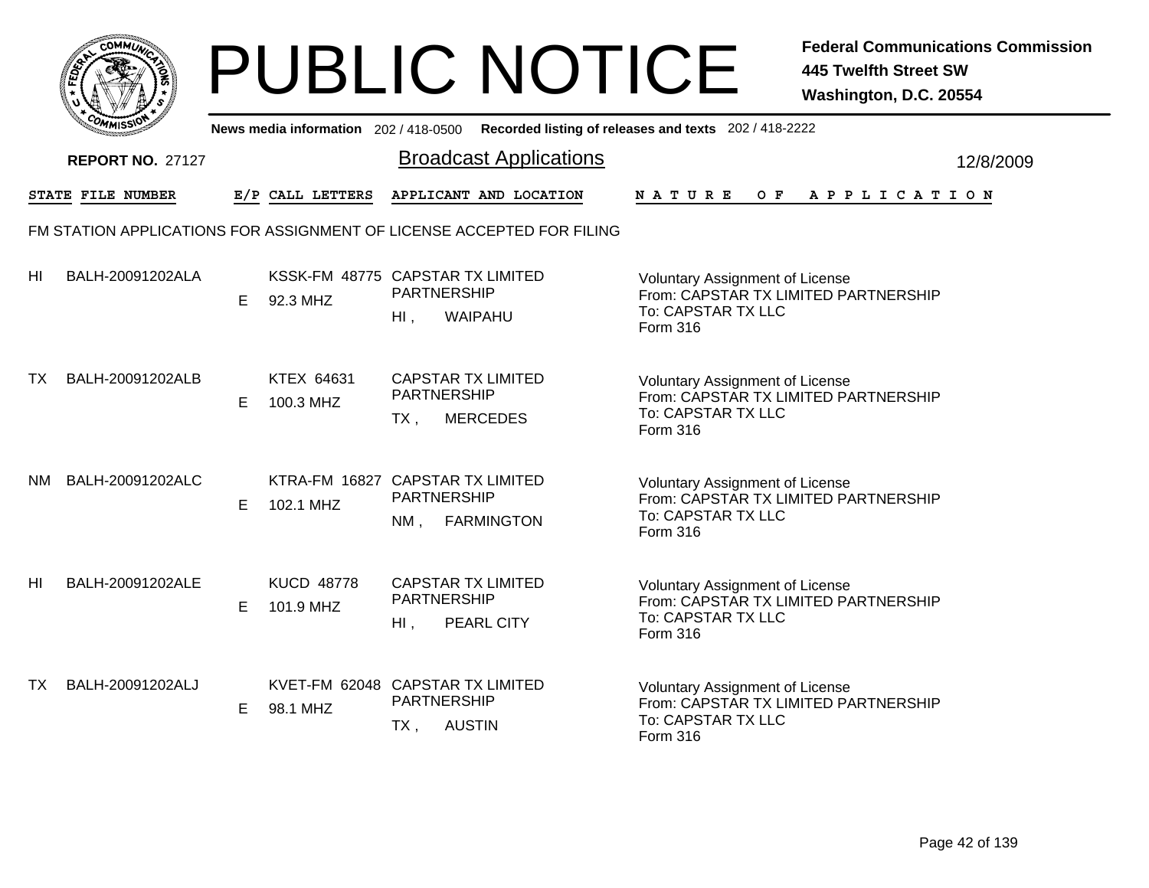|              | MMUNICT<br>c۵۱ |  |
|--------------|----------------|--|
| <b>FEDET</b> |                |  |
|              |                |  |
|              | COP<br>MISS    |  |

|     | יככוומדי<br>News media information 202/418-0500 Recorded listing of releases and texts 202/418-2222 |    |                                               |                                                           |                               |                                                                                                                         |  |  |  |  |  |  |                |           |
|-----|-----------------------------------------------------------------------------------------------------|----|-----------------------------------------------|-----------------------------------------------------------|-------------------------------|-------------------------------------------------------------------------------------------------------------------------|--|--|--|--|--|--|----------------|-----------|
|     | <b>REPORT NO. 27127</b>                                                                             |    |                                               |                                                           | <b>Broadcast Applications</b> |                                                                                                                         |  |  |  |  |  |  |                | 12/8/2009 |
|     | STATE FILE NUMBER                                                                                   |    | E/P CALL LETTERS                              |                                                           | APPLICANT AND LOCATION        | NATURE                                                                                                                  |  |  |  |  |  |  | OF APPLICATION |           |
|     | FM STATION APPLICATIONS FOR ASSIGNMENT OF LICENSE ACCEPTED FOR FILING                               |    |                                               |                                                           |                               |                                                                                                                         |  |  |  |  |  |  |                |           |
| HI  | BALH-20091202ALA                                                                                    | E. | KSSK-FM 48775 CAPSTAR TX LIMITED<br>92.3 MHZ  | <b>PARTNERSHIP</b><br>$H1$ ,                              | WAIPAHU                       | <b>Voluntary Assignment of License</b><br>From: CAPSTAR TX LIMITED PARTNERSHIP<br>To: CAPSTAR TX LLC<br>Form 316        |  |  |  |  |  |  |                |           |
| TX  | BALH-20091202ALB                                                                                    | E  | KTEX 64631<br>100.3 MHZ                       | <b>CAPSTAR TX LIMITED</b><br><b>PARTNERSHIP</b><br>$TX$ . | <b>MERCEDES</b>               | <b>Voluntary Assignment of License</b><br>From: CAPSTAR TX LIMITED PARTNERSHIP<br>To: CAPSTAR TX LLC<br>Form 316        |  |  |  |  |  |  |                |           |
| NM. | BALH-20091202ALC                                                                                    | E. | KTRA-FM 16827 CAPSTAR TX LIMITED<br>102.1 MHZ | <b>PARTNERSHIP</b><br>NM.                                 | <b>FARMINGTON</b>             | <b>Voluntary Assignment of License</b><br>From: CAPSTAR TX LIMITED PARTNERSHIP<br>To: CAPSTAR TX LLC<br>Form 316        |  |  |  |  |  |  |                |           |
| HI  | BALH-20091202ALE                                                                                    | E. | <b>KUCD 48778</b><br>101.9 MHZ                | <b>CAPSTAR TX LIMITED</b><br>PARTNERSHIP<br>$Hl$ ,        | PEARL CITY                    | <b>Voluntary Assignment of License</b><br>From: CAPSTAR TX LIMITED PARTNERSHIP<br>To: CAPSTAR TX LLC<br>Form 316        |  |  |  |  |  |  |                |           |
| ТX  | BALH-20091202ALJ                                                                                    | E. | KVET-FM 62048 CAPSTAR TX LIMITED<br>98.1 MHZ  | PARTNERSHIP<br>TX,                                        | <b>AUSTIN</b>                 | <b>Voluntary Assignment of License</b><br>From: CAPSTAR TX LIMITED PARTNERSHIP<br>To: CAPSTAR TX LLC<br><b>Form 316</b> |  |  |  |  |  |  |                |           |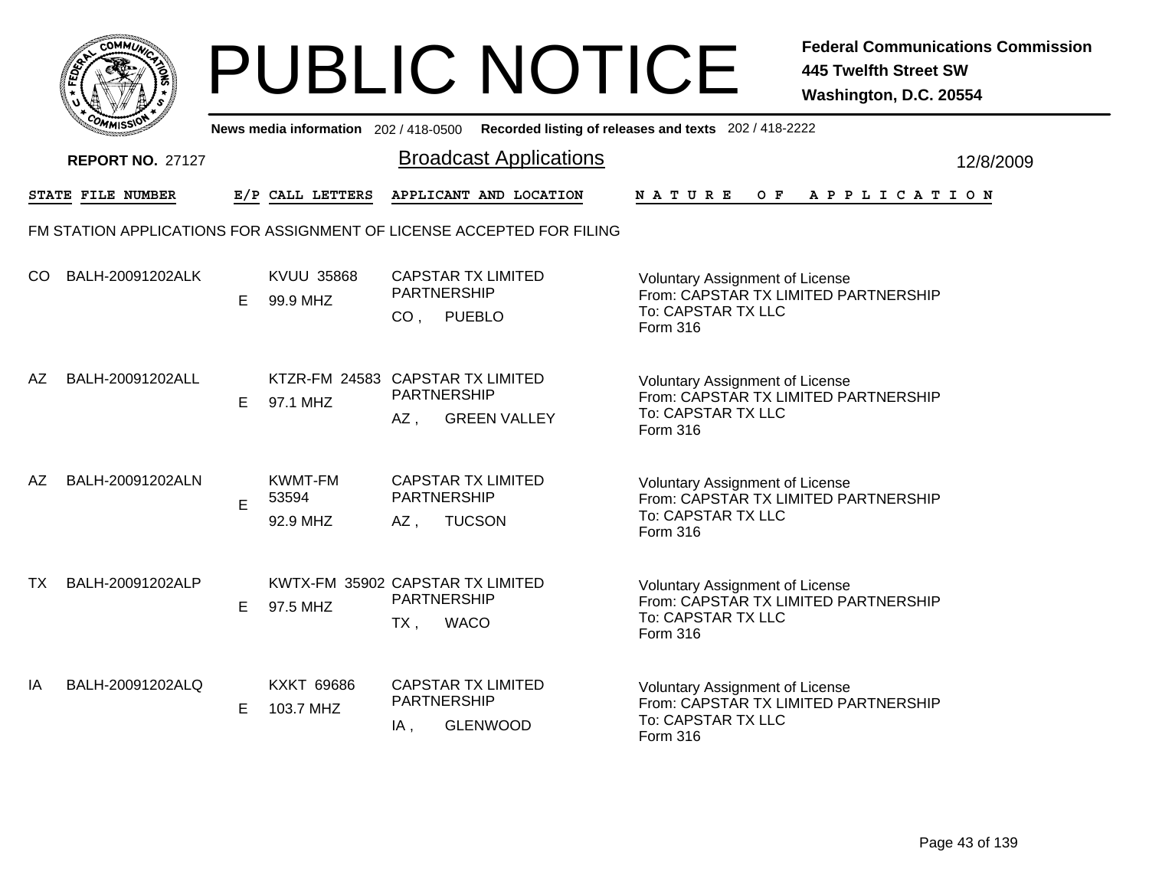|              | MMUNICT<br>CO. |  |
|--------------|----------------|--|
| <b>FEDET</b> |                |  |
|              |                |  |
|              | COMI<br>MISS   |  |

|     | <b>COMMISSIO</b><br>News media information 202 / 418-0500 Recorded listing of releases and texts 202 / 418-2222 |    |                                              |                                                                                     |                               |                                                                                                                         |           |  |  |  |  |
|-----|-----------------------------------------------------------------------------------------------------------------|----|----------------------------------------------|-------------------------------------------------------------------------------------|-------------------------------|-------------------------------------------------------------------------------------------------------------------------|-----------|--|--|--|--|
|     | <b>REPORT NO. 27127</b>                                                                                         |    |                                              |                                                                                     | <b>Broadcast Applications</b> |                                                                                                                         | 12/8/2009 |  |  |  |  |
|     | STATE FILE NUMBER                                                                                               |    | E/P CALL LETTERS                             |                                                                                     | APPLICANT AND LOCATION        | N A T U R E<br>OF APPLICATION                                                                                           |           |  |  |  |  |
|     | FM STATION APPLICATIONS FOR ASSIGNMENT OF LICENSE ACCEPTED FOR FILING                                           |    |                                              |                                                                                     |                               |                                                                                                                         |           |  |  |  |  |
| CO. | BALH-20091202ALK                                                                                                | Е  | <b>KVUU 35868</b><br>99.9 MHZ                | <b>CAPSTAR TX LIMITED</b><br><b>PARTNERSHIP</b><br><b>PUEBLO</b><br>CO <sub>1</sub> |                               | <b>Voluntary Assignment of License</b><br>From: CAPSTAR TX LIMITED PARTNERSHIP<br>To: CAPSTAR TX LLC<br>Form 316        |           |  |  |  |  |
| AZ. | BALH-20091202ALL                                                                                                | E. | KTZR-FM 24583 CAPSTAR TX LIMITED<br>97.1 MHZ | <b>PARTNERSHIP</b><br>AZ,                                                           | <b>GREEN VALLEY</b>           | <b>Voluntary Assignment of License</b><br>From: CAPSTAR TX LIMITED PARTNERSHIP<br>To: CAPSTAR TX LLC<br>Form 316        |           |  |  |  |  |
| AZ  | BALH-20091202ALN                                                                                                | E  | <b>KWMT-FM</b><br>53594<br>92.9 MHZ          | <b>CAPSTAR TX LIMITED</b><br><b>PARTNERSHIP</b><br>AZ,                              | <b>TUCSON</b>                 | <b>Voluntary Assignment of License</b><br>From: CAPSTAR TX LIMITED PARTNERSHIP<br>To: CAPSTAR TX LLC<br>Form 316        |           |  |  |  |  |
| ТX  | BALH-20091202ALP                                                                                                | E. | KWTX-FM 35902 CAPSTAR TX LIMITED<br>97.5 MHZ | <b>PARTNERSHIP</b><br>$TX$ ,<br><b>WACO</b>                                         |                               | <b>Voluntary Assignment of License</b><br>From: CAPSTAR TX LIMITED PARTNERSHIP<br>To: CAPSTAR TX LLC<br><b>Form 316</b> |           |  |  |  |  |
| IA  | BALH-20091202ALQ                                                                                                | E. | <b>KXKT 69686</b><br>103.7 MHZ               | <b>CAPSTAR TX LIMITED</b><br><b>PARTNERSHIP</b><br>IA,                              | <b>GLENWOOD</b>               | <b>Voluntary Assignment of License</b><br>From: CAPSTAR TX LIMITED PARTNERSHIP<br>To: CAPSTAR TX LLC<br>Form 316        |           |  |  |  |  |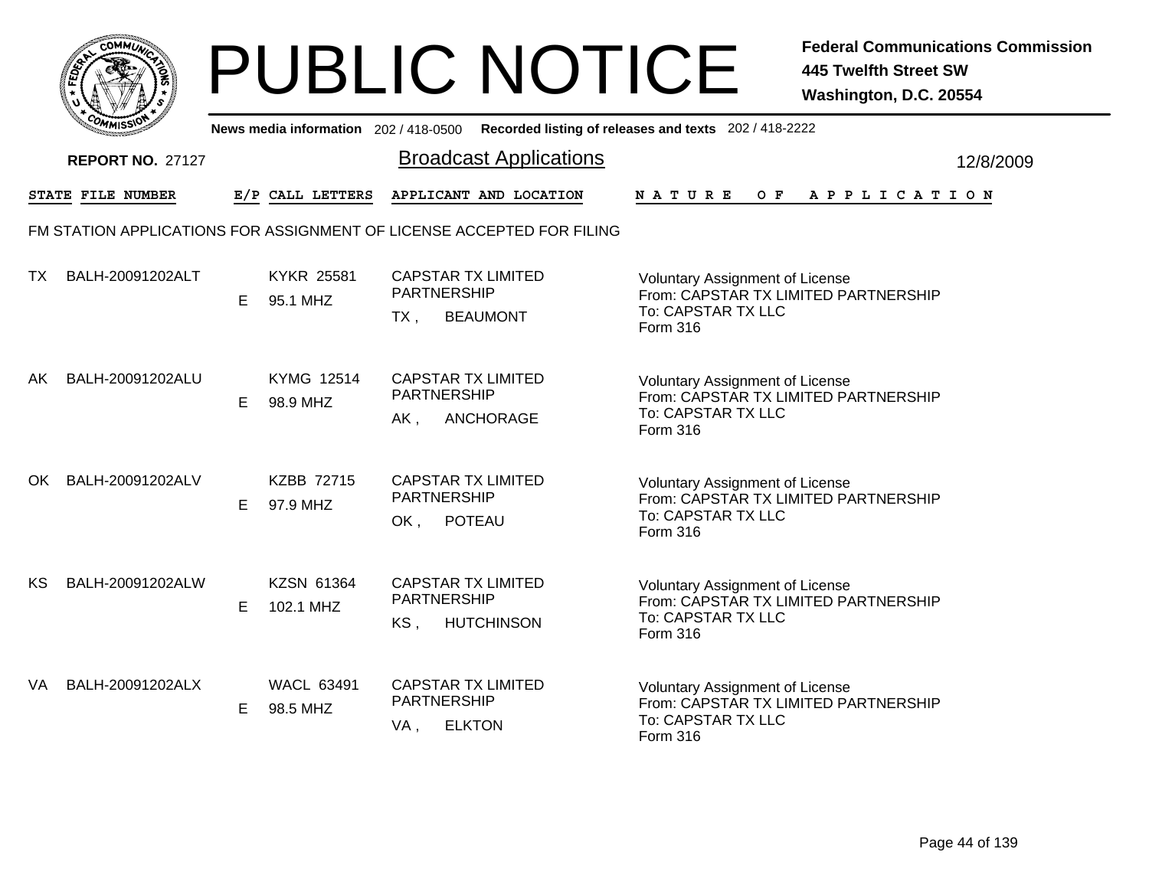

|     | <b>COMMISSION</b><br>News media information 202 / 418-0500 Recorded listing of releases and texts 202 / 418-2222 |    |                               |                                                                            |                                                                                                                         |           |  |  |  |  |  |
|-----|------------------------------------------------------------------------------------------------------------------|----|-------------------------------|----------------------------------------------------------------------------|-------------------------------------------------------------------------------------------------------------------------|-----------|--|--|--|--|--|
|     | <b>REPORT NO. 27127</b>                                                                                          |    |                               | <b>Broadcast Applications</b>                                              |                                                                                                                         | 12/8/2009 |  |  |  |  |  |
|     | STATE FILE NUMBER                                                                                                |    | E/P CALL LETTERS              | APPLICANT AND LOCATION                                                     | NATURE<br>O F<br>A P P L I C A T I O N                                                                                  |           |  |  |  |  |  |
|     |                                                                                                                  |    |                               | FM STATION APPLICATIONS FOR ASSIGNMENT OF LICENSE ACCEPTED FOR FILING      |                                                                                                                         |           |  |  |  |  |  |
| TX  | BALH-20091202ALT                                                                                                 | Е  | <b>KYKR 25581</b><br>95.1 MHZ | <b>CAPSTAR TX LIMITED</b><br><b>PARTNERSHIP</b><br><b>BEAUMONT</b><br>TX . | <b>Voluntary Assignment of License</b><br>From: CAPSTAR TX LIMITED PARTNERSHIP<br>To: CAPSTAR TX LLC<br><b>Form 316</b> |           |  |  |  |  |  |
| AK  | BALH-20091202ALU                                                                                                 | E. | <b>KYMG 12514</b><br>98.9 MHZ | <b>CAPSTAR TX LIMITED</b><br>PARTNERSHIP<br>ANCHORAGE<br>AK,               | <b>Voluntary Assignment of License</b><br>From: CAPSTAR TX LIMITED PARTNERSHIP<br>To: CAPSTAR TX LLC<br>Form 316        |           |  |  |  |  |  |
| OK. | BALH-20091202ALV                                                                                                 | E  | <b>KZBB 72715</b><br>97.9 MHZ | <b>CAPSTAR TX LIMITED</b><br><b>PARTNERSHIP</b><br><b>POTEAU</b><br>OK,    | <b>Voluntary Assignment of License</b><br>From: CAPSTAR TX LIMITED PARTNERSHIP<br>To: CAPSTAR TX LLC<br>Form 316        |           |  |  |  |  |  |
| KS. | BALH-20091202ALW                                                                                                 | E  | KZSN 61364<br>102.1 MHZ       | <b>CAPSTAR TX LIMITED</b><br>PARTNERSHIP<br>KS,<br><b>HUTCHINSON</b>       | <b>Voluntary Assignment of License</b><br>From: CAPSTAR TX LIMITED PARTNERSHIP<br>To: CAPSTAR TX LLC<br>Form 316        |           |  |  |  |  |  |
| VA  | BALH-20091202ALX                                                                                                 | Е  | <b>WACL 63491</b><br>98.5 MHZ | <b>CAPSTAR TX LIMITED</b><br>PARTNERSHIP<br><b>ELKTON</b><br>VA,           | Voluntary Assignment of License<br>From: CAPSTAR TX LIMITED PARTNERSHIP<br>To: CAPSTAR TX LLC<br>Form 316               |           |  |  |  |  |  |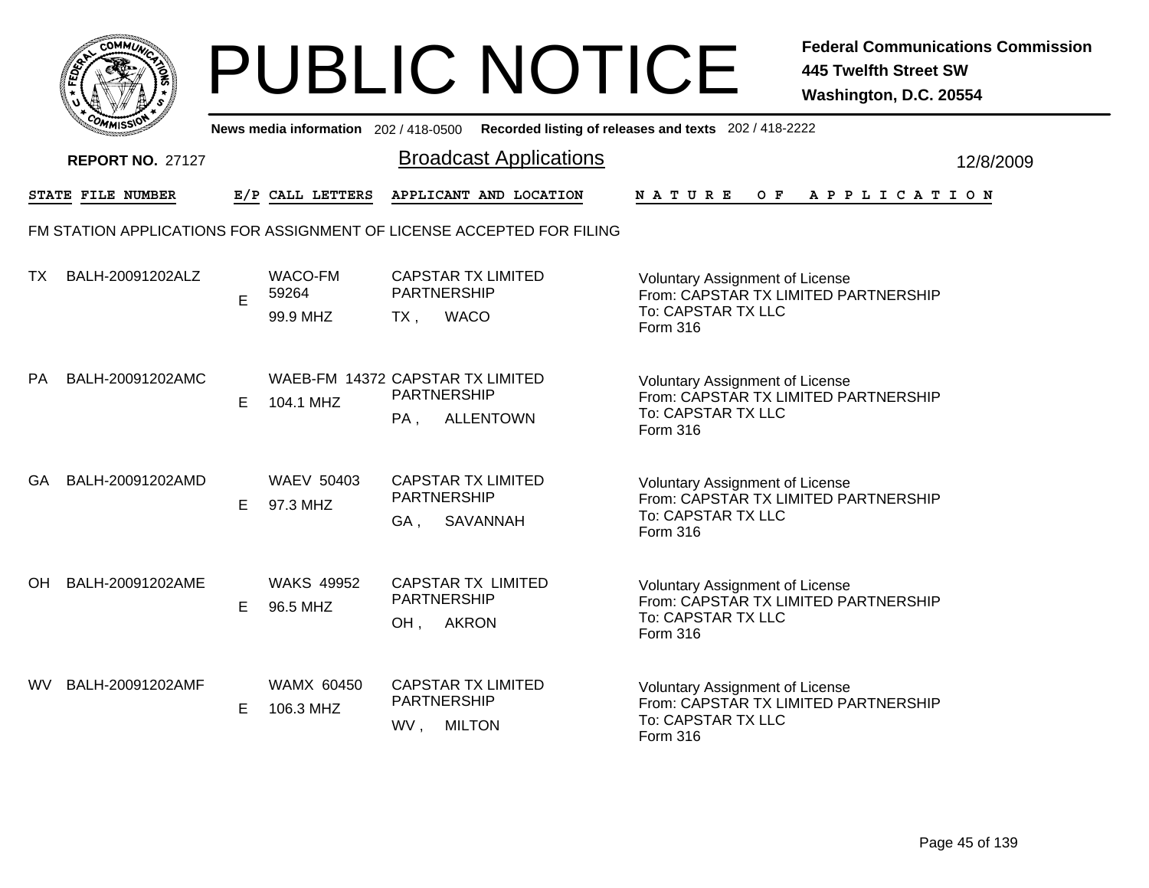|        | c.Ol<br>MMUNICT |  |
|--------|-----------------|--|
| È<br>m |                 |  |
|        |                 |  |
| COMI   | MISS<br>m       |  |

|           | <b><i>OMMISSIO</i></b>  |    | News media information 202 / 418-0500         |                           |                                                                       | Recorded listing of releases and texts 202 / 418-2222                                                            |           |
|-----------|-------------------------|----|-----------------------------------------------|---------------------------|-----------------------------------------------------------------------|------------------------------------------------------------------------------------------------------------------|-----------|
|           | <b>REPORT NO. 27127</b> |    |                                               |                           | <b>Broadcast Applications</b>                                         |                                                                                                                  | 12/8/2009 |
|           | STATE FILE NUMBER       |    | E/P CALL LETTERS                              |                           | APPLICANT AND LOCATION                                                | <b>NATURE</b><br>OF APPLICATION                                                                                  |           |
|           |                         |    |                                               |                           | FM STATION APPLICATIONS FOR ASSIGNMENT OF LICENSE ACCEPTED FOR FILING |                                                                                                                  |           |
| ТX        | BALH-20091202ALZ        | E  | WACO-FM<br>59264<br>99.9 MHZ                  | <b>PARTNERSHIP</b><br>TX. | <b>CAPSTAR TX LIMITED</b><br><b>WACO</b>                              | Voluntary Assignment of License<br>From: CAPSTAR TX LIMITED PARTNERSHIP<br>To: CAPSTAR TX LLC<br><b>Form 316</b> |           |
| <b>PA</b> | BALH-20091202AMC        | Е  | WAEB-FM 14372 CAPSTAR TX LIMITED<br>104.1 MHZ | PARTNERSHIP<br>PA,        | <b>ALLENTOWN</b>                                                      | <b>Voluntary Assignment of License</b><br>From: CAPSTAR TX LIMITED PARTNERSHIP<br>To: CAPSTAR TX LLC<br>Form 316 |           |
| GA        | BALH-20091202AMD        | E. | <b>WAEV 50403</b><br>97.3 MHZ                 | <b>PARTNERSHIP</b><br>GA, | <b>CAPSTAR TX LIMITED</b><br>SAVANNAH                                 | Voluntary Assignment of License<br>From: CAPSTAR TX LIMITED PARTNERSHIP<br>To: CAPSTAR TX LLC<br>Form 316        |           |
| OH        | BALH-20091202AME        | E  | <b>WAKS 49952</b><br>96.5 MHZ                 | PARTNERSHIP<br>OH,        | <b>CAPSTAR TX LIMITED</b><br><b>AKRON</b>                             | Voluntary Assignment of License<br>From: CAPSTAR TX LIMITED PARTNERSHIP<br>To: CAPSTAR TX LLC<br>Form 316        |           |
| WV.       | BALH-20091202AMF        | E. | <b>WAMX 60450</b><br>106.3 MHZ                | PARTNERSHIP<br>WV,        | <b>CAPSTAR TX LIMITED</b><br><b>MILTON</b>                            | Voluntary Assignment of License<br>From: CAPSTAR TX LIMITED PARTNERSHIP<br>To: CAPSTAR TX LLC<br>Form 316        |           |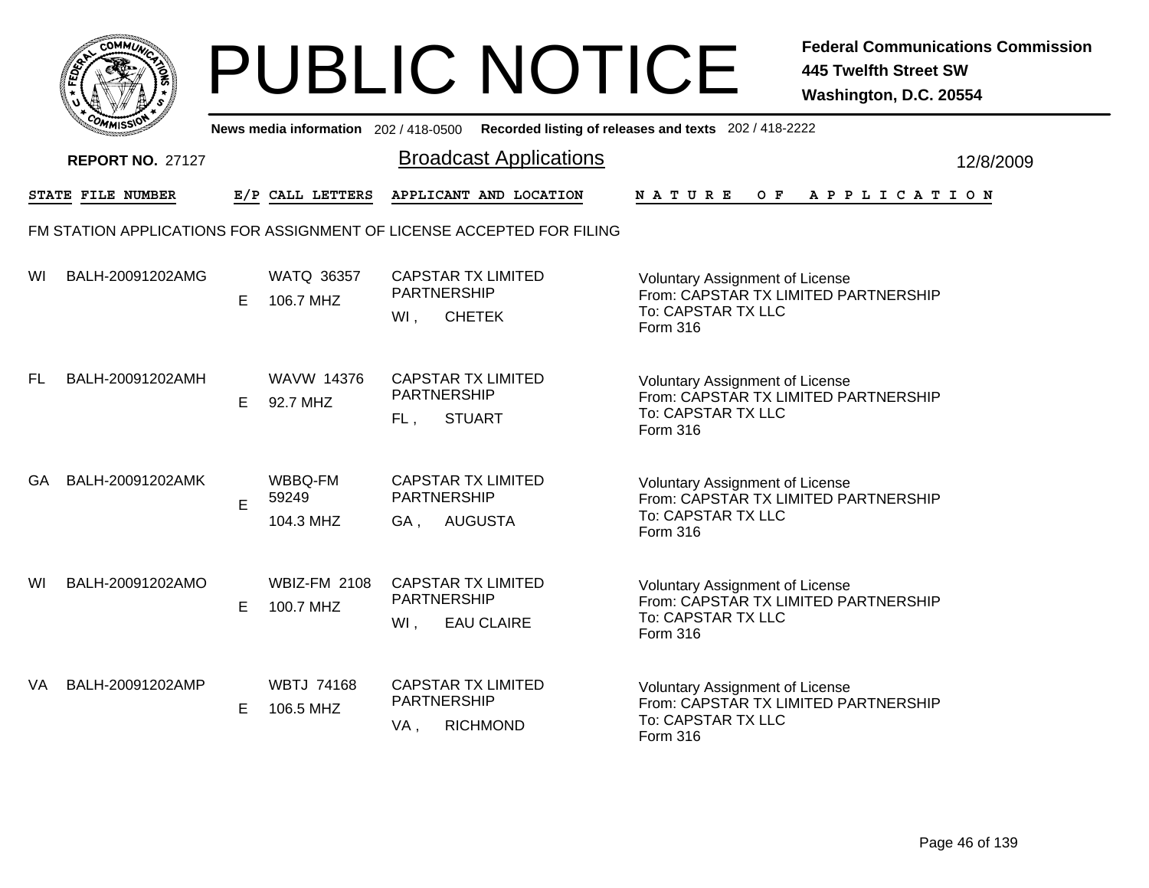|       | MMUNICT<br>c۵۱ |  |
|-------|----------------|--|
| FEDET |                |  |
|       |                |  |
|       | COMI<br>MISS   |  |

|    | יככוומדי                |   |                                  | News media information 202/418-0500 Recorded listing of releases and texts 202/418-2222 |                                                                                                                  |           |
|----|-------------------------|---|----------------------------------|-----------------------------------------------------------------------------------------|------------------------------------------------------------------------------------------------------------------|-----------|
|    | <b>REPORT NO. 27127</b> |   |                                  | <b>Broadcast Applications</b>                                                           |                                                                                                                  | 12/8/2009 |
|    | STATE FILE NUMBER       |   | E/P CALL LETTERS                 | APPLICANT AND LOCATION                                                                  | $O$ $\bf{F}$<br><b>NATURE</b><br>A P P L I C A T I O N                                                           |           |
|    |                         |   |                                  | FM STATION APPLICATIONS FOR ASSIGNMENT OF LICENSE ACCEPTED FOR FILING                   |                                                                                                                  |           |
| WI | BALH-20091202AMG        | E | <b>WATQ 36357</b><br>106.7 MHZ   | <b>CAPSTAR TX LIMITED</b><br><b>PARTNERSHIP</b><br><b>CHETEK</b><br>WI,                 | Voluntary Assignment of License<br>From: CAPSTAR TX LIMITED PARTNERSHIP<br>To: CAPSTAR TX LLC<br>Form 316        |           |
| FL | BALH-20091202AMH        | E | WAVW 14376<br>92.7 MHZ           | <b>CAPSTAR TX LIMITED</b><br><b>PARTNERSHIP</b><br><b>STUART</b><br>FL,                 | <b>Voluntary Assignment of License</b><br>From: CAPSTAR TX LIMITED PARTNERSHIP<br>To: CAPSTAR TX LLC<br>Form 316 |           |
| GA | BALH-20091202AMK        | E | WBBQ-FM<br>59249<br>104.3 MHZ    | <b>CAPSTAR TX LIMITED</b><br><b>PARTNERSHIP</b><br><b>AUGUSTA</b><br>GA,                | <b>Voluntary Assignment of License</b><br>From: CAPSTAR TX LIMITED PARTNERSHIP<br>To: CAPSTAR TX LLC<br>Form 316 |           |
| WI | BALH-20091202AMO        | E | <b>WBIZ-FM 2108</b><br>100.7 MHZ | <b>CAPSTAR TX LIMITED</b><br><b>PARTNERSHIP</b><br><b>EAU CLAIRE</b><br>WI,             | <b>Voluntary Assignment of License</b><br>From: CAPSTAR TX LIMITED PARTNERSHIP<br>To: CAPSTAR TX LLC<br>Form 316 |           |
| VA | BALH-20091202AMP        | E | <b>WBTJ 74168</b><br>106.5 MHZ   | <b>CAPSTAR TX LIMITED</b><br>PARTNERSHIP<br><b>RICHMOND</b><br>VA,                      | <b>Voluntary Assignment of License</b><br>From: CAPSTAR TX LIMITED PARTNERSHIP<br>To: CAPSTAR TX LLC<br>Form 316 |           |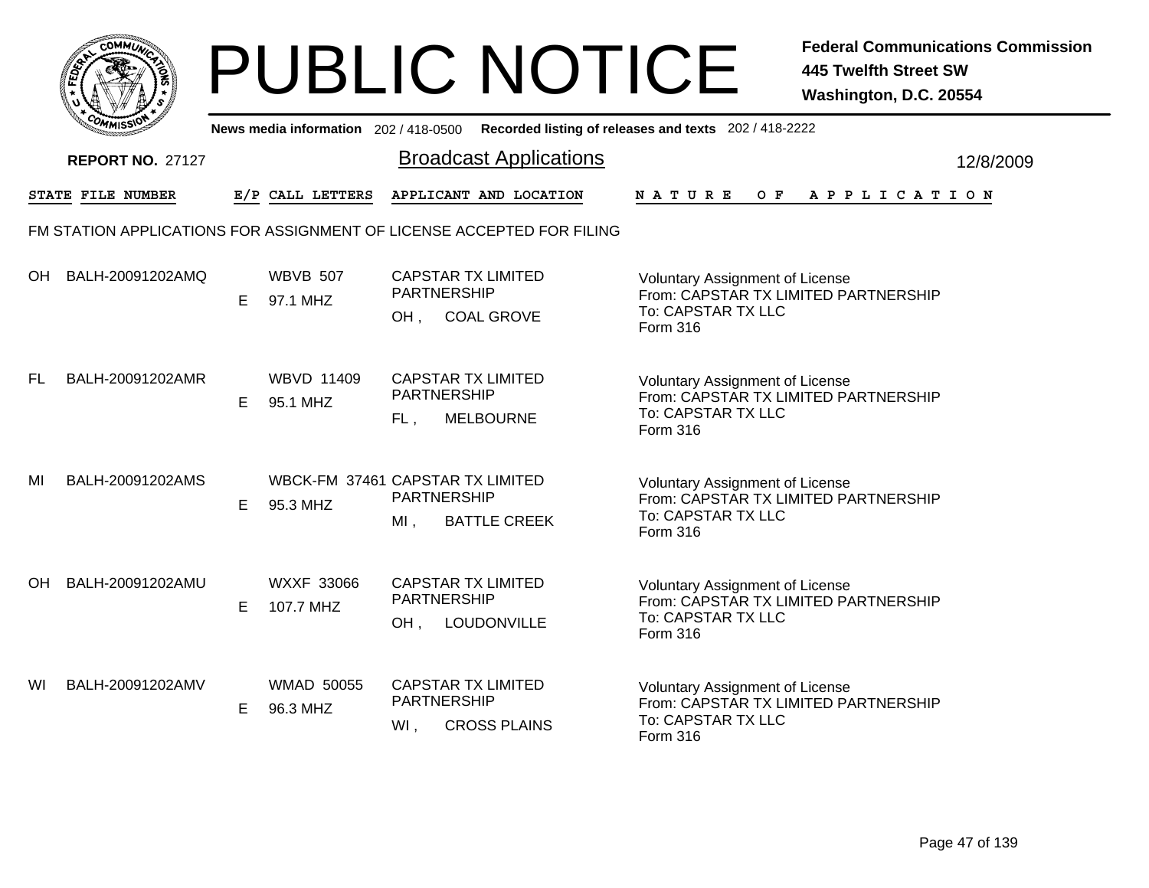|       | MMUNICT<br>c۵۱ |  |
|-------|----------------|--|
| FEDET |                |  |
|       |                |  |
|       | COMI<br>MISS   |  |

|    | יככוומדי                 |    |                                              |                              | News media information 202/418-0500 Recorded listing of releases and texts 202/418-2222 |                                                                          |                                                                                |  |     |  |  |                       |  |           |
|----|--------------------------|----|----------------------------------------------|------------------------------|-----------------------------------------------------------------------------------------|--------------------------------------------------------------------------|--------------------------------------------------------------------------------|--|-----|--|--|-----------------------|--|-----------|
|    | <b>REPORT NO. 27127</b>  |    |                                              |                              | <b>Broadcast Applications</b>                                                           |                                                                          |                                                                                |  |     |  |  |                       |  | 12/8/2009 |
|    | <b>STATE FILE NUMBER</b> |    | E/P CALL LETTERS                             |                              | APPLICANT AND LOCATION                                                                  | <b>NATURE</b>                                                            |                                                                                |  | O F |  |  | A P P L I C A T I O N |  |           |
|    |                          |    |                                              |                              | FM STATION APPLICATIONS FOR ASSIGNMENT OF LICENSE ACCEPTED FOR FILING                   |                                                                          |                                                                                |  |     |  |  |                       |  |           |
| OH | BALH-20091202AMQ         | E. | <b>WBVB 507</b><br>97.1 MHZ                  | <b>PARTNERSHIP</b><br>OH.    | <b>CAPSTAR TX LIMITED</b><br><b>COAL GROVE</b>                                          | To: CAPSTAR TX LLC<br>Form 316                                           | <b>Voluntary Assignment of License</b><br>From: CAPSTAR TX LIMITED PARTNERSHIP |  |     |  |  |                       |  |           |
| FL | BALH-20091202AMR         | E  | <b>WBVD 11409</b><br>95.1 MHZ                | <b>PARTNERSHIP</b><br>FL,    | <b>CAPSTAR TX LIMITED</b><br><b>MELBOURNE</b>                                           | <b>Voluntary Assignment of License</b><br>Form 316                       | From: CAPSTAR TX LIMITED PARTNERSHIP<br>To: CAPSTAR TX LLC                     |  |     |  |  |                       |  |           |
| MI | BALH-20091202AMS         | Е  | WBCK-FM 37461 CAPSTAR TX LIMITED<br>95.3 MHZ | <b>PARTNERSHIP</b><br>$MI$ , | <b>BATTLE CREEK</b>                                                                     | <b>Voluntary Assignment of License</b><br>To: CAPSTAR TX LLC<br>Form 316 | From: CAPSTAR TX LIMITED PARTNERSHIP                                           |  |     |  |  |                       |  |           |
| OH | BALH-20091202AMU         | E. | <b>WXXF 33066</b><br>107.7 MHZ               | <b>PARTNERSHIP</b><br>OH,    | <b>CAPSTAR TX LIMITED</b><br>LOUDONVILLE                                                | Voluntary Assignment of License<br><b>Form 316</b>                       | From: CAPSTAR TX LIMITED PARTNERSHIP<br>To: CAPSTAR TX LLC                     |  |     |  |  |                       |  |           |
| WI | BALH-20091202AMV         | E  | <b>WMAD 50055</b><br>96.3 MHZ                | <b>PARTNERSHIP</b><br>Wl,    | <b>CAPSTAR TX LIMITED</b><br><b>CROSS PLAINS</b>                                        | <b>Voluntary Assignment of License</b><br><b>Form 316</b>                | From: CAPSTAR TX LIMITED PARTNERSHIP<br>To: CAPSTAR TX LLC                     |  |     |  |  |                       |  |           |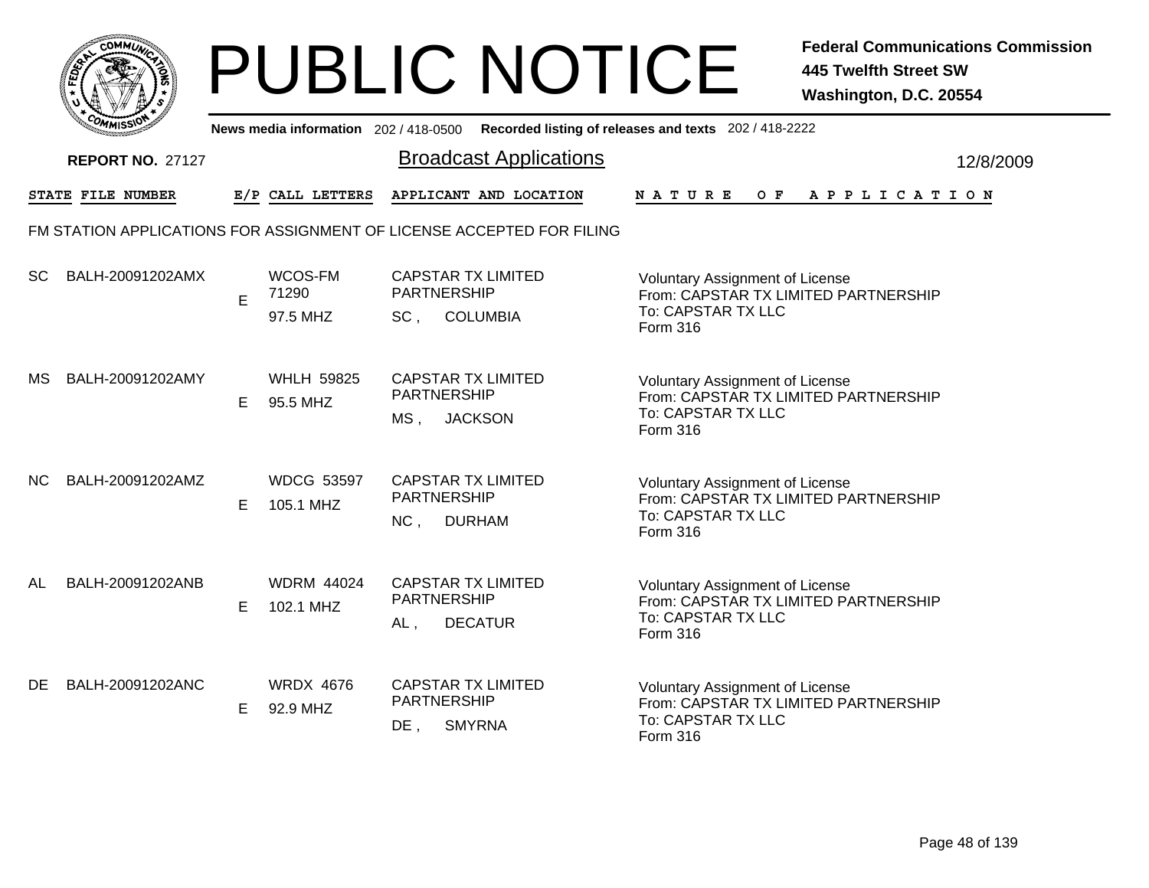

|           | <b>COMMISSIO</b>        |    | News media information 202 / 418-0500 |                                                                                       | Recorded listing of releases and texts 202 / 418-2222                                                                   |           |
|-----------|-------------------------|----|---------------------------------------|---------------------------------------------------------------------------------------|-------------------------------------------------------------------------------------------------------------------------|-----------|
|           | <b>REPORT NO. 27127</b> |    |                                       | <b>Broadcast Applications</b>                                                         |                                                                                                                         | 12/8/2009 |
|           | STATE FILE NUMBER       |    | E/P CALL LETTERS                      | APPLICANT AND LOCATION                                                                | NATURE<br>O F<br>A P P L I C A T I O N                                                                                  |           |
|           |                         |    |                                       | FM STATION APPLICATIONS FOR ASSIGNMENT OF LICENSE ACCEPTED FOR FILING                 |                                                                                                                         |           |
| <b>SC</b> | BALH-20091202AMX        | E  | WCOS-FM<br>71290<br>97.5 MHZ          | <b>CAPSTAR TX LIMITED</b><br><b>PARTNERSHIP</b><br><b>COLUMBIA</b><br>SC <sub>1</sub> | <b>Voluntary Assignment of License</b><br>From: CAPSTAR TX LIMITED PARTNERSHIP<br>To: CAPSTAR TX LLC<br>Form 316        |           |
| MS.       | BALH-20091202AMY        | Е  | <b>WHLH 59825</b><br>95.5 MHZ         | <b>CAPSTAR TX LIMITED</b><br>PARTNERSHIP<br><b>JACKSON</b><br>MS,                     | <b>Voluntary Assignment of License</b><br>From: CAPSTAR TX LIMITED PARTNERSHIP<br>To: CAPSTAR TX LLC<br><b>Form 316</b> |           |
| NC.       | BALH-20091202AMZ        | Е  | <b>WDCG 53597</b><br>105.1 MHZ        | <b>CAPSTAR TX LIMITED</b><br><b>PARTNERSHIP</b><br>NC,<br><b>DURHAM</b>               | <b>Voluntary Assignment of License</b><br>From: CAPSTAR TX LIMITED PARTNERSHIP<br>To: CAPSTAR TX LLC<br>Form 316        |           |
| AL        | BALH-20091202ANB        | E. | <b>WDRM 44024</b><br>102.1 MHZ        | <b>CAPSTAR TX LIMITED</b><br><b>PARTNERSHIP</b><br><b>DECATUR</b><br>$AL$ ,           | <b>Voluntary Assignment of License</b><br>From: CAPSTAR TX LIMITED PARTNERSHIP<br>To: CAPSTAR TX LLC<br>Form 316        |           |
| DE        | BALH-20091202ANC        | E. | <b>WRDX 4676</b><br>92.9 MHZ          | <b>CAPSTAR TX LIMITED</b><br>PARTNERSHIP<br>$DE$ ,<br><b>SMYRNA</b>                   | Voluntary Assignment of License<br>From: CAPSTAR TX LIMITED PARTNERSHIP<br>To: CAPSTAR TX LLC<br><b>Form 316</b>        |           |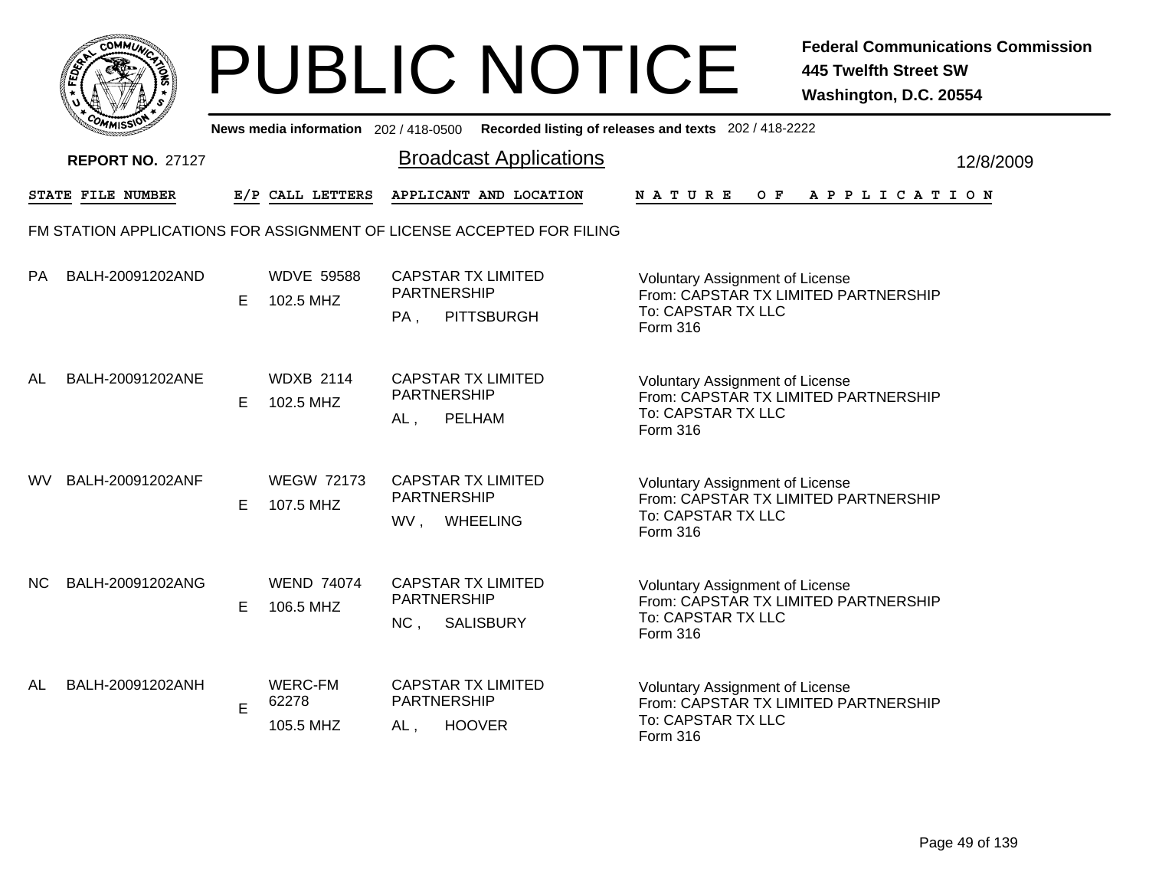

|    | יככוומדי                |   |                                      | News media information 202/418-0500 Recorded listing of releases and texts 202/418-2222 |                                                                                                                  |           |
|----|-------------------------|---|--------------------------------------|-----------------------------------------------------------------------------------------|------------------------------------------------------------------------------------------------------------------|-----------|
|    | <b>REPORT NO. 27127</b> |   |                                      | <b>Broadcast Applications</b>                                                           |                                                                                                                  | 12/8/2009 |
|    | STATE FILE NUMBER       |   | E/P CALL LETTERS                     | APPLICANT AND LOCATION                                                                  | $O$ $F$<br><b>NATURE</b><br>A P P L I C A T I O N                                                                |           |
|    |                         |   |                                      | FM STATION APPLICATIONS FOR ASSIGNMENT OF LICENSE ACCEPTED FOR FILING                   |                                                                                                                  |           |
| PA | BALH-20091202AND        | Е | <b>WDVE 59588</b><br>102.5 MHZ       | <b>CAPSTAR TX LIMITED</b><br><b>PARTNERSHIP</b><br><b>PITTSBURGH</b><br>PA,             | <b>Voluntary Assignment of License</b><br>From: CAPSTAR TX LIMITED PARTNERSHIP<br>To: CAPSTAR TX LLC<br>Form 316 |           |
| AL | BALH-20091202ANE        | Е | <b>WDXB 2114</b><br>102.5 MHZ        | <b>CAPSTAR TX LIMITED</b><br>PARTNERSHIP<br><b>PELHAM</b><br>AL,                        | <b>Voluntary Assignment of License</b><br>From: CAPSTAR TX LIMITED PARTNERSHIP<br>To: CAPSTAR TX LLC<br>Form 316 |           |
| WV | BALH-20091202ANF        | Е | <b>WEGW 72173</b><br>107.5 MHZ       | <b>CAPSTAR TX LIMITED</b><br><b>PARTNERSHIP</b><br><b>WHEELING</b><br>WV.               | Voluntary Assignment of License<br>From: CAPSTAR TX LIMITED PARTNERSHIP<br>To: CAPSTAR TX LLC<br>Form 316        |           |
| NC | BALH-20091202ANG        | Е | <b>WEND 74074</b><br>106.5 MHZ       | <b>CAPSTAR TX LIMITED</b><br><b>PARTNERSHIP</b><br>NC,<br><b>SALISBURY</b>              | Voluntary Assignment of License<br>From: CAPSTAR TX LIMITED PARTNERSHIP<br>To: CAPSTAR TX LLC<br>Form 316        |           |
| AL | BALH-20091202ANH        | E | <b>WERC-FM</b><br>62278<br>105.5 MHZ | <b>CAPSTAR TX LIMITED</b><br>PARTNERSHIP<br><b>HOOVER</b><br>AL,                        | <b>Voluntary Assignment of License</b><br>From: CAPSTAR TX LIMITED PARTNERSHIP<br>To: CAPSTAR TX LLC<br>Form 316 |           |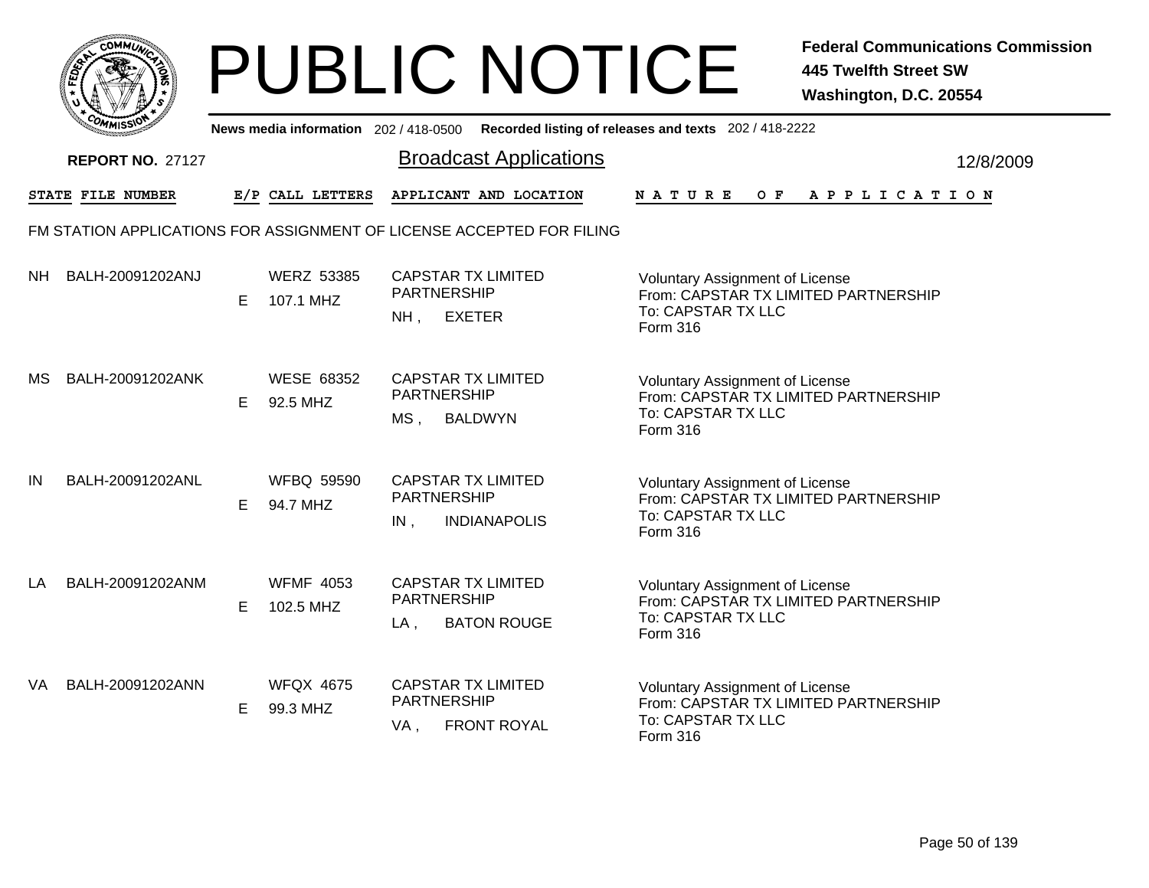

|     | <b>COMMISSION</b>       |    | News media information 202 / 418-0500 |                                                                               | Recorded listing of releases and texts 202 / 418-2222                                                            |           |
|-----|-------------------------|----|---------------------------------------|-------------------------------------------------------------------------------|------------------------------------------------------------------------------------------------------------------|-----------|
|     | <b>REPORT NO. 27127</b> |    |                                       | <b>Broadcast Applications</b>                                                 |                                                                                                                  | 12/8/2009 |
|     | STATE FILE NUMBER       |    | E/P CALL LETTERS                      | APPLICANT AND LOCATION                                                        | N A T U R E<br>O F<br>A P P L I C A T I O N                                                                      |           |
|     |                         |    |                                       | FM STATION APPLICATIONS FOR ASSIGNMENT OF LICENSE ACCEPTED FOR FILING         |                                                                                                                  |           |
| NH. | BALH-20091202ANJ        | E. | <b>WERZ 53385</b><br>107.1 MHZ        | <b>CAPSTAR TX LIMITED</b><br><b>PARTNERSHIP</b><br><b>EXETER</b><br>$NH$ ,    | <b>Voluntary Assignment of License</b><br>From: CAPSTAR TX LIMITED PARTNERSHIP<br>To: CAPSTAR TX LLC<br>Form 316 |           |
| MS. | BALH-20091202ANK        | E  | <b>WESE 68352</b><br>92.5 MHZ         | <b>CAPSTAR TX LIMITED</b><br><b>PARTNERSHIP</b><br>MS,<br><b>BALDWYN</b>      | <b>Voluntary Assignment of License</b><br>From: CAPSTAR TX LIMITED PARTNERSHIP<br>To: CAPSTAR TX LLC<br>Form 316 |           |
| IN  | BALH-20091202ANL        | Е  | <b>WFBQ 59590</b><br>94.7 MHZ         | <b>CAPSTAR TX LIMITED</b><br><b>PARTNERSHIP</b><br>IN,<br><b>INDIANAPOLIS</b> | <b>Voluntary Assignment of License</b><br>From: CAPSTAR TX LIMITED PARTNERSHIP<br>To: CAPSTAR TX LLC<br>Form 316 |           |
| LA  | BALH-20091202ANM        | E. | <b>WFMF 4053</b><br>102.5 MHZ         | <b>CAPSTAR TX LIMITED</b><br><b>PARTNERSHIP</b><br><b>BATON ROUGE</b><br>LA,  | <b>Voluntary Assignment of License</b><br>From: CAPSTAR TX LIMITED PARTNERSHIP<br>To: CAPSTAR TX LLC<br>Form 316 |           |
| VA  | BALH-20091202ANN        | E. | <b>WFQX 4675</b><br>99.3 MHZ          | <b>CAPSTAR TX LIMITED</b><br><b>PARTNERSHIP</b><br><b>FRONT ROYAL</b><br>VA,  | Voluntary Assignment of License<br>From: CAPSTAR TX LIMITED PARTNERSHIP<br>To: CAPSTAR TX LLC<br><b>Form 316</b> |           |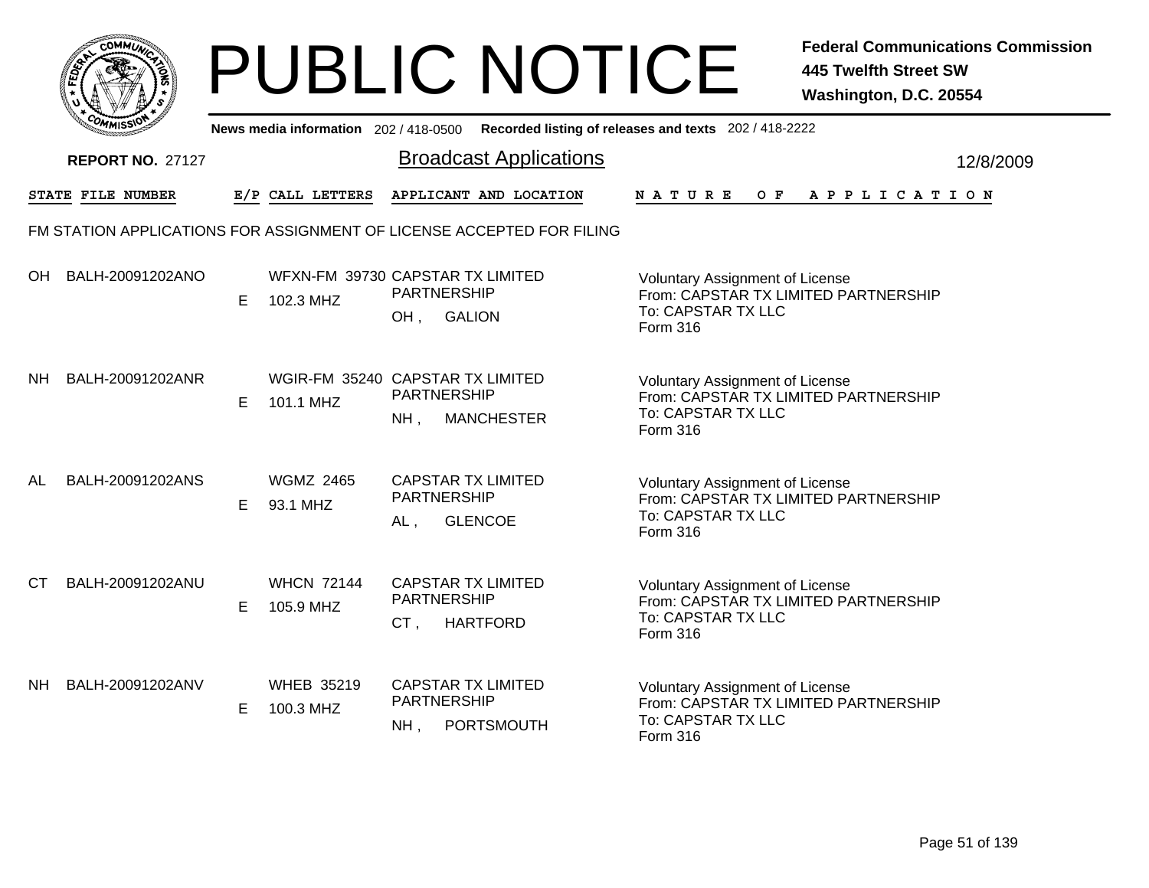|      |                                                                       |    |                                               |                                                        | <b>PUBLIC NOTICE</b>          |                                                                                                                         | <b>Federal Communications Commission</b><br><b>445 Twelfth Street SW</b><br>Washington, D.C. 20554 |
|------|-----------------------------------------------------------------------|----|-----------------------------------------------|--------------------------------------------------------|-------------------------------|-------------------------------------------------------------------------------------------------------------------------|----------------------------------------------------------------------------------------------------|
|      |                                                                       |    | News media information 202 / 418-0500         |                                                        |                               | Recorded listing of releases and texts 202 / 418-2222                                                                   |                                                                                                    |
|      | <b>REPORT NO. 27127</b>                                               |    |                                               |                                                        | <b>Broadcast Applications</b> |                                                                                                                         | 12/8/2009                                                                                          |
|      | STATE FILE NUMBER                                                     |    | E/P CALL LETTERS                              |                                                        | APPLICANT AND LOCATION        | <b>NATURE</b><br>O F                                                                                                    | APPLICATION                                                                                        |
|      | FM STATION APPLICATIONS FOR ASSIGNMENT OF LICENSE ACCEPTED FOR FILING |    |                                               |                                                        |                               |                                                                                                                         |                                                                                                    |
|      | OH BALH-20091202ANO                                                   | E. | WFXN-FM 39730 CAPSTAR TX LIMITED<br>102.3 MHZ | <b>PARTNERSHIP</b><br><b>GALION</b><br>OH,             |                               | Voluntary Assignment of License<br>From: CAPSTAR TX LIMITED PARTNERSHIP<br>To: CAPSTAR TX LLC<br>Form 316               |                                                                                                    |
| NH . | BALH-20091202ANR                                                      | E. | WGIR-FM 35240 CAPSTAR TX LIMITED<br>101.1 MHZ | PARTNERSHIP<br>$NH$ ,                                  | <b>MANCHESTER</b>             | <b>Voluntary Assignment of License</b><br>From: CAPSTAR TX LIMITED PARTNERSHIP<br>To: CAPSTAR TX LLC<br>Form 316        |                                                                                                    |
| AL   | BALH-20091202ANS                                                      | E. | <b>WGMZ 2465</b><br>93.1 MHZ                  | <b>CAPSTAR TX LIMITED</b><br><b>PARTNERSHIP</b><br>AL, | <b>GLENCOE</b>                | <b>Voluntary Assignment of License</b><br>From: CAPSTAR TX LIMITED PARTNERSHIP<br>To: CAPSTAR TX LLC<br>Form 316        |                                                                                                    |
| CT.  | BALH-20091202ANU                                                      | E. | <b>WHCN 72144</b><br>105.9 MHZ                | <b>CAPSTAR TX LIMITED</b><br><b>PARTNERSHIP</b><br>CT, | <b>HARTFORD</b>               | <b>Voluntary Assignment of License</b><br>From: CAPSTAR TX LIMITED PARTNERSHIP<br>To: CAPSTAR TX LLC<br><b>Form 316</b> |                                                                                                    |
| NH . | BALH-20091202ANV                                                      | E. | <b>WHEB 35219</b><br>100.3 MHZ                | <b>CAPSTAR TX LIMITED</b><br><b>PARTNERSHIP</b><br>NH, | PORTSMOUTH                    | Voluntary Assignment of License<br>From: CAPSTAR TX LIMITED PARTNERSHIP<br>To: CAPSTAR TX LLC<br>Form 316               |                                                                                                    |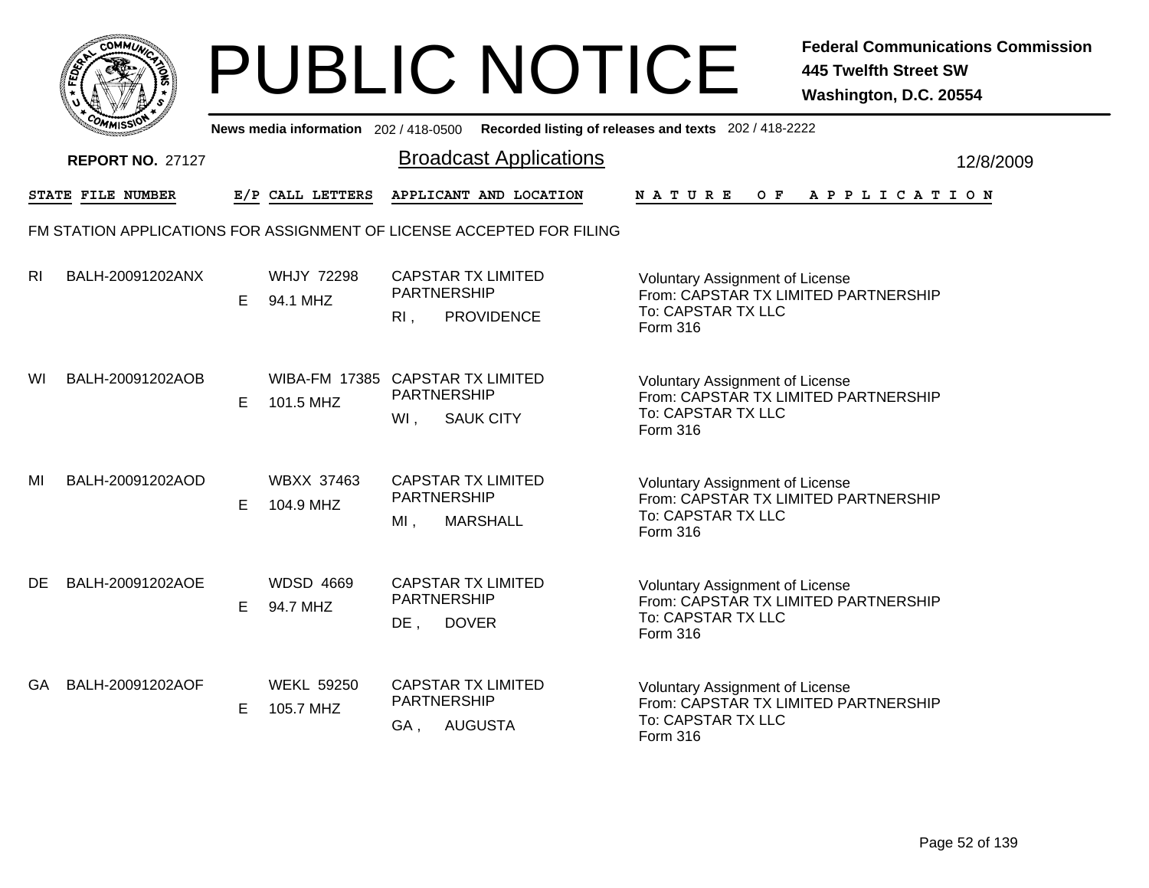|       | MMUNICT<br>c۵۱ |  |
|-------|----------------|--|
| FEDET |                |  |
|       |                |  |
|       | COMI<br>MISS   |  |

|                | יככווויי<br>News media information 202/418-0500 Recorded listing of releases and texts 202/418-2222 |    |                                               |                              |                                                |                                                                                                                         |           |  |  |
|----------------|-----------------------------------------------------------------------------------------------------|----|-----------------------------------------------|------------------------------|------------------------------------------------|-------------------------------------------------------------------------------------------------------------------------|-----------|--|--|
|                | <b>REPORT NO. 27127</b>                                                                             |    |                                               |                              | <b>Broadcast Applications</b>                  |                                                                                                                         | 12/8/2009 |  |  |
|                | STATE FILE NUMBER                                                                                   |    | E/P CALL LETTERS                              |                              | APPLICANT AND LOCATION                         | NATURE<br>OF APPLICATION                                                                                                |           |  |  |
|                | FM STATION APPLICATIONS FOR ASSIGNMENT OF LICENSE ACCEPTED FOR FILING                               |    |                                               |                              |                                                |                                                                                                                         |           |  |  |
| R <sub>l</sub> | BALH-20091202ANX                                                                                    | E. | <b>WHJY 72298</b><br>94.1 MHZ                 | <b>PARTNERSHIP</b><br>R1,    | <b>CAPSTAR TX LIMITED</b><br><b>PROVIDENCE</b> | <b>Voluntary Assignment of License</b><br>From: CAPSTAR TX LIMITED PARTNERSHIP<br>To: CAPSTAR TX LLC<br>Form 316        |           |  |  |
| WI             | BALH-20091202AOB                                                                                    | E. | WIBA-FM 17385 CAPSTAR TX LIMITED<br>101.5 MHZ | <b>PARTNERSHIP</b><br>WI.    | <b>SAUK CITY</b>                               | <b>Voluntary Assignment of License</b><br>From: CAPSTAR TX LIMITED PARTNERSHIP<br>To: CAPSTAR TX LLC<br>Form 316        |           |  |  |
| MI             | BALH-20091202AOD                                                                                    | Е  | <b>WBXX 37463</b><br>104.9 MHZ                | <b>PARTNERSHIP</b><br>$MI$ , | <b>CAPSTAR TX LIMITED</b><br><b>MARSHALL</b>   | <b>Voluntary Assignment of License</b><br>From: CAPSTAR TX LIMITED PARTNERSHIP<br>To: CAPSTAR TX LLC<br>Form 316        |           |  |  |
| DE.            | BALH-20091202AOE                                                                                    | E. | <b>WDSD 4669</b><br>94.7 MHZ                  | PARTNERSHIP<br>DE,           | <b>CAPSTAR TX LIMITED</b><br><b>DOVER</b>      | <b>Voluntary Assignment of License</b><br>From: CAPSTAR TX LIMITED PARTNERSHIP<br>To: CAPSTAR TX LLC<br>Form 316        |           |  |  |
| GA.            | BALH-20091202AOF                                                                                    | E. | <b>WEKL 59250</b><br>105.7 MHZ                | PARTNERSHIP<br>GA,           | <b>CAPSTAR TX LIMITED</b><br><b>AUGUSTA</b>    | <b>Voluntary Assignment of License</b><br>From: CAPSTAR TX LIMITED PARTNERSHIP<br>To: CAPSTAR TX LLC<br><b>Form 316</b> |           |  |  |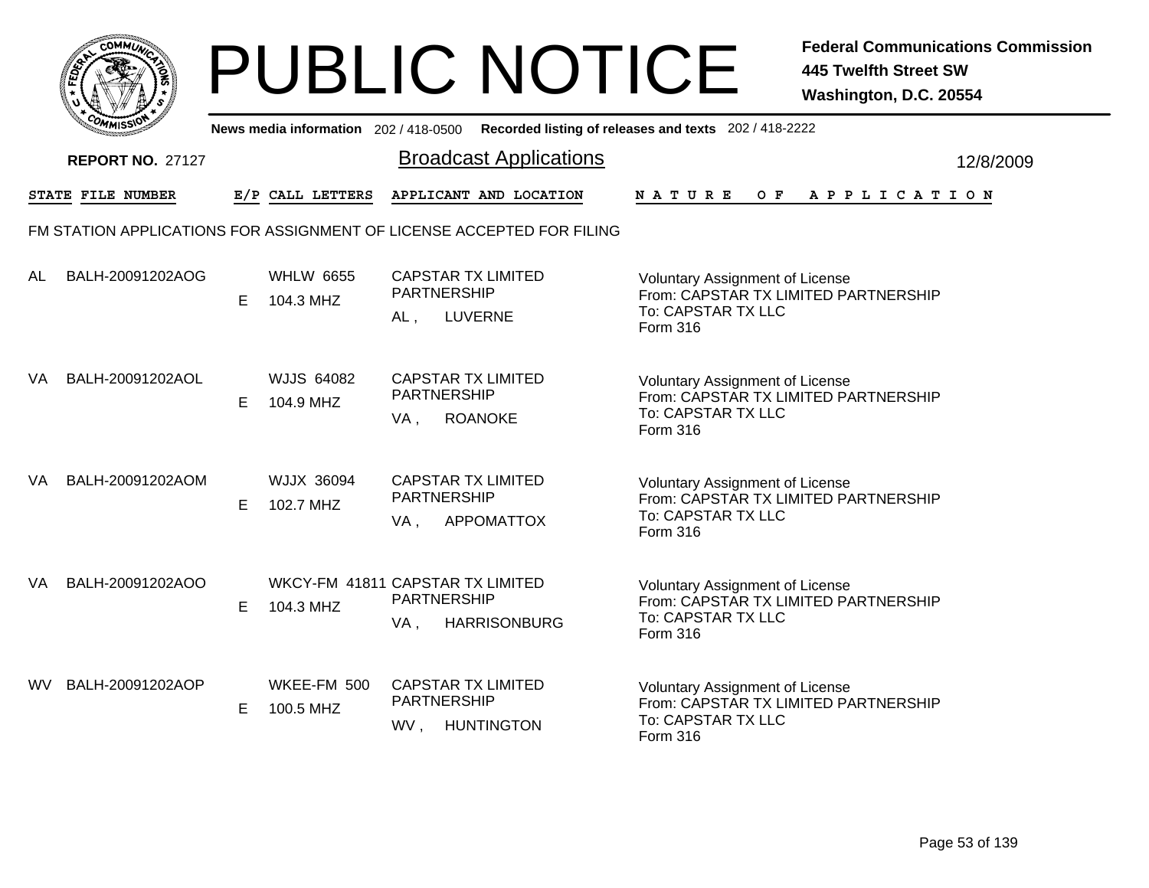|           | MMUNICT<br>ດ<br>Ċ,  |  |
|-----------|---------------------|--|
| ট্রু<br>c |                     |  |
|           |                     |  |
|           | COMI<br>MISS<br>--- |  |

|    | <b>COMMISSION</b>       |   | News media information 202/418-0500           |                              |                                                                       | Recorded listing of releases and texts 202 / 418-2222                                                                   |           |
|----|-------------------------|---|-----------------------------------------------|------------------------------|-----------------------------------------------------------------------|-------------------------------------------------------------------------------------------------------------------------|-----------|
|    | <b>REPORT NO. 27127</b> |   |                                               |                              | <b>Broadcast Applications</b>                                         |                                                                                                                         | 12/8/2009 |
|    | STATE FILE NUMBER       |   | E/P CALL LETTERS                              |                              | APPLICANT AND LOCATION                                                | OF APPLICATION<br>N A T U R E                                                                                           |           |
|    |                         |   |                                               |                              | FM STATION APPLICATIONS FOR ASSIGNMENT OF LICENSE ACCEPTED FOR FILING |                                                                                                                         |           |
| AL | BALH-20091202AOG        | Е | <b>WHLW 6655</b><br>104.3 MHZ                 | <b>PARTNERSHIP</b><br>$AL$ , | <b>CAPSTAR TX LIMITED</b><br><b>LUVERNE</b>                           | <b>Voluntary Assignment of License</b><br>From: CAPSTAR TX LIMITED PARTNERSHIP<br>To: CAPSTAR TX LLC<br>Form 316        |           |
| VA | BALH-20091202AOL        | Е | <b>WJJS 64082</b><br>104.9 MHZ                | <b>PARTNERSHIP</b><br>VA,    | <b>CAPSTAR TX LIMITED</b><br><b>ROANOKE</b>                           | <b>Voluntary Assignment of License</b><br>From: CAPSTAR TX LIMITED PARTNERSHIP<br>To: CAPSTAR TX LLC<br><b>Form 316</b> |           |
| VA | BALH-20091202AOM        | Е | <b>WJJX 36094</b><br>102.7 MHZ                | <b>PARTNERSHIP</b><br>VA,    | <b>CAPSTAR TX LIMITED</b><br><b>APPOMATTOX</b>                        | <b>Voluntary Assignment of License</b><br>From: CAPSTAR TX LIMITED PARTNERSHIP<br>To: CAPSTAR TX LLC<br>Form 316        |           |
| VA | BALH-20091202AOO        | Е | WKCY-FM 41811 CAPSTAR TX LIMITED<br>104.3 MHZ | <b>PARTNERSHIP</b><br>VA,    | <b>HARRISONBURG</b>                                                   | <b>Voluntary Assignment of License</b><br>From: CAPSTAR TX LIMITED PARTNERSHIP<br>To: CAPSTAR TX LLC<br><b>Form 316</b> |           |
| WV | BALH-20091202AOP        | Е | WKEE-FM 500<br>100.5 MHZ                      | <b>PARTNERSHIP</b><br>WV,    | <b>CAPSTAR TX LIMITED</b><br><b>HUNTINGTON</b>                        | <b>Voluntary Assignment of License</b><br>From: CAPSTAR TX LIMITED PARTNERSHIP<br>To: CAPSTAR TX LLC<br>Form 316        |           |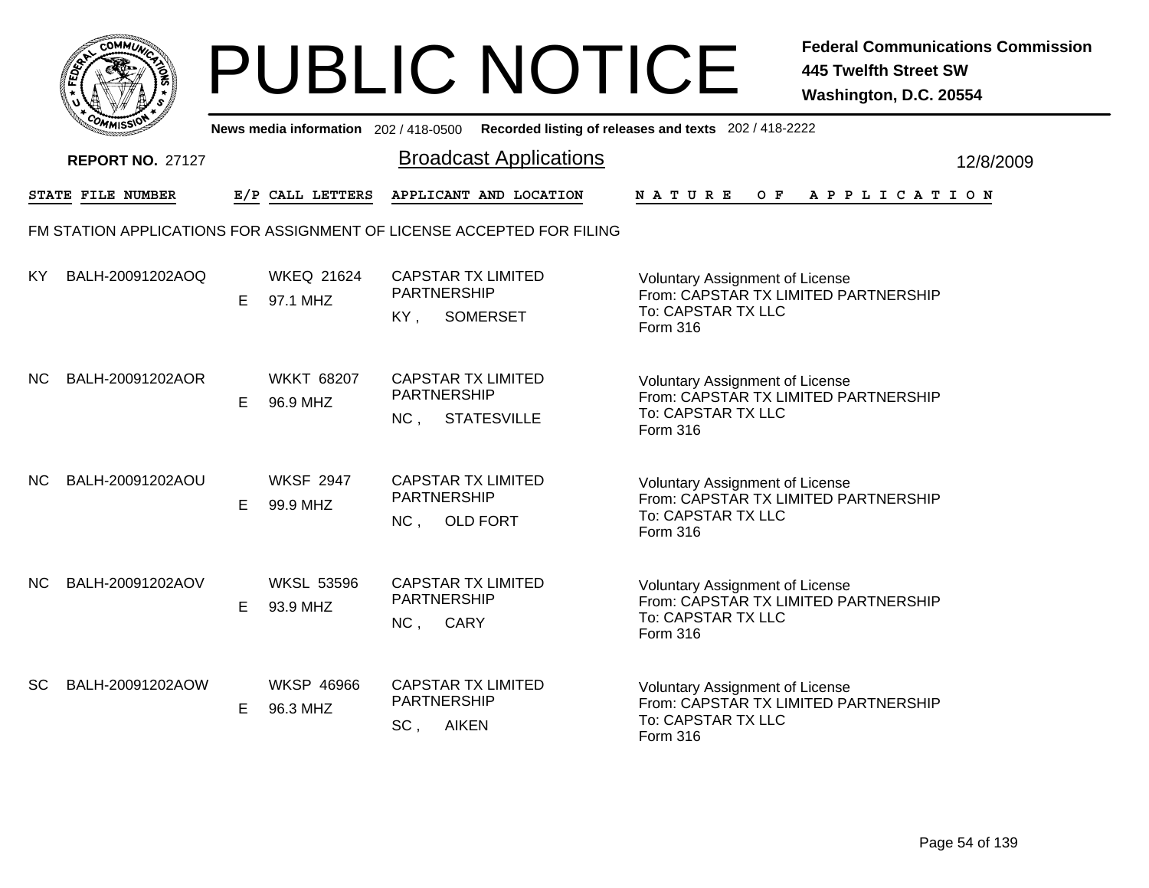|           | MMUNICT<br>ດ<br>Ċ,  |  |
|-----------|---------------------|--|
| ট্রু<br>c |                     |  |
|           |                     |  |
|           | COMI<br>MISS<br>--- |  |

|           | <b>COMMISSIC</b>         |    |                               |                                                                       | News media information 202 / 418-0500 Recorded listing of releases and texts 202 / 418-2222                      |           |
|-----------|--------------------------|----|-------------------------------|-----------------------------------------------------------------------|------------------------------------------------------------------------------------------------------------------|-----------|
|           | <b>REPORT NO. 27127</b>  |    |                               | <b>Broadcast Applications</b>                                         |                                                                                                                  | 12/8/2009 |
|           | <b>STATE FILE NUMBER</b> |    | E/P CALL LETTERS              | APPLICANT AND LOCATION                                                | N A T U R E<br>O F<br>A P P L I C A T I O N                                                                      |           |
|           |                          |    |                               | FM STATION APPLICATIONS FOR ASSIGNMENT OF LICENSE ACCEPTED FOR FILING |                                                                                                                  |           |
| KY.       | BALH-20091202AOQ         | E  | <b>WKEQ 21624</b><br>97.1 MHZ | <b>CAPSTAR TX LIMITED</b><br>PARTNERSHIP<br><b>SOMERSET</b><br>KY.    | Voluntary Assignment of License<br>From: CAPSTAR TX LIMITED PARTNERSHIP<br>To: CAPSTAR TX LLC<br>Form 316        |           |
| <b>NC</b> | BALH-20091202AOR         | E. | <b>WKKT 68207</b><br>96.9 MHZ | <b>CAPSTAR TX LIMITED</b><br>PARTNERSHIP<br>NC,<br><b>STATESVILLE</b> | <b>Voluntary Assignment of License</b><br>From: CAPSTAR TX LIMITED PARTNERSHIP<br>To: CAPSTAR TX LLC<br>Form 316 |           |
| NC.       | BALH-20091202AOU         | E  | <b>WKSF 2947</b><br>99.9 MHZ  | <b>CAPSTAR TX LIMITED</b><br><b>PARTNERSHIP</b><br>NC,<br>OLD FORT    | <b>Voluntary Assignment of License</b><br>From: CAPSTAR TX LIMITED PARTNERSHIP<br>To: CAPSTAR TX LLC<br>Form 316 |           |
| NC.       | BALH-20091202AOV         | E  | <b>WKSL 53596</b><br>93.9 MHZ | <b>CAPSTAR TX LIMITED</b><br><b>PARTNERSHIP</b><br>NC,<br>CARY        | Voluntary Assignment of License<br>From: CAPSTAR TX LIMITED PARTNERSHIP<br>To: CAPSTAR TX LLC<br>Form 316        |           |
| SC        | BALH-20091202AOW         | Е  | <b>WKSP 46966</b><br>96.3 MHZ | <b>CAPSTAR TX LIMITED</b><br>PARTNERSHIP<br>SC,<br><b>AIKEN</b>       | Voluntary Assignment of License<br>From: CAPSTAR TX LIMITED PARTNERSHIP<br>To: CAPSTAR TX LLC<br>Form 316        |           |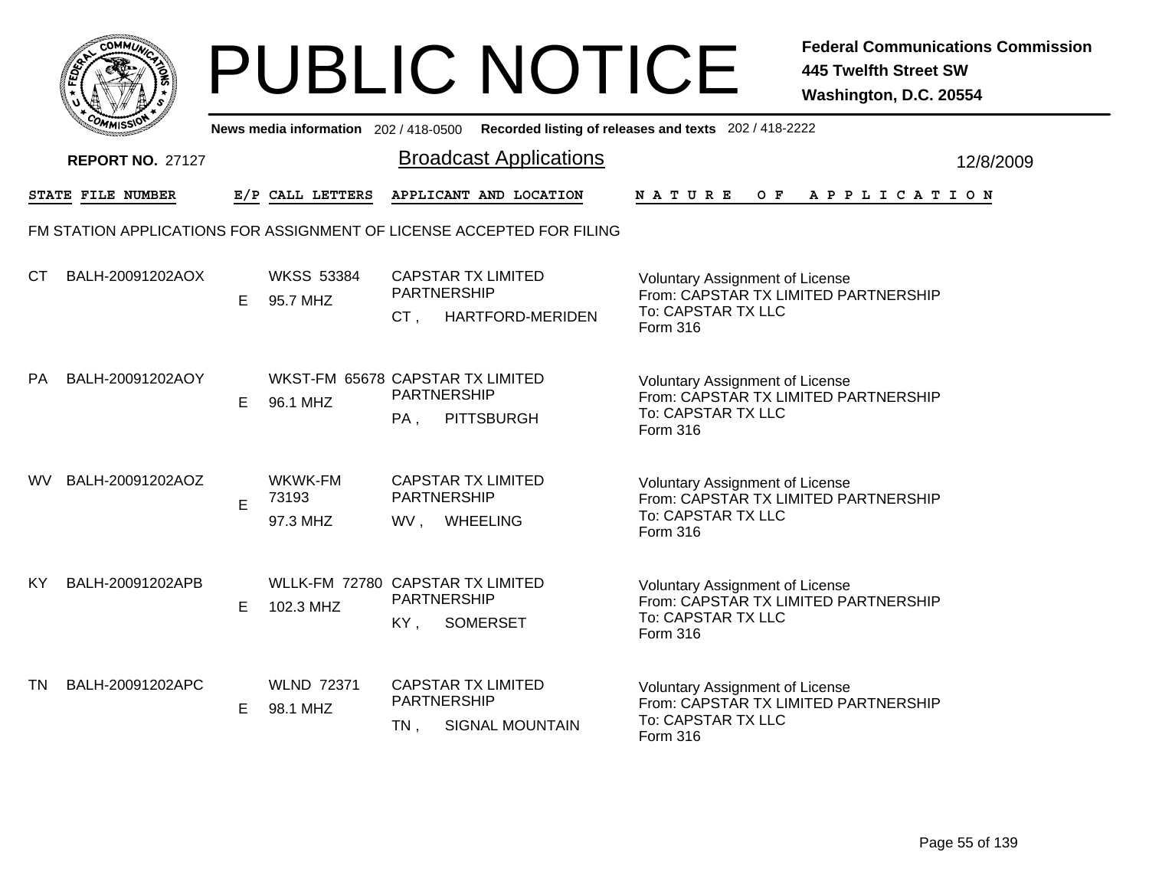

|           | יככווויי                                                              |    |                                               |                                                        |                                                     | News media information 202/418-0500 Recorded listing of releases and texts 202/418-2222                          |           |
|-----------|-----------------------------------------------------------------------|----|-----------------------------------------------|--------------------------------------------------------|-----------------------------------------------------|------------------------------------------------------------------------------------------------------------------|-----------|
|           | <b>REPORT NO. 27127</b>                                               |    |                                               |                                                        | <b>Broadcast Applications</b>                       |                                                                                                                  | 12/8/2009 |
|           | STATE FILE NUMBER                                                     |    | E/P CALL LETTERS                              |                                                        | APPLICANT AND LOCATION                              | <b>NATURE</b><br>OF APPLICATION                                                                                  |           |
|           | FM STATION APPLICATIONS FOR ASSIGNMENT OF LICENSE ACCEPTED FOR FILING |    |                                               |                                                        |                                                     |                                                                                                                  |           |
| СT        | BALH-20091202AOX                                                      | E. | <b>WKSS 53384</b><br>95.7 MHZ                 | <b>CAPSTAR TX LIMITED</b><br><b>PARTNERSHIP</b><br>CT, | HARTFORD-MERIDEN                                    | <b>Voluntary Assignment of License</b><br>From: CAPSTAR TX LIMITED PARTNERSHIP<br>To: CAPSTAR TX LLC<br>Form 316 |           |
| <b>PA</b> | BALH-20091202AOY                                                      | E. | WKST-FM 65678 CAPSTAR TX LIMITED<br>96.1 MHZ  | PARTNERSHIP<br>PA,                                     | <b>PITTSBURGH</b>                                   | <b>Voluntary Assignment of License</b><br>From: CAPSTAR TX LIMITED PARTNERSHIP<br>To: CAPSTAR TX LLC<br>Form 316 |           |
| <b>WV</b> | BALH-20091202AOZ                                                      | E  | WKWK-FM<br>73193<br>97.3 MHZ                  | <b>PARTNERSHIP</b><br>WV, WHEELING                     | <b>CAPSTAR TX LIMITED</b>                           | <b>Voluntary Assignment of License</b><br>From: CAPSTAR TX LIMITED PARTNERSHIP<br>To: CAPSTAR TX LLC<br>Form 316 |           |
| KY.       | BALH-20091202APB                                                      | E. | WLLK-FM 72780 CAPSTAR TX LIMITED<br>102.3 MHZ | <b>PARTNERSHIP</b><br>KY,                              | <b>SOMERSET</b>                                     | <b>Voluntary Assignment of License</b><br>From: CAPSTAR TX LIMITED PARTNERSHIP<br>To: CAPSTAR TX LLC<br>Form 316 |           |
| <b>TN</b> | BALH-20091202APC                                                      | E. | <b>WLND 72371</b><br>98.1 MHZ                 | <b>PARTNERSHIP</b><br>TN,                              | <b>CAPSTAR TX LIMITED</b><br><b>SIGNAL MOUNTAIN</b> | <b>Voluntary Assignment of License</b><br>From: CAPSTAR TX LIMITED PARTNERSHIP<br>To: CAPSTAR TX LLC<br>Form 316 |           |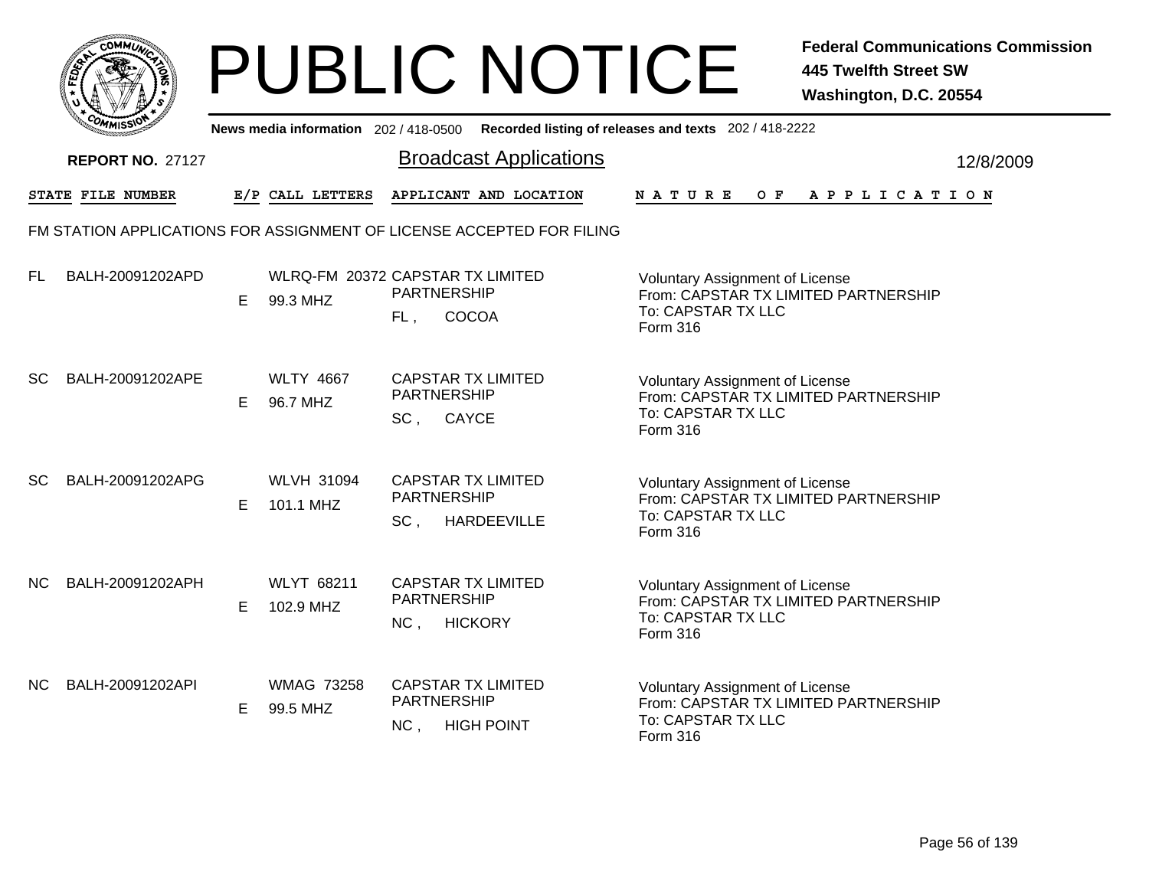|           | <b>COMMUT</b>                                                         |    |                                              |                                                                    | <b>PUBLIC NOTICE</b>          |                                                                                                                  | <b>Federal Communications Commission</b><br><b>445 Twelfth Street SW</b><br>Washington, D.C. 20554 |
|-----------|-----------------------------------------------------------------------|----|----------------------------------------------|--------------------------------------------------------------------|-------------------------------|------------------------------------------------------------------------------------------------------------------|----------------------------------------------------------------------------------------------------|
|           |                                                                       |    | News media information 202 / 418-0500        |                                                                    |                               | Recorded listing of releases and texts 202 / 418-2222                                                            |                                                                                                    |
|           | <b>REPORT NO. 27127</b>                                               |    |                                              |                                                                    | <b>Broadcast Applications</b> |                                                                                                                  | 12/8/2009                                                                                          |
|           | STATE FILE NUMBER                                                     |    | E/P CALL LETTERS                             |                                                                    | APPLICANT AND LOCATION        | N A T U R E                                                                                                      | OF APPLICATION                                                                                     |
|           | FM STATION APPLICATIONS FOR ASSIGNMENT OF LICENSE ACCEPTED FOR FILING |    |                                              |                                                                    |                               |                                                                                                                  |                                                                                                    |
| FL.       | BALH-20091202APD                                                      | E  | WLRQ-FM 20372 CAPSTAR TX LIMITED<br>99.3 MHZ | <b>PARTNERSHIP</b><br>COCOA<br>FL.                                 |                               | Voluntary Assignment of License<br>From: CAPSTAR TX LIMITED PARTNERSHIP<br>To: CAPSTAR TX LLC<br>Form 316        |                                                                                                    |
| <b>SC</b> | BALH-20091202APE                                                      | E. | <b>WLTY 4667</b><br>96.7 MHZ                 | <b>CAPSTAR TX LIMITED</b><br><b>PARTNERSHIP</b><br>SC, CAYCE       |                               | <b>Voluntary Assignment of License</b><br>From: CAPSTAR TX LIMITED PARTNERSHIP<br>To: CAPSTAR TX LLC<br>Form 316 |                                                                                                    |
| <b>SC</b> | BALH-20091202APG                                                      | E. | <b>WLVH 31094</b><br>101.1 MHZ               | <b>CAPSTAR TX LIMITED</b><br><b>PARTNERSHIP</b><br>SC, HARDEEVILLE |                               | Voluntary Assignment of License<br>From: CAPSTAR TX LIMITED PARTNERSHIP<br>To: CAPSTAR TX LLC<br>Form 316        |                                                                                                    |
| <b>NC</b> | BALH-20091202APH                                                      | E. | <b>WLYT 68211</b><br>102.9 MHZ               | <b>CAPSTAR TX LIMITED</b><br><b>PARTNERSHIP</b><br>NC,             | <b>HICKORY</b>                | Voluntary Assignment of License<br>From: CAPSTAR TX LIMITED PARTNERSHIP<br>To: CAPSTAR TX LLC<br>Form 316        |                                                                                                    |
| NC.       | BALH-20091202API                                                      | E. | <b>WMAG 73258</b><br>99.5 MHZ                | <b>CAPSTAR TX LIMITED</b><br><b>PARTNERSHIP</b><br>NC, HIGH POINT  |                               | Voluntary Assignment of License<br>From: CAPSTAR TX LIMITED PARTNERSHIP<br>To: CAPSTAR TX LLC<br>Form 316        |                                                                                                    |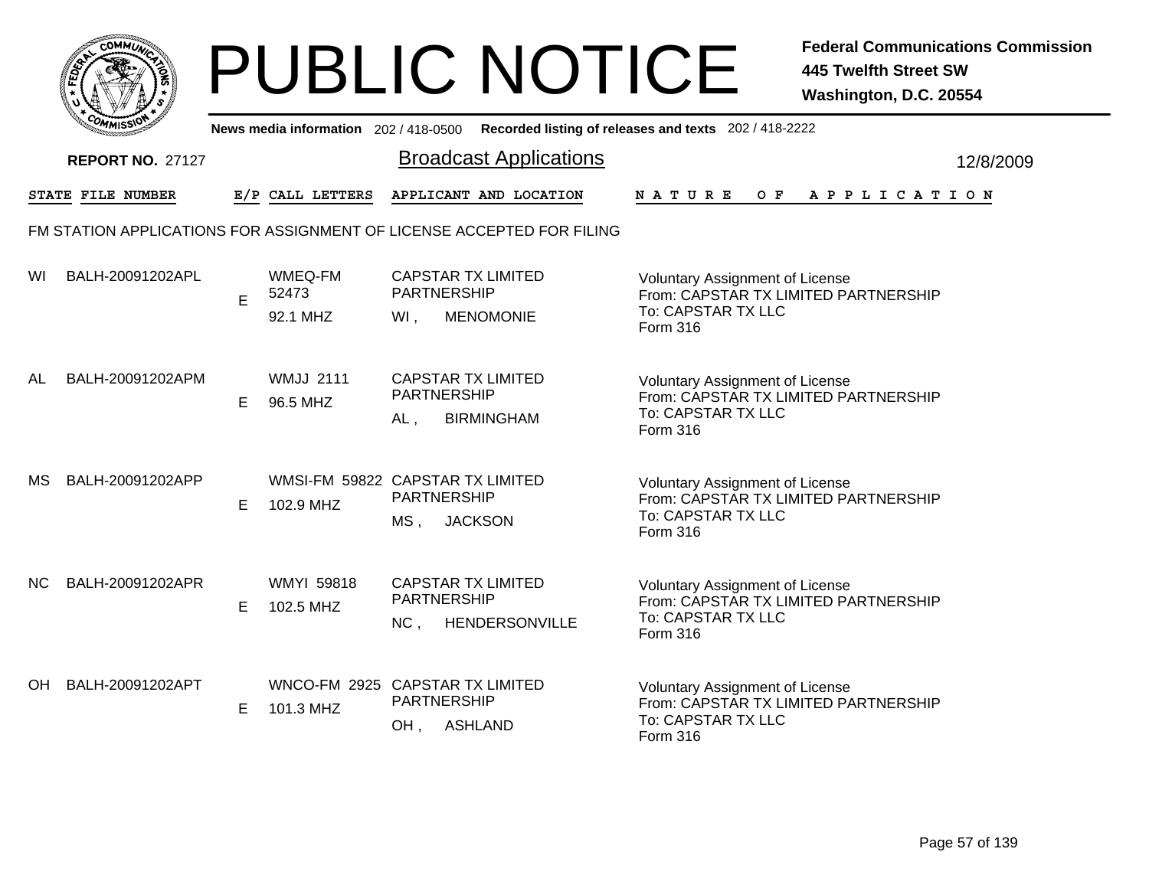|           | MMUNICT<br>ດ<br>Ċ,  |  |
|-----------|---------------------|--|
| ট্রু<br>c |                     |  |
|           |                     |  |
|           | COMI<br>MISS<br>--- |  |

|     | יככוומדי                |   |                                               |                              | News media information 202/418-0500 Recorded listing of releases and texts 202/418-2222 |               |                                                                                                      |  |         |                       |  |  |           |  |
|-----|-------------------------|---|-----------------------------------------------|------------------------------|-----------------------------------------------------------------------------------------|---------------|------------------------------------------------------------------------------------------------------|--|---------|-----------------------|--|--|-----------|--|
|     | <b>REPORT NO. 27127</b> |   |                                               |                              | <b>Broadcast Applications</b>                                                           |               |                                                                                                      |  |         |                       |  |  | 12/8/2009 |  |
|     | STATE FILE NUMBER       |   | E/P CALL LETTERS                              |                              | APPLICANT AND LOCATION                                                                  | <b>NATURE</b> |                                                                                                      |  | $O$ $F$ | A P P L I C A T I O N |  |  |           |  |
|     |                         |   |                                               |                              | FM STATION APPLICATIONS FOR ASSIGNMENT OF LICENSE ACCEPTED FOR FILING                   |               |                                                                                                      |  |         |                       |  |  |           |  |
| WI  | BALH-20091202APL        | E | WMEQ-FM<br>52473<br>92.1 MHZ                  | <b>PARTNERSHIP</b><br>WI,    | <b>CAPSTAR TX LIMITED</b><br><b>MENOMONIE</b>                                           | Form 316      | Voluntary Assignment of License<br>From: CAPSTAR TX LIMITED PARTNERSHIP<br>To: CAPSTAR TX LLC        |  |         |                       |  |  |           |  |
| AL  | BALH-20091202APM        | Е | <b>WMJJ 2111</b><br>96.5 MHZ                  | <b>PARTNERSHIP</b><br>$AL$ , | <b>CAPSTAR TX LIMITED</b><br><b>BIRMINGHAM</b>                                          | Form 316      | <b>Voluntary Assignment of License</b><br>From: CAPSTAR TX LIMITED PARTNERSHIP<br>To: CAPSTAR TX LLC |  |         |                       |  |  |           |  |
| МS  | BALH-20091202APP        | E | WMSI-FM 59822 CAPSTAR TX LIMITED<br>102.9 MHZ | <b>PARTNERSHIP</b><br>$MS$ , | <b>JACKSON</b>                                                                          | Form 316      | <b>Voluntary Assignment of License</b><br>From: CAPSTAR TX LIMITED PARTNERSHIP<br>To: CAPSTAR TX LLC |  |         |                       |  |  |           |  |
| NC. | BALH-20091202APR        | E | <b>WMYI 59818</b><br>102.5 MHZ                | PARTNERSHIP<br>NC,           | <b>CAPSTAR TX LIMITED</b><br>HENDERSONVILLE                                             | Form 316      | <b>Voluntary Assignment of License</b><br>From: CAPSTAR TX LIMITED PARTNERSHIP<br>To: CAPSTAR TX LLC |  |         |                       |  |  |           |  |
| OH  | BALH-20091202APT        | E | WNCO-FM 2925 CAPSTAR TX LIMITED<br>101.3 MHZ  | PARTNERSHIP<br>OH,           | <b>ASHLAND</b>                                                                          | Form 316      | <b>Voluntary Assignment of License</b><br>From: CAPSTAR TX LIMITED PARTNERSHIP<br>To: CAPSTAR TX LLC |  |         |                       |  |  |           |  |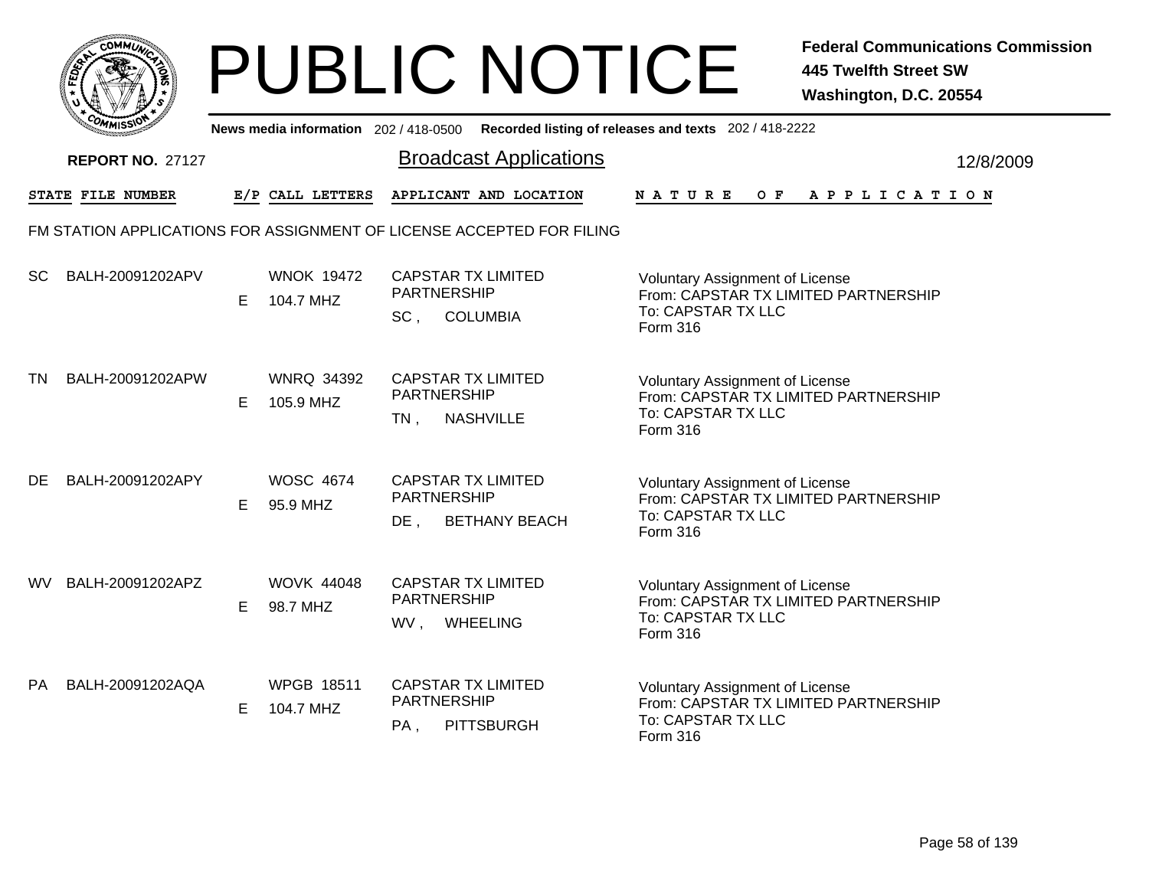

|           | <b>COMMISSION</b>       |   |                                | News media information 202 / 418-0500 Recorded listing of releases and texts 202 / 418-2222 |                                                                                                                  |           |
|-----------|-------------------------|---|--------------------------------|---------------------------------------------------------------------------------------------|------------------------------------------------------------------------------------------------------------------|-----------|
|           | <b>REPORT NO. 27127</b> |   |                                | <b>Broadcast Applications</b>                                                               |                                                                                                                  | 12/8/2009 |
|           | STATE FILE NUMBER       |   | E/P CALL LETTERS               | APPLICANT AND LOCATION                                                                      | NATURE<br>O F<br>A P P L I C A T I O N                                                                           |           |
|           |                         |   |                                | FM STATION APPLICATIONS FOR ASSIGNMENT OF LICENSE ACCEPTED FOR FILING                       |                                                                                                                  |           |
| <b>SC</b> | BALH-20091202APV        | Е | <b>WNOK 19472</b><br>104.7 MHZ | <b>CAPSTAR TX LIMITED</b><br><b>PARTNERSHIP</b><br>SC.<br><b>COLUMBIA</b>                   | <b>Voluntary Assignment of License</b><br>From: CAPSTAR TX LIMITED PARTNERSHIP<br>To: CAPSTAR TX LLC<br>Form 316 |           |
| TN        | BALH-20091202APW        | Е | <b>WNRQ 34392</b><br>105.9 MHZ | <b>CAPSTAR TX LIMITED</b><br>PARTNERSHIP<br><b>NASHVILLE</b><br>$TN$ ,                      | Voluntary Assignment of License<br>From: CAPSTAR TX LIMITED PARTNERSHIP<br>To: CAPSTAR TX LLC<br>Form 316        |           |
| DE        | BALH-20091202APY        | Е | <b>WOSC 4674</b><br>95.9 MHZ   | <b>CAPSTAR TX LIMITED</b><br><b>PARTNERSHIP</b><br>DE,<br><b>BETHANY BEACH</b>              | <b>Voluntary Assignment of License</b><br>From: CAPSTAR TX LIMITED PARTNERSHIP<br>To: CAPSTAR TX LLC<br>Form 316 |           |
| WV.       | BALH-20091202APZ        | E | <b>WOVK 44048</b><br>98.7 MHZ  | <b>CAPSTAR TX LIMITED</b><br>PARTNERSHIP<br>WV,<br><b>WHEELING</b>                          | Voluntary Assignment of License<br>From: CAPSTAR TX LIMITED PARTNERSHIP<br>To: CAPSTAR TX LLC<br>Form 316        |           |
| PA        | BALH-20091202AQA        | E | <b>WPGB 18511</b><br>104.7 MHZ | <b>CAPSTAR TX LIMITED</b><br><b>PARTNERSHIP</b><br>$PA$ ,<br><b>PITTSBURGH</b>              | Voluntary Assignment of License<br>From: CAPSTAR TX LIMITED PARTNERSHIP<br>To: CAPSTAR TX LLC<br>Form 316        |           |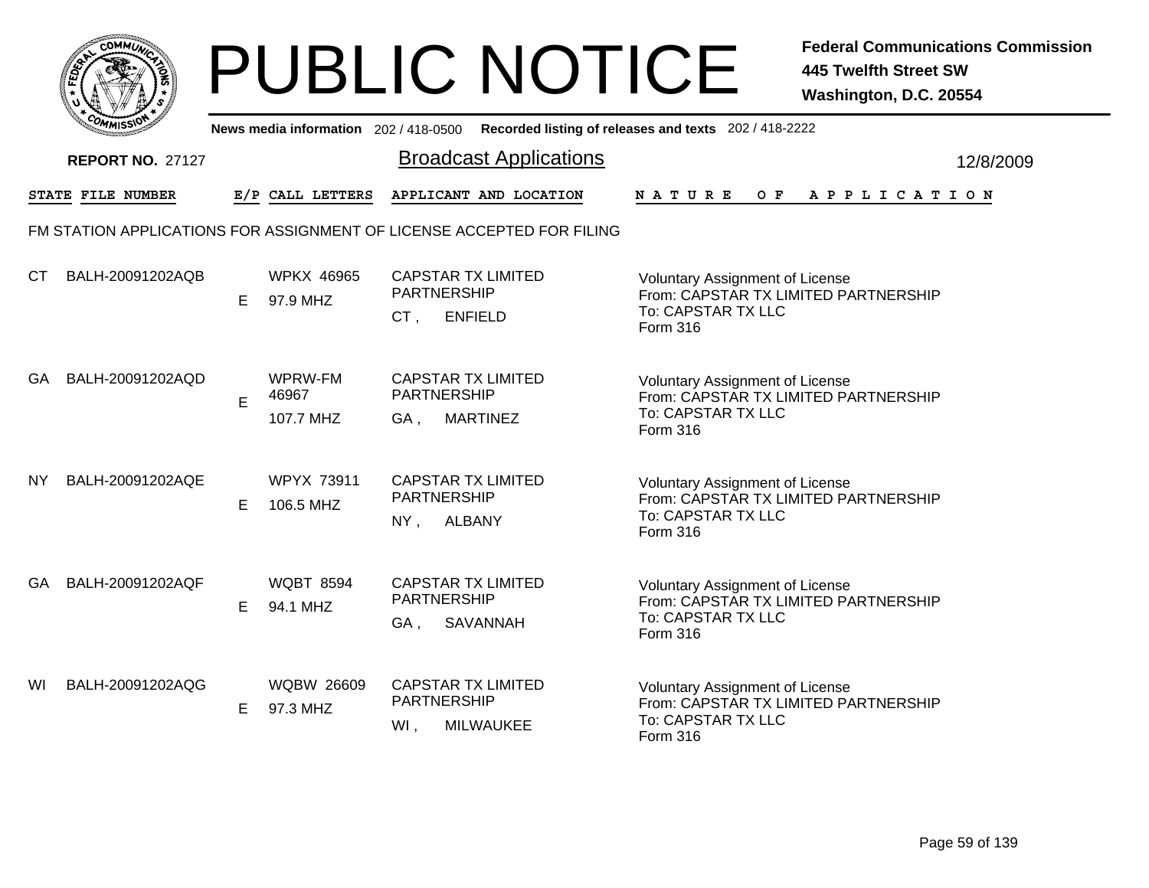

|     | <b>COMMISSION</b>       |    | News media information 202 / 418-0500 |                                                                          | Recorded listing of releases and texts 202 / 418-2222                                                            |           |
|-----|-------------------------|----|---------------------------------------|--------------------------------------------------------------------------|------------------------------------------------------------------------------------------------------------------|-----------|
|     | <b>REPORT NO. 27127</b> |    |                                       | <b>Broadcast Applications</b>                                            |                                                                                                                  | 12/8/2009 |
|     | STATE FILE NUMBER       |    | E/P CALL LETTERS                      | APPLICANT AND LOCATION                                                   | <b>NATURE</b><br>O F<br>A P P L I C A T I O N                                                                    |           |
|     |                         |    |                                       | FM STATION APPLICATIONS FOR ASSIGNMENT OF LICENSE ACCEPTED FOR FILING    |                                                                                                                  |           |
| СT  | BALH-20091202AQB        | E. | <b>WPKX 46965</b><br>97.9 MHZ         | <b>CAPSTAR TX LIMITED</b><br><b>PARTNERSHIP</b><br>CT.<br><b>ENFIELD</b> | <b>Voluntary Assignment of License</b><br>From: CAPSTAR TX LIMITED PARTNERSHIP<br>To: CAPSTAR TX LLC<br>Form 316 |           |
| GA. | BALH-20091202AQD        | E  | WPRW-FM<br>46967<br>107.7 MHZ         | <b>CAPSTAR TX LIMITED</b><br>PARTNERSHIP<br><b>MARTINEZ</b><br>GA,       | <b>Voluntary Assignment of License</b><br>From: CAPSTAR TX LIMITED PARTNERSHIP<br>To: CAPSTAR TX LLC<br>Form 316 |           |
| NY. | BALH-20091202AQE        | Е  | <b>WPYX 73911</b><br>106.5 MHZ        | <b>CAPSTAR TX LIMITED</b><br><b>PARTNERSHIP</b><br><b>ALBANY</b><br>NY,  | Voluntary Assignment of License<br>From: CAPSTAR TX LIMITED PARTNERSHIP<br>To: CAPSTAR TX LLC<br>Form 316        |           |
| GA. | BALH-20091202AQF        | E. | <b>WQBT 8594</b><br>94.1 MHZ          | <b>CAPSTAR TX LIMITED</b><br>PARTNERSHIP<br>SAVANNAH<br>GA,              | Voluntary Assignment of License<br>From: CAPSTAR TX LIMITED PARTNERSHIP<br>To: CAPSTAR TX LLC<br>Form 316        |           |
| WI  | BALH-20091202AQG        | E. | <b>WQBW 26609</b><br>97.3 MHZ         | <b>CAPSTAR TX LIMITED</b><br>PARTNERSHIP<br>WI,<br><b>MILWAUKEE</b>      | Voluntary Assignment of License<br>From: CAPSTAR TX LIMITED PARTNERSHIP<br>To: CAPSTAR TX LLC<br><b>Form 316</b> |           |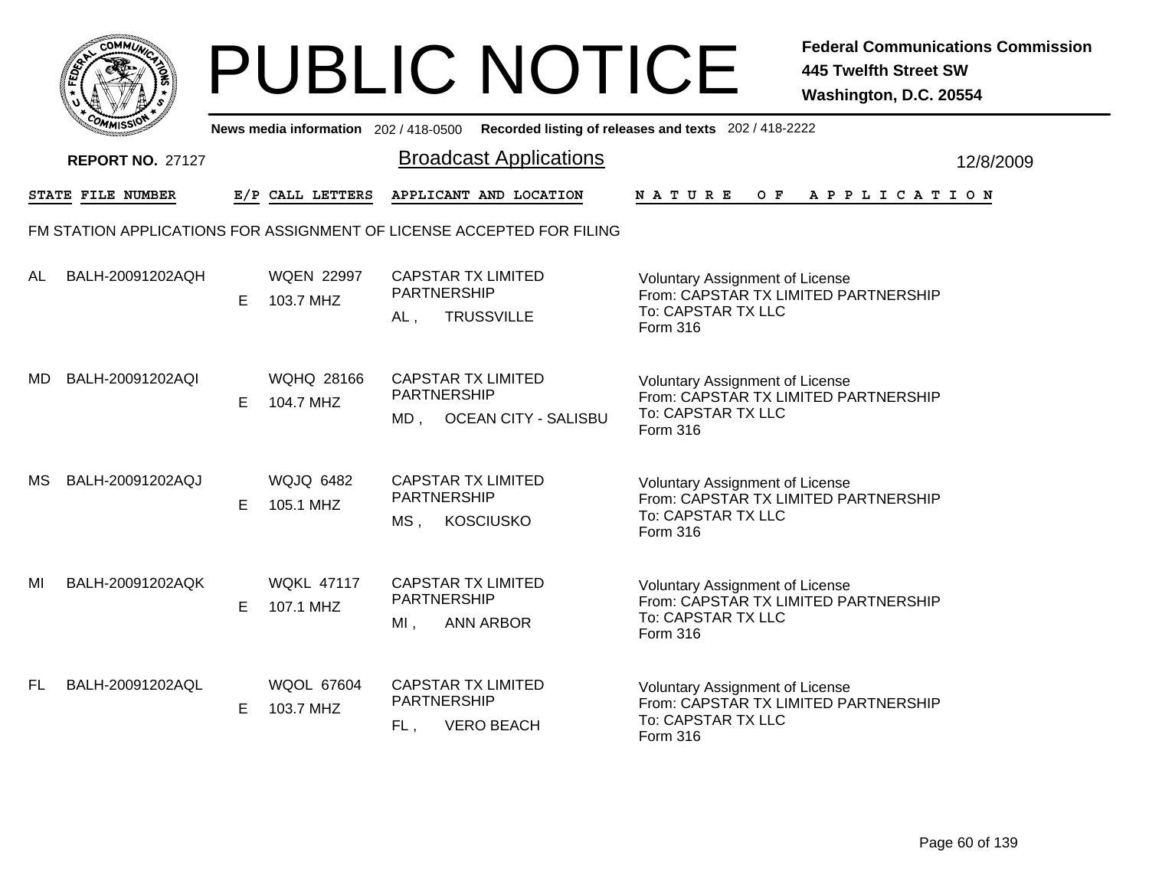

|           | יככוומי                 |   |                                | News media information 202/418-0500 Recorded listing of releases and texts 202/418-2222 |                                                                                                                  |           |  |
|-----------|-------------------------|---|--------------------------------|-----------------------------------------------------------------------------------------|------------------------------------------------------------------------------------------------------------------|-----------|--|
|           | <b>REPORT NO. 27127</b> |   |                                | <b>Broadcast Applications</b>                                                           |                                                                                                                  | 12/8/2009 |  |
|           | STATE FILE NUMBER       |   | E/P CALL LETTERS               | APPLICANT AND LOCATION                                                                  | $O$ $F$<br>A P P L I C A T I O N<br><b>NATURE</b>                                                                |           |  |
|           |                         |   |                                | FM STATION APPLICATIONS FOR ASSIGNMENT OF LICENSE ACCEPTED FOR FILING                   |                                                                                                                  |           |  |
| <b>AL</b> | BALH-20091202AQH        | Е | <b>WQEN 22997</b><br>103.7 MHZ | <b>CAPSTAR TX LIMITED</b><br><b>PARTNERSHIP</b><br><b>TRUSSVILLE</b><br>AL,             | Voluntary Assignment of License<br>From: CAPSTAR TX LIMITED PARTNERSHIP<br>To: CAPSTAR TX LLC<br>Form 316        |           |  |
| MD        | BALH-20091202AQI        | Е | <b>WQHQ 28166</b><br>104.7 MHZ | <b>CAPSTAR TX LIMITED</b><br><b>PARTNERSHIP</b><br><b>OCEAN CITY - SALISBU</b><br>MD .  | <b>Voluntary Assignment of License</b><br>From: CAPSTAR TX LIMITED PARTNERSHIP<br>To: CAPSTAR TX LLC<br>Form 316 |           |  |
| МS        | BALH-20091202AQJ        | Е | <b>WQJQ 6482</b><br>105.1 MHZ  | <b>CAPSTAR TX LIMITED</b><br><b>PARTNERSHIP</b><br>$MS$ ,<br><b>KOSCIUSKO</b>           | Voluntary Assignment of License<br>From: CAPSTAR TX LIMITED PARTNERSHIP<br>To: CAPSTAR TX LLC<br>Form 316        |           |  |
| MI        | BALH-20091202AQK        | Е | <b>WQKL 47117</b><br>107.1 MHZ | <b>CAPSTAR TX LIMITED</b><br><b>PARTNERSHIP</b><br><b>ANN ARBOR</b><br>$MI$ ,           | <b>Voluntary Assignment of License</b><br>From: CAPSTAR TX LIMITED PARTNERSHIP<br>To: CAPSTAR TX LLC<br>Form 316 |           |  |
| FL.       | BALH-20091202AQL        | Е | <b>WQOL 67604</b><br>103.7 MHZ | <b>CAPSTAR TX LIMITED</b><br>PARTNERSHIP<br><b>VERO BEACH</b><br>FL,                    | <b>Voluntary Assignment of License</b><br>From: CAPSTAR TX LIMITED PARTNERSHIP<br>To: CAPSTAR TX LLC<br>Form 316 |           |  |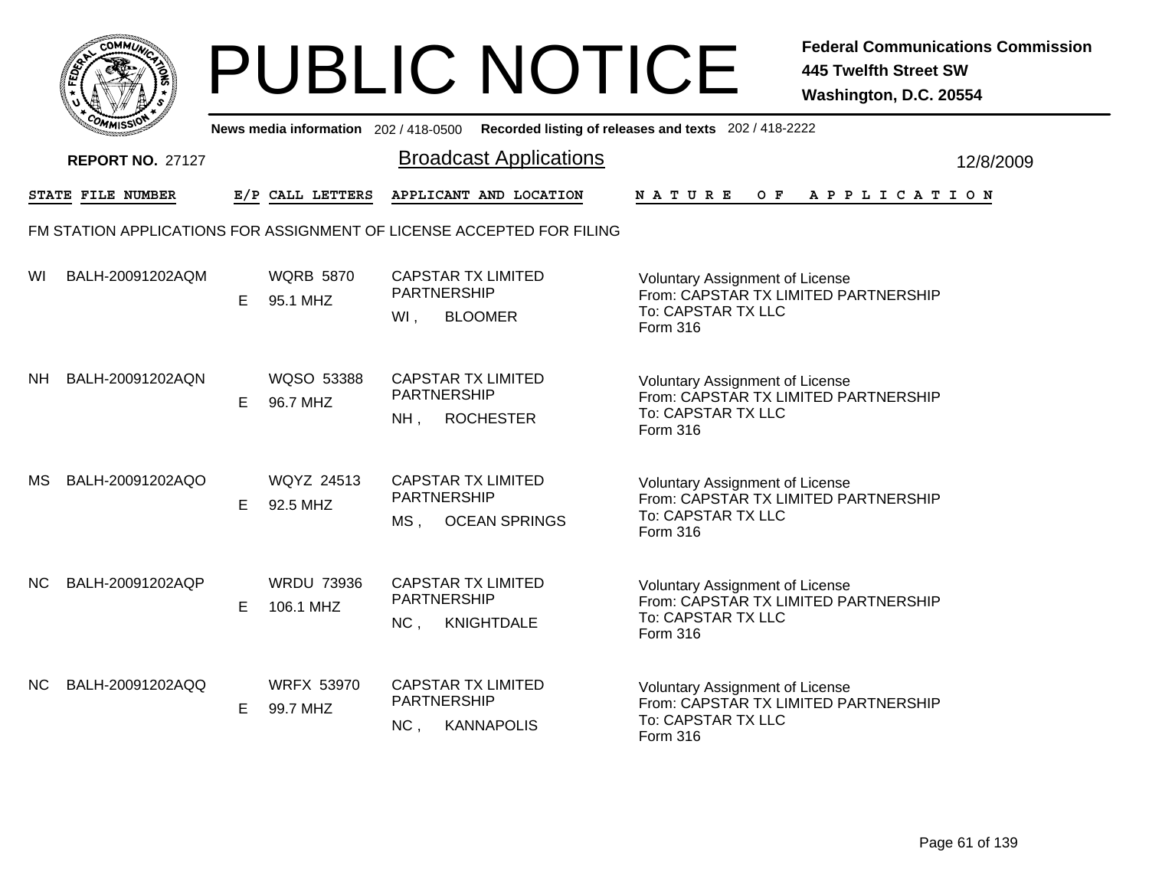|       | MMUNICT<br>c۵۱ |  |
|-------|----------------|--|
| FEDET |                |  |
|       |                |  |
|       | COMI<br>MISS   |  |

|     | יככוומדי                |   |                                | News media information 202/418-0500 Recorded listing of releases and texts 202/418-2222                                                                                                                               |                       |           |
|-----|-------------------------|---|--------------------------------|-----------------------------------------------------------------------------------------------------------------------------------------------------------------------------------------------------------------------|-----------------------|-----------|
|     | <b>REPORT NO. 27127</b> |   |                                | <b>Broadcast Applications</b>                                                                                                                                                                                         |                       | 12/8/2009 |
|     | STATE FILE NUMBER       |   | E/P CALL LETTERS               | APPLICANT AND LOCATION<br>$O$ $\bf{F}$<br><b>NATURE</b>                                                                                                                                                               | A P P L I C A T I O N |           |
|     |                         |   |                                | FM STATION APPLICATIONS FOR ASSIGNMENT OF LICENSE ACCEPTED FOR FILING                                                                                                                                                 |                       |           |
| WI  | BALH-20091202AQM        | E | <b>WQRB 5870</b><br>95.1 MHZ   | <b>CAPSTAR TX LIMITED</b><br>Voluntary Assignment of License<br><b>PARTNERSHIP</b><br>From: CAPSTAR TX LIMITED PARTNERSHIP<br>To: CAPSTAR TX LLC<br>WI,<br><b>BLOOMER</b><br>Form 316                                 |                       |           |
| NΗ  | BALH-20091202AQN        | E | WQSO 53388<br>96.7 MHZ         | <b>CAPSTAR TX LIMITED</b><br><b>Voluntary Assignment of License</b><br><b>PARTNERSHIP</b><br>From: CAPSTAR TX LIMITED PARTNERSHIP<br>To: CAPSTAR TX LLC<br><b>ROCHESTER</b><br>$NH$ ,<br>Form 316                     |                       |           |
| МS  | BALH-20091202AQO        | E | <b>WQYZ 24513</b><br>92.5 MHZ  | <b>CAPSTAR TX LIMITED</b><br><b>Voluntary Assignment of License</b><br><b>PARTNERSHIP</b><br>From: CAPSTAR TX LIMITED PARTNERSHIP<br>To: CAPSTAR TX LLC<br>MS <sub>1</sub><br><b>OCEAN SPRINGS</b><br><b>Form 316</b> |                       |           |
| NС  | BALH-20091202AQP        | E | <b>WRDU 73936</b><br>106.1 MHZ | <b>CAPSTAR TX LIMITED</b><br><b>Voluntary Assignment of License</b><br><b>PARTNERSHIP</b><br>From: CAPSTAR TX LIMITED PARTNERSHIP<br>To: CAPSTAR TX LLC<br>NC,<br><b>KNIGHTDALE</b><br>Form 316                       |                       |           |
| NC. | BALH-20091202AQQ        | E | <b>WRFX 53970</b><br>99.7 MHZ  | <b>CAPSTAR TX LIMITED</b><br>Voluntary Assignment of License<br>PARTNERSHIP<br>From: CAPSTAR TX LIMITED PARTNERSHIP<br>To: CAPSTAR TX LLC<br>NC,<br><b>KANNAPOLIS</b><br>Form 316                                     |                       |           |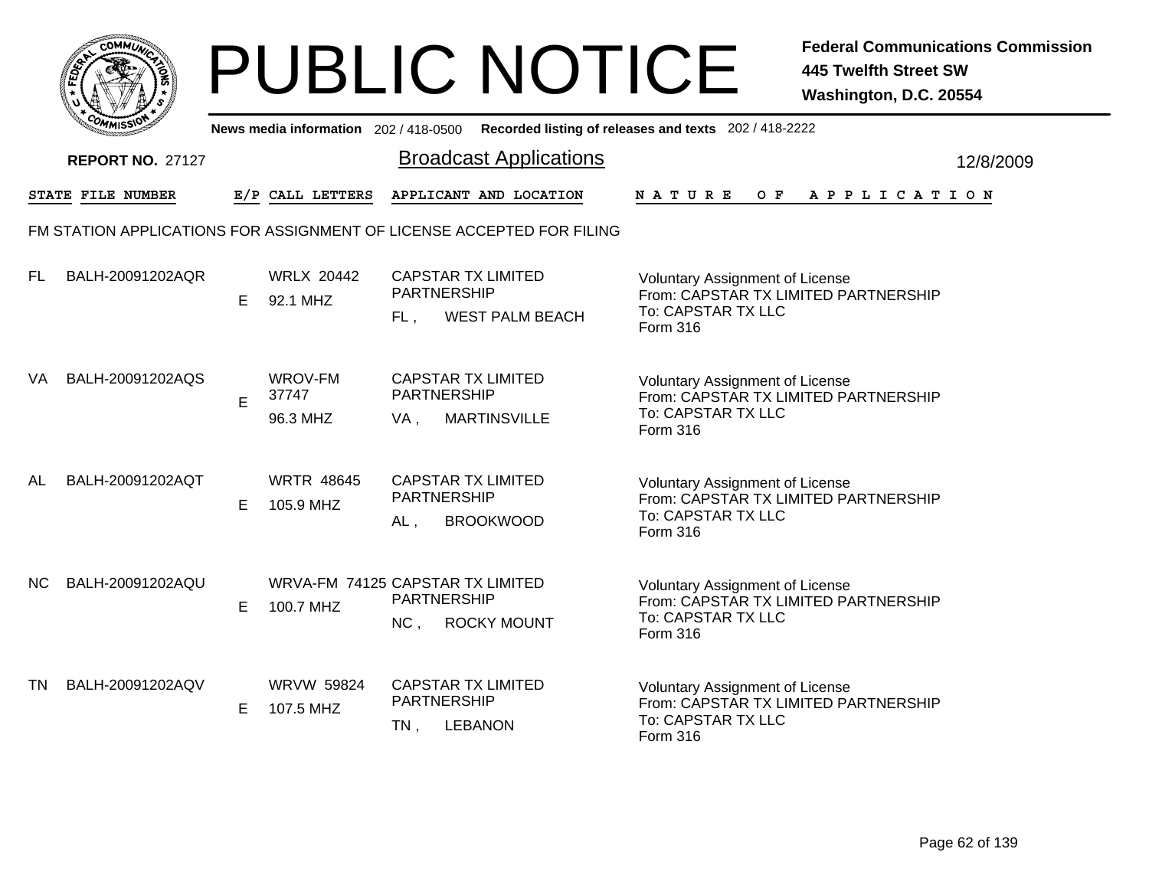

|     | יככוומדי                |   |                                               |        | News media information 202/418-0500 Recorded listing of releases and texts 202/418-2222 |               |                                                                                                      |  |     |  |  |                       |  |           |  |
|-----|-------------------------|---|-----------------------------------------------|--------|-----------------------------------------------------------------------------------------|---------------|------------------------------------------------------------------------------------------------------|--|-----|--|--|-----------------------|--|-----------|--|
|     | <b>REPORT NO. 27127</b> |   |                                               |        | <b>Broadcast Applications</b>                                                           |               |                                                                                                      |  |     |  |  |                       |  | 12/8/2009 |  |
|     | STATE FILE NUMBER       |   | E/P CALL LETTERS                              |        | APPLICANT AND LOCATION                                                                  | <b>NATURE</b> |                                                                                                      |  | O F |  |  | A P P L I C A T I O N |  |           |  |
|     |                         |   |                                               |        | FM STATION APPLICATIONS FOR ASSIGNMENT OF LICENSE ACCEPTED FOR FILING                   |               |                                                                                                      |  |     |  |  |                       |  |           |  |
| FL. | BALH-20091202AQR        | E | <b>WRLX 20442</b><br>92.1 MHZ                 | FL.    | <b>CAPSTAR TX LIMITED</b><br><b>PARTNERSHIP</b><br><b>WEST PALM BEACH</b>               | Form 316      | Voluntary Assignment of License<br>From: CAPSTAR TX LIMITED PARTNERSHIP<br>To: CAPSTAR TX LLC        |  |     |  |  |                       |  |           |  |
| VA  | BALH-20091202AQS        | E | <b>WROV-FM</b><br>37747<br>96.3 MHZ           | VA,    | <b>CAPSTAR TX LIMITED</b><br><b>PARTNERSHIP</b><br><b>MARTINSVILLE</b>                  | Form 316      | <b>Voluntary Assignment of License</b><br>From: CAPSTAR TX LIMITED PARTNERSHIP<br>To: CAPSTAR TX LLC |  |     |  |  |                       |  |           |  |
| AL  | BALH-20091202AQT        | E | <b>WRTR 48645</b><br>105.9 MHZ                | $AL$ , | <b>CAPSTAR TX LIMITED</b><br><b>PARTNERSHIP</b><br><b>BROOKWOOD</b>                     | Form 316      | <b>Voluntary Assignment of License</b><br>From: CAPSTAR TX LIMITED PARTNERSHIP<br>To: CAPSTAR TX LLC |  |     |  |  |                       |  |           |  |
| NC. | BALH-20091202AQU        | E | WRVA-FM 74125 CAPSTAR TX LIMITED<br>100.7 MHZ | NC,    | PARTNERSHIP<br><b>ROCKY MOUNT</b>                                                       | Form 316      | <b>Voluntary Assignment of License</b><br>From: CAPSTAR TX LIMITED PARTNERSHIP<br>To: CAPSTAR TX LLC |  |     |  |  |                       |  |           |  |
| TN  | BALH-20091202AQV        | E | WRVW 59824<br>107.5 MHZ                       | $TN$ , | <b>CAPSTAR TX LIMITED</b><br>PARTNERSHIP<br><b>LEBANON</b>                              | Form 316      | <b>Voluntary Assignment of License</b><br>From: CAPSTAR TX LIMITED PARTNERSHIP<br>To: CAPSTAR TX LLC |  |     |  |  |                       |  |           |  |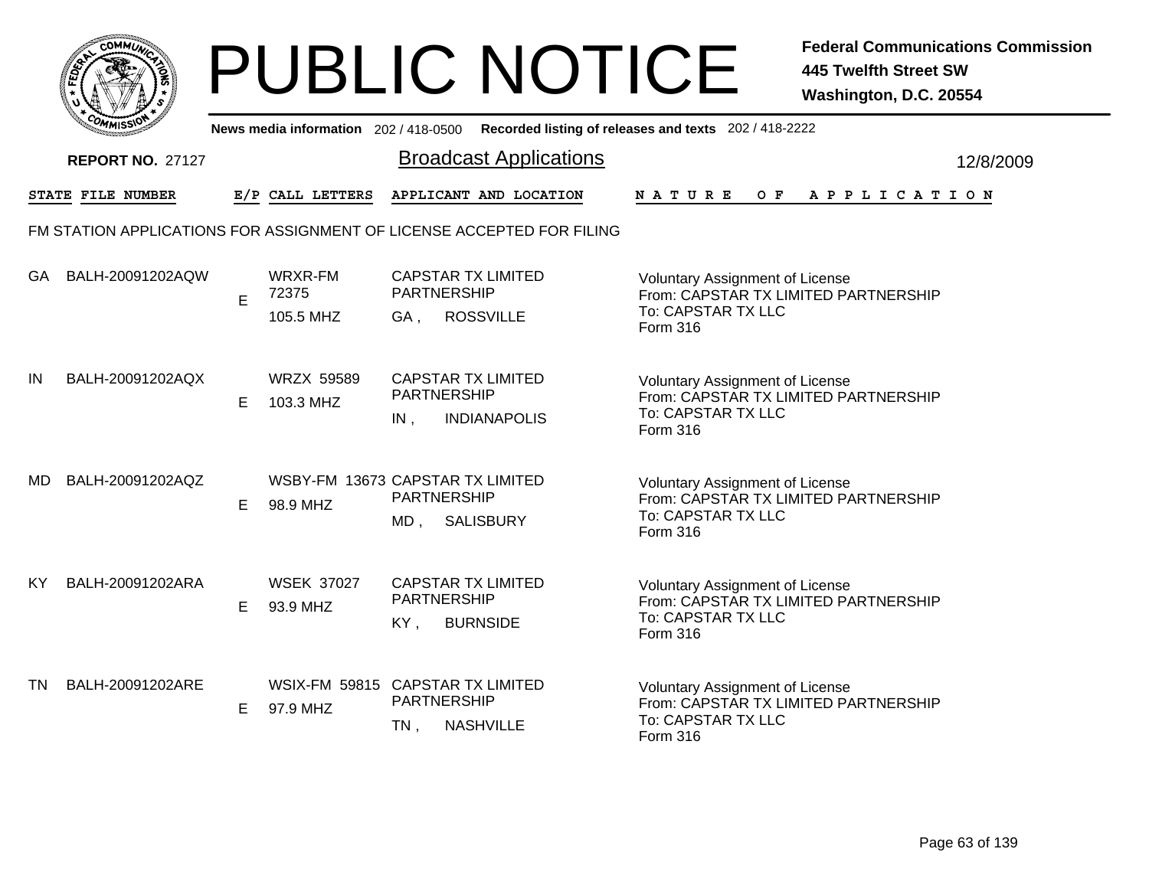|           | MMUNICT<br>ດ<br>Ċ,  |  |
|-----------|---------------------|--|
| ট্রু<br>c |                     |  |
|           |                     |  |
|           | COMI<br>MISS<br>--- |  |

|           | COMMISSIO               |    | News media information 202 / 418-0500        |        |                                                                       | Recorded listing of releases and texts 202 / 418-2222                                                            |           |
|-----------|-------------------------|----|----------------------------------------------|--------|-----------------------------------------------------------------------|------------------------------------------------------------------------------------------------------------------|-----------|
|           | <b>REPORT NO. 27127</b> |    |                                              |        | <b>Broadcast Applications</b>                                         |                                                                                                                  | 12/8/2009 |
|           | STATE FILE NUMBER       |    | E/P CALL LETTERS                             |        | APPLICANT AND LOCATION                                                | <b>NATURE</b><br>OF APPLICATION                                                                                  |           |
|           |                         |    |                                              |        | FM STATION APPLICATIONS FOR ASSIGNMENT OF LICENSE ACCEPTED FOR FILING |                                                                                                                  |           |
| GA.       | BALH-20091202AQW        | E  | WRXR-FM<br>72375<br>105.5 MHZ                | GA,    | <b>CAPSTAR TX LIMITED</b><br>PARTNERSHIP<br><b>ROSSVILLE</b>          | Voluntary Assignment of License<br>From: CAPSTAR TX LIMITED PARTNERSHIP<br>To: CAPSTAR TX LLC<br>Form 316        |           |
| IN        | BALH-20091202AQX        | E. | <b>WRZX 59589</b><br>103.3 MHZ               | IN,    | <b>CAPSTAR TX LIMITED</b><br>PARTNERSHIP<br><b>INDIANAPOLIS</b>       | <b>Voluntary Assignment of License</b><br>From: CAPSTAR TX LIMITED PARTNERSHIP<br>To: CAPSTAR TX LLC<br>Form 316 |           |
| <b>MD</b> | BALH-20091202AQZ        | Е  | WSBY-FM 13673 CAPSTAR TX LIMITED<br>98.9 MHZ | $MD$ , | <b>PARTNERSHIP</b><br><b>SALISBURY</b>                                | <b>Voluntary Assignment of License</b><br>From: CAPSTAR TX LIMITED PARTNERSHIP<br>To: CAPSTAR TX LLC<br>Form 316 |           |
| <b>KY</b> | BALH-20091202ARA        | Е  | <b>WSEK 37027</b><br>93.9 MHZ                | KY,    | <b>CAPSTAR TX LIMITED</b><br><b>PARTNERSHIP</b><br><b>BURNSIDE</b>    | <b>Voluntary Assignment of License</b><br>From: CAPSTAR TX LIMITED PARTNERSHIP<br>To: CAPSTAR TX LLC<br>Form 316 |           |
| <b>TN</b> | BALH-20091202ARE        | E. | WSIX-FM 59815 CAPSTAR TX LIMITED<br>97.9 MHZ | $TN$ , | PARTNERSHIP<br><b>NASHVILLE</b>                                       | Voluntary Assignment of License<br>From: CAPSTAR TX LIMITED PARTNERSHIP<br>To: CAPSTAR TX LLC<br>Form 316        |           |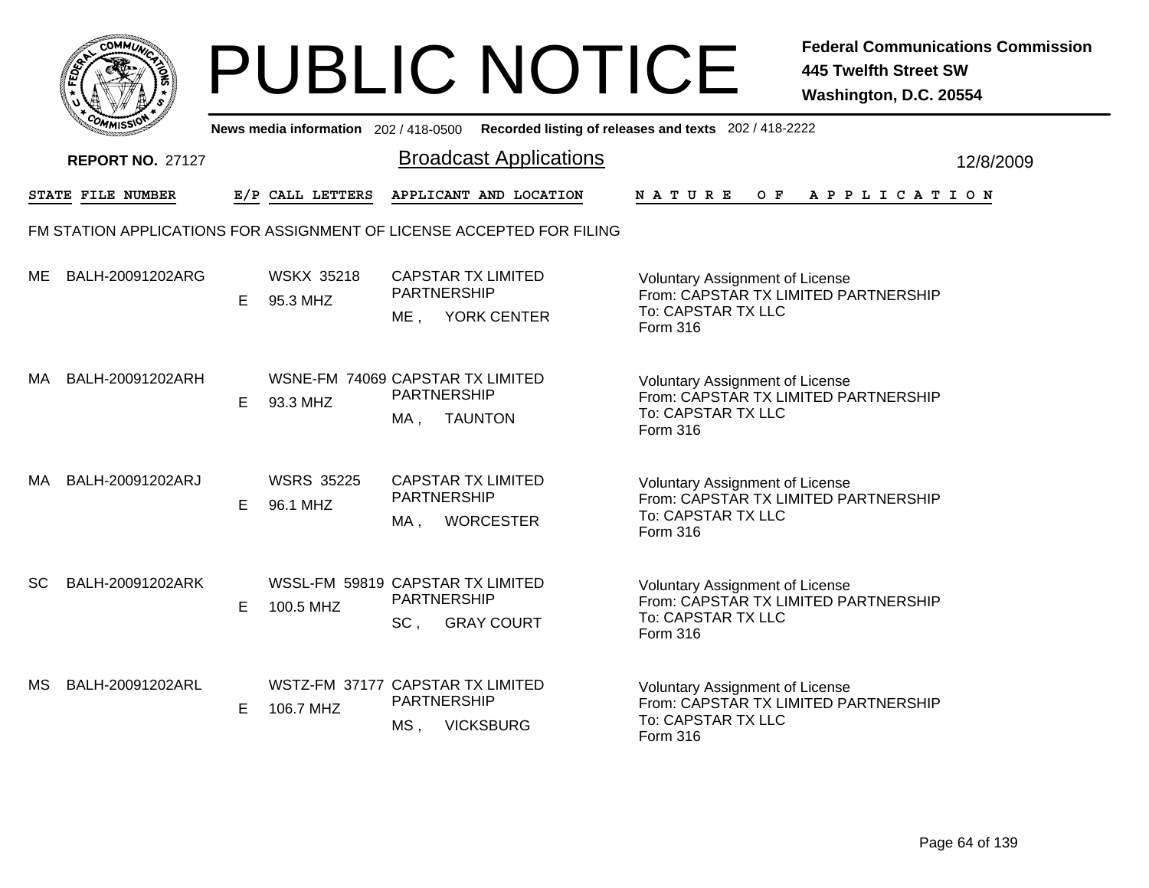|              | MMUNICT<br>CO. |  |
|--------------|----------------|--|
| <b>FEDET</b> |                |  |
|              |                |  |
|              | COMI<br>MISS   |  |

|     | COMMISSIC                |   |                                               |                           | News media information 202 / 418-0500 Recorded listing of releases and texts 202 / 418-2222 |                                                                                                                  |           |
|-----|--------------------------|---|-----------------------------------------------|---------------------------|---------------------------------------------------------------------------------------------|------------------------------------------------------------------------------------------------------------------|-----------|
|     | <b>REPORT NO. 27127</b>  |   |                                               |                           | <b>Broadcast Applications</b>                                                               |                                                                                                                  | 12/8/2009 |
|     | <b>STATE FILE NUMBER</b> |   | E/P CALL LETTERS                              |                           | APPLICANT AND LOCATION                                                                      | N A T U R E<br>OF APPLICATION                                                                                    |           |
|     |                          |   |                                               |                           | FM STATION APPLICATIONS FOR ASSIGNMENT OF LICENSE ACCEPTED FOR FILING                       |                                                                                                                  |           |
| ME  | BALH-20091202ARG         | E | <b>WSKX 35218</b><br>95.3 MHZ                 | PARTNERSHIP<br>ME .       | <b>CAPSTAR TX LIMITED</b><br><b>YORK CENTER</b>                                             | Voluntary Assignment of License<br>From: CAPSTAR TX LIMITED PARTNERSHIP<br>To: CAPSTAR TX LLC<br>Form 316        |           |
| МA  | BALH-20091202ARH         | E | WSNE-FM 74069 CAPSTAR TX LIMITED<br>93.3 MHZ  | PARTNERSHIP<br>MA,        | <b>TAUNTON</b>                                                                              | <b>Voluntary Assignment of License</b><br>From: CAPSTAR TX LIMITED PARTNERSHIP<br>To: CAPSTAR TX LLC<br>Form 316 |           |
| MA  | BALH-20091202ARJ         | E | <b>WSRS 35225</b><br>96.1 MHZ                 | PARTNERSHIP<br>MA,        | <b>CAPSTAR TX LIMITED</b><br><b>WORCESTER</b>                                               | <b>Voluntary Assignment of License</b><br>From: CAPSTAR TX LIMITED PARTNERSHIP<br>To: CAPSTAR TX LLC<br>Form 316 |           |
| SC. | BALH-20091202ARK         | Е | WSSL-FM 59819 CAPSTAR TX LIMITED<br>100.5 MHZ | <b>PARTNERSHIP</b><br>SC, | <b>GRAY COURT</b>                                                                           | Voluntary Assignment of License<br>From: CAPSTAR TX LIMITED PARTNERSHIP<br>To: CAPSTAR TX LLC<br>Form 316        |           |
| MS. | BALH-20091202ARL         | Е | WSTZ-FM 37177 CAPSTAR TX LIMITED<br>106.7 MHZ | PARTNERSHIP<br>MS,        | <b>VICKSBURG</b>                                                                            | Voluntary Assignment of License<br>From: CAPSTAR TX LIMITED PARTNERSHIP<br>To: CAPSTAR TX LLC<br>Form 316        |           |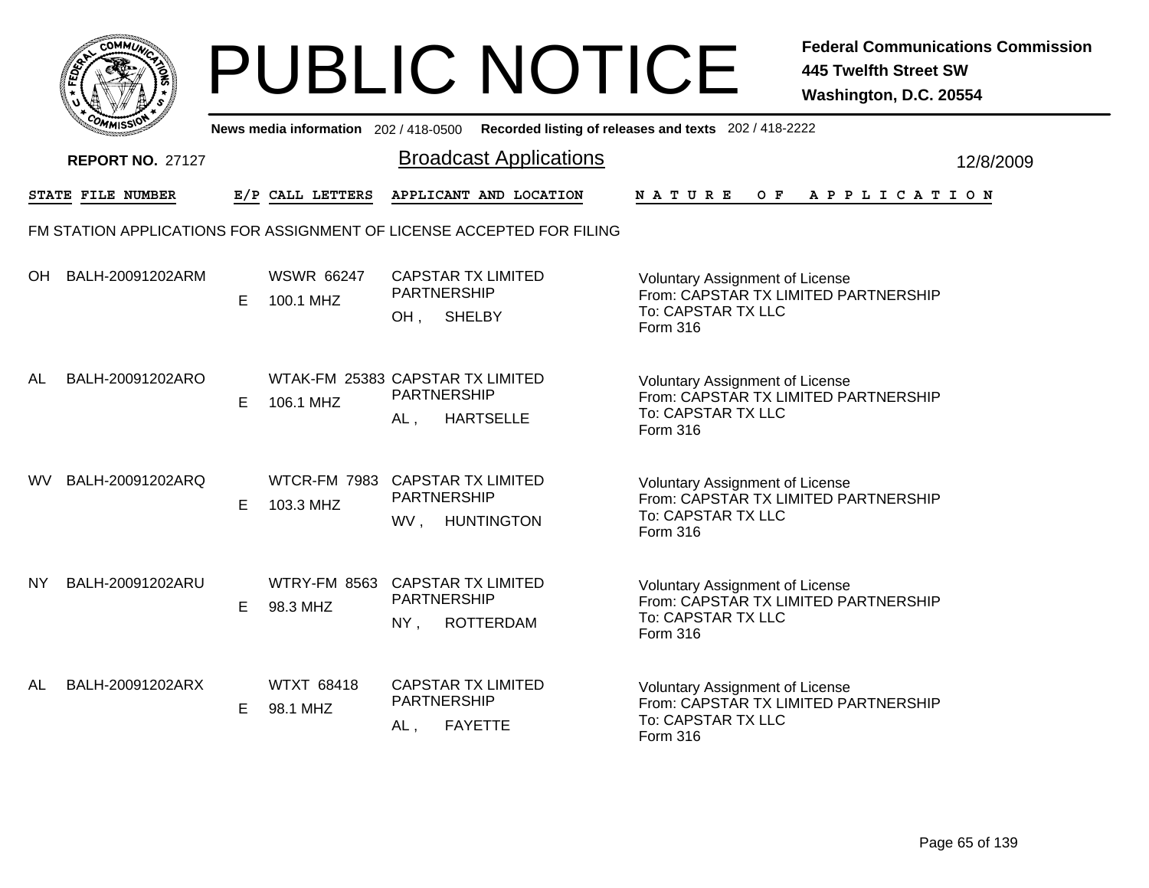|                                 | MMUNICY<br>ום<br>C. |    |
|---------------------------------|---------------------|----|
| 8<br>c                          |                     |    |
|                                 |                     | г. |
| $c_{O_{\textit{M}_\textit{I}}}$ | MISS                |    |

|           | יככוומדי                                                              |    |                                               |                                                                          | News media information 202/418-0500 Recorded listing of releases and texts 202/418-2222 |                                                                                                                         |  |  |  |                |           |
|-----------|-----------------------------------------------------------------------|----|-----------------------------------------------|--------------------------------------------------------------------------|-----------------------------------------------------------------------------------------|-------------------------------------------------------------------------------------------------------------------------|--|--|--|----------------|-----------|
|           | <b>REPORT NO. 27127</b>                                               |    |                                               |                                                                          | <b>Broadcast Applications</b>                                                           |                                                                                                                         |  |  |  |                | 12/8/2009 |
|           | STATE FILE NUMBER                                                     |    | E/P CALL LETTERS                              |                                                                          | APPLICANT AND LOCATION                                                                  | <b>NATURE</b>                                                                                                           |  |  |  | OF APPLICATION |           |
|           | FM STATION APPLICATIONS FOR ASSIGNMENT OF LICENSE ACCEPTED FOR FILING |    |                                               |                                                                          |                                                                                         |                                                                                                                         |  |  |  |                |           |
| OH.       | BALH-20091202ARM                                                      | E. | <b>WSWR 66247</b><br>100.1 MHZ                | <b>CAPSTAR TX LIMITED</b><br><b>PARTNERSHIP</b><br><b>SHELBY</b><br>OH,  |                                                                                         | <b>Voluntary Assignment of License</b><br>From: CAPSTAR TX LIMITED PARTNERSHIP<br>To: CAPSTAR TX LLC<br>Form 316        |  |  |  |                |           |
| AL        | BALH-20091202ARO                                                      | E. | WTAK-FM 25383 CAPSTAR TX LIMITED<br>106.1 MHZ | <b>PARTNERSHIP</b><br>AL,                                                | <b>HARTSELLE</b>                                                                        | <b>Voluntary Assignment of License</b><br>From: CAPSTAR TX LIMITED PARTNERSHIP<br>To: CAPSTAR TX LLC<br><b>Form 316</b> |  |  |  |                |           |
| <b>WV</b> | BALH-20091202ARQ                                                      | E. | WTCR-FM 7983 CAPSTAR TX LIMITED<br>103.3 MHZ  | <b>PARTNERSHIP</b><br>WV,                                                | <b>HUNTINGTON</b>                                                                       | <b>Voluntary Assignment of License</b><br>From: CAPSTAR TX LIMITED PARTNERSHIP<br>To: CAPSTAR TX LLC<br>Form 316        |  |  |  |                |           |
| NY.       | BALH-20091202ARU                                                      | E. | WTRY-FM 8563 CAPSTAR TX LIMITED<br>98.3 MHZ   | <b>PARTNERSHIP</b><br>$NY$ ,                                             | <b>ROTTERDAM</b>                                                                        | <b>Voluntary Assignment of License</b><br>From: CAPSTAR TX LIMITED PARTNERSHIP<br>To: CAPSTAR TX LLC<br>Form 316        |  |  |  |                |           |
| AL        | BALH-20091202ARX                                                      | E. | <b>WTXT 68418</b><br>98.1 MHZ                 | <b>CAPSTAR TX LIMITED</b><br><b>PARTNERSHIP</b><br><b>FAYETTE</b><br>AL, |                                                                                         | <b>Voluntary Assignment of License</b><br>From: CAPSTAR TX LIMITED PARTNERSHIP<br>To: CAPSTAR TX LLC<br>Form 316        |  |  |  |                |           |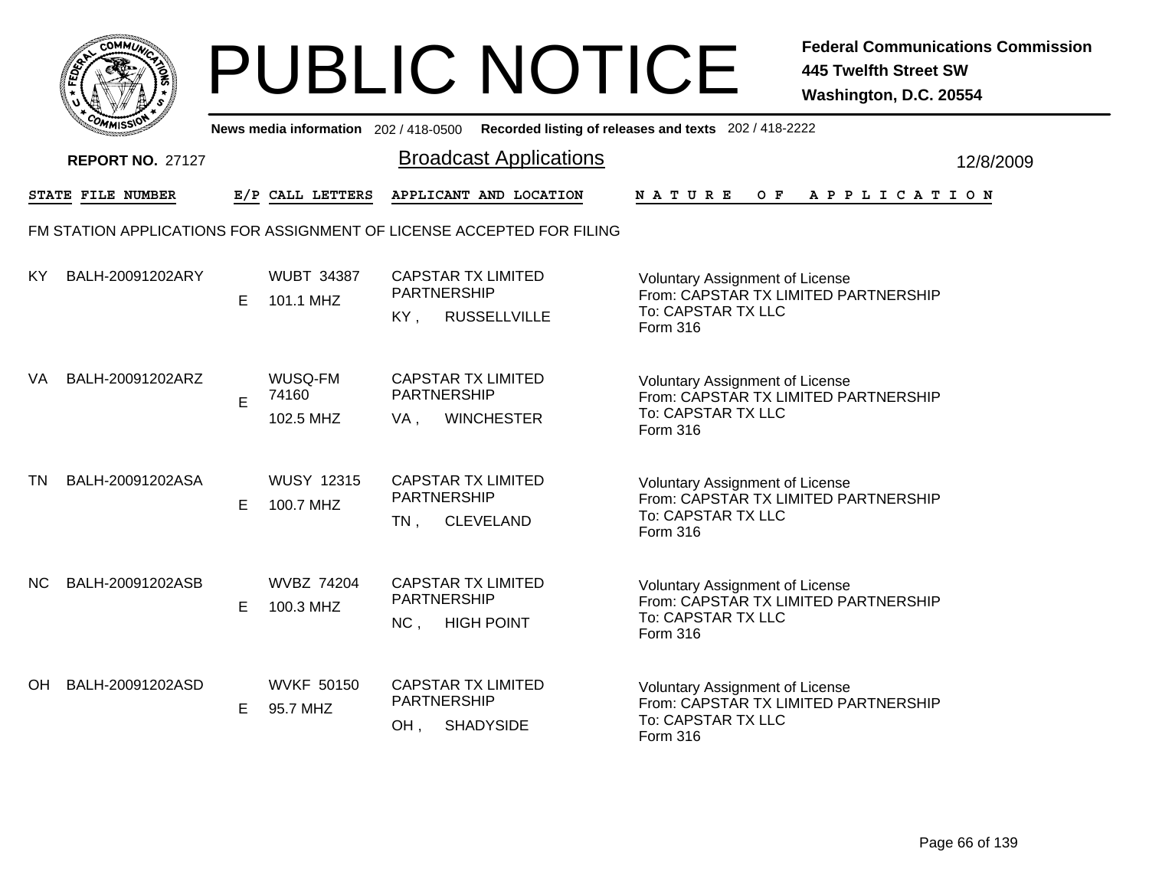

|           | <b>COMMISSIO</b>        |   | News media information 202 / 418-0500 |                                                                               | Recorded listing of releases and texts 202 / 418-2222                                                                   |           |
|-----------|-------------------------|---|---------------------------------------|-------------------------------------------------------------------------------|-------------------------------------------------------------------------------------------------------------------------|-----------|
|           | <b>REPORT NO. 27127</b> |   |                                       | <b>Broadcast Applications</b>                                                 |                                                                                                                         | 12/8/2009 |
|           | STATE FILE NUMBER       |   | E/P CALL LETTERS                      | APPLICANT AND LOCATION                                                        | NATURE<br>O F<br>A P P L I C A T I O N                                                                                  |           |
|           |                         |   |                                       | FM STATION APPLICATIONS FOR ASSIGNMENT OF LICENSE ACCEPTED FOR FILING         |                                                                                                                         |           |
| KY        | BALH-20091202ARY        | Е | <b>WUBT 34387</b><br>101.1 MHZ        | <b>CAPSTAR TX LIMITED</b><br><b>PARTNERSHIP</b><br>KY.<br><b>RUSSELLVILLE</b> | <b>Voluntary Assignment of License</b><br>From: CAPSTAR TX LIMITED PARTNERSHIP<br>To: CAPSTAR TX LLC<br>Form 316        |           |
| <b>VA</b> | BALH-20091202ARZ        | E | WUSQ-FM<br>74160<br>102.5 MHZ         | <b>CAPSTAR TX LIMITED</b><br>PARTNERSHIP<br><b>WINCHESTER</b><br>VA,          | <b>Voluntary Assignment of License</b><br>From: CAPSTAR TX LIMITED PARTNERSHIP<br>To: CAPSTAR TX LLC<br><b>Form 316</b> |           |
| <b>TN</b> | BALH-20091202ASA        | Е | <b>WUSY 12315</b><br>100.7 MHZ        | <b>CAPSTAR TX LIMITED</b><br><b>PARTNERSHIP</b><br><b>CLEVELAND</b><br>$TN$ , | <b>Voluntary Assignment of License</b><br>From: CAPSTAR TX LIMITED PARTNERSHIP<br>To: CAPSTAR TX LLC<br>Form 316        |           |
| NC.       | BALH-20091202ASB        | Е | <b>WVBZ 74204</b><br>100.3 MHZ        | <b>CAPSTAR TX LIMITED</b><br>PARTNERSHIP<br>NC,<br><b>HIGH POINT</b>          | <b>Voluntary Assignment of License</b><br>From: CAPSTAR TX LIMITED PARTNERSHIP<br>To: CAPSTAR TX LLC<br><b>Form 316</b> |           |
| OH.       | BALH-20091202ASD        | Е | <b>WVKF 50150</b><br>95.7 MHZ         | <b>CAPSTAR TX LIMITED</b><br>PARTNERSHIP<br><b>SHADYSIDE</b><br>OH,           | Voluntary Assignment of License<br>From: CAPSTAR TX LIMITED PARTNERSHIP<br>To: CAPSTAR TX LLC<br>Form 316               |           |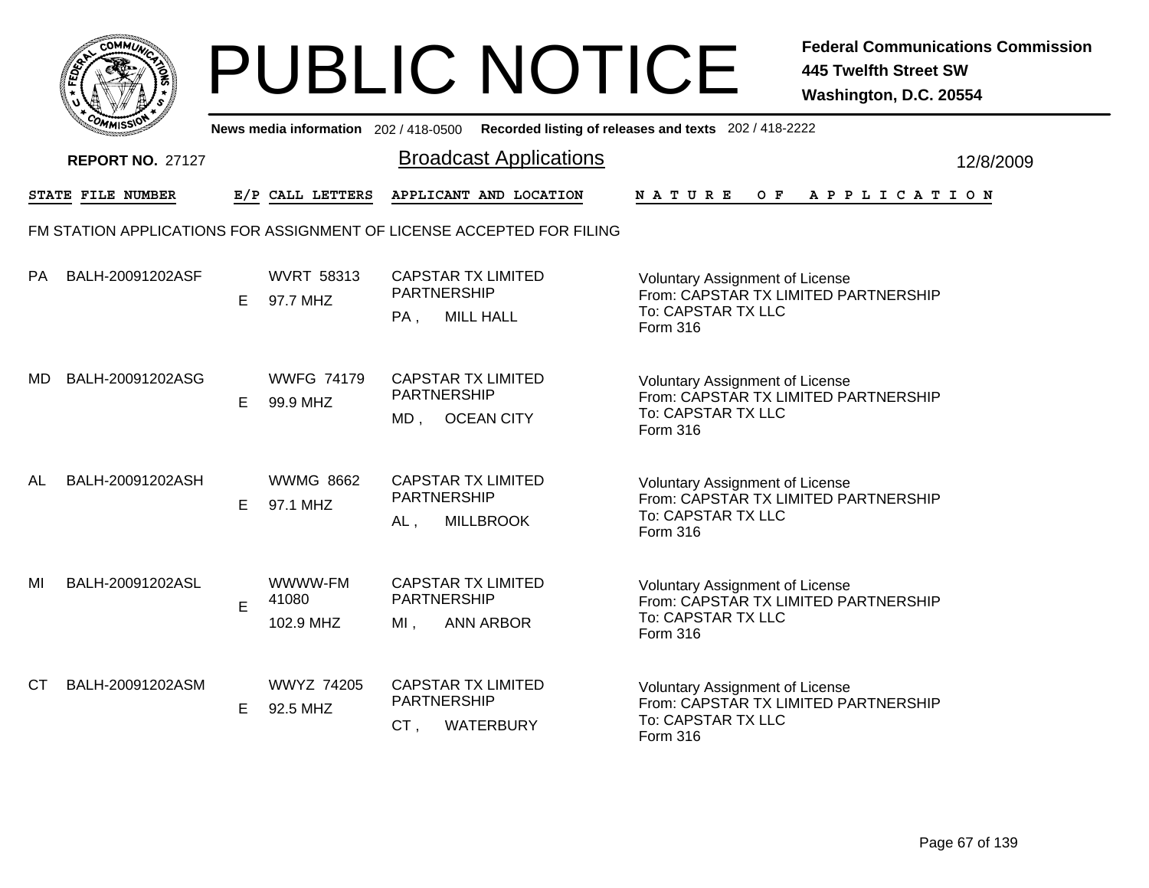

|     | <b>COMMISS"</b>          |   |                               |        | News media information 202 / 418-0500 Recorded listing of releases and texts 202 / 418-2222 |                                                                                                                  |           |
|-----|--------------------------|---|-------------------------------|--------|---------------------------------------------------------------------------------------------|------------------------------------------------------------------------------------------------------------------|-----------|
|     | <b>REPORT NO. 27127</b>  |   |                               |        | <b>Broadcast Applications</b>                                                               |                                                                                                                  | 12/8/2009 |
|     | <b>STATE FILE NUMBER</b> |   | E/P CALL LETTERS              |        | APPLICANT AND LOCATION                                                                      | <b>NATURE</b><br>O F<br>A P P L I C A T I O N                                                                    |           |
|     |                          |   |                               |        | FM STATION APPLICATIONS FOR ASSIGNMENT OF LICENSE ACCEPTED FOR FILING                       |                                                                                                                  |           |
| PA  | BALH-20091202ASF         | Е | <b>WVRT 58313</b><br>97.7 MHZ | $PA$ . | <b>CAPSTAR TX LIMITED</b><br><b>PARTNERSHIP</b><br><b>MILL HALL</b>                         | <b>Voluntary Assignment of License</b><br>From: CAPSTAR TX LIMITED PARTNERSHIP<br>To: CAPSTAR TX LLC<br>Form 316 |           |
| MD. | BALH-20091202ASG         | E | <b>WWFG 74179</b><br>99.9 MHZ | MD,    | <b>CAPSTAR TX LIMITED</b><br><b>PARTNERSHIP</b><br><b>OCEAN CITY</b>                        | <b>Voluntary Assignment of License</b><br>From: CAPSTAR TX LIMITED PARTNERSHIP<br>To: CAPSTAR TX LLC<br>Form 316 |           |
| AL  | BALH-20091202ASH         | Е | <b>WWMG 8662</b><br>97.1 MHZ  | $AL$ , | <b>CAPSTAR TX LIMITED</b><br><b>PARTNERSHIP</b><br><b>MILLBROOK</b>                         | <b>Voluntary Assignment of License</b><br>From: CAPSTAR TX LIMITED PARTNERSHIP<br>To: CAPSTAR TX LLC<br>Form 316 |           |
| MI  | BALH-20091202ASL         | E | WWWW-FM<br>41080<br>102.9 MHZ | $MI$ , | <b>CAPSTAR TX LIMITED</b><br><b>PARTNERSHIP</b><br><b>ANN ARBOR</b>                         | Voluntary Assignment of License<br>From: CAPSTAR TX LIMITED PARTNERSHIP<br>To: CAPSTAR TX LLC<br><b>Form 316</b> |           |
| СT  | BALH-20091202ASM         | Е | <b>WWYZ 74205</b><br>92.5 MHZ | CT,    | <b>CAPSTAR TX LIMITED</b><br><b>PARTNERSHIP</b><br><b>WATERBURY</b>                         | Voluntary Assignment of License<br>From: CAPSTAR TX LIMITED PARTNERSHIP<br>To: CAPSTAR TX LLC<br><b>Form 316</b> |           |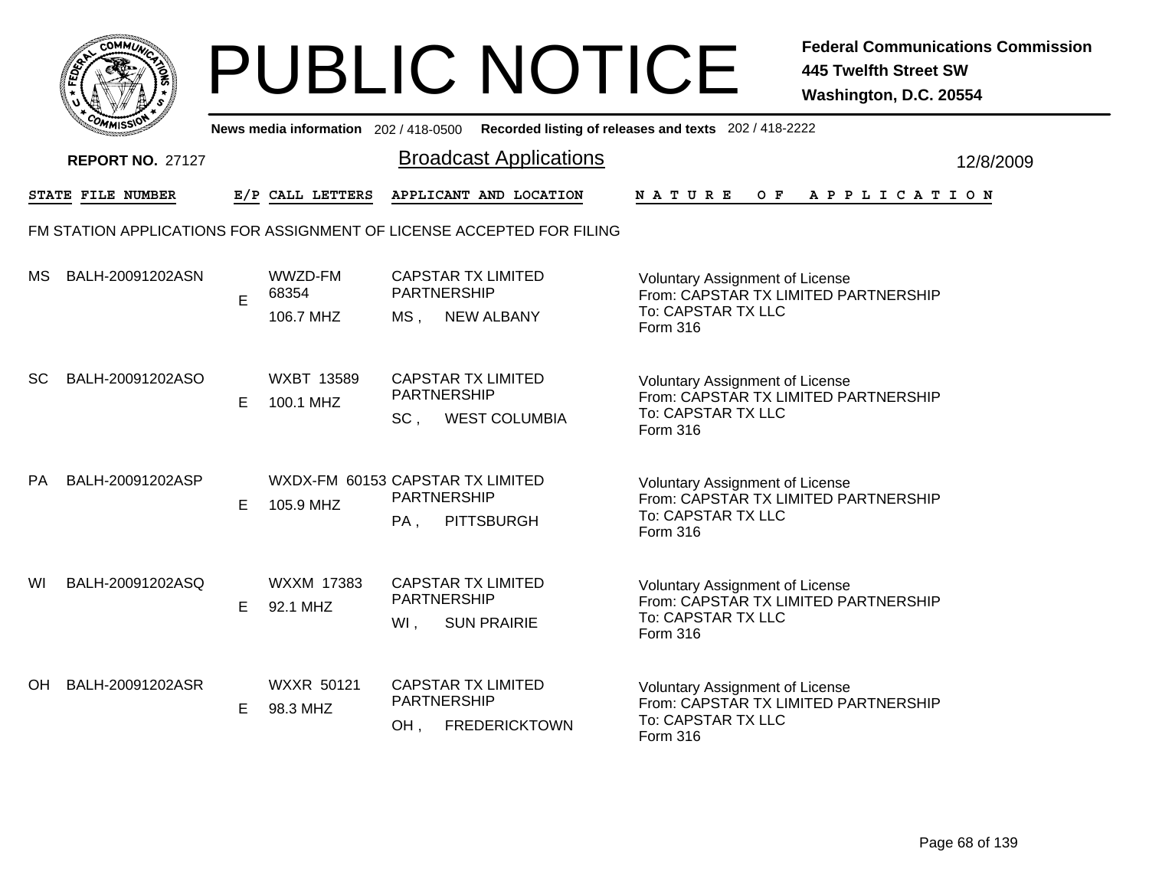

|           | <b>UMISS</b>            |    |                                               |                                       | News media information 202/418-0500 Recorded listing of releases and texts 202/418-2222 |                                                                                                                  |                    |  |     |                       |  |  |           |  |
|-----------|-------------------------|----|-----------------------------------------------|---------------------------------------|-----------------------------------------------------------------------------------------|------------------------------------------------------------------------------------------------------------------|--------------------|--|-----|-----------------------|--|--|-----------|--|
|           | <b>REPORT NO. 27127</b> |    |                                               |                                       | <b>Broadcast Applications</b>                                                           |                                                                                                                  |                    |  |     |                       |  |  | 12/8/2009 |  |
|           | STATE FILE NUMBER       |    | E/P CALL LETTERS                              |                                       | APPLICANT AND LOCATION                                                                  | <b>NATURE</b>                                                                                                    |                    |  | O F | A P P L I C A T I O N |  |  |           |  |
|           |                         |    |                                               |                                       | FM STATION APPLICATIONS FOR ASSIGNMENT OF LICENSE ACCEPTED FOR FILING                   |                                                                                                                  |                    |  |     |                       |  |  |           |  |
| <b>MS</b> | BALH-20091202ASN        | E  | WWZD-FM<br>68354<br>106.7 MHZ                 | <b>PARTNERSHIP</b><br>MS <sub>1</sub> | <b>CAPSTAR TX LIMITED</b><br><b>NEW ALBANY</b>                                          | Voluntary Assignment of License<br>From: CAPSTAR TX LIMITED PARTNERSHIP<br>To: CAPSTAR TX LLC<br>Form 316        |                    |  |     |                       |  |  |           |  |
| <b>SC</b> | BALH-20091202ASO        | E. | <b>WXBT 13589</b><br>100.1 MHZ                | PARTNERSHIP<br>SC <sub>1</sub>        | <b>CAPSTAR TX LIMITED</b><br><b>WEST COLUMBIA</b>                                       | <b>Voluntary Assignment of License</b><br>From: CAPSTAR TX LIMITED PARTNERSHIP<br>To: CAPSTAR TX LLC<br>Form 316 |                    |  |     |                       |  |  |           |  |
| <b>PA</b> | BALH-20091202ASP        | E. | WXDX-FM 60153 CAPSTAR TX LIMITED<br>105.9 MHZ | <b>PARTNERSHIP</b><br>PA,             | <b>PITTSBURGH</b>                                                                       | <b>Voluntary Assignment of License</b><br>From: CAPSTAR TX LIMITED PARTNERSHIP<br>To: CAPSTAR TX LLC<br>Form 316 |                    |  |     |                       |  |  |           |  |
| WI        | BALH-20091202ASQ        | E. | WXXM 17383<br>92.1 MHZ                        | PARTNERSHIP<br>WI,                    | <b>CAPSTAR TX LIMITED</b><br><b>SUN PRAIRIE</b>                                         | <b>Voluntary Assignment of License</b><br>From: CAPSTAR TX LIMITED PARTNERSHIP<br>To: CAPSTAR TX LLC<br>Form 316 |                    |  |     |                       |  |  |           |  |
| OH.       | BALH-20091202ASR        | E. | <b>WXXR 50121</b><br>98.3 MHZ                 | PARTNERSHIP<br>OH,                    | <b>CAPSTAR TX LIMITED</b><br><b>FREDERICKTOWN</b>                                       | Voluntary Assignment of License<br>From: CAPSTAR TX LIMITED PARTNERSHIP<br>Form 316                              | To: CAPSTAR TX LLC |  |     |                       |  |  |           |  |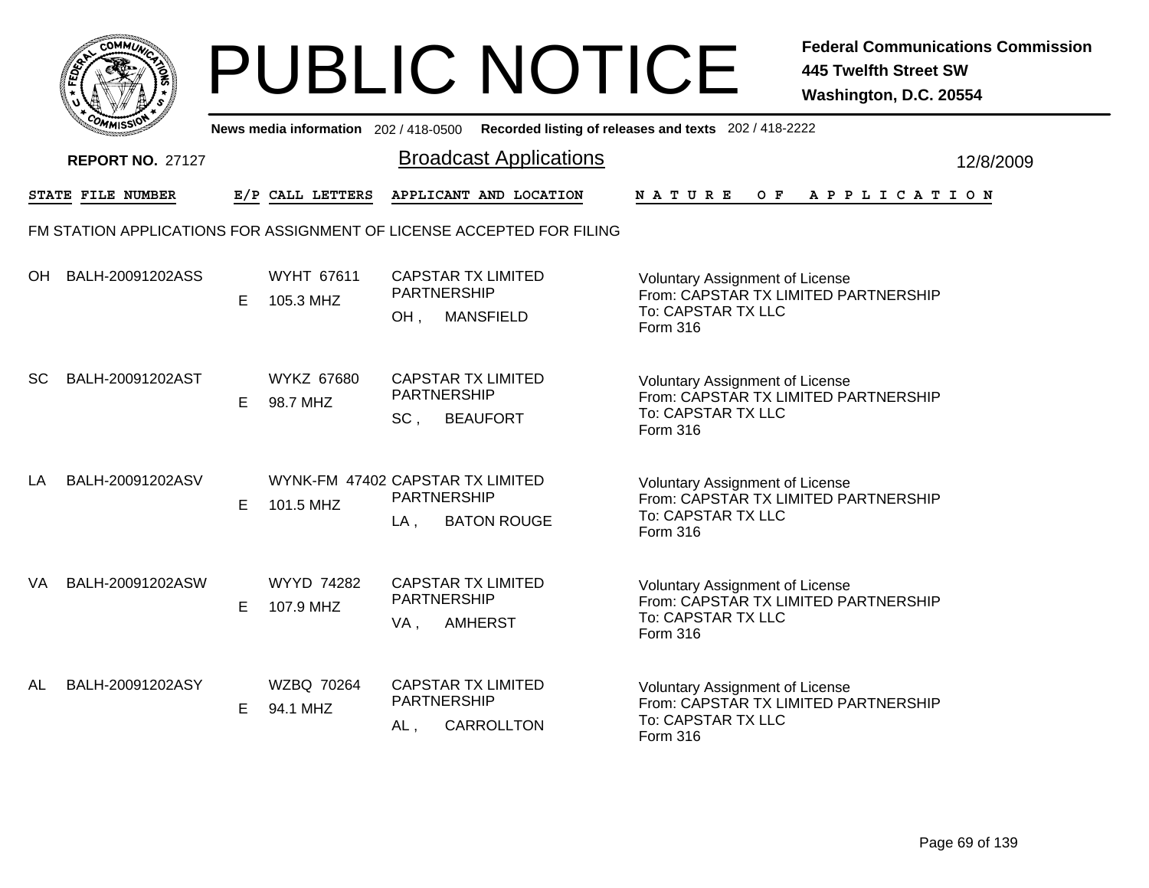

|           | יככווויי                |    |                                               |                              | News media information 202/418-0500 Recorded listing of releases and texts 202/418-2222 |                                                                                                                  |  |  |  |  |                |           |  |
|-----------|-------------------------|----|-----------------------------------------------|------------------------------|-----------------------------------------------------------------------------------------|------------------------------------------------------------------------------------------------------------------|--|--|--|--|----------------|-----------|--|
|           | <b>REPORT NO. 27127</b> |    |                                               |                              | <b>Broadcast Applications</b>                                                           |                                                                                                                  |  |  |  |  |                | 12/8/2009 |  |
|           | STATE FILE NUMBER       |    | E/P CALL LETTERS                              |                              | APPLICANT AND LOCATION                                                                  | <b>NATURE</b>                                                                                                    |  |  |  |  | OF APPLICATION |           |  |
|           |                         |    |                                               |                              | FM STATION APPLICATIONS FOR ASSIGNMENT OF LICENSE ACCEPTED FOR FILING                   |                                                                                                                  |  |  |  |  |                |           |  |
| OH.       | BALH-20091202ASS        | E. | <b>WYHT 67611</b><br>105.3 MHZ                | PARTNERSHIP<br>OH,           | <b>CAPSTAR TX LIMITED</b><br><b>MANSFIELD</b>                                           | Voluntary Assignment of License<br>From: CAPSTAR TX LIMITED PARTNERSHIP<br>To: CAPSTAR TX LLC<br>Form 316        |  |  |  |  |                |           |  |
| <b>SC</b> | BALH-20091202AST        | E. | <b>WYKZ 67680</b><br>98.7 MHZ                 | <b>PARTNERSHIP</b><br>SC,    | <b>CAPSTAR TX LIMITED</b><br><b>BEAUFORT</b>                                            | Voluntary Assignment of License<br>From: CAPSTAR TX LIMITED PARTNERSHIP<br>To: CAPSTAR TX LLC<br>Form 316        |  |  |  |  |                |           |  |
| LA        | BALH-20091202ASV        | E. | WYNK-FM 47402 CAPSTAR TX LIMITED<br>101.5 MHZ | <b>PARTNERSHIP</b><br>$LA$ , | <b>BATON ROUGE</b>                                                                      | <b>Voluntary Assignment of License</b><br>From: CAPSTAR TX LIMITED PARTNERSHIP<br>To: CAPSTAR TX LLC<br>Form 316 |  |  |  |  |                |           |  |
| VA.       | BALH-20091202ASW        | E. | <b>WYYD 74282</b><br>107.9 MHZ                | <b>PARTNERSHIP</b><br>VA,    | <b>CAPSTAR TX LIMITED</b><br><b>AMHERST</b>                                             | Voluntary Assignment of License<br>From: CAPSTAR TX LIMITED PARTNERSHIP<br>To: CAPSTAR TX LLC<br>Form 316        |  |  |  |  |                |           |  |
| AL        | BALH-20091202ASY        | E. | WZBQ 70264<br>94.1 MHZ                        | PARTNERSHIP<br>AL,           | <b>CAPSTAR TX LIMITED</b><br>CARROLLTON                                                 | Voluntary Assignment of License<br>From: CAPSTAR TX LIMITED PARTNERSHIP<br>To: CAPSTAR TX LLC<br>Form 316        |  |  |  |  |                |           |  |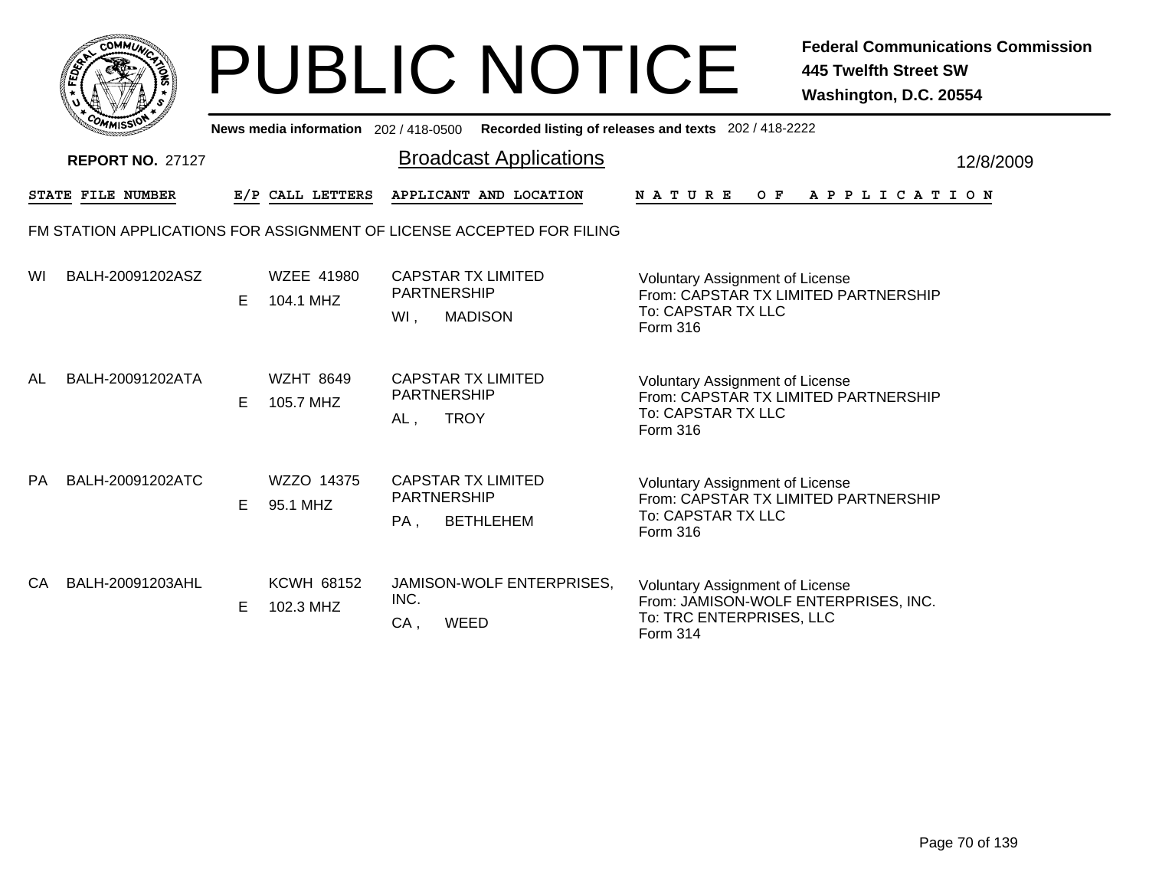|       | MMUNICT<br>CO <sub>1</sub> |  |
|-------|----------------------------|--|
| FEDET |                            |  |
|       |                            |  |
|       | COA<br>MISS                |  |

| <b>MMISS</b><br>Recorded listing of releases and texts 202 / 418-2222<br>News media information 202/418-0500 |                   |    |                                |                                                                            |                                                                                                                               |           |  |  |  |
|--------------------------------------------------------------------------------------------------------------|-------------------|----|--------------------------------|----------------------------------------------------------------------------|-------------------------------------------------------------------------------------------------------------------------------|-----------|--|--|--|
| <b>REPORT NO. 27127</b>                                                                                      |                   |    |                                | <b>Broadcast Applications</b>                                              |                                                                                                                               | 12/8/2009 |  |  |  |
|                                                                                                              | STATE FILE NUMBER |    | E/P CALL LETTERS               | APPLICANT AND LOCATION                                                     | <b>NATURE</b><br>O F<br>A P P L I C A T I O N                                                                                 |           |  |  |  |
| FM STATION APPLICATIONS FOR ASSIGNMENT OF LICENSE ACCEPTED FOR FILING                                        |                   |    |                                |                                                                            |                                                                                                                               |           |  |  |  |
| WI                                                                                                           | BALH-20091202ASZ  | E. | <b>WZEE 41980</b><br>104.1 MHZ | <b>CAPSTAR TX LIMITED</b><br><b>PARTNERSHIP</b><br><b>MADISON</b><br>WI.   | <b>Voluntary Assignment of License</b><br>From: CAPSTAR TX LIMITED PARTNERSHIP<br>To: CAPSTAR TX LLC<br>Form 316              |           |  |  |  |
| AL                                                                                                           | BALH-20091202ATA  | E. | <b>WZHT 8649</b><br>105.7 MHZ  | <b>CAPSTAR TX LIMITED</b><br><b>PARTNERSHIP</b><br><b>TROY</b><br>AL,      | <b>Voluntary Assignment of License</b><br>From: CAPSTAR TX LIMITED PARTNERSHIP<br>To: CAPSTAR TX LLC<br>Form 316              |           |  |  |  |
| <b>PA</b>                                                                                                    | BALH-20091202ATC  | E. | WZZO 14375<br>95.1 MHZ         | <b>CAPSTAR TX LIMITED</b><br><b>PARTNERSHIP</b><br><b>BETHLEHEM</b><br>PA, | <b>Voluntary Assignment of License</b><br>From: CAPSTAR TX LIMITED PARTNERSHIP<br>To: CAPSTAR TX LLC<br>Form 316              |           |  |  |  |
| CA.                                                                                                          | BALH-20091203AHL  | Е. | <b>KCWH 68152</b><br>102.3 MHZ | <b>JAMISON-WOLF ENTERPRISES.</b><br>INC.<br><b>WEED</b><br>CA,             | <b>Voluntary Assignment of License</b><br>From: JAMISON-WOLF ENTERPRISES, INC.<br>To: TRC ENTERPRISES, LLC<br><b>Form 314</b> |           |  |  |  |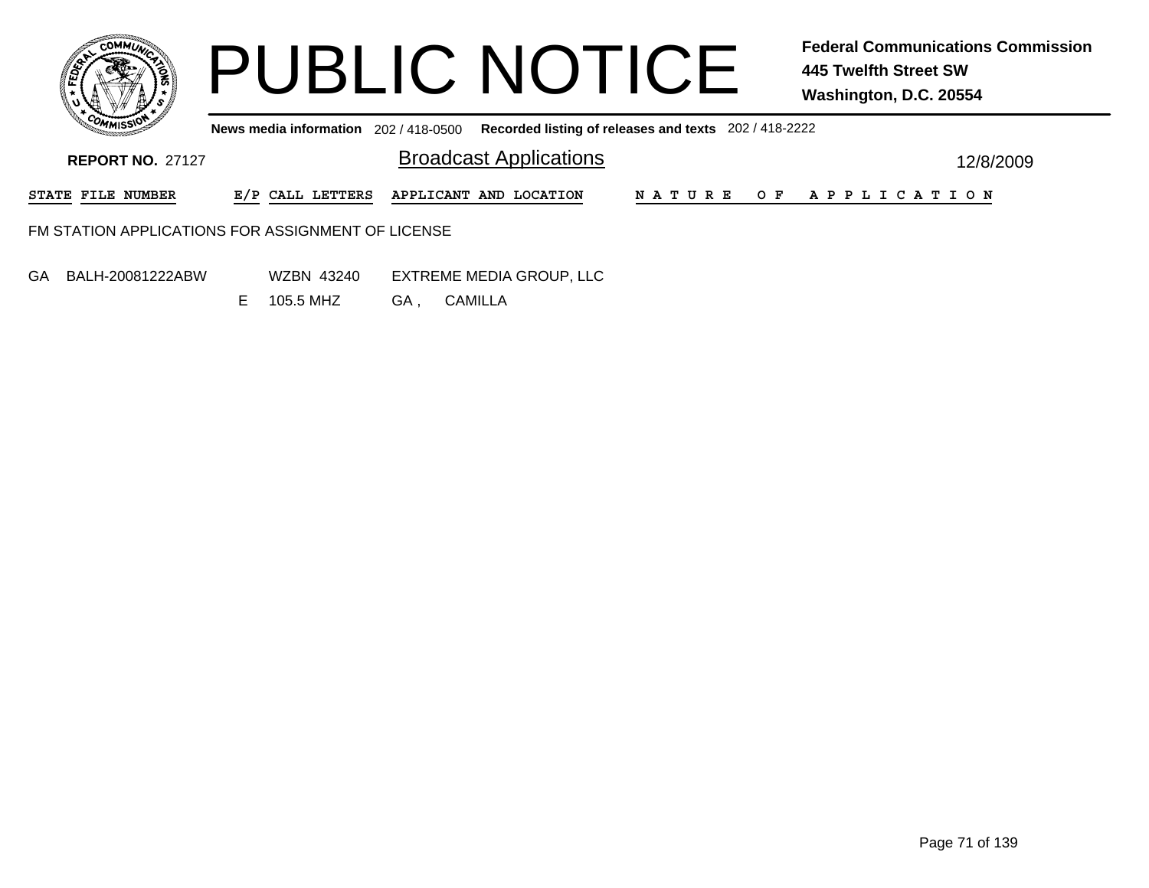

**News media information** 202 / 418-0500 **Recorded listing of releases and texts** 202 / 418-2222

| <b>REPORT NO. 27127</b>                           |  | <b>Broadcast Applications</b>           |  |  | 12/8/2009             |  |  |
|---------------------------------------------------|--|-----------------------------------------|--|--|-----------------------|--|--|
| STATE FILE NUMBER                                 |  | E/P CALL LETTERS APPLICANT AND LOCATION |  |  | NATURE OF APPLICATION |  |  |
| FM STATION APPLICATIONS FOR ASSIGNMENT OF LICENSE |  |                                         |  |  |                       |  |  |
| -------------------                               |  |                                         |  |  |                       |  |  |

- GA BALH-20081222ABW
- WZBN 43240 EXTREME MEDIA GROUP, LLC GA , CAMILLA E 105.5 MHZ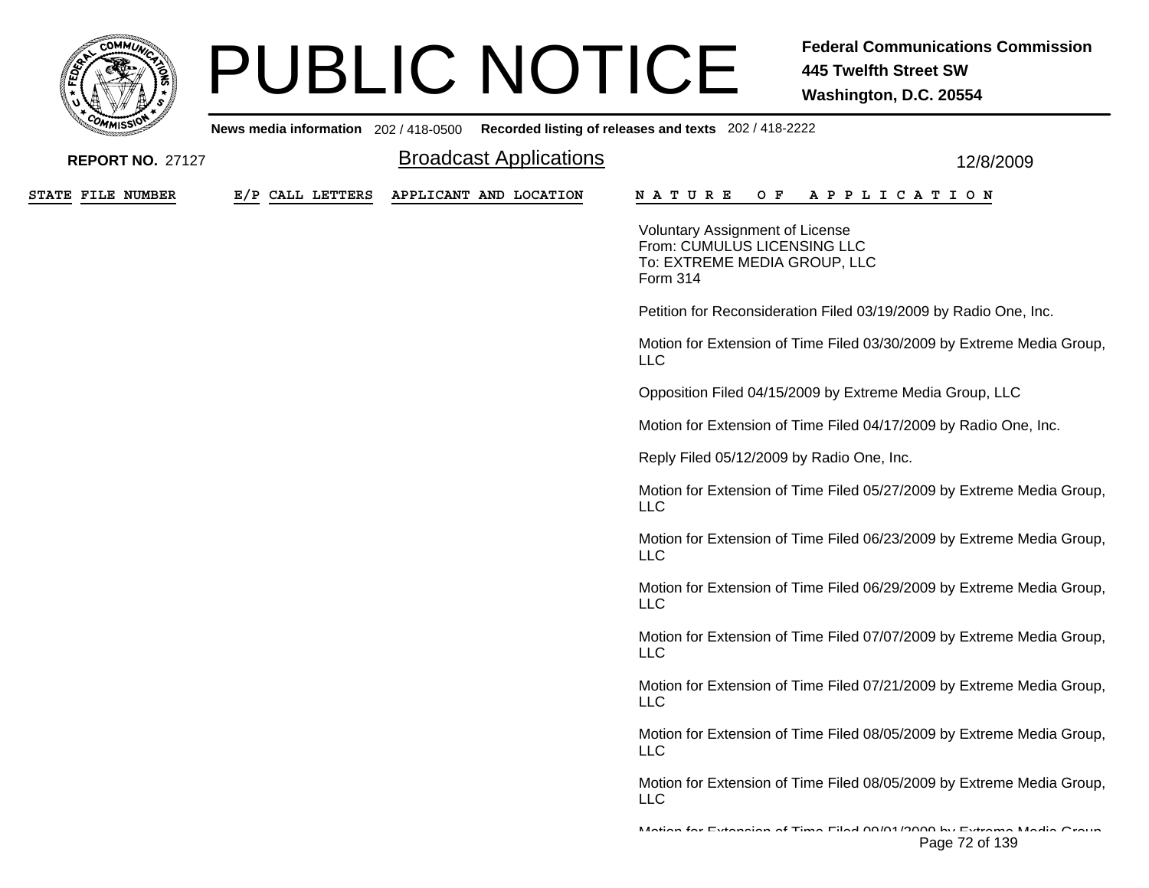

**News media information** 202 / 418-0500

| <b>REPORT NO. 27127</b> |                  | <b>Broadcast Applications</b> | 12/8/2009                                                                                                         |
|-------------------------|------------------|-------------------------------|-------------------------------------------------------------------------------------------------------------------|
| STATE FILE NUMBER       | E/P CALL LETTERS | APPLICANT AND LOCATION        | <b>NATURE</b><br>A P P L I C A T I O N<br>O F                                                                     |
|                         |                  |                               | <b>Voluntary Assignment of License</b><br>From: CUMULUS LICENSING LLC<br>To: EXTREME MEDIA GROUP, LLC<br>Form 314 |
|                         |                  |                               | Petition for Reconsideration Filed 03/19/2009 by Radio One, Inc.                                                  |
|                         |                  |                               | Motion for Extension of Time Filed 03/30/2009 by Extreme Media Group,<br><b>LLC</b>                               |
|                         |                  |                               | Opposition Filed 04/15/2009 by Extreme Media Group, LLC                                                           |
|                         |                  |                               | Motion for Extension of Time Filed 04/17/2009 by Radio One, Inc.                                                  |
|                         |                  |                               | Reply Filed 05/12/2009 by Radio One, Inc.                                                                         |
|                         |                  |                               | Motion for Extension of Time Filed 05/27/2009 by Extreme Media Group,<br><b>LLC</b>                               |
|                         |                  |                               | Motion for Extension of Time Filed 06/23/2009 by Extreme Media Group,<br><b>LLC</b>                               |
|                         |                  |                               | Motion for Extension of Time Filed 06/29/2009 by Extreme Media Group,<br><b>LLC</b>                               |
|                         |                  |                               | Motion for Extension of Time Filed 07/07/2009 by Extreme Media Group,<br><b>LLC</b>                               |
|                         |                  |                               | Motion for Extension of Time Filed 07/21/2009 by Extreme Media Group,<br><b>LLC</b>                               |
|                         |                  |                               | Motion for Extension of Time Filed 08/05/2009 by Extreme Media Group,<br><b>LLC</b>                               |
|                         |                  |                               | Motion for Extension of Time Filed 08/05/2009 by Extreme Media Group,<br><b>LLC</b>                               |
|                         |                  |                               | Mating for Extension of Time Filed 00/04/0000 by Extreme Media Orain<br>Page 72 of 139                            |

**Recorded listing of releases and texts** 202 / 418-2222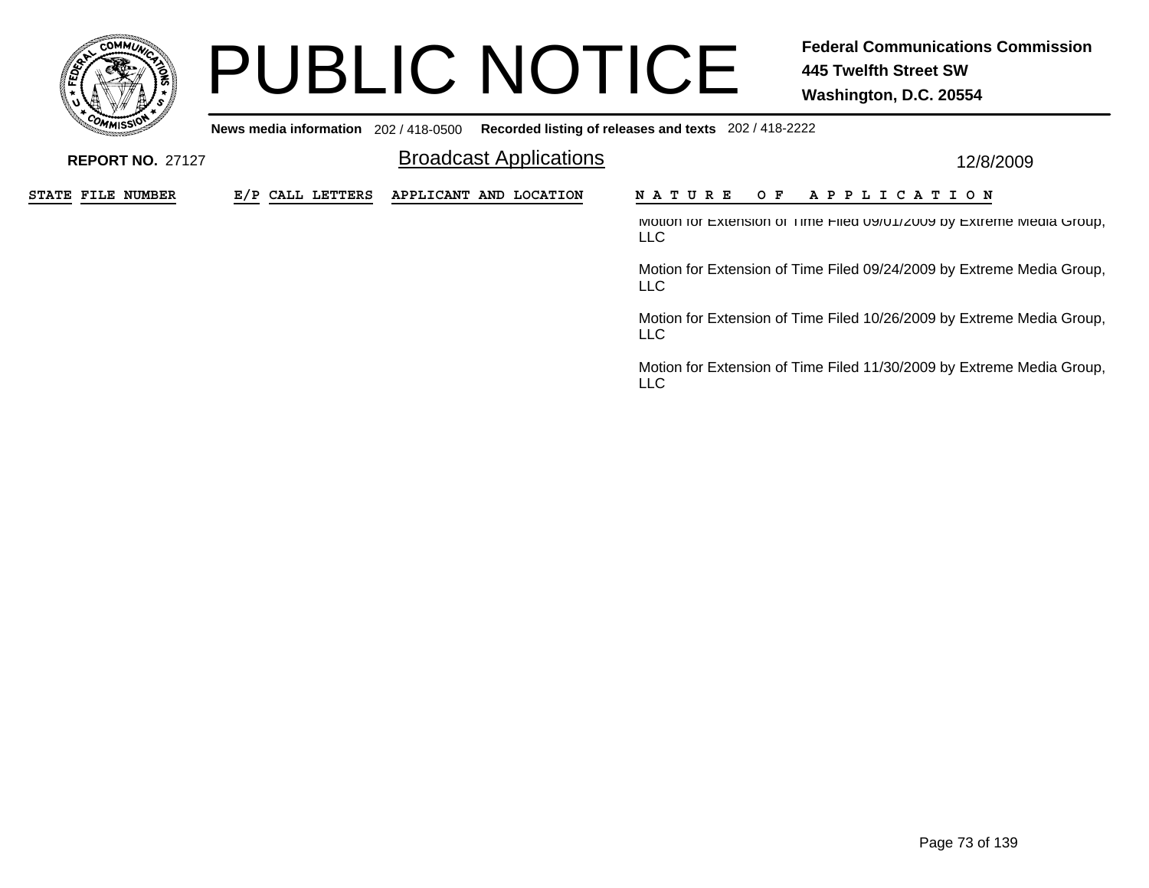

**News media information** 202 / 418-0500**Recorded listing of releases and texts** 202 / 418-2222

| <b>REPORT NO. 27127</b> |                  | <b>Broadcast Applications</b> | 12/8/2009                                                                               |  |  |  |  |
|-------------------------|------------------|-------------------------------|-----------------------------------------------------------------------------------------|--|--|--|--|
| STATE FILE NUMBER       | E/P CALL LETTERS | APPLICANT AND LOCATION        | OF APPLICATION<br>N A T U R E                                                           |  |  |  |  |
|                         |                  |                               | IVIOTION TOT EXTENSION OF TIME FIIED UY/UTIZUUY DY EXTREME IVIEDIA Group,<br><b>LLC</b> |  |  |  |  |
|                         |                  |                               | Motion for Extension of Time Filed 09/24/2009 by Extreme Media Group,<br>LLC.           |  |  |  |  |
|                         |                  |                               | Motion for Extension of Time Filed 10/26/2009 by Extreme Media Group,<br><b>LLC</b>     |  |  |  |  |
|                         |                  |                               | Motion for Extension of Time Filed 11/30/2009 by Extreme Media Group,<br><b>LLC</b>     |  |  |  |  |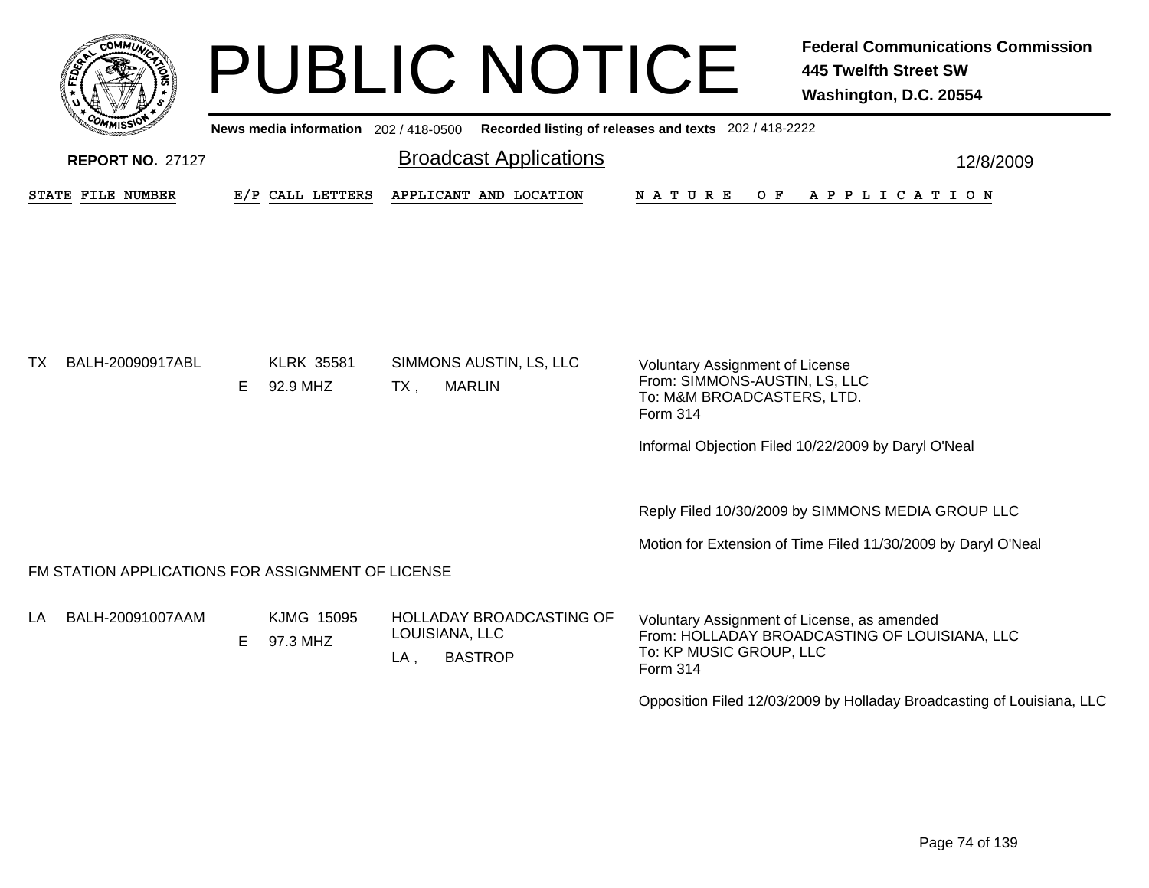

|    | <b><i>MMISSIV</i></b>                             |    |                               | News media information 202 / 418-0500 Recorded listing of releases and texts 202 / 418-2222 |                                                                                                                                     |           |
|----|---------------------------------------------------|----|-------------------------------|---------------------------------------------------------------------------------------------|-------------------------------------------------------------------------------------------------------------------------------------|-----------|
|    | <b>REPORT NO. 27127</b>                           |    |                               | <b>Broadcast Applications</b>                                                               |                                                                                                                                     | 12/8/2009 |
|    | <b>STATE FILE NUMBER</b>                          |    | E/P CALL LETTERS              | APPLICANT AND LOCATION                                                                      | N A T U R E<br>OF APPLICATION                                                                                                       |           |
|    |                                                   |    |                               |                                                                                             |                                                                                                                                     |           |
|    |                                                   |    |                               |                                                                                             |                                                                                                                                     |           |
|    |                                                   |    |                               |                                                                                             |                                                                                                                                     |           |
|    |                                                   |    |                               |                                                                                             |                                                                                                                                     |           |
| ТX | BALH-20090917ABL                                  | Е  | <b>KLRK 35581</b><br>92.9 MHZ | SIMMONS AUSTIN, LS, LLC<br><b>MARLIN</b><br>$TX$ ,                                          | <b>Voluntary Assignment of License</b><br>From: SIMMONS-AUSTIN, LS, LLC                                                             |           |
|    |                                                   |    |                               |                                                                                             | To: M&M BROADCASTERS, LTD.<br>Form 314                                                                                              |           |
|    |                                                   |    |                               |                                                                                             | Informal Objection Filed 10/22/2009 by Daryl O'Neal                                                                                 |           |
|    |                                                   |    |                               |                                                                                             |                                                                                                                                     |           |
|    |                                                   |    |                               |                                                                                             | Reply Filed 10/30/2009 by SIMMONS MEDIA GROUP LLC                                                                                   |           |
|    |                                                   |    |                               |                                                                                             | Motion for Extension of Time Filed 11/30/2009 by Daryl O'Neal                                                                       |           |
|    | FM STATION APPLICATIONS FOR ASSIGNMENT OF LICENSE |    |                               |                                                                                             |                                                                                                                                     |           |
| LA | BALH-20091007AAM                                  | E. | KJMG 15095<br>97.3 MHZ        | HOLLADAY BROADCASTING OF<br>LOUISIANA, LLC<br><b>BASTROP</b><br>$LA$ ,                      | Voluntary Assignment of License, as amended<br>From: HOLLADAY BROADCASTING OF LOUISIANA, LLC<br>To: KP MUSIC GROUP, LLC<br>Form 314 |           |
|    |                                                   |    |                               |                                                                                             | Opposition Filed 12/03/2009 by Holladay Broadcasting of Louisiana, LLC                                                              |           |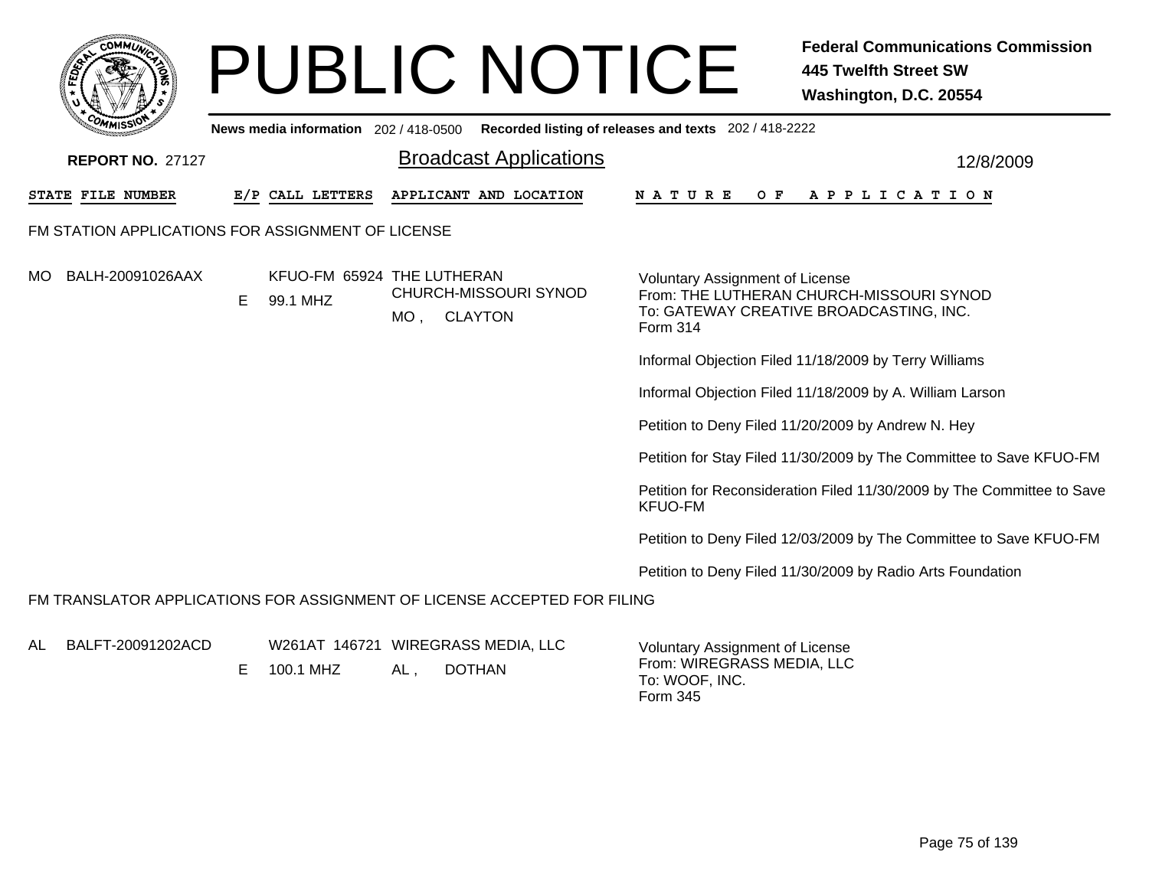|     |                   |                         |    |                                                   |             | <b>PUBLIC NOTICE</b>                                                     |                                                       | <b>Federal Communications Commission</b><br><b>445 Twelfth Street SW</b><br>Washington, D.C. 20554 |
|-----|-------------------|-------------------------|----|---------------------------------------------------|-------------|--------------------------------------------------------------------------|-------------------------------------------------------|----------------------------------------------------------------------------------------------------|
|     |                   |                         |    | News media information 202 / 418-0500             |             |                                                                          | Recorded listing of releases and texts 202 / 418-2222 |                                                                                                    |
|     |                   | <b>REPORT NO. 27127</b> |    |                                                   |             | <b>Broadcast Applications</b>                                            |                                                       | 12/8/2009                                                                                          |
|     | STATE FILE NUMBER |                         |    | E/P CALL LETTERS                                  |             | APPLICANT AND LOCATION                                                   | N A T U R E                                           | OF APPLICATION                                                                                     |
|     |                   |                         |    | FM STATION APPLICATIONS FOR ASSIGNMENT OF LICENSE |             |                                                                          |                                                       |                                                                                                    |
| MO. |                   | BALH-20091026AAX        | E. | KFUO-FM 65924 THE LUTHERAN<br>99.1 MHZ            | MO, CLAYTON | CHURCH-MISSOURI SYNOD                                                    | <b>Voluntary Assignment of License</b><br>Form 314    | From: THE LUTHERAN CHURCH-MISSOURI SYNOD<br>To: GATEWAY CREATIVE BROADCASTING, INC.                |
|     |                   |                         |    |                                                   |             |                                                                          |                                                       | Informal Objection Filed 11/18/2009 by Terry Williams                                              |
|     |                   |                         |    |                                                   |             |                                                                          |                                                       | Informal Objection Filed 11/18/2009 by A. William Larson                                           |
|     |                   |                         |    |                                                   |             |                                                                          |                                                       | Petition to Deny Filed 11/20/2009 by Andrew N. Hey                                                 |
|     |                   |                         |    |                                                   |             |                                                                          |                                                       | Petition for Stay Filed 11/30/2009 by The Committee to Save KFUO-FM                                |
|     |                   |                         |    |                                                   |             |                                                                          | <b>KFUO-FM</b>                                        | Petition for Reconsideration Filed 11/30/2009 by The Committee to Save                             |
|     |                   |                         |    |                                                   |             |                                                                          |                                                       | Petition to Deny Filed 12/03/2009 by The Committee to Save KFUO-FM                                 |
|     |                   |                         |    |                                                   |             |                                                                          |                                                       | Petition to Deny Filed 11/30/2009 by Radio Arts Foundation                                         |
|     |                   |                         |    |                                                   |             | FM TRANSLATOR APPLICATIONS FOR ASSIGNMENT OF LICENSE ACCEPTED FOR FILING |                                                       |                                                                                                    |

ALBALFT-20091202ACD

W261AT 146721 WIREGRASS MEDIA, LLC

 $AL$ , , DOTHAN E 100.1 MHZ

Voluntary Assignment of License From: WIREGRASS MEDIA, LLC To: WOOF, INC. Form 345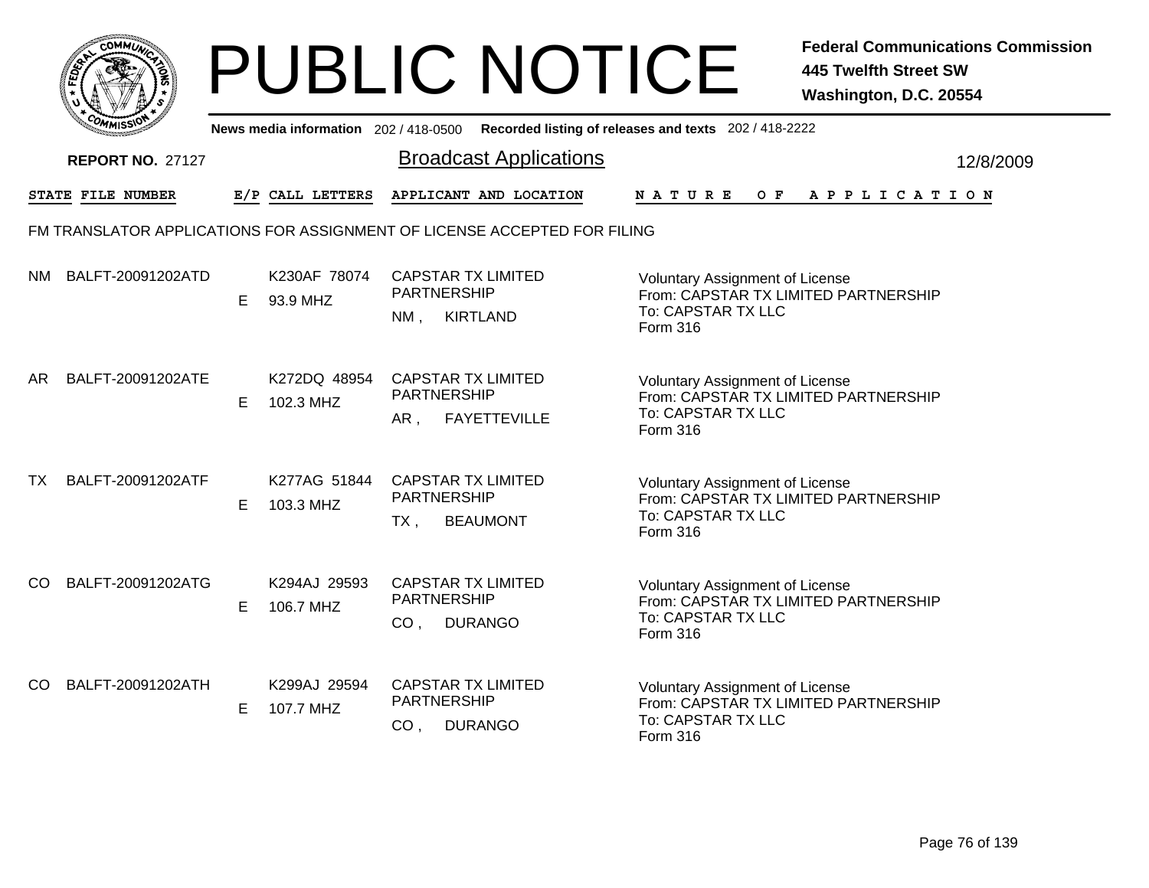|                   | <b>COMMUNT</b><br>¢       |  |
|-------------------|---------------------------|--|
| FEDE <sup>T</sup> | ۰                         |  |
|                   |                           |  |
| $c_{O}$           | n                         |  |
|                   | MISS <sup>\</sup><br>---- |  |

|     | יככוומי                 |    |                           | News media information 202/418-0500 Recorded listing of releases and texts 202/418-2222 |                                                                                                                         |           |
|-----|-------------------------|----|---------------------------|-----------------------------------------------------------------------------------------|-------------------------------------------------------------------------------------------------------------------------|-----------|
|     | <b>REPORT NO. 27127</b> |    |                           | <b>Broadcast Applications</b>                                                           |                                                                                                                         | 12/8/2009 |
|     | STATE FILE NUMBER       |    | E/P CALL LETTERS          | APPLICANT AND LOCATION                                                                  | $O$ $F$<br><b>NATURE</b><br>A P P L I C A T I O N                                                                       |           |
|     |                         |    |                           | FM TRANSLATOR APPLICATIONS FOR ASSIGNMENT OF LICENSE ACCEPTED FOR FILING                |                                                                                                                         |           |
|     | NM BALFT-20091202ATD    | E. | K230AF 78074<br>93.9 MHZ  | <b>CAPSTAR TX LIMITED</b><br><b>PARTNERSHIP</b><br><b>KIRTLAND</b><br>NM,               | <b>Voluntary Assignment of License</b><br>From: CAPSTAR TX LIMITED PARTNERSHIP<br>To: CAPSTAR TX LLC<br>Form 316        |           |
| AR  | BALFT-20091202ATE       | Е  | K272DQ 48954<br>102.3 MHZ | <b>CAPSTAR TX LIMITED</b><br>PARTNERSHIP<br>AR,<br><b>FAYETTEVILLE</b>                  | <b>Voluntary Assignment of License</b><br>From: CAPSTAR TX LIMITED PARTNERSHIP<br>To: CAPSTAR TX LLC<br>Form 316        |           |
| TX  | BALFT-20091202ATF       | E. | K277AG 51844<br>103.3 MHZ | <b>CAPSTAR TX LIMITED</b><br><b>PARTNERSHIP</b><br><b>BEAUMONT</b><br>TX,               | <b>Voluntary Assignment of License</b><br>From: CAPSTAR TX LIMITED PARTNERSHIP<br>To: CAPSTAR TX LLC<br><b>Form 316</b> |           |
| CO. | BALFT-20091202ATG       | Е  | K294AJ 29593<br>106.7 MHZ | <b>CAPSTAR TX LIMITED</b><br><b>PARTNERSHIP</b><br><b>DURANGO</b><br>CO <sub>1</sub>    | <b>Voluntary Assignment of License</b><br>From: CAPSTAR TX LIMITED PARTNERSHIP<br>To: CAPSTAR TX LLC<br>Form 316        |           |
| CO. | BALFT-20091202ATH       | Е  | K299AJ 29594<br>107.7 MHZ | <b>CAPSTAR TX LIMITED</b><br><b>PARTNERSHIP</b><br>CO <sub>1</sub><br><b>DURANGO</b>    | <b>Voluntary Assignment of License</b><br>From: CAPSTAR TX LIMITED PARTNERSHIP<br>To: CAPSTAR TX LLC<br>Form 316        |           |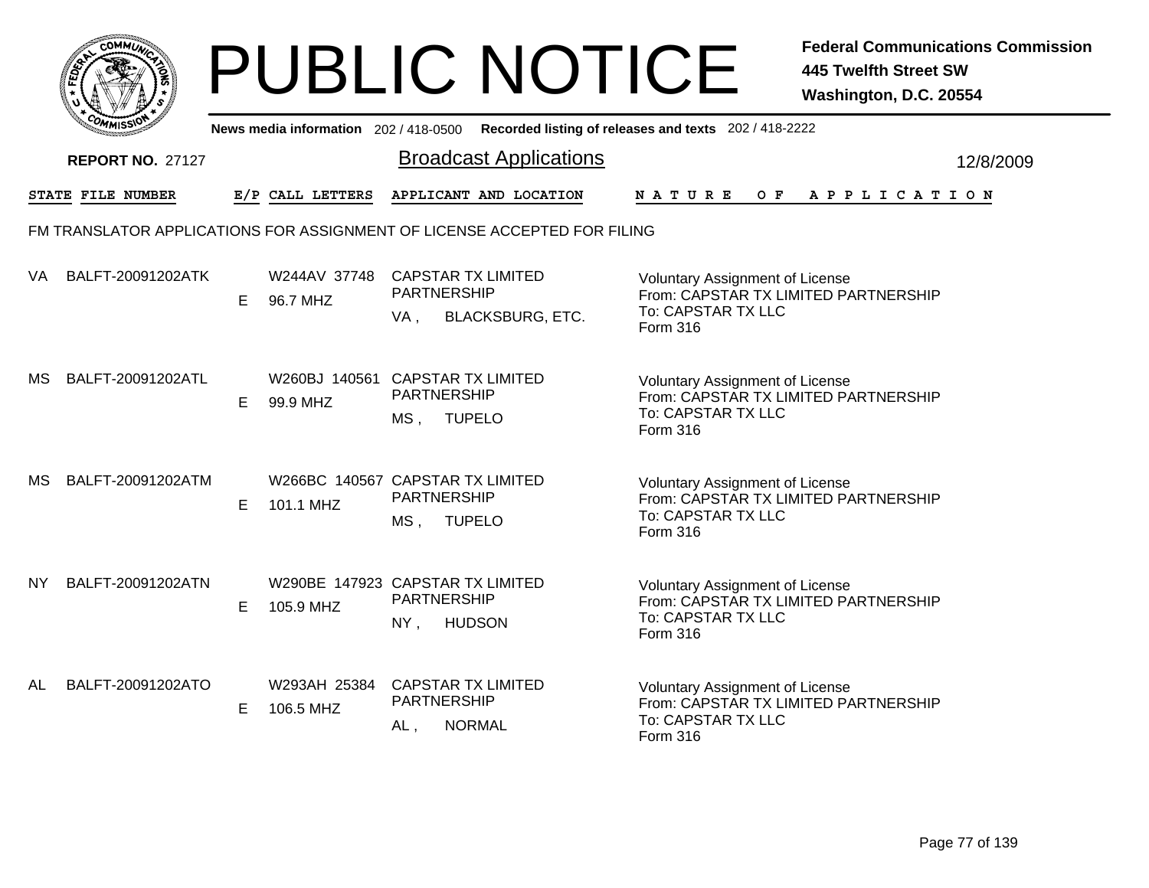| MMUNICT<br><b>CO</b>     |
|--------------------------|
| క<br>E<br>Ğ              |
|                          |
| COM<br>MISS <sup>\</sup> |

|     | יככוומי                 |   |                           | News media information 202/418-0500 Recorded listing of releases and texts 202/418-2222 |                                                                                                                  |           |
|-----|-------------------------|---|---------------------------|-----------------------------------------------------------------------------------------|------------------------------------------------------------------------------------------------------------------|-----------|
|     | <b>REPORT NO. 27127</b> |   |                           | <b>Broadcast Applications</b>                                                           |                                                                                                                  | 12/8/2009 |
|     | STATE FILE NUMBER       |   | E/P CALL LETTERS          | APPLICANT AND LOCATION                                                                  | NATURE<br>$O$ $F$<br>A P P L I C A T I O N                                                                       |           |
|     |                         |   |                           | FM TRANSLATOR APPLICATIONS FOR ASSIGNMENT OF LICENSE ACCEPTED FOR FILING                |                                                                                                                  |           |
| VA  | BALFT-20091202ATK       | E | W244AV 37748<br>96.7 MHZ  | <b>CAPSTAR TX LIMITED</b><br><b>PARTNERSHIP</b><br><b>BLACKSBURG, ETC.</b><br>VA,       | <b>Voluntary Assignment of License</b><br>From: CAPSTAR TX LIMITED PARTNERSHIP<br>To: CAPSTAR TX LLC<br>Form 316 |           |
| МS  | BALFT-20091202ATL       | Е | 99.9 MHZ                  | W260BJ 140561 CAPSTAR TX LIMITED<br>PARTNERSHIP<br>$MS$ .<br><b>TUPELO</b>              | <b>Voluntary Assignment of License</b><br>From: CAPSTAR TX LIMITED PARTNERSHIP<br>To: CAPSTAR TX LLC<br>Form 316 |           |
| МS  | BALFT-20091202ATM       | E | 101.1 MHZ                 | W266BC 140567 CAPSTAR TX LIMITED<br><b>PARTNERSHIP</b><br><b>TUPELO</b><br>MS,          | <b>Voluntary Assignment of License</b><br>From: CAPSTAR TX LIMITED PARTNERSHIP<br>To: CAPSTAR TX LLC<br>Form 316 |           |
| NY. | BALFT-20091202ATN       | E | 105.9 MHZ                 | W290BE 147923 CAPSTAR TX LIMITED<br><b>PARTNERSHIP</b><br><b>HUDSON</b><br>NY,          | <b>Voluntary Assignment of License</b><br>From: CAPSTAR TX LIMITED PARTNERSHIP<br>To: CAPSTAR TX LLC<br>Form 316 |           |
| AL  | BALFT-20091202ATO       | E | W293AH 25384<br>106.5 MHZ | <b>CAPSTAR TX LIMITED</b><br>PARTNERSHIP<br><b>NORMAL</b><br>AL,                        | Voluntary Assignment of License<br>From: CAPSTAR TX LIMITED PARTNERSHIP<br>To: CAPSTAR TX LLC<br>Form 316        |           |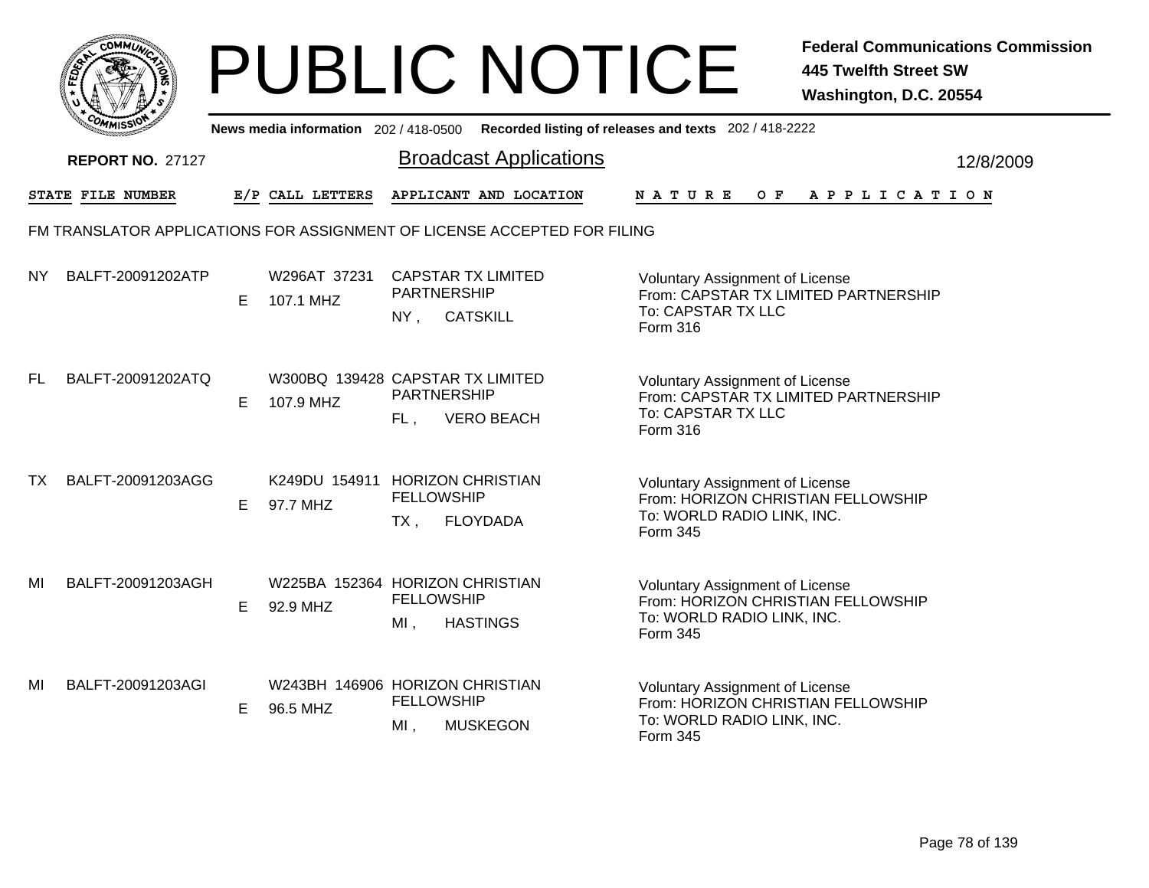|      |                                                                          |    |                                               |                                                                    | <b>PUBLIC NOTICE</b>          |                                                                                                                        | <b>Federal Communications Commission</b><br><b>445 Twelfth Street SW</b><br>Washington, D.C. 20554 |           |
|------|--------------------------------------------------------------------------|----|-----------------------------------------------|--------------------------------------------------------------------|-------------------------------|------------------------------------------------------------------------------------------------------------------------|----------------------------------------------------------------------------------------------------|-----------|
|      |                                                                          |    | News media information 202/418-0500           |                                                                    |                               | Recorded listing of releases and texts 202 / 418-2222                                                                  |                                                                                                    |           |
|      | <b>REPORT NO. 27127</b>                                                  |    |                                               |                                                                    | <b>Broadcast Applications</b> |                                                                                                                        |                                                                                                    | 12/8/2009 |
|      | <b>STATE FILE NUMBER</b>                                                 |    | E/P CALL LETTERS                              |                                                                    | APPLICANT AND LOCATION        | N A T U R E<br>O F                                                                                                     | APPLICATION                                                                                        |           |
|      | FM TRANSLATOR APPLICATIONS FOR ASSIGNMENT OF LICENSE ACCEPTED FOR FILING |    |                                               |                                                                    |                               |                                                                                                                        |                                                                                                    |           |
| NY I | BALFT-20091202ATP                                                        | E. | W296AT 37231<br>107.1 MHZ                     | <b>CAPSTAR TX LIMITED</b><br>PARTNERSHIP<br><b>CATSKILL</b><br>NY, |                               | <b>Voluntary Assignment of License</b><br>From: CAPSTAR TX LIMITED PARTNERSHIP<br>To: CAPSTAR TX LLC<br>Form 316       |                                                                                                    |           |
| FL.  | BALFT-20091202ATQ                                                        | E. | W300BQ 139428 CAPSTAR TX LIMITED<br>107.9 MHZ | PARTNERSHIP<br>FL,                                                 | <b>VERO BEACH</b>             | <b>Voluntary Assignment of License</b><br>From: CAPSTAR TX LIMITED PARTNERSHIP<br>To: CAPSTAR TX LLC<br>Form 316       |                                                                                                    |           |
| TX   | BALFT-20091203AGG                                                        | E. | K249DU 154911 HORIZON CHRISTIAN<br>97.7 MHZ   | <b>FELLOWSHIP</b><br>TX ,                                          | <b>FLOYDADA</b>               | <b>Voluntary Assignment of License</b><br>From: HORIZON CHRISTIAN FELLOWSHIP<br>To: WORLD RADIO LINK, INC.<br>Form 345 |                                                                                                    |           |
| ΜI   | BALFT-20091203AGH                                                        | E  | W225BA 152364 HORIZON CHRISTIAN<br>92.9 MHZ   | <b>FELLOWSHIP</b><br>MI,                                           | <b>HASTINGS</b>               | <b>Voluntary Assignment of License</b><br>From: HORIZON CHRISTIAN FELLOWSHIP<br>To: WORLD RADIO LINK, INC.<br>Form 345 |                                                                                                    |           |
| MI   | BALFT-20091203AGI                                                        | E. | W243BH 146906 HORIZON CHRISTIAN<br>96.5 MHZ   | <b>FELLOWSHIP</b><br>MI,                                           | <b>MUSKEGON</b>               | <b>Voluntary Assignment of License</b><br>From: HORIZON CHRISTIAN FELLOWSHIP<br>To: WORLD RADIO LINK, INC.<br>Form 345 |                                                                                                    |           |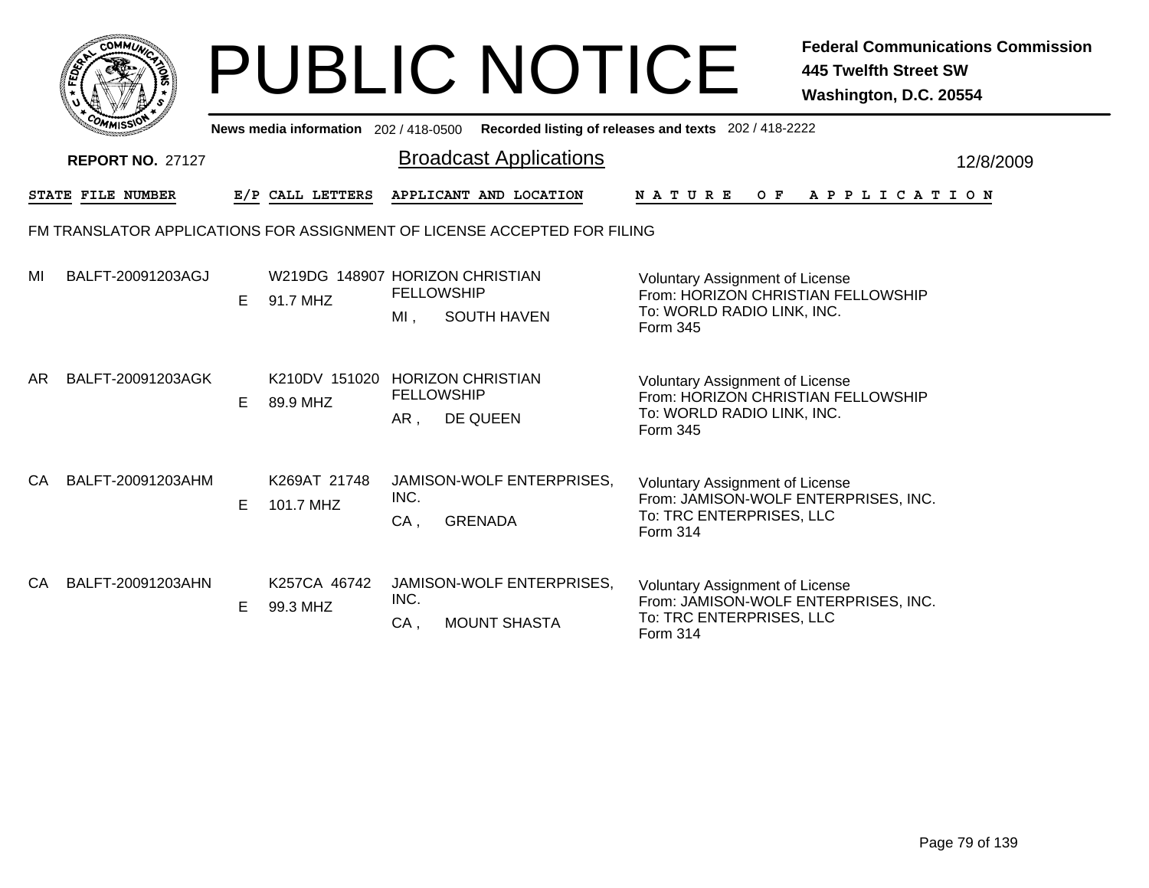|     | <b>COMMUT</b>                                                            |    |                                             |                          | <b>PUBLIC NOTICE</b>                             |                                                                                                                               | <b>Federal Communications Commission</b><br><b>445 Twelfth Street SW</b><br>Washington, D.C. 20554 |
|-----|--------------------------------------------------------------------------|----|---------------------------------------------|--------------------------|--------------------------------------------------|-------------------------------------------------------------------------------------------------------------------------------|----------------------------------------------------------------------------------------------------|
|     |                                                                          |    | News media information 202 / 418-0500       |                          |                                                  | Recorded listing of releases and texts 202 / 418-2222                                                                         |                                                                                                    |
|     | <b>REPORT NO. 27127</b>                                                  |    |                                             |                          | <b>Broadcast Applications</b>                    |                                                                                                                               | 12/8/2009                                                                                          |
|     | STATE FILE NUMBER                                                        |    | E/P CALL LETTERS                            |                          | APPLICANT AND LOCATION                           | N A T U R E                                                                                                                   | OF APPLICATION                                                                                     |
|     | FM TRANSLATOR APPLICATIONS FOR ASSIGNMENT OF LICENSE ACCEPTED FOR FILING |    |                                             |                          |                                                  |                                                                                                                               |                                                                                                    |
| MI  | BALFT-20091203AGJ                                                        | E. | W219DG 148907 HORIZON CHRISTIAN<br>91.7 MHZ | <b>FELLOWSHIP</b><br>MI, | <b>SOUTH HAVEN</b>                               | <b>Voluntary Assignment of License</b><br>From: HORIZON CHRISTIAN FELLOWSHIP<br>To: WORLD RADIO LINK, INC.<br>Form 345        |                                                                                                    |
| AR. | BALFT-20091203AGK                                                        | E. | K210DV 151020 HORIZON CHRISTIAN<br>89.9 MHZ | <b>FELLOWSHIP</b><br>AR, | DE QUEEN                                         | Voluntary Assignment of License<br>From: HORIZON CHRISTIAN FELLOWSHIP<br>To: WORLD RADIO LINK, INC.<br><b>Form 345</b>        |                                                                                                    |
| CA  | BALFT-20091203AHM                                                        | E. | K269AT 21748<br>101.7 MHZ                   | INC.<br>$CA$ .           | JAMISON-WOLF ENTERPRISES,<br><b>GRENADA</b>      | <b>Voluntary Assignment of License</b><br>From: JAMISON-WOLF ENTERPRISES, INC.<br>To: TRC ENTERPRISES, LLC<br><b>Form 314</b> |                                                                                                    |
| CA. | BALFT-20091203AHN                                                        | E. | K257CA 46742<br>99.3 MHZ                    | INC.<br>CA,              | JAMISON-WOLF ENTERPRISES,<br><b>MOUNT SHASTA</b> | <b>Voluntary Assignment of License</b><br>From: JAMISON-WOLF ENTERPRISES, INC.<br>To: TRC ENTERPRISES, LLC<br>Form 314        |                                                                                                    |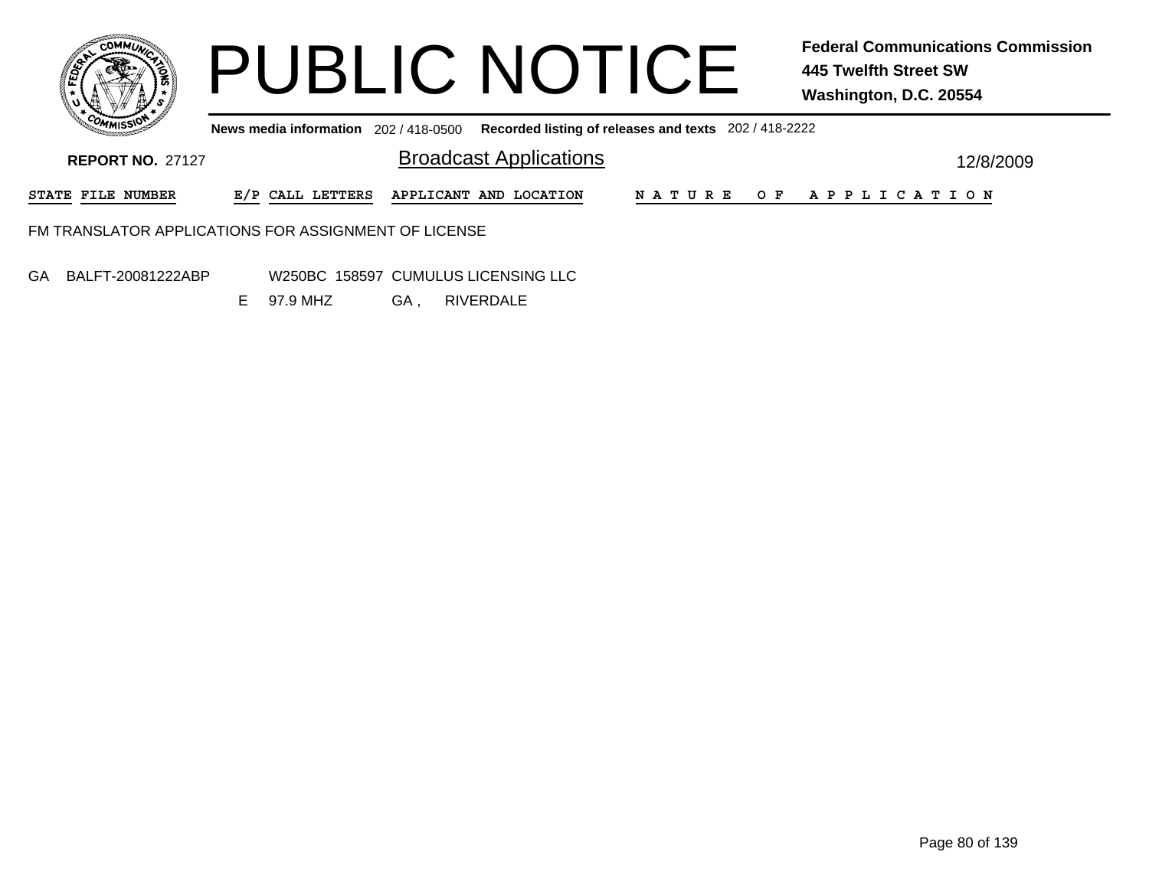

**News media information** 202 / 418-0500 **Recorded listing of releases and texts** 202 / 418-2222

| <b>REPORT NO. 27127</b>                              | <b>Broadcast Applications</b>           |  |  |                       | 12/8/2009 |
|------------------------------------------------------|-----------------------------------------|--|--|-----------------------|-----------|
| <b>STATE FILE NUMBER</b>                             | E/P CALL LETTERS APPLICANT AND LOCATION |  |  | NATURE OF APPLICATION |           |
| FM TRANSLATOR APPLICATIONS FOR ASSIGNMENT OF LICENSE |                                         |  |  |                       |           |

GA BALFT-20081222ABP

 W250BC 158597 CUMULUS LICENSING LLCGA, , RIVERDALE E 97.9 MHZ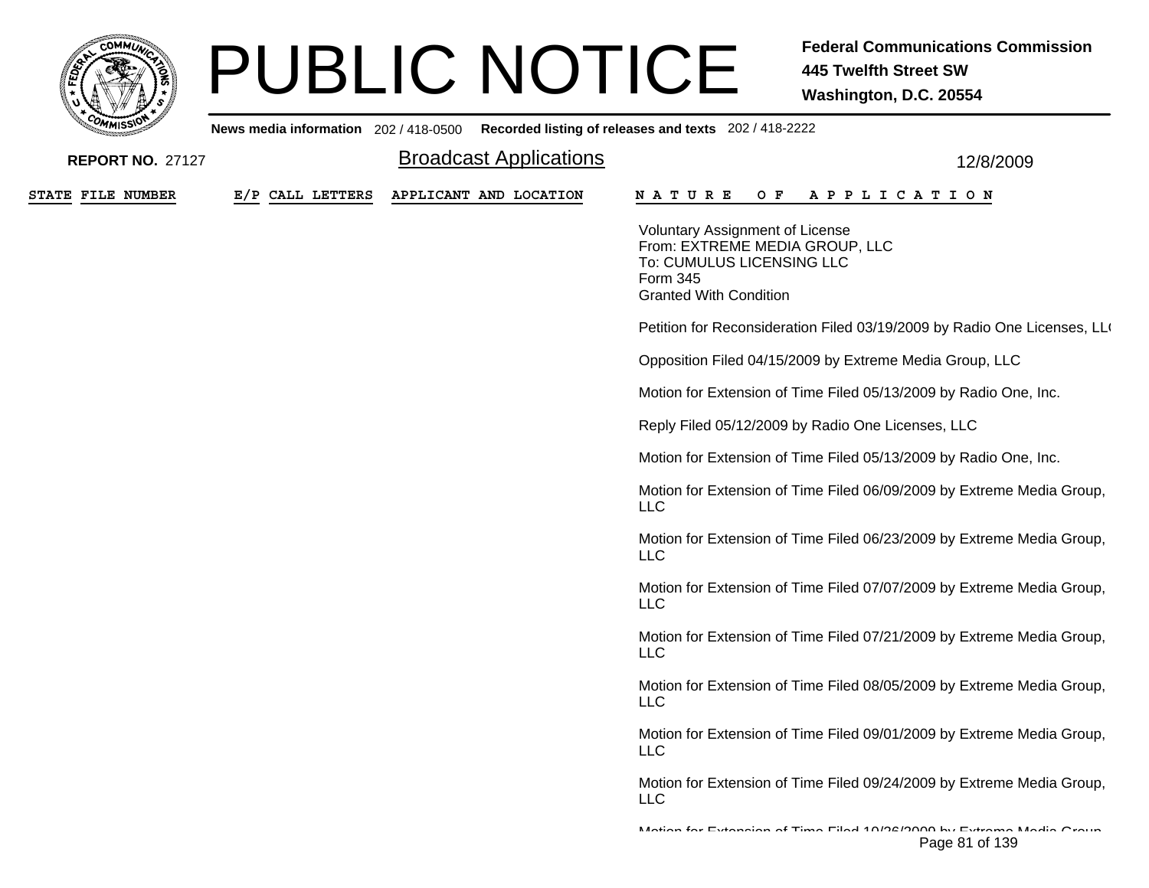

**News media information** 202 / 418-0500

| <b>REPORT NO. 27127</b> |                  | <b>Broadcast Applications</b> | 12/8/2009                                                                                                                                          |
|-------------------------|------------------|-------------------------------|----------------------------------------------------------------------------------------------------------------------------------------------------|
| STATE FILE NUMBER       | E/P CALL LETTERS | APPLICANT AND LOCATION        | A P P L I C A T I O N<br>N A T U R E<br>O F                                                                                                        |
|                         |                  |                               | <b>Voluntary Assignment of License</b><br>From: EXTREME MEDIA GROUP, LLC<br>To: CUMULUS LICENSING LLC<br>Form 345<br><b>Granted With Condition</b> |
|                         |                  |                               | Petition for Reconsideration Filed 03/19/2009 by Radio One Licenses, LLO                                                                           |
|                         |                  |                               | Opposition Filed 04/15/2009 by Extreme Media Group, LLC                                                                                            |
|                         |                  |                               | Motion for Extension of Time Filed 05/13/2009 by Radio One, Inc.                                                                                   |
|                         |                  |                               | Reply Filed 05/12/2009 by Radio One Licenses, LLC                                                                                                  |
|                         |                  |                               | Motion for Extension of Time Filed 05/13/2009 by Radio One, Inc.                                                                                   |
|                         |                  |                               | Motion for Extension of Time Filed 06/09/2009 by Extreme Media Group,<br><b>LLC</b>                                                                |
|                         |                  |                               | Motion for Extension of Time Filed 06/23/2009 by Extreme Media Group,<br><b>LLC</b>                                                                |
|                         |                  |                               | Motion for Extension of Time Filed 07/07/2009 by Extreme Media Group,<br><b>LLC</b>                                                                |
|                         |                  |                               | Motion for Extension of Time Filed 07/21/2009 by Extreme Media Group,<br><b>LLC</b>                                                                |
|                         |                  |                               | Motion for Extension of Time Filed 08/05/2009 by Extreme Media Group,<br><b>LLC</b>                                                                |
|                         |                  |                               | Motion for Extension of Time Filed 09/01/2009 by Extreme Media Group,<br><b>LLC</b>                                                                |
|                         |                  |                               | Motion for Extension of Time Filed 09/24/2009 by Extreme Media Group,<br><b>LLC</b>                                                                |
|                         |                  |                               | Mation for Extension of Time Filed 40/08/0000 by Extreme Media Oroun<br>Page 81 of 139                                                             |

**Recorded listing of releases and texts** 202 / 418-2222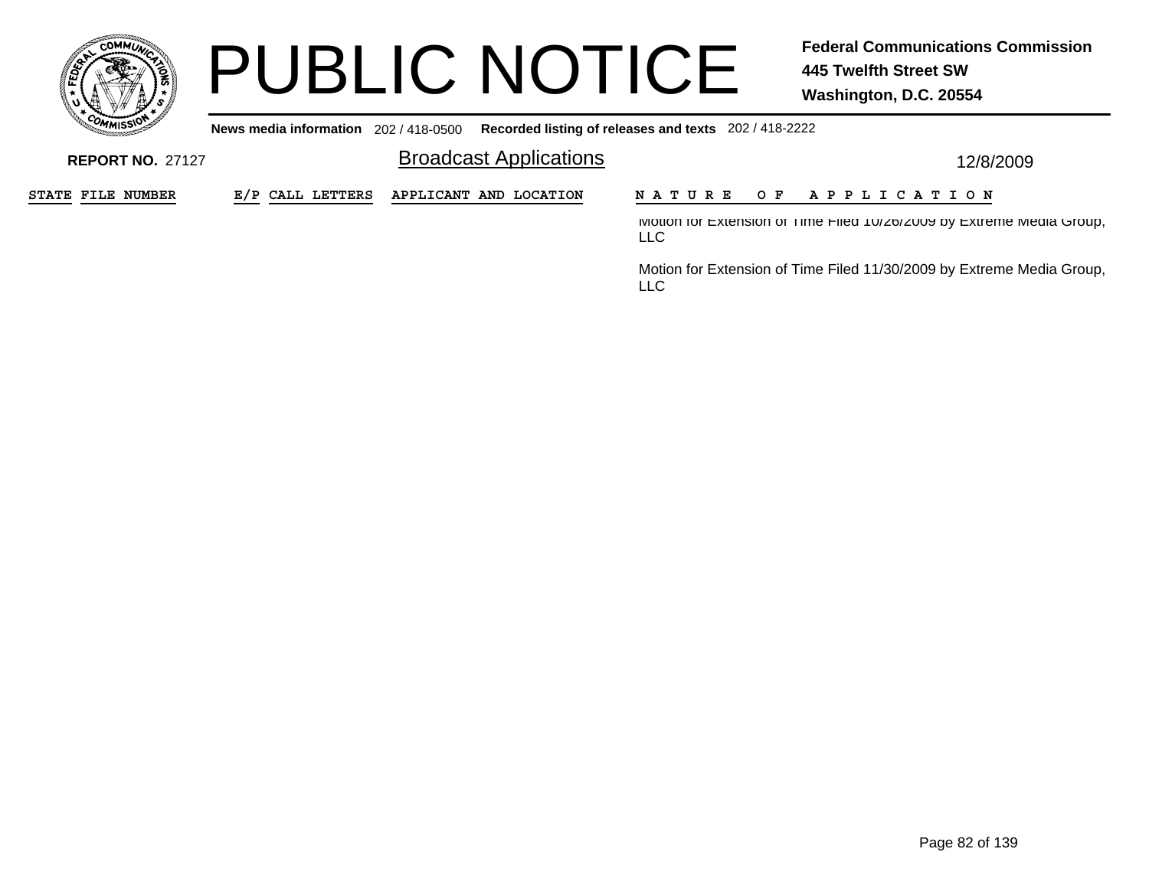

**News media information** 202 / 418-0500**Recorded listing of releases and texts** 202 / 418-2222

Broadcast Applications **12/8/2009 REPORT NO.** 27127STATE FILE NUMBER **FILE NUMBER E/P CALL LETTERS APPLICANT AND LOCATION N A T U R E O F A P P L I C A T I O N** Motion for Extension of Time Filed 10/26/2009 by Extreme Media Group, LLC

> Motion for Extension of Time Filed 11/30/2009 by Extreme Media Group, LLC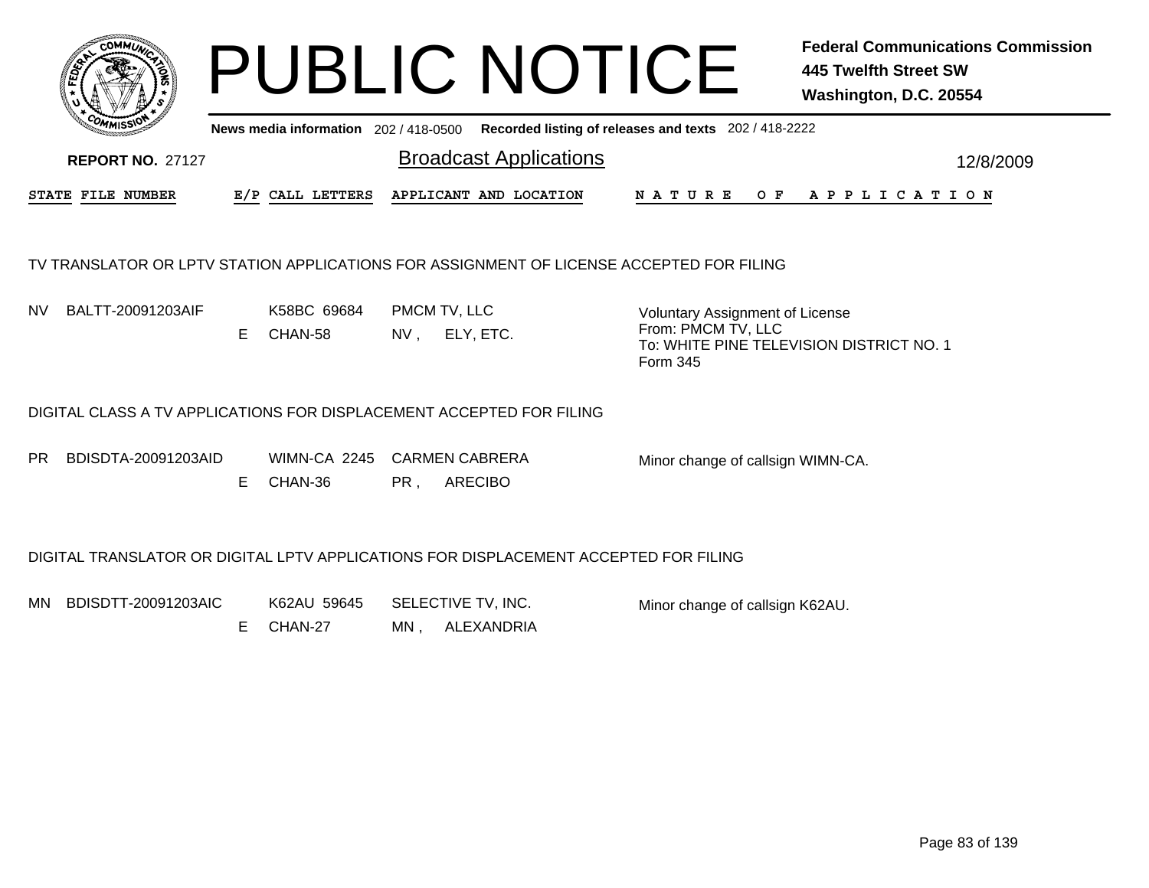

Broadcast Applications 12/8/2009 **News media information** 202 / 418-0500 **Recorded listing of releases and texts** 202 / 418-2222 **REPORT NO.** 27127STATE FILE NUMBER **FILE NUMBER E/P CALL LETTERS APPLICANT AND LOCATION N A T U R E O F A P P L I C A T I O N**

### TV TRANSLATOR OR LPTV STATION APPLICATIONS FOR ASSIGNMENT OF LICENSE ACCEPTED FOR FILING

NV

V BALTT-20091203AIF K58BC\_69684 PMCM TV, LLC NV , ELY, ETC. ECHAN-58

Voluntary Assignment of License From: PMCM TV, LLC To: WHITE PINE TELEVISION DISTRICT NO. 1Form 345

### DIGITAL CLASS A TV APPLICATIONS FOR DISPLACEMENT ACCEPTED FOR FILING

PRBDISDTA-20091203AID

 WIMN-CA 2245 CARMEN CABRERA PR. , ARECIBO E CHAN-36

Minor change of callsign WIMN-CA.

### DIGITAL TRANSLATOR OR DIGITAL LPTV APPLICATIONS FOR DISPLACEMENT ACCEPTED FOR FILING

MN K62AU 59645 SELECTIVE TV, INC. BDISDTT-20091203AIC

MN , ALEXANDRIA E CHAN-27

Minor change of callsign K62AU.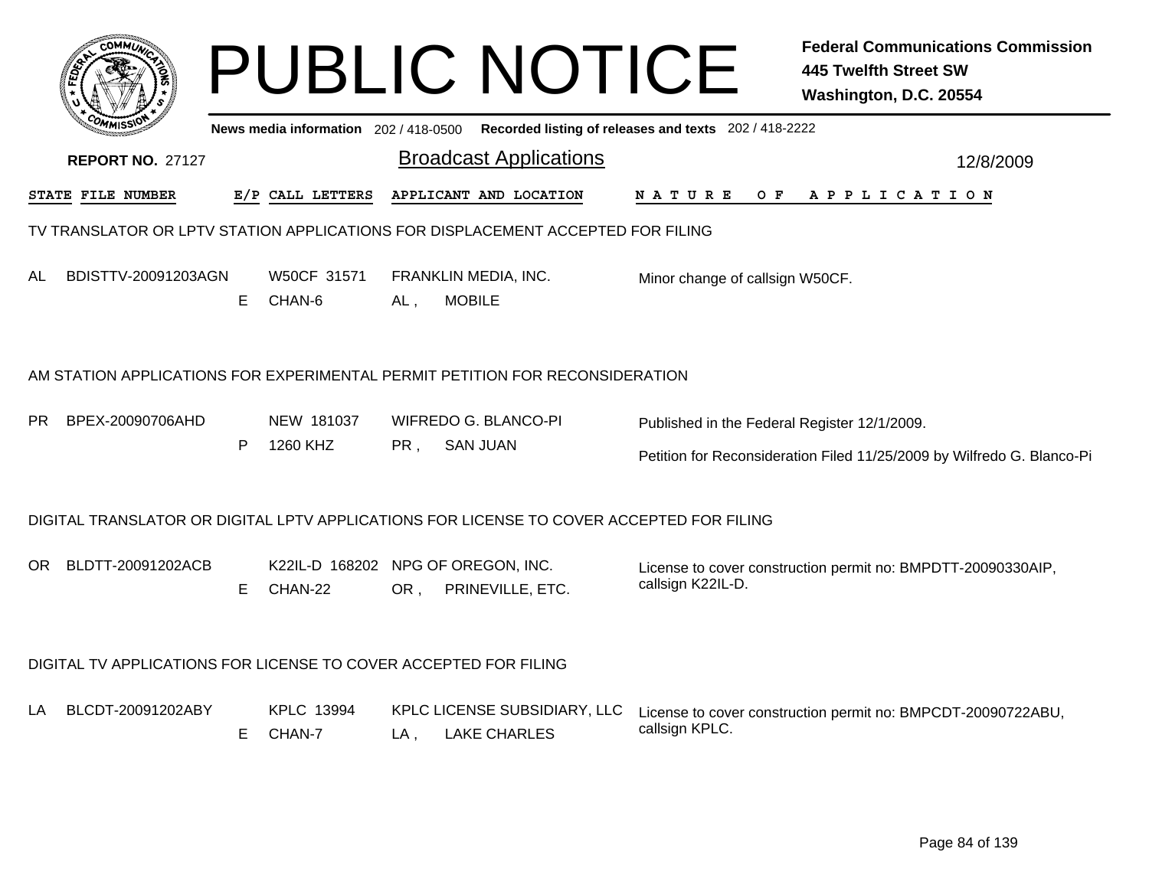|     | ϾΟΜΜω                                                            |    |                                               |        | <b>PUBLIC NOTICE</b>                                                                     |                                              | <b>Federal Communications Commission</b><br><b>445 Twelfth Street SW</b><br>Washington, D.C. 20554 |
|-----|------------------------------------------------------------------|----|-----------------------------------------------|--------|------------------------------------------------------------------------------------------|----------------------------------------------|----------------------------------------------------------------------------------------------------|
|     |                                                                  |    |                                               |        | News media information 202/418-0500 Recorded listing of releases and texts 202/418-2222  |                                              |                                                                                                    |
|     | <b>REPORT NO. 27127</b>                                          |    |                                               |        | <b>Broadcast Applications</b>                                                            |                                              | 12/8/2009                                                                                          |
|     | STATE FILE NUMBER                                                |    | E/P CALL LETTERS                              |        | APPLICANT AND LOCATION                                                                   | N A T U R E<br>O F                           | A P P L I C A T I O N                                                                              |
|     |                                                                  |    |                                               |        | TV TRANSLATOR OR LPTV STATION APPLICATIONS FOR DISPLACEMENT ACCEPTED FOR FILING          |                                              |                                                                                                    |
| AL  | BDISTTV-20091203AGN                                              | E  | W50CF 31571<br>CHAN-6                         | AL.    | FRANKLIN MEDIA, INC.<br><b>MOBILE</b>                                                    | Minor change of callsign W50CF.              |                                                                                                    |
|     |                                                                  |    |                                               |        | AM STATION APPLICATIONS FOR EXPERIMENTAL PERMIT PETITION FOR RECONSIDERATION             |                                              |                                                                                                    |
| PR. | BPEX-20090706AHD                                                 |    | NEW 181037                                    |        | WIFREDO G. BLANCO-PI                                                                     | Published in the Federal Register 12/1/2009. |                                                                                                    |
|     |                                                                  | P  | 1260 KHZ                                      | PR,    | <b>SAN JUAN</b>                                                                          |                                              | Petition for Reconsideration Filed 11/25/2009 by Wilfredo G. Blanco-Pi                             |
|     |                                                                  |    |                                               |        | DIGITAL TRANSLATOR OR DIGITAL LPTV APPLICATIONS FOR LICENSE TO COVER ACCEPTED FOR FILING |                                              |                                                                                                    |
| OR. | BLDTT-20091202ACB                                                | E. | K22IL-D 168202 NPG OF OREGON, INC.<br>CHAN-22 | OR.    | PRINEVILLE, ETC.                                                                         | callsign K22IL-D.                            | License to cover construction permit no: BMPDTT-20090330AIP,                                       |
|     | DIGITAL TV APPLICATIONS FOR LICENSE TO COVER ACCEPTED FOR FILING |    |                                               |        |                                                                                          |                                              |                                                                                                    |
| LA. | BLCDT-20091202ABY                                                | E. | <b>KPLC 13994</b><br>CHAN-7                   | $LA$ , | KPLC LICENSE SUBSIDIARY, LLC<br><b>LAKE CHARLES</b>                                      | callsign KPLC.                               | License to cover construction permit no: BMPCDT-20090722ABU,                                       |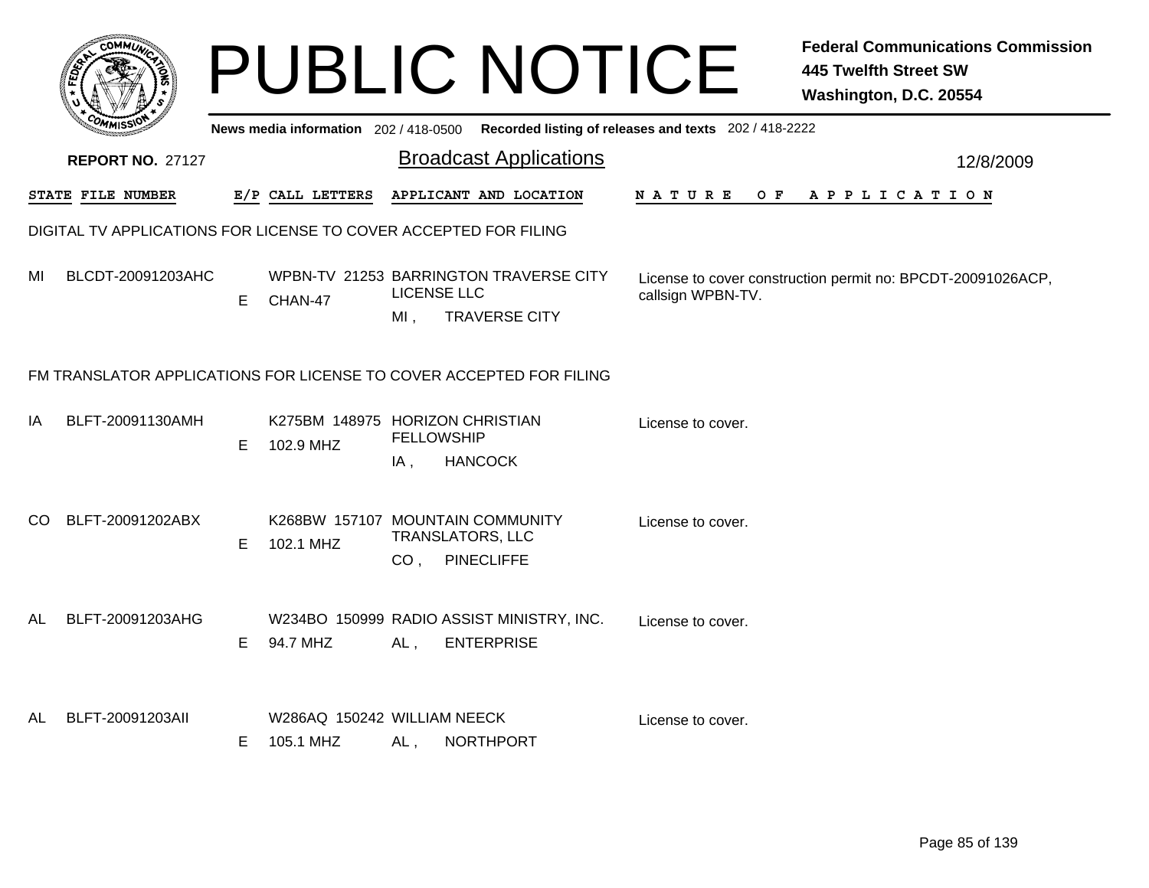|     |                                                                  |    |                                              |                       | <b>PUBLIC NOTICE</b>                                                                        |                    | <b>Federal Communications Commission</b><br><b>445 Twelfth Street SW</b><br>Washington, D.C. 20554 |  |  |  |  |
|-----|------------------------------------------------------------------|----|----------------------------------------------|-----------------------|---------------------------------------------------------------------------------------------|--------------------|----------------------------------------------------------------------------------------------------|--|--|--|--|
|     |                                                                  |    |                                              |                       | News media information 202 / 418-0500 Recorded listing of releases and texts 202 / 418-2222 |                    |                                                                                                    |  |  |  |  |
|     | <b>REPORT NO. 27127</b>                                          |    |                                              |                       | <b>Broadcast Applications</b>                                                               |                    | 12/8/2009                                                                                          |  |  |  |  |
|     | STATE FILE NUMBER                                                |    | E/P CALL LETTERS                             |                       | APPLICANT AND LOCATION                                                                      | N A T U R E<br>O F | A P P L I C A T I O N                                                                              |  |  |  |  |
|     | DIGITAL TV APPLICATIONS FOR LICENSE TO COVER ACCEPTED FOR FILING |    |                                              |                       |                                                                                             |                    |                                                                                                    |  |  |  |  |
| MI  | BLCDT-20091203AHC                                                | E. | CHAN-47                                      | LICENSE LLC<br>$MI$ , | WPBN-TV 21253 BARRINGTON TRAVERSE CITY<br><b>TRAVERSE CITY</b>                              | callsign WPBN-TV.  | License to cover construction permit no: BPCDT-20091026ACP,                                        |  |  |  |  |
|     |                                                                  |    |                                              |                       | FM TRANSLATOR APPLICATIONS FOR LICENSE TO COVER ACCEPTED FOR FILING                         |                    |                                                                                                    |  |  |  |  |
| ΙA  | BLFT-20091130AMH                                                 | E  | K275BM 148975 HORIZON CHRISTIAN<br>102.9 MHZ | <b>FELLOWSHIP</b>     |                                                                                             | License to cover.  |                                                                                                    |  |  |  |  |
|     |                                                                  |    |                                              | IA,                   | <b>HANCOCK</b>                                                                              |                    |                                                                                                    |  |  |  |  |
| CO. | BLFT-20091202ABX                                                 | E  | 102.1 MHZ                                    | CO <sub>1</sub>       | K268BW 157107 MOUNTAIN COMMUNITY<br><b>TRANSLATORS, LLC</b><br><b>PINECLIFFE</b>            | License to cover.  |                                                                                                    |  |  |  |  |
| AL  | BLFT-20091203AHG                                                 | E  | 94.7 MHZ                                     | AL,                   | W234BO 150999 RADIO ASSIST MINISTRY, INC.<br><b>ENTERPRISE</b>                              | License to cover.  |                                                                                                    |  |  |  |  |
| AL. | BLFT-20091203AII                                                 | E  | W286AQ 150242 WILLIAM NEECK<br>105.1 MHZ     | AL,                   | <b>NORTHPORT</b>                                                                            | License to cover.  |                                                                                                    |  |  |  |  |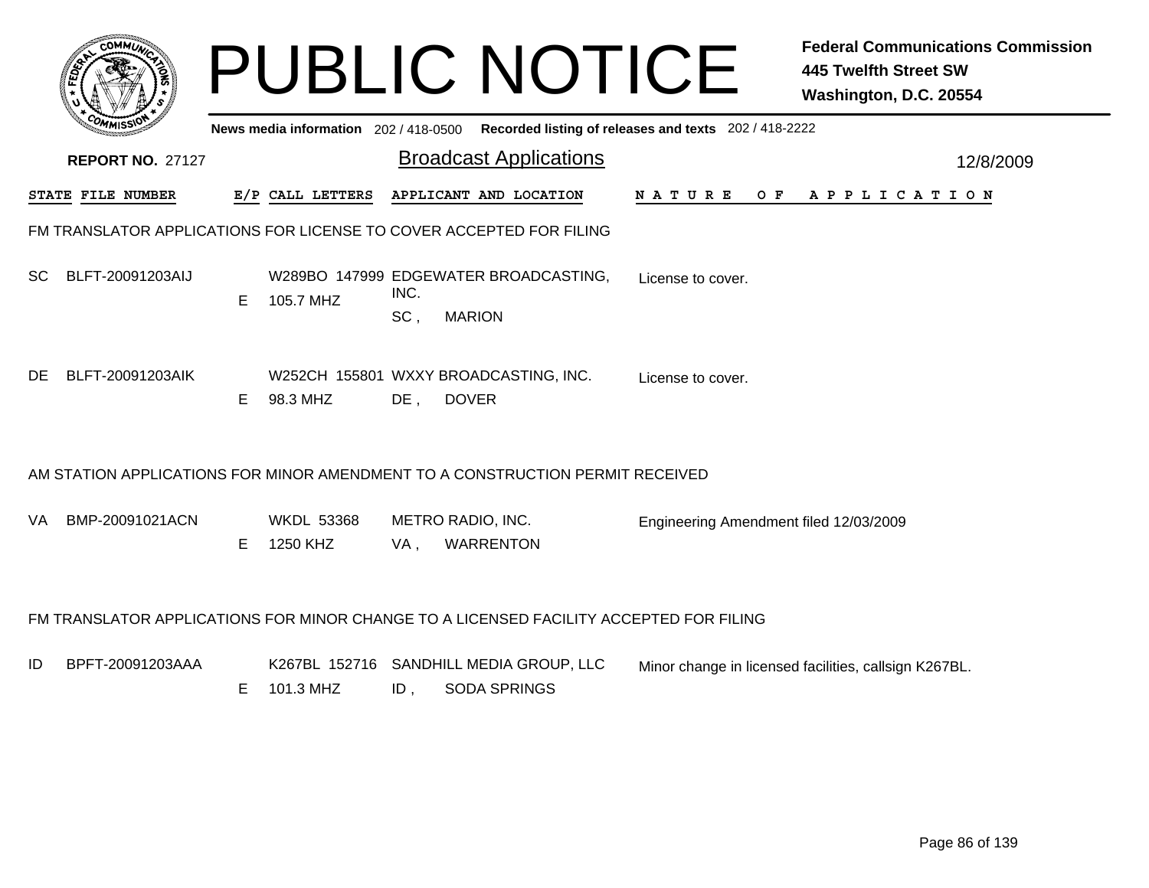|     | <b>COMMU</b>            |    |                                     |             | <b>PUBLIC NOTICE</b>                                                                   |                                                       | <b>Federal Communications Commission</b><br><b>445 Twelfth Street SW</b><br>Washington, D.C. 20554 |
|-----|-------------------------|----|-------------------------------------|-------------|----------------------------------------------------------------------------------------|-------------------------------------------------------|----------------------------------------------------------------------------------------------------|
|     |                         |    | News media information 202/418-0500 |             |                                                                                        | Recorded listing of releases and texts 202 / 418-2222 |                                                                                                    |
|     | <b>REPORT NO. 27127</b> |    |                                     |             | <b>Broadcast Applications</b>                                                          |                                                       | 12/8/2009                                                                                          |
|     | STATE FILE NUMBER       |    | E/P CALL LETTERS                    |             | APPLICANT AND LOCATION                                                                 |                                                       | NATURE OF APPLICATION                                                                              |
|     |                         |    |                                     |             | FM TRANSLATOR APPLICATIONS FOR LICENSE TO COVER ACCEPTED FOR FILING                    |                                                       |                                                                                                    |
| SC. | BLFT-20091203AIJ        | E. | 105.7 MHZ                           | INC.<br>SC, | W289BO 147999 EDGEWATER BROADCASTING,<br><b>MARION</b>                                 | License to cover.                                     |                                                                                                    |
| DE. | BLFT-20091203AIK        | E  | 98.3 MHZ                            | $DE$ .      | W252CH 155801 WXXY BROADCASTING, INC.<br><b>DOVER</b>                                  | License to cover.                                     |                                                                                                    |
|     |                         |    |                                     |             | AM STATION APPLICATIONS FOR MINOR AMENDMENT TO A CONSTRUCTION PERMIT RECEIVED          |                                                       |                                                                                                    |
| VA. | BMP-20091021ACN         | E. | <b>WKDL 53368</b><br>1250 KHZ       | VA,         | METRO RADIO, INC.<br><b>WARRENTON</b>                                                  | Engineering Amendment filed 12/03/2009                |                                                                                                    |
|     |                         |    |                                     |             | FM TRANSLATOR APPLICATIONS FOR MINOR CHANGE TO A LICENSED FACILITY ACCEPTED FOR FILING |                                                       |                                                                                                    |
| ID  | BPFT-20091203AAA        | Е  | 101.3 MHZ                           | ID,         | K267BL 152716 SANDHILL MEDIA GROUP, LLC<br><b>SODA SPRINGS</b>                         |                                                       | Minor change in licensed facilities, callsign K267BL.                                              |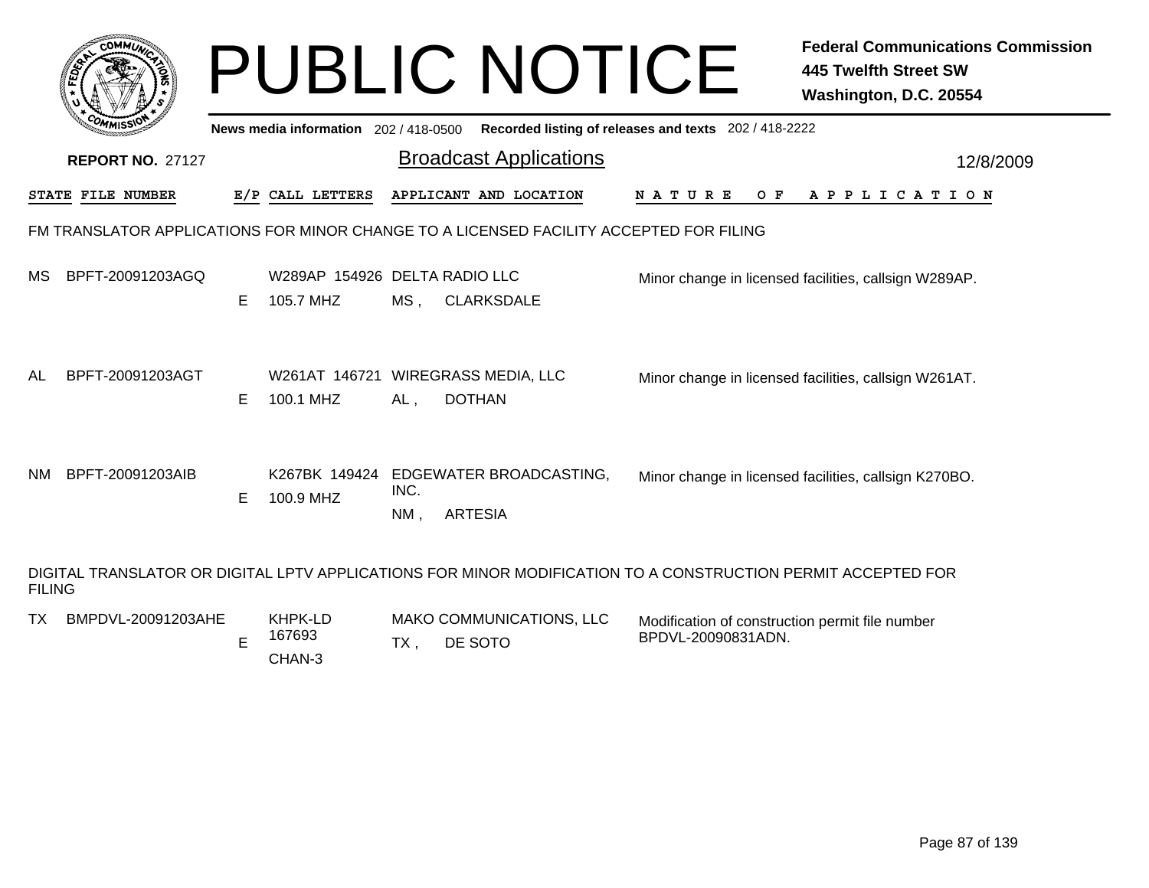| <b>COMMI</b>                                                                                                                  |    | News media information 202/418-0500             |                | <b>PUBLIC NOTICE</b><br>Recorded listing of releases and texts 202 / 418-2222 |                    | <b>Federal Communications Commission</b><br><b>445 Twelfth Street SW</b><br>Washington, D.C. 20554 |
|-------------------------------------------------------------------------------------------------------------------------------|----|-------------------------------------------------|----------------|-------------------------------------------------------------------------------|--------------------|----------------------------------------------------------------------------------------------------|
| <b>REPORT NO. 27127</b>                                                                                                       |    |                                                 |                | <b>Broadcast Applications</b>                                                 |                    | 12/8/2009                                                                                          |
| <b>STATE FILE NUMBER</b>                                                                                                      |    | E/P CALL LETTERS                                |                | APPLICANT AND LOCATION                                                        | N A T U R E        | O F<br>A P P L I C A T I O N                                                                       |
| FM TRANSLATOR APPLICATIONS FOR MINOR CHANGE TO A LICENSED FACILITY ACCEPTED FOR FILING                                        |    |                                                 |                |                                                                               |                    |                                                                                                    |
| BPFT-20091203AGQ<br>МS                                                                                                        | Е  | W289AP 154926 DELTA RADIO LLC<br>105.7 MHZ      | MS,            | <b>CLARKSDALE</b>                                                             |                    | Minor change in licensed facilities, callsign W289AP.                                              |
| AL<br>BPFT-20091203AGT                                                                                                        | E  | W261AT 146721 WIREGRASS MEDIA, LLC<br>100.1 MHZ | AL,            | <b>DOTHAN</b>                                                                 |                    | Minor change in licensed facilities, callsign W261AT.                                              |
| BPFT-20091203AIB<br>NM                                                                                                        | E. | 100.9 MHZ                                       | INC.<br>$NM$ , | K267BK 149424 EDGEWATER BROADCASTING,<br><b>ARTESIA</b>                       |                    | Minor change in licensed facilities, callsign K270BO.                                              |
| DIGITAL TRANSLATOR OR DIGITAL LPTV APPLICATIONS FOR MINOR MODIFICATION TO A CONSTRUCTION PERMIT ACCEPTED FOR<br><b>FILING</b> |    |                                                 |                |                                                                               |                    |                                                                                                    |
| BMPDVL-20091203AHE<br>TX                                                                                                      | E  | KHPK-LD<br>167693                               | TX,            | MAKO COMMUNICATIONS, LLC<br>DE SOTO                                           | BPDVL-20090831ADN. | Modification of construction permit file number                                                    |

CHAN-3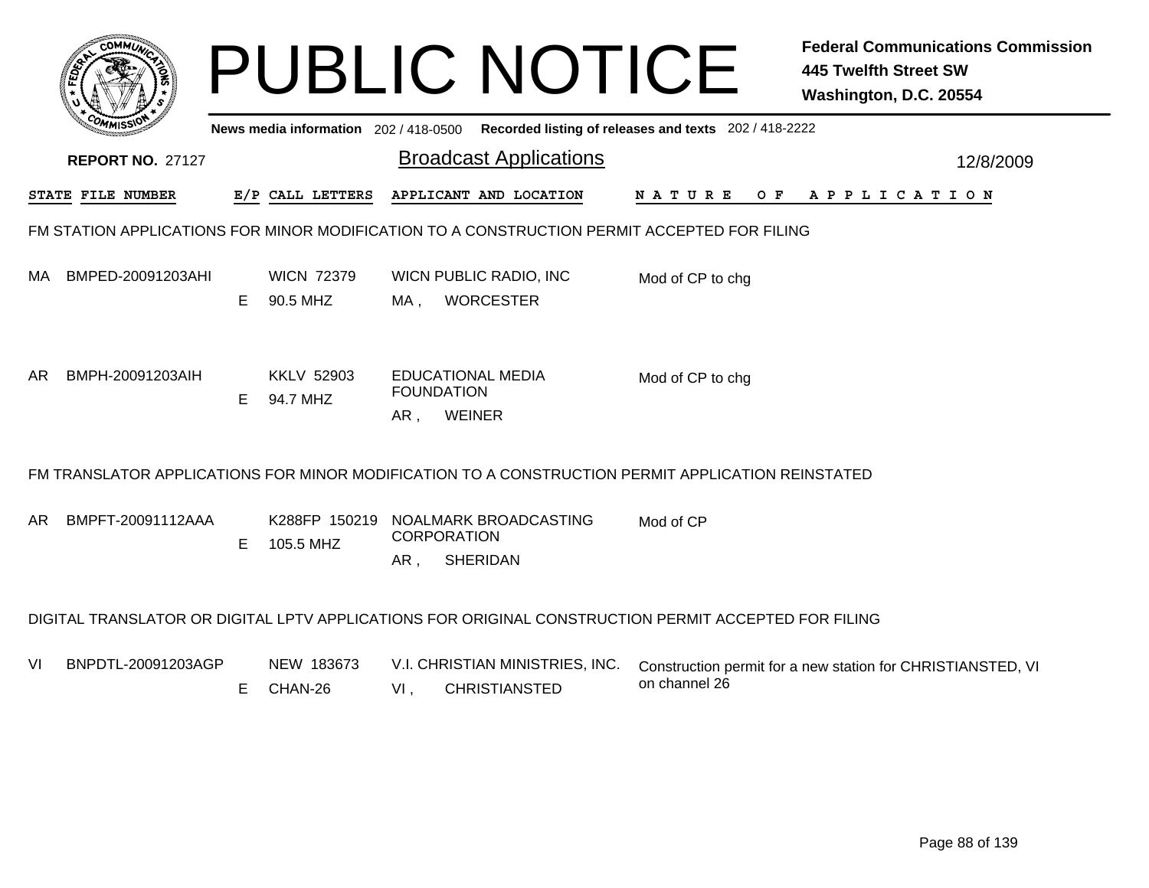|     |                                                                                             |    |                                       | <b>PUBLIC NOTICE</b>                                                                                 |                                                       | <b>Federal Communications Commission</b><br><b>445 Twelfth Street SW</b><br>Washington, D.C. 20554 |  |  |  |  |  |
|-----|---------------------------------------------------------------------------------------------|----|---------------------------------------|------------------------------------------------------------------------------------------------------|-------------------------------------------------------|----------------------------------------------------------------------------------------------------|--|--|--|--|--|
|     |                                                                                             |    | News media information 202 / 418-0500 |                                                                                                      | Recorded listing of releases and texts 202 / 418-2222 |                                                                                                    |  |  |  |  |  |
|     | <b>REPORT NO. 27127</b>                                                                     |    |                                       | <b>Broadcast Applications</b>                                                                        |                                                       | 12/8/2009                                                                                          |  |  |  |  |  |
|     | STATE FILE NUMBER                                                                           |    | E/P CALL LETTERS                      | APPLICANT AND LOCATION                                                                               | <b>NATURE</b>                                         | OF APPLICATION                                                                                     |  |  |  |  |  |
|     | FM STATION APPLICATIONS FOR MINOR MODIFICATION TO A CONSTRUCTION PERMIT ACCEPTED FOR FILING |    |                                       |                                                                                                      |                                                       |                                                                                                    |  |  |  |  |  |
| MA  | BMPED-20091203AHI                                                                           | E. | <b>WICN 72379</b><br>90.5 MHZ         | WICN PUBLIC RADIO, INC<br><b>WORCESTER</b><br>MA ,                                                   | Mod of CP to chg                                      |                                                                                                    |  |  |  |  |  |
| AR. | BMPH-20091203AIH                                                                            | E. | <b>KKLV 52903</b><br>94.7 MHZ         | <b>EDUCATIONAL MEDIA</b><br><b>FOUNDATION</b><br><b>WEINER</b><br>AR,                                | Mod of CP to chg                                      |                                                                                                    |  |  |  |  |  |
|     |                                                                                             |    |                                       | FM TRANSLATOR APPLICATIONS FOR MINOR MODIFICATION TO A CONSTRUCTION PERMIT APPLICATION REINSTATED    |                                                       |                                                                                                    |  |  |  |  |  |
| AR. | BMPFT-20091112AAA                                                                           | Е  | K288FP 150219<br>105.5 MHZ            | NOALMARK BROADCASTING<br><b>CORPORATION</b><br><b>SHERIDAN</b><br>AR,                                | Mod of CP                                             |                                                                                                    |  |  |  |  |  |
|     |                                                                                             |    |                                       | DIGITAL TRANSLATOR OR DIGITAL LPTV APPLICATIONS FOR ORIGINAL CONSTRUCTION PERMIT ACCEPTED FOR FILING |                                                       |                                                                                                    |  |  |  |  |  |
| VI  | BNPDTL-20091203AGP                                                                          | E. | NEW 183673<br>CHAN-26                 | V.I. CHRISTIAN MINISTRIES, INC.<br><b>CHRISTIANSTED</b><br>$VI$ ,                                    | on channel 26                                         | Construction permit for a new station for CHRISTIANSTED, VI                                        |  |  |  |  |  |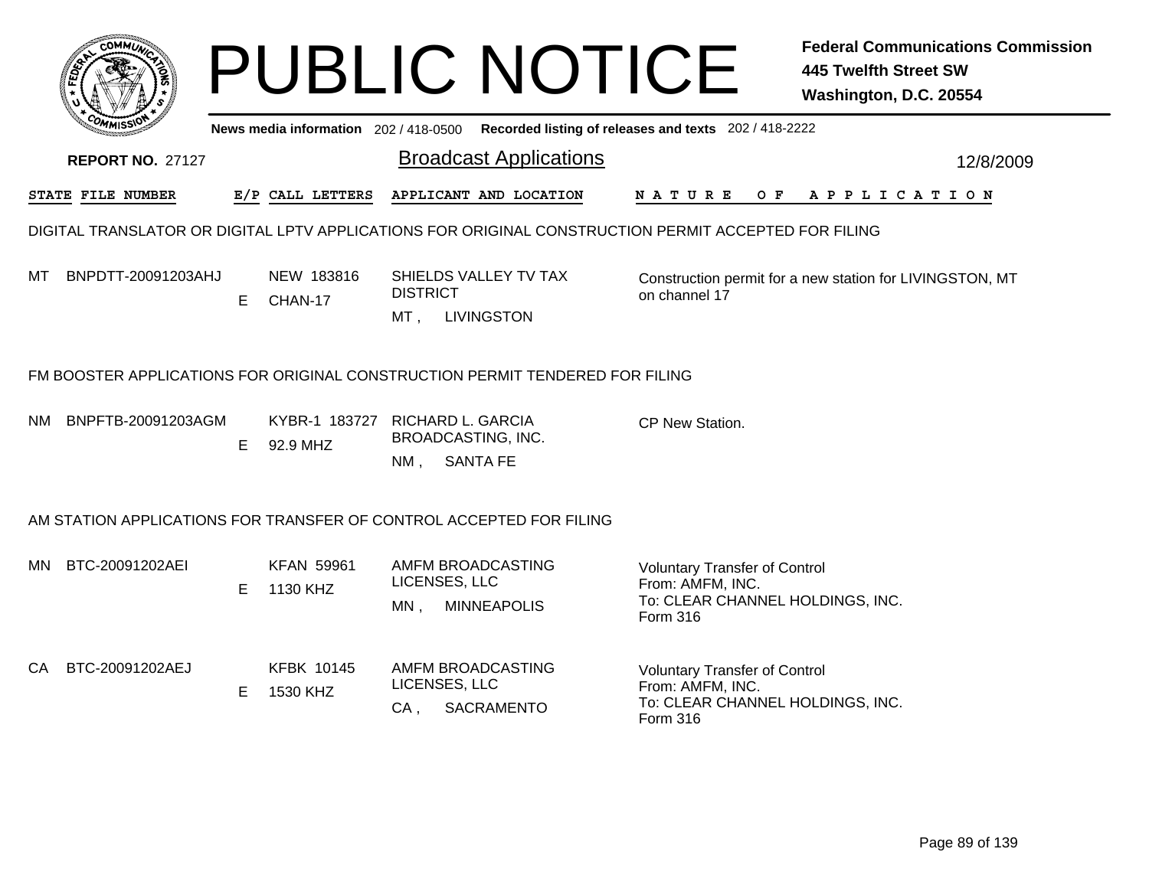|     |                         |    |                                     | <b>PUBLIC NOTICE</b>                                                                                 |                                                                                                          | <b>Federal Communications Commission</b><br><b>445 Twelfth Street SW</b><br>Washington, D.C. 20554 |
|-----|-------------------------|----|-------------------------------------|------------------------------------------------------------------------------------------------------|----------------------------------------------------------------------------------------------------------|----------------------------------------------------------------------------------------------------|
|     |                         |    | News media information 202/418-0500 |                                                                                                      | Recorded listing of releases and texts 202 / 418-2222                                                    |                                                                                                    |
|     | <b>REPORT NO. 27127</b> |    |                                     | <b>Broadcast Applications</b>                                                                        |                                                                                                          | 12/8/2009                                                                                          |
|     | STATE FILE NUMBER       |    | E/P CALL LETTERS                    | APPLICANT AND LOCATION                                                                               | <b>NATURE</b><br>O F                                                                                     | APPLICATION                                                                                        |
|     |                         |    |                                     | DIGITAL TRANSLATOR OR DIGITAL LPTV APPLICATIONS FOR ORIGINAL CONSTRUCTION PERMIT ACCEPTED FOR FILING |                                                                                                          |                                                                                                    |
| мт  | BNPDTT-20091203AHJ      | E. | NEW 183816<br>CHAN-17               | SHIELDS VALLEY TV TAX<br><b>DISTRICT</b><br><b>LIVINGSTON</b><br>MT,                                 | on channel 17                                                                                            | Construction permit for a new station for LIVINGSTON, MT                                           |
|     |                         |    |                                     | FM BOOSTER APPLICATIONS FOR ORIGINAL CONSTRUCTION PERMIT TENDERED FOR FILING                         |                                                                                                          |                                                                                                    |
| NM. | BNPFTB-20091203AGM      | E  | 92.9 MHZ                            | KYBR-1 183727 RICHARD L. GARCIA<br>BROADCASTING, INC.<br><b>SANTA FE</b><br>NM.                      | CP New Station.                                                                                          |                                                                                                    |
|     |                         |    |                                     | AM STATION APPLICATIONS FOR TRANSFER OF CONTROL ACCEPTED FOR FILING                                  |                                                                                                          |                                                                                                    |
| MN. | BTC-20091202AEI         | E. | <b>KFAN 59961</b><br>1130 KHZ       | AMFM BROADCASTING<br>LICENSES, LLC<br><b>MINNEAPOLIS</b><br>MN,                                      | <b>Voluntary Transfer of Control</b><br>From: AMFM, INC.<br>To: CLEAR CHANNEL HOLDINGS, INC.<br>Form 316 |                                                                                                    |
| CA. | BTC-20091202AEJ         | E. | <b>KFBK 10145</b><br>1530 KHZ       | AMFM BROADCASTING<br>LICENSES, LLC<br><b>SACRAMENTO</b><br>$CA$ .                                    | <b>Voluntary Transfer of Control</b><br>From: AMFM, INC.<br>To: CLEAR CHANNEL HOLDINGS, INC.<br>Form 316 |                                                                                                    |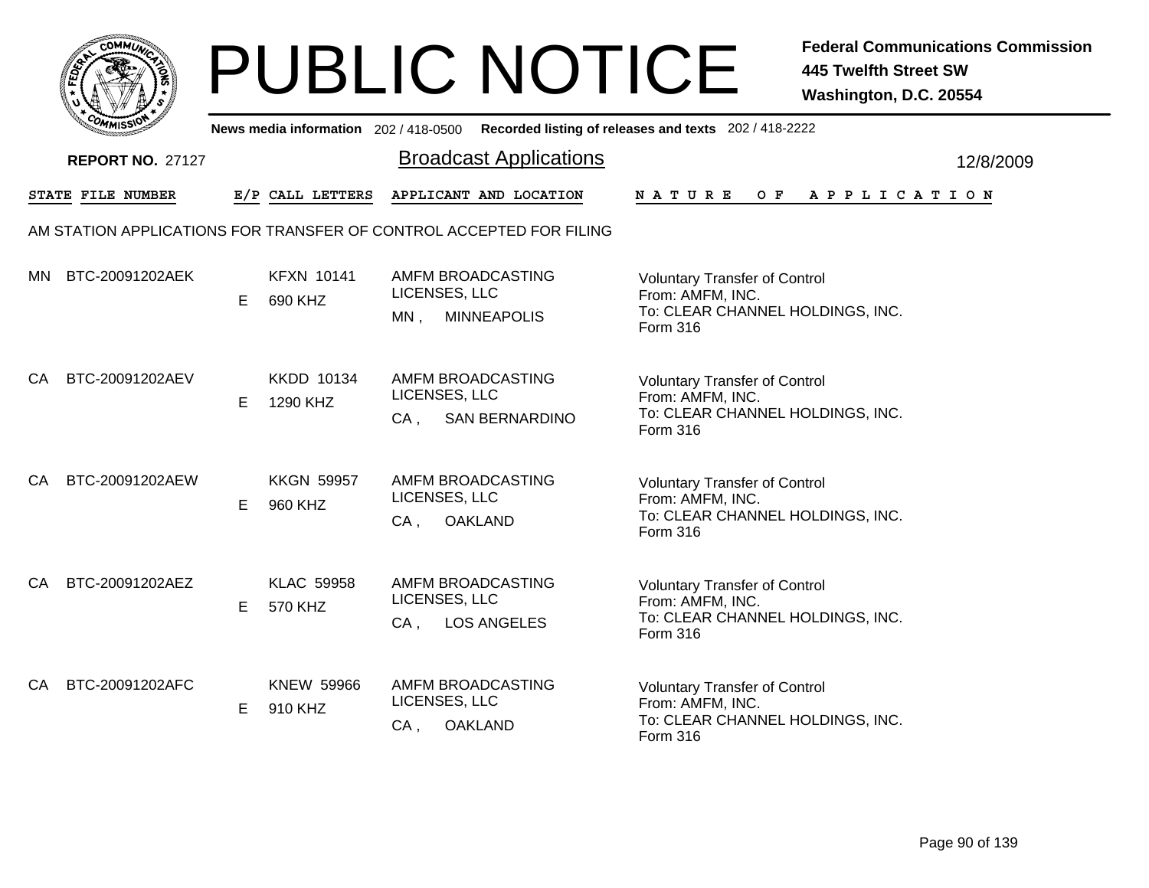

|    | ככוומיי                 |    |                               | News media information 202/418-0500 Recorded listing of releases and texts 202/418-2222 |                                                                                                          |           |
|----|-------------------------|----|-------------------------------|-----------------------------------------------------------------------------------------|----------------------------------------------------------------------------------------------------------|-----------|
|    | <b>REPORT NO. 27127</b> |    |                               | <b>Broadcast Applications</b>                                                           |                                                                                                          | 12/8/2009 |
|    | STATE FILE NUMBER       |    | E/P CALL LETTERS              | APPLICANT AND LOCATION                                                                  | <b>NATURE</b><br>O F<br>A P P L I C A T I O N                                                            |           |
|    |                         |    |                               | AM STATION APPLICATIONS FOR TRANSFER OF CONTROL ACCEPTED FOR FILING                     |                                                                                                          |           |
|    | MN BTC-20091202AEK      | E. | <b>KFXN 10141</b><br>690 KHZ  | AMFM BROADCASTING<br>LICENSES, LLC<br>MN,<br><b>MINNEAPOLIS</b>                         | <b>Voluntary Transfer of Control</b><br>From: AMFM, INC.<br>To: CLEAR CHANNEL HOLDINGS, INC.<br>Form 316 |           |
| СA | BTC-20091202AEV         | E  | <b>KKDD 10134</b><br>1290 KHZ | AMFM BROADCASTING<br>LICENSES, LLC<br><b>SAN BERNARDINO</b><br>$CA$ ,                   | <b>Voluntary Transfer of Control</b><br>From: AMFM, INC.<br>To: CLEAR CHANNEL HOLDINGS, INC.<br>Form 316 |           |
| CA | BTC-20091202AEW         | Е  | <b>KKGN 59957</b><br>960 KHZ  | AMFM BROADCASTING<br>LICENSES, LLC<br>$CA$ ,<br><b>OAKLAND</b>                          | <b>Voluntary Transfer of Control</b><br>From: AMFM, INC.<br>To: CLEAR CHANNEL HOLDINGS, INC.<br>Form 316 |           |
| CA | BTC-20091202AEZ         | E. | <b>KLAC 59958</b><br>570 KHZ  | AMFM BROADCASTING<br>LICENSES, LLC<br><b>LOS ANGELES</b><br>$CA$ ,                      | <b>Voluntary Transfer of Control</b><br>From: AMFM, INC.<br>To: CLEAR CHANNEL HOLDINGS, INC.<br>Form 316 |           |
| CA | BTC-20091202AFC         | E. | <b>KNEW 59966</b><br>910 KHZ  | AMFM BROADCASTING<br>LICENSES, LLC<br><b>OAKLAND</b><br>$CA$ ,                          | <b>Voluntary Transfer of Control</b><br>From: AMFM, INC.<br>To: CLEAR CHANNEL HOLDINGS, INC.<br>Form 316 |           |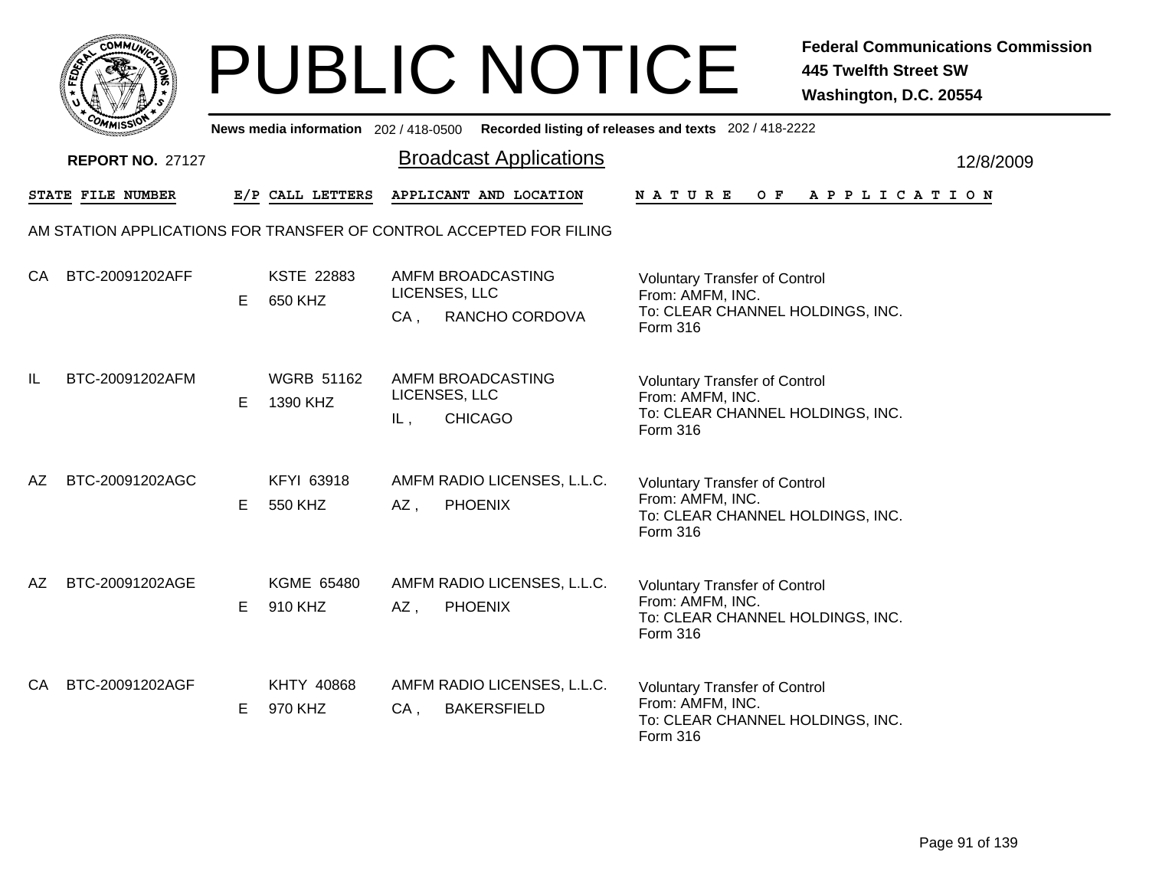

|    | יככוומיי                                                            |    |                               |                         | News media information 202/418-0500 Recorded listing of releases and texts 202/418-2222 |                                                                      |                                                                          |         |  |  |                       |  |           |
|----|---------------------------------------------------------------------|----|-------------------------------|-------------------------|-----------------------------------------------------------------------------------------|----------------------------------------------------------------------|--------------------------------------------------------------------------|---------|--|--|-----------------------|--|-----------|
|    | <b>REPORT NO. 27127</b>                                             |    |                               |                         | <b>Broadcast Applications</b>                                                           |                                                                      |                                                                          |         |  |  |                       |  | 12/8/2009 |
|    | STATE FILE NUMBER                                                   |    | E/P CALL LETTERS              |                         | APPLICANT AND LOCATION                                                                  | <b>NATURE</b>                                                        |                                                                          | $O$ $F$ |  |  | A P P L I C A T I O N |  |           |
|    | AM STATION APPLICATIONS FOR TRANSFER OF CONTROL ACCEPTED FOR FILING |    |                               |                         |                                                                                         |                                                                      |                                                                          |         |  |  |                       |  |           |
| CA | BTC-20091202AFF                                                     | Е  | <b>KSTE 22883</b><br>650 KHZ  | LICENSES, LLC<br>$CA$ , | AMFM BROADCASTING<br>RANCHO CORDOVA                                                     | From: AMFM, INC.<br>Form 316                                         | <b>Voluntary Transfer of Control</b><br>To: CLEAR CHANNEL HOLDINGS, INC. |         |  |  |                       |  |           |
| IL | BTC-20091202AFM                                                     | Е  | <b>WGRB 51162</b><br>1390 KHZ | LICENSES, LLC<br>IL,    | AMFM BROADCASTING<br><b>CHICAGO</b>                                                     | <b>Voluntary Transfer of Control</b><br>From: AMFM, INC.<br>Form 316 | To: CLEAR CHANNEL HOLDINGS, INC.                                         |         |  |  |                       |  |           |
| AΖ | BTC-20091202AGC                                                     | E. | KFYI 63918<br>550 KHZ         | AZ,                     | AMFM RADIO LICENSES, L.L.C.<br><b>PHOENIX</b>                                           | <b>Voluntary Transfer of Control</b><br>Form 316                     | From: AMFM, INC.<br>To: CLEAR CHANNEL HOLDINGS, INC.                     |         |  |  |                       |  |           |
| AΖ | BTC-20091202AGE                                                     | Е  | KGME 65480<br>910 KHZ         | AZ,                     | AMFM RADIO LICENSES, L.L.C.<br><b>PHOENIX</b>                                           | From: AMFM, INC.<br>Form 316                                         | <b>Voluntary Transfer of Control</b><br>To: CLEAR CHANNEL HOLDINGS, INC. |         |  |  |                       |  |           |
| CA | BTC-20091202AGF                                                     | E  | KHTY 40868<br>970 KHZ         | $CA$ ,                  | AMFM RADIO LICENSES, L.L.C.<br><b>BAKERSFIELD</b>                                       | From: AMFM, INC.<br>Form 316                                         | <b>Voluntary Transfer of Control</b><br>To: CLEAR CHANNEL HOLDINGS, INC. |         |  |  |                       |  |           |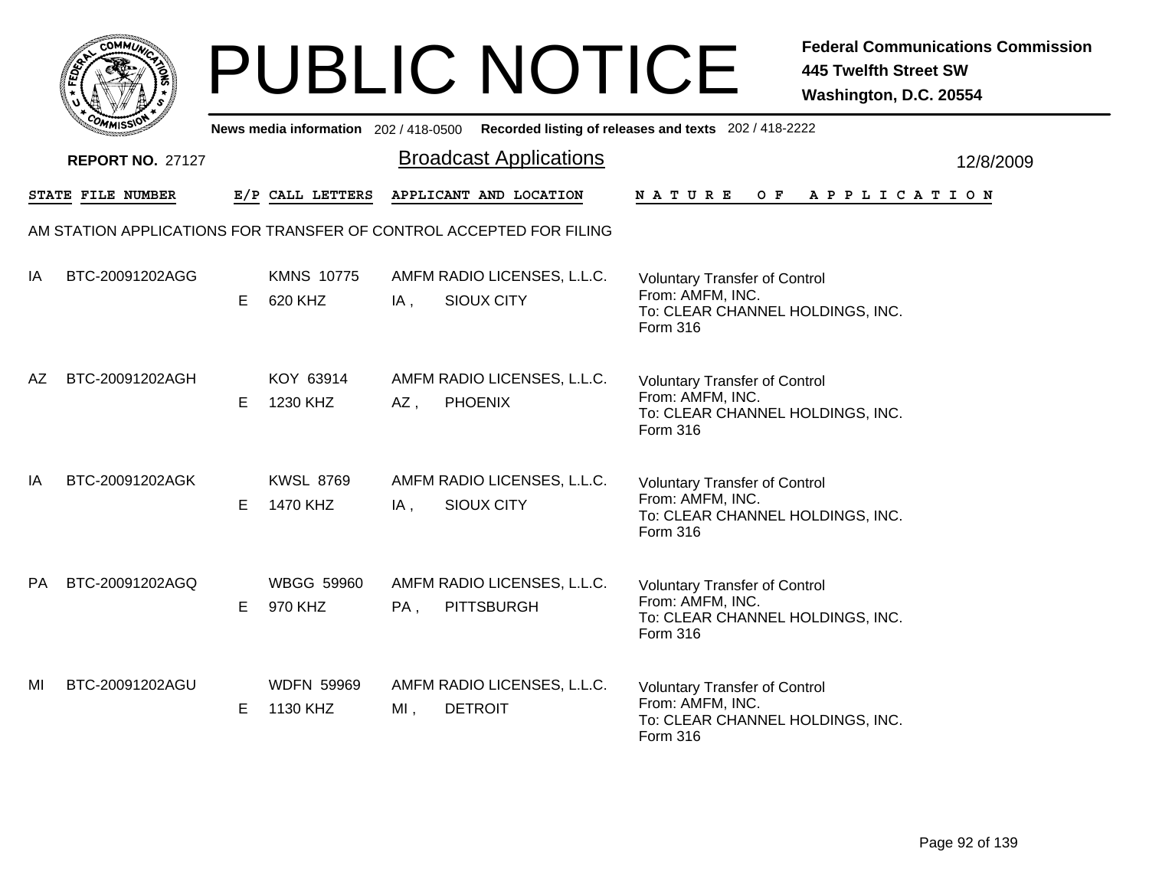|      | <b>COMMUNT</b> |    |
|------|----------------|----|
| EDE) |                | ্ব |
| ī.   |                |    |
|      | COMI<br>MISS   |    |

|           | יככוומי                                                             |    |                               |        |                                                  | News media information 202/418-0500 Recorded listing of releases and texts 202/418-2222                  |           |
|-----------|---------------------------------------------------------------------|----|-------------------------------|--------|--------------------------------------------------|----------------------------------------------------------------------------------------------------------|-----------|
|           | <b>REPORT NO. 27127</b>                                             |    |                               |        | <b>Broadcast Applications</b>                    |                                                                                                          | 12/8/2009 |
|           | STATE FILE NUMBER                                                   |    | E/P CALL LETTERS              |        | APPLICANT AND LOCATION                           | NATURE<br>O F<br>A P P L I C A T I O N                                                                   |           |
|           | AM STATION APPLICATIONS FOR TRANSFER OF CONTROL ACCEPTED FOR FILING |    |                               |        |                                                  |                                                                                                          |           |
| IA        | BTC-20091202AGG                                                     | E. | <b>KMNS 10775</b><br>620 KHZ  | IA,    | AMFM RADIO LICENSES, L.L.C.<br><b>SIOUX CITY</b> | <b>Voluntary Transfer of Control</b><br>From: AMFM, INC.<br>To: CLEAR CHANNEL HOLDINGS, INC.<br>Form 316 |           |
| AZ        | BTC-20091202AGH                                                     | E. | KOY 63914<br>1230 KHZ         | AZ,    | AMFM RADIO LICENSES, L.L.C.<br><b>PHOENIX</b>    | <b>Voluntary Transfer of Control</b><br>From: AMFM, INC.<br>To: CLEAR CHANNEL HOLDINGS, INC.<br>Form 316 |           |
| IA        | BTC-20091202AGK                                                     | E. | <b>KWSL 8769</b><br>1470 KHZ  | IA,    | AMFM RADIO LICENSES, L.L.C.<br>SIOUX CITY        | <b>Voluntary Transfer of Control</b><br>From: AMFM, INC.<br>To: CLEAR CHANNEL HOLDINGS, INC.<br>Form 316 |           |
| <b>PA</b> | BTC-20091202AGQ                                                     | E. | <b>WBGG 59960</b><br>970 KHZ  | PA,    | AMFM RADIO LICENSES, L.L.C.<br><b>PITTSBURGH</b> | <b>Voluntary Transfer of Control</b><br>From: AMFM, INC.<br>To: CLEAR CHANNEL HOLDINGS, INC.<br>Form 316 |           |
| MI        | BTC-20091202AGU                                                     | E. | <b>WDFN 59969</b><br>1130 KHZ | $MI$ , | AMFM RADIO LICENSES, L.L.C.<br><b>DETROIT</b>    | <b>Voluntary Transfer of Control</b><br>From: AMFM, INC.<br>To: CLEAR CHANNEL HOLDINGS, INC.<br>Form 316 |           |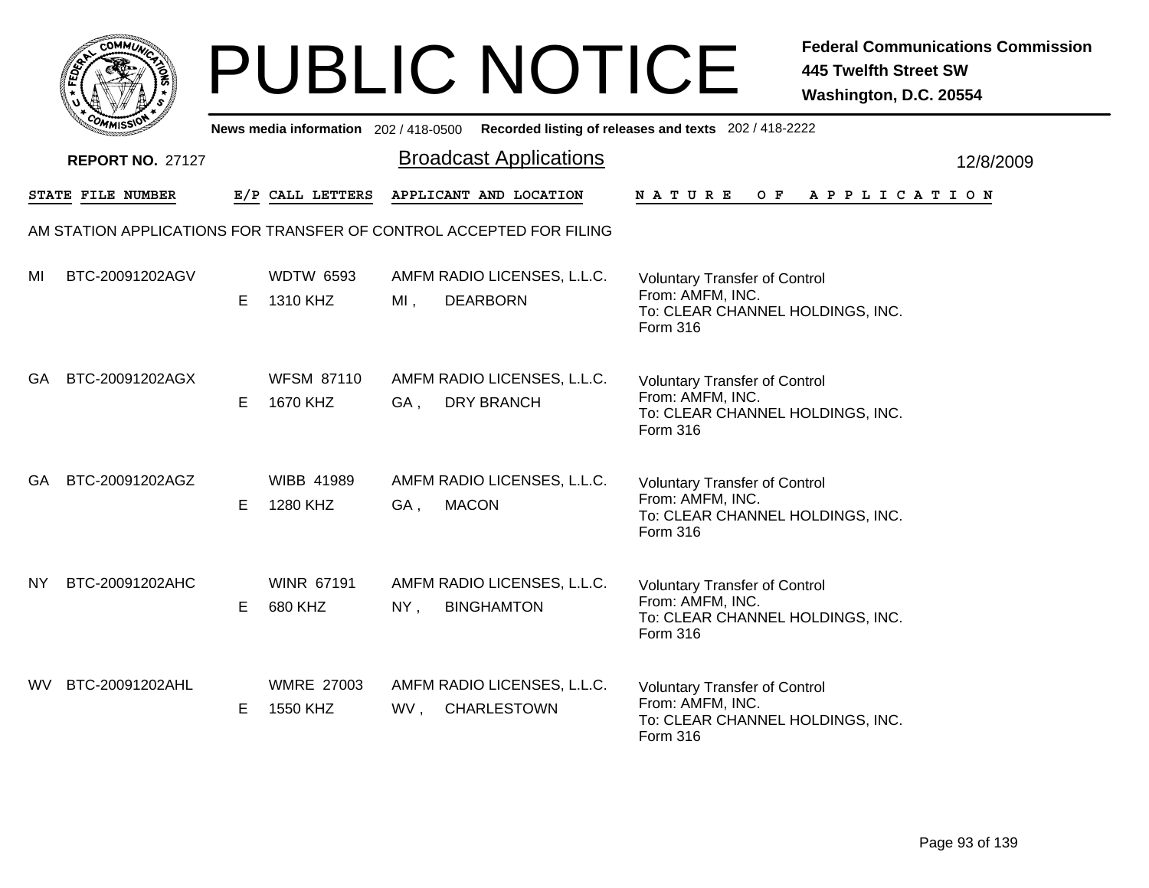|       | MMUNICT<br>c۵۱ |  |
|-------|----------------|--|
| FEDET |                |  |
|       |                |  |
|       | COMI<br>MISS   |  |

|     | יככוומיי                |    |                               |        |                                                                     | News media information 202/418-0500 Recorded listing of releases and texts 202/418-2222                  |           |
|-----|-------------------------|----|-------------------------------|--------|---------------------------------------------------------------------|----------------------------------------------------------------------------------------------------------|-----------|
|     | <b>REPORT NO. 27127</b> |    |                               |        | <b>Broadcast Applications</b>                                       |                                                                                                          | 12/8/2009 |
|     | STATE FILE NUMBER       |    | E/P CALL LETTERS              |        | APPLICANT AND LOCATION                                              | O F<br>A P P L I C A T I O N<br><b>NATURE</b>                                                            |           |
|     |                         |    |                               |        | AM STATION APPLICATIONS FOR TRANSFER OF CONTROL ACCEPTED FOR FILING |                                                                                                          |           |
| MI  | BTC-20091202AGV         | E. | <b>WDTW 6593</b><br>1310 KHZ  | $MI$ , | AMFM RADIO LICENSES, L.L.C.<br><b>DEARBORN</b>                      | <b>Voluntary Transfer of Control</b><br>From: AMFM, INC.<br>To: CLEAR CHANNEL HOLDINGS, INC.<br>Form 316 |           |
| GA. | BTC-20091202AGX         | E. | <b>WFSM 87110</b><br>1670 KHZ | GA,    | AMFM RADIO LICENSES, L.L.C.<br><b>DRY BRANCH</b>                    | <b>Voluntary Transfer of Control</b><br>From: AMFM, INC.<br>To: CLEAR CHANNEL HOLDINGS, INC.<br>Form 316 |           |
| GA. | BTC-20091202AGZ         | E. | <b>WIBB 41989</b><br>1280 KHZ | GA,    | AMFM RADIO LICENSES, L.L.C.<br><b>MACON</b>                         | <b>Voluntary Transfer of Control</b><br>From: AMFM, INC.<br>To: CLEAR CHANNEL HOLDINGS, INC.<br>Form 316 |           |
| NY. | BTC-20091202AHC         | E. | <b>WINR 67191</b><br>680 KHZ  | $NY$ , | AMFM RADIO LICENSES, L.L.C.<br><b>BINGHAMTON</b>                    | <b>Voluntary Transfer of Control</b><br>From: AMFM, INC.<br>To: CLEAR CHANNEL HOLDINGS, INC.<br>Form 316 |           |
| WV. | BTC-20091202AHL         | E. | <b>WMRE 27003</b><br>1550 KHZ | WV,    | AMFM RADIO LICENSES, L.L.C.<br>CHARLESTOWN                          | <b>Voluntary Transfer of Control</b><br>From: AMFM, INC.<br>To: CLEAR CHANNEL HOLDINGS, INC.<br>Form 316 |           |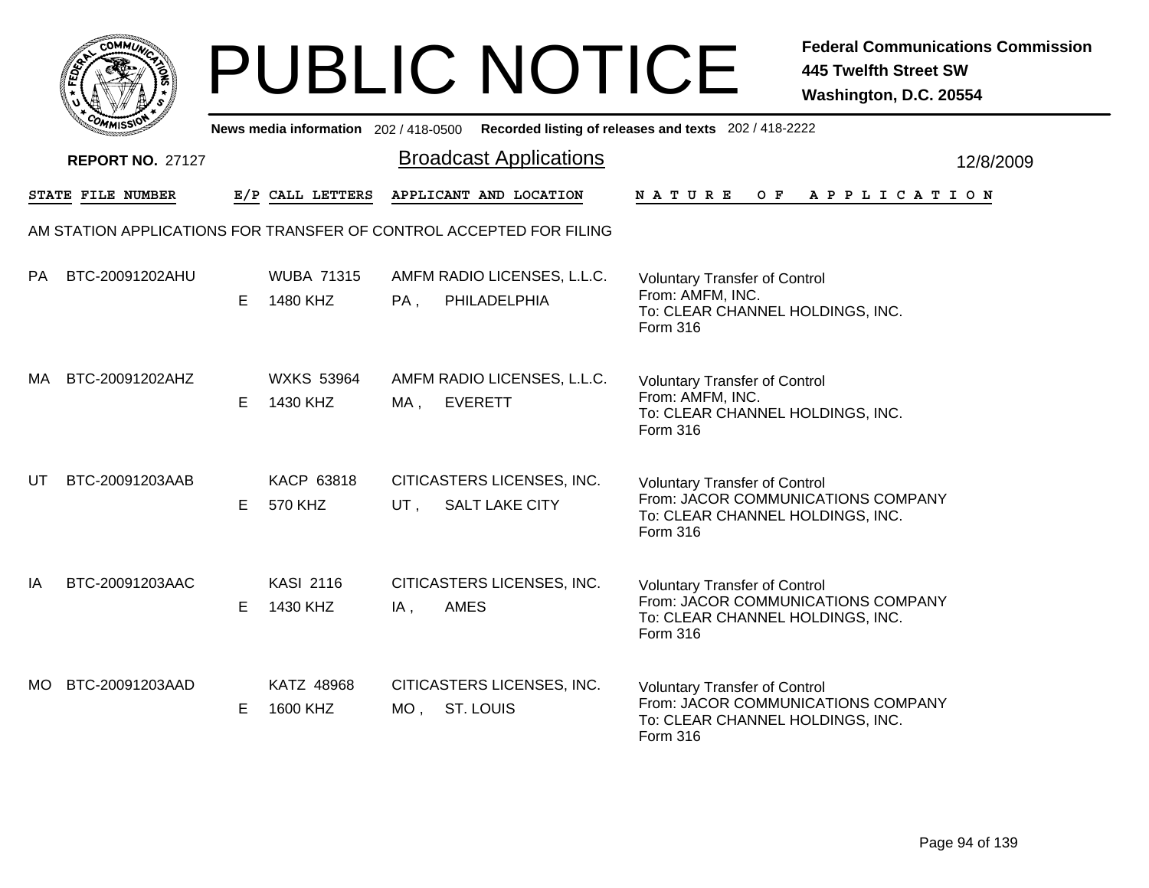|      | <b>COMMUNT</b>               |   |
|------|------------------------------|---|
| ឆ្នំ |                              | ્ |
|      |                              |   |
|      | c <sub>o/</sub><br>MISS<br>M |   |

|     | יככוומדי                |    |                               |               |                                                                     | News media information 202/418-0500 Recorded listing of releases and texts 202/418-2222                                           |
|-----|-------------------------|----|-------------------------------|---------------|---------------------------------------------------------------------|-----------------------------------------------------------------------------------------------------------------------------------|
|     | <b>REPORT NO. 27127</b> |    |                               |               | <b>Broadcast Applications</b>                                       | 12/8/2009                                                                                                                         |
|     | STATE FILE NUMBER       |    | E/P CALL LETTERS              |               | APPLICANT AND LOCATION                                              | $O$ $\mathbf{F}$<br><b>NATURE</b><br>A P P L I C A T I O N                                                                        |
|     |                         |    |                               |               | AM STATION APPLICATIONS FOR TRANSFER OF CONTROL ACCEPTED FOR FILING |                                                                                                                                   |
| PA  | BTC-20091202AHU         | E. | <b>WUBA 71315</b><br>1480 KHZ | PA,           | AMFM RADIO LICENSES, L.L.C.<br>PHILADELPHIA                         | <b>Voluntary Transfer of Control</b><br>From: AMFM, INC.<br>To: CLEAR CHANNEL HOLDINGS, INC.<br>Form 316                          |
| MA  | BTC-20091202AHZ         | E. | <b>WXKS 53964</b><br>1430 KHZ | MA ,          | AMFM RADIO LICENSES, L.L.C.<br><b>EVERETT</b>                       | <b>Voluntary Transfer of Control</b><br>From: AMFM, INC.<br>To: CLEAR CHANNEL HOLDINGS, INC.<br>Form 316                          |
| UT  | BTC-20091203AAB         | E. | KACP 63818<br>570 KHZ         | UT.           | CITICASTERS LICENSES, INC.<br><b>SALT LAKE CITY</b>                 | <b>Voluntary Transfer of Control</b><br>From: JACOR COMMUNICATIONS COMPANY<br>To: CLEAR CHANNEL HOLDINGS, INC.<br><b>Form 316</b> |
| IA  | BTC-20091203AAC         | E  | <b>KASI 2116</b><br>1430 KHZ  | $IA$ ,        | CITICASTERS LICENSES, INC.<br><b>AMES</b>                           | <b>Voluntary Transfer of Control</b><br>From: JACOR COMMUNICATIONS COMPANY<br>To: CLEAR CHANNEL HOLDINGS, INC.<br>Form 316        |
| MO. | BTC-20091203AAD         | E  | KATZ 48968<br>1600 KHZ        | MO, ST. LOUIS | CITICASTERS LICENSES, INC.                                          | <b>Voluntary Transfer of Control</b><br>From: JACOR COMMUNICATIONS COMPANY<br>To: CLEAR CHANNEL HOLDINGS, INC.<br>Form 316        |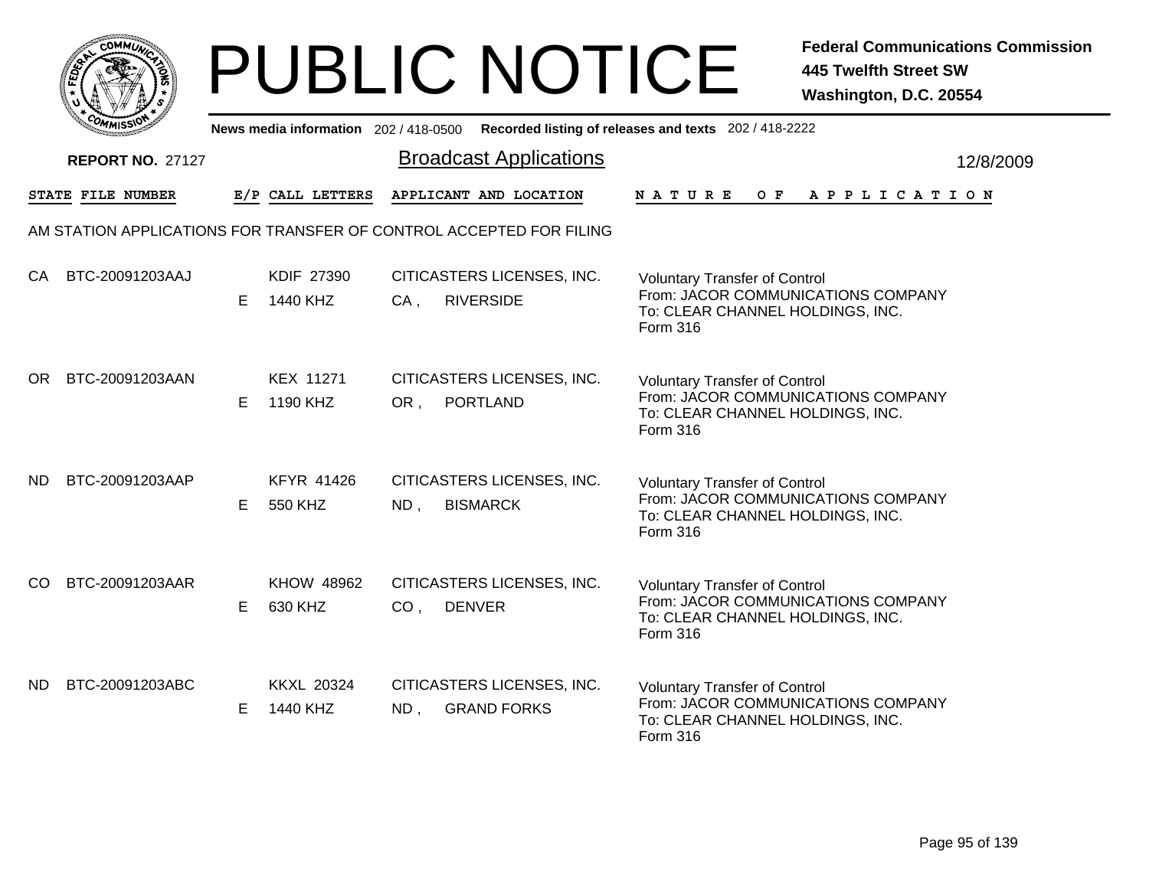|           | <b>COMMUNT</b> |   |
|-----------|----------------|---|
| EDE)<br>c |                | ્ |
|           |                |   |
|           | COM<br>MISS    |   |

|               | יככוומדי                                                            |    |                               |                                  |                                                  | News media information 202/418-0500 Recorded listing of releases and texts 202/418-2222                                           |
|---------------|---------------------------------------------------------------------|----|-------------------------------|----------------------------------|--------------------------------------------------|-----------------------------------------------------------------------------------------------------------------------------------|
|               | <b>REPORT NO. 27127</b>                                             |    |                               |                                  | <b>Broadcast Applications</b>                    | 12/8/2009                                                                                                                         |
|               | STATE FILE NUMBER                                                   |    | E/P CALL LETTERS              |                                  | APPLICANT AND LOCATION                           | <b>NATURE</b><br>OF APPLICATION                                                                                                   |
|               | AM STATION APPLICATIONS FOR TRANSFER OF CONTROL ACCEPTED FOR FILING |    |                               |                                  |                                                  |                                                                                                                                   |
| CA            | BTC-20091203AAJ                                                     | E. | KDIF 27390<br>1440 KHZ        | $CA$ ,                           | CITICASTERS LICENSES, INC.<br><b>RIVERSIDE</b>   | <b>Voluntary Transfer of Control</b><br>From: JACOR COMMUNICATIONS COMPANY<br>To: CLEAR CHANNEL HOLDINGS, INC.<br>Form 316        |
| OR.           | BTC-20091203AAN                                                     | E. | <b>KEX 11271</b><br>1190 KHZ  | OR,                              | CITICASTERS LICENSES, INC.<br>PORTLAND           | <b>Voluntary Transfer of Control</b><br>From: JACOR COMMUNICATIONS COMPANY<br>To: CLEAR CHANNEL HOLDINGS, INC.<br><b>Form 316</b> |
| ND.           | BTC-20091203AAP                                                     | E. | KFYR 41426<br>550 KHZ         | $ND$ ,                           | CITICASTERS LICENSES, INC.<br><b>BISMARCK</b>    | <b>Voluntary Transfer of Control</b><br>From: JACOR COMMUNICATIONS COMPANY<br>To: CLEAR CHANNEL HOLDINGS, INC.<br><b>Form 316</b> |
| <sub>CO</sub> | BTC-20091203AAR                                                     | E. | <b>KHOW 48962</b><br>630 KHZ  | <b>DENVER</b><br>CO <sub>1</sub> | CITICASTERS LICENSES, INC.                       | <b>Voluntary Transfer of Control</b><br>From: JACOR COMMUNICATIONS COMPANY<br>To: CLEAR CHANNEL HOLDINGS, INC.<br>Form 316        |
| ND.           | BTC-20091203ABC                                                     | E  | <b>KKXL 20324</b><br>1440 KHZ | $ND$ ,                           | CITICASTERS LICENSES, INC.<br><b>GRAND FORKS</b> | <b>Voluntary Transfer of Control</b><br>From: JACOR COMMUNICATIONS COMPANY<br>To: CLEAR CHANNEL HOLDINGS, INC.<br>Form 316        |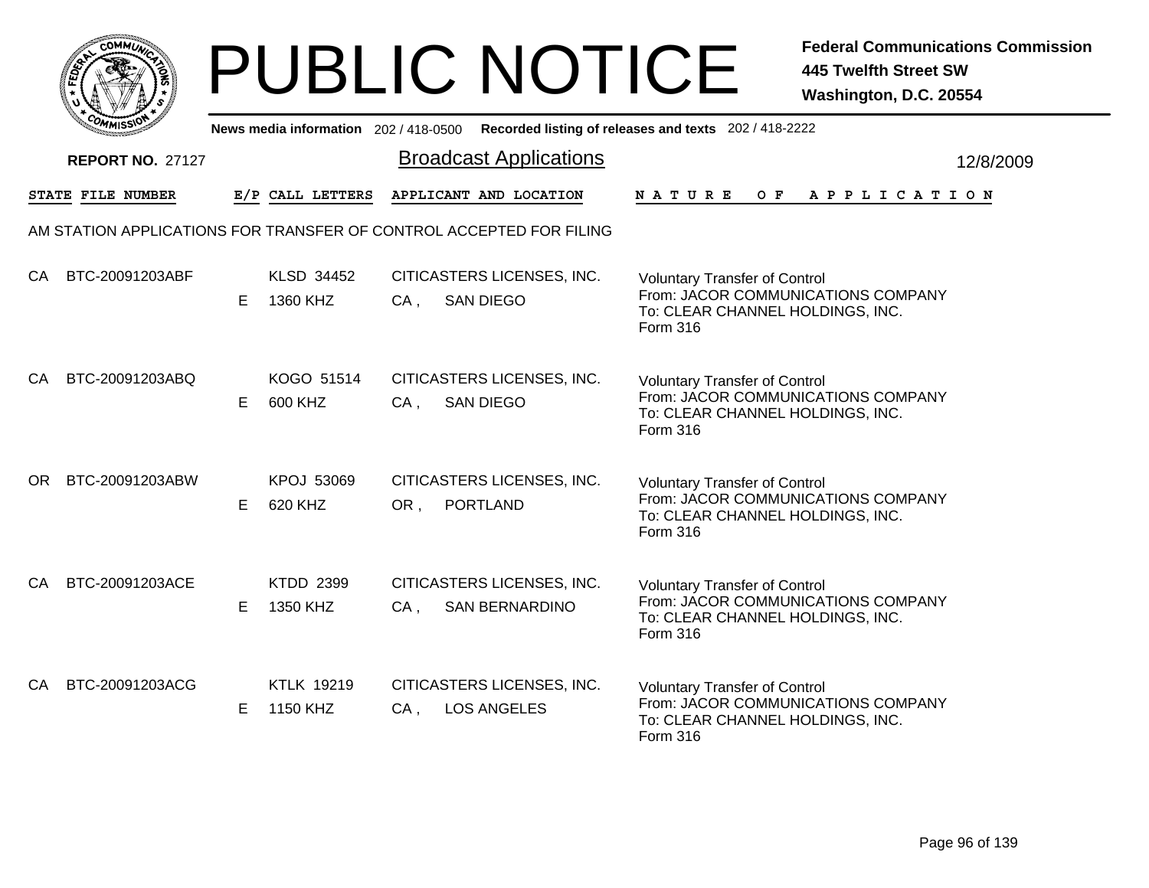|              | MMUNICT<br><b>CO</b> |  |
|--------------|----------------------|--|
| <b>FEDET</b> |                      |  |
|              |                      |  |
|              | COMI<br>MISS         |  |

|           | יככוומדי                                                            |    |                               |        |                                                     | News media information 202/418-0500 Recorded listing of releases and texts 202/418-2222                                           |
|-----------|---------------------------------------------------------------------|----|-------------------------------|--------|-----------------------------------------------------|-----------------------------------------------------------------------------------------------------------------------------------|
|           | <b>REPORT NO. 27127</b>                                             |    |                               |        | <b>Broadcast Applications</b>                       | 12/8/2009                                                                                                                         |
|           | STATE FILE NUMBER                                                   |    | E/P CALL LETTERS              |        | APPLICANT AND LOCATION                              | <b>NATURE</b><br>O F<br>A P P L I C A T I O N                                                                                     |
|           | AM STATION APPLICATIONS FOR TRANSFER OF CONTROL ACCEPTED FOR FILING |    |                               |        |                                                     |                                                                                                                                   |
| CA        | BTC-20091203ABF                                                     | E. | KLSD 34452<br>1360 KHZ        | $CA$ , | CITICASTERS LICENSES, INC.<br><b>SAN DIEGO</b>      | <b>Voluntary Transfer of Control</b><br>From: JACOR COMMUNICATIONS COMPANY<br>To: CLEAR CHANNEL HOLDINGS, INC.<br>Form 316        |
| CA        | BTC-20091203ABQ                                                     | E. | KOGO 51514<br>600 KHZ         | $CA$ , | CITICASTERS LICENSES, INC.<br><b>SAN DIEGO</b>      | <b>Voluntary Transfer of Control</b><br>From: JACOR COMMUNICATIONS COMPANY<br>To: CLEAR CHANNEL HOLDINGS, INC.<br><b>Form 316</b> |
| OR.       | BTC-20091203ABW                                                     | E. | KPOJ 53069<br>620 KHZ         | OR,    | CITICASTERS LICENSES, INC.<br><b>PORTLAND</b>       | <b>Voluntary Transfer of Control</b><br>From: JACOR COMMUNICATIONS COMPANY<br>To: CLEAR CHANNEL HOLDINGS, INC.<br><b>Form 316</b> |
| <b>CA</b> | BTC-20091203ACE                                                     | E. | <b>KTDD 2399</b><br>1350 KHZ  | $CA$ , | CITICASTERS LICENSES, INC.<br><b>SAN BERNARDINO</b> | <b>Voluntary Transfer of Control</b><br>From: JACOR COMMUNICATIONS COMPANY<br>To: CLEAR CHANNEL HOLDINGS, INC.<br>Form 316        |
| CA        | BTC-20091203ACG                                                     | E  | <b>KTLK 19219</b><br>1150 KHZ | $CA$ , | CITICASTERS LICENSES, INC.<br><b>LOS ANGELES</b>    | <b>Voluntary Transfer of Control</b><br>From: JACOR COMMUNICATIONS COMPANY<br>To: CLEAR CHANNEL HOLDINGS, INC.<br>Form 316        |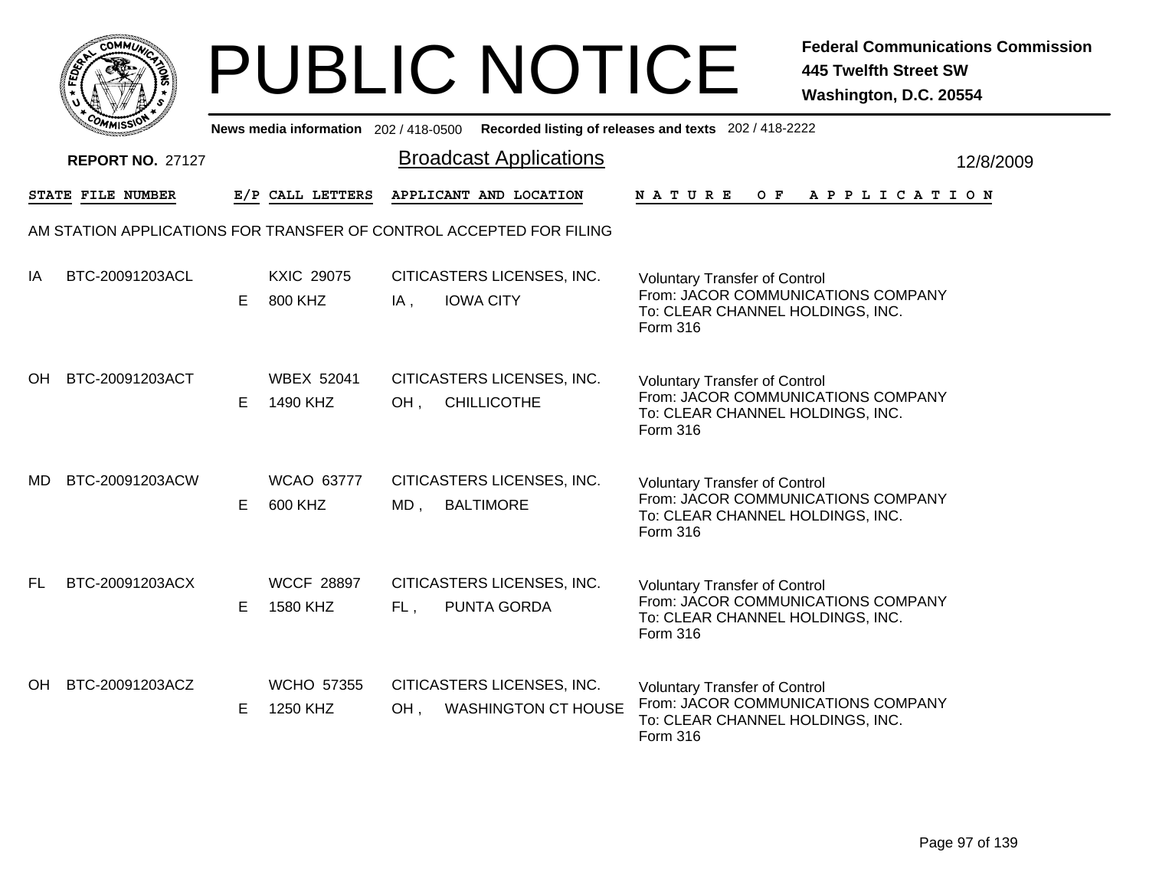|           | <b>COMMUNT</b> |   |
|-----------|----------------|---|
| EDE)<br>c |                | ્ |
|           |                |   |
|           | COM<br>MISS    |   |

|     | יככוומדי                |    |                               |        |                                                                     | News media information 202/418-0500 Recorded listing of releases and texts 202/418-2222                                    |           |
|-----|-------------------------|----|-------------------------------|--------|---------------------------------------------------------------------|----------------------------------------------------------------------------------------------------------------------------|-----------|
|     | <b>REPORT NO. 27127</b> |    |                               |        | <b>Broadcast Applications</b>                                       |                                                                                                                            | 12/8/2009 |
|     | STATE FILE NUMBER       |    | E/P CALL LETTERS              |        | APPLICANT AND LOCATION                                              | NATURE<br>O F<br>A P P L I C A T I O N                                                                                     |           |
|     |                         |    |                               |        | AM STATION APPLICATIONS FOR TRANSFER OF CONTROL ACCEPTED FOR FILING |                                                                                                                            |           |
| IA  | BTC-20091203ACL         | E. | <b>KXIC 29075</b><br>800 KHZ  | IA,    | CITICASTERS LICENSES, INC.<br><b>IOWA CITY</b>                      | <b>Voluntary Transfer of Control</b><br>From: JACOR COMMUNICATIONS COMPANY<br>To: CLEAR CHANNEL HOLDINGS, INC.<br>Form 316 |           |
| OH. | BTC-20091203ACT         | E. | <b>WBEX 52041</b><br>1490 KHZ | OH,    | CITICASTERS LICENSES, INC.<br><b>CHILLICOTHE</b>                    | <b>Voluntary Transfer of Control</b><br>From: JACOR COMMUNICATIONS COMPANY<br>To: CLEAR CHANNEL HOLDINGS, INC.<br>Form 316 |           |
| MD. | BTC-20091203ACW         | E. | WCAO 63777<br>600 KHZ         | MD,    | CITICASTERS LICENSES, INC.<br><b>BALTIMORE</b>                      | <b>Voluntary Transfer of Control</b><br>From: JACOR COMMUNICATIONS COMPANY<br>To: CLEAR CHANNEL HOLDINGS, INC.<br>Form 316 |           |
| FL. | BTC-20091203ACX         | E. | <b>WCCF 28897</b><br>1580 KHZ | FL,    | CITICASTERS LICENSES, INC.<br>PUNTA GORDA                           | <b>Voluntary Transfer of Control</b><br>From: JACOR COMMUNICATIONS COMPANY<br>To: CLEAR CHANNEL HOLDINGS, INC.<br>Form 316 |           |
| OH. | BTC-20091203ACZ         | E. | <b>WCHO 57355</b><br>1250 KHZ | $OH$ , | CITICASTERS LICENSES, INC.<br><b>WASHINGTON CT HOUSE</b>            | <b>Voluntary Transfer of Control</b><br>From: JACOR COMMUNICATIONS COMPANY<br>To: CLEAR CHANNEL HOLDINGS, INC.<br>Form 316 |           |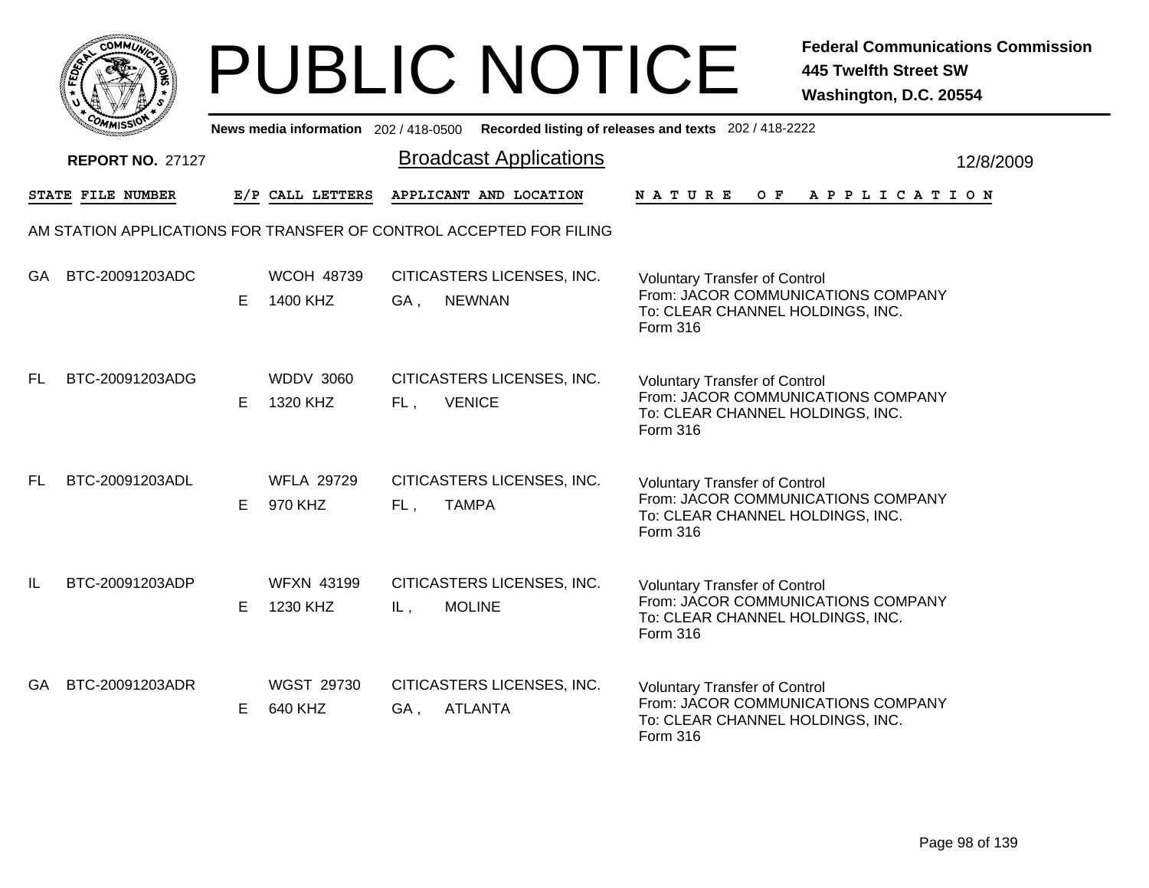|     | MMUNICT<br><b>CO</b> |  |
|-----|----------------------|--|
| ప్త |                      |  |
|     |                      |  |
|     | COMI<br>MISS<br>m    |  |

|     | יככוומדי                |    |                               | News media information 202/418-0500 Recorded listing of releases and texts 202/418-2222 |               |                                      |     |                                                                        |  |  |                       |           |
|-----|-------------------------|----|-------------------------------|-----------------------------------------------------------------------------------------|---------------|--------------------------------------|-----|------------------------------------------------------------------------|--|--|-----------------------|-----------|
|     | <b>REPORT NO. 27127</b> |    |                               | <b>Broadcast Applications</b>                                                           |               |                                      |     |                                                                        |  |  |                       | 12/8/2009 |
|     | STATE FILE NUMBER       |    | E/P CALL LETTERS              | APPLICANT AND LOCATION                                                                  | <b>NATURE</b> |                                      | O F |                                                                        |  |  | A P P L I C A T I O N |           |
|     |                         |    |                               | AM STATION APPLICATIONS FOR TRANSFER OF CONTROL ACCEPTED FOR FILING                     |               |                                      |     |                                                                        |  |  |                       |           |
| GA  | BTC-20091203ADC         | E. | <b>WCOH 48739</b><br>1400 KHZ | CITICASTERS LICENSES, INC.<br><b>NEWNAN</b><br>GA,                                      | Form 316      | <b>Voluntary Transfer of Control</b> |     | From: JACOR COMMUNICATIONS COMPANY<br>To: CLEAR CHANNEL HOLDINGS, INC. |  |  |                       |           |
| FL. | BTC-20091203ADG         | E. | <b>WDDV 3060</b><br>1320 KHZ  | CITICASTERS LICENSES, INC.<br><b>VENICE</b><br>FL,                                      | Form 316      | <b>Voluntary Transfer of Control</b> |     | From: JACOR COMMUNICATIONS COMPANY<br>To: CLEAR CHANNEL HOLDINGS, INC. |  |  |                       |           |
| FL. | BTC-20091203ADL         | E. | <b>WFLA 29729</b><br>970 KHZ  | CITICASTERS LICENSES, INC.<br><b>TAMPA</b><br>FL,                                       | Form 316      | <b>Voluntary Transfer of Control</b> |     | From: JACOR COMMUNICATIONS COMPANY<br>To: CLEAR CHANNEL HOLDINGS, INC. |  |  |                       |           |
| IL  | BTC-20091203ADP         | Е  | <b>WFXN 43199</b><br>1230 KHZ | CITICASTERS LICENSES, INC.<br><b>MOLINE</b><br>IL,                                      | Form 316      | <b>Voluntary Transfer of Control</b> |     | From: JACOR COMMUNICATIONS COMPANY<br>To: CLEAR CHANNEL HOLDINGS, INC. |  |  |                       |           |
| GA. | BTC-20091203ADR         | E. | WGST 29730<br>640 KHZ         | CITICASTERS LICENSES, INC.<br><b>ATLANTA</b><br>GA,                                     | Form 316      | <b>Voluntary Transfer of Control</b> |     | From: JACOR COMMUNICATIONS COMPANY<br>To: CLEAR CHANNEL HOLDINGS, INC. |  |  |                       |           |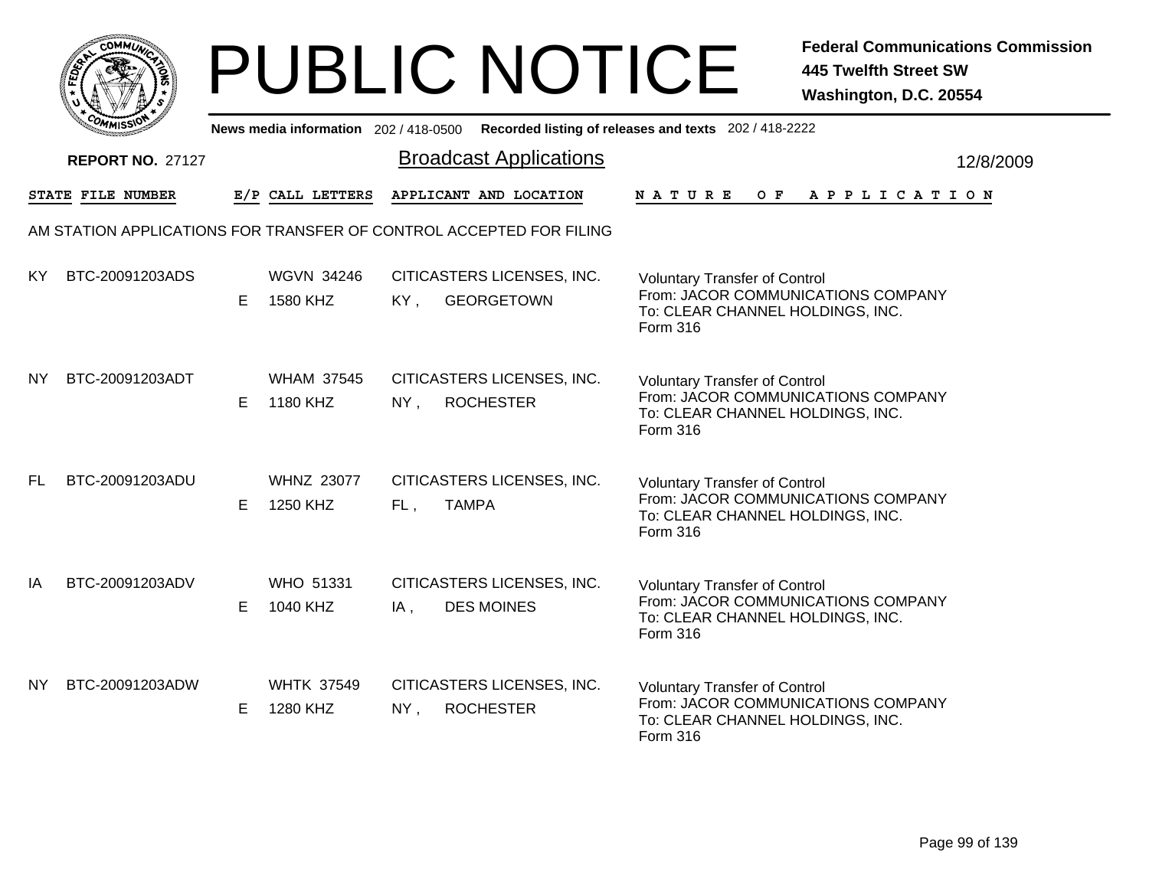|           | <b>COMMUNT</b> |   |
|-----------|----------------|---|
| EDE)<br>c |                | ્ |
|           |                |   |
|           | COM<br>MISS    |   |

|           | יככוומדי                                                            |    |                               |        | News media information 202/418-0500 Recorded listing of releases and texts 202/418-2222 |                                                                                                                            |  |     |  |  |                       |  |           |
|-----------|---------------------------------------------------------------------|----|-------------------------------|--------|-----------------------------------------------------------------------------------------|----------------------------------------------------------------------------------------------------------------------------|--|-----|--|--|-----------------------|--|-----------|
|           | <b>REPORT NO. 27127</b>                                             |    |                               |        | <b>Broadcast Applications</b>                                                           |                                                                                                                            |  |     |  |  |                       |  | 12/8/2009 |
|           | STATE FILE NUMBER                                                   |    | E/P CALL LETTERS              |        | APPLICANT AND LOCATION                                                                  | <b>NATURE</b>                                                                                                              |  | O F |  |  | A P P L I C A T I O N |  |           |
|           | AM STATION APPLICATIONS FOR TRANSFER OF CONTROL ACCEPTED FOR FILING |    |                               |        |                                                                                         |                                                                                                                            |  |     |  |  |                       |  |           |
| KY.       | BTC-20091203ADS                                                     | E. | <b>WGVN 34246</b><br>1580 KHZ | KY,    | CITICASTERS LICENSES, INC.<br><b>GEORGETOWN</b>                                         | <b>Voluntary Transfer of Control</b><br>From: JACOR COMMUNICATIONS COMPANY<br>To: CLEAR CHANNEL HOLDINGS, INC.<br>Form 316 |  |     |  |  |                       |  |           |
| <b>NY</b> | BTC-20091203ADT                                                     | E. | <b>WHAM 37545</b><br>1180 KHZ | $NY$ , | CITICASTERS LICENSES, INC.<br><b>ROCHESTER</b>                                          | <b>Voluntary Transfer of Control</b><br>From: JACOR COMMUNICATIONS COMPANY<br>To: CLEAR CHANNEL HOLDINGS, INC.<br>Form 316 |  |     |  |  |                       |  |           |
| FL.       | BTC-20091203ADU                                                     | E. | <b>WHNZ 23077</b><br>1250 KHZ | FL,    | CITICASTERS LICENSES, INC.<br><b>TAMPA</b>                                              | <b>Voluntary Transfer of Control</b><br>From: JACOR COMMUNICATIONS COMPANY<br>To: CLEAR CHANNEL HOLDINGS, INC.<br>Form 316 |  |     |  |  |                       |  |           |
| IA        | BTC-20091203ADV                                                     | E. | <b>WHO 51331</b><br>1040 KHZ  | IA,    | CITICASTERS LICENSES, INC.<br><b>DES MOINES</b>                                         | <b>Voluntary Transfer of Control</b><br>From: JACOR COMMUNICATIONS COMPANY<br>To: CLEAR CHANNEL HOLDINGS, INC.<br>Form 316 |  |     |  |  |                       |  |           |
| NY.       | BTC-20091203ADW                                                     | E. | <b>WHTK 37549</b><br>1280 KHZ | $NY$ , | CITICASTERS LICENSES, INC.<br><b>ROCHESTER</b>                                          | <b>Voluntary Transfer of Control</b><br>From: JACOR COMMUNICATIONS COMPANY<br>To: CLEAR CHANNEL HOLDINGS, INC.<br>Form 316 |  |     |  |  |                       |  |           |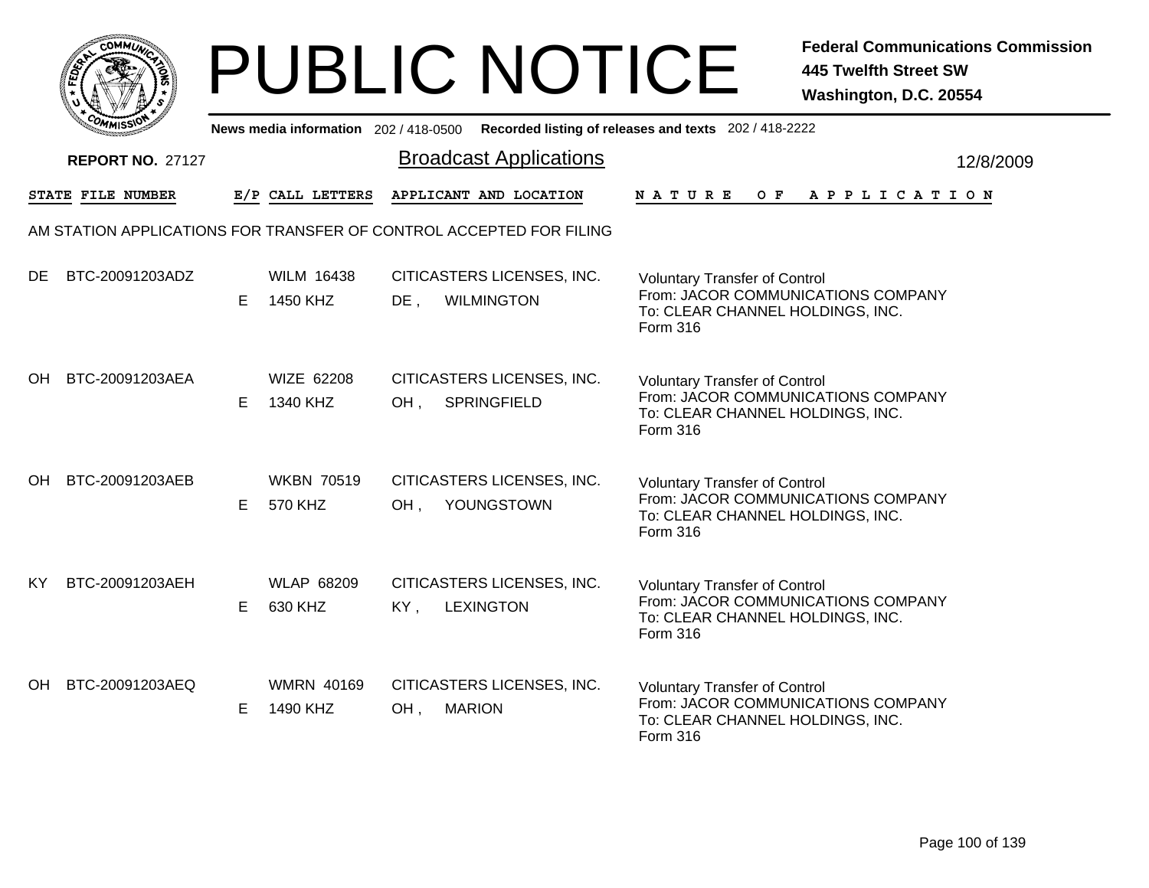|           | MMUNICT<br>ດ<br>Ċ,  |  |
|-----------|---------------------|--|
| ট্রু<br>c |                     |  |
|           |                     |  |
|           | COMI<br>MISS<br>--- |  |

|           | יככוומדי                |    |                               |                                                                     | News media information 202/418-0500 Recorded listing of releases and texts 202/418-2222                                    |           |
|-----------|-------------------------|----|-------------------------------|---------------------------------------------------------------------|----------------------------------------------------------------------------------------------------------------------------|-----------|
|           | <b>REPORT NO. 27127</b> |    |                               | <b>Broadcast Applications</b>                                       |                                                                                                                            | 12/8/2009 |
|           | STATE FILE NUMBER       |    | E/P CALL LETTERS              | APPLICANT AND LOCATION                                              | <b>NATURE</b><br>O F<br>A P P L I C A T I O N                                                                              |           |
|           |                         |    |                               | AM STATION APPLICATIONS FOR TRANSFER OF CONTROL ACCEPTED FOR FILING |                                                                                                                            |           |
| <b>DE</b> | BTC-20091203ADZ         | E. | <b>WILM 16438</b><br>1450 KHZ | CITICASTERS LICENSES, INC.<br>$DE$ ,<br><b>WILMINGTON</b>           | <b>Voluntary Transfer of Control</b><br>From: JACOR COMMUNICATIONS COMPANY<br>To: CLEAR CHANNEL HOLDINGS, INC.<br>Form 316 |           |
| OH        | BTC-20091203AEA         | E. | <b>WIZE 62208</b><br>1340 KHZ | CITICASTERS LICENSES, INC.<br><b>SPRINGFIELD</b><br>OH,             | <b>Voluntary Transfer of Control</b><br>From: JACOR COMMUNICATIONS COMPANY<br>To: CLEAR CHANNEL HOLDINGS, INC.<br>Form 316 |           |
| OH        | BTC-20091203AEB         | E. | <b>WKBN 70519</b><br>570 KHZ  | CITICASTERS LICENSES, INC.<br>YOUNGSTOWN<br>OH,                     | <b>Voluntary Transfer of Control</b><br>From: JACOR COMMUNICATIONS COMPANY<br>To: CLEAR CHANNEL HOLDINGS, INC.<br>Form 316 |           |
| KY        | BTC-20091203AEH         | E. | <b>WLAP 68209</b><br>630 KHZ  | CITICASTERS LICENSES, INC.<br>KY,<br><b>LEXINGTON</b>               | <b>Voluntary Transfer of Control</b><br>From: JACOR COMMUNICATIONS COMPANY<br>To: CLEAR CHANNEL HOLDINGS, INC.<br>Form 316 |           |
| OH        | BTC-20091203AEQ         | E  | <b>WMRN 40169</b><br>1490 KHZ | CITICASTERS LICENSES, INC.<br><b>MARION</b><br>OH,                  | <b>Voluntary Transfer of Control</b><br>From: JACOR COMMUNICATIONS COMPANY<br>To: CLEAR CHANNEL HOLDINGS, INC.<br>Form 316 |           |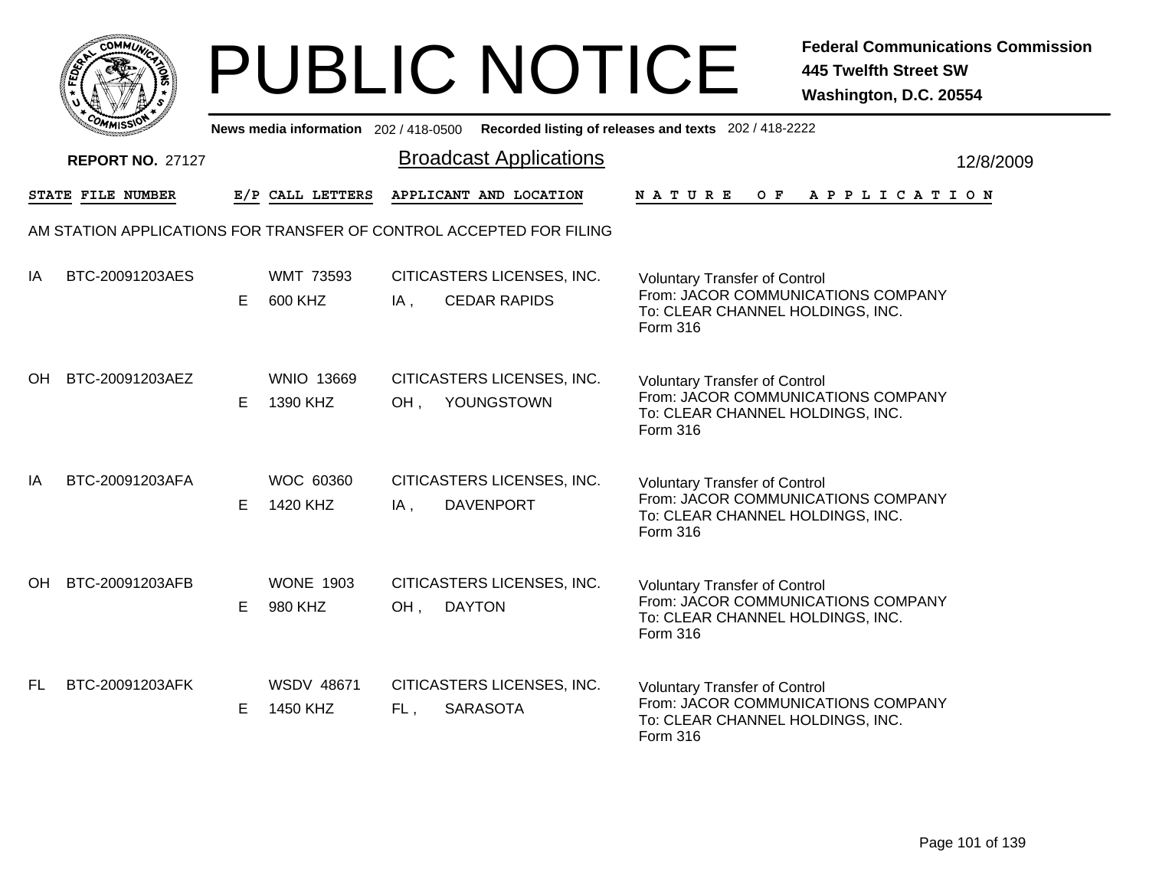|           | <b>COMMUNT</b> |   |
|-----------|----------------|---|
| EDE)<br>c |                | ્ |
|           |                |   |
|           | COM<br>MISS    |   |

|     | יככוומדי                                                            |    |                               |     | News media information 202/418-0500 Recorded listing of releases and texts 202/418-2222 |                                                                                                                            |  |     |  |  |                       |           |  |
|-----|---------------------------------------------------------------------|----|-------------------------------|-----|-----------------------------------------------------------------------------------------|----------------------------------------------------------------------------------------------------------------------------|--|-----|--|--|-----------------------|-----------|--|
|     | <b>REPORT NO. 27127</b>                                             |    |                               |     | <b>Broadcast Applications</b>                                                           |                                                                                                                            |  |     |  |  |                       | 12/8/2009 |  |
|     | STATE FILE NUMBER                                                   |    | E/P CALL LETTERS              |     | APPLICANT AND LOCATION                                                                  | <b>NATURE</b>                                                                                                              |  | O F |  |  | A P P L I C A T I O N |           |  |
|     | AM STATION APPLICATIONS FOR TRANSFER OF CONTROL ACCEPTED FOR FILING |    |                               |     |                                                                                         |                                                                                                                            |  |     |  |  |                       |           |  |
| IA  | BTC-20091203AES                                                     | E. | <b>WMT 73593</b><br>600 KHZ   | IA, | CITICASTERS LICENSES, INC.<br><b>CEDAR RAPIDS</b>                                       | <b>Voluntary Transfer of Control</b><br>From: JACOR COMMUNICATIONS COMPANY<br>To: CLEAR CHANNEL HOLDINGS, INC.<br>Form 316 |  |     |  |  |                       |           |  |
| OH  | BTC-20091203AEZ                                                     | E. | <b>WNIO 13669</b><br>1390 KHZ | OH, | CITICASTERS LICENSES, INC.<br>YOUNGSTOWN                                                | <b>Voluntary Transfer of Control</b><br>From: JACOR COMMUNICATIONS COMPANY<br>To: CLEAR CHANNEL HOLDINGS, INC.<br>Form 316 |  |     |  |  |                       |           |  |
| IA  | BTC-20091203AFA                                                     | E. | <b>WOC 60360</b><br>1420 KHZ  | IA, | CITICASTERS LICENSES, INC.<br><b>DAVENPORT</b>                                          | <b>Voluntary Transfer of Control</b><br>From: JACOR COMMUNICATIONS COMPANY<br>To: CLEAR CHANNEL HOLDINGS, INC.<br>Form 316 |  |     |  |  |                       |           |  |
| OH. | BTC-20091203AFB                                                     | E. | <b>WONE 1903</b><br>980 KHZ   | OH, | CITICASTERS LICENSES, INC.<br><b>DAYTON</b>                                             | <b>Voluntary Transfer of Control</b><br>From: JACOR COMMUNICATIONS COMPANY<br>To: CLEAR CHANNEL HOLDINGS, INC.<br>Form 316 |  |     |  |  |                       |           |  |
| FL  | BTC-20091203AFK                                                     | E  | <b>WSDV 48671</b><br>1450 KHZ | FL, | CITICASTERS LICENSES, INC.<br><b>SARASOTA</b>                                           | <b>Voluntary Transfer of Control</b><br>From: JACOR COMMUNICATIONS COMPANY<br>To: CLEAR CHANNEL HOLDINGS, INC.<br>Form 316 |  |     |  |  |                       |           |  |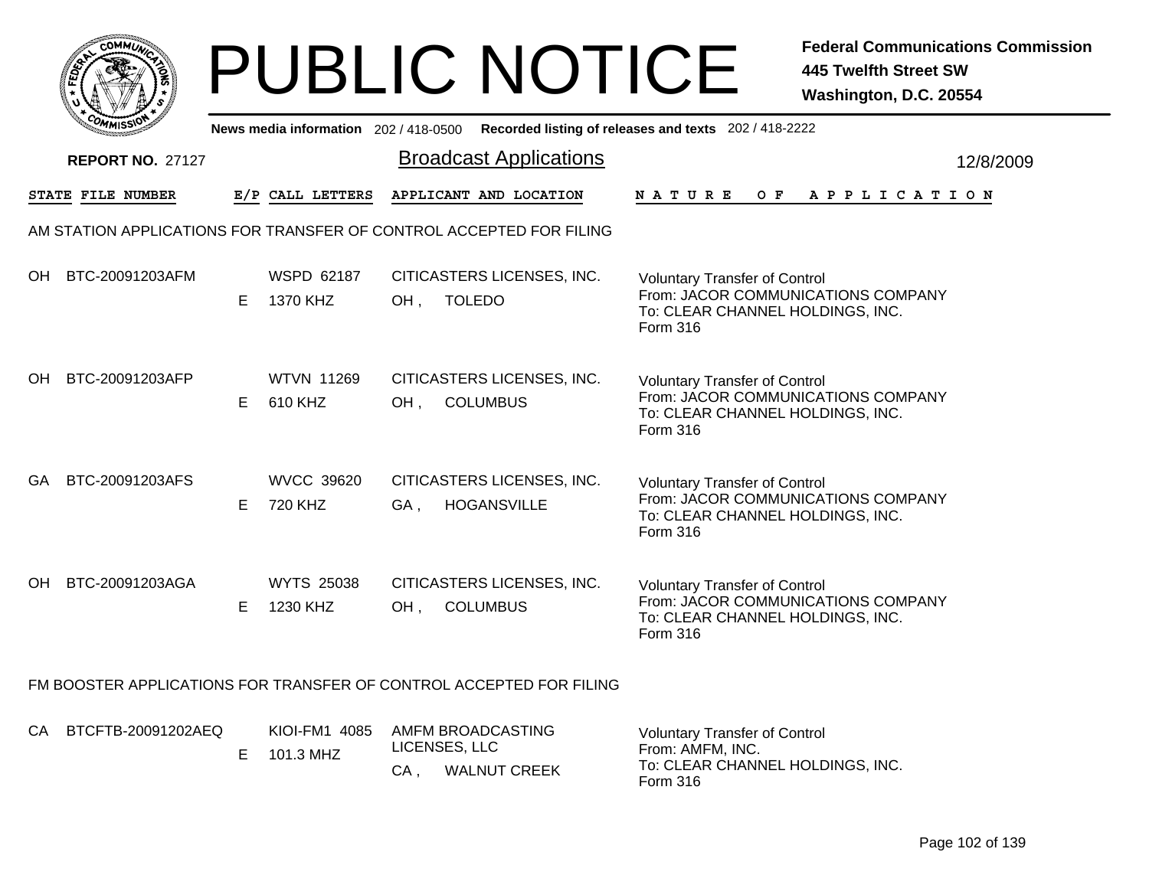|       | MMUNICT<br>c۵۱ |  |
|-------|----------------|--|
| FEDET |                |  |
|       |                |  |
|       | COMI<br>MISS   |  |

|    | <b>MMISS</b><br>News media information 202 / 418-0500 Recorded listing of releases and texts 202 / 418-2222 |    |                               |        |                                                                     |                                                                                                                                   |  |     |  |  |  |  |                       |  |           |
|----|-------------------------------------------------------------------------------------------------------------|----|-------------------------------|--------|---------------------------------------------------------------------|-----------------------------------------------------------------------------------------------------------------------------------|--|-----|--|--|--|--|-----------------------|--|-----------|
|    | <b>REPORT NO. 27127</b>                                                                                     |    |                               |        | <b>Broadcast Applications</b>                                       |                                                                                                                                   |  |     |  |  |  |  |                       |  | 12/8/2009 |
|    | <b>STATE FILE NUMBER</b>                                                                                    |    | E/P CALL LETTERS              |        | APPLICANT AND LOCATION                                              | N A T U R E                                                                                                                       |  | O F |  |  |  |  | A P P L I C A T I O N |  |           |
|    |                                                                                                             |    |                               |        | AM STATION APPLICATIONS FOR TRANSFER OF CONTROL ACCEPTED FOR FILING |                                                                                                                                   |  |     |  |  |  |  |                       |  |           |
| OH | BTC-20091203AFM                                                                                             | E  | WSPD 62187<br>1370 KHZ        | $OH$ , | CITICASTERS LICENSES, INC.<br><b>TOLEDO</b>                         | <b>Voluntary Transfer of Control</b><br>From: JACOR COMMUNICATIONS COMPANY<br>To: CLEAR CHANNEL HOLDINGS, INC.<br>Form 316        |  |     |  |  |  |  |                       |  |           |
| OH | BTC-20091203AFP                                                                                             | E  | <b>WTVN 11269</b><br>610 KHZ  | OH,    | CITICASTERS LICENSES, INC.<br><b>COLUMBUS</b>                       | <b>Voluntary Transfer of Control</b><br>From: JACOR COMMUNICATIONS COMPANY<br>To: CLEAR CHANNEL HOLDINGS, INC.<br>Form 316        |  |     |  |  |  |  |                       |  |           |
| GA | BTC-20091203AFS                                                                                             | Е  | <b>WVCC 39620</b><br>720 KHZ  | GA,    | CITICASTERS LICENSES, INC.<br><b>HOGANSVILLE</b>                    | <b>Voluntary Transfer of Control</b><br>From: JACOR COMMUNICATIONS COMPANY<br>To: CLEAR CHANNEL HOLDINGS, INC.<br>Form 316        |  |     |  |  |  |  |                       |  |           |
| OH | BTC-20091203AGA                                                                                             | E. | <b>WYTS 25038</b><br>1230 KHZ | OH,    | CITICASTERS LICENSES, INC.<br><b>COLUMBUS</b>                       | <b>Voluntary Transfer of Control</b><br>From: JACOR COMMUNICATIONS COMPANY<br>To: CLEAR CHANNEL HOLDINGS, INC.<br><b>Form 316</b> |  |     |  |  |  |  |                       |  |           |
|    |                                                                                                             |    |                               |        | FM BOOSTER APPLICATIONS FOR TRANSFER OF CONTROL ACCEPTED FOR FILING |                                                                                                                                   |  |     |  |  |  |  |                       |  |           |

| CA | BTCFTB-20091202AEQ | KIOI-FM1 4085 | AMFM BROADCASTING   |                  | <b>Voluntary Transfer of Control</b> |
|----|--------------------|---------------|---------------------|------------------|--------------------------------------|
|    |                    | 101.3 MHZ     | LICENSES, LLC       | From: AMFM, INC. |                                      |
|    |                    |               | <b>WALNUT CREEK</b> | Form 316         | To: CLEAR CHANNEL HOLDINGS, INC.     |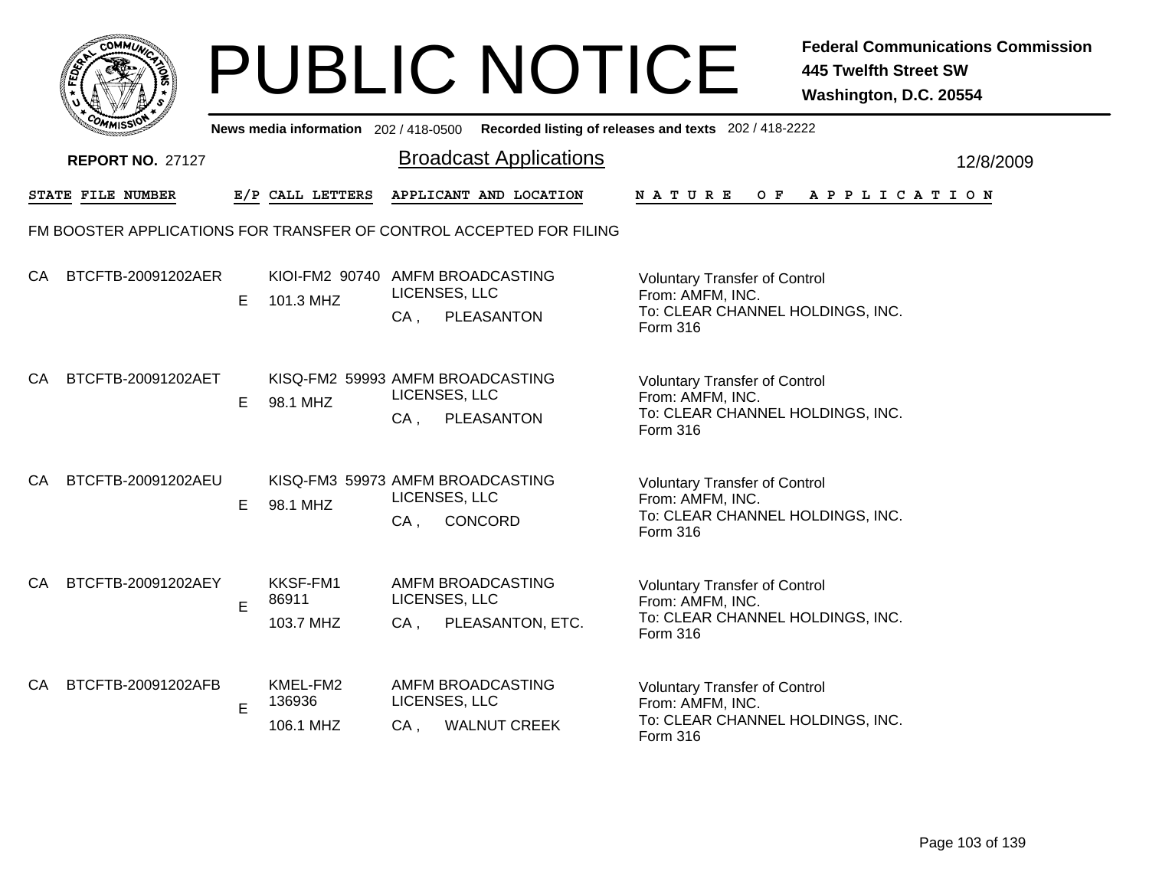|    |                                                                     |    |                                               |                                              | <b>PUBLIC NOTICE</b>          |                                                                                                          | <b>Federal Communications Commission</b><br><b>445 Twelfth Street SW</b><br>Washington, D.C. 20554 |
|----|---------------------------------------------------------------------|----|-----------------------------------------------|----------------------------------------------|-------------------------------|----------------------------------------------------------------------------------------------------------|----------------------------------------------------------------------------------------------------|
|    |                                                                     |    | News media information 202/418-0500           |                                              |                               | Recorded listing of releases and texts 202 / 418-2222                                                    |                                                                                                    |
|    | <b>REPORT NO. 27127</b>                                             |    |                                               |                                              | <b>Broadcast Applications</b> |                                                                                                          | 12/8/2009                                                                                          |
|    | STATE FILE NUMBER                                                   |    | E/P CALL LETTERS                              |                                              | APPLICANT AND LOCATION        | <b>NATURE</b><br>O F                                                                                     | APPLICATION                                                                                        |
|    | FM BOOSTER APPLICATIONS FOR TRANSFER OF CONTROL ACCEPTED FOR FILING |    |                                               |                                              |                               |                                                                                                          |                                                                                                    |
| CA | BTCFTB-20091202AER                                                  | E. | KIOI-FM2 90740 AMFM BROADCASTING<br>101.3 MHZ | LICENSES, LLC<br>$CA$ ,                      | PLEASANTON                    | <b>Voluntary Transfer of Control</b><br>From: AMFM, INC.<br>To: CLEAR CHANNEL HOLDINGS, INC.<br>Form 316 |                                                                                                    |
| CA | BTCFTB-20091202AET                                                  | E. | KISQ-FM2 59993 AMFM BROADCASTING<br>98.1 MHZ  | LICENSES, LLC<br>CA,                         | PLEASANTON                    | <b>Voluntary Transfer of Control</b><br>From: AMFM, INC.<br>To: CLEAR CHANNEL HOLDINGS, INC.<br>Form 316 |                                                                                                    |
| CA | BTCFTB-20091202AEU                                                  | Е  | KISQ-FM3 59973 AMFM BROADCASTING<br>98.1 MHZ  | LICENSES, LLC<br>$CA$ ,                      | CONCORD                       | <b>Voluntary Transfer of Control</b><br>From: AMFM, INC.<br>To: CLEAR CHANNEL HOLDINGS, INC.<br>Form 316 |                                                                                                    |
| CA | BTCFTB-20091202AEY                                                  | E  | KKSF-FM1<br>86911<br>103.7 MHZ                | AMFM BROADCASTING<br>LICENSES, LLC<br>$CA$ , | PLEASANTON, ETC.              | <b>Voluntary Transfer of Control</b><br>From: AMFM, INC.<br>To: CLEAR CHANNEL HOLDINGS, INC.<br>Form 316 |                                                                                                    |
| CA | BTCFTB-20091202AFB                                                  | E  | KMEL-FM2<br>136936<br>106.1 MHZ               | AMFM BROADCASTING<br>LICENSES, LLC<br>CA.    | <b>WALNUT CREEK</b>           | <b>Voluntary Transfer of Control</b><br>From: AMFM, INC.<br>To: CLEAR CHANNEL HOLDINGS, INC.<br>Form 316 |                                                                                                    |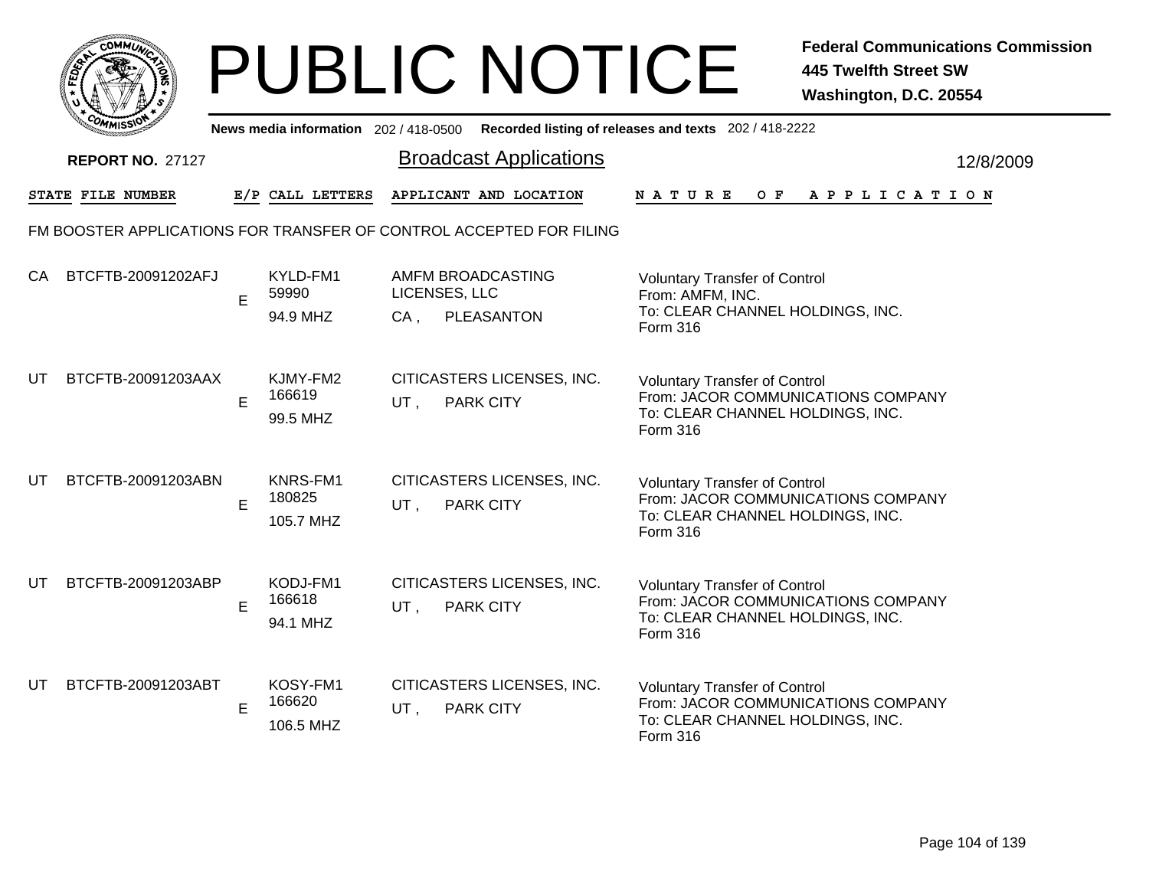|     | MMUNICT<br><b>CO</b> |  |
|-----|----------------------|--|
| ప్త |                      |  |
|     |                      |  |
|     | COMI<br>MISS<br>m    |  |

|    | יככוואויי                                                           |   |                                 |                               | News media information 202/418-0500 Recorded listing of releases and texts 202/418-2222 |                                                                                                                            |  |     |  |  |                       |           |  |
|----|---------------------------------------------------------------------|---|---------------------------------|-------------------------------|-----------------------------------------------------------------------------------------|----------------------------------------------------------------------------------------------------------------------------|--|-----|--|--|-----------------------|-----------|--|
|    | <b>REPORT NO. 27127</b>                                             |   |                                 | <b>Broadcast Applications</b> |                                                                                         |                                                                                                                            |  |     |  |  |                       | 12/8/2009 |  |
|    | STATE FILE NUMBER                                                   |   | E/P CALL LETTERS                |                               | APPLICANT AND LOCATION                                                                  | <b>NATURE</b>                                                                                                              |  | O F |  |  | A P P L I C A T I O N |           |  |
|    | FM BOOSTER APPLICATIONS FOR TRANSFER OF CONTROL ACCEPTED FOR FILING |   |                                 |                               |                                                                                         |                                                                                                                            |  |     |  |  |                       |           |  |
| CA | BTCFTB-20091202AFJ                                                  | E | KYLD-FM1<br>59990<br>94.9 MHZ   | LICENSES, LLC<br>$CA$ ,       | AMFM BROADCASTING<br>PLEASANTON                                                         | <b>Voluntary Transfer of Control</b><br>From: AMFM, INC.<br>To: CLEAR CHANNEL HOLDINGS, INC.<br>Form 316                   |  |     |  |  |                       |           |  |
| UT | BTCFTB-20091203AAX                                                  | E | KJMY-FM2<br>166619<br>99.5 MHZ  | UT.                           | CITICASTERS LICENSES, INC.<br><b>PARK CITY</b>                                          | <b>Voluntary Transfer of Control</b><br>From: JACOR COMMUNICATIONS COMPANY<br>To: CLEAR CHANNEL HOLDINGS, INC.<br>Form 316 |  |     |  |  |                       |           |  |
| UT | BTCFTB-20091203ABN                                                  | E | KNRS-FM1<br>180825<br>105.7 MHZ | UT.                           | CITICASTERS LICENSES, INC.<br><b>PARK CITY</b>                                          | <b>Voluntary Transfer of Control</b><br>From: JACOR COMMUNICATIONS COMPANY<br>To: CLEAR CHANNEL HOLDINGS, INC.<br>Form 316 |  |     |  |  |                       |           |  |
| UT | BTCFTB-20091203ABP                                                  | E | KODJ-FM1<br>166618<br>94.1 MHZ  | UT,                           | CITICASTERS LICENSES, INC.<br><b>PARK CITY</b>                                          | <b>Voluntary Transfer of Control</b><br>From: JACOR COMMUNICATIONS COMPANY<br>To: CLEAR CHANNEL HOLDINGS, INC.<br>Form 316 |  |     |  |  |                       |           |  |
| UT | BTCFTB-20091203ABT                                                  | E | KOSY-FM1<br>166620<br>106.5 MHZ | UT,                           | CITICASTERS LICENSES, INC.<br><b>PARK CITY</b>                                          | <b>Voluntary Transfer of Control</b><br>From: JACOR COMMUNICATIONS COMPANY<br>To: CLEAR CHANNEL HOLDINGS, INC.<br>Form 316 |  |     |  |  |                       |           |  |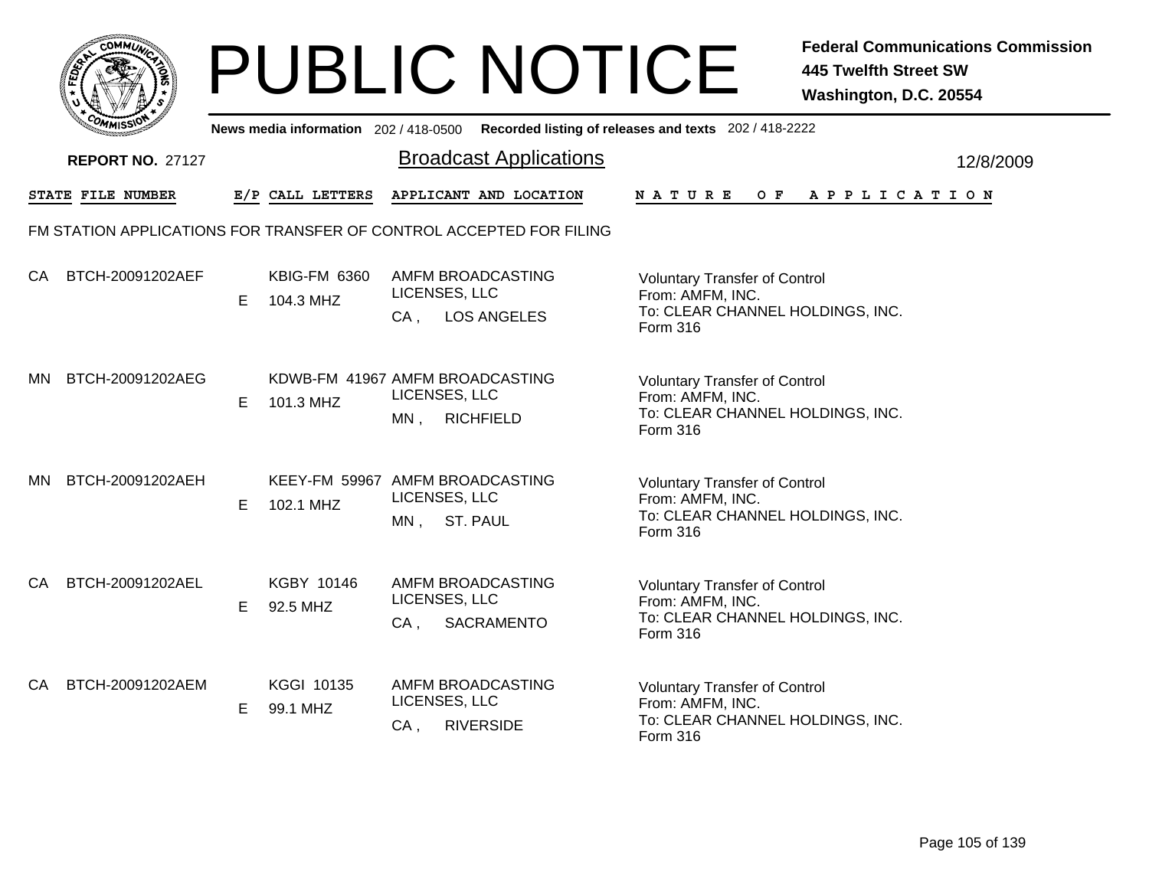

|           | <b>COMMISSIO</b>        |   | News media information 202 / 418-0500 |        | Recorded listing of releases and texts 202 / 418-2222                |                                                                                                          |     |  |                       |           |
|-----------|-------------------------|---|---------------------------------------|--------|----------------------------------------------------------------------|----------------------------------------------------------------------------------------------------------|-----|--|-----------------------|-----------|
|           | <b>REPORT NO. 27127</b> |   |                                       |        | <b>Broadcast Applications</b>                                        |                                                                                                          |     |  |                       | 12/8/2009 |
|           | STATE FILE NUMBER       |   | E/P CALL LETTERS                      |        | APPLICANT AND LOCATION                                               | <b>NATURE</b>                                                                                            | O F |  | A P P L I C A T I O N |           |
|           |                         |   |                                       |        | FM STATION APPLICATIONS FOR TRANSFER OF CONTROL ACCEPTED FOR FILING  |                                                                                                          |     |  |                       |           |
| CA        | BTCH-20091202AEF        | Е | <b>KBIG-FM 6360</b><br>104.3 MHZ      | CA,    | AMFM BROADCASTING<br>LICENSES, LLC<br><b>LOS ANGELES</b>             | <b>Voluntary Transfer of Control</b><br>From: AMFM, INC.<br>To: CLEAR CHANNEL HOLDINGS, INC.<br>Form 316 |     |  |                       |           |
| МN        | BTCH-20091202AEG        | E | 101.3 MHZ                             | $MN$ , | KDWB-FM 41967 AMFM BROADCASTING<br>LICENSES, LLC<br><b>RICHFIELD</b> | <b>Voluntary Transfer of Control</b><br>From: AMFM, INC.<br>To: CLEAR CHANNEL HOLDINGS, INC.<br>Form 316 |     |  |                       |           |
| <b>MN</b> | BTCH-20091202AEH        | E | 102.1 MHZ                             | $MN$ , | KEEY-FM 59967 AMFM BROADCASTING<br>LICENSES, LLC<br><b>ST. PAUL</b>  | <b>Voluntary Transfer of Control</b><br>From: AMFM, INC.<br>To: CLEAR CHANNEL HOLDINGS, INC.<br>Form 316 |     |  |                       |           |
| CA        | BTCH-20091202AEL        | E | KGBY 10146<br>92.5 MHZ                | $CA$ , | AMFM BROADCASTING<br>LICENSES, LLC<br>SACRAMENTO                     | <b>Voluntary Transfer of Control</b><br>From: AMFM, INC.<br>To: CLEAR CHANNEL HOLDINGS, INC.<br>Form 316 |     |  |                       |           |
| CA        | BTCH-20091202AEM        | Е | <b>KGGI 10135</b><br>99.1 MHZ         | $CA$ , | AMFM BROADCASTING<br>LICENSES, LLC<br><b>RIVERSIDE</b>               | <b>Voluntary Transfer of Control</b><br>From: AMFM, INC.<br>To: CLEAR CHANNEL HOLDINGS, INC.<br>Form 316 |     |  |                       |           |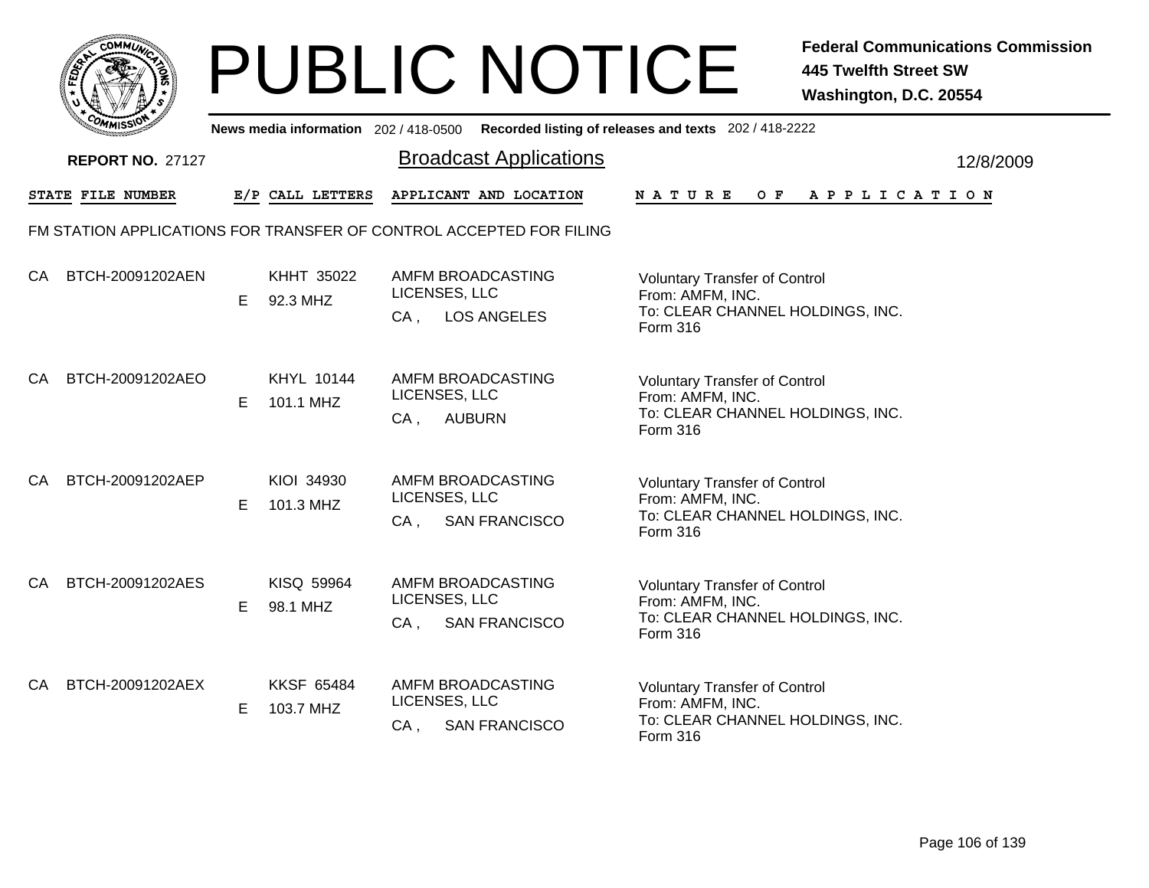

|     | <b>COMMISSION</b>       |    | News media information 202 / 418-0500 |                         |                                                                     | Recorded listing of releases and texts 202 / 418-2222                                                    |           |
|-----|-------------------------|----|---------------------------------------|-------------------------|---------------------------------------------------------------------|----------------------------------------------------------------------------------------------------------|-----------|
|     | <b>REPORT NO. 27127</b> |    |                                       |                         | <b>Broadcast Applications</b>                                       |                                                                                                          | 12/8/2009 |
|     | STATE FILE NUMBER       |    | E/P CALL LETTERS                      |                         | APPLICANT AND LOCATION                                              | NATURE<br>O F<br>A P P L I C A T I O N                                                                   |           |
|     |                         |    |                                       |                         | FM STATION APPLICATIONS FOR TRANSFER OF CONTROL ACCEPTED FOR FILING |                                                                                                          |           |
| CA. | BTCH-20091202AEN        | E. | KHHT 35022<br>92.3 MHZ                | LICENSES, LLC<br>$CA$ . | AMFM BROADCASTING<br><b>LOS ANGELES</b>                             | <b>Voluntary Transfer of Control</b><br>From: AMFM, INC.<br>To: CLEAR CHANNEL HOLDINGS, INC.<br>Form 316 |           |
| CA  | BTCH-20091202AEO        | E. | KHYL 10144<br>101.1 MHZ               | LICENSES, LLC<br>$CA$ , | AMFM BROADCASTING<br><b>AUBURN</b>                                  | <b>Voluntary Transfer of Control</b><br>From: AMFM, INC.<br>To: CLEAR CHANNEL HOLDINGS, INC.<br>Form 316 |           |
| CA  | BTCH-20091202AEP        | E. | KIOI 34930<br>101.3 MHZ               | LICENSES, LLC<br>$CA$ , | AMFM BROADCASTING<br><b>SAN FRANCISCO</b>                           | <b>Voluntary Transfer of Control</b><br>From: AMFM, INC.<br>To: CLEAR CHANNEL HOLDINGS, INC.<br>Form 316 |           |
| CA. | BTCH-20091202AES        | E. | KISQ 59964<br>98.1 MHZ                | LICENSES, LLC<br>CA,    | AMFM BROADCASTING<br><b>SAN FRANCISCO</b>                           | <b>Voluntary Transfer of Control</b><br>From: AMFM, INC.<br>To: CLEAR CHANNEL HOLDINGS, INC.<br>Form 316 |           |
| CA  | BTCH-20091202AEX        | E. | <b>KKSF 65484</b><br>103.7 MHZ        | LICENSES, LLC<br>$CA$ , | AMFM BROADCASTING<br><b>SAN FRANCISCO</b>                           | <b>Voluntary Transfer of Control</b><br>From: AMFM, INC.<br>To: CLEAR CHANNEL HOLDINGS, INC.<br>Form 316 |           |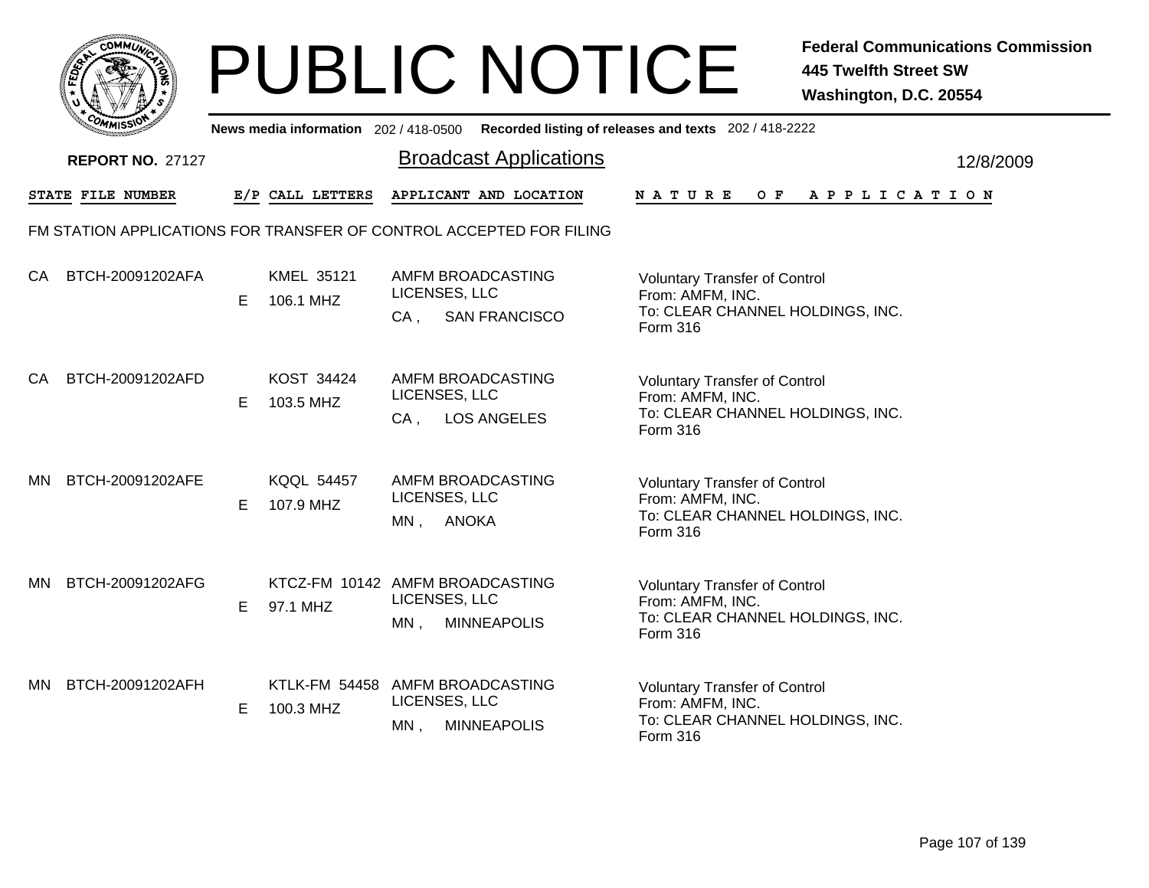

|     | <b>COMMISSIO</b>        |   | News media information 202 / 418-0500       |                         |                                                                     | Recorded listing of releases and texts 202 / 418-2222                                                    |           |
|-----|-------------------------|---|---------------------------------------------|-------------------------|---------------------------------------------------------------------|----------------------------------------------------------------------------------------------------------|-----------|
|     | <b>REPORT NO. 27127</b> |   |                                             |                         | <b>Broadcast Applications</b>                                       |                                                                                                          | 12/8/2009 |
|     | STATE FILE NUMBER       |   | E/P CALL LETTERS                            |                         | APPLICANT AND LOCATION                                              | NATURE<br>O F<br>A P P L I C A T I O N                                                                   |           |
|     |                         |   |                                             |                         | FM STATION APPLICATIONS FOR TRANSFER OF CONTROL ACCEPTED FOR FILING |                                                                                                          |           |
| CA  | BTCH-20091202AFA        | Е | KMEL 35121<br>106.1 MHZ                     | LICENSES, LLC<br>CA.    | AMFM BROADCASTING<br><b>SAN FRANCISCO</b>                           | <b>Voluntary Transfer of Control</b><br>From: AMFM, INC.<br>To: CLEAR CHANNEL HOLDINGS, INC.<br>Form 316 |           |
| СA  | BTCH-20091202AFD        | Е | KOST 34424<br>103.5 MHZ                     | LICENSES, LLC<br>$CA$ , | AMFM BROADCASTING<br><b>LOS ANGELES</b>                             | <b>Voluntary Transfer of Control</b><br>From: AMFM, INC.<br>To: CLEAR CHANNEL HOLDINGS, INC.<br>Form 316 |           |
| MN. | BTCH-20091202AFE        | Е | <b>KQQL 54457</b><br>107.9 MHZ              | LICENSES, LLC<br>MN,    | AMFM BROADCASTING<br><b>ANOKA</b>                                   | <b>Voluntary Transfer of Control</b><br>From: AMFM, INC.<br>To: CLEAR CHANNEL HOLDINGS, INC.<br>Form 316 |           |
| MN. | BTCH-20091202AFG        | E | KTCZ-FM 10142 AMFM BROADCASTING<br>97.1 MHZ | LICENSES, LLC<br>MN,    | <b>MINNEAPOLIS</b>                                                  | <b>Voluntary Transfer of Control</b><br>From: AMFM, INC.<br>To: CLEAR CHANNEL HOLDINGS, INC.<br>Form 316 |           |
| MN. | BTCH-20091202AFH        | Е | <b>KTLK-FM 54458</b><br>100.3 MHZ           | LICENSES, LLC<br>$MN$ , | AMFM BROADCASTING<br><b>MINNEAPOLIS</b>                             | <b>Voluntary Transfer of Control</b><br>From: AMFM, INC.<br>To: CLEAR CHANNEL HOLDINGS, INC.<br>Form 316 |           |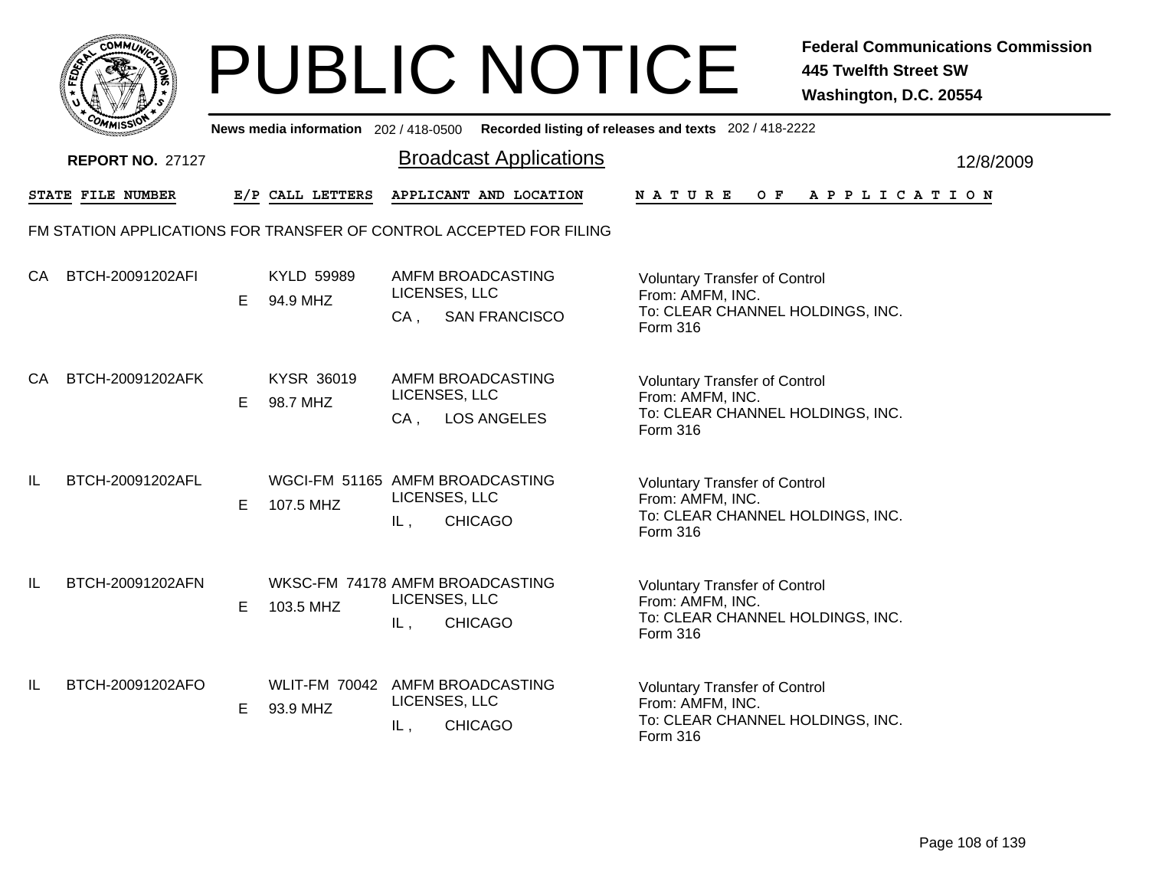

|     | יככוומי                  |    |                        |                                                            | News media information 202/418-0500 Recorded listing of releases and texts 202/418-2222                  |                 |                                                                                              |  |  |     |  |  |  |  |  |             |           |  |  |  |
|-----|--------------------------|----|------------------------|------------------------------------------------------------|----------------------------------------------------------------------------------------------------------|-----------------|----------------------------------------------------------------------------------------------|--|--|-----|--|--|--|--|--|-------------|-----------|--|--|--|
|     | <b>REPORT NO. 27127</b>  |    |                        | <b>Broadcast Applications</b>                              |                                                                                                          |                 |                                                                                              |  |  |     |  |  |  |  |  |             | 12/8/2009 |  |  |  |
|     | <b>STATE FILE NUMBER</b> |    | E/P CALL LETTERS       |                                                            | APPLICANT AND LOCATION                                                                                   | <b>NATURE</b>   |                                                                                              |  |  | O F |  |  |  |  |  | APPLICATION |           |  |  |  |
|     |                          |    |                        |                                                            | FM STATION APPLICATIONS FOR TRANSFER OF CONTROL ACCEPTED FOR FILING                                      |                 |                                                                                              |  |  |     |  |  |  |  |  |             |           |  |  |  |
| CA  | BTCH-20091202AFI         | E. | KYLD 59989<br>94.9 MHZ | AMFM BROADCASTING<br>LICENSES, LLC<br><b>SAN FRANCISCO</b> | <b>Voluntary Transfer of Control</b><br>From: AMFM, INC.<br>To: CLEAR CHANNEL HOLDINGS, INC.<br>Form 316 |                 |                                                                                              |  |  |     |  |  |  |  |  |             |           |  |  |  |
| СA  | BTCH-20091202AFK         | E. | KYSR 36019<br>98.7 MHZ | CA,                                                        | AMFM BROADCASTING<br>LICENSES, LLC<br><b>LOS ANGELES</b>                                                 | Form 316        | <b>Voluntary Transfer of Control</b><br>From: AMFM, INC.<br>To: CLEAR CHANNEL HOLDINGS, INC. |  |  |     |  |  |  |  |  |             |           |  |  |  |
| IL. | BTCH-20091202AFL         | Е  | 107.5 MHZ              | IL,                                                        | WGCI-FM 51165 AMFM BROADCASTING<br>LICENSES, LLC<br><b>CHICAGO</b>                                       | Form 316        | <b>Voluntary Transfer of Control</b><br>From: AMFM, INC.<br>To: CLEAR CHANNEL HOLDINGS, INC. |  |  |     |  |  |  |  |  |             |           |  |  |  |
| IL  | BTCH-20091202AFN         | Е  | 103.5 MHZ              | IL,                                                        | WKSC-FM 74178 AMFM BROADCASTING<br>LICENSES, LLC<br><b>CHICAGO</b>                                       | <b>Form 316</b> | <b>Voluntary Transfer of Control</b><br>From: AMFM, INC.<br>To: CLEAR CHANNEL HOLDINGS, INC. |  |  |     |  |  |  |  |  |             |           |  |  |  |
| IL. | BTCH-20091202AFO         | Е  | 93.9 MHZ               | IL,                                                        | WLIT-FM 70042 AMFM BROADCASTING<br>LICENSES, LLC<br><b>CHICAGO</b>                                       | Form 316        | <b>Voluntary Transfer of Control</b><br>From: AMFM, INC.<br>To: CLEAR CHANNEL HOLDINGS, INC. |  |  |     |  |  |  |  |  |             |           |  |  |  |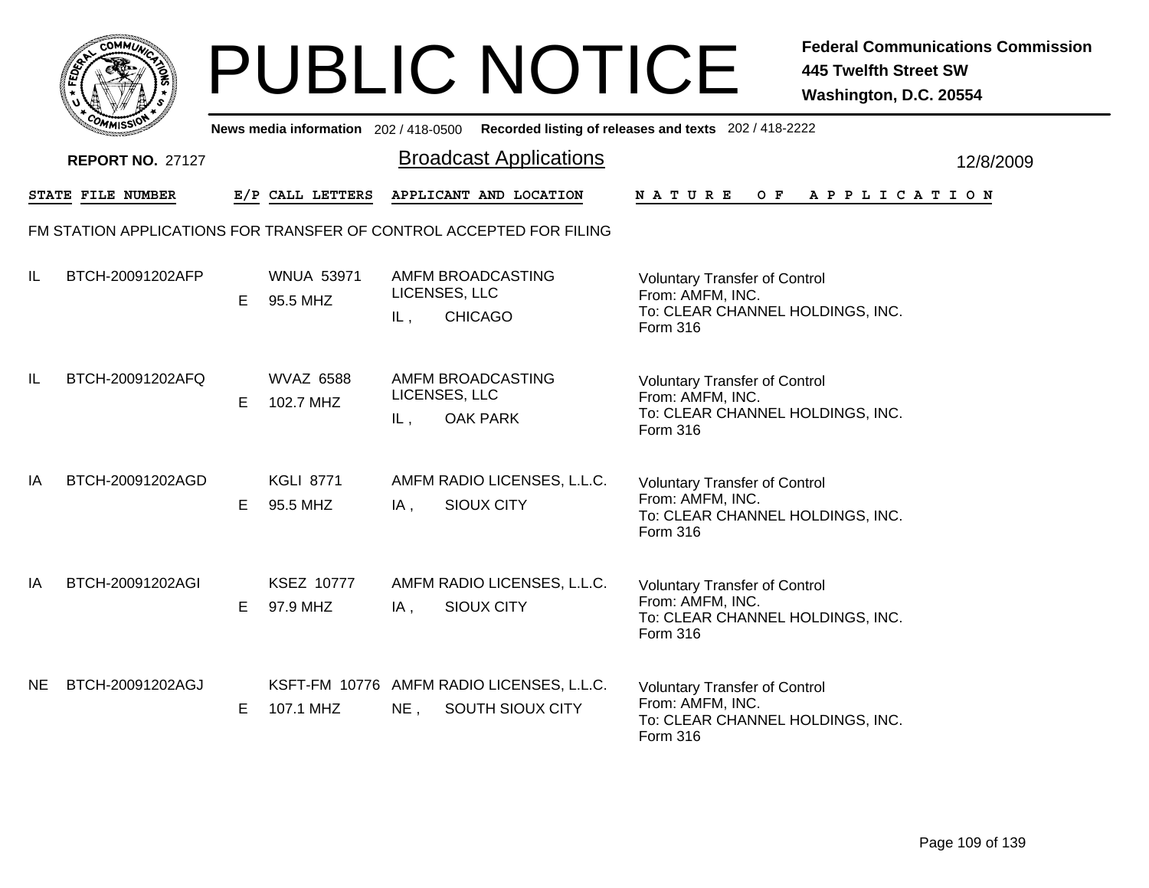|           | MMUNICT<br>ດ<br>Ċ,  |  |
|-----------|---------------------|--|
| ট্রু<br>c |                     |  |
|           |                     |  |
|           | COMI<br>MISS<br>--- |  |

|     | <b>COMMISSI</b>         |   | News media information 202 / 418-0500 |        |                                                                     | Recorded listing of releases and texts 202 / 418-2222                                                           |           |
|-----|-------------------------|---|---------------------------------------|--------|---------------------------------------------------------------------|-----------------------------------------------------------------------------------------------------------------|-----------|
|     | <b>REPORT NO. 27127</b> |   |                                       |        | <b>Broadcast Applications</b>                                       |                                                                                                                 | 12/8/2009 |
|     | STATE FILE NUMBER       |   | E/P CALL LETTERS                      |        | APPLICANT AND LOCATION                                              | NATURE<br>O F<br>A P P L I C A T I O N                                                                          |           |
|     |                         |   |                                       |        | FM STATION APPLICATIONS FOR TRANSFER OF CONTROL ACCEPTED FOR FILING |                                                                                                                 |           |
| IL  | BTCH-20091202AFP        | Е | <b>WNUA 53971</b><br>95.5 MHZ         | IL,    | AMFM BROADCASTING<br>LICENSES, LLC<br><b>CHICAGO</b>                | <b>Voluntary Transfer of Control</b><br>From: AMFM, INC.<br>To: CLEAR CHANNEL HOLDINGS, INC.<br>Form 316        |           |
| IL  | BTCH-20091202AFQ        | Е | <b>WVAZ 6588</b><br>102.7 MHZ         | IL,    | AMFM BROADCASTING<br>LICENSES, LLC<br><b>OAK PARK</b>               | <b>Voluntary Transfer of Control</b><br>From: AMFM, INC.<br>To: CLEAR CHANNEL HOLDINGS, INC.<br>Form 316        |           |
| IA  | BTCH-20091202AGD        | E | <b>KGLI 8771</b><br>95.5 MHZ          | $IA$ , | AMFM RADIO LICENSES, L.L.C.<br><b>SIOUX CITY</b>                    | <b>Voluntary Transfer of Control</b><br>From: AMFM, INC.<br>To: CLEAR CHANNEL HOLDINGS, INC.<br><b>Form 316</b> |           |
| IA  | BTCH-20091202AGI        | E | <b>KSEZ 10777</b><br>97.9 MHZ         | IA,    | AMFM RADIO LICENSES, L.L.C.<br>SIOUX CITY                           | <b>Voluntary Transfer of Control</b><br>From: AMFM, INC.<br>To: CLEAR CHANNEL HOLDINGS, INC.<br>Form 316        |           |
| NE. | BTCH-20091202AGJ        | Е | 107.1 MHZ                             | $NE$ , | KSFT-FM 10776 AMFM RADIO LICENSES, L.L.C.<br>SOUTH SIOUX CITY       | <b>Voluntary Transfer of Control</b><br>From: AMFM, INC.<br>To: CLEAR CHANNEL HOLDINGS, INC.<br>Form 316        |           |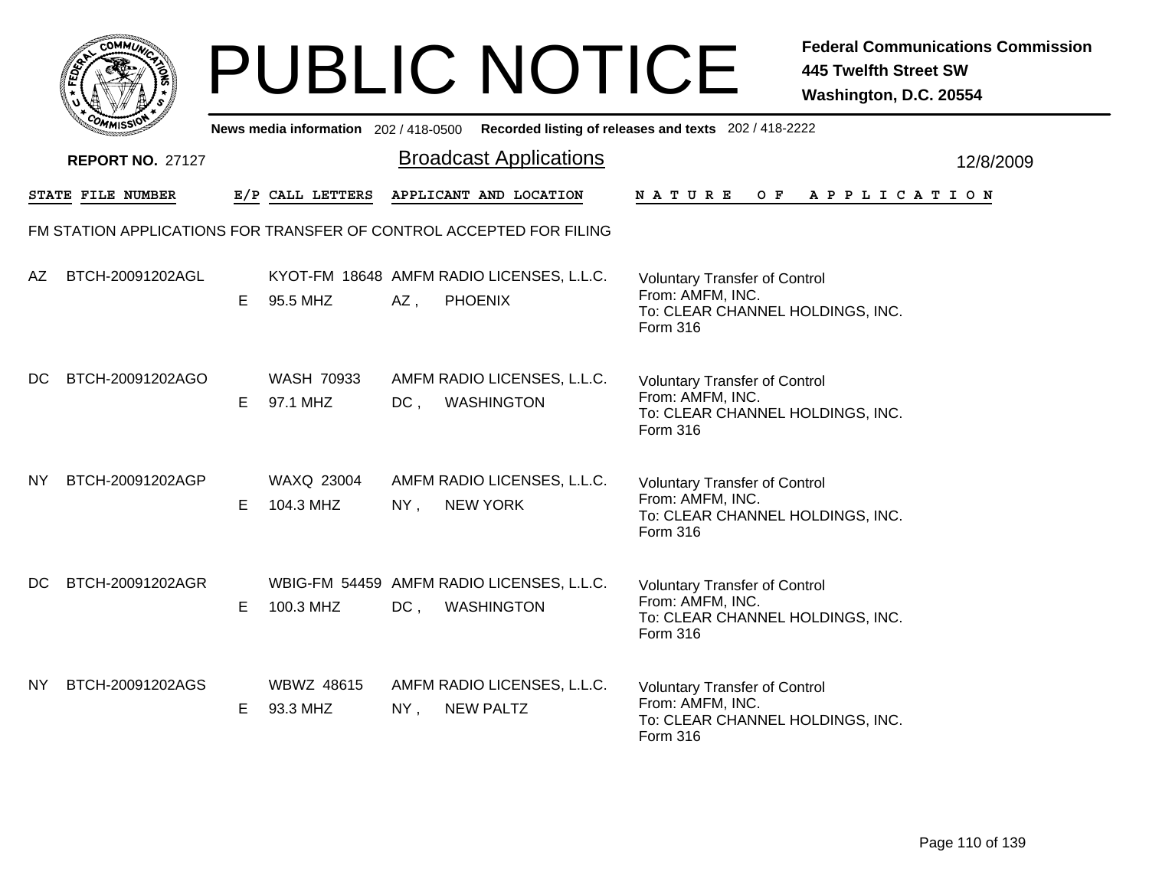|                         |                                    | <b>PUBLIC NOTICE</b>                                                                        | <b>Federal Communications Commission</b><br><b>445 Twelfth Street SW</b><br>Washington, D.C. 20554       |
|-------------------------|------------------------------------|---------------------------------------------------------------------------------------------|----------------------------------------------------------------------------------------------------------|
|                         |                                    | News media information 202 / 418-0500 Recorded listing of releases and texts 202 / 418-2222 |                                                                                                          |
| <b>REPORT NO. 27127</b> |                                    | <b>Broadcast Applications</b>                                                               | 12/8/2009                                                                                                |
| STATE FILE NUMBER       | E/P CALL LETTERS                   | APPLICANT AND LOCATION                                                                      | N A T U R E<br>OF APPLICATION                                                                            |
|                         |                                    | FM STATION APPLICATIONS FOR TRANSFER OF CONTROL ACCEPTED FOR FILING                         |                                                                                                          |
| BTCH-20091202AGL<br>AZ  | E.<br>95.5 MHZ                     | KYOT-FM 18648 AMFM RADIO LICENSES, L.L.C.<br>$AZ$ ,<br><b>PHOENIX</b>                       | <b>Voluntary Transfer of Control</b><br>From: AMFM, INC.<br>To: CLEAR CHANNEL HOLDINGS, INC.<br>Form 316 |
| BTCH-20091202AGO<br>DC. | <b>WASH 70933</b><br>97.1 MHZ<br>E | AMFM RADIO LICENSES, L.L.C.<br><b>WASHINGTON</b><br>$DC$ ,                                  | <b>Voluntary Transfer of Control</b><br>From: AMFM, INC.<br>To: CLEAR CHANNEL HOLDINGS, INC.<br>Form 316 |
| BTCH-20091202AGP<br>NY. | WAXQ 23004<br>104.3 MHZ<br>Е       | AMFM RADIO LICENSES, L.L.C.<br><b>NEW YORK</b><br>$NY$ ,                                    | <b>Voluntary Transfer of Control</b><br>From: AMFM, INC.<br>To: CLEAR CHANNEL HOLDINGS, INC.<br>Form 316 |
| BTCH-20091202AGR<br>DC. | Е<br>100.3 MHZ                     | WBIG-FM 54459 AMFM RADIO LICENSES, L.L.C.<br>$DC$ ,<br><b>WASHINGTON</b>                    | <b>Voluntary Transfer of Control</b><br>From: AMFM, INC.<br>To: CLEAR CHANNEL HOLDINGS, INC.<br>Form 316 |
| BTCH-20091202AGS<br>NY. | WBWZ 48615<br>93.3 MHZ<br>E.       | AMFM RADIO LICENSES, L.L.C.<br><b>NEW PALTZ</b><br>$NY$ ,                                   | <b>Voluntary Transfer of Control</b><br>From: AMFM, INC.<br>To: CLEAR CHANNEL HOLDINGS, INC.<br>Form 316 |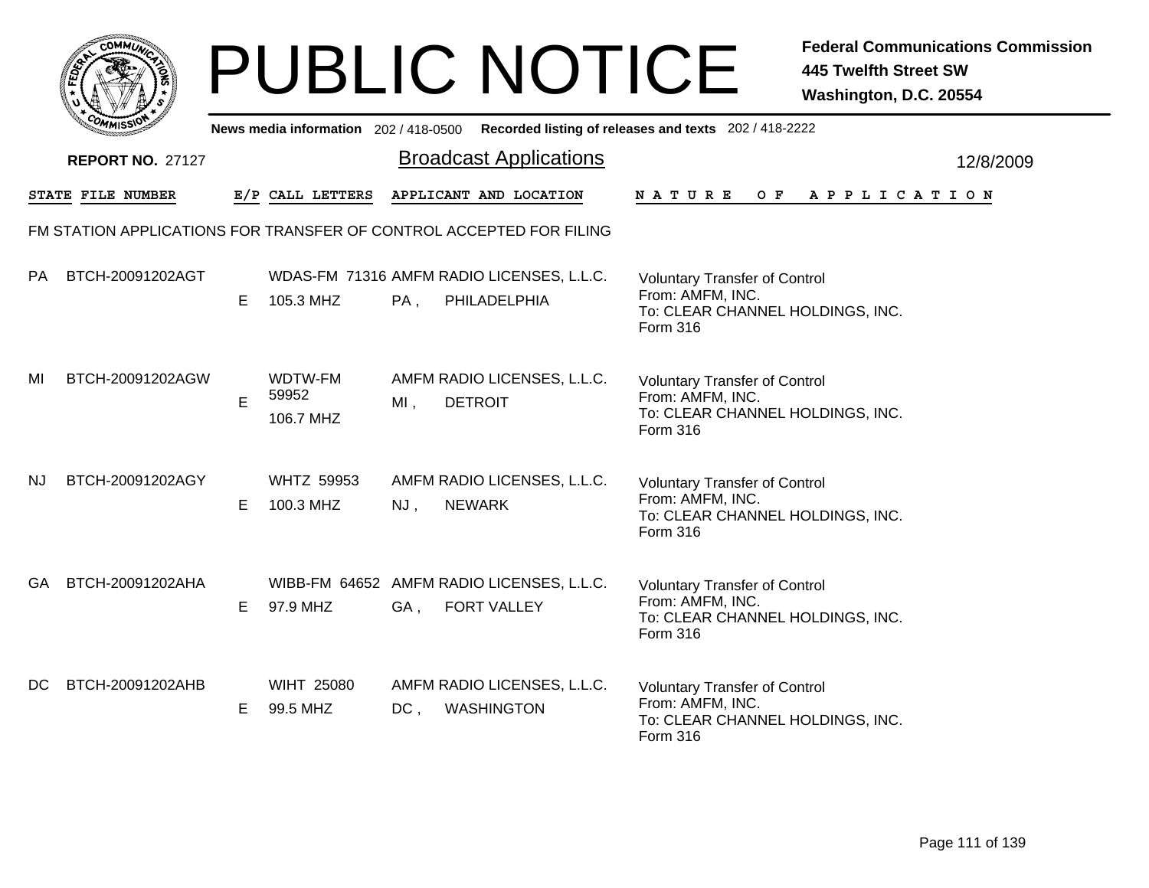| <b>MMUNA</b><br>$C_{\mathbf{U}}$<br>¢ |  |
|---------------------------------------|--|
| c<br>FEDET                            |  |
| π                                     |  |
| Cor<br>o                              |  |
| <b>MMISS</b>                          |  |

|           | <b><i>COMMISSIO</i></b> |    | News media information 202 / 418-0500 |        |                                                                     | Recorded listing of releases and texts 202 / 418-2222                                                    |           |
|-----------|-------------------------|----|---------------------------------------|--------|---------------------------------------------------------------------|----------------------------------------------------------------------------------------------------------|-----------|
|           | <b>REPORT NO. 27127</b> |    |                                       |        | <b>Broadcast Applications</b>                                       |                                                                                                          | 12/8/2009 |
|           | STATE FILE NUMBER       |    | E/P CALL LETTERS                      |        | APPLICANT AND LOCATION                                              | <b>NATURE</b><br>O F<br>A P P L I C A T I O N                                                            |           |
|           |                         |    |                                       |        | FM STATION APPLICATIONS FOR TRANSFER OF CONTROL ACCEPTED FOR FILING |                                                                                                          |           |
| PA        | BTCH-20091202AGT        | E. | 105.3 MHZ                             | $PA$ , | WDAS-FM 71316 AMFM RADIO LICENSES, L.L.C.<br>PHILADELPHIA           | <b>Voluntary Transfer of Control</b><br>From: AMFM, INC.<br>To: CLEAR CHANNEL HOLDINGS, INC.<br>Form 316 |           |
| MI        | BTCH-20091202AGW        | E  | WDTW-FM<br>59952<br>106.7 MHZ         | $MI$ , | AMFM RADIO LICENSES, L.L.C.<br><b>DETROIT</b>                       | <b>Voluntary Transfer of Control</b><br>From: AMFM, INC.<br>To: CLEAR CHANNEL HOLDINGS, INC.<br>Form 316 |           |
| <b>NJ</b> | BTCH-20091202AGY        | Е  | <b>WHTZ 59953</b><br>100.3 MHZ        | NJ,    | AMFM RADIO LICENSES, L.L.C.<br><b>NEWARK</b>                        | <b>Voluntary Transfer of Control</b><br>From: AMFM, INC.<br>To: CLEAR CHANNEL HOLDINGS, INC.<br>Form 316 |           |
| GA.       | BTCH-20091202AHA        | Е  | 97.9 MHZ                              | GA,    | WIBB-FM 64652 AMFM RADIO LICENSES, L.L.C.<br>FORT VALLEY            | <b>Voluntary Transfer of Control</b><br>From: AMFM, INC.<br>To: CLEAR CHANNEL HOLDINGS, INC.<br>Form 316 |           |
| DC.       | BTCH-20091202AHB        | Е  | <b>WIHT 25080</b><br>99.5 MHZ         | $DC$ , | AMFM RADIO LICENSES, L.L.C.<br><b>WASHINGTON</b>                    | <b>Voluntary Transfer of Control</b><br>From: AMFM, INC.<br>To: CLEAR CHANNEL HOLDINGS, INC.<br>Form 316 |           |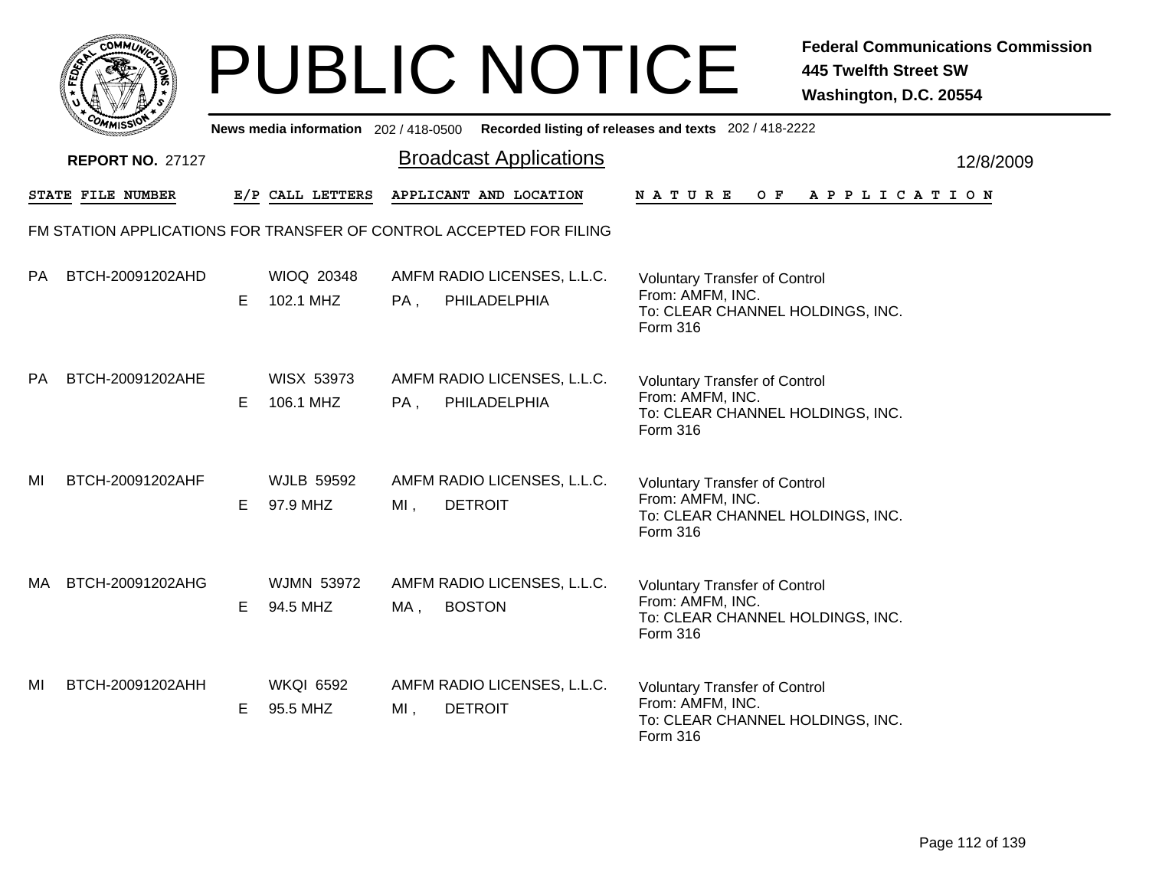|       | MMUNICT<br>c۵۱ |  |
|-------|----------------|--|
| FEDET |                |  |
|       |                |  |
|       | COMI<br>MISS   |  |

|           | יככוומיי                                                            |    |                                |     |                                               | News media information 202/418-0500 Recorded listing of releases and texts 202/418-2222                  |           |
|-----------|---------------------------------------------------------------------|----|--------------------------------|-----|-----------------------------------------------|----------------------------------------------------------------------------------------------------------|-----------|
|           | <b>REPORT NO. 27127</b>                                             |    |                                |     | <b>Broadcast Applications</b>                 |                                                                                                          | 12/8/2009 |
|           | STATE FILE NUMBER                                                   |    | E/P CALL LETTERS               |     | APPLICANT AND LOCATION                        | O F<br>A P P L I C A T I O N<br><b>NATURE</b>                                                            |           |
|           | FM STATION APPLICATIONS FOR TRANSFER OF CONTROL ACCEPTED FOR FILING |    |                                |     |                                               |                                                                                                          |           |
| <b>PA</b> | BTCH-20091202AHD                                                    | E. | <b>WIOQ 20348</b><br>102.1 MHZ | PA, | AMFM RADIO LICENSES, L.L.C.<br>PHILADELPHIA   | <b>Voluntary Transfer of Control</b><br>From: AMFM, INC.<br>To: CLEAR CHANNEL HOLDINGS, INC.<br>Form 316 |           |
| <b>PA</b> | BTCH-20091202AHE                                                    | E. | <b>WISX 53973</b><br>106.1 MHZ | PA, | AMFM RADIO LICENSES, L.L.C.<br>PHILADELPHIA   | <b>Voluntary Transfer of Control</b><br>From: AMFM, INC.<br>To: CLEAR CHANNEL HOLDINGS, INC.<br>Form 316 |           |
| MI        | BTCH-20091202AHF                                                    | E. | <b>WJLB 59592</b><br>97.9 MHZ  | MI, | AMFM RADIO LICENSES, L.L.C.<br><b>DETROIT</b> | <b>Voluntary Transfer of Control</b><br>From: AMFM, INC.<br>To: CLEAR CHANNEL HOLDINGS, INC.<br>Form 316 |           |
| MA        | BTCH-20091202AHG                                                    | E. | <b>WJMN 53972</b><br>94.5 MHZ  | MA, | AMFM RADIO LICENSES, L.L.C.<br><b>BOSTON</b>  | <b>Voluntary Transfer of Control</b><br>From: AMFM, INC.<br>To: CLEAR CHANNEL HOLDINGS, INC.<br>Form 316 |           |
| MI        | BTCH-20091202AHH                                                    | E. | <b>WKQI 6592</b><br>95.5 MHZ   | MI, | AMFM RADIO LICENSES, L.L.C.<br><b>DETROIT</b> | <b>Voluntary Transfer of Control</b><br>From: AMFM, INC.<br>To: CLEAR CHANNEL HOLDINGS, INC.<br>Form 316 |           |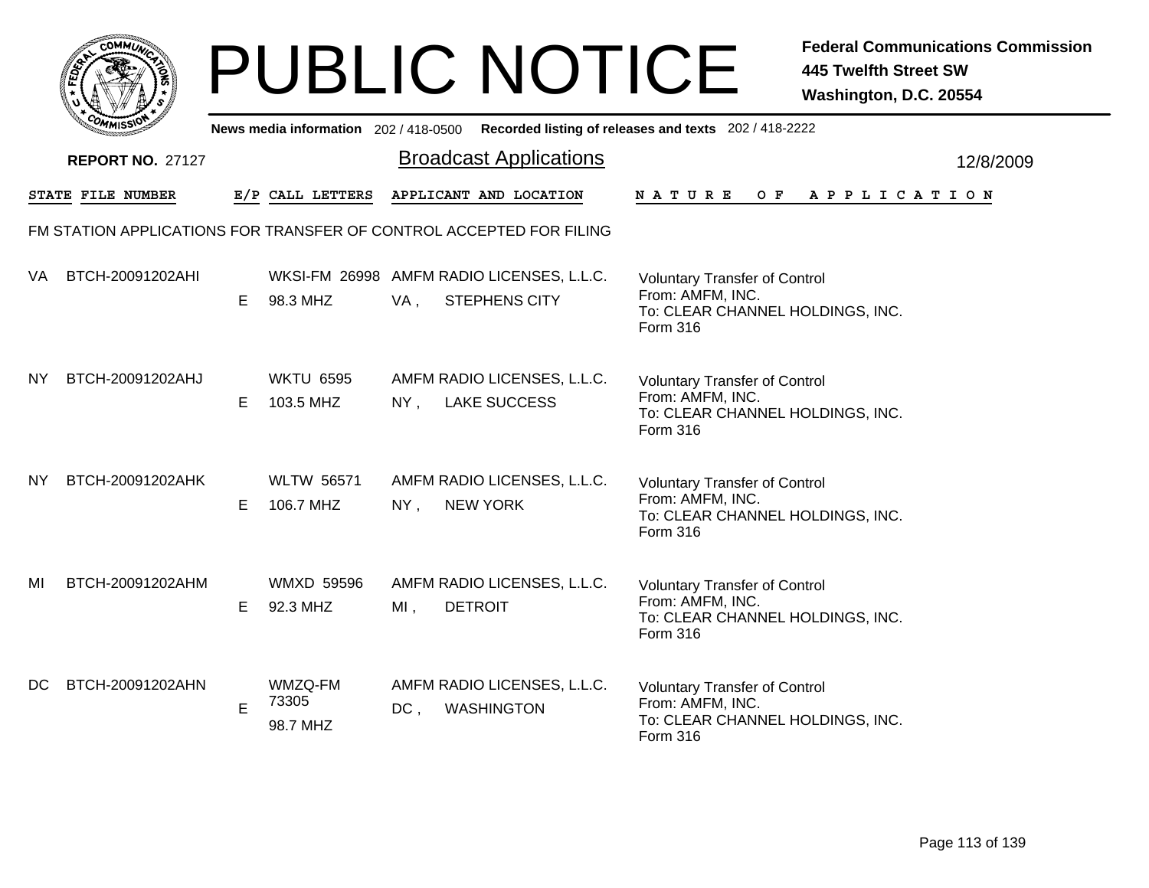|              | MMUNICT<br>c۵۱ |  |
|--------------|----------------|--|
| <b>FEDET</b> |                |  |
|              |                |  |
|              | COP<br>MISS    |  |

|           | <b>COMMISSIO</b>        |    | News media information 202 / 418-0500 |        |                                                                     | Recorded listing of releases and texts 202 / 418-2222                                                    |           |
|-----------|-------------------------|----|---------------------------------------|--------|---------------------------------------------------------------------|----------------------------------------------------------------------------------------------------------|-----------|
|           | <b>REPORT NO. 27127</b> |    |                                       |        | <b>Broadcast Applications</b>                                       |                                                                                                          | 12/8/2009 |
|           | STATE FILE NUMBER       |    | E/P CALL LETTERS                      |        | APPLICANT AND LOCATION                                              | N A T U R E<br>O F<br>A P P L I C A T I O N                                                              |           |
|           |                         |    |                                       |        | FM STATION APPLICATIONS FOR TRANSFER OF CONTROL ACCEPTED FOR FILING |                                                                                                          |           |
| VA.       | BTCH-20091202AHI        | E. | 98.3 MHZ                              | VA,    | WKSI-FM 26998 AMFM RADIO LICENSES, L.L.C.<br><b>STEPHENS CITY</b>   | <b>Voluntary Transfer of Control</b><br>From: AMFM, INC.<br>To: CLEAR CHANNEL HOLDINGS, INC.<br>Form 316 |           |
| <b>NY</b> | BTCH-20091202AHJ        | E. | <b>WKTU 6595</b><br>103.5 MHZ         | $NY$ , | AMFM RADIO LICENSES, L.L.C.<br><b>LAKE SUCCESS</b>                  | <b>Voluntary Transfer of Control</b><br>From: AMFM, INC.<br>To: CLEAR CHANNEL HOLDINGS, INC.<br>Form 316 |           |
| NY.       | BTCH-20091202AHK        | E. | <b>WLTW 56571</b><br>106.7 MHZ        | $NY$ , | AMFM RADIO LICENSES, L.L.C.<br><b>NEW YORK</b>                      | <b>Voluntary Transfer of Control</b><br>From: AMFM, INC.<br>To: CLEAR CHANNEL HOLDINGS, INC.<br>Form 316 |           |
| MI        | BTCH-20091202AHM        | E. | <b>WMXD 59596</b><br>92.3 MHZ         | $MI$ , | AMFM RADIO LICENSES, L.L.C.<br><b>DETROIT</b>                       | <b>Voluntary Transfer of Control</b><br>From: AMFM, INC.<br>To: CLEAR CHANNEL HOLDINGS, INC.<br>Form 316 |           |
| DC.       | BTCH-20091202AHN        | E  | WMZQ-FM<br>73305<br>98.7 MHZ          | $DC$ , | AMFM RADIO LICENSES, L.L.C.<br><b>WASHINGTON</b>                    | <b>Voluntary Transfer of Control</b><br>From: AMFM, INC.<br>To: CLEAR CHANNEL HOLDINGS, INC.<br>Form 316 |           |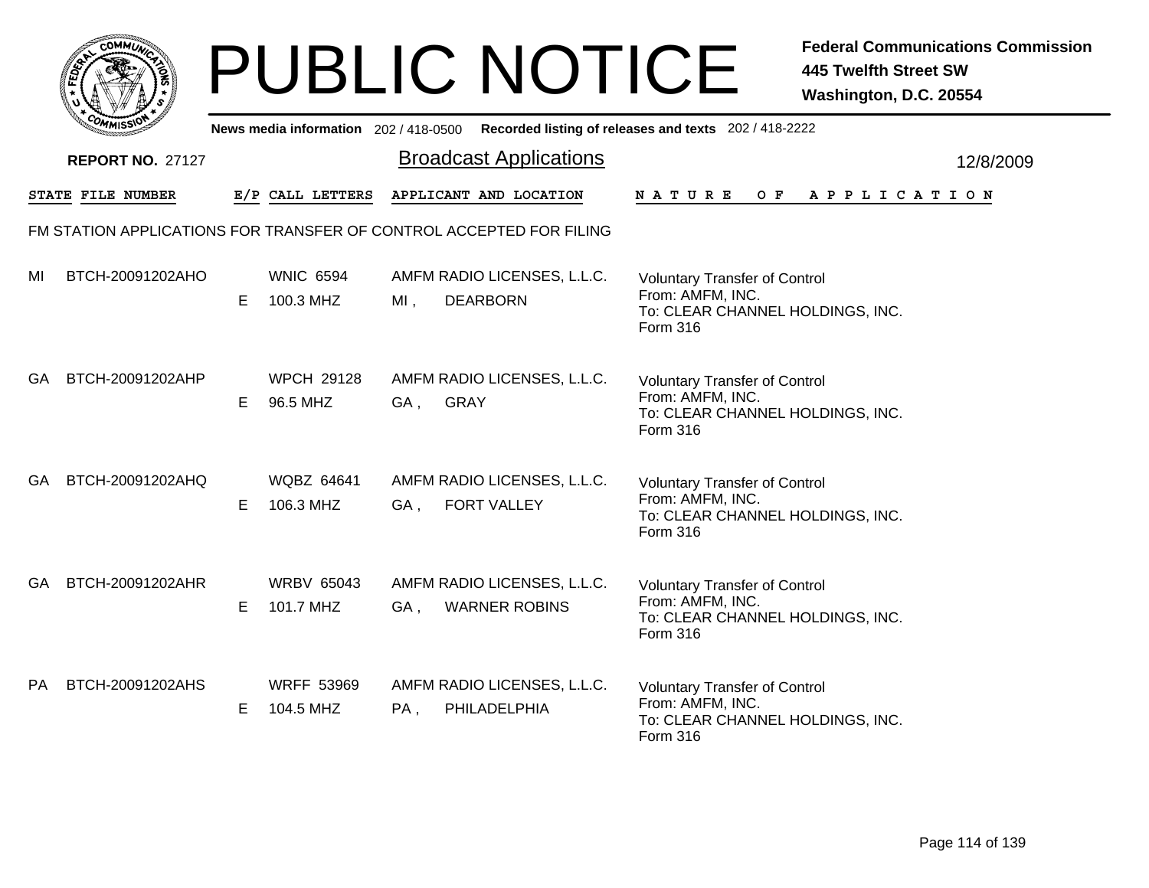|     | MMUNICT<br><b>CO</b> |  |
|-----|----------------------|--|
| ప్త |                      |  |
|     |                      |  |
|     | COMI<br>MISS<br>m    |  |

|     | יככוומדי                |    |                                |     |                                                                     | News media information 202/418-0500 Recorded listing of releases and texts 202/418-2222                  |           |
|-----|-------------------------|----|--------------------------------|-----|---------------------------------------------------------------------|----------------------------------------------------------------------------------------------------------|-----------|
|     | <b>REPORT NO. 27127</b> |    |                                |     | <b>Broadcast Applications</b>                                       |                                                                                                          | 12/8/2009 |
|     | STATE FILE NUMBER       |    | E/P CALL LETTERS               |     | APPLICANT AND LOCATION                                              | NATURE<br>O F<br>APPLICATION                                                                             |           |
|     |                         |    |                                |     | FM STATION APPLICATIONS FOR TRANSFER OF CONTROL ACCEPTED FOR FILING |                                                                                                          |           |
| MI  | BTCH-20091202AHO        | E. | <b>WNIC 6594</b><br>100.3 MHZ  | MI, | AMFM RADIO LICENSES, L.L.C.<br><b>DEARBORN</b>                      | <b>Voluntary Transfer of Control</b><br>From: AMFM, INC.<br>To: CLEAR CHANNEL HOLDINGS, INC.<br>Form 316 |           |
| GA. | BTCH-20091202AHP        | E. | <b>WPCH 29128</b><br>96.5 MHZ  | GA, | AMFM RADIO LICENSES, L.L.C.<br><b>GRAY</b>                          | <b>Voluntary Transfer of Control</b><br>From: AMFM, INC.<br>To: CLEAR CHANNEL HOLDINGS, INC.<br>Form 316 |           |
| GA. | BTCH-20091202AHQ        | Е  | <b>WQBZ 64641</b><br>106.3 MHZ | GA, | AMFM RADIO LICENSES, L.L.C.<br><b>FORT VALLEY</b>                   | <b>Voluntary Transfer of Control</b><br>From: AMFM, INC.<br>To: CLEAR CHANNEL HOLDINGS, INC.<br>Form 316 |           |
| GA. | BTCH-20091202AHR        | E. | <b>WRBV 65043</b><br>101.7 MHZ | GA, | AMFM RADIO LICENSES, L.L.C.<br><b>WARNER ROBINS</b>                 | <b>Voluntary Transfer of Control</b><br>From: AMFM, INC.<br>To: CLEAR CHANNEL HOLDINGS, INC.<br>Form 316 |           |
| PA. | BTCH-20091202AHS        | E. | <b>WRFF 53969</b><br>104.5 MHZ | PA, | AMFM RADIO LICENSES, L.L.C.<br>PHILADELPHIA                         | <b>Voluntary Transfer of Control</b><br>From: AMFM, INC.<br>To: CLEAR CHANNEL HOLDINGS, INC.<br>Form 316 |           |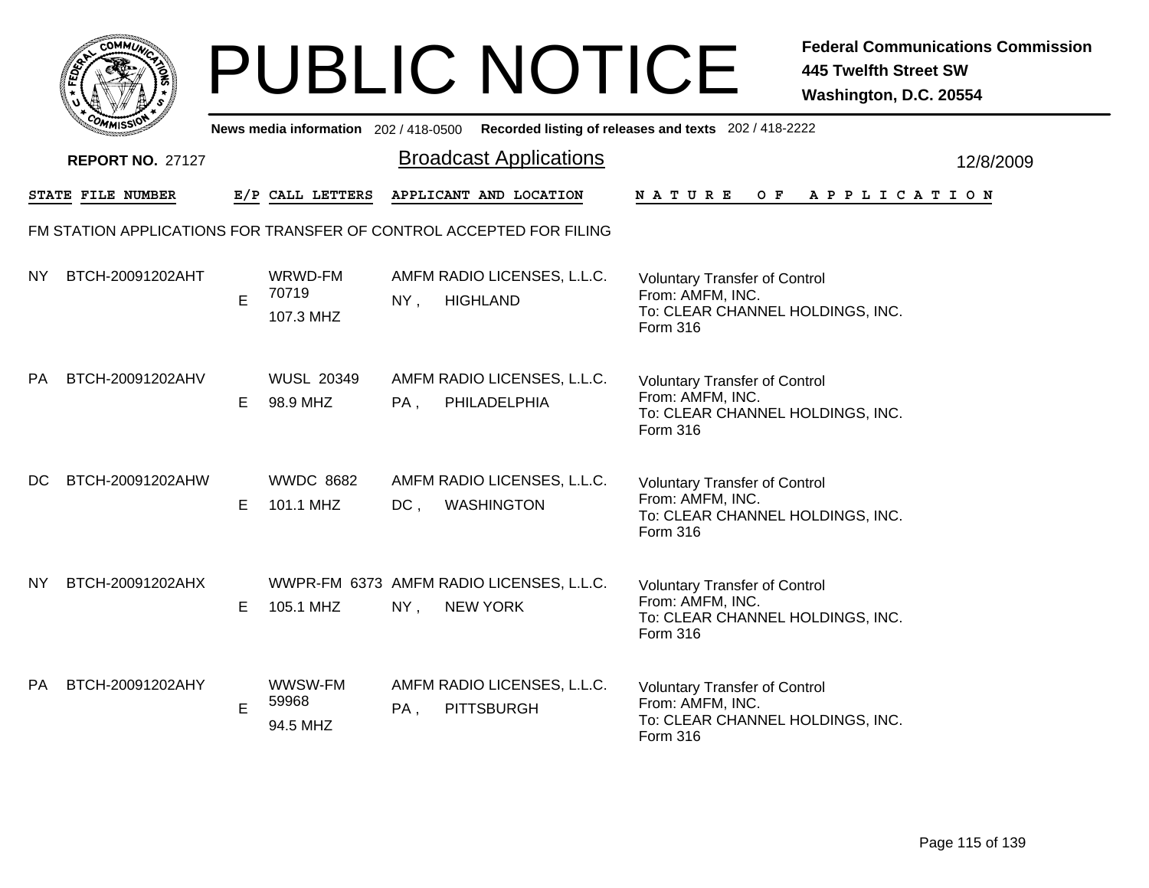|                   | <b>MMUNA</b><br>$C_{\mathbf{U}}$ |  |
|-------------------|----------------------------------|--|
| FED <sub>ET</sub> | ୍ତ                               |  |
|                   |                                  |  |
|                   | COM<br>MISS                      |  |

|           | <b>COMMISSIO</b>        |    | News media information 202 / 418-0500 |        |                                                                     | Recorded listing of releases and texts 202 / 418-2222                                                           |           |
|-----------|-------------------------|----|---------------------------------------|--------|---------------------------------------------------------------------|-----------------------------------------------------------------------------------------------------------------|-----------|
|           | <b>REPORT NO. 27127</b> |    |                                       |        | <b>Broadcast Applications</b>                                       |                                                                                                                 | 12/8/2009 |
|           | STATE FILE NUMBER       |    | E/P CALL LETTERS                      |        | APPLICANT AND LOCATION                                              | O F<br>N A T U R E<br>A P P L I C A T I O N                                                                     |           |
|           |                         |    |                                       |        | FM STATION APPLICATIONS FOR TRANSFER OF CONTROL ACCEPTED FOR FILING |                                                                                                                 |           |
| ΝY        | BTCH-20091202AHT        | E  | WRWD-FM<br>70719<br>107.3 MHZ         | NY,    | AMFM RADIO LICENSES, L.L.C.<br><b>HIGHLAND</b>                      | <b>Voluntary Transfer of Control</b><br>From: AMFM, INC.<br>To: CLEAR CHANNEL HOLDINGS, INC.<br>Form 316        |           |
| <b>PA</b> | BTCH-20091202AHV        | Е  | <b>WUSL 20349</b><br>98.9 MHZ         | PA,    | AMFM RADIO LICENSES, L.L.C.<br>PHILADELPHIA                         | <b>Voluntary Transfer of Control</b><br>From: AMFM, INC.<br>To: CLEAR CHANNEL HOLDINGS, INC.<br>Form 316        |           |
| DC.       | BTCH-20091202AHW        | Е  | <b>WWDC 8682</b><br>101.1 MHZ         | $DC$ , | AMFM RADIO LICENSES, L.L.C.<br><b>WASHINGTON</b>                    | <b>Voluntary Transfer of Control</b><br>From: AMFM, INC.<br>To: CLEAR CHANNEL HOLDINGS, INC.<br>Form 316        |           |
| <b>NY</b> | BTCH-20091202AHX        | E. | 105.1 MHZ                             | NY,    | WWPR-FM 6373 AMFM RADIO LICENSES, L.L.C.<br><b>NEW YORK</b>         | <b>Voluntary Transfer of Control</b><br>From: AMFM, INC.<br>To: CLEAR CHANNEL HOLDINGS, INC.<br>Form 316        |           |
| <b>PA</b> | BTCH-20091202AHY        | Е  | WWSW-FM<br>59968<br>94.5 MHZ          | PA,    | AMFM RADIO LICENSES, L.L.C.<br><b>PITTSBURGH</b>                    | <b>Voluntary Transfer of Control</b><br>From: AMFM, INC.<br>To: CLEAR CHANNEL HOLDINGS, INC.<br><b>Form 316</b> |           |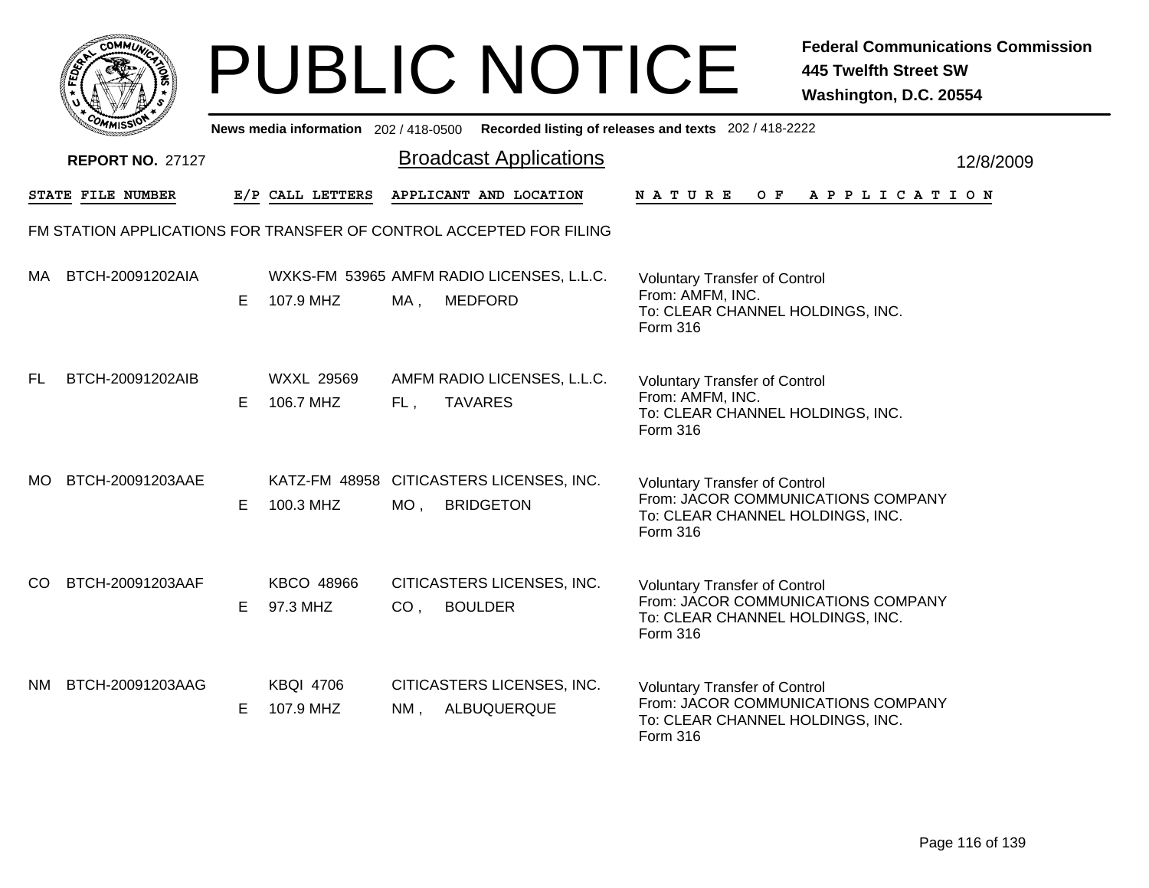|              | <b>MMUNA</b><br>r.Ol<br>¢ |  |
|--------------|---------------------------|--|
| <b>FEDET</b> | 7                         |  |
|              |                           |  |
|              | COM<br>MISS<br>----       |  |

|     | OMMISSIO                |    | News media information 202 / 418-0500 |                 |                                                                     | Recorded listing of releases and texts 202 / 418-2222                                                                      |           |
|-----|-------------------------|----|---------------------------------------|-----------------|---------------------------------------------------------------------|----------------------------------------------------------------------------------------------------------------------------|-----------|
|     | <b>REPORT NO. 27127</b> |    |                                       |                 | <b>Broadcast Applications</b>                                       |                                                                                                                            | 12/8/2009 |
|     | STATE FILE NUMBER       |    | E/P CALL LETTERS                      |                 | APPLICANT AND LOCATION                                              | <b>NATURE</b><br>O F<br>A P P L I C A T I O N                                                                              |           |
|     |                         |    |                                       |                 | FM STATION APPLICATIONS FOR TRANSFER OF CONTROL ACCEPTED FOR FILING |                                                                                                                            |           |
| MA. | BTCH-20091202AIA        | E. | 107.9 MHZ                             | MA,             | WXKS-FM 53965 AMFM RADIO LICENSES, L.L.C.<br><b>MEDFORD</b>         | <b>Voluntary Transfer of Control</b><br>From: AMFM, INC.<br>To: CLEAR CHANNEL HOLDINGS, INC.<br>Form 316                   |           |
| FL  | BTCH-20091202AIB        | Е  | <b>WXXL 29569</b><br>106.7 MHZ        | FL,             | AMFM RADIO LICENSES, L.L.C.<br><b>TAVARES</b>                       | <b>Voluntary Transfer of Control</b><br>From: AMFM, INC.<br>To: CLEAR CHANNEL HOLDINGS, INC.<br>Form 316                   |           |
| MO. | BTCH-20091203AAE        | Е  | 100.3 MHZ                             | $MO$ ,          | KATZ-FM 48958 CITICASTERS LICENSES, INC.<br><b>BRIDGETON</b>        | <b>Voluntary Transfer of Control</b><br>From: JACOR COMMUNICATIONS COMPANY<br>To: CLEAR CHANNEL HOLDINGS, INC.<br>Form 316 |           |
| CO. | BTCH-20091203AAF        | Е  | KBCO 48966<br>97.3 MHZ                | CO <sub>1</sub> | CITICASTERS LICENSES, INC.<br><b>BOULDER</b>                        | <b>Voluntary Transfer of Control</b><br>From: JACOR COMMUNICATIONS COMPANY<br>To: CLEAR CHANNEL HOLDINGS, INC.<br>Form 316 |           |
| NM. | BTCH-20091203AAG        | E  | <b>KBQI 4706</b><br>107.9 MHZ         | NM,             | CITICASTERS LICENSES, INC.<br>ALBUQUERQUE                           | <b>Voluntary Transfer of Control</b><br>From: JACOR COMMUNICATIONS COMPANY<br>To: CLEAR CHANNEL HOLDINGS, INC.<br>Form 316 |           |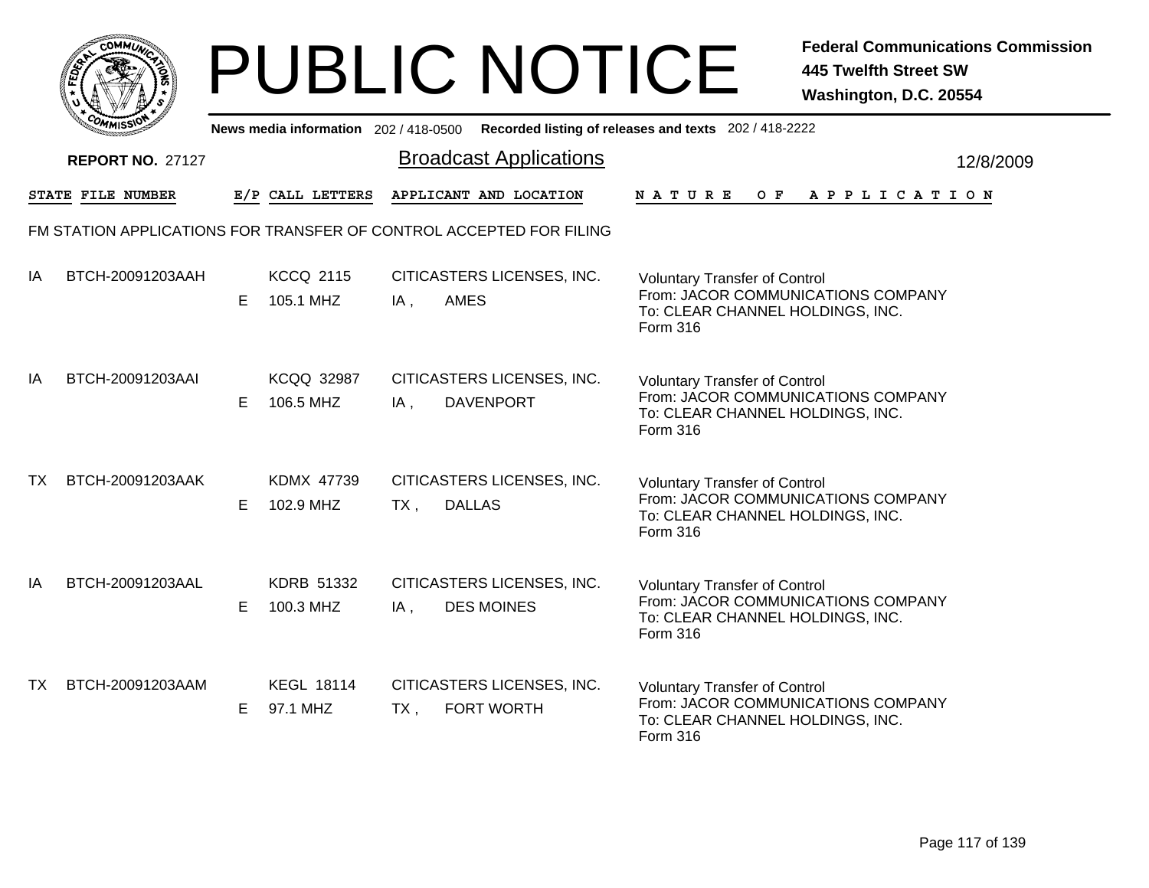|     | MMUNICT<br><b>CO</b> |  |
|-----|----------------------|--|
| ప్త |                      |  |
|     |                      |  |
|     | COMI<br>MISS<br>m    |  |

|    | יככוואויי               |    |                                |        |                                                                     | News media information 202/418-0500 Recorded listing of releases and texts 202/418-2222                                           |                       |           |
|----|-------------------------|----|--------------------------------|--------|---------------------------------------------------------------------|-----------------------------------------------------------------------------------------------------------------------------------|-----------------------|-----------|
|    | <b>REPORT NO. 27127</b> |    |                                |        | <b>Broadcast Applications</b>                                       |                                                                                                                                   |                       | 12/8/2009 |
|    | STATE FILE NUMBER       |    | E/P CALL LETTERS               |        | APPLICANT AND LOCATION                                              | <b>NATURE</b><br>O F                                                                                                              | A P P L I C A T I O N |           |
|    |                         |    |                                |        | FM STATION APPLICATIONS FOR TRANSFER OF CONTROL ACCEPTED FOR FILING |                                                                                                                                   |                       |           |
| IA | BTCH-20091203AAH        | E. | <b>KCCQ 2115</b><br>105.1 MHZ  | $IA$ , | CITICASTERS LICENSES, INC.<br><b>AMES</b>                           | <b>Voluntary Transfer of Control</b><br>From: JACOR COMMUNICATIONS COMPANY<br>To: CLEAR CHANNEL HOLDINGS, INC.<br>Form 316        |                       |           |
| IA | BTCH-20091203AAI        | E. | <b>KCQQ 32987</b><br>106.5 MHZ | IA,    | CITICASTERS LICENSES, INC.<br><b>DAVENPORT</b>                      | <b>Voluntary Transfer of Control</b><br>From: JACOR COMMUNICATIONS COMPANY<br>To: CLEAR CHANNEL HOLDINGS, INC.<br><b>Form 316</b> |                       |           |
| TX | BTCH-20091203AAK        | E. | <b>KDMX 47739</b><br>102.9 MHZ | TX,    | CITICASTERS LICENSES, INC.<br><b>DALLAS</b>                         | <b>Voluntary Transfer of Control</b><br>From: JACOR COMMUNICATIONS COMPANY<br>To: CLEAR CHANNEL HOLDINGS, INC.<br><b>Form 316</b> |                       |           |
| IA | BTCH-20091203AAL        | E  | KDRB 51332<br>100.3 MHZ        | IA,    | CITICASTERS LICENSES, INC.<br><b>DES MOINES</b>                     | <b>Voluntary Transfer of Control</b><br>From: JACOR COMMUNICATIONS COMPANY<br>To: CLEAR CHANNEL HOLDINGS, INC.<br>Form 316        |                       |           |
| TX | BTCH-20091203AAM        | E. | <b>KEGL 18114</b><br>97.1 MHZ  | $TX$ , | CITICASTERS LICENSES, INC.<br>FORT WORTH                            | <b>Voluntary Transfer of Control</b><br>From: JACOR COMMUNICATIONS COMPANY<br>To: CLEAR CHANNEL HOLDINGS, INC.<br>Form 316        |                       |           |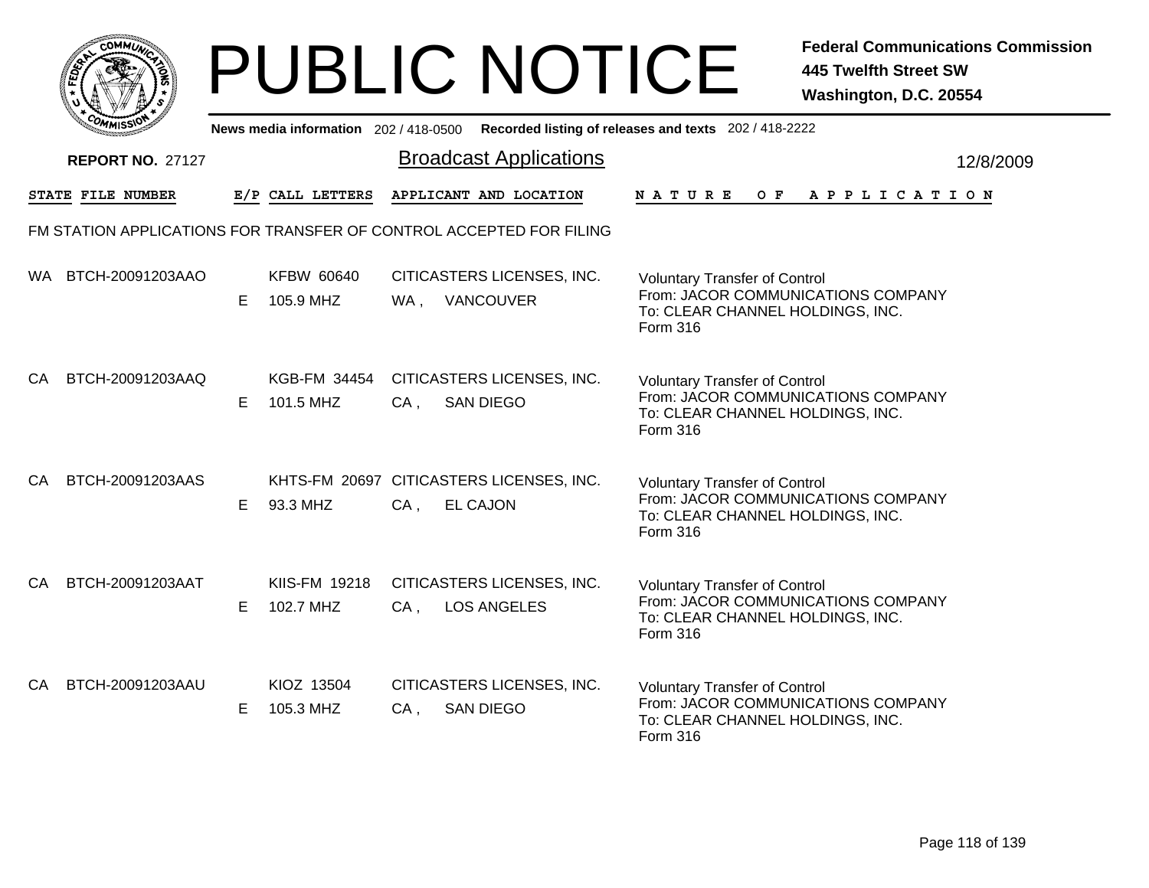|     | MMUNICT<br><b>CO</b> |  |
|-----|----------------------|--|
| ప్త |                      |  |
|     |                      |  |
|     | COMI<br>MISS<br>m    |  |

|      | יככוומיי                                                            |    |                                |        |                                                             | News media information 202/418-0500 Recorded listing of releases and texts 202/418-2222                                    |           |
|------|---------------------------------------------------------------------|----|--------------------------------|--------|-------------------------------------------------------------|----------------------------------------------------------------------------------------------------------------------------|-----------|
|      | <b>REPORT NO. 27127</b>                                             |    |                                |        | <b>Broadcast Applications</b>                               |                                                                                                                            | 12/8/2009 |
|      | STATE FILE NUMBER                                                   |    | E/P CALL LETTERS               |        | APPLICANT AND LOCATION                                      | N A T U R E<br>OF APPLICATION                                                                                              |           |
|      | FM STATION APPLICATIONS FOR TRANSFER OF CONTROL ACCEPTED FOR FILING |    |                                |        |                                                             |                                                                                                                            |           |
| WA . | BTCH-20091203AAO                                                    | E. | <b>KFBW 60640</b><br>105.9 MHZ |        | CITICASTERS LICENSES, INC.<br>WA, VANCOUVER                 | <b>Voluntary Transfer of Control</b><br>From: JACOR COMMUNICATIONS COMPANY<br>To: CLEAR CHANNEL HOLDINGS, INC.<br>Form 316 |           |
| CA   | BTCH-20091203AAQ                                                    | E. | KGB-FM 34454<br>101.5 MHZ      | CA,    | CITICASTERS LICENSES, INC.<br><b>SAN DIEGO</b>              | <b>Voluntary Transfer of Control</b><br>From: JACOR COMMUNICATIONS COMPANY<br>To: CLEAR CHANNEL HOLDINGS, INC.<br>Form 316 |           |
| CA   | BTCH-20091203AAS                                                    | E. | 93.3 MHZ                       | $CA$ , | KHTS-FM 20697 CITICASTERS LICENSES, INC.<br><b>EL CAJON</b> | <b>Voluntary Transfer of Control</b><br>From: JACOR COMMUNICATIONS COMPANY<br>To: CLEAR CHANNEL HOLDINGS, INC.<br>Form 316 |           |
| CA   | BTCH-20091203AAT                                                    | E. | KIIS-FM 19218<br>102.7 MHZ     | $CA$ , | CITICASTERS LICENSES, INC.<br><b>LOS ANGELES</b>            | <b>Voluntary Transfer of Control</b><br>From: JACOR COMMUNICATIONS COMPANY<br>To: CLEAR CHANNEL HOLDINGS, INC.<br>Form 316 |           |
| CA   | BTCH-20091203AAU                                                    | E. | KIOZ 13504<br>105.3 MHZ        | $CA$ , | CITICASTERS LICENSES, INC.<br><b>SAN DIEGO</b>              | <b>Voluntary Transfer of Control</b><br>From: JACOR COMMUNICATIONS COMPANY<br>To: CLEAR CHANNEL HOLDINGS, INC.<br>Form 316 |           |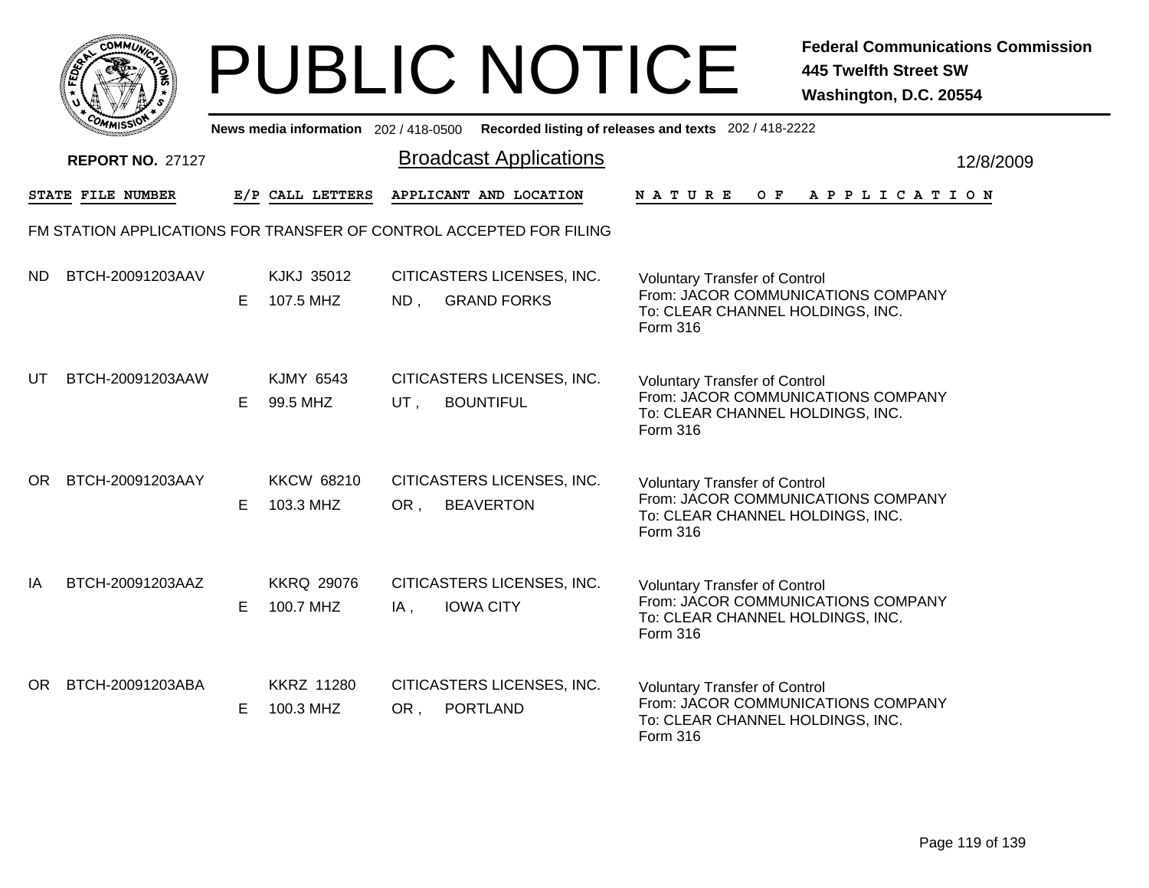|           | <b>MMUNICT</b><br>CO <sub>1</sub> |  |
|-----------|-----------------------------------|--|
| ট্রু<br>c |                                   |  |
|           |                                   |  |
|           | COM<br>MISS'<br>----              |  |

|     | יככוומדי                                                            |    |                                |     |                                                | News media information 202/418-0500 Recorded listing of releases and texts 202/418-2222                                    |           |
|-----|---------------------------------------------------------------------|----|--------------------------------|-----|------------------------------------------------|----------------------------------------------------------------------------------------------------------------------------|-----------|
|     | <b>REPORT NO. 27127</b>                                             |    |                                |     | <b>Broadcast Applications</b>                  |                                                                                                                            | 12/8/2009 |
|     | STATE FILE NUMBER                                                   |    | E/P CALL LETTERS               |     | APPLICANT AND LOCATION                         | OF APPLICATION<br>N A T U R E                                                                                              |           |
|     | FM STATION APPLICATIONS FOR TRANSFER OF CONTROL ACCEPTED FOR FILING |    |                                |     |                                                |                                                                                                                            |           |
| ND. | BTCH-20091203AAV                                                    | E. | KJKJ 35012<br>107.5 MHZ        |     | CITICASTERS LICENSES, INC.<br>ND, GRAND FORKS  | <b>Voluntary Transfer of Control</b><br>From: JACOR COMMUNICATIONS COMPANY<br>To: CLEAR CHANNEL HOLDINGS, INC.<br>Form 316 |           |
| UT  | BTCH-20091203AAW                                                    | E. | <b>KJMY 6543</b><br>99.5 MHZ   | UT, | CITICASTERS LICENSES, INC.<br><b>BOUNTIFUL</b> | <b>Voluntary Transfer of Control</b><br>From: JACOR COMMUNICATIONS COMPANY<br>To: CLEAR CHANNEL HOLDINGS, INC.<br>Form 316 |           |
| OR. | BTCH-20091203AAY                                                    | E. | <b>KKCW 68210</b><br>103.3 MHZ | OR, | CITICASTERS LICENSES, INC.<br><b>BEAVERTON</b> | <b>Voluntary Transfer of Control</b><br>From: JACOR COMMUNICATIONS COMPANY<br>To: CLEAR CHANNEL HOLDINGS, INC.<br>Form 316 |           |
| IA  | BTCH-20091203AAZ                                                    | E. | <b>KKRQ 29076</b><br>100.7 MHZ | IA, | CITICASTERS LICENSES, INC.<br><b>IOWA CITY</b> | <b>Voluntary Transfer of Control</b><br>From: JACOR COMMUNICATIONS COMPANY<br>To: CLEAR CHANNEL HOLDINGS, INC.<br>Form 316 |           |
| OR. | BTCH-20091203ABA                                                    | E. | <b>KKRZ 11280</b><br>100.3 MHZ | OR, | CITICASTERS LICENSES, INC.<br><b>PORTLAND</b>  | <b>Voluntary Transfer of Control</b><br>From: JACOR COMMUNICATIONS COMPANY<br>To: CLEAR CHANNEL HOLDINGS, INC.<br>Form 316 |           |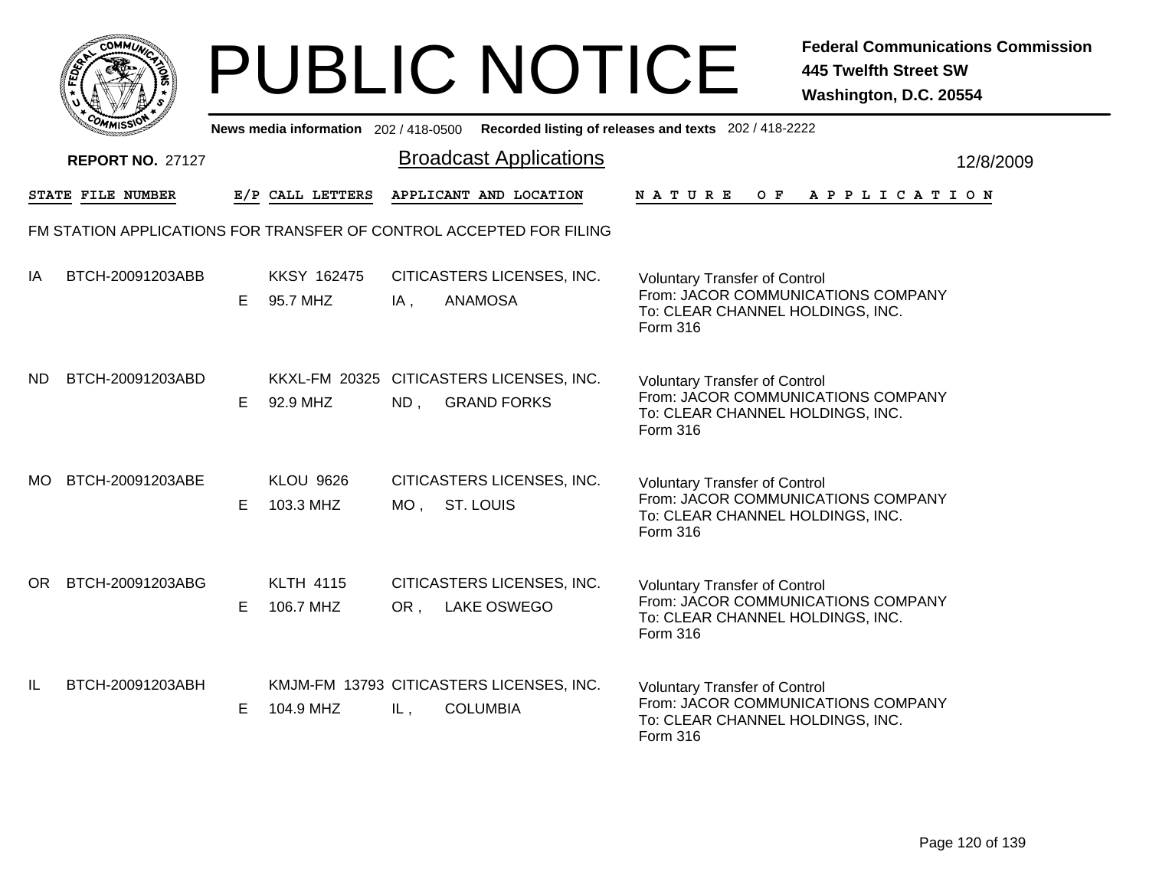|     | MMUNICT<br><b>CO</b> |  |
|-----|----------------------|--|
| ప్త |                      |  |
|     |                      |  |
|     | COMI<br>MISS<br>m    |  |

|           | <b>COMMISSI</b>         |    | News media information 202 / 418-0500 |        |                                                                     | Recorded listing of releases and texts 202 / 418-2222                                                                             |           |
|-----------|-------------------------|----|---------------------------------------|--------|---------------------------------------------------------------------|-----------------------------------------------------------------------------------------------------------------------------------|-----------|
|           | <b>REPORT NO. 27127</b> |    |                                       |        | <b>Broadcast Applications</b>                                       |                                                                                                                                   | 12/8/2009 |
|           | STATE FILE NUMBER       |    | E/P CALL LETTERS                      |        | APPLICANT AND LOCATION                                              | OF APPLICATION<br>N A T U R E                                                                                                     |           |
|           |                         |    |                                       |        | FM STATION APPLICATIONS FOR TRANSFER OF CONTROL ACCEPTED FOR FILING |                                                                                                                                   |           |
| IA        | BTCH-20091203ABB        | E. | <b>KKSY 162475</b><br>95.7 MHZ        | $IA$ , | CITICASTERS LICENSES, INC.<br><b>ANAMOSA</b>                        | <b>Voluntary Transfer of Control</b><br>From: JACOR COMMUNICATIONS COMPANY<br>To: CLEAR CHANNEL HOLDINGS, INC.<br>Form 316        |           |
| <b>ND</b> | BTCH-20091203ABD        | E. | 92.9 MHZ                              | ND,    | KKXL-FM 20325 CITICASTERS LICENSES, INC.<br><b>GRAND FORKS</b>      | <b>Voluntary Transfer of Control</b><br>From: JACOR COMMUNICATIONS COMPANY<br>To: CLEAR CHANNEL HOLDINGS, INC.<br>Form 316        |           |
| MO.       | BTCH-20091203ABE        | E. | <b>KLOU 9626</b><br>103.3 MHZ         | MO ,   | CITICASTERS LICENSES, INC.<br><b>ST. LOUIS</b>                      | <b>Voluntary Transfer of Control</b><br>From: JACOR COMMUNICATIONS COMPANY<br>To: CLEAR CHANNEL HOLDINGS, INC.<br>Form 316        |           |
| OR.       | BTCH-20091203ABG        | E. | <b>KLTH 4115</b><br>106.7 MHZ         | OR,    | CITICASTERS LICENSES, INC.<br><b>LAKE OSWEGO</b>                    | <b>Voluntary Transfer of Control</b><br>From: JACOR COMMUNICATIONS COMPANY<br>To: CLEAR CHANNEL HOLDINGS, INC.<br>Form 316        |           |
| IL        | BTCH-20091203ABH        | E. | 104.9 MHZ                             | IL,    | KMJM-FM 13793 CITICASTERS LICENSES, INC.<br><b>COLUMBIA</b>         | <b>Voluntary Transfer of Control</b><br>From: JACOR COMMUNICATIONS COMPANY<br>To: CLEAR CHANNEL HOLDINGS, INC.<br><b>Form 316</b> |           |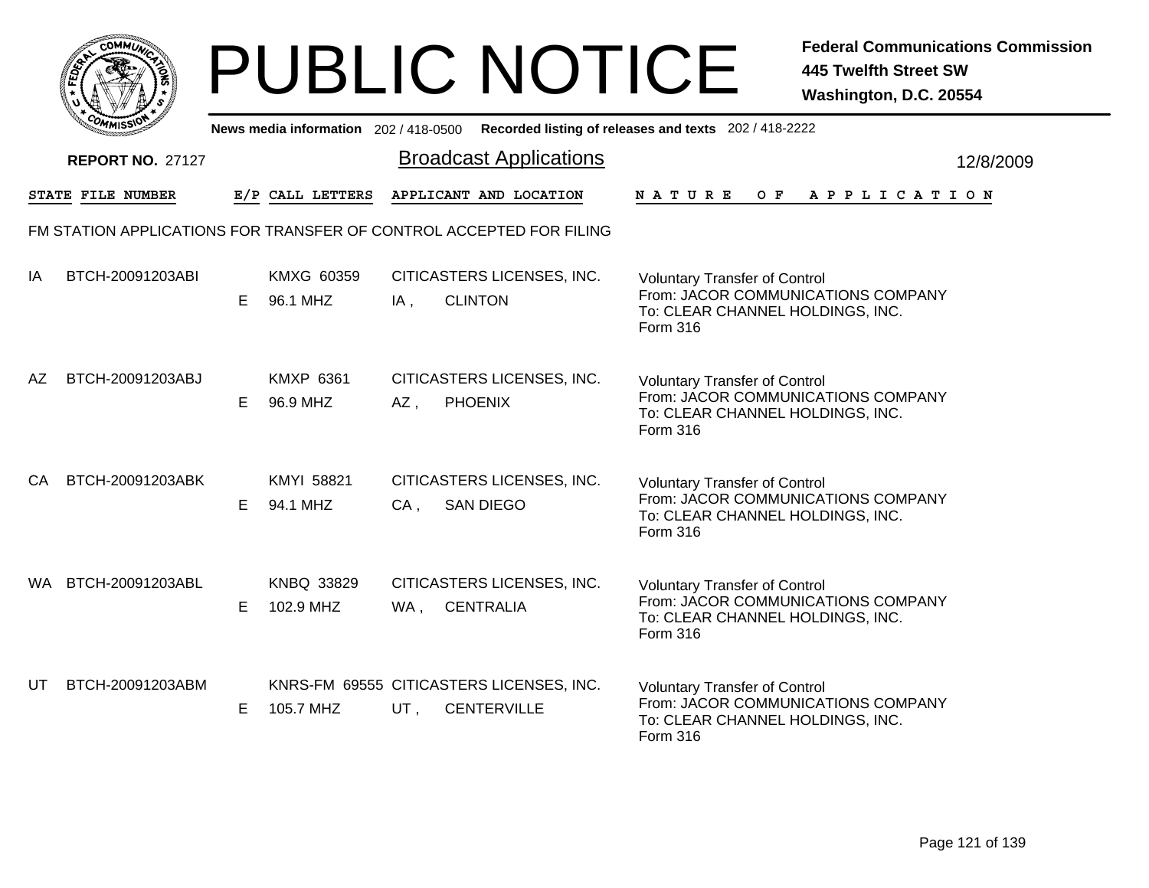|     | MMUNICT<br><b>CO</b> |  |
|-----|----------------------|--|
| ప్త |                      |  |
|     |                      |  |
|     | COMI<br>MISS<br>m    |  |

|    | יככוומי                                                             |    |                              |        | News media information 202/418-0500 Recorded listing of releases and texts 202/418-2222 |                 |                                                                                                                |  |         |  |  |                       |  |           |
|----|---------------------------------------------------------------------|----|------------------------------|--------|-----------------------------------------------------------------------------------------|-----------------|----------------------------------------------------------------------------------------------------------------|--|---------|--|--|-----------------------|--|-----------|
|    | <b>REPORT NO. 27127</b>                                             |    |                              |        | <b>Broadcast Applications</b>                                                           |                 |                                                                                                                |  |         |  |  |                       |  | 12/8/2009 |
|    | STATE FILE NUMBER                                                   |    | E/P CALL LETTERS             |        | APPLICANT AND LOCATION                                                                  | NATURE          |                                                                                                                |  | $O$ $F$ |  |  | A P P L I C A T I O N |  |           |
|    | FM STATION APPLICATIONS FOR TRANSFER OF CONTROL ACCEPTED FOR FILING |    |                              |        |                                                                                         |                 |                                                                                                                |  |         |  |  |                       |  |           |
| IA | BTCH-20091203ABI                                                    | E. | KMXG 60359<br>96.1 MHZ       | $IA$ , | CITICASTERS LICENSES, INC.<br><b>CLINTON</b>                                            | <b>Form 316</b> | <b>Voluntary Transfer of Control</b><br>From: JACOR COMMUNICATIONS COMPANY<br>To: CLEAR CHANNEL HOLDINGS, INC. |  |         |  |  |                       |  |           |
| AΖ | BTCH-20091203ABJ                                                    | E. | <b>KMXP 6361</b><br>96.9 MHZ | AZ,    | CITICASTERS LICENSES, INC.<br><b>PHOENIX</b>                                            | Form 316        | <b>Voluntary Transfer of Control</b><br>From: JACOR COMMUNICATIONS COMPANY<br>To: CLEAR CHANNEL HOLDINGS, INC. |  |         |  |  |                       |  |           |
| CA | BTCH-20091203ABK                                                    | E. | KMYI 58821<br>94.1 MHZ       | $CA$ , | CITICASTERS LICENSES, INC.<br><b>SAN DIEGO</b>                                          | Form 316        | <b>Voluntary Transfer of Control</b><br>From: JACOR COMMUNICATIONS COMPANY<br>To: CLEAR CHANNEL HOLDINGS, INC. |  |         |  |  |                       |  |           |
|    | WA BTCH-20091203ABL                                                 | E  | KNBQ 33829<br>102.9 MHZ      | WA,    | CITICASTERS LICENSES, INC.<br><b>CENTRALIA</b>                                          | Form 316        | <b>Voluntary Transfer of Control</b><br>From: JACOR COMMUNICATIONS COMPANY<br>To: CLEAR CHANNEL HOLDINGS, INC. |  |         |  |  |                       |  |           |
| UT | BTCH-20091203ABM                                                    | E. | 105.7 MHZ                    | UT,    | KNRS-FM 69555 CITICASTERS LICENSES, INC.<br><b>CENTERVILLE</b>                          | Form 316        | <b>Voluntary Transfer of Control</b><br>From: JACOR COMMUNICATIONS COMPANY<br>To: CLEAR CHANNEL HOLDINGS, INC. |  |         |  |  |                       |  |           |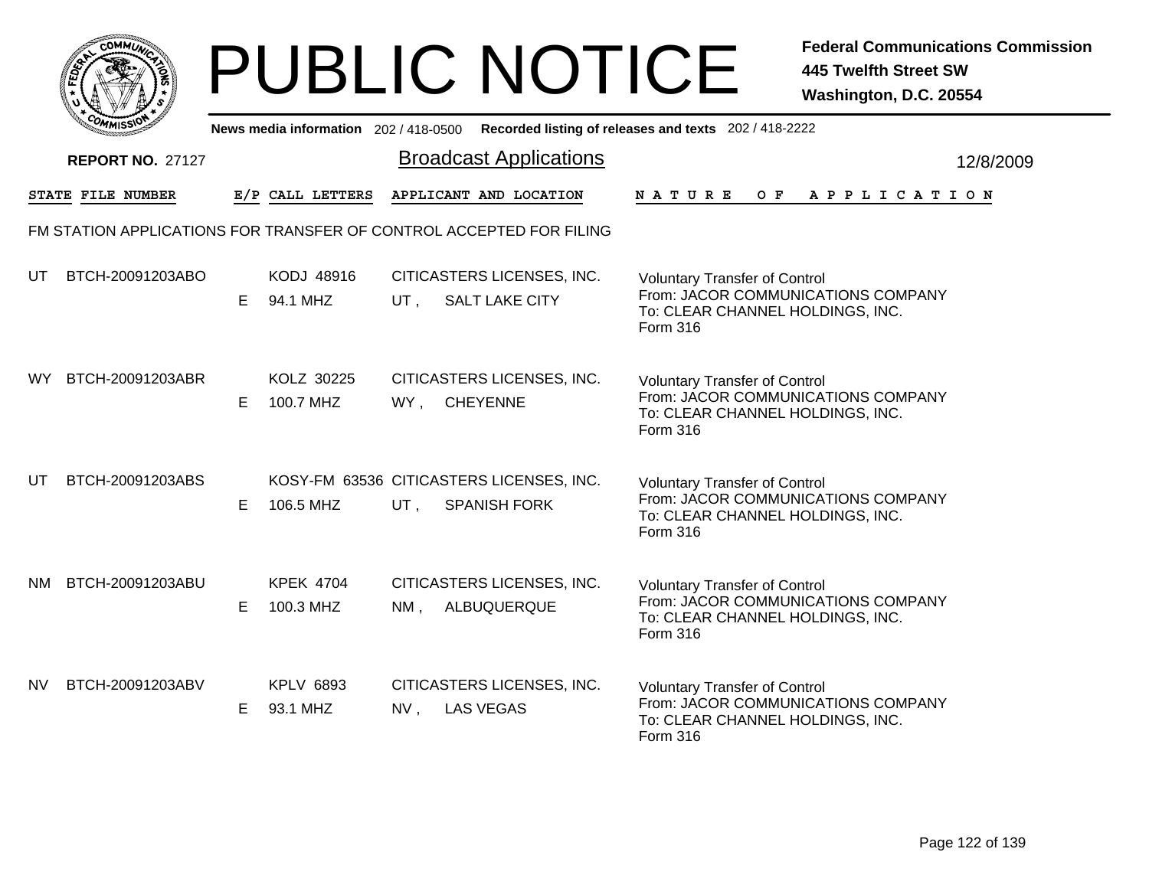|              | MMUNICT<br><b>CO</b> |  |
|--------------|----------------------|--|
| <b>FEDET</b> |                      |  |
|              |                      |  |
|              | COMI<br>MISS         |  |

|           | יככוומדי                |    |                               |        |                                                                     | News media information 202/418-0500 Recorded listing of releases and texts 202/418-2222                                           |           |
|-----------|-------------------------|----|-------------------------------|--------|---------------------------------------------------------------------|-----------------------------------------------------------------------------------------------------------------------------------|-----------|
|           | <b>REPORT NO. 27127</b> |    |                               |        | <b>Broadcast Applications</b>                                       |                                                                                                                                   | 12/8/2009 |
|           | STATE FILE NUMBER       |    | E/P CALL LETTERS              |        | APPLICANT AND LOCATION                                              | OF APPLICATION<br>N A T U R E                                                                                                     |           |
|           |                         |    |                               |        | FM STATION APPLICATIONS FOR TRANSFER OF CONTROL ACCEPTED FOR FILING |                                                                                                                                   |           |
| UT.       | BTCH-20091203ABO        | E. | KODJ 48916<br>94.1 MHZ        |        | CITICASTERS LICENSES, INC.<br>UT, SALT LAKE CITY                    | <b>Voluntary Transfer of Control</b><br>From: JACOR COMMUNICATIONS COMPANY<br>To: CLEAR CHANNEL HOLDINGS, INC.<br>Form 316        |           |
| <b>WY</b> | BTCH-20091203ABR        | E. | KOLZ 30225<br>100.7 MHZ       |        | CITICASTERS LICENSES, INC.<br>WY, CHEYENNE                          | <b>Voluntary Transfer of Control</b><br>From: JACOR COMMUNICATIONS COMPANY<br>To: CLEAR CHANNEL HOLDINGS, INC.<br>Form 316        |           |
| UT        | BTCH-20091203ABS        | E. | 106.5 MHZ                     | UT,    | KOSY-FM 63536 CITICASTERS LICENSES, INC.<br><b>SPANISH FORK</b>     | <b>Voluntary Transfer of Control</b><br>From: JACOR COMMUNICATIONS COMPANY<br>To: CLEAR CHANNEL HOLDINGS, INC.<br>Form 316        |           |
| NM.       | BTCH-20091203ABU        | E. | <b>KPEK 4704</b><br>100.3 MHZ | NM,    | CITICASTERS LICENSES, INC.<br>ALBUQUERQUE                           | <b>Voluntary Transfer of Control</b><br>From: JACOR COMMUNICATIONS COMPANY<br>To: CLEAR CHANNEL HOLDINGS, INC.<br>Form 316        |           |
| NV.       | BTCH-20091203ABV        | E. | <b>KPLV 6893</b><br>93.1 MHZ  | $NV$ , | CITICASTERS LICENSES, INC.<br><b>LAS VEGAS</b>                      | <b>Voluntary Transfer of Control</b><br>From: JACOR COMMUNICATIONS COMPANY<br>To: CLEAR CHANNEL HOLDINGS, INC.<br><b>Form 316</b> |           |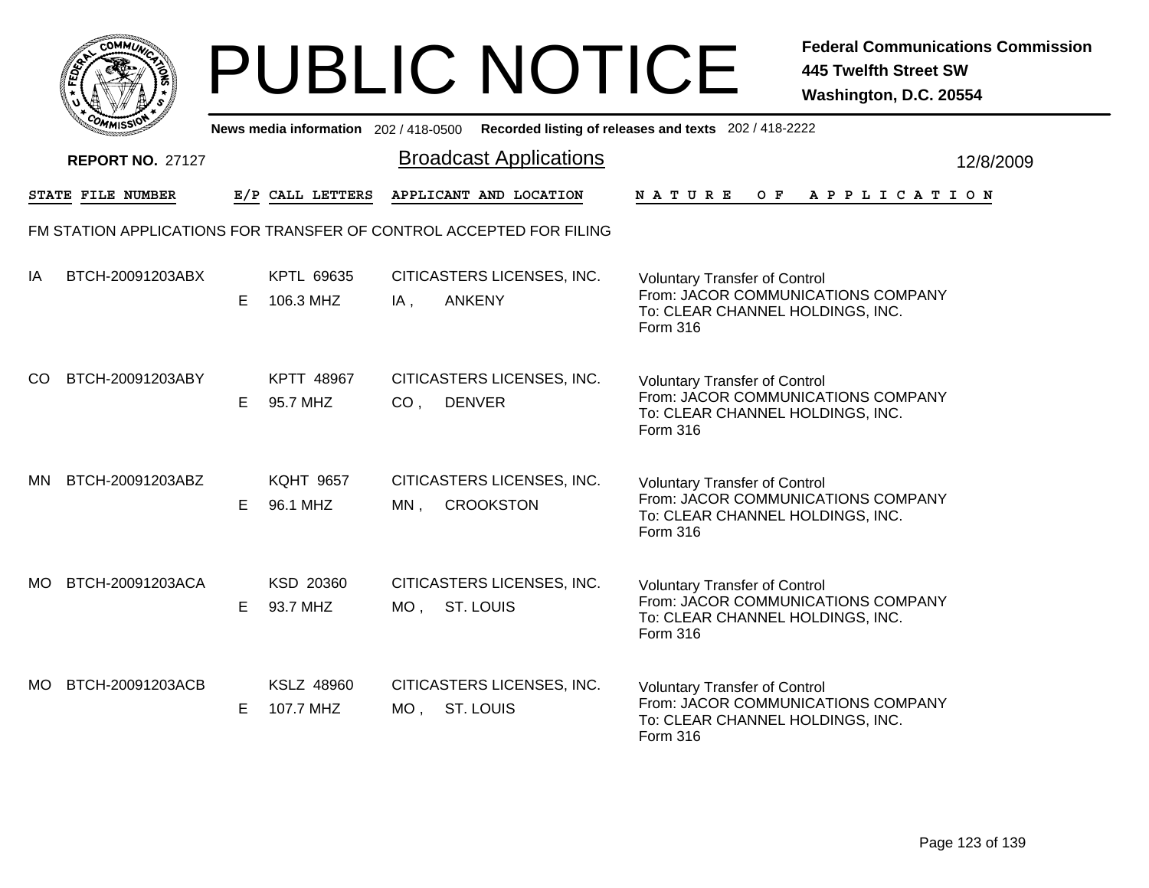|     | MMUNICT<br><b>CO</b> |  |
|-----|----------------------|--|
| ప్త |                      |  |
|     |                      |  |
|     | COMI<br>MISS<br>m    |  |

|           | יככוומיי                                                            |    |                              |                 | News media information 202/418-0500 Recorded listing of releases and texts 202/418-2222 |                                                                                                                            |  |              |  |  |                       |  |           |
|-----------|---------------------------------------------------------------------|----|------------------------------|-----------------|-----------------------------------------------------------------------------------------|----------------------------------------------------------------------------------------------------------------------------|--|--------------|--|--|-----------------------|--|-----------|
|           | <b>REPORT NO. 27127</b>                                             |    |                              |                 | <b>Broadcast Applications</b>                                                           |                                                                                                                            |  |              |  |  |                       |  | 12/8/2009 |
|           | STATE FILE NUMBER                                                   |    | E/P CALL LETTERS             |                 | APPLICANT AND LOCATION                                                                  | <b>NATURE</b>                                                                                                              |  | $O$ $\bf{F}$ |  |  | A P P L I C A T I O N |  |           |
|           | FM STATION APPLICATIONS FOR TRANSFER OF CONTROL ACCEPTED FOR FILING |    |                              |                 |                                                                                         |                                                                                                                            |  |              |  |  |                       |  |           |
| IA        | BTCH-20091203ABX                                                    | E. | KPTL 69635<br>106.3 MHZ      | IA,             | CITICASTERS LICENSES, INC.<br><b>ANKENY</b>                                             | <b>Voluntary Transfer of Control</b><br>From: JACOR COMMUNICATIONS COMPANY<br>To: CLEAR CHANNEL HOLDINGS, INC.<br>Form 316 |  |              |  |  |                       |  |           |
| CO.       | BTCH-20091203ABY                                                    | E. | KPTT 48967<br>95.7 MHZ       | CO <sub>1</sub> | CITICASTERS LICENSES, INC.<br><b>DENVER</b>                                             | <b>Voluntary Transfer of Control</b><br>From: JACOR COMMUNICATIONS COMPANY<br>To: CLEAR CHANNEL HOLDINGS, INC.<br>Form 316 |  |              |  |  |                       |  |           |
| <b>MN</b> | BTCH-20091203ABZ                                                    | E. | <b>KQHT 9657</b><br>96.1 MHZ | MN,             | CITICASTERS LICENSES, INC.<br><b>CROOKSTON</b>                                          | <b>Voluntary Transfer of Control</b><br>From: JACOR COMMUNICATIONS COMPANY<br>To: CLEAR CHANNEL HOLDINGS, INC.<br>Form 316 |  |              |  |  |                       |  |           |
| MO.       | BTCH-20091203ACA                                                    | E. | KSD 20360<br>93.7 MHZ        | MO, ST. LOUIS   | CITICASTERS LICENSES, INC.                                                              | <b>Voluntary Transfer of Control</b><br>From: JACOR COMMUNICATIONS COMPANY<br>To: CLEAR CHANNEL HOLDINGS, INC.<br>Form 316 |  |              |  |  |                       |  |           |
| MO.       | BTCH-20091203ACB                                                    | E. | KSLZ 48960<br>107.7 MHZ      | MO ,            | CITICASTERS LICENSES, INC.<br><b>ST. LOUIS</b>                                          | <b>Voluntary Transfer of Control</b><br>From: JACOR COMMUNICATIONS COMPANY<br>To: CLEAR CHANNEL HOLDINGS, INC.<br>Form 316 |  |              |  |  |                       |  |           |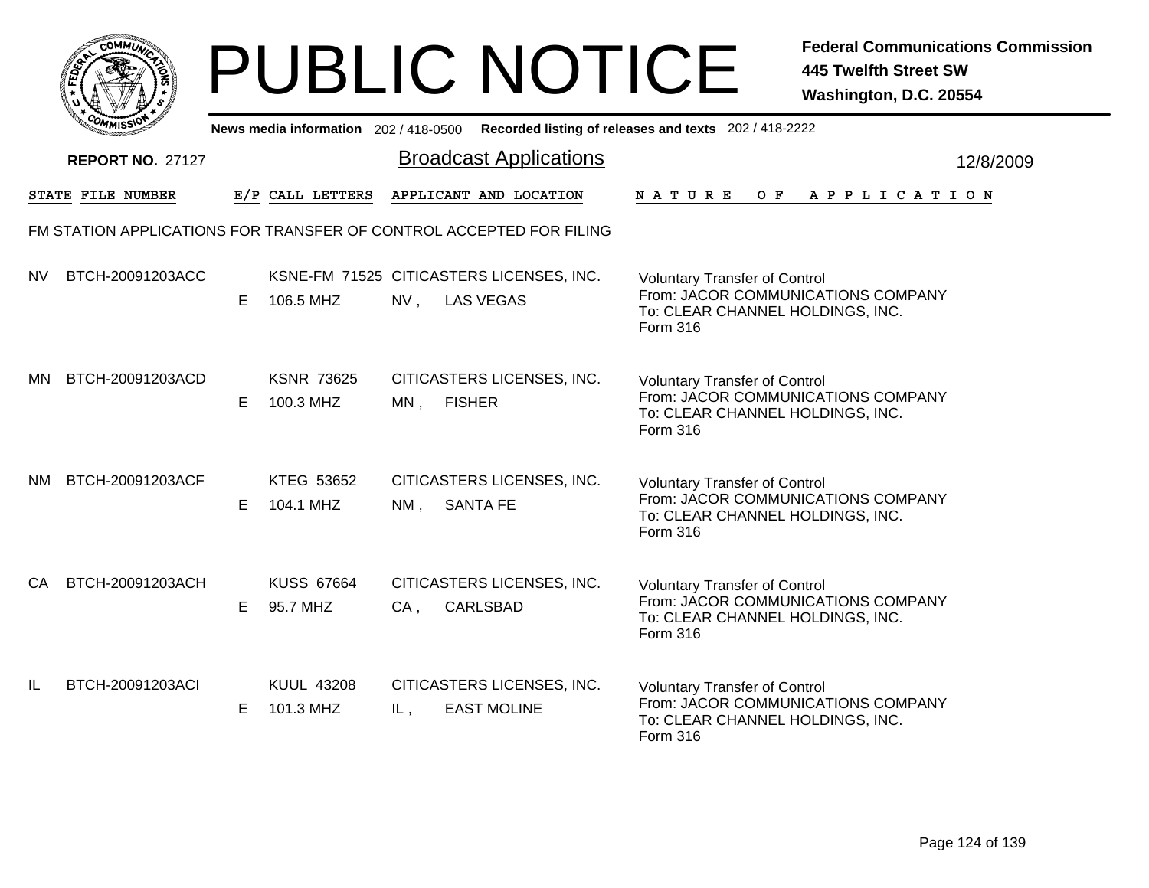|              | MMUNICT<br>c۵۱ |  |
|--------------|----------------|--|
| <b>FEDET</b> |                |  |
|              |                |  |
|              | COP<br>MISS    |  |

|           | <b>COMMISSION</b>       |    | News media information 202 / 418-0500 |        |                                                                     | Recorded listing of releases and texts 202 / 418-2222                                                                             |           |
|-----------|-------------------------|----|---------------------------------------|--------|---------------------------------------------------------------------|-----------------------------------------------------------------------------------------------------------------------------------|-----------|
|           | <b>REPORT NO. 27127</b> |    |                                       |        | <b>Broadcast Applications</b>                                       |                                                                                                                                   | 12/8/2009 |
|           | STATE FILE NUMBER       |    | E/P CALL LETTERS                      |        | APPLICANT AND LOCATION                                              | N A T U R E<br>OF APPLICATION                                                                                                     |           |
|           |                         |    |                                       |        | FM STATION APPLICATIONS FOR TRANSFER OF CONTROL ACCEPTED FOR FILING |                                                                                                                                   |           |
| <b>NV</b> | BTCH-20091203ACC        | E. | 106.5 MHZ                             | $NV$ , | KSNE-FM 71525 CITICASTERS LICENSES, INC.<br><b>LAS VEGAS</b>        | <b>Voluntary Transfer of Control</b><br>From: JACOR COMMUNICATIONS COMPANY<br>To: CLEAR CHANNEL HOLDINGS, INC.<br>Form 316        |           |
| ΜN        | BTCH-20091203ACD        | E. | <b>KSNR 73625</b><br>100.3 MHZ        | $MN$ , | CITICASTERS LICENSES, INC.<br><b>FISHER</b>                         | <b>Voluntary Transfer of Control</b><br>From: JACOR COMMUNICATIONS COMPANY<br>To: CLEAR CHANNEL HOLDINGS, INC.<br>Form 316        |           |
| NM.       | BTCH-20091203ACF        | E  | KTEG 53652<br>104.1 MHZ               | $NM$ , | CITICASTERS LICENSES, INC.<br><b>SANTA FE</b>                       | <b>Voluntary Transfer of Control</b><br>From: JACOR COMMUNICATIONS COMPANY<br>To: CLEAR CHANNEL HOLDINGS, INC.<br><b>Form 316</b> |           |
| CA.       | BTCH-20091203ACH        | E. | <b>KUSS 67664</b><br>95.7 MHZ         | $CA$ , | CITICASTERS LICENSES, INC.<br><b>CARLSBAD</b>                       | <b>Voluntary Transfer of Control</b><br>From: JACOR COMMUNICATIONS COMPANY<br>To: CLEAR CHANNEL HOLDINGS, INC.<br>Form 316        |           |
| IL        | BTCH-20091203ACI        | E. | <b>KUUL 43208</b><br>101.3 MHZ        | IL,    | CITICASTERS LICENSES, INC.<br><b>EAST MOLINE</b>                    | <b>Voluntary Transfer of Control</b><br>From: JACOR COMMUNICATIONS COMPANY<br>To: CLEAR CHANNEL HOLDINGS, INC.<br>Form 316        |           |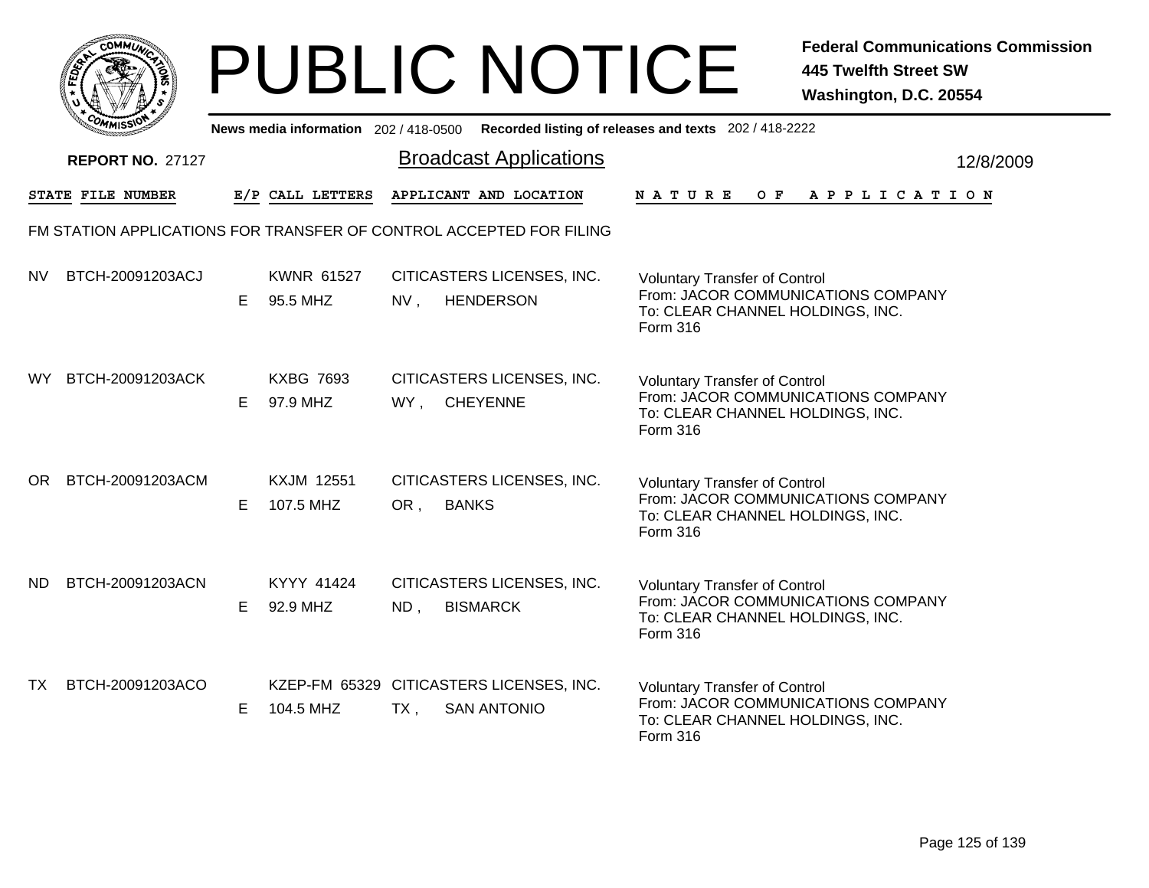|     | MMUNICT<br><b>CO</b> |  |
|-----|----------------------|--|
| ప్త |                      |  |
|     |                      |  |
|     | COMI<br>MISS<br>m    |  |

|           | יככוומיי                |    |                                |        | News media information 202/418-0500 Recorded listing of releases and texts 202/418-2222 |                                                                                                                            |  |     |  |  |                       |  |           |
|-----------|-------------------------|----|--------------------------------|--------|-----------------------------------------------------------------------------------------|----------------------------------------------------------------------------------------------------------------------------|--|-----|--|--|-----------------------|--|-----------|
|           | <b>REPORT NO. 27127</b> |    |                                |        | <b>Broadcast Applications</b>                                                           |                                                                                                                            |  |     |  |  |                       |  | 12/8/2009 |
|           | STATE FILE NUMBER       |    | E/P CALL LETTERS               |        | APPLICANT AND LOCATION                                                                  | <b>NATURE</b>                                                                                                              |  | O F |  |  | A P P L I C A T I O N |  |           |
|           |                         |    |                                |        | FM STATION APPLICATIONS FOR TRANSFER OF CONTROL ACCEPTED FOR FILING                     |                                                                                                                            |  |     |  |  |                       |  |           |
| <b>NV</b> | BTCH-20091203ACJ        | E. | <b>KWNR 61527</b><br>95.5 MHZ  | NV,    | CITICASTERS LICENSES, INC.<br><b>HENDERSON</b>                                          | <b>Voluntary Transfer of Control</b><br>From: JACOR COMMUNICATIONS COMPANY<br>To: CLEAR CHANNEL HOLDINGS, INC.<br>Form 316 |  |     |  |  |                       |  |           |
| WY.       | BTCH-20091203ACK        | E. | <b>KXBG 7693</b><br>97.9 MHZ   |        | CITICASTERS LICENSES, INC.<br>WY, CHEYENNE                                              | <b>Voluntary Transfer of Control</b><br>From: JACOR COMMUNICATIONS COMPANY<br>To: CLEAR CHANNEL HOLDINGS, INC.<br>Form 316 |  |     |  |  |                       |  |           |
| OR.       | BTCH-20091203ACM        | E. | <b>KXJM 12551</b><br>107.5 MHZ | OR,    | CITICASTERS LICENSES, INC.<br><b>BANKS</b>                                              | <b>Voluntary Transfer of Control</b><br>From: JACOR COMMUNICATIONS COMPANY<br>To: CLEAR CHANNEL HOLDINGS, INC.<br>Form 316 |  |     |  |  |                       |  |           |
| ND.       | BTCH-20091203ACN        | E. | KYYY 41424<br>92.9 MHZ         | ND,    | CITICASTERS LICENSES, INC.<br><b>BISMARCK</b>                                           | <b>Voluntary Transfer of Control</b><br>From: JACOR COMMUNICATIONS COMPANY<br>To: CLEAR CHANNEL HOLDINGS, INC.<br>Form 316 |  |     |  |  |                       |  |           |
| TX        | BTCH-20091203ACO        | E. | 104.5 MHZ                      | $TX$ , | KZEP-FM 65329 CITICASTERS LICENSES, INC.<br><b>SAN ANTONIO</b>                          | <b>Voluntary Transfer of Control</b><br>From: JACOR COMMUNICATIONS COMPANY<br>To: CLEAR CHANNEL HOLDINGS, INC.<br>Form 316 |  |     |  |  |                       |  |           |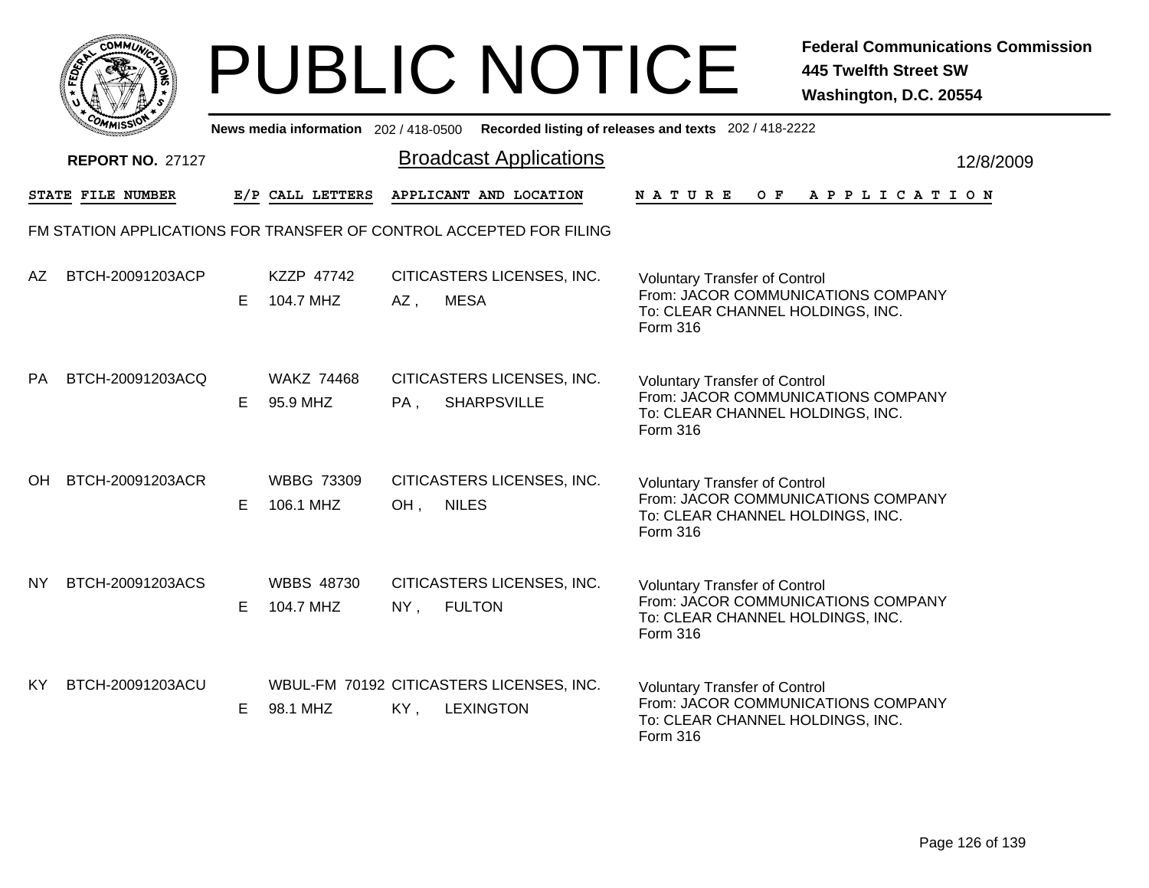|              | MMUNICT<br><b>CO</b> |  |
|--------------|----------------------|--|
| <b>FEDET</b> |                      |  |
|              |                      |  |
|              | COMI<br>MISS         |  |

|           | יככוומדי                |    |                                |        |                                                                     | News media information 202/418-0500 Recorded listing of releases and texts 202/418-2222                                    |           |
|-----------|-------------------------|----|--------------------------------|--------|---------------------------------------------------------------------|----------------------------------------------------------------------------------------------------------------------------|-----------|
|           | <b>REPORT NO. 27127</b> |    |                                |        | <b>Broadcast Applications</b>                                       |                                                                                                                            | 12/8/2009 |
|           | STATE FILE NUMBER       |    | E/P CALL LETTERS               |        | APPLICANT AND LOCATION                                              | NATURE<br>O F<br>A P P L I C A T I O N                                                                                     |           |
|           |                         |    |                                |        | FM STATION APPLICATIONS FOR TRANSFER OF CONTROL ACCEPTED FOR FILING |                                                                                                                            |           |
| AZ        | BTCH-20091203ACP        | E. | KZZP 47742<br>104.7 MHZ        | AZ,    | CITICASTERS LICENSES, INC.<br><b>MESA</b>                           | <b>Voluntary Transfer of Control</b><br>From: JACOR COMMUNICATIONS COMPANY<br>To: CLEAR CHANNEL HOLDINGS, INC.<br>Form 316 |           |
| PA        | BTCH-20091203ACQ        | E. | <b>WAKZ 74468</b><br>95.9 MHZ  | PA,    | CITICASTERS LICENSES, INC.<br><b>SHARPSVILLE</b>                    | <b>Voluntary Transfer of Control</b><br>From: JACOR COMMUNICATIONS COMPANY<br>To: CLEAR CHANNEL HOLDINGS, INC.<br>Form 316 |           |
| <b>OH</b> | BTCH-20091203ACR        | E. | <b>WBBG 73309</b><br>106.1 MHZ | OH,    | CITICASTERS LICENSES, INC.<br><b>NILES</b>                          | <b>Voluntary Transfer of Control</b><br>From: JACOR COMMUNICATIONS COMPANY<br>To: CLEAR CHANNEL HOLDINGS, INC.<br>Form 316 |           |
| NY.       | BTCH-20091203ACS        | E. | <b>WBBS 48730</b><br>104.7 MHZ | $NY$ , | CITICASTERS LICENSES, INC.<br><b>FULTON</b>                         | <b>Voluntary Transfer of Control</b><br>From: JACOR COMMUNICATIONS COMPANY<br>To: CLEAR CHANNEL HOLDINGS, INC.<br>Form 316 |           |
| KY.       | BTCH-20091203ACU        | E. | 98.1 MHZ                       | KY,    | WBUL-FM 70192 CITICASTERS LICENSES, INC.<br><b>LEXINGTON</b>        | <b>Voluntary Transfer of Control</b><br>From: JACOR COMMUNICATIONS COMPANY<br>To: CLEAR CHANNEL HOLDINGS, INC.<br>Form 316 |           |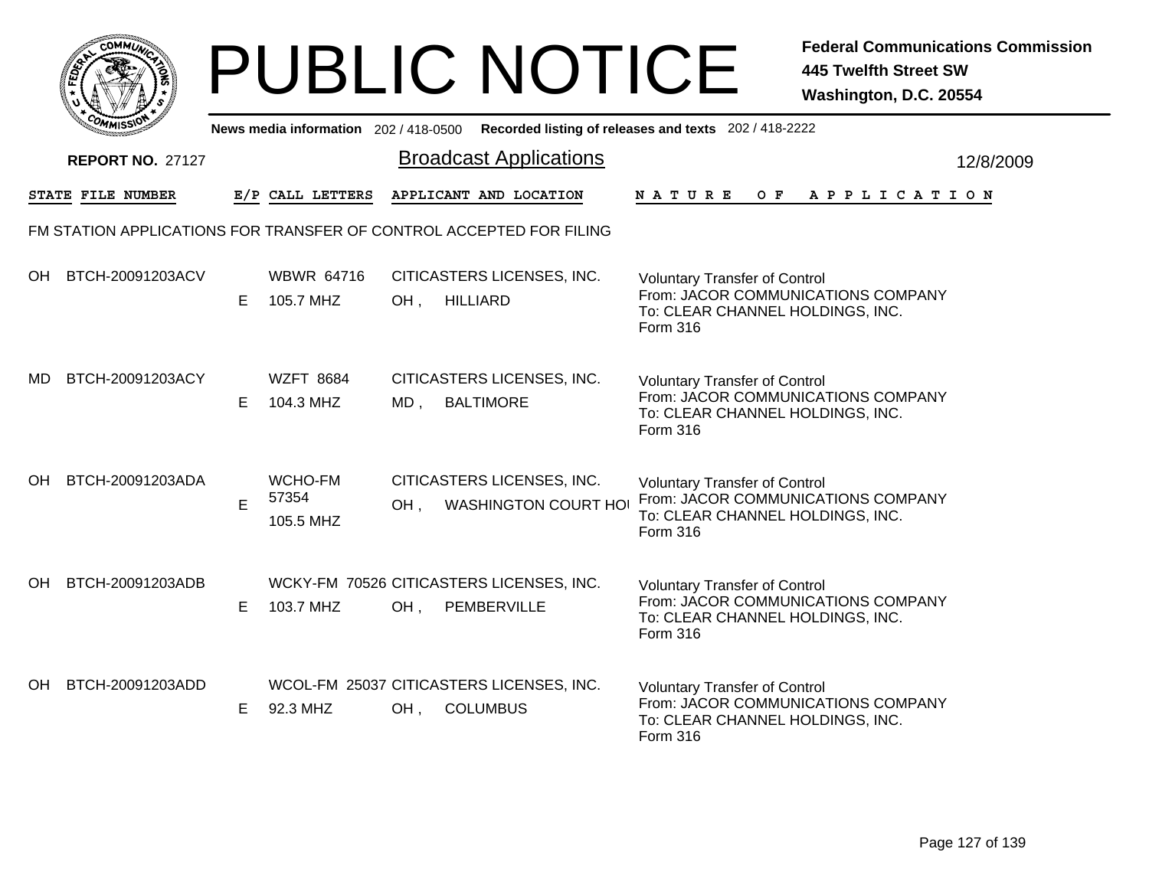|     | MMUNICT<br><b>CO</b> |  |
|-----|----------------------|--|
| ప్త |                      |  |
|     |                      |  |
|     | COMI<br>MISS<br>m    |  |

|           | יככוומיי                |    |                                |     | News media information 202/418-0500 Recorded listing of releases and texts 202/418-2222 |                                                                                                                            |           |
|-----------|-------------------------|----|--------------------------------|-----|-----------------------------------------------------------------------------------------|----------------------------------------------------------------------------------------------------------------------------|-----------|
|           | <b>REPORT NO. 27127</b> |    |                                |     | <b>Broadcast Applications</b>                                                           |                                                                                                                            | 12/8/2009 |
|           | STATE FILE NUMBER       |    | E/P CALL LETTERS               |     | APPLICANT AND LOCATION                                                                  | O F<br><b>NATURE</b><br>A P P L I C A T I O N                                                                              |           |
|           |                         |    |                                |     | FM STATION APPLICATIONS FOR TRANSFER OF CONTROL ACCEPTED FOR FILING                     |                                                                                                                            |           |
| OH        | BTCH-20091203ACV        | E. | <b>WBWR 64716</b><br>105.7 MHZ | OH, | CITICASTERS LICENSES, INC.<br><b>HILLIARD</b>                                           | <b>Voluntary Transfer of Control</b><br>From: JACOR COMMUNICATIONS COMPANY<br>To: CLEAR CHANNEL HOLDINGS, INC.<br>Form 316 |           |
| MD        | BTCH-20091203ACY        | E. | <b>WZFT 8684</b><br>104.3 MHZ  | MD, | CITICASTERS LICENSES, INC.<br><b>BALTIMORE</b>                                          | <b>Voluntary Transfer of Control</b><br>From: JACOR COMMUNICATIONS COMPANY<br>To: CLEAR CHANNEL HOLDINGS, INC.<br>Form 316 |           |
| <b>OH</b> | BTCH-20091203ADA        | E  | WCHO-FM<br>57354<br>105.5 MHZ  | OH. | CITICASTERS LICENSES, INC.<br><b>WASHINGTON COURT HOI</b>                               | <b>Voluntary Transfer of Control</b><br>From: JACOR COMMUNICATIONS COMPANY<br>To: CLEAR CHANNEL HOLDINGS, INC.<br>Form 316 |           |
| OH.       | BTCH-20091203ADB        | E. | 103.7 MHZ                      | OH, | WCKY-FM 70526 CITICASTERS LICENSES, INC.<br>PEMBERVILLE                                 | <b>Voluntary Transfer of Control</b><br>From: JACOR COMMUNICATIONS COMPANY<br>To: CLEAR CHANNEL HOLDINGS, INC.<br>Form 316 |           |
| OH        | BTCH-20091203ADD        | E. | 92.3 MHZ                       | OH, | WCOL-FM 25037 CITICASTERS LICENSES, INC.<br><b>COLUMBUS</b>                             | <b>Voluntary Transfer of Control</b><br>From: JACOR COMMUNICATIONS COMPANY<br>To: CLEAR CHANNEL HOLDINGS, INC.<br>Form 316 |           |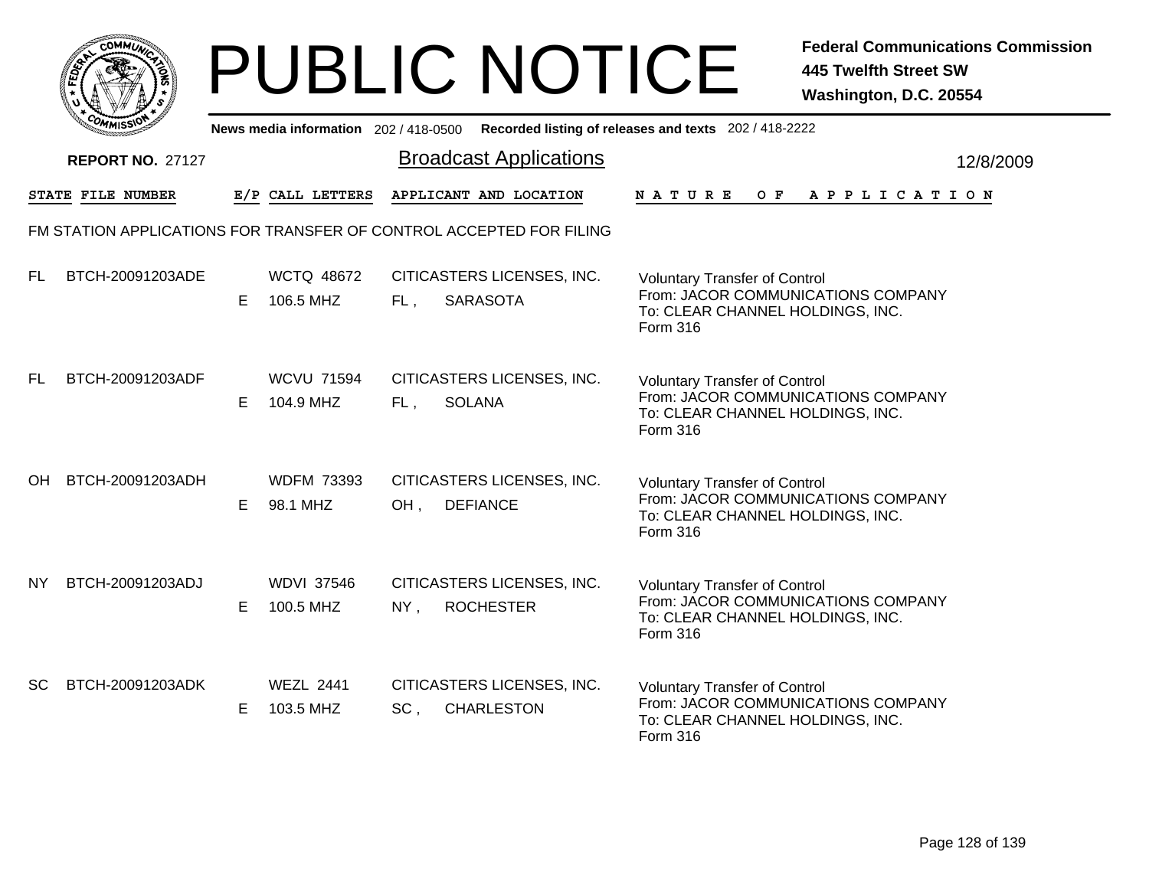|     | MMUNICT<br><b>CO</b> |  |
|-----|----------------------|--|
| ప్త |                      |  |
|     |                      |  |
|     | COMI<br>MISS<br>m    |  |

|           | יככוואויי                                                           |    |                                |        | News media information 202/418-0500 Recorded listing of releases and texts 202/418-2222 |                                                                                                                                   |  |     |  |  |                       |  |           |
|-----------|---------------------------------------------------------------------|----|--------------------------------|--------|-----------------------------------------------------------------------------------------|-----------------------------------------------------------------------------------------------------------------------------------|--|-----|--|--|-----------------------|--|-----------|
|           | <b>REPORT NO. 27127</b>                                             |    |                                |        | <b>Broadcast Applications</b>                                                           |                                                                                                                                   |  |     |  |  |                       |  | 12/8/2009 |
|           | STATE FILE NUMBER                                                   |    | E/P CALL LETTERS               |        | APPLICANT AND LOCATION                                                                  | <b>NATURE</b>                                                                                                                     |  | O F |  |  | A P P L I C A T I O N |  |           |
|           | FM STATION APPLICATIONS FOR TRANSFER OF CONTROL ACCEPTED FOR FILING |    |                                |        |                                                                                         |                                                                                                                                   |  |     |  |  |                       |  |           |
| FL.       | BTCH-20091203ADE                                                    | E. | <b>WCTQ 48672</b><br>106.5 MHZ | FL,    | CITICASTERS LICENSES, INC.<br><b>SARASOTA</b>                                           | <b>Voluntary Transfer of Control</b><br>From: JACOR COMMUNICATIONS COMPANY<br>To: CLEAR CHANNEL HOLDINGS, INC.<br>Form 316        |  |     |  |  |                       |  |           |
| FL.       | BTCH-20091203ADF                                                    | E. | <b>WCVU 71594</b><br>104.9 MHZ | FL,    | CITICASTERS LICENSES, INC.<br><b>SOLANA</b>                                             | <b>Voluntary Transfer of Control</b><br>From: JACOR COMMUNICATIONS COMPANY<br>To: CLEAR CHANNEL HOLDINGS, INC.<br>Form 316        |  |     |  |  |                       |  |           |
| <b>OH</b> | BTCH-20091203ADH                                                    | E. | <b>WDFM 73393</b><br>98.1 MHZ  | OH,    | CITICASTERS LICENSES, INC.<br><b>DEFIANCE</b>                                           | <b>Voluntary Transfer of Control</b><br>From: JACOR COMMUNICATIONS COMPANY<br>To: CLEAR CHANNEL HOLDINGS, INC.<br><b>Form 316</b> |  |     |  |  |                       |  |           |
| NY        | BTCH-20091203ADJ                                                    | E. | <b>WDVI 37546</b><br>100.5 MHZ | $NY$ , | CITICASTERS LICENSES, INC.<br><b>ROCHESTER</b>                                          | <b>Voluntary Transfer of Control</b><br>From: JACOR COMMUNICATIONS COMPANY<br>To: CLEAR CHANNEL HOLDINGS, INC.<br>Form 316        |  |     |  |  |                       |  |           |
| <b>SC</b> | BTCH-20091203ADK                                                    | E  | <b>WEZL 2441</b><br>103.5 MHZ  | SC,    | CITICASTERS LICENSES, INC.<br><b>CHARLESTON</b>                                         | <b>Voluntary Transfer of Control</b><br>From: JACOR COMMUNICATIONS COMPANY<br>To: CLEAR CHANNEL HOLDINGS, INC.<br>Form 316        |  |     |  |  |                       |  |           |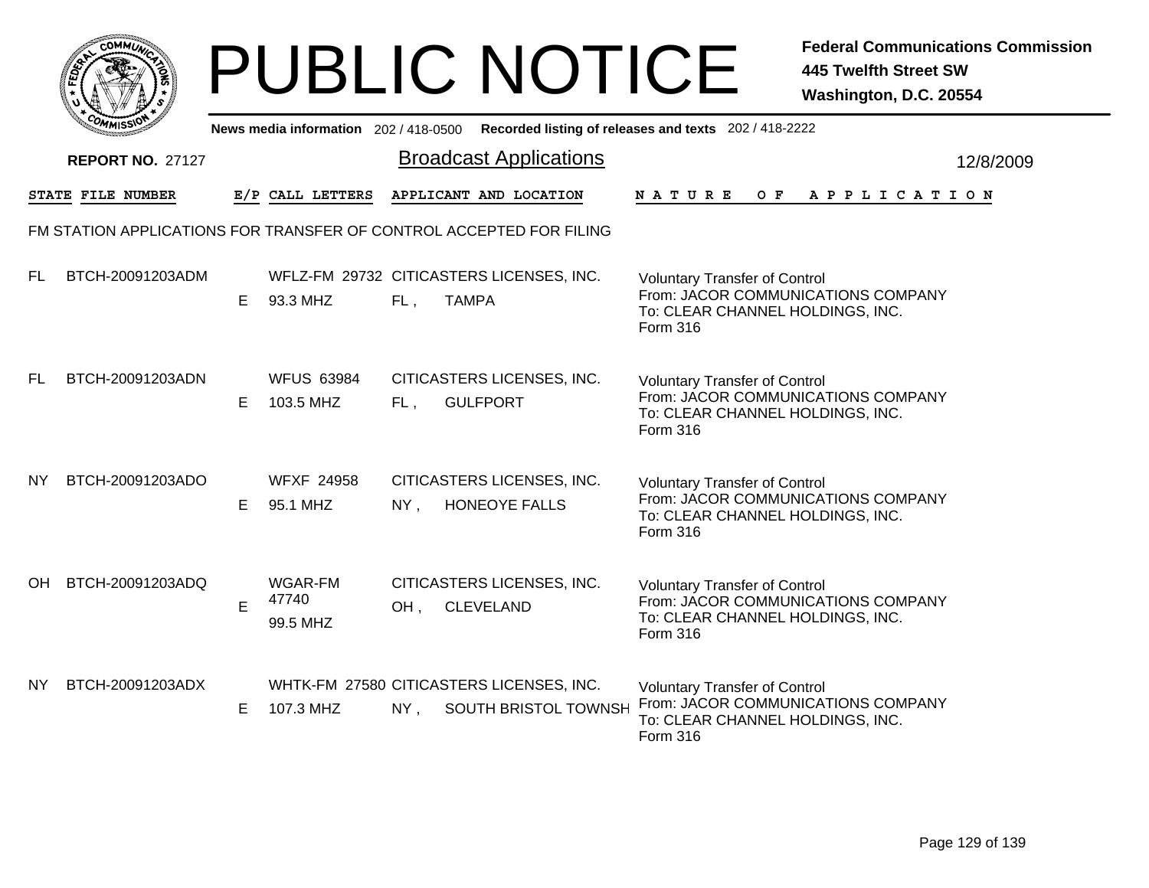| <b>IMUNA</b><br>r.<br>≎ |
|-------------------------|
| FEDET<br>7              |
|                         |
| $c_{O}$<br>MISS'<br>m   |

|           | OMMISSIO                |    | News media information 202 / 418-0500 |        |                                                                     | Recorded listing of releases and texts 202 / 418-2222                                                                      |           |
|-----------|-------------------------|----|---------------------------------------|--------|---------------------------------------------------------------------|----------------------------------------------------------------------------------------------------------------------------|-----------|
|           | <b>REPORT NO. 27127</b> |    |                                       |        | <b>Broadcast Applications</b>                                       |                                                                                                                            | 12/8/2009 |
|           | STATE FILE NUMBER       |    | E/P CALL LETTERS                      |        | APPLICANT AND LOCATION                                              | <b>NATURE</b><br>OF APPLICATION                                                                                            |           |
|           |                         |    |                                       |        | FM STATION APPLICATIONS FOR TRANSFER OF CONTROL ACCEPTED FOR FILING |                                                                                                                            |           |
| FL        | BTCH-20091203ADM        | E. | 93.3 MHZ                              | $FL$ , | WFLZ-FM 29732 CITICASTERS LICENSES, INC.<br><b>TAMPA</b>            | <b>Voluntary Transfer of Control</b><br>From: JACOR COMMUNICATIONS COMPANY<br>To: CLEAR CHANNEL HOLDINGS, INC.<br>Form 316 |           |
| FL        | BTCH-20091203ADN        | E. | <b>WFUS 63984</b><br>103.5 MHZ        | FL,    | CITICASTERS LICENSES, INC.<br><b>GULFPORT</b>                       | <b>Voluntary Transfer of Control</b><br>From: JACOR COMMUNICATIONS COMPANY<br>To: CLEAR CHANNEL HOLDINGS, INC.<br>Form 316 |           |
| NY.       | BTCH-20091203ADO        | E. | <b>WFXF 24958</b><br>95.1 MHZ         | NY,    | CITICASTERS LICENSES, INC.<br>HONEOYE FALLS                         | <b>Voluntary Transfer of Control</b><br>From: JACOR COMMUNICATIONS COMPANY<br>To: CLEAR CHANNEL HOLDINGS, INC.<br>Form 316 |           |
| OH.       | BTCH-20091203ADQ        | E  | WGAR-FM<br>47740<br>99.5 MHZ          | OH,    | CITICASTERS LICENSES, INC.<br><b>CLEVELAND</b>                      | <b>Voluntary Transfer of Control</b><br>From: JACOR COMMUNICATIONS COMPANY<br>To: CLEAR CHANNEL HOLDINGS, INC.<br>Form 316 |           |
| <b>NY</b> | BTCH-20091203ADX        | E. | 107.3 MHZ                             | NY,    | WHTK-FM 27580 CITICASTERS LICENSES, INC.<br>SOUTH BRISTOL TOWNSH    | <b>Voluntary Transfer of Control</b><br>From: JACOR COMMUNICATIONS COMPANY<br>To: CLEAR CHANNEL HOLDINGS, INC.<br>Form 316 |           |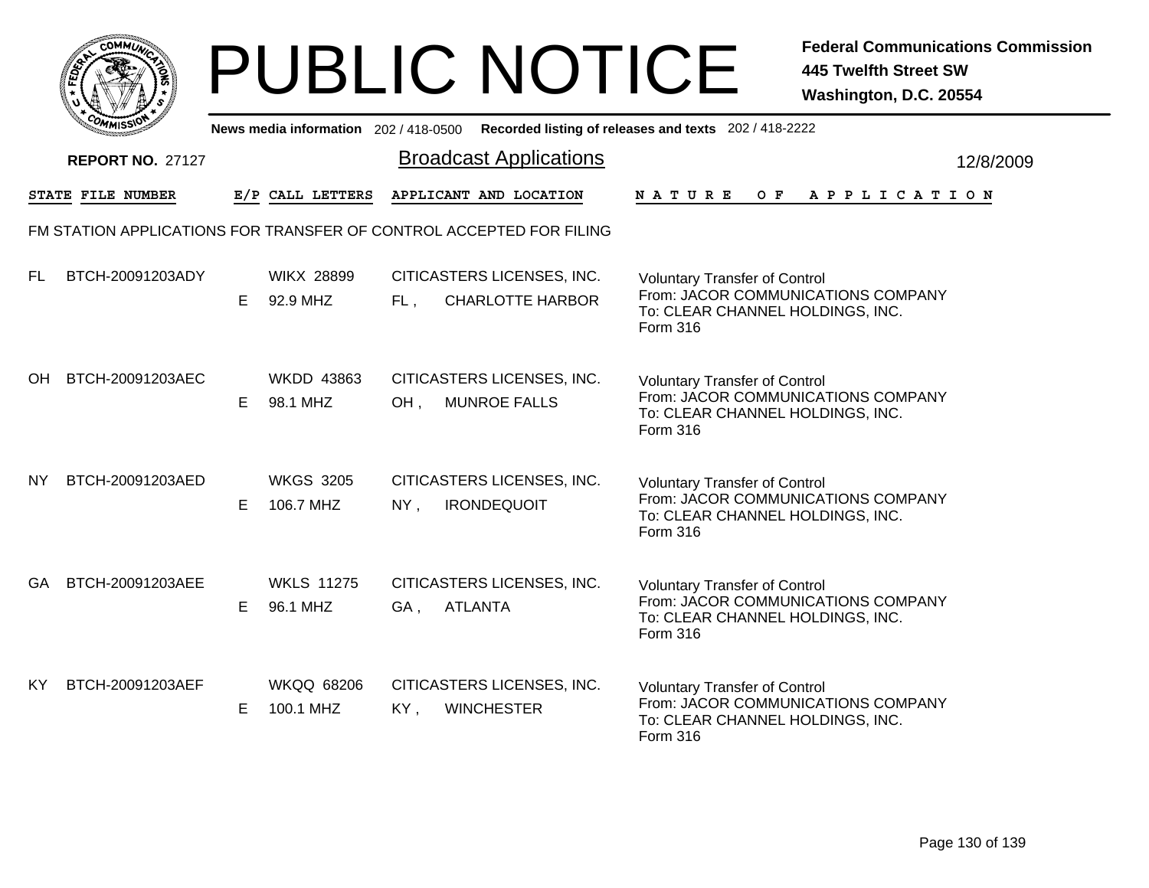

|           | יככוומדי                                                            |    |                                |                        |                                                       | News media information 202/418-0500 Recorded listing of releases and texts 202/418-2222                                    |           |
|-----------|---------------------------------------------------------------------|----|--------------------------------|------------------------|-------------------------------------------------------|----------------------------------------------------------------------------------------------------------------------------|-----------|
|           | <b>REPORT NO. 27127</b>                                             |    |                                |                        | <b>Broadcast Applications</b>                         |                                                                                                                            | 12/8/2009 |
|           | STATE FILE NUMBER                                                   |    | E/P CALL LETTERS               | APPLICANT AND LOCATION |                                                       | OF APPLICATION<br>N A T U R E                                                                                              |           |
|           | FM STATION APPLICATIONS FOR TRANSFER OF CONTROL ACCEPTED FOR FILING |    |                                |                        |                                                       |                                                                                                                            |           |
| FL.       | BTCH-20091203ADY                                                    | E. | <b>WIKX 28899</b><br>92.9 MHZ  | FL,                    | CITICASTERS LICENSES, INC.<br><b>CHARLOTTE HARBOR</b> | <b>Voluntary Transfer of Control</b><br>From: JACOR COMMUNICATIONS COMPANY<br>To: CLEAR CHANNEL HOLDINGS, INC.<br>Form 316 |           |
| OH.       | BTCH-20091203AEC                                                    | E. | <b>WKDD 43863</b><br>98.1 MHZ  | OH,                    | CITICASTERS LICENSES, INC.<br><b>MUNROE FALLS</b>     | <b>Voluntary Transfer of Control</b><br>From: JACOR COMMUNICATIONS COMPANY<br>To: CLEAR CHANNEL HOLDINGS, INC.<br>Form 316 |           |
| <b>NY</b> | BTCH-20091203AED                                                    | E. | <b>WKGS 3205</b><br>106.7 MHZ  | NY,                    | CITICASTERS LICENSES, INC.<br><b>IRONDEQUOIT</b>      | <b>Voluntary Transfer of Control</b><br>From: JACOR COMMUNICATIONS COMPANY<br>To: CLEAR CHANNEL HOLDINGS, INC.<br>Form 316 |           |
| GA.       | BTCH-20091203AEE                                                    | E. | <b>WKLS 11275</b><br>96.1 MHZ  | <b>ATLANTA</b><br>GA,  | CITICASTERS LICENSES, INC.                            | <b>Voluntary Transfer of Control</b><br>From: JACOR COMMUNICATIONS COMPANY<br>To: CLEAR CHANNEL HOLDINGS, INC.<br>Form 316 |           |
| KY        | BTCH-20091203AEF                                                    | E. | <b>WKQQ 68206</b><br>100.1 MHZ | KY,                    | CITICASTERS LICENSES, INC.<br><b>WINCHESTER</b>       | <b>Voluntary Transfer of Control</b><br>From: JACOR COMMUNICATIONS COMPANY<br>To: CLEAR CHANNEL HOLDINGS, INC.<br>Form 316 |           |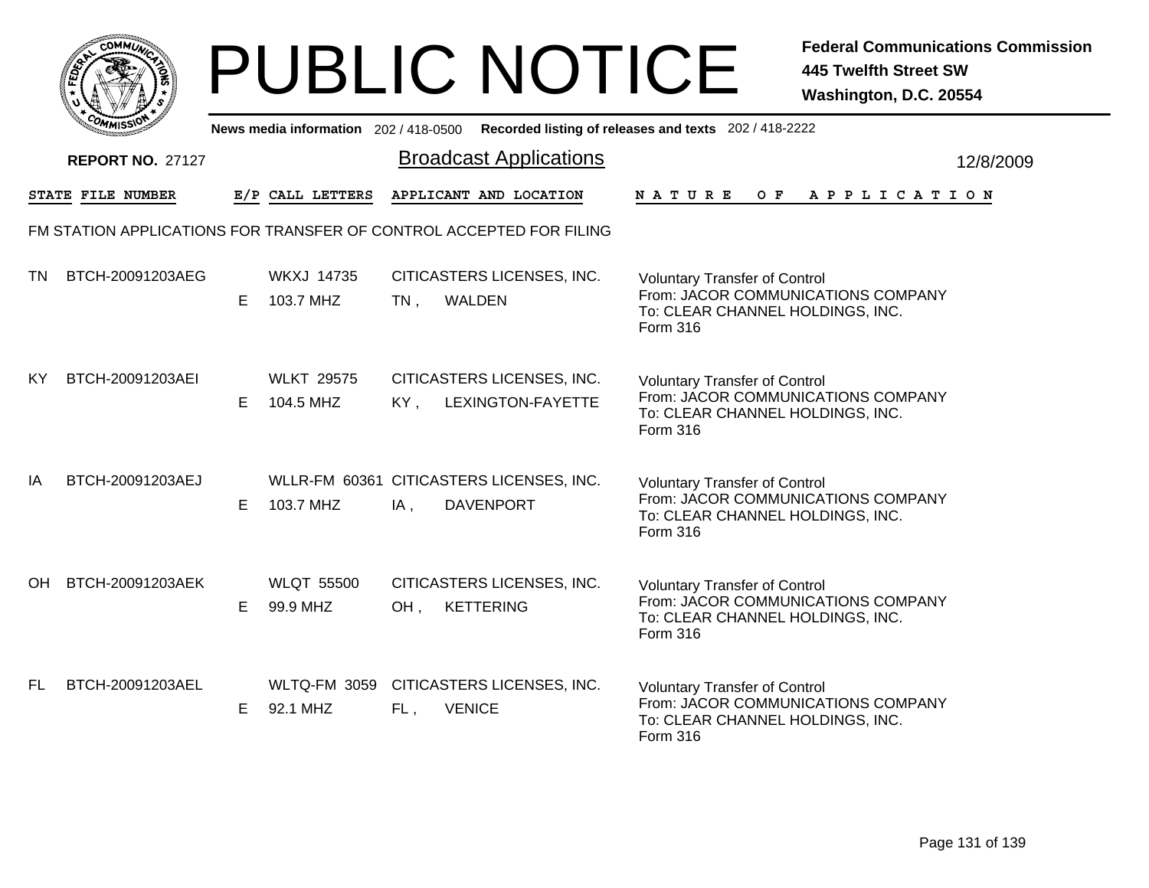|              | MMUNICT<br><b>CO</b> |  |
|--------------|----------------------|--|
| <b>FEDET</b> |                      |  |
|              |                      |  |
|              | COMI<br>MISS         |  |

|     | ככוואיי                                                             |    |                                 |        | News media information 202/418-0500 Recorded listing of releases and texts 202/418-2222 |                                                                                                                            |  |     |  |  |                       |  |           |
|-----|---------------------------------------------------------------------|----|---------------------------------|--------|-----------------------------------------------------------------------------------------|----------------------------------------------------------------------------------------------------------------------------|--|-----|--|--|-----------------------|--|-----------|
|     | <b>REPORT NO. 27127</b>                                             |    |                                 |        | <b>Broadcast Applications</b>                                                           |                                                                                                                            |  |     |  |  |                       |  | 12/8/2009 |
|     | STATE FILE NUMBER                                                   |    | E/P CALL LETTERS                |        | APPLICANT AND LOCATION                                                                  | <b>NATURE</b>                                                                                                              |  | O F |  |  | A P P L I C A T I O N |  |           |
|     | FM STATION APPLICATIONS FOR TRANSFER OF CONTROL ACCEPTED FOR FILING |    |                                 |        |                                                                                         |                                                                                                                            |  |     |  |  |                       |  |           |
| TN  | BTCH-20091203AEG                                                    | E. | <b>WKXJ 14735</b><br>103.7 MHZ  | $TN$ , | CITICASTERS LICENSES, INC.<br>WALDEN                                                    | <b>Voluntary Transfer of Control</b><br>From: JACOR COMMUNICATIONS COMPANY<br>To: CLEAR CHANNEL HOLDINGS, INC.<br>Form 316 |  |     |  |  |                       |  |           |
| KY  | BTCH-20091203AEI                                                    | E. | <b>WLKT 29575</b><br>104.5 MHZ  | KY,    | CITICASTERS LICENSES, INC.<br>LEXINGTON-FAYETTE                                         | <b>Voluntary Transfer of Control</b><br>From: JACOR COMMUNICATIONS COMPANY<br>To: CLEAR CHANNEL HOLDINGS, INC.<br>Form 316 |  |     |  |  |                       |  |           |
| IA  | BTCH-20091203AEJ                                                    | E. | 103.7 MHZ                       | $IA$ , | WLLR-FM 60361 CITICASTERS LICENSES, INC.<br><b>DAVENPORT</b>                            | <b>Voluntary Transfer of Control</b><br>From: JACOR COMMUNICATIONS COMPANY<br>To: CLEAR CHANNEL HOLDINGS, INC.<br>Form 316 |  |     |  |  |                       |  |           |
| OH. | BTCH-20091203AEK                                                    | E. | <b>WLQT 55500</b><br>99.9 MHZ   | OH,    | CITICASTERS LICENSES, INC.<br><b>KETTERING</b>                                          | <b>Voluntary Transfer of Control</b><br>From: JACOR COMMUNICATIONS COMPANY<br>To: CLEAR CHANNEL HOLDINGS, INC.<br>Form 316 |  |     |  |  |                       |  |           |
| FL. | BTCH-20091203AEL                                                    | E  | <b>WLTQ-FM 3059</b><br>92.1 MHZ | FL,    | CITICASTERS LICENSES, INC.<br><b>VENICE</b>                                             | <b>Voluntary Transfer of Control</b><br>From: JACOR COMMUNICATIONS COMPANY<br>To: CLEAR CHANNEL HOLDINGS, INC.<br>Form 316 |  |     |  |  |                       |  |           |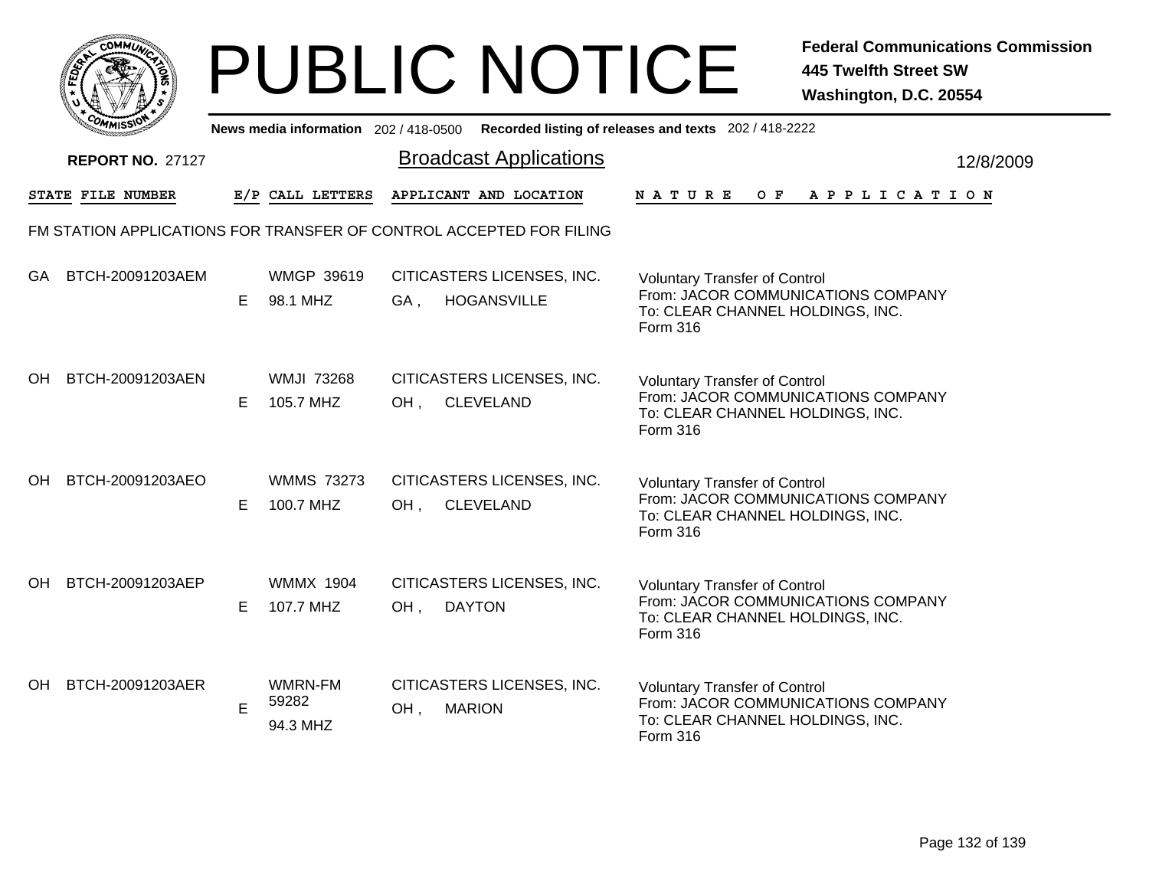|     | MMUNICT<br><b>CO</b> |  |
|-----|----------------------|--|
| ప్త |                      |  |
|     |                      |  |
|     | COMI<br>MISS<br>m    |  |

|           | יככוומדי                                                            |    |                                |     |                                                  | News media information 202/418-0500 Recorded listing of releases and texts 202/418-2222                                    |           |
|-----------|---------------------------------------------------------------------|----|--------------------------------|-----|--------------------------------------------------|----------------------------------------------------------------------------------------------------------------------------|-----------|
|           | <b>REPORT NO. 27127</b>                                             |    |                                |     | <b>Broadcast Applications</b>                    |                                                                                                                            | 12/8/2009 |
|           | STATE FILE NUMBER                                                   |    | E/P CALL LETTERS               |     | APPLICANT AND LOCATION                           | <b>NATURE</b><br>O F<br>A P P L I C A T I O N                                                                              |           |
|           | FM STATION APPLICATIONS FOR TRANSFER OF CONTROL ACCEPTED FOR FILING |    |                                |     |                                                  |                                                                                                                            |           |
| <b>GA</b> | BTCH-20091203AEM                                                    | E. | <b>WMGP 39619</b><br>98.1 MHZ  | GA, | CITICASTERS LICENSES, INC.<br><b>HOGANSVILLE</b> | <b>Voluntary Transfer of Control</b><br>From: JACOR COMMUNICATIONS COMPANY<br>To: CLEAR CHANNEL HOLDINGS, INC.<br>Form 316 |           |
| OH.       | BTCH-20091203AEN                                                    | E. | <b>WMJI 73268</b><br>105.7 MHZ | OH, | CITICASTERS LICENSES, INC.<br><b>CLEVELAND</b>   | <b>Voluntary Transfer of Control</b><br>From: JACOR COMMUNICATIONS COMPANY<br>To: CLEAR CHANNEL HOLDINGS, INC.<br>Form 316 |           |
| OH.       | BTCH-20091203AEO                                                    | E. | <b>WMMS 73273</b><br>100.7 MHZ | OH, | CITICASTERS LICENSES, INC.<br><b>CLEVELAND</b>   | <b>Voluntary Transfer of Control</b><br>From: JACOR COMMUNICATIONS COMPANY<br>To: CLEAR CHANNEL HOLDINGS, INC.<br>Form 316 |           |
| OH.       | BTCH-20091203AEP                                                    | E. | <b>WMMX 1904</b><br>107.7 MHZ  | OH, | CITICASTERS LICENSES, INC.<br><b>DAYTON</b>      | <b>Voluntary Transfer of Control</b><br>From: JACOR COMMUNICATIONS COMPANY<br>To: CLEAR CHANNEL HOLDINGS, INC.<br>Form 316 |           |
| OH.       | BTCH-20091203AER                                                    | E  | WMRN-FM<br>59282<br>94.3 MHZ   | OH, | CITICASTERS LICENSES, INC.<br><b>MARION</b>      | <b>Voluntary Transfer of Control</b><br>From: JACOR COMMUNICATIONS COMPANY<br>To: CLEAR CHANNEL HOLDINGS, INC.<br>Form 316 |           |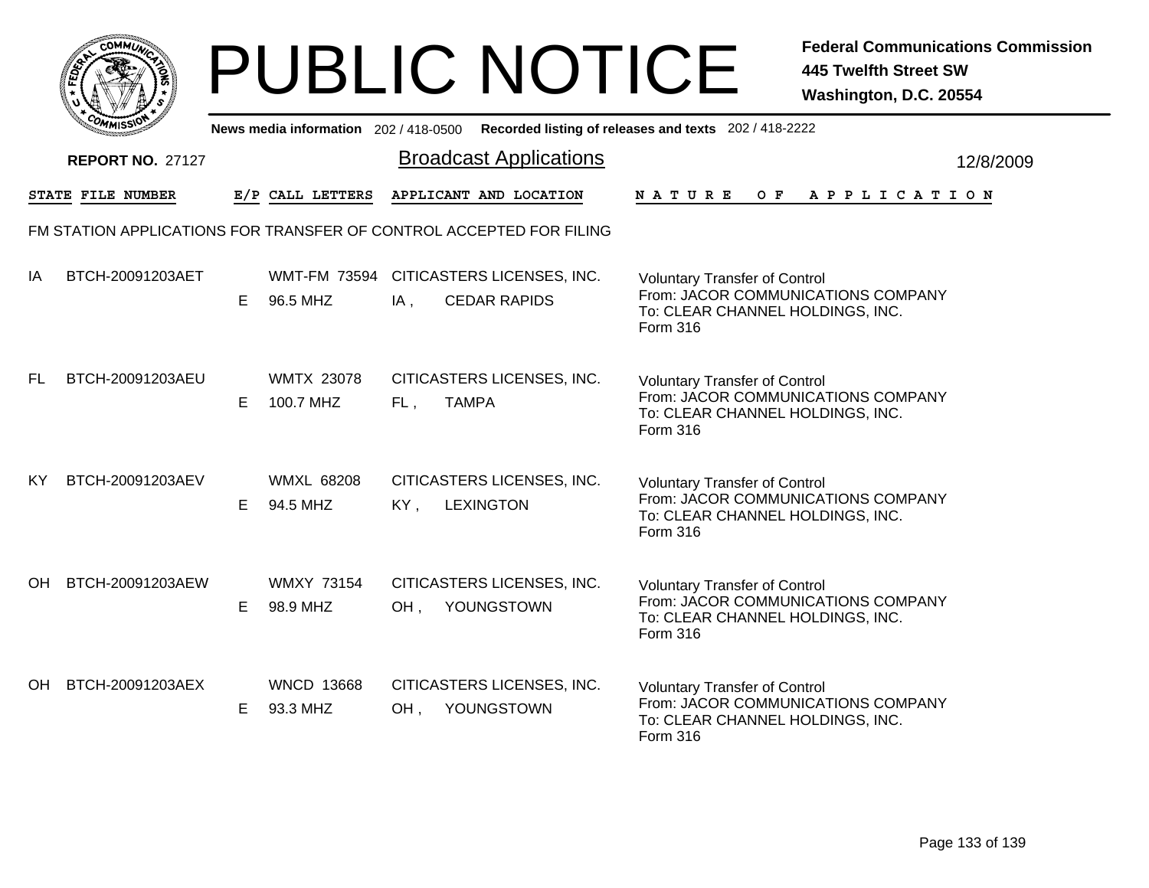|     | MMUNICT<br><b>CO</b> |  |
|-----|----------------------|--|
| ప్త |                      |  |
|     |                      |  |
|     | COMI<br>MISS<br>m    |  |

|           | יככוומיי                                                            |    |                                |     | News media information 202/418-0500 Recorded listing of releases and texts 202/418-2222 |                                                                                                                            |  |     |  |  |                       |  |           |
|-----------|---------------------------------------------------------------------|----|--------------------------------|-----|-----------------------------------------------------------------------------------------|----------------------------------------------------------------------------------------------------------------------------|--|-----|--|--|-----------------------|--|-----------|
|           | <b>REPORT NO. 27127</b>                                             |    |                                |     | <b>Broadcast Applications</b>                                                           |                                                                                                                            |  |     |  |  |                       |  | 12/8/2009 |
|           | STATE FILE NUMBER                                                   |    | E/P CALL LETTERS               |     | APPLICANT AND LOCATION                                                                  | <b>NATURE</b>                                                                                                              |  | O F |  |  | A P P L I C A T I O N |  |           |
|           | FM STATION APPLICATIONS FOR TRANSFER OF CONTROL ACCEPTED FOR FILING |    |                                |     |                                                                                         |                                                                                                                            |  |     |  |  |                       |  |           |
| IA        | BTCH-20091203AET                                                    | E. | 96.5 MHZ                       | IA, | WMT-FM 73594 CITICASTERS LICENSES, INC.<br><b>CEDAR RAPIDS</b>                          | <b>Voluntary Transfer of Control</b><br>From: JACOR COMMUNICATIONS COMPANY<br>To: CLEAR CHANNEL HOLDINGS, INC.<br>Form 316 |  |     |  |  |                       |  |           |
| FL.       | BTCH-20091203AEU                                                    | E. | <b>WMTX 23078</b><br>100.7 MHZ | FL, | CITICASTERS LICENSES, INC.<br><b>TAMPA</b>                                              | <b>Voluntary Transfer of Control</b><br>From: JACOR COMMUNICATIONS COMPANY<br>To: CLEAR CHANNEL HOLDINGS, INC.<br>Form 316 |  |     |  |  |                       |  |           |
| <b>KY</b> | BTCH-20091203AEV                                                    | E. | <b>WMXL 68208</b><br>94.5 MHZ  | KY, | CITICASTERS LICENSES, INC.<br><b>LEXINGTON</b>                                          | <b>Voluntary Transfer of Control</b><br>From: JACOR COMMUNICATIONS COMPANY<br>To: CLEAR CHANNEL HOLDINGS, INC.<br>Form 316 |  |     |  |  |                       |  |           |
| OH.       | BTCH-20091203AEW                                                    | E. | <b>WMXY 73154</b><br>98.9 MHZ  | OH, | CITICASTERS LICENSES, INC.<br>YOUNGSTOWN                                                | <b>Voluntary Transfer of Control</b><br>From: JACOR COMMUNICATIONS COMPANY<br>To: CLEAR CHANNEL HOLDINGS, INC.<br>Form 316 |  |     |  |  |                       |  |           |
| OH        | BTCH-20091203AEX                                                    | E. | <b>WNCD 13668</b><br>93.3 MHZ  | OH, | CITICASTERS LICENSES, INC.<br>YOUNGSTOWN                                                | <b>Voluntary Transfer of Control</b><br>From: JACOR COMMUNICATIONS COMPANY<br>To: CLEAR CHANNEL HOLDINGS, INC.<br>Form 316 |  |     |  |  |                       |  |           |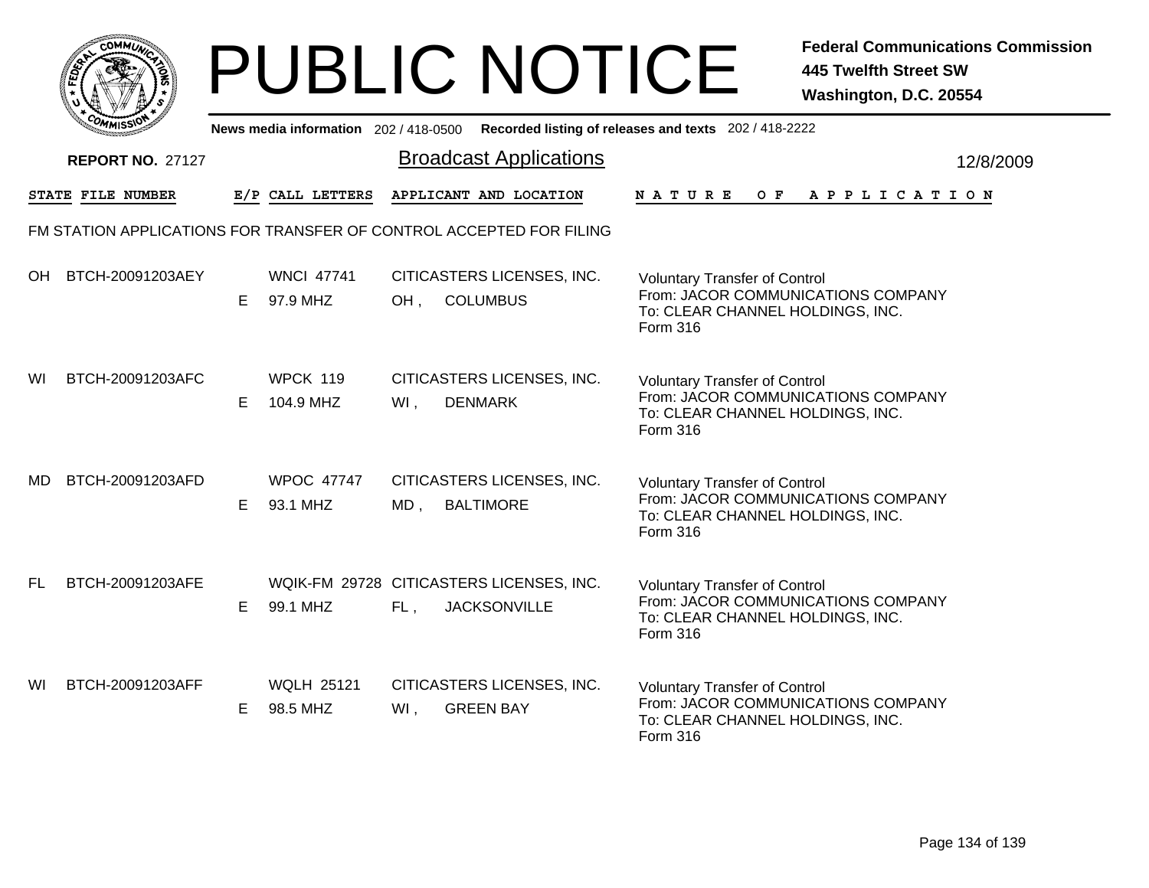|              | MMUNICT<br><b>CO</b> |  |
|--------------|----------------------|--|
| <b>FEDET</b> |                      |  |
|              |                      |  |
|              | COMI<br>MISS         |  |

|           | יככוומדי                                                            |    |                               |        | News media information 202/418-0500 Recorded listing of releases and texts 202/418-2222 |                                                                                                                            |  |     |  |  |                       |  |           |
|-----------|---------------------------------------------------------------------|----|-------------------------------|--------|-----------------------------------------------------------------------------------------|----------------------------------------------------------------------------------------------------------------------------|--|-----|--|--|-----------------------|--|-----------|
|           | <b>REPORT NO. 27127</b>                                             |    |                               |        | <b>Broadcast Applications</b>                                                           |                                                                                                                            |  |     |  |  |                       |  | 12/8/2009 |
|           | STATE FILE NUMBER                                                   |    | E/P CALL LETTERS              |        | APPLICANT AND LOCATION                                                                  | <b>NATURE</b>                                                                                                              |  | O F |  |  | A P P L I C A T I O N |  |           |
|           | FM STATION APPLICATIONS FOR TRANSFER OF CONTROL ACCEPTED FOR FILING |    |                               |        |                                                                                         |                                                                                                                            |  |     |  |  |                       |  |           |
| OH        | BTCH-20091203AEY                                                    | E. | <b>WNCI 47741</b><br>97.9 MHZ | OH,    | CITICASTERS LICENSES, INC.<br><b>COLUMBUS</b>                                           | <b>Voluntary Transfer of Control</b><br>From: JACOR COMMUNICATIONS COMPANY<br>To: CLEAR CHANNEL HOLDINGS, INC.<br>Form 316 |  |     |  |  |                       |  |           |
| WI        | BTCH-20091203AFC                                                    | E. | WPCK 119<br>104.9 MHZ         | WI,    | CITICASTERS LICENSES, INC.<br><b>DENMARK</b>                                            | <b>Voluntary Transfer of Control</b><br>From: JACOR COMMUNICATIONS COMPANY<br>To: CLEAR CHANNEL HOLDINGS, INC.<br>Form 316 |  |     |  |  |                       |  |           |
| MD        | BTCH-20091203AFD                                                    | E. | <b>WPOC 47747</b><br>93.1 MHZ | MD,    | CITICASTERS LICENSES, INC.<br><b>BALTIMORE</b>                                          | <b>Voluntary Transfer of Control</b><br>From: JACOR COMMUNICATIONS COMPANY<br>To: CLEAR CHANNEL HOLDINGS, INC.<br>Form 316 |  |     |  |  |                       |  |           |
| <b>FL</b> | BTCH-20091203AFE                                                    | Е  | 99.1 MHZ                      | FL,    | WQIK-FM 29728 CITICASTERS LICENSES, INC.<br><b>JACKSONVILLE</b>                         | <b>Voluntary Transfer of Control</b><br>From: JACOR COMMUNICATIONS COMPANY<br>To: CLEAR CHANNEL HOLDINGS, INC.<br>Form 316 |  |     |  |  |                       |  |           |
| WI        | BTCH-20091203AFF                                                    | E. | <b>WQLH 25121</b><br>98.5 MHZ | $WI$ , | CITICASTERS LICENSES, INC.<br><b>GREEN BAY</b>                                          | <b>Voluntary Transfer of Control</b><br>From: JACOR COMMUNICATIONS COMPANY<br>To: CLEAR CHANNEL HOLDINGS, INC.<br>Form 316 |  |     |  |  |                       |  |           |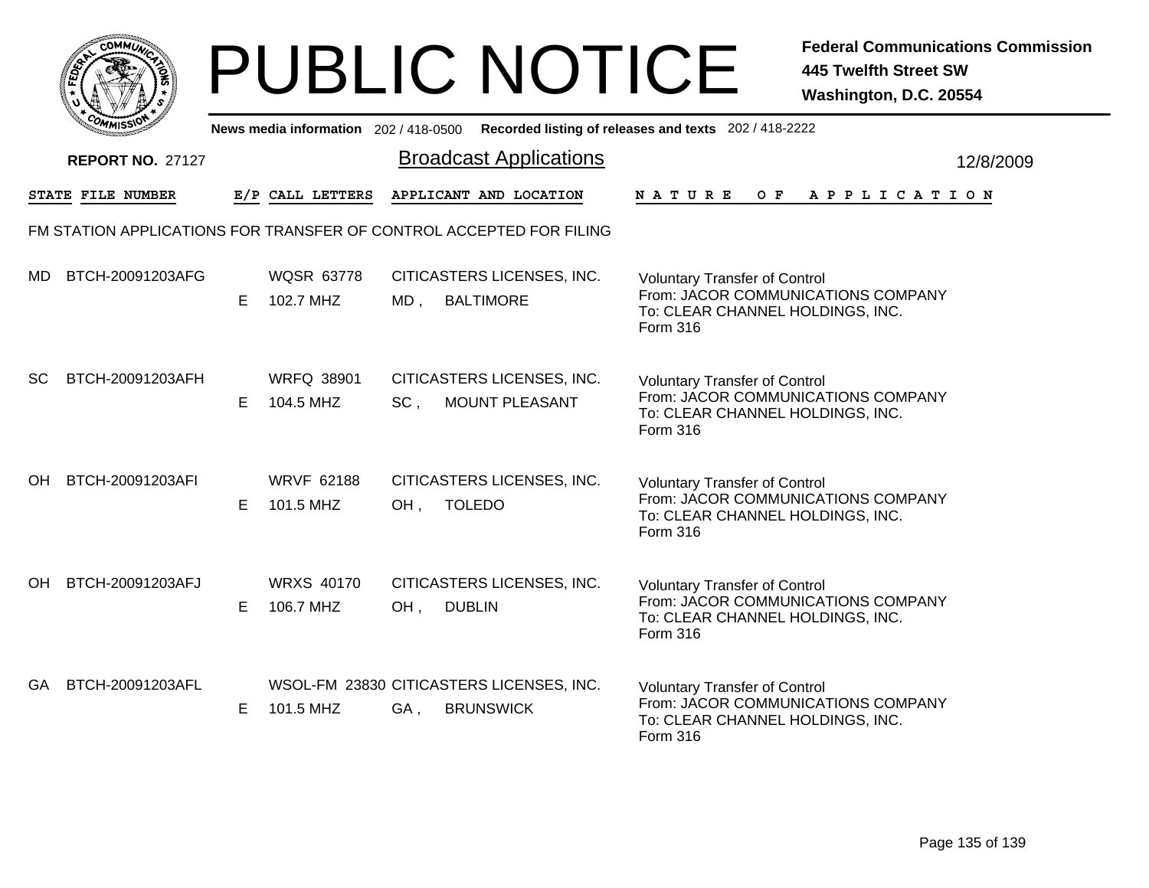|       | MMUNICT<br>c۵۱ |  |
|-------|----------------|--|
| FEDET |                |  |
|       |                |  |
|       | COMI<br>MISS   |  |

|           | ככוומיי                                                             |    |                                |               | News media information 202/418-0500 Recorded listing of releases and texts 202/418-2222 |                                                                                                                            |  |                  |  |  |                       |  |           |
|-----------|---------------------------------------------------------------------|----|--------------------------------|---------------|-----------------------------------------------------------------------------------------|----------------------------------------------------------------------------------------------------------------------------|--|------------------|--|--|-----------------------|--|-----------|
|           | <b>REPORT NO. 27127</b>                                             |    |                                |               | <b>Broadcast Applications</b>                                                           |                                                                                                                            |  |                  |  |  |                       |  | 12/8/2009 |
|           | STATE FILE NUMBER                                                   |    | E/P CALL LETTERS               |               | APPLICANT AND LOCATION                                                                  | <b>NATURE</b>                                                                                                              |  | $O$ $\mathbf{F}$ |  |  | A P P L I C A T I O N |  |           |
|           | FM STATION APPLICATIONS FOR TRANSFER OF CONTROL ACCEPTED FOR FILING |    |                                |               |                                                                                         |                                                                                                                            |  |                  |  |  |                       |  |           |
| MD.       | BTCH-20091203AFG                                                    | E. | <b>WQSR 63778</b><br>102.7 MHZ | MD, BALTIMORE | CITICASTERS LICENSES, INC.                                                              | <b>Voluntary Transfer of Control</b><br>From: JACOR COMMUNICATIONS COMPANY<br>To: CLEAR CHANNEL HOLDINGS, INC.<br>Form 316 |  |                  |  |  |                       |  |           |
| SC        | BTCH-20091203AFH                                                    | E. | <b>WRFQ 38901</b><br>104.5 MHZ | SC,           | CITICASTERS LICENSES, INC.<br>MOUNT PLEASANT                                            | <b>Voluntary Transfer of Control</b><br>From: JACOR COMMUNICATIONS COMPANY<br>To: CLEAR CHANNEL HOLDINGS, INC.<br>Form 316 |  |                  |  |  |                       |  |           |
| OH        | BTCH-20091203AFI                                                    | E. | <b>WRVF 62188</b><br>101.5 MHZ | OH,           | CITICASTERS LICENSES, INC.<br><b>TOLEDO</b>                                             | <b>Voluntary Transfer of Control</b><br>From: JACOR COMMUNICATIONS COMPANY<br>To: CLEAR CHANNEL HOLDINGS, INC.<br>Form 316 |  |                  |  |  |                       |  |           |
| <b>OH</b> | BTCH-20091203AFJ                                                    | E  | <b>WRXS 40170</b><br>106.7 MHZ | OH,           | CITICASTERS LICENSES, INC.<br><b>DUBLIN</b>                                             | <b>Voluntary Transfer of Control</b><br>From: JACOR COMMUNICATIONS COMPANY<br>To: CLEAR CHANNEL HOLDINGS, INC.<br>Form 316 |  |                  |  |  |                       |  |           |
| GA        | BTCH-20091203AFL                                                    | E. | 101.5 MHZ                      | GA,           | WSOL-FM 23830 CITICASTERS LICENSES, INC.<br><b>BRUNSWICK</b>                            | <b>Voluntary Transfer of Control</b><br>From: JACOR COMMUNICATIONS COMPANY<br>To: CLEAR CHANNEL HOLDINGS, INC.<br>Form 316 |  |                  |  |  |                       |  |           |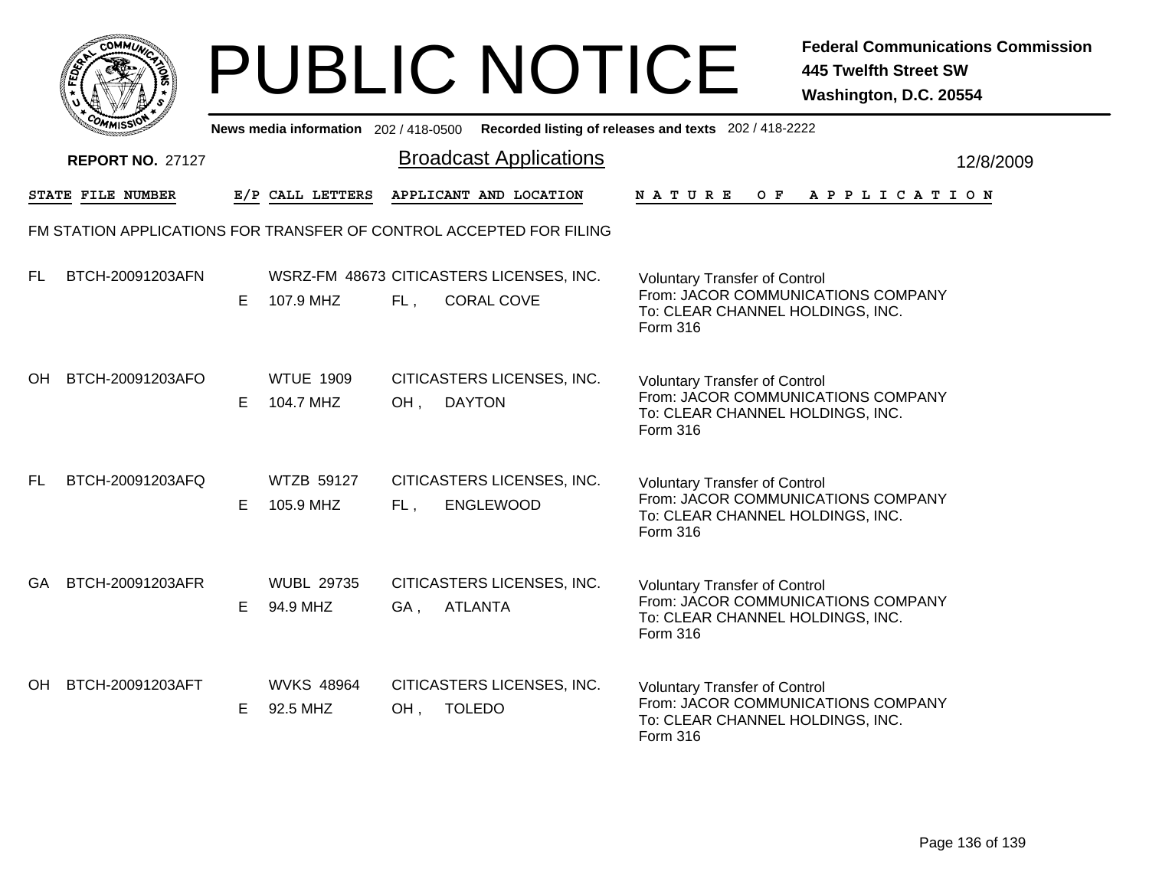|           | MMUNICT<br><b>CO</b> |  |
|-----------|----------------------|--|
| ট্রু<br>c |                      |  |
|           |                      |  |
| COMI      | MISS                 |  |

|           | ככוומיי                                                             |    |                                |     |                                                               | News media information 202/418-0500 Recorded listing of releases and texts 202/418-2222                                    |           |
|-----------|---------------------------------------------------------------------|----|--------------------------------|-----|---------------------------------------------------------------|----------------------------------------------------------------------------------------------------------------------------|-----------|
|           | <b>REPORT NO. 27127</b>                                             |    |                                |     | <b>Broadcast Applications</b>                                 |                                                                                                                            | 12/8/2009 |
|           | STATE FILE NUMBER                                                   |    | E/P CALL LETTERS               |     | APPLICANT AND LOCATION                                        | $O$ $\mathbf{F}$<br>APPLICATION<br><b>NATURE</b>                                                                           |           |
|           | FM STATION APPLICATIONS FOR TRANSFER OF CONTROL ACCEPTED FOR FILING |    |                                |     |                                                               |                                                                                                                            |           |
| FL.       | BTCH-20091203AFN                                                    | E. | 107.9 MHZ                      | FL, | WSRZ-FM 48673 CITICASTERS LICENSES, INC.<br><b>CORAL COVE</b> | <b>Voluntary Transfer of Control</b><br>From: JACOR COMMUNICATIONS COMPANY<br>To: CLEAR CHANNEL HOLDINGS, INC.<br>Form 316 |           |
| <b>OH</b> | BTCH-20091203AFO                                                    | E. | <b>WTUE 1909</b><br>104.7 MHZ  | OH, | CITICASTERS LICENSES, INC.<br><b>DAYTON</b>                   | <b>Voluntary Transfer of Control</b><br>From: JACOR COMMUNICATIONS COMPANY<br>To: CLEAR CHANNEL HOLDINGS, INC.<br>Form 316 |           |
| <b>FL</b> | BTCH-20091203AFQ                                                    | E. | <b>WTZB 59127</b><br>105.9 MHZ | FL, | CITICASTERS LICENSES, INC.<br><b>ENGLEWOOD</b>                | <b>Voluntary Transfer of Control</b><br>From: JACOR COMMUNICATIONS COMPANY<br>To: CLEAR CHANNEL HOLDINGS, INC.<br>Form 316 |           |
| <b>GA</b> | BTCH-20091203AFR                                                    | E. | <b>WUBL 29735</b><br>94.9 MHZ  | GA, | CITICASTERS LICENSES, INC.<br><b>ATLANTA</b>                  | <b>Voluntary Transfer of Control</b><br>From: JACOR COMMUNICATIONS COMPANY<br>To: CLEAR CHANNEL HOLDINGS, INC.<br>Form 316 |           |
| OH        | BTCH-20091203AFT                                                    | E. | <b>WVKS 48964</b><br>92.5 MHZ  | OH, | CITICASTERS LICENSES, INC.<br><b>TOLEDO</b>                   | <b>Voluntary Transfer of Control</b><br>From: JACOR COMMUNICATIONS COMPANY<br>To: CLEAR CHANNEL HOLDINGS, INC.<br>Form 316 |           |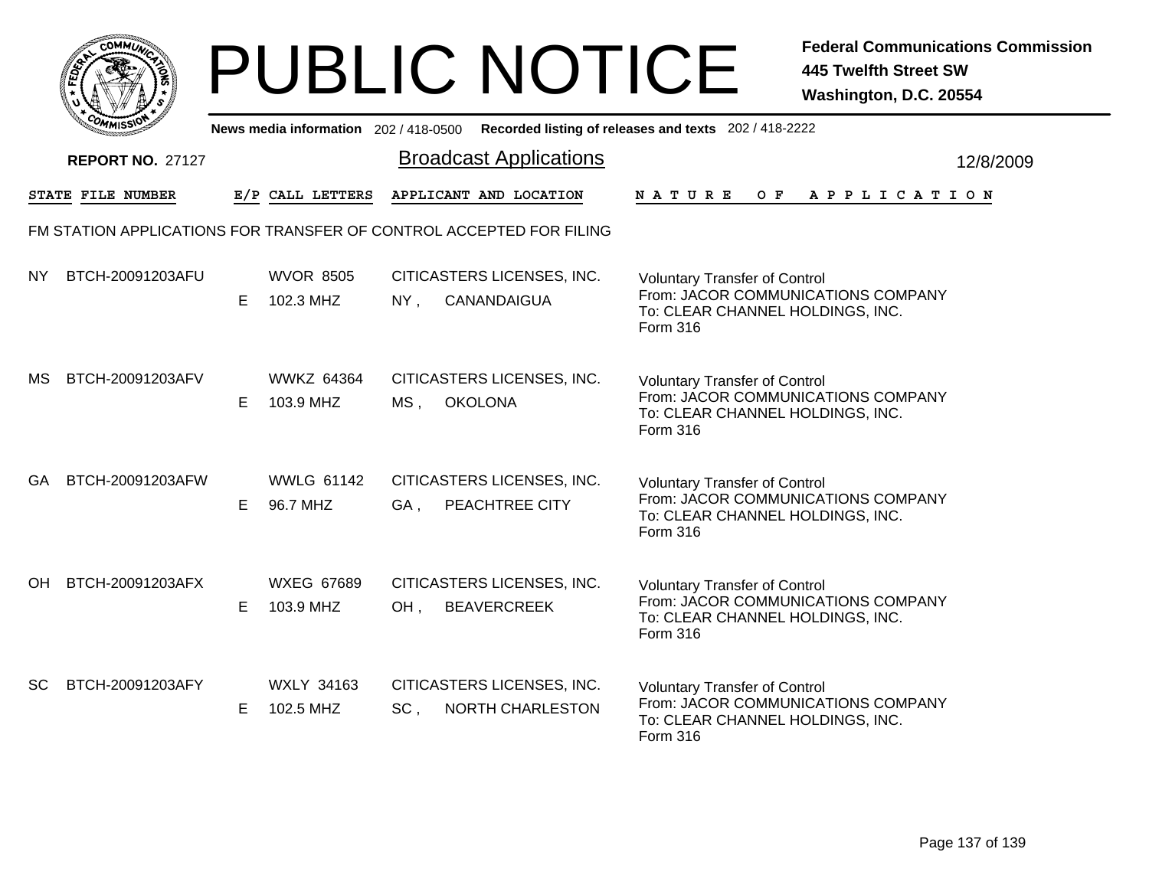|              | MMUNICT<br><b>CO</b> |  |
|--------------|----------------------|--|
| <b>FEDET</b> |                      |  |
|              |                      |  |
|              | COMI<br>MISS         |  |

|     | <b>UMISS</b><br>News media information 202/418-0500 Recorded listing of releases and texts 202/418-2222 |    |                                |      |                                                  |                                                                                                                            |           |  |  |  |  |  |
|-----|---------------------------------------------------------------------------------------------------------|----|--------------------------------|------|--------------------------------------------------|----------------------------------------------------------------------------------------------------------------------------|-----------|--|--|--|--|--|
|     | <b>REPORT NO. 27127</b>                                                                                 |    |                                |      | <b>Broadcast Applications</b>                    |                                                                                                                            | 12/8/2009 |  |  |  |  |  |
|     | STATE FILE NUMBER                                                                                       |    | E/P CALL LETTERS               |      | APPLICANT AND LOCATION                           | NATURE<br>OF APPLICATION                                                                                                   |           |  |  |  |  |  |
|     | FM STATION APPLICATIONS FOR TRANSFER OF CONTROL ACCEPTED FOR FILING                                     |    |                                |      |                                                  |                                                                                                                            |           |  |  |  |  |  |
| NY. | BTCH-20091203AFU                                                                                        | E. | <b>WVOR 8505</b><br>102.3 MHZ  | NY,  | CITICASTERS LICENSES, INC.<br>CANANDAIGUA        | <b>Voluntary Transfer of Control</b><br>From: JACOR COMMUNICATIONS COMPANY<br>To: CLEAR CHANNEL HOLDINGS, INC.<br>Form 316 |           |  |  |  |  |  |
| MS. | BTCH-20091203AFV                                                                                        | E. | <b>WWKZ 64364</b><br>103.9 MHZ | MS , | CITICASTERS LICENSES, INC.<br><b>OKOLONA</b>     | <b>Voluntary Transfer of Control</b><br>From: JACOR COMMUNICATIONS COMPANY<br>To: CLEAR CHANNEL HOLDINGS, INC.<br>Form 316 |           |  |  |  |  |  |
| GA. | BTCH-20091203AFW                                                                                        | E. | <b>WWLG 61142</b><br>96.7 MHZ  | GA,  | CITICASTERS LICENSES, INC.<br>PEACHTREE CITY     | <b>Voluntary Transfer of Control</b><br>From: JACOR COMMUNICATIONS COMPANY<br>To: CLEAR CHANNEL HOLDINGS, INC.<br>Form 316 |           |  |  |  |  |  |
| OH. | BTCH-20091203AFX                                                                                        | E. | <b>WXEG 67689</b><br>103.9 MHZ | OH,  | CITICASTERS LICENSES, INC.<br><b>BEAVERCREEK</b> | <b>Voluntary Transfer of Control</b><br>From: JACOR COMMUNICATIONS COMPANY<br>To: CLEAR CHANNEL HOLDINGS, INC.<br>Form 316 |           |  |  |  |  |  |
| SC  | BTCH-20091203AFY                                                                                        | E. | <b>WXLY 34163</b><br>102.5 MHZ | SC,  | CITICASTERS LICENSES, INC.<br>NORTH CHARLESTON   | <b>Voluntary Transfer of Control</b><br>From: JACOR COMMUNICATIONS COMPANY<br>To: CLEAR CHANNEL HOLDINGS, INC.<br>Form 316 |           |  |  |  |  |  |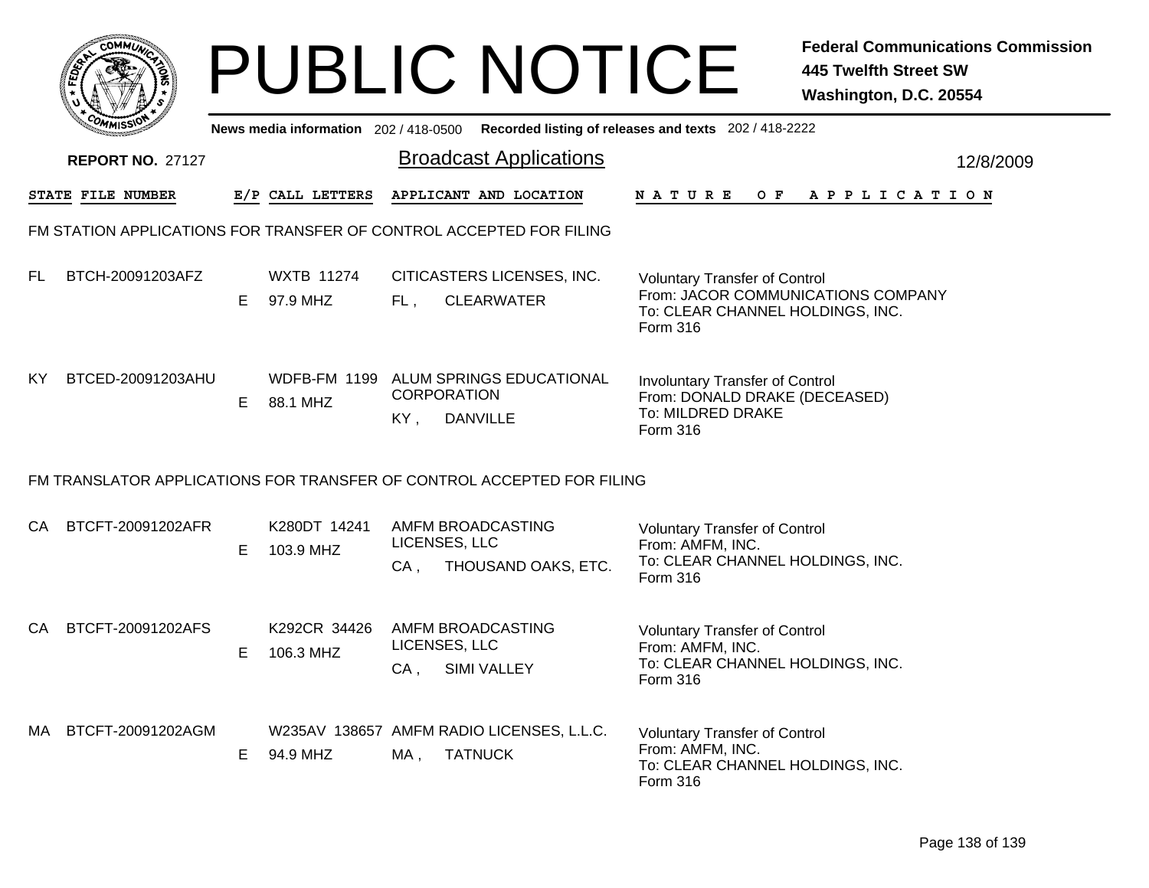|     | <b>COMMUT</b>                                                       |    |                               |        | <b>PUBLIC NOTICE</b>                                                                        |                                                                                                                 | <b>Federal Communications Commission</b><br><b>445 Twelfth Street SW</b><br>Washington, D.C. 20554 |  |  |  |  |  |  |
|-----|---------------------------------------------------------------------|----|-------------------------------|--------|---------------------------------------------------------------------------------------------|-----------------------------------------------------------------------------------------------------------------|----------------------------------------------------------------------------------------------------|--|--|--|--|--|--|
|     |                                                                     |    |                               |        | News media information 202 / 418-0500 Recorded listing of releases and texts 202 / 418-2222 |                                                                                                                 |                                                                                                    |  |  |  |  |  |  |
|     | <b>REPORT NO. 27127</b>                                             |    |                               |        | <b>Broadcast Applications</b>                                                               |                                                                                                                 | 12/8/2009                                                                                          |  |  |  |  |  |  |
|     | STATE FILE NUMBER                                                   |    | E/P CALL LETTERS              |        | APPLICANT AND LOCATION                                                                      | N A T U R E                                                                                                     | OF APPLICATION                                                                                     |  |  |  |  |  |  |
|     | FM STATION APPLICATIONS FOR TRANSFER OF CONTROL ACCEPTED FOR FILING |    |                               |        |                                                                                             |                                                                                                                 |                                                                                                    |  |  |  |  |  |  |
| FL. | BTCH-20091203AFZ                                                    | E  | <b>WXTB 11274</b><br>97.9 MHZ | FL,    | CITICASTERS LICENSES, INC.<br><b>CLEARWATER</b>                                             | <b>Voluntary Transfer of Control</b><br>To: CLEAR CHANNEL HOLDINGS, INC.<br>Form 316                            | From: JACOR COMMUNICATIONS COMPANY                                                                 |  |  |  |  |  |  |
| KY. | BTCED-20091203AHU                                                   | Е  | 88.1 MHZ                      | KY,    | WDFB-FM 1199 ALUM SPRINGS EDUCATIONAL<br><b>CORPORATION</b><br><b>DANVILLE</b>              | Involuntary Transfer of Control<br>From: DONALD DRAKE (DECEASED)<br>To: MILDRED DRAKE<br>Form 316               |                                                                                                    |  |  |  |  |  |  |
|     |                                                                     |    |                               |        | FM TRANSLATOR APPLICATIONS FOR TRANSFER OF CONTROL ACCEPTED FOR FILING                      |                                                                                                                 |                                                                                                    |  |  |  |  |  |  |
| CA. | BTCFT-20091202AFR                                                   | E. | K280DT 14241<br>103.9 MHZ     | $CA$ , | AMFM BROADCASTING<br>LICENSES, LLC<br>THOUSAND OAKS, ETC.                                   | <b>Voluntary Transfer of Control</b><br>From: AMFM, INC.<br>To: CLEAR CHANNEL HOLDINGS, INC.<br>Form 316        |                                                                                                    |  |  |  |  |  |  |
| CA  | BTCFT-20091202AFS                                                   | E. | K292CR 34426<br>106.3 MHZ     |        | AMFM BROADCASTING<br>LICENSES, LLC<br>CA, SIMI VALLEY                                       | <b>Voluntary Transfer of Control</b><br>From: AMFM, INC.<br>To: CLEAR CHANNEL HOLDINGS, INC.<br><b>Form 316</b> |                                                                                                    |  |  |  |  |  |  |
| MA  | BTCFT-20091202AGM                                                   | Е. | 94.9 MHZ                      | MA,    | W235AV 138657 AMFM RADIO LICENSES, L.L.C.<br><b>TATNUCK</b>                                 | <b>Voluntary Transfer of Control</b><br>From: AMFM, INC.<br>To: CLEAR CHANNEL HOLDINGS, INC.<br>Form 316        |                                                                                                    |  |  |  |  |  |  |